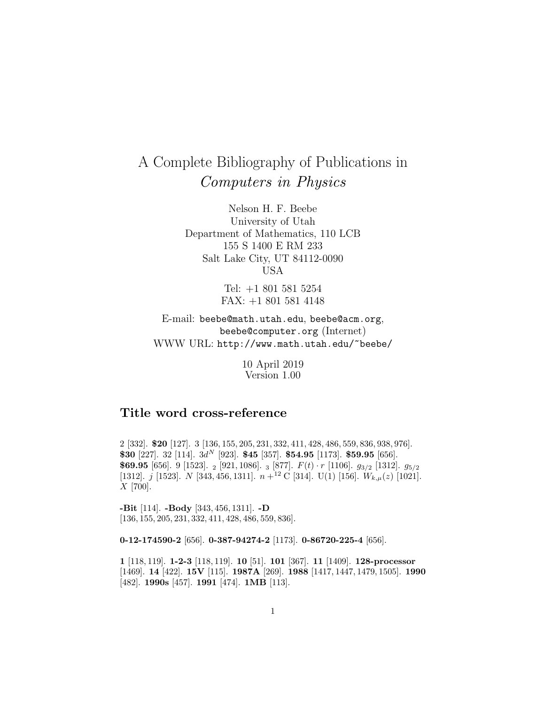# A Complete Bibliography of Publications in Computers in Physics

Nelson H. F. Beebe University of Utah Department of Mathematics, 110 LCB 155 S 1400 E RM 233 Salt Lake City, UT 84112-0090 USA

> Tel: +1 801 581 5254 FAX: +1 801 581 4148

E-mail: beebe@math.utah.edu, beebe@acm.org, beebe@computer.org (Internet) WWW URL: http://www.math.utah.edu/~beebe/

> 10 April 2019 Version 1.00

# **Title word cross-reference**

2 [332]. **\$20** [127]. 3 [136, 155, 205, 231, 332, 411, 428, 486, 559, 836, 938, 976]. **\$30** [227]. 32 [114]. 3d<sup>N</sup> [923]. **\$45** [357]. **\$54.95** [1173]. **\$59.95** [656]. **\$69.95** [656]. 9 [1523]. <sup>2</sup> [921, 1086]. <sup>3</sup> [877]. F(t) · r [1106]. g<sup>3</sup>/<sup>2</sup> [1312]. g<sup>5</sup>/<sup>2</sup> [1312]. j [1523]. N [343, 456, 1311].  $n+^{12}$  C [314]. U(1) [156].  $W_{k,\mu}(z)$  [1021]. X [700].

**-Bit** [114]. **-Body** [343, 456, 1311]. **-D** [136, 155, 205, 231, 332, 411, 428, 486, 559, 836].

**0-12-174590-2** [656]. **0-387-94274-2** [1173]. **0-86720-225-4** [656].

**1** [118, 119]. **1-2-3** [118, 119]. **10** [51]. **101** [367]. **11** [1409]. **128-processor** [1469]. **14** [422]. **15V** [115]. **1987A** [269]. **1988** [1417, 1447, 1479, 1505]. **1990** [482]. **1990s** [457]. **1991** [474]. **1MB** [113].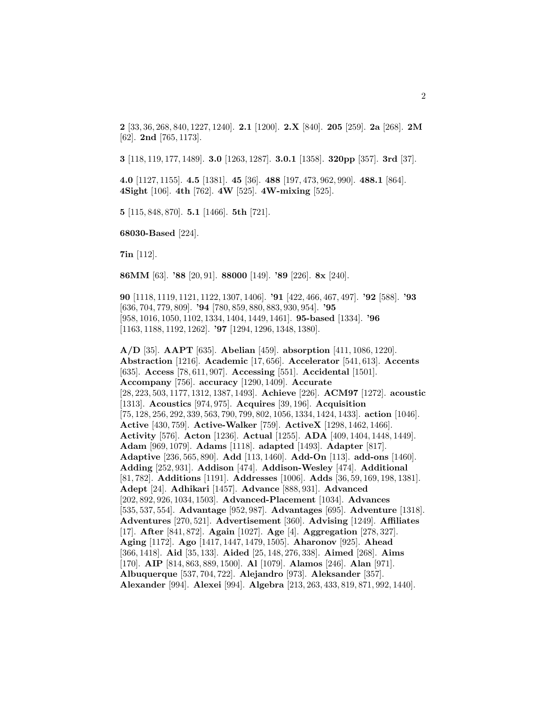**2** [33, 36, 268, 840, 1227, 1240]. **2.1** [1200]. **2.X** [840]. **205** [259]. **2a** [268]. **2M** [62]. **2nd** [765, 1173].

**3** [118, 119, 177, 1489]. **3.0** [1263, 1287]. **3.0.1** [1358]. **320pp** [357]. **3rd** [37].

**4.0** [1127, 1155]. **4.5** [1381]. **45** [36]. **488** [197, 473, 962, 990]. **488.1** [864]. **4Sight** [106]. **4th** [762]. **4W** [525]. **4W-mixing** [525].

**5** [115, 848, 870]. **5.1** [1466]. **5th** [721].

**68030-Based** [224].

**7in** [112].

**86MM** [63]. **'88** [20, 91]. **88000** [149]. **'89** [226]. **8x** [240].

**90** [1118, 1119, 1121, 1122, 1307, 1406]. **'91** [422, 466, 467, 497]. **'92** [588]. **'93** [636, 704, 779, 809]. **'94** [780, 859, 880, 883, 930, 954]. **'95** [958, 1016, 1050, 1102, 1334, 1404, 1449, 1461]. **95-based** [1334]. **'96** [1163, 1188, 1192, 1262]. **'97** [1294, 1296, 1348, 1380].

**A/D** [35]. **AAPT** [635]. **Abelian** [459]. **absorption** [411, 1086, 1220]. **Abstraction** [1216]. **Academic** [17, 656]. **Accelerator** [541, 613]. **Accents** [635]. **Access** [78, 611, 907]. **Accessing** [551]. **Accidental** [1501]. **Accompany** [756]. **accuracy** [1290, 1409]. **Accurate** [28, 223, 503, 1177, 1312, 1387, 1493]. **Achieve** [226]. **ACM97** [1272]. **acoustic** [1313]. **Acoustics** [974, 975]. **Acquires** [39, 196]. **Acquisition** [75, 128, 256, 292, 339, 563, 790, 799, 802, 1056, 1334, 1424, 1433]. **action** [1046]. **Active** [430, 759]. **Active-Walker** [759]. **ActiveX** [1298, 1462, 1466]. **Activity** [576]. **Acton** [1236]. **Actual** [1255]. **ADA** [409, 1404, 1448, 1449]. **Adam** [969, 1079]. **Adams** [1118]. **adapted** [1493]. **Adapter** [817]. **Adaptive** [236, 565, 890]. **Add** [113, 1460]. **Add-On** [113]. **add-ons** [1460]. **Adding** [252, 931]. **Addison** [474]. **Addison-Wesley** [474]. **Additional** [81, 782]. **Additions** [1191]. **Addresses** [1006]. **Adds** [36, 59, 169, 198, 1381]. **Adept** [24]. **Adhikari** [1457]. **Advance** [888, 931]. **Advanced** [202, 892, 926, 1034, 1503]. **Advanced-Placement** [1034]. **Advances** [535, 537, 554]. **Advantage** [952, 987]. **Advantages** [695]. **Adventure** [1318]. **Adventures** [270, 521]. **Advertisement** [360]. **Advising** [1249]. **Affiliates** [17]. **After** [841, 872]. **Again** [1027]. **Age** [4]. **Aggregation** [278, 327]. **Aging** [1172]. **Ago** [1417, 1447, 1479, 1505]. **Aharonov** [925]. **Ahead** [366, 1418]. **Aid** [35, 133]. **Aided** [25, 148, 276, 338]. **Aimed** [268]. **Aims** [170]. **AIP** [814, 863, 889, 1500]. **Al** [1079]. **Alamos** [246]. **Alan** [971]. **Albuquerque** [537, 704, 722]. **Alejandro** [973]. **Aleksander** [357]. **Alexander** [994]. **Alexei** [994]. **Algebra** [213, 263, 433, 819, 871, 992, 1440].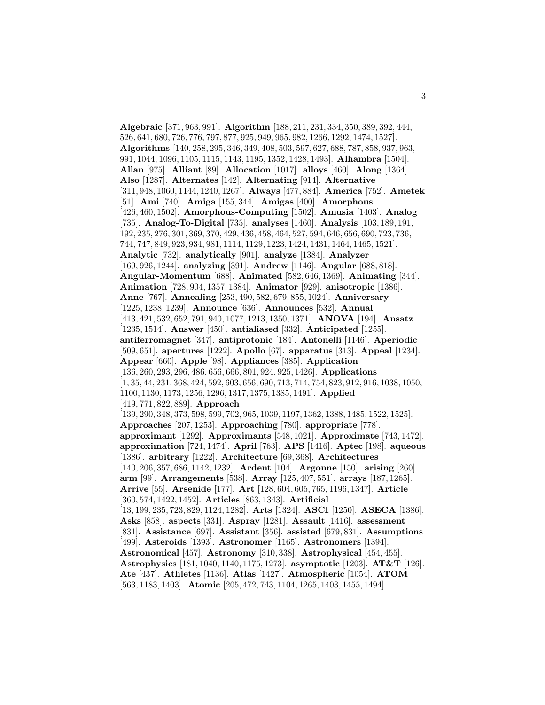**Algebraic** [371, 963, 991]. **Algorithm** [188, 211, 231, 334, 350, 389, 392, 444, 526, 641, 680, 726, 776, 797, 877, 925, 949, 965, 982, 1266, 1292, 1474, 1527]. **Algorithms** [140, 258, 295, 346, 349, 408, 503, 597, 627, 688, 787, 858, 937, 963, 991, 1044, 1096, 1105, 1115, 1143, 1195, 1352, 1428, 1493]. **Alhambra** [1504]. **Allan** [975]. **Alliant** [89]. **Allocation** [1017]. **alloys** [460]. **Along** [1364]. **Also** [1287]. **Alternates** [142]. **Alternating** [914]. **Alternative** [311, 948, 1060, 1144, 1240, 1267]. **Always** [477, 884]. **America** [752]. **Ametek** [51]. **Ami** [740]. **Amiga** [155, 344]. **Amigas** [400]. **Amorphous** [426, 460, 1502]. **Amorphous-Computing** [1502]. **Amusia** [1403]. **Analog** [735]. **Analog-To-Digital** [735]. **analyses** [1460]. **Analysis** [103, 189, 191, 192, 235, 276, 301, 369, 370, 429, 436, 458, 464, 527, 594, 646, 656, 690, 723, 736, 744, 747, 849, 923, 934, 981, 1114, 1129, 1223, 1424, 1431, 1464, 1465, 1521]. **Analytic** [732]. **analytically** [901]. **analyze** [1384]. **Analyzer** [169, 926, 1244]. **analyzing** [391]. **Andrew** [1146]. **Angular** [688, 818]. **Angular-Momentum** [688]. **Animated** [582, 646, 1369]. **Animating** [344]. **Animation** [728, 904, 1357, 1384]. **Animator** [929]. **anisotropic** [1386]. **Anne** [767]. **Annealing** [253, 490, 582, 679, 855, 1024]. **Anniversary** [1225, 1238, 1239]. **Announce** [636]. **Announces** [532]. **Annual** [413, 421, 532, 652, 791, 940, 1077, 1213, 1350, 1371]. **ANOVA** [194]. **Ansatz** [1235, 1514]. **Answer** [450]. **antialiased** [332]. **Anticipated** [1255]. **antiferromagnet** [347]. **antiprotonic** [184]. **Antonelli** [1146]. **Aperiodic** [509, 651]. **apertures** [1222]. **Apollo** [67]. **apparatus** [313]. **Appeal** [1234]. **Appear** [660]. **Apple** [98]. **Appliances** [385]. **Application** [136, 260, 293, 296, 486, 656, 666, 801, 924, 925, 1426]. **Applications** [1, 35, 44, 231, 368, 424, 592, 603, 656, 690, 713, 714, 754, 823, 912, 916, 1038, 1050, 1100, 1130, 1173, 1256, 1296, 1317, 1375, 1385, 1491]. **Applied** [419, 771, 822, 889]. **Approach** [139, 290, 348, 373, 598, 599, 702, 965, 1039, 1197, 1362, 1388, 1485, 1522, 1525]. **Approaches** [207, 1253]. **Approaching** [780]. **appropriate** [778]. **approximant** [1292]. **Approximants** [548, 1021]. **Approximate** [743, 1472]. **approximation** [724, 1474]. **April** [763]. **APS** [1416]. **Aptec** [198]. **aqueous** [1386]. **arbitrary** [1222]. **Architecture** [69, 368]. **Architectures** [140, 206, 357, 686, 1142, 1232]. **Ardent** [104]. **Argonne** [150]. **arising** [260]. **arm** [99]. **Arrangements** [538]. **Array** [125, 407, 551]. **arrays** [187, 1265]. **Arrive** [55]. **Arsenide** [177]. **Art** [128, 604, 605, 765, 1196, 1347]. **Article** [360, 574, 1422, 1452]. **Articles** [863, 1343]. **Artificial** [13, 199, 235, 723, 829, 1124, 1282]. **Arts** [1324]. **ASCI** [1250]. **ASECA** [1386]. **Asks** [858]. **aspects** [331]. **Aspray** [1281]. **Assault** [1416]. **assessment** [831]. **Assistance** [697]. **Assistant** [356]. **assisted** [679, 831]. **Assumptions** [499]. **Asteroids** [1393]. **Astronomer** [1165]. **Astronomers** [1394]. **Astronomical** [457]. **Astronomy** [310, 338]. **Astrophysical** [454, 455]. **Astrophysics** [181, 1040, 1140, 1175, 1273]. **asymptotic** [1203]. **AT&T** [126]. **Ate** [437]. **Athletes** [1136]. **Atlas** [1427]. **Atmospheric** [1054]. **ATOM** [563, 1183, 1403]. **Atomic** [205, 472, 743, 1104, 1265, 1403, 1455, 1494].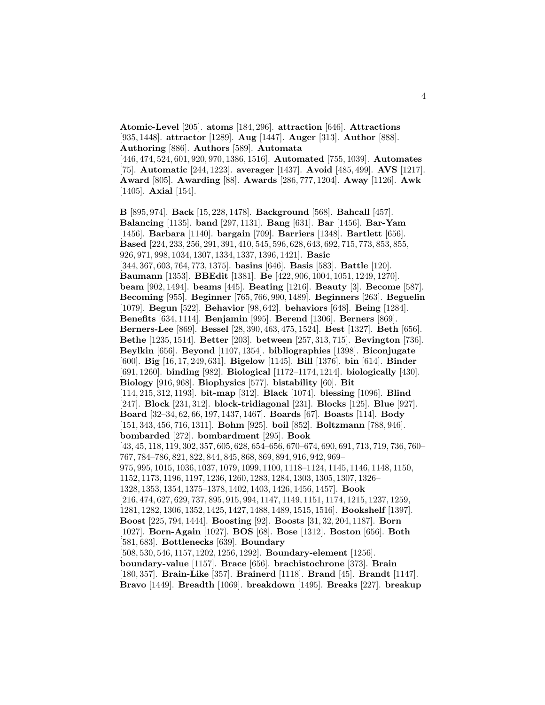**Atomic-Level** [205]. **atoms** [184, 296]. **attraction** [646]. **Attractions** [935, 1448]. **attractor** [1289]. **Aug** [1447]. **Auger** [313]. **Author** [888]. **Authoring** [886]. **Authors** [589]. **Automata**

[446, 474, 524, 601, 920, 970, 1386, 1516]. **Automated** [755, 1039]. **Automates** [75]. **Automatic** [244, 1223]. **averager** [1437]. **Avoid** [485, 499]. **AVS** [1217]. **Award** [805]. **Awarding** [88]. **Awards** [286, 777, 1204]. **Away** [1126]. **Awk** [1405]. **Axial** [154].

**B** [895, 974]. **Back** [15, 228, 1478]. **Background** [568]. **Bahcall** [457]. **Balancing** [1135]. **band** [297, 1131]. **Bang** [631]. **Bar** [1456]. **Bar-Yam** [1456]. **Barbara** [1140]. **bargain** [709]. **Barriers** [1348]. **Bartlett** [656]. **Based** [224, 233, 256, 291, 391, 410, 545, 596, 628, 643, 692, 715, 773, 853, 855, 926, 971, 998, 1034, 1307, 1334, 1337, 1396, 1421]. **Basic** [344, 367, 603, 764, 773, 1375]. **basins** [646]. **Basis** [583]. **Battle** [120]. **Baumann** [1353]. **BBEdit** [1381]. **Be** [422, 906, 1004, 1051, 1249, 1270]. **beam** [902, 1494]. **beams** [445]. **Beating** [1216]. **Beauty** [3]. **Become** [587]. **Becoming** [955]. **Beginner** [765, 766, 990, 1489]. **Beginners** [263]. **Beguelin** [1079]. **Begun** [522]. **Behavior** [98, 642]. **behaviors** [648]. **Being** [1284]. **Benefits** [634, 1114]. **Benjamin** [995]. **Berend** [1306]. **Berners** [869]. **Berners-Lee** [869]. **Bessel** [28, 390, 463, 475, 1524]. **Best** [1327]. **Beth** [656]. **Bethe** [1235, 1514]. **Better** [203]. **between** [257, 313, 715]. **Bevington** [736]. **Beylkin** [656]. **Beyond** [1107, 1354]. **bibliographies** [1398]. **Biconjugate** [600]. **Big** [16, 17, 249, 631]. **Bigelow** [1145]. **Bill** [1376]. **bin** [614]. **Binder** [691, 1260]. **binding** [982]. **Biological** [1172–1174, 1214]. **biologically** [430]. **Biology** [916, 968]. **Biophysics** [577]. **bistability** [60]. **Bit** [114, 215, 312, 1193]. **bit-map** [312]. **Black** [1074]. **blessing** [1096]. **Blind** [247]. **Block** [231, 312]. **block-tridiagonal** [231]. **Blocks** [125]. **Blue** [927]. **Board** [32–34, 62, 66, 197, 1437, 1467]. **Boards** [67]. **Boasts** [114]. **Body** [151, 343, 456, 716, 1311]. **Bohm** [925]. **boil** [852]. **Boltzmann** [788, 946]. **bombarded** [272]. **bombardment** [295]. **Book** [43, 45, 118, 119, 302, 357, 605, 628, 654–656, 670–674, 690, 691, 713, 719, 736, 760– 767, 784–786, 821, 822, 844, 845, 868, 869, 894, 916, 942, 969– 975, 995, 1015, 1036, 1037, 1079, 1099, 1100, 1118–1124, 1145, 1146, 1148, 1150, 1152, 1173, 1196, 1197, 1236, 1260, 1283, 1284, 1303, 1305, 1307, 1326– 1328, 1353, 1354, 1375–1378, 1402, 1403, 1426, 1456, 1457]. **Book** [216, 474, 627, 629, 737, 895, 915, 994, 1147, 1149, 1151, 1174, 1215, 1237, 1259, 1281, 1282, 1306, 1352, 1425, 1427, 1488, 1489, 1515, 1516]. **Bookshelf** [1397]. **Boost** [225, 794, 1444]. **Boosting** [92]. **Boosts** [31, 32, 204, 1187]. **Born** [1027]. **Born-Again** [1027]. **BOS** [68]. **Bose** [1312]. **Boston** [656]. **Both** [581, 683]. **Bottlenecks** [639]. **Boundary** [508, 530, 546, 1157, 1202, 1256, 1292]. **Boundary-element** [1256]. **boundary-value** [1157]. **Brace** [656]. **brachistochrone** [373]. **Brain** [180, 357]. **Brain-Like** [357]. **Brainerd** [1118]. **Brand** [45]. **Brandt** [1147].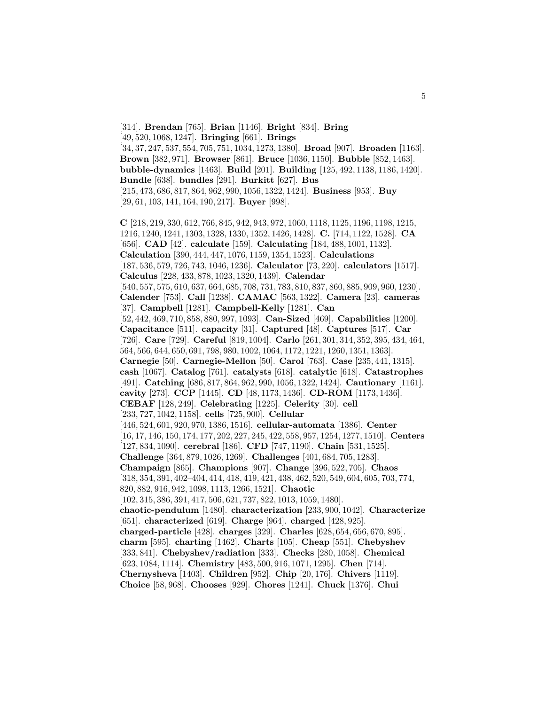[314]. **Brendan** [765]. **Brian** [1146]. **Bright** [834]. **Bring** [49, 520, 1068, 1247]. **Bringing** [661]. **Brings** [34, 37, 247, 537, 554, 705, 751, 1034, 1273, 1380]. **Broad** [907]. **Broaden** [1163]. **Brown** [382, 971]. **Browser** [861]. **Bruce** [1036, 1150]. **Bubble** [852, 1463]. **bubble-dynamics** [1463]. **Build** [201]. **Building** [125, 492, 1138, 1186, 1420]. **Bundle** [638]. **bundles** [291]. **Burkitt** [627]. **Bus** [215, 473, 686, 817, 864, 962, 990, 1056, 1322, 1424]. **Business** [953]. **Buy** [29, 61, 103, 141, 164, 190, 217]. **Buyer** [998]. **C** [218, 219, 330, 612, 766, 845, 942, 943, 972, 1060, 1118, 1125, 1196, 1198, 1215, 1216, 1240, 1241, 1303, 1328, 1330, 1352, 1426, 1428]. **C.** [714, 1122, 1528]. **CA** [656]. **CAD** [42]. **calculate** [159]. **Calculating** [184, 488, 1001, 1132]. **Calculation** [390, 444, 447, 1076, 1159, 1354, 1523]. **Calculations** [187, 536, 579, 726, 743, 1046, 1236]. **Calculator** [73, 220]. **calculators** [1517]. **Calculus** [228, 433, 878, 1023, 1320, 1439]. **Calendar** [540, 557, 575, 610, 637, 664, 685, 708, 731, 783, 810, 837, 860, 885, 909, 960, 1230]. **Calender** [753]. **Call** [1238]. **CAMAC** [563, 1322]. **Camera** [23]. **cameras** [37]. **Campbell** [1281]. **Campbell-Kelly** [1281]. **Can** [52, 442, 469, 710, 858, 880, 997, 1093]. **Can-Sized** [469]. **Capabilities** [1200]. **Capacitance** [511]. **capacity** [31]. **Captured** [48]. **Captures** [517]. **Car** [726]. **Care** [729]. **Careful** [819, 1004]. **Carlo** [261, 301, 314, 352, 395, 434, 464, 564, 566, 644, 650, 691, 798, 980, 1002, 1064, 1172, 1221, 1260, 1351, 1363]. **Carnegie** [50]. **Carnegie-Mellon** [50]. **Carol** [763]. **Case** [235, 441, 1315]. **cash** [1067]. **Catalog** [761]. **catalysts** [618]. **catalytic** [618]. **Catastrophes** [491]. **Catching** [686, 817, 864, 962, 990, 1056, 1322, 1424]. **Cautionary** [1161]. **cavity** [273]. **CCP** [1445]. **CD** [48, 1173, 1436]. **CD-ROM** [1173, 1436]. **CEBAF** [128, 249]. **Celebrating** [1225]. **Celerity** [30]. **cell** [233, 727, 1042, 1158]. **cells** [725, 900]. **Cellular** [446, 524, 601, 920, 970, 1386, 1516]. **cellular-automata** [1386]. **Center** [16, 17, 146, 150, 174, 177, 202, 227, 245, 422, 558, 957, 1254, 1277, 1510]. **Centers** [127, 834, 1090]. **cerebral** [186]. **CFD** [747, 1190]. **Chain** [531, 1525]. **Challenge** [364, 879, 1026, 1269]. **Challenges** [401, 684, 705, 1283]. **Champaign** [865]. **Champions** [907]. **Change** [396, 522, 705]. **Chaos** [318, 354, 391, 402–404, 414, 418, 419, 421, 438, 462, 520, 549, 604, 605, 703, 774, 820, 882, 916, 942, 1098, 1113, 1266, 1521]. **Chaotic** [102, 315, 386, 391, 417, 506, 621, 737, 822, 1013, 1059, 1480]. **chaotic-pendulum** [1480]. **characterization** [233, 900, 1042]. **Characterize** [651]. **characterized** [619]. **Charge** [964]. **charged** [428, 925]. **charged-particle** [428]. **charges** [329]. **Charles** [628, 654, 656, 670, 895]. **charm** [595]. **charting** [1462]. **Charts** [105]. **Cheap** [551]. **Chebyshev** [333, 841]. **Chebyshev/radiation** [333]. **Checks** [280, 1058]. **Chemical** [623, 1084, 1114]. **Chemistry** [483, 500, 916, 1071, 1295]. **Chen** [714]. **Chernysheva** [1403]. **Children** [952]. **Chip** [20, 176]. **Chivers** [1119]. **Choice** [58, 968]. **Chooses** [929]. **Chores** [1241]. **Chuck** [1376]. **Chui**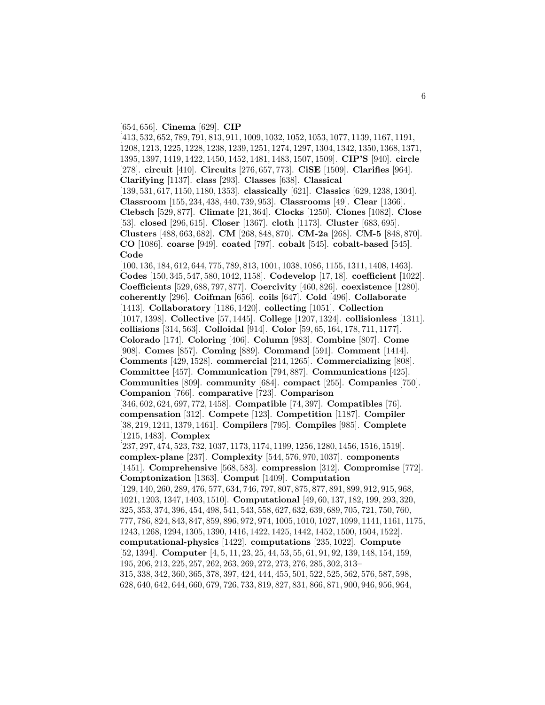#### [654, 656]. **Cinema** [629]. **CIP**

[413, 532, 652, 789, 791, 813, 911, 1009, 1032, 1052, 1053, 1077, 1139, 1167, 1191, 1208, 1213, 1225, 1228, 1238, 1239, 1251, 1274, 1297, 1304, 1342, 1350, 1368, 1371, 1395, 1397, 1419, 1422, 1450, 1452, 1481, 1483, 1507, 1509]. **CIP'S** [940]. **circle** [278]. **circuit** [410]. **Circuits** [276, 657, 773]. **CiSE** [1509]. **Clarifies** [964]. **Clarifying** [1137]. **class** [293]. **Classes** [638]. **Classical** [139, 531, 617, 1150, 1180, 1353]. **classically** [621]. **Classics** [629, 1238, 1304]. **Classroom** [155, 234, 438, 440, 739, 953]. **Classrooms** [49]. **Clear** [1366]. **Clebsch** [529, 877]. **Climate** [21, 364]. **Clocks** [1250]. **Clones** [1082]. **Close** [53]. **closed** [296, 615]. **Closer** [1367]. **cloth** [1173]. **Cluster** [683, 695]. **Clusters** [488, 663, 682]. **CM** [268, 848, 870]. **CM-2a** [268]. **CM-5** [848, 870]. **CO** [1086]. **coarse** [949]. **coated** [797]. **cobalt** [545]. **cobalt-based** [545]. **Code** [100, 136, 184, 612, 644, 775, 789, 813, 1001, 1038, 1086, 1155, 1311, 1408, 1463]. **Codes** [150, 345, 547, 580, 1042, 1158]. **Codevelop** [17, 18]. **coefficient** [1022]. **Coefficients** [529, 688, 797, 877]. **Coercivity** [460, 826]. **coexistence** [1280]. **coherently** [296]. **Coifman** [656]. **coils** [647]. **Cold** [496]. **Collaborate** [1413]. **Collaboratory** [1186, 1420]. **collecting** [1051]. **Collection** [1017, 1398]. **Collective** [57, 1445]. **College** [1207, 1324]. **collisionless** [1311]. **collisions** [314, 563]. **Colloidal** [914]. **Color** [59, 65, 164, 178, 711, 1177]. **Colorado** [174]. **Coloring** [406]. **Column** [983]. **Combine** [807]. **Come** [908]. **Comes** [857]. **Coming** [889]. **Command** [591]. **Comment** [1414]. **Comments** [429, 1528]. **commercial** [214, 1265]. **Commercializing** [808]. **Committee** [457]. **Communication** [794, 887]. **Communications** [425]. **Communities** [809]. **community** [684]. **compact** [255]. **Companies** [750]. **Companion** [766]. **comparative** [723]. **Comparison** [346, 602, 624, 697, 772, 1458]. **Compatible** [74, 397]. **Compatibles** [76]. **compensation** [312]. **Compete** [123]. **Competition** [1187]. **Compiler** [38, 219, 1241, 1379, 1461]. **Compilers** [795]. **Compiles** [985]. **Complete** [1215, 1483]. **Complex** [237, 297, 474, 523, 732, 1037, 1173, 1174, 1199, 1256, 1280, 1456, 1516, 1519]. **complex-plane** [237]. **Complexity** [544, 576, 970, 1037]. **components** [1451]. **Comprehensive** [568, 583]. **compression** [312]. **Compromise** [772]. **Comptonization** [1363]. **Comput** [1409]. **Computation** [129, 140, 260, 289, 476, 577, 634, 746, 797, 807, 875, 877, 891, 899, 912, 915, 968, 1021, 1203, 1347, 1403, 1510]. **Computational** [49, 60, 137, 182, 199, 293, 320, 325, 353, 374, 396, 454, 498, 541, 543, 558, 627, 632, 639, 689, 705, 721, 750, 760, 777, 786, 824, 843, 847, 859, 896, 972, 974, 1005, 1010, 1027, 1099, 1141, 1161, 1175, 1243, 1268, 1294, 1305, 1390, 1416, 1422, 1425, 1442, 1452, 1500, 1504, 1522]. **computational-physics** [1422]. **computations** [235, 1022]. **Compute** [52, 1394]. **Computer** [4, 5, 11, 23, 25, 44, 53, 55, 61, 91, 92, 139, 148, 154, 159, 195, 206, 213, 225, 257, 262, 263, 269, 272, 273, 276, 285, 302, 313– 315, 338, 342, 360, 365, 378, 397, 424, 444, 455, 501, 522, 525, 562, 576, 587, 598, 628, 640, 642, 644, 660, 679, 726, 733, 819, 827, 831, 866, 871, 900, 946, 956, 964,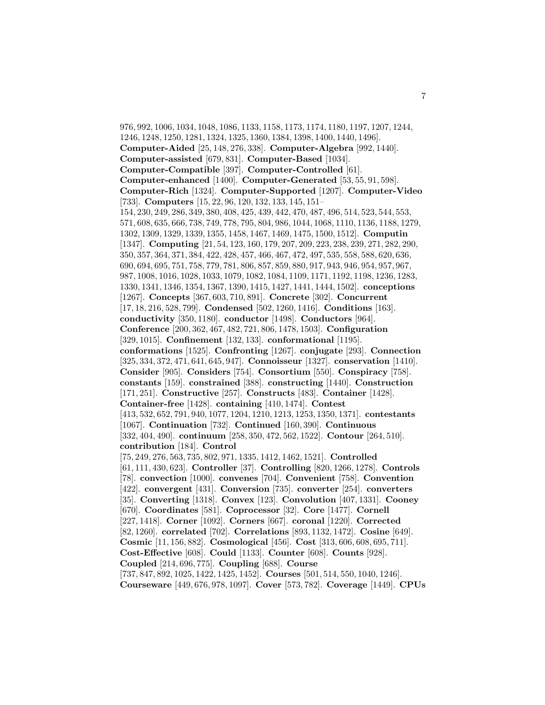976, 992, 1006, 1034, 1048, 1086, 1133, 1158, 1173, 1174, 1180, 1197, 1207, 1244, 1246, 1248, 1250, 1281, 1324, 1325, 1360, 1384, 1398, 1400, 1440, 1496]. **Computer-Aided** [25, 148, 276, 338]. **Computer-Algebra** [992, 1440]. **Computer-assisted** [679, 831]. **Computer-Based** [1034]. **Computer-Compatible** [397]. **Computer-Controlled** [61]. **Computer-enhanced** [1400]. **Computer-Generated** [53, 55, 91, 598]. **Computer-Rich** [1324]. **Computer-Supported** [1207]. **Computer-Video** [733]. **Computers** [15, 22, 96, 120, 132, 133, 145, 151– 154, 230, 249, 286, 349, 380, 408, 425, 439, 442, 470, 487, 496, 514, 523, 544, 553, 571, 608, 635, 666, 738, 749, 778, 795, 804, 986, 1044, 1068, 1110, 1136, 1188, 1279, 1302, 1309, 1329, 1339, 1355, 1458, 1467, 1469, 1475, 1500, 1512]. **Computin** [1347]. **Computing** [21, 54, 123, 160, 179, 207, 209, 223, 238, 239, 271, 282, 290, 350, 357, 364, 371, 384, 422, 428, 457, 466, 467, 472, 497, 535, 558, 588, 620, 636, 690, 694, 695, 751, 758, 779, 781, 806, 857, 859, 880, 917, 943, 946, 954, 957, 967, 987, 1008, 1016, 1028, 1033, 1079, 1082, 1084, 1109, 1171, 1192, 1198, 1236, 1283, 1330, 1341, 1346, 1354, 1367, 1390, 1415, 1427, 1441, 1444, 1502]. **conceptions** [1267]. **Concepts** [367, 603, 710, 891]. **Concrete** [302]. **Concurrent** [17, 18, 216, 528, 799]. **Condensed** [502, 1260, 1416]. **Conditions** [163]. **conductivity** [350, 1180]. **conductor** [1498]. **Conductors** [964]. **Conference** [200, 362, 467, 482, 721, 806, 1478, 1503]. **Configuration** [329, 1015]. **Confinement** [132, 133]. **conformational** [1195]. **conformations** [1525]. **Confronting** [1267]. **conjugate** [293]. **Connection** [325, 334, 372, 471, 641, 645, 947]. **Connoisseur** [1327]. **conservation** [1410]. **Consider** [905]. **Considers** [754]. **Consortium** [550]. **Conspiracy** [758]. **constants** [159]. **constrained** [388]. **constructing** [1440]. **Construction** [171, 251]. **Constructive** [257]. **Constructs** [483]. **Container** [1428]. **Container-free** [1428]. **containing** [410, 1474]. **Contest** [413, 532, 652, 791, 940, 1077, 1204, 1210, 1213, 1253, 1350, 1371]. **contestants** [1067]. **Continuation** [732]. **Continued** [160, 390]. **Continuous** [332, 404, 490]. **continuum** [258, 350, 472, 562, 1522]. **Contour** [264, 510]. **contribution** [184]. **Control** [75, 249, 276, 563, 735, 802, 971, 1335, 1412, 1462, 1521]. **Controlled** [61, 111, 430, 623]. **Controller** [37]. **Controlling** [820, 1266, 1278]. **Controls** [78]. **convection** [1000]. **convenes** [704]. **Convenient** [758]. **Convention** [422]. **convergent** [431]. **Conversion** [735]. **converter** [254]. **converters** [35]. **Converting** [1318]. **Convex** [123]. **Convolution** [407, 1331]. **Cooney** [670]. **Coordinates** [581]. **Coprocessor** [32]. **Core** [1477]. **Cornell** [227, 1418]. **Corner** [1092]. **Corners** [667]. **coronal** [1220]. **Corrected** [82, 1260]. **correlated** [702]. **Correlations** [893, 1132, 1472]. **Cosine** [649]. **Cosmic** [11, 156, 882]. **Cosmological** [456]. **Cost** [313, 606, 608, 695, 711]. **Cost-Effective** [608]. **Could** [1133]. **Counter** [608]. **Counts** [928]. **Coupled** [214, 696, 775]. **Coupling** [688]. **Course** [737, 847, 892, 1025, 1422, 1425, 1452]. **Courses** [501, 514, 550, 1040, 1246]. **Courseware** [449, 676, 978, 1097]. **Cover** [573, 782]. **Coverage** [1449]. **CPUs**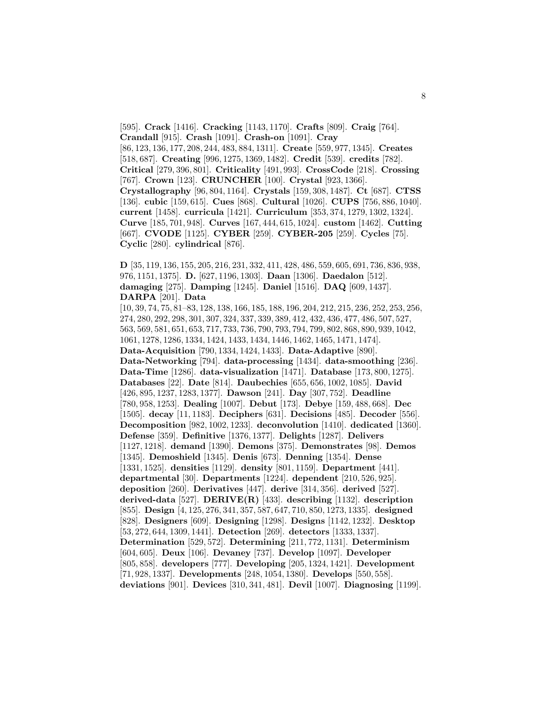[595]. **Crack** [1416]. **Cracking** [1143, 1170]. **Crafts** [809]. **Craig** [764]. **Crandall** [915]. **Crash** [1091]. **Crash-on** [1091]. **Cray** [86, 123, 136, 177, 208, 244, 483, 884, 1311]. **Create** [559, 977, 1345]. **Creates** [518, 687]. **Creating** [996, 1275, 1369, 1482]. **Credit** [539]. **credits** [782]. **Critical** [279, 396, 801]. **Criticality** [491, 993]. **CrossCode** [218]. **Crossing** [767]. **Crown** [123]. **CRUNCHER** [100]. **Crystal** [923, 1366]. **Crystallography** [96, 804, 1164]. **Crystals** [159, 308, 1487]. **Ct** [687]. **CTSS** [136]. **cubic** [159, 615]. **Cues** [868]. **Cultural** [1026]. **CUPS** [756, 886, 1040]. **current** [1458]. **curricula** [1421]. **Curriculum** [353, 374, 1279, 1302, 1324]. **Curve** [185, 701, 948]. **Curves** [167, 444, 615, 1024]. **custom** [1462]. **Cutting** [667]. **CVODE** [1125]. **CYBER** [259]. **CYBER-205** [259]. **Cycles** [75]. **Cyclic** [280]. **cylindrical** [876].

**D** [35, 119, 136, 155, 205, 216, 231, 332, 411, 428, 486, 559, 605, 691, 736, 836, 938, 976, 1151, 1375]. **D.** [627, 1196, 1303]. **Daan** [1306]. **Daedalon** [512]. **damaging** [275]. **Damping** [1245]. **Daniel** [1516]. **DAQ** [609, 1437]. **DARPA** [201]. **Data**

[10, 39, 74, 75, 81–83, 128, 138, 166, 185, 188, 196, 204, 212, 215, 236, 252, 253, 256, 274, 280, 292, 298, 301, 307, 324, 337, 339, 389, 412, 432, 436, 477, 486, 507, 527, 563, 569, 581, 651, 653, 717, 733, 736, 790, 793, 794, 799, 802, 868, 890, 939, 1042, 1061, 1278, 1286, 1334, 1424, 1433, 1434, 1446, 1462, 1465, 1471, 1474]. **Data-Acquisition** [790, 1334, 1424, 1433]. **Data-Adaptive** [890]. **Data-Networking** [794]. **data-processing** [1434]. **data-smoothing** [236]. **Data-Time** [1286]. **data-visualization** [1471]. **Database** [173, 800, 1275]. **Databases** [22]. **Date** [814]. **Daubechies** [655, 656, 1002, 1085]. **David** [426, 895, 1237, 1283, 1377]. **Dawson** [241]. **Day** [307, 752]. **Deadline** [780, 958, 1253]. **Dealing** [1007]. **Debut** [173]. **Debye** [159, 488, 668]. **Dec** [1505]. **decay** [11, 1183]. **Deciphers** [631]. **Decisions** [485]. **Decoder** [556]. **Decomposition** [982, 1002, 1233]. **deconvolution** [1410]. **dedicated** [1360]. **Defense** [359]. **Definitive** [1376, 1377]. **Delights** [1287]. **Delivers** [1127, 1218]. **demand** [1390]. **Demons** [375]. **Demonstrates** [98]. **Demos** [1345]. **Demoshield** [1345]. **Denis** [673]. **Denning** [1354]. **Dense** [1331, 1525]. **densities** [1129]. **density** [801, 1159]. **Department** [441]. **departmental** [30]. **Departments** [1224]. **dependent** [210, 526, 925]. **deposition** [260]. **Derivatives** [447]. **derive** [314, 356]. **derived** [527]. **derived-data** [527]. **DERIVE(R)** [433]. **describing** [1132]. **description** [855]. **Design** [4, 125, 276, 341, 357, 587, 647, 710, 850, 1273, 1335]. **designed** [828]. **Designers** [609]. **Designing** [1298]. **Designs** [1142, 1232]. **Desktop** [53, 272, 644, 1309, 1441]. **Detection** [269]. **detectors** [1333, 1337]. **Determination** [529, 572]. **Determining** [211, 772, 1131]. **Determinism** [604, 605]. **Deux** [106]. **Devaney** [737]. **Develop** [1097]. **Developer** [805, 858]. **developers** [777]. **Developing** [205, 1324, 1421]. **Development** [71, 928, 1337]. **Developments** [248, 1054, 1380]. **Develops** [550, 558]. **deviations** [901]. **Devices** [310, 341, 481]. **Devil** [1007]. **Diagnosing** [1199].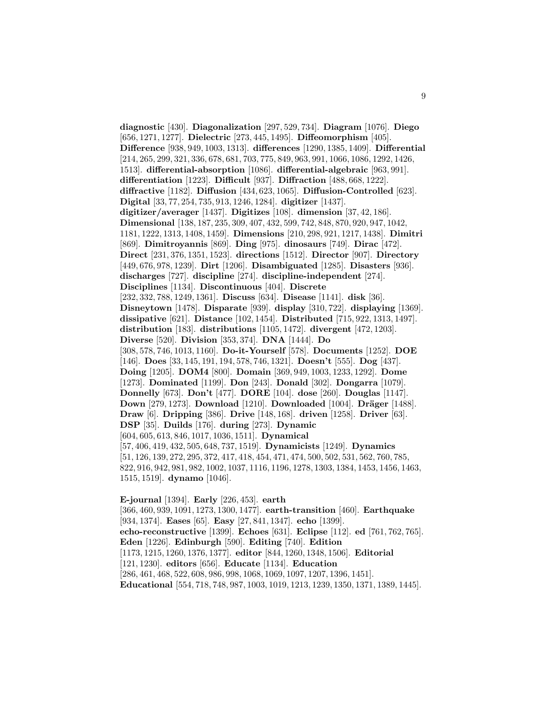**diagnostic** [430]. **Diagonalization** [297, 529, 734]. **Diagram** [1076]. **Diego** [656, 1271, 1277]. **Dielectric** [273, 445, 1495]. **Diffeomorphism** [405]. **Difference** [938, 949, 1003, 1313]. **differences** [1290, 1385, 1409]. **Differential** [214, 265, 299, 321, 336, 678, 681, 703, 775, 849, 963, 991, 1066, 1086, 1292, 1426, 1513]. **differential-absorption** [1086]. **differential-algebraic** [963, 991]. **differentiation** [1223]. **Difficult** [937]. **Diffraction** [488, 668, 1222]. **diffractive** [1182]. **Diffusion** [434, 623, 1065]. **Diffusion-Controlled** [623]. **Digital** [33, 77, 254, 735, 913, 1246, 1284]. **digitizer** [1437]. **digitizer/averager** [1437]. **Digitizes** [108]. **dimension** [37, 42, 186]. **Dimensional** [138, 187, 235, 309, 407, 432, 599, 742, 848, 870, 920, 947, 1042, 1181, 1222, 1313, 1408, 1459]. **Dimensions** [210, 298, 921, 1217, 1438]. **Dimitri** [869]. **Dimitroyannis** [869]. **Ding** [975]. **dinosaurs** [749]. **Dirac** [472]. **Direct** [231, 376, 1351, 1523]. **directions** [1512]. **Director** [907]. **Directory** [449, 676, 978, 1239]. **Dirt** [1206]. **Disambiguated** [1285]. **Disasters** [936]. **discharges** [727]. **discipline** [274]. **discipline-independent** [274]. **Disciplines** [1134]. **Discontinuous** [404]. **Discrete** [232, 332, 788, 1249, 1361]. **Discuss** [634]. **Disease** [1141]. **disk** [36]. **Disneytown** [1478]. **Disparate** [939]. **display** [310, 722]. **displaying** [1369]. **dissipative** [621]. **Distance** [102, 1454]. **Distributed** [715, 922, 1313, 1497]. **distribution** [183]. **distributions** [1105, 1472]. **divergent** [472, 1203]. **Diverse** [520]. **Division** [353, 374]. **DNA** [1444]. **Do** [308, 578, 746, 1013, 1160]. **Do-it-Yourself** [578]. **Documents** [1252]. **DOE** [146]. **Does** [33, 145, 191, 194, 578, 746, 1321]. **Doesn't** [555]. **Dog** [437]. **Doing** [1205]. **DOM4** [800]. **Domain** [369, 949, 1003, 1233, 1292]. **Dome** [1273]. **Dominated** [1199]. **Don** [243]. **Donald** [302]. **Dongarra** [1079]. **Donnelly** [673]. **Don't** [477]. **DORE** [104]. **dose** [260]. **Douglas** [1147]. **Down** [279, 1273]. **Download** [1210]. **Downloaded** [1004]. **Dräger** [1488]. **Draw** [6]. **Dripping** [386]. **Drive** [148, 168]. **driven** [1258]. **Driver** [63]. **DSP** [35]. **Duilds** [176]. **during** [273]. **Dynamic** [604, 605, 613, 846, 1017, 1036, 1511]. **Dynamical** [57, 406, 419, 432, 505, 648, 737, 1519]. **Dynamicists** [1249]. **Dynamics** [51, 126, 139, 272, 295, 372, 417, 418, 454, 471, 474, 500, 502, 531, 562, 760, 785, 822, 916, 942, 981, 982, 1002, 1037, 1116, 1196, 1278, 1303, 1384, 1453, 1456, 1463, 1515, 1519]. **dynamo** [1046].

**E-journal** [1394]. **Early** [226, 453]. **earth** [366, 460, 939, 1091, 1273, 1300, 1477]. **earth-transition** [460]. **Earthquake** [934, 1374]. **Eases** [65]. **Easy** [27, 841, 1347]. **echo** [1399]. **echo-reconstructive** [1399]. **Echoes** [631]. **Eclipse** [112]. **ed** [761, 762, 765]. **Eden** [1226]. **Edinburgh** [590]. **Editing** [740]. **Edition** [1173, 1215, 1260, 1376, 1377]. **editor** [844, 1260, 1348, 1506]. **Editorial** [121, 1230]. **editors** [656]. **Educate** [1134]. **Education** [286, 461, 468, 522, 608, 986, 998, 1068, 1069, 1097, 1207, 1396, 1451]. **Educational** [554, 718, 748, 987, 1003, 1019, 1213, 1239, 1350, 1371, 1389, 1445].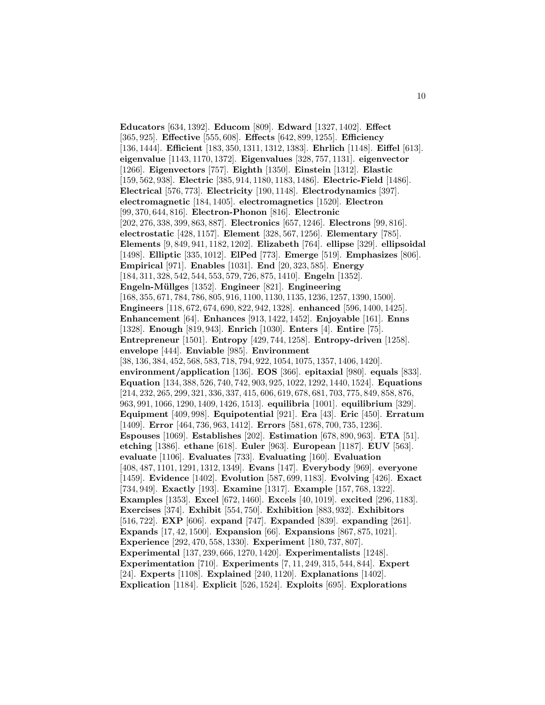**Educators** [634, 1392]. **Educom** [809]. **Edward** [1327, 1402]. **Effect** [365, 925]. **Effective** [555, 608]. **Effects** [642, 899, 1255]. **Efficiency** [136, 1444]. **Efficient** [183, 350, 1311, 1312, 1383]. **Ehrlich** [1148]. **Eiffel** [613]. **eigenvalue** [1143, 1170, 1372]. **Eigenvalues** [328, 757, 1131]. **eigenvector** [1266]. **Eigenvectors** [757]. **Eighth** [1350]. **Einstein** [1312]. **Elastic** [159, 562, 938]. **Electric** [385, 914, 1180, 1183, 1486]. **Electric-Field** [1486]. **Electrical** [576, 773]. **Electricity** [190, 1148]. **Electrodynamics** [397]. **electromagnetic** [184, 1405]. **electromagnetics** [1520]. **Electron** [99, 370, 644, 816]. **Electron-Phonon** [816]. **Electronic** [202, 276, 338, 399, 863, 887]. **Electronics** [657, 1246]. **Electrons** [99, 816]. **electrostatic** [428, 1157]. **Element** [328, 567, 1256]. **Elementary** [785]. **Elements** [9, 849, 941, 1182, 1202]. **Elizabeth** [764]. **ellipse** [329]. **ellipsoidal** [1498]. **Elliptic** [335, 1012]. **ElPed** [773]. **Emerge** [519]. **Emphasizes** [806]. **Empirical** [971]. **Enables** [1031]. **End** [20, 323, 585]. **Energy** [184, 311, 328, 542, 544, 553, 579, 726, 875, 1410]. **Engeln** [1352]. **Engeln-M¨ullges** [1352]. **Engineer** [821]. **Engineering** [168, 355, 671, 784, 786, 805, 916, 1100, 1130, 1135, 1236, 1257, 1390, 1500]. **Engineers** [118, 672, 674, 690, 822, 942, 1328]. **enhanced** [596, 1400, 1425]. **Enhancement** [64]. **Enhances** [913, 1422, 1452]. **Enjoyable** [161]. **Enns** [1328]. **Enough** [819, 943]. **Enrich** [1030]. **Enters** [4]. **Entire** [75]. **Entrepreneur** [1501]. **Entropy** [429, 744, 1258]. **Entropy-driven** [1258]. **envelope** [444]. **Enviable** [985]. **Environment** [38, 136, 384, 452, 568, 583, 718, 794, 922, 1054, 1075, 1357, 1406, 1420]. **environment/application** [136]. **EOS** [366]. **epitaxial** [980]. **equals** [833]. **Equation** [134, 388, 526, 740, 742, 903, 925, 1022, 1292, 1440, 1524]. **Equations** [214, 232, 265, 299, 321, 336, 337, 415, 606, 619, 678, 681, 703, 775, 849, 858, 876, 963, 991, 1066, 1290, 1409, 1426, 1513]. **equilibria** [1001]. **equilibrium** [329]. **Equipment** [409, 998]. **Equipotential** [921]. **Era** [43]. **Eric** [450]. **Erratum** [1409]. **Error** [464, 736, 963, 1412]. **Errors** [581, 678, 700, 735, 1236]. **Espouses** [1069]. **Establishes** [202]. **Estimation** [678, 890, 963]. **ETA** [51]. **etching** [1386]. **ethane** [618]. **Euler** [963]. **European** [1187]. **EUV** [563]. **evaluate** [1106]. **Evaluates** [733]. **Evaluating** [160]. **Evaluation** [408, 487, 1101, 1291, 1312, 1349]. **Evans** [147]. **Everybody** [969]. **everyone** [1459]. **Evidence** [1402]. **Evolution** [587, 699, 1183]. **Evolving** [426]. **Exact** [734, 949]. **Exactly** [193]. **Examine** [1317]. **Example** [157, 768, 1322]. **Examples** [1353]. **Excel** [672, 1460]. **Excels** [40, 1019]. **excited** [296, 1183]. **Exercises** [374]. **Exhibit** [554, 750]. **Exhibition** [883, 932]. **Exhibitors** [516, 722]. **EXP** [606]. **expand** [747]. **Expanded** [839]. **expanding** [261]. **Expands** [17, 42, 1500]. **Expansion** [66]. **Expansions** [867, 875, 1021]. **Experience** [292, 470, 558, 1330]. **Experiment** [180, 737, 807]. **Experimental** [137, 239, 666, 1270, 1420]. **Experimentalists** [1248]. **Experimentation** [710]. **Experiments** [7, 11, 249, 315, 544, 844]. **Expert** [24]. **Experts** [1108]. **Explained** [240, 1120]. **Explanations** [1402]. **Explication** [1184]. **Explicit** [526, 1524]. **Exploits** [695]. **Explorations**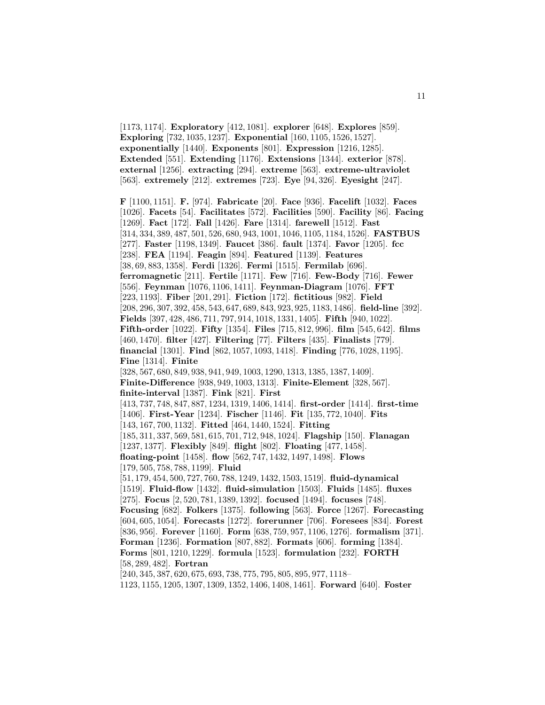[1173, 1174]. **Exploratory** [412, 1081]. **explorer** [648]. **Explores** [859]. **Exploring** [732, 1035, 1237]. **Exponential** [160, 1105, 1526, 1527]. **exponentially** [1440]. **Exponents** [801]. **Expression** [1216, 1285]. **Extended** [551]. **Extending** [1176]. **Extensions** [1344]. **exterior** [878]. **external** [1256]. **extracting** [294]. **extreme** [563]. **extreme-ultraviolet** [563]. **extremely** [212]. **extremes** [723]. **Eye** [94, 326]. **Eyesight** [247].

**F** [1100, 1151]. **F.** [974]. **Fabricate** [20]. **Face** [936]. **Facelift** [1032]. **Faces** [1026]. **Facets** [54]. **Facilitates** [572]. **Facilities** [590]. **Facility** [86]. **Facing** [1269]. **Fact** [172]. **Fall** [1426]. **Fare** [1314]. **farewell** [1512]. **Fast** [314, 334, 389, 487, 501, 526, 680, 943, 1001, 1046, 1105, 1184, 1526]. **FASTBUS** [277]. **Faster** [1198, 1349]. **Faucet** [386]. **fault** [1374]. **Favor** [1205]. **fcc** [238]. **FEA** [1194]. **Feagin** [894]. **Featured** [1139]. **Features** [38, 69, 883, 1358]. **Ferdi** [1326]. **Fermi** [1515]. **Fermilab** [696]. **ferromagnetic** [211]. **Fertile** [1171]. **Few** [716]. **Few-Body** [716]. **Fewer** [556]. **Feynman** [1076, 1106, 1411]. **Feynman-Diagram** [1076]. **FFT** [223, 1193]. **Fiber** [201, 291]. **Fiction** [172]. **fictitious** [982]. **Field** [208, 296, 307, 392, 458, 543, 647, 689, 843, 923, 925, 1183, 1486]. **field-line** [392]. **Fields** [397, 428, 486, 711, 797, 914, 1018, 1331, 1405]. **Fifth** [940, 1022]. **Fifth-order** [1022]. **Fifty** [1354]. **Files** [715, 812, 996]. **film** [545, 642]. **films** [460, 1470]. **filter** [427]. **Filtering** [77]. **Filters** [435]. **Finalists** [779]. **financial** [1301]. **Find** [862, 1057, 1093, 1418]. **Finding** [776, 1028, 1195]. **Fine** [1314]. **Finite** [328, 567, 680, 849, 938, 941, 949, 1003, 1290, 1313, 1385, 1387, 1409]. **Finite-Difference** [938, 949, 1003, 1313]. **Finite-Element** [328, 567]. **finite-interval** [1387]. **Fink** [821]. **First** [413, 737, 748, 847, 887, 1234, 1319, 1406, 1414]. **first-order** [1414]. **first-time** [1406]. **First-Year** [1234]. **Fischer** [1146]. **Fit** [135, 772, 1040]. **Fits** [143, 167, 700, 1132]. **Fitted** [464, 1440, 1524]. **Fitting** [185, 311, 337, 569, 581, 615, 701, 712, 948, 1024]. **Flagship** [150]. **Flanagan** [1237, 1377]. **Flexibly** [849]. **flight** [802]. **Floating** [477, 1458]. **floating-point** [1458]. **flow** [562, 747, 1432, 1497, 1498]. **Flows** [179, 505, 758, 788, 1199]. **Fluid** [51, 179, 454, 500, 727, 760, 788, 1249, 1432, 1503, 1519]. **fluid-dynamical** [1519]. **Fluid-flow** [1432]. **fluid-simulation** [1503]. **Fluids** [1485]. **fluxes** [275]. **Focus** [2, 520, 781, 1389, 1392]. **focused** [1494]. **focuses** [748]. **Focusing** [682]. **Folkers** [1375]. **following** [563]. **Force** [1267]. **Forecasting** [604, 605, 1054]. **Forecasts** [1272]. **forerunner** [706]. **Foresees** [834]. **Forest** [836, 956]. **Forever** [1160]. **Form** [638, 759, 957, 1106, 1276]. **formalism** [371]. **Forman** [1236]. **Formation** [807, 882]. **Formats** [606]. **forming** [1384]. **Forms** [801, 1210, 1229]. **formula** [1523]. **formulation** [232]. **FORTH** [58, 289, 482]. **Fortran** [240, 345, 387, 620, 675, 693, 738, 775, 795, 805, 895, 977, 1118–

1123, 1155, 1205, 1307, 1309, 1352, 1406, 1408, 1461]. **Forward** [640]. **Foster**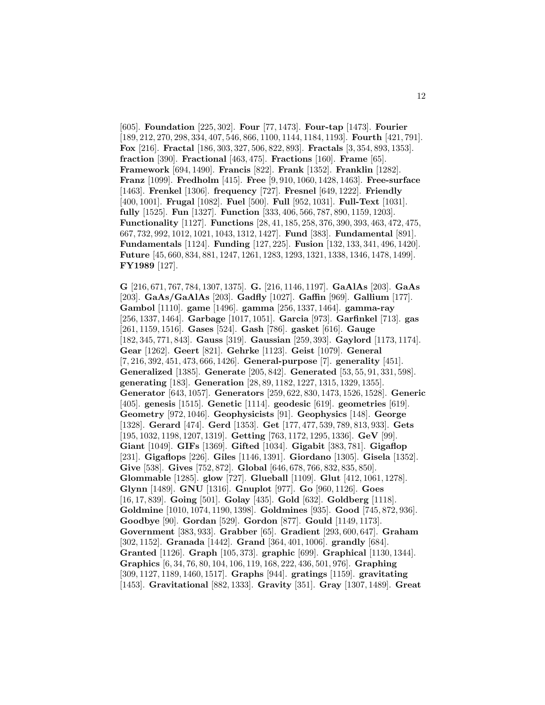[605]. **Foundation** [225, 302]. **Four** [77, 1473]. **Four-tap** [1473]. **Fourier** [189, 212, 270, 298, 334, 407, 546, 866, 1100, 1144, 1184, 1193]. **Fourth** [421, 791]. **Fox** [216]. **Fractal** [186, 303, 327, 506, 822, 893]. **Fractals** [3, 354, 893, 1353]. **fraction** [390]. **Fractional** [463, 475]. **Fractions** [160]. **Frame** [65]. **Framework** [694, 1490]. **Francis** [822]. **Frank** [1352]. **Franklin** [1282]. **Franz** [1099]. **Fredholm** [415]. **Free** [9, 910, 1060, 1428, 1463]. **Free-surface** [1463]. **Frenkel** [1306]. **frequency** [727]. **Fresnel** [649, 1222]. **Friendly** [400, 1001]. **Frugal** [1082]. **Fuel** [500]. **Full** [952, 1031]. **Full-Text** [1031]. **fully** [1525]. **Fun** [1327]. **Function** [333, 406, 566, 787, 890, 1159, 1203]. **Functionality** [1127]. **Functions** [28, 41, 185, 258, 376, 390, 393, 463, 472, 475, 667, 732, 992, 1012, 1021, 1043, 1312, 1427]. **Fund** [383]. **Fundamental** [891]. **Fundamentals** [1124]. **Funding** [127, 225]. **Fusion** [132, 133, 341, 496, 1420]. **Future** [45, 660, 834, 881, 1247, 1261, 1283, 1293, 1321, 1338, 1346, 1478, 1499]. **FY1989** [127].

**G** [216, 671, 767, 784, 1307, 1375]. **G.** [216, 1146, 1197]. **GaAlAs** [203]. **GaAs** [203]. **GaAs/GaAlAs** [203]. **Gadfly** [1027]. **Gaffin** [969]. **Gallium** [177]. **Gambol** [1110]. **game** [1496]. **gamma** [256, 1337, 1464]. **gamma-ray** [256, 1337, 1464]. **Garbage** [1017, 1051]. **Garcia** [973]. **Garfinkel** [713]. **gas** [261, 1159, 1516]. **Gases** [524]. **Gash** [786]. **gasket** [616]. **Gauge** [182, 345, 771, 843]. **Gauss** [319]. **Gaussian** [259, 393]. **Gaylord** [1173, 1174]. **Gear** [1262]. **Geert** [821]. **Gehrke** [1123]. **Geist** [1079]. **General** [7, 216, 392, 451, 473, 666, 1426]. **General-purpose** [7]. **generality** [451]. **Generalized** [1385]. **Generate** [205, 842]. **Generated** [53, 55, 91, 331, 598]. **generating** [183]. **Generation** [28, 89, 1182, 1227, 1315, 1329, 1355]. **Generator** [643, 1057]. **Generators** [259, 622, 830, 1473, 1526, 1528]. **Generic** [405]. **genesis** [1515]. **Genetic** [1114]. **geodesic** [619]. **geometries** [619]. **Geometry** [972, 1046]. **Geophysicists** [91]. **Geophysics** [148]. **George** [1328]. **Gerard** [474]. **Gerd** [1353]. **Get** [177, 477, 539, 789, 813, 933]. **Gets** [195, 1032, 1198, 1207, 1319]. **Getting** [763, 1172, 1295, 1336]. **GeV** [99]. **Giant** [1049]. **GIFs** [1369]. **Gifted** [1034]. **Gigabit** [383, 781]. **Gigaflop** [231]. **Gigaflops** [226]. **Giles** [1146, 1391]. **Giordano** [1305]. **Gisela** [1352]. **Give** [538]. **Gives** [752, 872]. **Global** [646, 678, 766, 832, 835, 850]. **Glommable** [1285]. **glow** [727]. **Glueball** [1109]. **Glut** [412, 1061, 1278]. **Glynn** [1489]. **GNU** [1316]. **Gnuplot** [977]. **Go** [960, 1126]. **Goes** [16, 17, 839]. **Going** [501]. **Golay** [435]. **Gold** [632]. **Goldberg** [1118]. **Goldmine** [1010, 1074, 1190, 1398]. **Goldmines** [935]. **Good** [745, 872, 936]. **Goodbye** [90]. **Gordan** [529]. **Gordon** [877]. **Gould** [1149, 1173]. **Government** [383, 933]. **Grabber** [65]. **Gradient** [293, 600, 647]. **Graham** [302, 1152]. **Granada** [1442]. **Grand** [364, 401, 1006]. **grandly** [684]. **Granted** [1126]. **Graph** [105, 373]. **graphic** [699]. **Graphical** [1130, 1344]. **Graphics** [6, 34, 76, 80, 104, 106, 119, 168, 222, 436, 501, 976]. **Graphing** [309, 1127, 1189, 1460, 1517]. **Graphs** [944]. **gratings** [1159]. **gravitating** [1453]. **Gravitational** [882, 1333]. **Gravity** [351]. **Gray** [1307, 1489]. **Great**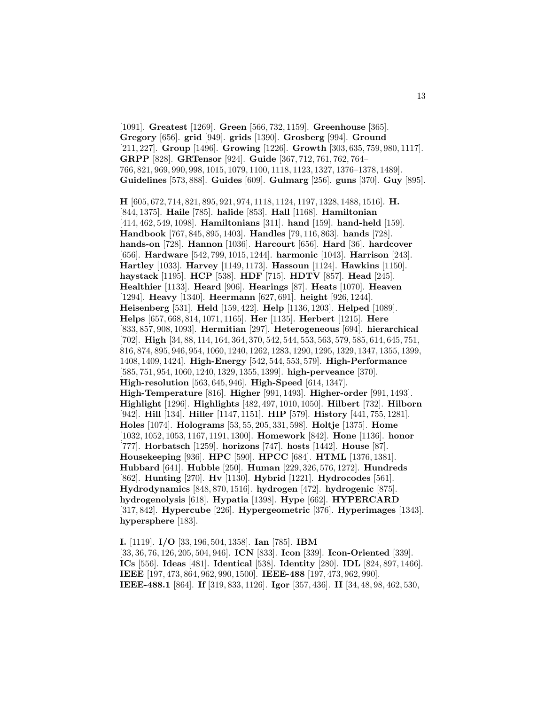[1091]. **Greatest** [1269]. **Green** [566, 732, 1159]. **Greenhouse** [365]. **Gregory** [656]. **grid** [949]. **grids** [1390]. **Grosberg** [994]. **Ground** [211, 227]. **Group** [1496]. **Growing** [1226]. **Growth** [303, 635, 759, 980, 1117]. **GRPP** [828]. **GRTensor** [924]. **Guide** [367, 712, 761, 762, 764– 766, 821, 969, 990, 998, 1015, 1079, 1100, 1118, 1123, 1327, 1376–1378, 1489]. **Guidelines** [573, 888]. **Guides** [609]. **Gulmarg** [256]. **guns** [370]. **Guy** [895].

**H** [605, 672, 714, 821, 895, 921, 974, 1118, 1124, 1197, 1328, 1488, 1516]. **H.** [844, 1375]. **Haile** [785]. **halide** [853]. **Hall** [1168]. **Hamiltonian** [414, 462, 549, 1098]. **Hamiltonians** [311]. **hand** [159]. **hand-held** [159]. **Handbook** [767, 845, 895, 1403]. **Handles** [79, 116, 863]. **hands** [728]. **hands-on** [728]. **Hannon** [1036]. **Harcourt** [656]. **Hard** [36]. **hardcover** [656]. **Hardware** [542, 799, 1015, 1244]. **harmonic** [1043]. **Harrison** [243]. **Hartley** [1033]. **Harvey** [1149, 1173]. **Hassoun** [1124]. **Hawkins** [1150]. **haystack** [1195]. **HCP** [538]. **HDF** [715]. **HDTV** [857]. **Head** [245]. **Healthier** [1133]. **Heard** [906]. **Hearings** [87]. **Heats** [1070]. **Heaven** [1294]. **Heavy** [1340]. **Heermann** [627, 691]. **height** [926, 1244]. **Heisenberg** [531]. **Held** [159, 422]. **Help** [1136, 1203]. **Helped** [1089]. **Helps** [657, 668, 814, 1071, 1165]. **Her** [1135]. **Herbert** [1215]. **Here** [833, 857, 908, 1093]. **Hermitian** [297]. **Heterogeneous** [694]. **hierarchical** [702]. **High** [34, 88, 114, 164, 364, 370, 542, 544, 553, 563, 579, 585, 614, 645, 751, 816, 874, 895, 946, 954, 1060, 1240, 1262, 1283, 1290, 1295, 1329, 1347, 1355, 1399, 1408, 1409, 1424]. **High-Energy** [542, 544, 553, 579]. **High-Performance** [585, 751, 954, 1060, 1240, 1329, 1355, 1399]. **high-perveance** [370]. **High-resolution** [563, 645, 946]. **High-Speed** [614, 1347]. **High-Temperature** [816]. **Higher** [991, 1493]. **Higher-order** [991, 1493]. **Highlight** [1296]. **Highlights** [482, 497, 1010, 1050]. **Hilbert** [732]. **Hilborn** [942]. **Hill** [134]. **Hiller** [1147, 1151]. **HIP** [579]. **History** [441, 755, 1281]. **Holes** [1074]. **Holograms** [53, 55, 205, 331, 598]. **Holtje** [1375]. **Home** [1032, 1052, 1053, 1167, 1191, 1300]. **Homework** [842]. **Hone** [1136]. **honor** [777]. **Horbatsch** [1259]. **horizons** [747]. **hosts** [1442]. **House** [87]. **Housekeeping** [936]. **HPC** [590]. **HPCC** [684]. **HTML** [1376, 1381]. **Hubbard** [641]. **Hubble** [250]. **Human** [229, 326, 576, 1272]. **Hundreds** [862]. **Hunting** [270]. **Hv** [1130]. **Hybrid** [1221]. **Hydrocodes** [561]. **Hydrodynamics** [848, 870, 1516]. **hydrogen** [472]. **hydrogenic** [875]. **hydrogenolysis** [618]. **Hypatia** [1398]. **Hype** [662]. **HYPERCARD** [317, 842]. **Hypercube** [226]. **Hypergeometric** [376]. **Hyperimages** [1343]. **hypersphere** [183].

**I.** [1119]. **I/O** [33, 196, 504, 1358]. **Ian** [785]. **IBM** [33, 36, 76, 126, 205, 504, 946]. **ICN** [833]. **Icon** [339]. **Icon-Oriented** [339]. **ICs** [556]. **Ideas** [481]. **Identical** [538]. **Identity** [280]. **IDL** [824, 897, 1466]. **IEEE** [197, 473, 864, 962, 990, 1500]. **IEEE-488** [197, 473, 962, 990]. **IEEE-488.1** [864]. **If** [319, 833, 1126]. **Igor** [357, 436]. **II** [34, 48, 98, 462, 530,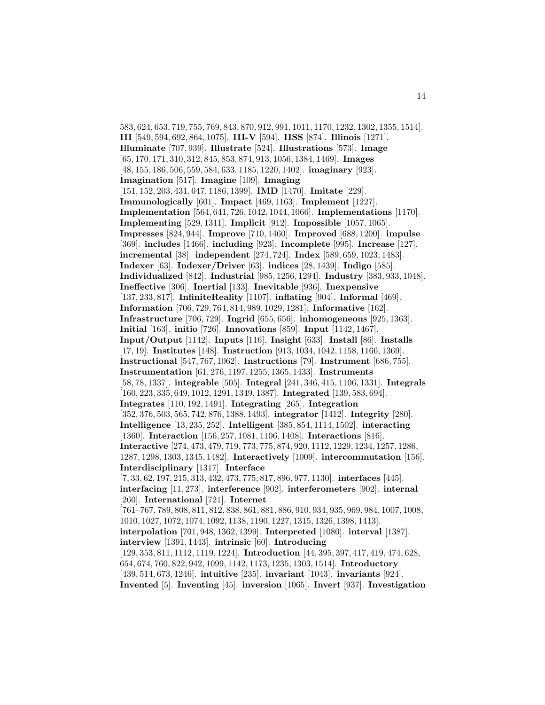583, 624, 653, 719, 755, 769, 843, 870, 912, 991, 1011, 1170, 1232, 1302, 1355, 1514]. **III** [549, 594, 692, 864, 1075]. **III-V** [594]. **IISS** [874]. **Illinois** [1271]. **Illuminate** [707, 939]. **Illustrate** [524]. **Illustrations** [573]. **Image** [65, 170, 171, 310, 312, 845, 853, 874, 913, 1056, 1384, 1469]. **Images** [48, 155, 186, 506, 559, 584, 633, 1185, 1220, 1402]. **imaginary** [923]. **Imagination** [517]. **Imagine** [109]. **Imaging** [151, 152, 203, 431, 647, 1186, 1399]. **IMD** [1470]. **Imitate** [229]. **Immunologically** [601]. **Impact** [469, 1163]. **Implement** [1227]. **Implementation** [564, 641, 726, 1042, 1044, 1066]. **Implementations** [1170]. **Implementing** [529, 1311]. **Implicit** [912]. **Impossible** [1057, 1065]. **Impresses** [824, 944]. **Improve** [710, 1460]. **Improved** [688, 1200]. **impulse** [369]. **includes** [1466]. **including** [923]. **Incomplete** [995]. **Increase** [127]. **incremental** [38]. **independent** [274, 724]. **Index** [589, 659, 1023, 1483]. **Indexer** [63]. **Indexer/Driver** [63]. **indices** [28, 1439]. **Indigo** [585]. **Individualized** [842]. **Industrial** [985, 1256, 1294]. **Industry** [383, 933, 1048]. **Ineffective** [306]. **Inertial** [133]. **Inevitable** [936]. **Inexpensive** [137, 233, 817]. **InfiniteReality** [1107]. **inflating** [904]. **Informal** [469]. **Information** [706, 729, 764, 814, 989, 1029, 1281]. **Informative** [162]. **Infrastructure** [706, 729]. **Ingrid** [655, 656]. **inhomogeneous** [925, 1363]. **Initial** [163]. **initio** [726]. **Innovations** [859]. **Input** [1142, 1467]. **Input/Output** [1142]. **Inputs** [116]. **Insight** [633]. **Install** [86]. **Installs** [17, 19]. **Institutes** [148]. **Instruction** [913, 1034, 1042, 1158, 1166, 1369]. **Instructional** [547, 767, 1062]. **Instructions** [79]. **Instrument** [686, 755]. **Instrumentation** [61, 276, 1197, 1255, 1365, 1433]. **Instruments** [58, 78, 1337]. **integrable** [505]. **Integral** [241, 346, 415, 1106, 1331]. **Integrals** [160, 223, 335, 649, 1012, 1291, 1349, 1387]. **Integrated** [139, 583, 694]. **Integrates** [110, 192, 1491]. **Integrating** [265]. **Integration** [352, 376, 503, 565, 742, 876, 1388, 1493]. **integrator** [1412]. **Integrity** [280]. **Intelligence** [13, 235, 252]. **Intelligent** [385, 854, 1114, 1502]. **interacting** [1360]. **Interaction** [156, 257, 1081, 1106, 1408]. **Interactions** [816]. **Interactive** [274, 473, 479, 719, 773, 775, 874, 920, 1112, 1229, 1234, 1257, 1286, 1287, 1298, 1303, 1345, 1482]. **Interactively** [1009]. **intercommutation** [156]. **Interdisciplinary** [1317]. **Interface** [7, 33, 62, 197, 215, 313, 432, 473, 775, 817, 896, 977, 1130]. **interfaces** [445]. **interfacing** [11, 273]. **interference** [902]. **interferometers** [902]. **internal** [260]. **International** [721]. **Internet** [761–767, 789, 808, 811, 812, 838, 861, 881, 886, 910, 934, 935, 969, 984, 1007, 1008, 1010, 1027, 1072, 1074, 1092, 1138, 1190, 1227, 1315, 1326, 1398, 1413]. **interpolation** [701, 948, 1362, 1399]. **Interpreted** [1080]. **interval** [1387]. **interview** [1391, 1443]. **intrinsic** [60]. **Introducing** [129, 353, 811, 1112, 1119, 1224]. **Introduction** [44, 395, 397, 417, 419, 474, 628, 654, 674, 760, 822, 942, 1099, 1142, 1173, 1235, 1303, 1514]. **Introductory** [439, 514, 673, 1246]. **intuitive** [235]. **invariant** [1043]. **invariants** [924]. **Invented** [5]. **Inventing** [45]. **inversion** [1065]. **Invert** [937]. **Investigation**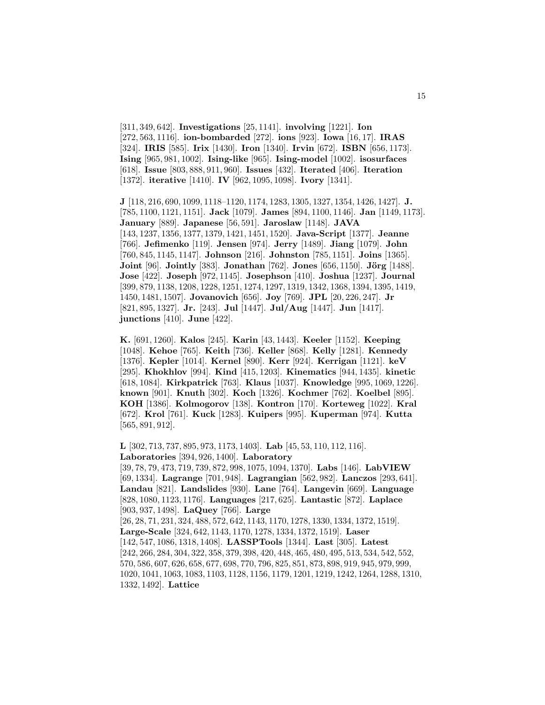[311, 349, 642]. **Investigations** [25, 1141]. **involving** [1221]. **Ion** [272, 563, 1116]. **ion-bombarded** [272]. **ions** [923]. **Iowa** [16, 17]. **IRAS** [324]. **IRIS** [585]. **Irix** [1430]. **Iron** [1340]. **Irvin** [672]. **ISBN** [656, 1173]. **Ising** [965, 981, 1002]. **Ising-like** [965]. **Ising-model** [1002]. **isosurfaces** [618]. **Issue** [803, 888, 911, 960]. **Issues** [432]. **Iterated** [406]. **Iteration** [1372]. **iterative** [1410]. **IV** [962, 1095, 1098]. **Ivory** [1341].

**J** [118, 216, 690, 1099, 1118–1120, 1174, 1283, 1305, 1327, 1354, 1426, 1427]. **J.** [785, 1100, 1121, 1151]. **Jack** [1079]. **James** [894, 1100, 1146]. **Jan** [1149, 1173]. **January** [889]. **Japanese** [56, 591]. **Jaroslaw** [1148]. **JAVA** [143, 1237, 1356, 1377, 1379, 1421, 1451, 1520]. **Java-Script** [1377]. **Jeanne** [766]. **Jefimenko** [119]. **Jensen** [974]. **Jerry** [1489]. **Jiang** [1079]. **John** [760, 845, 1145, 1147]. **Johnson** [216]. **Johnston** [785, 1151]. **Joins** [1365]. **Joint** [96]. **Jointly** [383]. **Jonathan** [762]. **Jones** [656, 1150]. **Jörg** [1488]. **Jose** [422]. **Joseph** [972, 1145]. **Josephson** [410]. **Joshua** [1237]. **Journal** [399, 879, 1138, 1208, 1228, 1251, 1274, 1297, 1319, 1342, 1368, 1394, 1395, 1419, 1450, 1481, 1507]. **Jovanovich** [656]. **Joy** [769]. **JPL** [20, 226, 247]. **Jr** [821, 895, 1327]. **Jr.** [243]. **Jul** [1447]. **Jul/Aug** [1447]. **Jun** [1417]. **junctions** [410]. **June** [422].

**K.** [691, 1260]. **Kalos** [245]. **Karin** [43, 1443]. **Keeler** [1152]. **Keeping** [1048]. **Kehoe** [765]. **Keith** [736]. **Keller** [868]. **Kelly** [1281]. **Kennedy** [1376]. **Kepler** [1014]. **Kernel** [890]. **Kerr** [924]. **Kerrigan** [1121]. **keV** [295]. **Khokhlov** [994]. **Kind** [415, 1203]. **Kinematics** [944, 1435]. **kinetic** [618, 1084]. **Kirkpatrick** [763]. **Klaus** [1037]. **Knowledge** [995, 1069, 1226]. **known** [901]. **Knuth** [302]. **Koch** [1326]. **Kochmer** [762]. **Koelbel** [895]. **KOH** [1386]. **Kolmogorov** [138]. **Kontron** [170]. **Korteweg** [1022]. **Kral** [672]. **Krol** [761]. **Kuck** [1283]. **Kuipers** [995]. **Kuperman** [974]. **Kutta** [565, 891, 912].

**L** [302, 713, 737, 895, 973, 1173, 1403]. **Lab** [45, 53, 110, 112, 116]. **Laboratories** [394, 926, 1400]. **Laboratory** [39, 78, 79, 473, 719, 739, 872, 998, 1075, 1094, 1370]. **Labs** [146]. **LabVIEW** [69, 1334]. **Lagrange** [701, 948]. **Lagrangian** [562, 982]. **Lanczos** [293, 641]. **Landau** [821]. **Landslides** [930]. **Lane** [764]. **Langevin** [669]. **Language** [828, 1080, 1123, 1176]. **Languages** [217, 625]. **Lantastic** [872]. **Laplace** [903, 937, 1498]. **LaQuey** [766]. **Large** [26, 28, 71, 231, 324, 488, 572, 642, 1143, 1170, 1278, 1330, 1334, 1372, 1519]. **Large-Scale** [324, 642, 1143, 1170, 1278, 1334, 1372, 1519]. **Laser** [142, 547, 1086, 1318, 1408]. **LASSPTools** [1344]. **Last** [305]. **Latest** [242, 266, 284, 304, 322, 358, 379, 398, 420, 448, 465, 480, 495, 513, 534, 542, 552, 570, 586, 607, 626, 658, 677, 698, 770, 796, 825, 851, 873, 898, 919, 945, 979, 999, 1020, 1041, 1063, 1083, 1103, 1128, 1156, 1179, 1201, 1219, 1242, 1264, 1288, 1310, 1332, 1492]. **Lattice**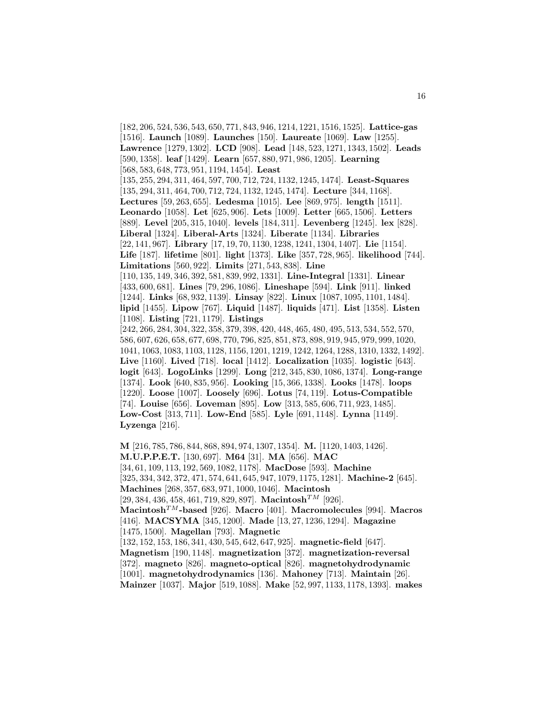[182, 206, 524, 536, 543, 650, 771, 843, 946, 1214, 1221, 1516, 1525]. **Lattice-gas** [1516]. **Launch** [1089]. **Launches** [150]. **Laureate** [1069]. **Law** [1255]. **Lawrence** [1279, 1302]. **LCD** [908]. **Lead** [148, 523, 1271, 1343, 1502]. **Leads** [590, 1358]. **leaf** [1429]. **Learn** [657, 880, 971, 986, 1205]. **Learning** [568, 583, 648, 773, 951, 1194, 1454]. **Least** [135, 255, 294, 311, 464, 597, 700, 712, 724, 1132, 1245, 1474]. **Least-Squares** [135, 294, 311, 464, 700, 712, 724, 1132, 1245, 1474]. **Lecture** [344, 1168]. **Lectures** [59, 263, 655]. **Ledesma** [1015]. **Lee** [869, 975]. **length** [1511]. **Leonardo** [1058]. **Let** [625, 906]. **Lets** [1009]. **Letter** [665, 1506]. **Letters** [889]. **Level** [205, 315, 1040]. **levels** [184, 311]. **Levenberg** [1245]. **lex** [828]. **Liberal** [1324]. **Liberal-Arts** [1324]. **Liberate** [1134]. **Libraries** [22, 141, 967]. **Library** [17, 19, 70, 1130, 1238, 1241, 1304, 1407]. **Lie** [1154]. **Life** [187]. **lifetime** [801]. **light** [1373]. **Like** [357, 728, 965]. **likelihood** [744]. **Limitations** [560, 922]. **Limits** [271, 543, 838]. **Line** [110, 135, 149, 346, 392, 581, 839, 992, 1331]. **Line-Integral** [1331]. **Linear** [433, 600, 681]. **Lines** [79, 296, 1086]. **Lineshape** [594]. **Link** [911]. **linked** [1244]. **Links** [68, 932, 1139]. **Linsay** [822]. **Linux** [1087, 1095, 1101, 1484]. **lipid** [1455]. **Lipow** [767]. **Liquid** [1487]. **liquids** [471]. **List** [1358]. **Listen** [1108]. **Listing** [721, 1179]. **Listings** [242, 266, 284, 304, 322, 358, 379, 398, 420, 448, 465, 480, 495, 513, 534, 552, 570, 586, 607, 626, 658, 677, 698, 770, 796, 825, 851, 873, 898, 919, 945, 979, 999, 1020, 1041, 1063, 1083, 1103, 1128, 1156, 1201, 1219, 1242, 1264, 1288, 1310, 1332, 1492]. **Live** [1160]. **Lived** [718]. **local** [1412]. **Localization** [1035]. **logistic** [643]. **logit** [643]. **LogoLinks** [1299]. **Long** [212, 345, 830, 1086, 1374]. **Long-range** [1374]. **Look** [640, 835, 956]. **Looking** [15, 366, 1338]. **Looks** [1478]. **loops** [1220]. **Loose** [1007]. **Loosely** [696]. **Lotus** [74, 119]. **Lotus-Compatible** [74]. **Louise** [656]. **Loveman** [895]. **Low** [313, 585, 606, 711, 923, 1485]. **Low-Cost** [313, 711]. **Low-End** [585]. **Lyle** [691, 1148]. **Lynna** [1149]. **Lyzenga** [216]. **M** [216, 785, 786, 844, 868, 894, 974, 1307, 1354]. **M.** [1120, 1403, 1426].

**M.U.P.P.E.T.** [130, 697]. **M64** [31]. **MA** [656]. **MAC** [34, 61, 109, 113, 192, 569, 1082, 1178]. **MacDose** [593]. **Machine** [325, 334, 342, 372, 471, 574, 641, 645, 947, 1079, 1175, 1281]. **Machine-2** [645]. **Machines** [268, 357, 683, 971, 1000, 1046]. **Macintosh** [29, 384, 436, 458, 461, 719, 829, 897]. **Macintosh**TM [926]. **Macintosh**TM**-based** [926]. **Macro** [401]. **Macromolecules** [994]. **Macros** [416]. **MACSYMA** [345, 1200]. **Made** [13, 27, 1236, 1294]. **Magazine** [1475, 1500]. **Magellan** [793]. **Magnetic** [132, 152, 153, 186, 341, 430, 545, 642, 647, 925]. **magnetic-field** [647]. **Magnetism** [190, 1148]. **magnetization** [372]. **magnetization-reversal** [372]. **magneto** [826]. **magneto-optical** [826]. **magnetohydrodynamic** [1001]. **magnetohydrodynamics** [136]. **Mahoney** [713]. **Maintain** [26]. **Mainzer** [1037]. **Major** [519, 1088]. **Make** [52, 997, 1133, 1178, 1393]. **makes**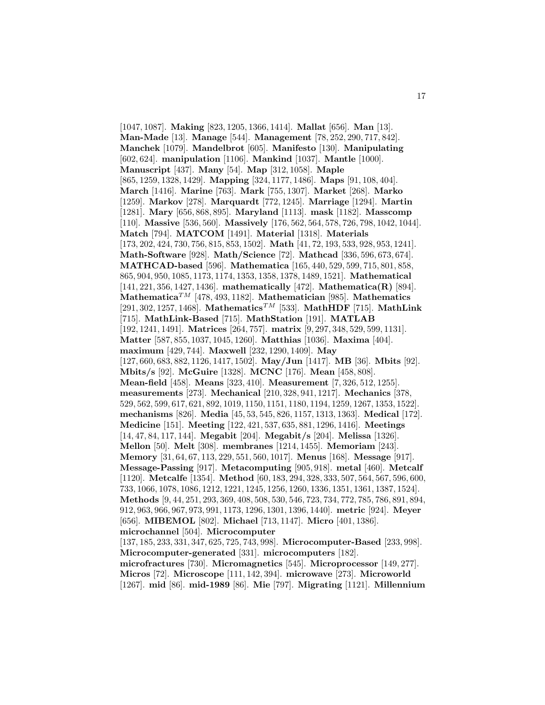[1047, 1087]. **Making** [823, 1205, 1366, 1414]. **Mallat** [656]. **Man** [13]. **Man-Made** [13]. **Manage** [544]. **Management** [78, 252, 290, 717, 842]. **Manchek** [1079]. **Mandelbrot** [605]. **Manifesto** [130]. **Manipulating** [602, 624]. **manipulation** [1106]. **Mankind** [1037]. **Mantle** [1000]. **Manuscript** [437]. **Many** [54]. **Map** [312, 1058]. **Maple** [865, 1259, 1328, 1429]. **Mapping** [324, 1177, 1486]. **Maps** [91, 108, 404]. **March** [1416]. **Marine** [763]. **Mark** [755, 1307]. **Market** [268]. **Marko** [1259]. **Markov** [278]. **Marquardt** [772, 1245]. **Marriage** [1294]. **Martin** [1281]. **Mary** [656, 868, 895]. **Maryland** [1113]. **mask** [1182]. **Masscomp** [110]. **Massive** [536, 560]. **Massively** [176, 562, 564, 578, 726, 798, 1042, 1044]. **Match** [794]. **MATCOM** [1491]. **Material** [1318]. **Materials** [173, 202, 424, 730, 756, 815, 853, 1502]. **Math** [41, 72, 193, 533, 928, 953, 1241]. **Math-Software** [928]. **Math/Science** [72]. **Mathcad** [336, 596, 673, 674]. **MATHCAD-based** [596]. **Mathematica** [165, 440, 529, 599, 715, 801, 858, 865, 904, 950, 1085, 1173, 1174, 1353, 1358, 1378, 1489, 1521]. **Mathematical** [141, 221, 356, 1427, 1436]. **mathematically** [472]. **Mathematica(R)** [894]. **Mathematica**TM [478, 493, 1182]. **Mathematician** [985]. **Mathematics** [291, 302, 1257, 1468]. **Mathematics**TM [533]. **MathHDF** [715]. **MathLink** [715]. **MathLink-Based** [715]. **MathStation** [191]. **MATLAB** [192, 1241, 1491]. **Matrices** [264, 757]. **matrix** [9, 297, 348, 529, 599, 1131]. **Matter** [587, 855, 1037, 1045, 1260]. **Matthias** [1036]. **Maxima** [404]. **maximum** [429, 744]. **Maxwell** [232, 1290, 1409]. **May** [127, 660, 683, 882, 1126, 1417, 1502]. **May/Jun** [1417]. **MB** [36]. **Mbits** [92]. **Mbits/s** [92]. **McGuire** [1328]. **MCNC** [176]. **Mean** [458, 808]. **Mean-field** [458]. **Means** [323, 410]. **Measurement** [7, 326, 512, 1255]. **measurements** [273]. **Mechanical** [210, 328, 941, 1217]. **Mechanics** [378, 529, 562, 599, 617, 621, 892, 1019, 1150, 1151, 1180, 1194, 1259, 1267, 1353, 1522]. **mechanisms** [826]. **Media** [45, 53, 545, 826, 1157, 1313, 1363]. **Medical** [172]. **Medicine** [151]. **Meeting** [122, 421, 537, 635, 881, 1296, 1416]. **Meetings** [14, 47, 84, 117, 144]. **Megabit** [204]. **Megabit/s** [204]. **Melissa** [1326]. **Mellon** [50]. **Melt** [308]. **membranes** [1214, 1455]. **Memoriam** [243]. **Memory** [31, 64, 67, 113, 229, 551, 560, 1017]. **Menus** [168]. **Message** [917]. **Message-Passing** [917]. **Metacomputing** [905, 918]. **metal** [460]. **Metcalf** [1120]. **Metcalfe** [1354]. **Method** [60, 183, 294, 328, 333, 507, 564, 567, 596, 600, 733, 1066, 1078, 1086, 1212, 1221, 1245, 1256, 1260, 1336, 1351, 1361, 1387, 1524]. **Methods** [9, 44, 251, 293, 369, 408, 508, 530, 546, 723, 734, 772, 785, 786, 891, 894, 912, 963, 966, 967, 973, 991, 1173, 1296, 1301, 1396, 1440]. **metric** [924]. **Meyer** [656]. **MIBEMOL** [802]. **Michael** [713, 1147]. **Micro** [401, 1386]. **microchannel** [504]. **Microcomputer** [137, 185, 233, 331, 347, 625, 725, 743, 998]. **Microcomputer-Based** [233, 998]. **Microcomputer-generated** [331]. **microcomputers** [182]. **microfractures** [730]. **Micromagnetics** [545]. **Microprocessor** [149, 277]. **Micros** [72]. **Microscope** [111, 142, 394]. **microwave** [273]. **Microworld** [1267]. **mid** [86]. **mid-1989** [86]. **Mie** [797]. **Migrating** [1121]. **Millennium**

17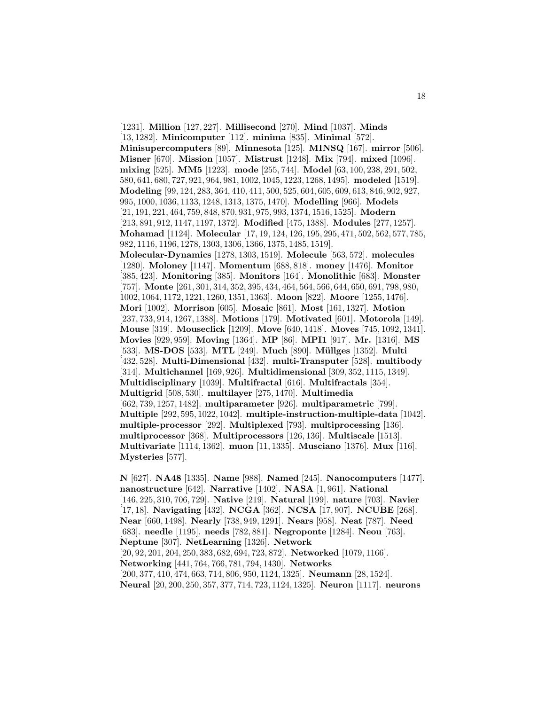[1231]. **Million** [127, 227]. **Millisecond** [270]. **Mind** [1037]. **Minds** [13, 1282]. **Minicomputer** [112]. **minima** [835]. **Minimal** [572]. **Minisupercomputers** [89]. **Minnesota** [125]. **MINSQ** [167]. **mirror** [506]. **Misner** [670]. **Mission** [1057]. **Mistrust** [1248]. **Mix** [794]. **mixed** [1096]. **mixing** [525]. **MM5** [1223]. **mode** [255, 744]. **Model** [63, 100, 238, 291, 502, 580, 641, 680, 727, 921, 964, 981, 1002, 1045, 1223, 1268, 1495]. **modeled** [1519]. **Modeling** [99, 124, 283, 364, 410, 411, 500, 525, 604, 605, 609, 613, 846, 902, 927, 995, 1000, 1036, 1133, 1248, 1313, 1375, 1470]. **Modelling** [966]. **Models** [21, 191, 221, 464, 759, 848, 870, 931, 975, 993, 1374, 1516, 1525]. **Modern** [213, 891, 912, 1147, 1197, 1372]. **Modified** [475, 1388]. **Modules** [277, 1257]. **Mohamad** [1124]. **Molecular** [17, 19, 124, 126, 195, 295, 471, 502, 562, 577, 785, 982, 1116, 1196, 1278, 1303, 1306, 1366, 1375, 1485, 1519]. **Molecular-Dynamics** [1278, 1303, 1519]. **Molecule** [563, 572]. **molecules** [1280]. **Moloney** [1147]. **Momentum** [688, 818]. **money** [1476]. **Monitor** [385, 423]. **Monitoring** [385]. **Monitors** [164]. **Monolithic** [683]. **Monster** [757]. **Monte** [261, 301, 314, 352, 395, 434, 464, 564, 566, 644, 650, 691, 798, 980, 1002, 1064, 1172, 1221, 1260, 1351, 1363]. **Moon** [822]. **Moore** [1255, 1476]. **Mori** [1002]. **Morrison** [605]. **Mosaic** [861]. **Most** [161, 1327]. **Motion** [237, 733, 914, 1267, 1388]. **Motions** [179]. **Motivated** [601]. **Motorola** [149]. **Mouse** [319]. **Mouseclick** [1209]. **Move** [640, 1418]. **Moves** [745, 1092, 1341]. **Movies** [929, 959]. **Moving** [1364]. **MP** [86]. **MPI1** [917]. **Mr.** [1316]. **MS** [533]. **MS-DOS** [533]. **MTL** [249]. **Much** [890]. **M¨ullges** [1352]. **Multi** [432, 528]. **Multi-Dimensional** [432]. **multi-Transputer** [528]. **multibody** [314]. **Multichannel** [169, 926]. **Multidimensional** [309, 352, 1115, 1349]. **Multidisciplinary** [1039]. **Multifractal** [616]. **Multifractals** [354]. **Multigrid** [508, 530]. **multilayer** [275, 1470]. **Multimedia** [662, 739, 1257, 1482]. **multiparameter** [926]. **multiparametric** [799]. **Multiple** [292, 595, 1022, 1042]. **multiple-instruction-multiple-data** [1042]. **multiple-processor** [292]. **Multiplexed** [793]. **multiprocessing** [136]. **multiprocessor** [368]. **Multiprocessors** [126, 136]. **Multiscale** [1513]. **Multivariate** [1114, 1362]. **muon** [11, 1335]. **Musciano** [1376]. **Mux** [116]. **Mysteries** [577].

**N** [627]. **NA48** [1335]. **Name** [988]. **Named** [245]. **Nanocomputers** [1477]. **nanostructure** [642]. **Narrative** [1402]. **NASA** [1, 961]. **National** [146, 225, 310, 706, 729]. **Native** [219]. **Natural** [199]. **nature** [703]. **Navier** [17, 18]. **Navigating** [432]. **NCGA** [362]. **NCSA** [17, 907]. **NCUBE** [268]. **Near** [660, 1498]. **Nearly** [738, 949, 1291]. **Nears** [958]. **Neat** [787]. **Need** [683]. **needle** [1195]. **needs** [782, 881]. **Negroponte** [1284]. **Neou** [763]. **Neptune** [307]. **NetLearning** [1326]. **Network** [20, 92, 201, 204, 250, 383, 682, 694, 723, 872]. **Networked** [1079, 1166]. **Networking** [441, 764, 766, 781, 794, 1430]. **Networks** [200, 377, 410, 474, 663, 714, 806, 950, 1124, 1325]. **Neumann** [28, 1524]. **Neural** [20, 200, 250, 357, 377, 714, 723, 1124, 1325]. **Neuron** [1117]. **neurons**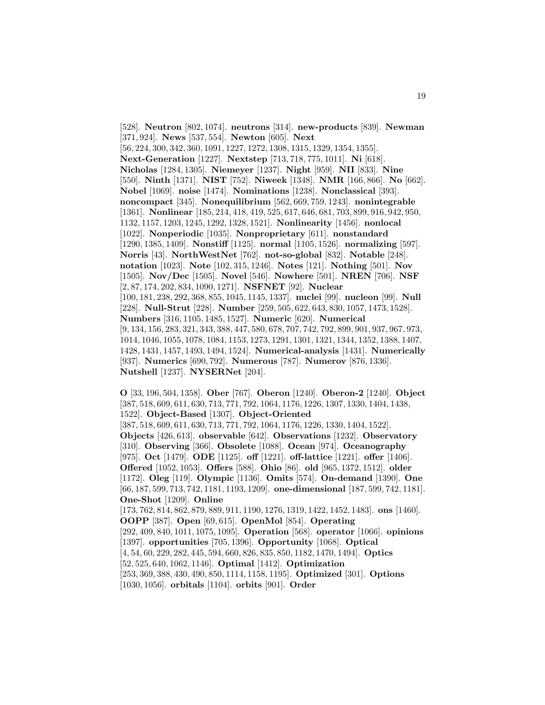[528]. **Neutron** [802, 1074]. **neutrons** [314]. **new-products** [839]. **Newman** [371, 924]. **News** [537, 554]. **Newton** [605]. **Next** [56, 224, 300, 342, 360, 1091, 1227, 1272, 1308, 1315, 1329, 1354, 1355]. **Next-Generation** [1227]. **Nextstep** [713, 718, 775, 1011]. **Ni** [618]. **Nicholas** [1284, 1305]. **Niemeyer** [1237]. **Night** [959]. **NII** [833]. **Nine** [550]. **Ninth** [1371]. **NIST** [752]. **Niweek** [1348]. **NMR** [166, 866]. **No** [662]. **Nobel** [1069]. **noise** [1474]. **Nominations** [1238]. **Nonclassical** [393]. **noncompact** [345]. **Nonequilibrium** [562, 669, 759, 1243]. **nonintegrable** [1361]. **Nonlinear** [185, 214, 418, 419, 525, 617, 646, 681, 703, 899, 916, 942, 950, 1132, 1157, 1203, 1245, 1292, 1328, 1521]. **Nonlinearity** [1456]. **nonlocal** [1022]. **Nonperiodic** [1035]. **Nonproprietary** [611]. **nonstandard** [1290, 1385, 1409]. **Nonstiff** [1125]. **normal** [1105, 1526]. **normalizing** [597]. **Norris** [43]. **NorthWestNet** [762]. **not-so-global** [832]. **Notable** [248]. **notation** [1023]. **Note** [102, 315, 1246]. **Notes** [121]. **Nothing** [501]. **Nov** [1505]. **Nov/Dec** [1505]. **Novel** [546]. **Nowhere** [501]. **NREN** [706]. **NSF** [2, 87, 174, 202, 834, 1090, 1271]. **NSFNET** [92]. **Nuclear** [100, 181, 238, 292, 368, 855, 1045, 1145, 1337]. **nuclei** [99]. **nucleon** [99]. **Null** [228]. **Null-Strut** [228]. **Number** [259, 505, 622, 643, 830, 1057, 1473, 1528]. **Numbers** [316, 1105, 1485, 1527]. **Numeric** [620]. **Numerical** [9, 134, 156, 283, 321, 343, 388, 447, 580, 678, 707, 742, 792, 899, 901, 937, 967, 973, 1014, 1046, 1055, 1078, 1084, 1153, 1273, 1291, 1301, 1321, 1344, 1352, 1388, 1407, 1428, 1431, 1457, 1493, 1494, 1524]. **Numerical-analysis** [1431]. **Numerically** [937]. **Numerics** [690, 792]. **Numerous** [787]. **Numerov** [876, 1336]. **Nutshell** [1237]. **NYSERNet** [204].

**O** [33, 196, 504, 1358]. **Ober** [767]. **Oberon** [1240]. **Oberon-2** [1240]. **Object** [387, 518, 609, 611, 630, 713, 771, 792, 1064, 1176, 1226, 1307, 1330, 1404, 1438, 1522]. **Object-Based** [1307]. **Object-Oriented** [387, 518, 609, 611, 630, 713, 771, 792, 1064, 1176, 1226, 1330, 1404, 1522]. **Objects** [426, 613]. **observable** [642]. **Observations** [1232]. **Observatory** [310]. **Observing** [366]. **Obsolete** [1088]. **Ocean** [974]. **Oceanography** [975]. **Oct** [1479]. **ODE** [1125]. **off** [1221]. **off-lattice** [1221]. **offer** [1406]. **Offered** [1052, 1053]. **Offers** [588]. **Ohio** [86]. **old** [965, 1372, 1512]. **older** [1172]. **Oleg** [119]. **Olympic** [1136]. **Omits** [574]. **On-demand** [1390]. **One** [66, 187, 599, 713, 742, 1181, 1193, 1209]. **one-dimensional** [187, 599, 742, 1181]. **One-Shot** [1209]. **Online** [173, 762, 814, 862, 879, 889, 911, 1190, 1276, 1319, 1422, 1452, 1483]. **ons** [1460]. **OOPP** [387]. **Open** [69, 615]. **OpenMol** [854]. **Operating** [292, 409, 840, 1011, 1075, 1095]. **Operation** [568]. **operator** [1066]. **opinions** [1397]. **opportunities** [705, 1396]. **Opportunity** [1068]. **Optical** [4, 54, 60, 229, 282, 445, 594, 660, 826, 835, 850, 1182, 1470, 1494]. **Optics** [52, 525, 640, 1062, 1146]. **Optimal** [1412]. **Optimization** [253, 369, 388, 430, 490, 850, 1114, 1158, 1195]. **Optimized** [301]. **Options** [1030, 1056]. **orbitals** [1104]. **orbits** [901]. **Order**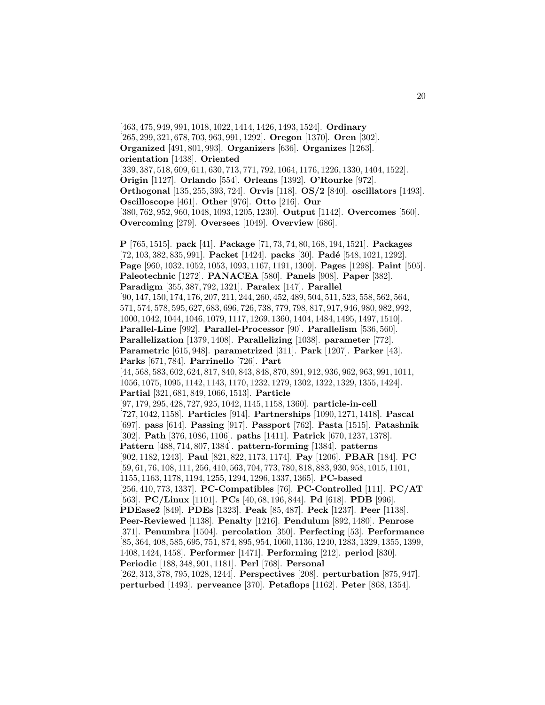[463, 475, 949, 991, 1018, 1022, 1414, 1426, 1493, 1524]. **Ordinary** [265, 299, 321, 678, 703, 963, 991, 1292]. **Oregon** [1370]. **Oren** [302]. **Organized** [491, 801, 993]. **Organizers** [636]. **Organizes** [1263]. **orientation** [1438]. **Oriented** [339, 387, 518, 609, 611, 630, 713, 771, 792, 1064, 1176, 1226, 1330, 1404, 1522]. **Origin** [1127]. **Orlando** [554]. **Orleans** [1392]. **O'Rourke** [972]. **Orthogonal** [135, 255, 393, 724]. **Orvis** [118]. **OS/2** [840]. **oscillators** [1493]. **Oscilloscope** [461]. **Other** [976]. **Otto** [216]. **Our** [380, 762, 952, 960, 1048, 1093, 1205, 1230]. **Output** [1142]. **Overcomes** [560]. **Overcoming** [279]. **Oversees** [1049]. **Overview** [686]. **P** [765, 1515]. **pack** [41]. **Package** [71, 73, 74, 80, 168, 194, 1521]. **Packages** [72, 103, 382, 835, 991]. **Packet** [1424]. **packs** [30]. **Padé** [548, 1021, 1292]. **Page** [960, 1032, 1052, 1053, 1093, 1167, 1191, 1300]. **Pages** [1298]. **Paint** [505]. **Paleotechnic** [1272]. **PANACEA** [580]. **Panels** [908]. **Paper** [382]. **Paradigm** [355, 387, 792, 1321]. **Paralex** [147]. **Parallel** [90, 147, 150, 174, 176, 207, 211, 244, 260, 452, 489, 504, 511, 523, 558, 562, 564, 571, 574, 578, 595, 627, 683, 696, 726, 738, 779, 798, 817, 917, 946, 980, 982, 992, 1000, 1042, 1044, 1046, 1079, 1117, 1269, 1360, 1404, 1484, 1495, 1497, 1510]. **Parallel-Line** [992]. **Parallel-Processor** [90]. **Parallelism** [536, 560]. **Parallelization** [1379, 1408]. **Parallelizing** [1038]. **parameter** [772]. **Parametric** [615, 948]. **parametrized** [311]. **Park** [1207]. **Parker** [43]. **Parks** [671, 784]. **Parrinello** [726]. **Part** [44, 568, 583, 602, 624, 817, 840, 843, 848, 870, 891, 912, 936, 962, 963, 991, 1011, 1056, 1075, 1095, 1142, 1143, 1170, 1232, 1279, 1302, 1322, 1329, 1355, 1424]. **Partial** [321, 681, 849, 1066, 1513]. **Particle** [97, 179, 295, 428, 727, 925, 1042, 1145, 1158, 1360]. **particle-in-cell** [727, 1042, 1158]. **Particles** [914]. **Partnerships** [1090, 1271, 1418]. **Pascal** [697]. **pass** [614]. **Passing** [917]. **Passport** [762]. **Pasta** [1515]. **Patashnik** [302]. **Path** [376, 1086, 1106]. **paths** [1411]. **Patrick** [670, 1237, 1378]. **Pattern** [488, 714, 807, 1384]. **pattern-forming** [1384]. **patterns** [902, 1182, 1243]. **Paul** [821, 822, 1173, 1174]. **Pay** [1206]. **PBAR** [184]. **PC** [59, 61, 76, 108, 111, 256, 410, 563, 704, 773, 780, 818, 883, 930, 958, 1015, 1101, 1155, 1163, 1178, 1194, 1255, 1294, 1296, 1337, 1365]. **PC-based** [256, 410, 773, 1337]. **PC-Compatibles** [76]. **PC-Controlled** [111]. **PC/AT** [563]. **PC/Linux** [1101]. **PCs** [40, 68, 196, 844]. **Pd** [618]. **PDB** [996]. **PDEase2** [849]. **PDEs** [1323]. **Peak** [85, 487]. **Peck** [1237]. **Peer** [1138]. **Peer-Reviewed** [1138]. **Penalty** [1216]. **Pendulum** [892, 1480]. **Penrose** [371]. **Penumbra** [1504]. **percolation** [350]. **Perfecting** [53]. **Performance** [85, 364, 408, 585, 695, 751, 874, 895, 954, 1060, 1136, 1240, 1283, 1329, 1355, 1399, 1408, 1424, 1458]. **Performer** [1471]. **Performing** [212]. **period** [830]. **Periodic** [188, 348, 901, 1181]. **Perl** [768]. **Personal** [262, 313, 378, 795, 1028, 1244]. **Perspectives** [208]. **perturbation** [875, 947]. **perturbed** [1493]. **perveance** [370]. **Petaflops** [1162]. **Peter** [868, 1354].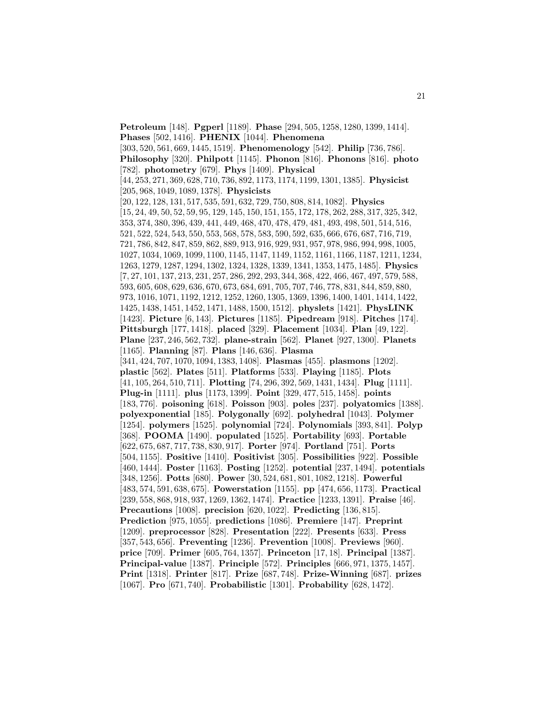**Petroleum** [148]. **Pgperl** [1189]. **Phase** [294, 505, 1258, 1280, 1399, 1414]. **Phases** [502, 1416]. **PHENIX** [1044]. **Phenomena** [303, 520, 561, 669, 1445, 1519]. **Phenomenology** [542]. **Philip** [736, 786]. **Philosophy** [320]. **Philpott** [1145]. **Phonon** [816]. **Phonons** [816]. **photo** [782]. **photometry** [679]. **Phys** [1409]. **Physical** [44, 253, 271, 369, 628, 710, 736, 892, 1173, 1174, 1199, 1301, 1385]. **Physicist** [205, 968, 1049, 1089, 1378]. **Physicists** [20, 122, 128, 131, 517, 535, 591, 632, 729, 750, 808, 814, 1082]. **Physics** [15, 24, 49, 50, 52, 59, 95, 129, 145, 150, 151, 155, 172, 178, 262, 288, 317, 325, 342, 353, 374, 380, 396, 439, 441, 449, 468, 470, 478, 479, 481, 493, 498, 501, 514, 516, 521, 522, 524, 543, 550, 553, 568, 578, 583, 590, 592, 635, 666, 676, 687, 716, 719, 721, 786, 842, 847, 859, 862, 889, 913, 916, 929, 931, 957, 978, 986, 994, 998, 1005, 1027, 1034, 1069, 1099, 1100, 1145, 1147, 1149, 1152, 1161, 1166, 1187, 1211, 1234, 1263, 1279, 1287, 1294, 1302, 1324, 1328, 1339, 1341, 1353, 1475, 1485]. **Physics** [7, 27, 101, 137, 213, 231, 257, 286, 292, 293, 344, 368, 422, 466, 467, 497, 579, 588, 593, 605, 608, 629, 636, 670, 673, 684, 691, 705, 707, 746, 778, 831, 844, 859, 880, 973, 1016, 1071, 1192, 1212, 1252, 1260, 1305, 1369, 1396, 1400, 1401, 1414, 1422, 1425, 1438, 1451, 1452, 1471, 1488, 1500, 1512]. **physlets** [1421]. **PhysLINK** [1423]. **Picture** [6, 143]. **Pictures** [1185]. **Pipedream** [918]. **Pitches** [174]. **Pittsburgh** [177, 1418]. **placed** [329]. **Placement** [1034]. **Plan** [49, 122]. **Plane** [237, 246, 562, 732]. **plane-strain** [562]. **Planet** [927, 1300]. **Planets** [1165]. **Planning** [87]. **Plans** [146, 636]. **Plasma** [341, 424, 707, 1070, 1094, 1383, 1408]. **Plasmas** [455]. **plasmons** [1202]. **plastic** [562]. **Plates** [511]. **Platforms** [533]. **Playing** [1185]. **Plots** [41, 105, 264, 510, 711]. **Plotting** [74, 296, 392, 569, 1431, 1434]. **Plug** [1111]. **Plug-in** [1111]. **plus** [1173, 1399]. **Point** [329, 477, 515, 1458]. **points** [183, 776]. **poisoning** [618]. **Poisson** [903]. **poles** [237]. **polyatomics** [1388]. **polyexponential** [185]. **Polygonally** [692]. **polyhedral** [1043]. **Polymer** [1254]. **polymers** [1525]. **polynomial** [724]. **Polynomials** [393, 841]. **Polyp** [368]. **POOMA** [1490]. **populated** [1525]. **Portability** [693]. **Portable** [622, 675, 687, 717, 738, 830, 917]. **Porter** [974]. **Portland** [751]. **Ports** [504, 1155]. **Positive** [1410]. **Positivist** [305]. **Possibilities** [922]. **Possible** [460, 1444]. **Poster** [1163]. **Posting** [1252]. **potential** [237, 1494]. **potentials** [348, 1256]. **Potts** [680]. **Power** [30, 524, 681, 801, 1082, 1218]. **Powerful** [483, 574, 591, 638, 675]. **Powerstation** [1155]. **pp** [474, 656, 1173]. **Practical** [239, 558, 868, 918, 937, 1269, 1362, 1474]. **Practice** [1233, 1391]. **Praise** [46]. **Precautions** [1008]. **precision** [620, 1022]. **Predicting** [136, 815]. **Prediction** [975, 1055]. **predictions** [1086]. **Premiere** [147]. **Preprint** [1209]. **preprocessor** [828]. **Presentation** [222]. **Presents** [633]. **Press** [357, 543, 656]. **Preventing** [1236]. **Prevention** [1008]. **Previews** [960]. **price** [709]. **Primer** [605, 764, 1357]. **Princeton** [17, 18]. **Principal** [1387]. **Principal-value** [1387]. **Principle** [572]. **Principles** [666, 971, 1375, 1457]. **Print** [1318]. **Printer** [817]. **Prize** [687, 748]. **Prize-Winning** [687]. **prizes** [1067]. **Pro** [671, 740]. **Probabilistic** [1301]. **Probability** [628, 1472].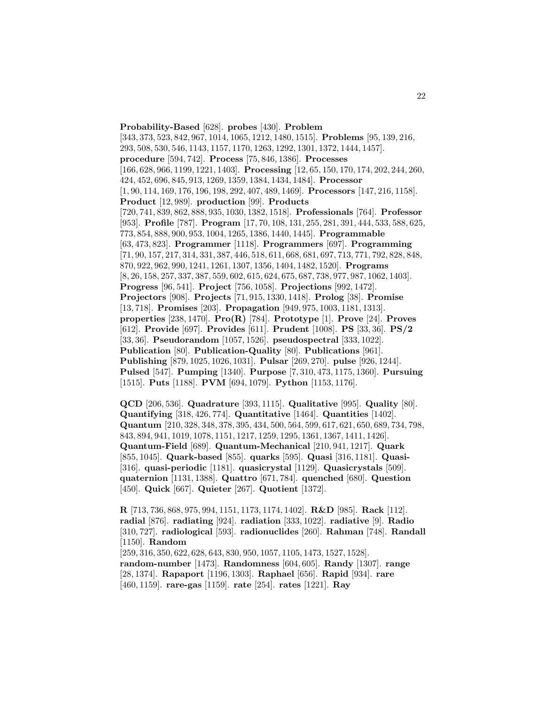**Probability-Based** [628]. **probes** [430]. **Problem** [343, 373, 523, 842, 967, 1014, 1065, 1212, 1480, 1515]. **Problems** [95, 139, 216, 293, 508, 530, 546, 1143, 1157, 1170, 1263, 1292, 1301, 1372, 1444, 1457]. **procedure** [594, 742]. **Process** [75, 846, 1386]. **Processes** [166, 628, 966, 1199, 1221, 1403]. **Processing** [12, 65, 150, 170, 174, 202, 244, 260, 424, 452, 696, 845, 913, 1269, 1359, 1384, 1434, 1484]. **Processor** [1, 90, 114, 169, 176, 196, 198, 292, 407, 489, 1469]. **Processors** [147, 216, 1158]. **Product** [12, 989]. **production** [99]. **Products** [720, 741, 839, 862, 888, 935, 1030, 1382, 1518]. **Professionals** [764]. **Professor** [953]. **Profile** [787]. **Program** [17, 70, 108, 131, 255, 281, 391, 444, 533, 588, 625, 773, 854, 888, 900, 953, 1004, 1265, 1386, 1440, 1445]. **Programmable** [63, 473, 823]. **Programmer** [1118]. **Programmers** [697]. **Programming** [71, 90, 157, 217, 314, 331, 387, 446, 518, 611, 668, 681, 697, 713, 771, 792, 828, 848, 870, 922, 962, 990, 1241, 1261, 1307, 1356, 1404, 1482, 1520]. **Programs** [8, 26, 158, 257, 337, 387, 559, 602, 615, 624, 675, 687, 738, 977, 987, 1062, 1403]. **Progress** [96, 541]. **Project** [756, 1058]. **Projections** [992, 1472]. **Projectors** [908]. **Projects** [71, 915, 1330, 1418]. **Prolog** [38]. **Promise** [13, 718]. **Promises** [203]. **Propagation** [949, 975, 1003, 1181, 1313]. **properties** [238, 1470]. **Pro(R)** [784]. **Prototype** [1]. **Prove** [24]. **Proves** [612]. **Provide** [697]. **Provides** [611]. **Prudent** [1008]. **PS** [33, 36]. **PS/2** [33, 36]. **Pseudorandom** [1057, 1526]. **pseudospectral** [333, 1022]. **Publication** [80]. **Publication-Quality** [80]. **Publications** [961]. **Publishing** [879, 1025, 1026, 1031]. **Pulsar** [269, 270]. **pulse** [926, 1244]. **Pulsed** [547]. **Pumping** [1340]. **Purpose** [7, 310, 473, 1175, 1360]. **Pursuing** [1515]. **Puts** [1188]. **PVM** [694, 1079]. **Python** [1153, 1176].

**QCD** [206, 536]. **Quadrature** [393, 1115]. **Qualitative** [995]. **Quality** [80]. **Quantifying** [318, 426, 774]. **Quantitative** [1464]. **Quantities** [1402]. **Quantum** [210, 328, 348, 378, 395, 434, 500, 564, 599, 617, 621, 650, 689, 734, 798, 843, 894, 941, 1019, 1078, 1151, 1217, 1259, 1295, 1361, 1367, 1411, 1426]. **Quantum-Field** [689]. **Quantum-Mechanical** [210, 941, 1217]. **Quark** [855, 1045]. **Quark-based** [855]. **quarks** [595]. **Quasi** [316, 1181]. **Quasi-** [316]. **quasi-periodic** [1181]. **quasicrystal** [1129]. **Quasicrystals** [509]. **quaternion** [1131, 1388]. **Quattro** [671, 784]. **quenched** [680]. **Question** [450]. **Quick** [667]. **Quieter** [267]. **Quotient** [1372].

**R** [713, 736, 868, 975, 994, 1151, 1173, 1174, 1402]. **R&D** [985]. **Rack** [112]. **radial** [876]. **radiating** [924]. **radiation** [333, 1022]. **radiative** [9]. **Radio** [310, 727]. **radiological** [593]. **radionuclides** [260]. **Rahman** [748]. **Randall** [1150]. **Random** [259, 316, 350, 622, 628, 643, 830, 950, 1057, 1105, 1473, 1527, 1528]. **random-number** [1473]. **Randomness** [604, 605]. **Randy** [1307]. **range** [28, 1374]. **Rapaport** [1196, 1303]. **Raphael** [656]. **Rapid** [934]. **rare**

[460, 1159]. **rare-gas** [1159]. **rate** [254]. **rates** [1221]. **Ray**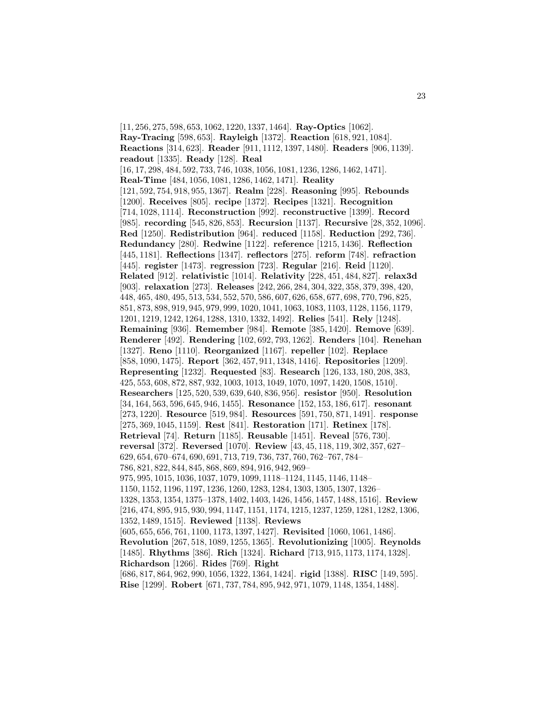[11, 256, 275, 598, 653, 1062, 1220, 1337, 1464]. **Ray-Optics** [1062]. **Ray-Tracing** [598, 653]. **Rayleigh** [1372]. **Reaction** [618, 921, 1084]. **Reactions** [314, 623]. **Reader** [911, 1112, 1397, 1480]. **Readers** [906, 1139]. **readout** [1335]. **Ready** [128]. **Real** [16, 17, 298, 484, 592, 733, 746, 1038, 1056, 1081, 1236, 1286, 1462, 1471]. **Real-Time** [484, 1056, 1081, 1286, 1462, 1471]. **Reality** [121, 592, 754, 918, 955, 1367]. **Realm** [228]. **Reasoning** [995]. **Rebounds** [1200]. **Receives** [805]. **recipe** [1372]. **Recipes** [1321]. **Recognition** [714, 1028, 1114]. **Reconstruction** [992]. **reconstructive** [1399]. **Record** [985]. **recording** [545, 826, 853]. **Recursion** [1137]. **Recursive** [28, 352, 1096]. **Red** [1250]. **Redistribution** [964]. **reduced** [1158]. **Reduction** [292, 736]. **Redundancy** [280]. **Redwine** [1122]. **reference** [1215, 1436]. **Reflection** [445, 1181]. **Reflections** [1347]. **reflectors** [275]. **reform** [748]. **refraction** [445]. **register** [1473]. **regression** [723]. **Regular** [216]. **Reid** [1120]. **Related** [912]. **relativistic** [1014]. **Relativity** [228, 451, 484, 827]. **relax3d** [903]. **relaxation** [273]. **Releases** [242, 266, 284, 304, 322, 358, 379, 398, 420, 448, 465, 480, 495, 513, 534, 552, 570, 586, 607, 626, 658, 677, 698, 770, 796, 825, 851, 873, 898, 919, 945, 979, 999, 1020, 1041, 1063, 1083, 1103, 1128, 1156, 1179, 1201, 1219, 1242, 1264, 1288, 1310, 1332, 1492]. **Relies** [541]. **Rely** [1248]. **Remaining** [936]. **Remember** [984]. **Remote** [385, 1420]. **Remove** [639]. **Renderer** [492]. **Rendering** [102, 692, 793, 1262]. **Renders** [104]. **Renehan** [1327]. **Reno** [1110]. **Reorganized** [1167]. **repeller** [102]. **Replace** [858, 1090, 1475]. **Report** [362, 457, 911, 1348, 1416]. **Repositories** [1209]. **Representing** [1232]. **Requested** [83]. **Research** [126, 133, 180, 208, 383, 425, 553, 608, 872, 887, 932, 1003, 1013, 1049, 1070, 1097, 1420, 1508, 1510]. **Researchers** [125, 520, 539, 639, 640, 836, 956]. **resistor** [950]. **Resolution** [34, 164, 563, 596, 645, 946, 1455]. **Resonance** [152, 153, 186, 617]. **resonant** [273, 1220]. **Resource** [519, 984]. **Resources** [591, 750, 871, 1491]. **response** [275, 369, 1045, 1159]. **Rest** [841]. **Restoration** [171]. **Retinex** [178]. **Retrieval** [74]. **Return** [1185]. **Reusable** [1451]. **Reveal** [576, 730]. **reversal** [372]. **Reversed** [1070]. **Review** [43, 45, 118, 119, 302, 357, 627– 629, 654, 670–674, 690, 691, 713, 719, 736, 737, 760, 762–767, 784– 786, 821, 822, 844, 845, 868, 869, 894, 916, 942, 969– 975, 995, 1015, 1036, 1037, 1079, 1099, 1118–1124, 1145, 1146, 1148– 1150, 1152, 1196, 1197, 1236, 1260, 1283, 1284, 1303, 1305, 1307, 1326– 1328, 1353, 1354, 1375–1378, 1402, 1403, 1426, 1456, 1457, 1488, 1516]. **Review** [216, 474, 895, 915, 930, 994, 1147, 1151, 1174, 1215, 1237, 1259, 1281, 1282, 1306, 1352, 1489, 1515]. **Reviewed** [1138]. **Reviews** [605, 655, 656, 761, 1100, 1173, 1397, 1427]. **Revisited** [1060, 1061, 1486]. **Revolution** [267, 518, 1089, 1255, 1365]. **Revolutionizing** [1005]. **Reynolds** [1485]. **Rhythms** [386]. **Rich** [1324]. **Richard** [713, 915, 1173, 1174, 1328]. **Richardson** [1266]. **Rides** [769]. **Right** [686, 817, 864, 962, 990, 1056, 1322, 1364, 1424]. **rigid** [1388]. **RISC** [149, 595]. **Rise** [1299]. **Robert** [671, 737, 784, 895, 942, 971, 1079, 1148, 1354, 1488].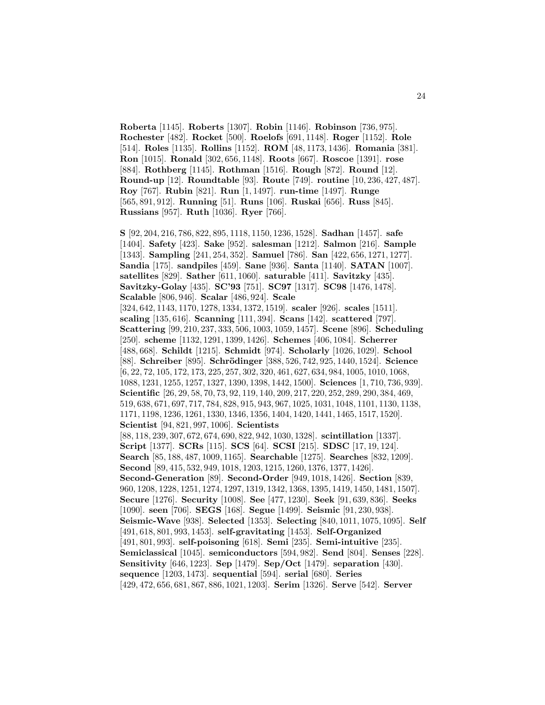**Roberta** [1145]. **Roberts** [1307]. **Robin** [1146]. **Robinson** [736, 975]. **Rochester** [482]. **Rocket** [500]. **Roelofs** [691, 1148]. **Roger** [1152]. **Role** [514]. **Roles** [1135]. **Rollins** [1152]. **ROM** [48, 1173, 1436]. **Romania** [381]. **Ron** [1015]. **Ronald** [302, 656, 1148]. **Roots** [667]. **Roscoe** [1391]. **rose** [884]. **Rothberg** [1145]. **Rothman** [1516]. **Rough** [872]. **Round** [12]. **Round-up** [12]. **Roundtable** [93]. **Route** [749]. **routine** [10, 236, 427, 487]. **Roy** [767]. **Rubin** [821]. **Run** [1, 1497]. **run-time** [1497]. **Runge** [565, 891, 912]. **Running** [51]. **Runs** [106]. **Ruskai** [656]. **Russ** [845]. **Russians** [957]. **Ruth** [1036]. **Ryer** [766].

**S** [92, 204, 216, 786, 822, 895, 1118, 1150, 1236, 1528]. **Sadhan** [1457]. **safe** [1404]. **Safety** [423]. **Sake** [952]. **salesman** [1212]. **Salmon** [216]. **Sample** [1343]. **Sampling** [241, 254, 352]. **Samuel** [786]. **San** [422, 656, 1271, 1277]. **Sandia** [175]. **sandpiles** [459]. **Sane** [936]. **Santa** [1140]. **SATAN** [1007]. **satellites** [829]. **Sather** [611, 1060]. **saturable** [411]. **Savitzky** [435]. **Savitzky-Golay** [435]. **SC'93** [751]. **SC97** [1317]. **SC98** [1476, 1478]. **Scalable** [806, 946]. **Scalar** [486, 924]. **Scale** [324, 642, 1143, 1170, 1278, 1334, 1372, 1519]. **scaler** [926]. **scales** [1511]. **scaling** [135, 616]. **Scanning** [111, 394]. **Scans** [142]. **scattered** [797]. **Scattering** [99, 210, 237, 333, 506, 1003, 1059, 1457]. **Scene** [896]. **Scheduling** [250]. **scheme** [1132, 1291, 1399, 1426]. **Schemes** [406, 1084]. **Scherrer** [488, 668]. **Schildt** [1215]. **Schmidt** [974]. **Scholarly** [1026, 1029]. **School** [88]. **Schreiber** [895]. **Schrödinger** [388, 526, 742, 925, 1440, 1524]. **Science** [6, 22, 72, 105, 172, 173, 225, 257, 302, 320, 461, 627, 634, 984, 1005, 1010, 1068, 1088, 1231, 1255, 1257, 1327, 1390, 1398, 1442, 1500]. **Sciences** [1, 710, 736, 939]. **Scientific** [26, 29, 58, 70, 73, 92, 119, 140, 209, 217, 220, 252, 289, 290, 384, 469, 519, 638, 671, 697, 717, 784, 828, 915, 943, 967, 1025, 1031, 1048, 1101, 1130, 1138, 1171, 1198, 1236, 1261, 1330, 1346, 1356, 1404, 1420, 1441, 1465, 1517, 1520]. **Scientist** [94, 821, 997, 1006]. **Scientists** [88, 118, 239, 307, 672, 674, 690, 822, 942, 1030, 1328]. **scintillation** [1337]. **Script** [1377]. **SCRs** [115]. **SCS** [64]. **SCSI** [215]. **SDSC** [17, 19, 124]. **Search** [85, 188, 487, 1009, 1165]. **Searchable** [1275]. **Searches** [832, 1209]. **Second** [89, 415, 532, 949, 1018, 1203, 1215, 1260, 1376, 1377, 1426]. **Second-Generation** [89]. **Second-Order** [949, 1018, 1426]. **Section** [839, 960, 1208, 1228, 1251, 1274, 1297, 1319, 1342, 1368, 1395, 1419, 1450, 1481, 1507]. **Secure** [1276]. **Security** [1008]. **See** [477, 1230]. **Seek** [91, 639, 836]. **Seeks** [1090]. **seen** [706]. **SEGS** [168]. **Segue** [1499]. **Seismic** [91, 230, 938]. **Seismic-Wave** [938]. **Selected** [1353]. **Selecting** [840, 1011, 1075, 1095]. **Self** [491, 618, 801, 993, 1453]. **self-gravitating** [1453]. **Self-Organized** [491, 801, 993]. **self-poisoning** [618]. **Semi** [235]. **Semi-intuitive** [235]. **Semiclassical** [1045]. **semiconductors** [594, 982]. **Send** [804]. **Senses** [228]. **Sensitivity** [646, 1223]. **Sep** [1479]. **Sep/Oct** [1479]. **separation** [430]. **sequence** [1203, 1473]. **sequential** [594]. **serial** [680]. **Series** [429, 472, 656, 681, 867, 886, 1021, 1203]. **Serim** [1326]. **Serve** [542]. **Server**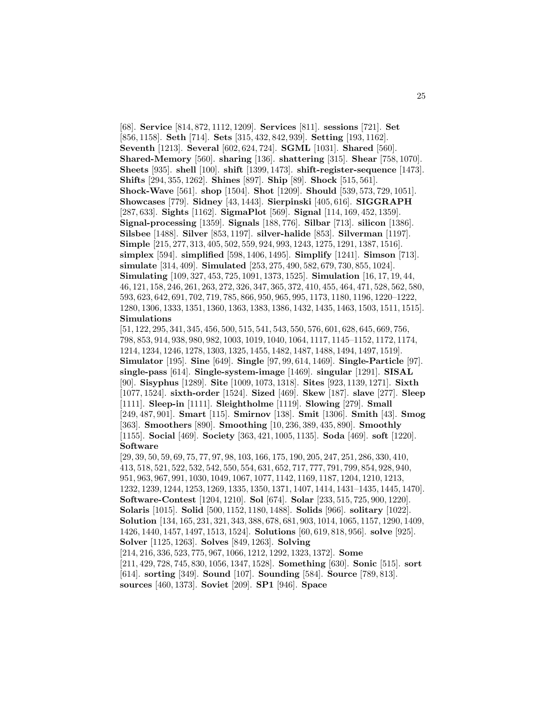[68]. **Service** [814, 872, 1112, 1209]. **Services** [811]. **sessions** [721]. **Set** [856, 1158]. **Seth** [714]. **Sets** [315, 432, 842, 939]. **Setting** [193, 1162]. **Seventh** [1213]. **Several** [602, 624, 724]. **SGML** [1031]. **Shared** [560]. **Shared-Memory** [560]. **sharing** [136]. **shattering** [315]. **Shear** [758, 1070]. **Sheets** [935]. **shell** [100]. **shift** [1399, 1473]. **shift-register-sequence** [1473]. **Shifts** [294, 355, 1262]. **Shines** [897]. **Ship** [89]. **Shock** [515, 561]. **Shock-Wave** [561]. **shop** [1504]. **Shot** [1209]. **Should** [539, 573, 729, 1051]. **Showcases** [779]. **Sidney** [43, 1443]. **Sierpinski** [405, 616]. **SIGGRAPH** [287, 633]. **Sights** [1162]. **SigmaPlot** [569]. **Signal** [114, 169, 452, 1359]. **Signal-processing** [1359]. **Signals** [188, 776]. **Silbar** [713]. **silicon** [1386]. **Silsbee** [1488]. **Silver** [853, 1197]. **silver-halide** [853]. **Silverman** [1197]. **Simple** [215, 277, 313, 405, 502, 559, 924, 993, 1243, 1275, 1291, 1387, 1516]. **simplex** [594]. **simplified** [598, 1406, 1495]. **Simplify** [1241]. **Simson** [713]. **simulate** [314, 409]. **Simulated** [253, 275, 490, 582, 679, 730, 855, 1024]. **Simulating** [109, 327, 453, 725, 1091, 1373, 1525]. **Simulation** [16, 17, 19, 44, 46, 121, 158, 246, 261, 263, 272, 326, 347, 365, 372, 410, 455, 464, 471, 528, 562, 580, 593, 623, 642, 691, 702, 719, 785, 866, 950, 965, 995, 1173, 1180, 1196, 1220–1222, 1280, 1306, 1333, 1351, 1360, 1363, 1383, 1386, 1432, 1435, 1463, 1503, 1511, 1515]. **Simulations**

[51, 122, 295, 341, 345, 456, 500, 515, 541, 543, 550, 576, 601, 628, 645, 669, 756, 798, 853, 914, 938, 980, 982, 1003, 1019, 1040, 1064, 1117, 1145–1152, 1172, 1174, 1214, 1234, 1246, 1278, 1303, 1325, 1455, 1482, 1487, 1488, 1494, 1497, 1519]. **Simulator** [195]. **Sine** [649]. **Single** [97, 99, 614, 1469]. **Single-Particle** [97]. **single-pass** [614]. **Single-system-image** [1469]. **singular** [1291]. **SISAL** [90]. **Sisyphus** [1289]. **Site** [1009, 1073, 1318]. **Sites** [923, 1139, 1271]. **Sixth** [1077, 1524]. **sixth-order** [1524]. **Sized** [469]. **Skew** [187]. **slave** [277]. **Sleep** [1111]. **Sleep-in** [1111]. **Sleightholme** [1119]. **Slowing** [279]. **Small** [249, 487, 901]. **Smart** [115]. **Smirnov** [138]. **Smit** [1306]. **Smith** [43]. **Smog** [363]. **Smoothers** [890]. **Smoothing** [10, 236, 389, 435, 890]. **Smoothly** [1155]. **Social** [469]. **Society** [363, 421, 1005, 1135]. **Soda** [469]. **soft** [1220]. **Software**

[29, 39, 50, 59, 69, 75, 77, 97, 98, 103, 166, 175, 190, 205, 247, 251, 286, 330, 410, 413, 518, 521, 522, 532, 542, 550, 554, 631, 652, 717, 777, 791, 799, 854, 928, 940, 951, 963, 967, 991, 1030, 1049, 1067, 1077, 1142, 1169, 1187, 1204, 1210, 1213, 1232, 1239, 1244, 1253, 1269, 1335, 1350, 1371, 1407, 1414, 1431–1435, 1445, 1470]. **Software-Contest** [1204, 1210]. **Sol** [674]. **Solar** [233, 515, 725, 900, 1220]. **Solaris** [1015]. **Solid** [500, 1152, 1180, 1488]. **Solids** [966]. **solitary** [1022]. **Solution** [134, 165, 231, 321, 343, 388, 678, 681, 903, 1014, 1065, 1157, 1290, 1409, 1426, 1440, 1457, 1497, 1513, 1524]. **Solutions** [60, 619, 818, 956]. **solve** [925]. **Solver** [1125, 1263]. **Solves** [849, 1263]. **Solving** [214, 216, 336, 523, 775, 967, 1066, 1212, 1292, 1323, 1372]. **Some** [211, 429, 728, 745, 830, 1056, 1347, 1528]. **Something** [630]. **Sonic** [515]. **sort** [614]. **sorting** [349]. **Sound** [107]. **Sounding** [584]. **Source** [789, 813].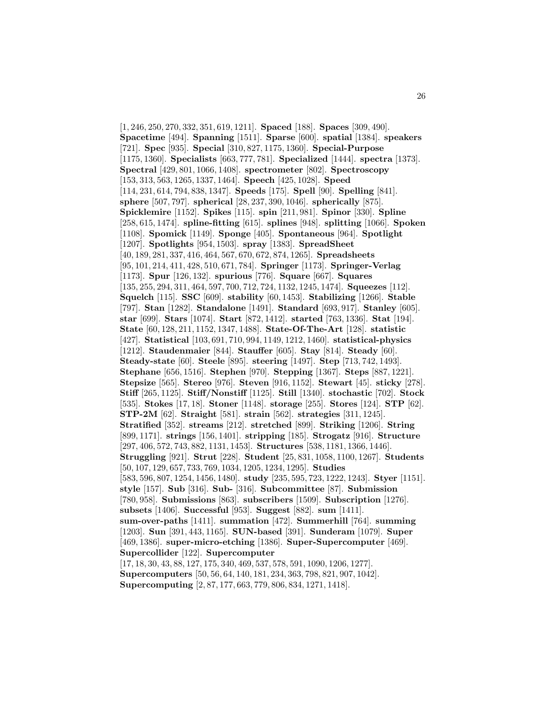[1, 246, 250, 270, 332, 351, 619, 1211]. **Spaced** [188]. **Spaces** [309, 490]. **Spacetime** [494]. **Spanning** [1511]. **Sparse** [600]. **spatial** [1384]. **speakers** [721]. **Spec** [935]. **Special** [310, 827, 1175, 1360]. **Special-Purpose** [1175, 1360]. **Specialists** [663, 777, 781]. **Specialized** [1444]. **spectra** [1373]. **Spectral** [429, 801, 1066, 1408]. **spectrometer** [802]. **Spectroscopy** [153, 313, 563, 1265, 1337, 1464]. **Speech** [425, 1028]. **Speed** [114, 231, 614, 794, 838, 1347]. **Speeds** [175]. **Spell** [90]. **Spelling** [841]. **sphere** [507, 797]. **spherical** [28, 237, 390, 1046]. **spherically** [875]. **Spicklemire** [1152]. **Spikes** [115]. **spin** [211, 981]. **Spinor** [330]. **Spline** [258, 615, 1474]. **spline-fitting** [615]. **splines** [948]. **splitting** [1066]. **Spoken** [1108]. **Spomick** [1149]. **Sponge** [405]. **Spontaneous** [964]. **Spotlight** [1207]. **Spotlights** [954, 1503]. **spray** [1383]. **SpreadSheet** [40, 189, 281, 337, 416, 464, 567, 670, 672, 874, 1265]. **Spreadsheets** [95, 101, 214, 411, 428, 510, 671, 784]. **Springer** [1173]. **Springer-Verlag** [1173]. **Spur** [126, 132]. **spurious** [776]. **Square** [667]. **Squares** [135, 255, 294, 311, 464, 597, 700, 712, 724, 1132, 1245, 1474]. **Squeezes** [112]. **Squelch** [115]. **SSC** [609]. **stability** [60, 1453]. **Stabilizing** [1266]. **Stable** [797]. **Stan** [1282]. **Standalone** [1491]. **Standard** [693, 917]. **Stanley** [605]. **star** [699]. **Stars** [1074]. **Start** [872, 1412]. **started** [763, 1336]. **Stat** [194]. **State** [60, 128, 211, 1152, 1347, 1488]. **State-Of-The-Art** [128]. **statistic** [427]. **Statistical** [103, 691, 710, 994, 1149, 1212, 1460]. **statistical-physics** [1212]. **Staudenmaier** [844]. **Stauffer** [605]. **Stay** [814]. **Steady** [60]. **Steady-state** [60]. **Steele** [895]. **steering** [1497]. **Step** [713, 742, 1493]. **Stephane** [656, 1516]. **Stephen** [970]. **Stepping** [1367]. **Steps** [887, 1221]. **Stepsize** [565]. **Stereo** [976]. **Steven** [916, 1152]. **Stewart** [45]. **sticky** [278]. **Stiff** [265, 1125]. **Stiff/Nonstiff** [1125]. **Still** [1340]. **stochastic** [702]. **Stock** [535]. **Stokes** [17, 18]. **Stoner** [1148]. **storage** [255]. **Stores** [124]. **STP** [62]. **STP-2M** [62]. **Straight** [581]. **strain** [562]. **strategies** [311, 1245]. **Stratified** [352]. **streams** [212]. **stretched** [899]. **Striking** [1206]. **String** [899, 1171]. **strings** [156, 1401]. **stripping** [185]. **Strogatz** [916]. **Structure** [297, 406, 572, 743, 882, 1131, 1453]. **Structures** [538, 1181, 1366, 1446]. **Struggling** [921]. **Strut** [228]. **Student** [25, 831, 1058, 1100, 1267]. **Students** [50, 107, 129, 657, 733, 769, 1034, 1205, 1234, 1295]. **Studies** [583, 596, 807, 1254, 1456, 1480]. **study** [235, 595, 723, 1222, 1243]. **Styer** [1151]. **style** [157]. **Sub** [316]. **Sub-** [316]. **Subcommittee** [87]. **Submission** [780, 958]. **Submissions** [863]. **subscribers** [1509]. **Subscription** [1276]. **subsets** [1406]. **Successful** [953]. **Suggest** [882]. **sum** [1411]. **sum-over-paths** [1411]. **summation** [472]. **Summerhill** [764]. **summing** [1203]. **Sun** [391, 443, 1165]. **SUN-based** [391]. **Sunderam** [1079]. **Super** [469, 1386]. **super-micro-etching** [1386]. **Super-Supercomputer** [469]. **Supercollider** [122]. **Supercomputer** [17, 18, 30, 43, 88, 127, 175, 340, 469, 537, 578, 591, 1090, 1206, 1277]. **Supercomputers** [50, 56, 64, 140, 181, 234, 363, 798, 821, 907, 1042].

**Supercomputing** [2, 87, 177, 663, 779, 806, 834, 1271, 1418].

26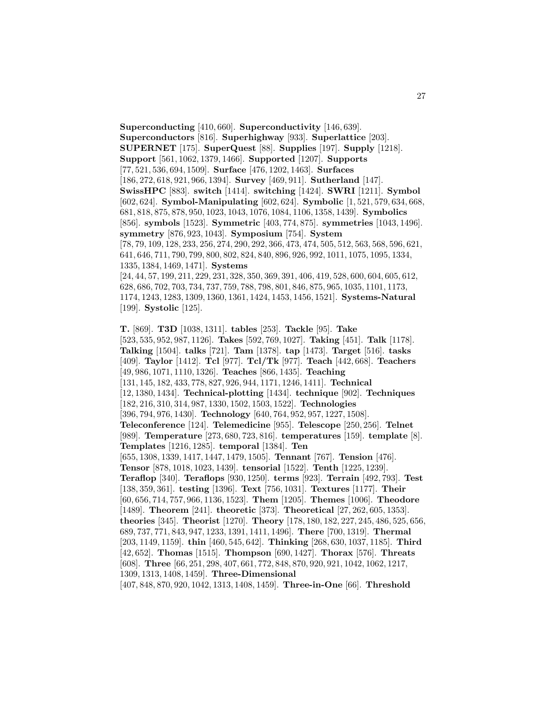**Superconducting** [410, 660]. **Superconductivity** [146, 639]. **Superconductors** [816]. **Superhighway** [933]. **Superlattice** [203]. **SUPERNET** [175]. **SuperQuest** [88]. **Supplies** [197]. **Supply** [1218]. **Support** [561, 1062, 1379, 1466]. **Supported** [1207]. **Supports** [77, 521, 536, 694, 1509]. **Surface** [476, 1202, 1463]. **Surfaces** [186, 272, 618, 921, 966, 1394]. **Survey** [469, 911]. **Sutherland** [147]. **SwissHPC** [883]. **switch** [1414]. **switching** [1424]. **SWRI** [1211]. **Symbol** [602, 624]. **Symbol-Manipulating** [602, 624]. **Symbolic** [1, 521, 579, 634, 668, 681, 818, 875, 878, 950, 1023, 1043, 1076, 1084, 1106, 1358, 1439]. **Symbolics** [856]. **symbols** [1523]. **Symmetric** [403, 774, 875]. **symmetries** [1043, 1496]. **symmetry** [876, 923, 1043]. **Symposium** [754]. **System** [78, 79, 109, 128, 233, 256, 274, 290, 292, 366, 473, 474, 505, 512, 563, 568, 596, 621, 641, 646, 711, 790, 799, 800, 802, 824, 840, 896, 926, 992, 1011, 1075, 1095, 1334, 1335, 1384, 1469, 1471]. **Systems** [24, 44, 57, 199, 211, 229, 231, 328, 350, 369, 391, 406, 419, 528, 600, 604, 605, 612, 628, 686, 702, 703, 734, 737, 759, 788, 798, 801, 846, 875, 965, 1035, 1101, 1173, 1174, 1243, 1283, 1309, 1360, 1361, 1424, 1453, 1456, 1521]. **Systems-Natural** [199]. **Systolic** [125].

27

**T.** [869]. **T3D** [1038, 1311]. **tables** [253]. **Tackle** [95]. **Take** [523, 535, 952, 987, 1126]. **Takes** [592, 769, 1027]. **Taking** [451]. **Talk** [1178]. **Talking** [1504]. **talks** [721]. **Tam** [1378]. **tap** [1473]. **Target** [516]. **tasks** [409]. **Taylor** [1412]. **Tcl** [977]. **Tcl/Tk** [977]. **Teach** [442, 668]. **Teachers** [49, 986, 1071, 1110, 1326]. **Teaches** [866, 1435]. **Teaching** [131, 145, 182, 433, 778, 827, 926, 944, 1171, 1246, 1411]. **Technical** [12, 1380, 1434]. **Technical-plotting** [1434]. **technique** [902]. **Techniques** [182, 216, 310, 314, 987, 1330, 1502, 1503, 1522]. **Technologies** [396, 794, 976, 1430]. **Technology** [640, 764, 952, 957, 1227, 1508]. **Teleconference** [124]. **Telemedicine** [955]. **Telescope** [250, 256]. **Telnet** [989]. **Temperature** [273, 680, 723, 816]. **temperatures** [159]. **template** [8]. **Templates** [1216, 1285]. **temporal** [1384]. **Ten** [655, 1308, 1339, 1417, 1447, 1479, 1505]. **Tennant** [767]. **Tension** [476]. **Tensor** [878, 1018, 1023, 1439]. **tensorial** [1522]. **Tenth** [1225, 1239]. **Teraflop** [340]. **Teraflops** [930, 1250]. **terms** [923]. **Terrain** [492, 793]. **Test** [138, 359, 361]. **testing** [1396]. **Text** [756, 1031]. **Textures** [1177]. **Their** [60, 656, 714, 757, 966, 1136, 1523]. **Them** [1205]. **Themes** [1006]. **Theodore** [1489]. **Theorem** [241]. **theoretic** [373]. **Theoretical** [27, 262, 605, 1353]. **theories** [345]. **Theorist** [1270]. **Theory** [178, 180, 182, 227, 245, 486, 525, 656, 689, 737, 771, 843, 947, 1233, 1391, 1411, 1496]. **There** [700, 1319]. **Thermal** [203, 1149, 1159]. **thin** [460, 545, 642]. **Thinking** [268, 630, 1037, 1185]. **Third** [42, 652]. **Thomas** [1515]. **Thompson** [690, 1427]. **Thorax** [576]. **Threats** [608]. **Three** [66, 251, 298, 407, 661, 772, 848, 870, 920, 921, 1042, 1062, 1217, 1309, 1313, 1408, 1459]. **Three-Dimensional** [407, 848, 870, 920, 1042, 1313, 1408, 1459]. **Three-in-One** [66]. **Threshold**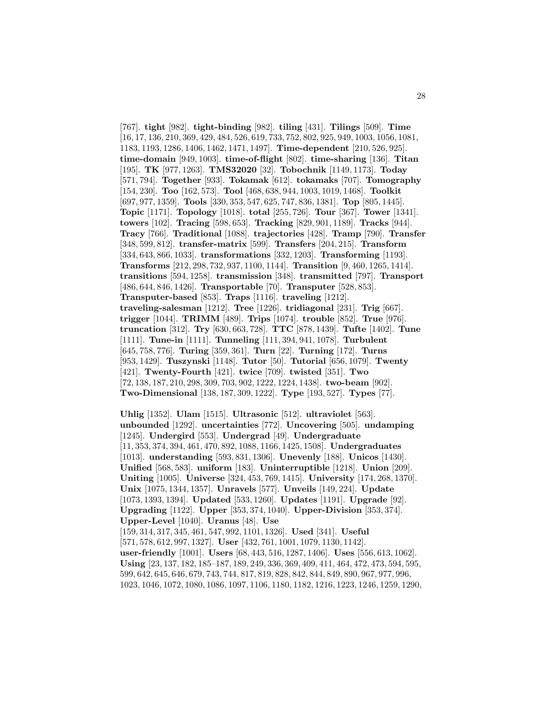[767]. **tight** [982]. **tight-binding** [982]. **tiling** [431]. **Tilings** [509]. **Time** [16, 17, 136, 210, 369, 429, 484, 526, 619, 733, 752, 802, 925, 949, 1003, 1056, 1081, 1183, 1193, 1286, 1406, 1462, 1471, 1497]. **Time-dependent** [210, 526, 925]. **time-domain** [949, 1003]. **time-of-flight** [802]. **time-sharing** [136]. **Titan** [195]. **TK** [977, 1263]. **TMS32020** [32]. **Tobochnik** [1149, 1173]. **Today** [571, 794]. **Together** [933]. **Tokamak** [612]. **tokamaks** [707]. **Tomography** [154, 230]. **Too** [162, 573]. **Tool** [468, 638, 944, 1003, 1019, 1468]. **Toolkit** [697, 977, 1359]. **Tools** [330, 353, 547, 625, 747, 836, 1381]. **Top** [805, 1445]. **Topic** [1171]. **Topology** [1018]. **total** [255, 726]. **Tour** [367]. **Tower** [1341]. **towers** [102]. **Tracing** [598, 653]. **Tracking** [829, 901, 1189]. **Tracks** [944]. **Tracy** [766]. **Traditional** [1088]. **trajectories** [428]. **Tramp** [790]. **Transfer** [348, 599, 812]. **transfer-matrix** [599]. **Transfers** [204, 215]. **Transform** [334, 643, 866, 1033]. **transformations** [332, 1203]. **Transforming** [1193]. **Transforms** [212, 298, 732, 937, 1100, 1144]. **Transition** [9, 460, 1265, 1414]. **transitions** [594, 1258]. **transmission** [348]. **transmitted** [797]. **Transport** [486, 644, 846, 1426]. **Transportable** [70]. **Transputer** [528, 853]. **Transputer-based** [853]. **Traps** [1116]. **traveling** [1212]. **traveling-salesman** [1212]. **Tree** [1226]. **tridiagonal** [231]. **Trig** [667]. **trigger** [1044]. **TRIMM** [489]. **Trips** [1074]. **trouble** [852]. **True** [976]. **truncation** [312]. **Try** [630, 663, 728]. **TTC** [878, 1439]. **Tufte** [1402]. **Tune** [1111]. **Tune-in** [1111]. **Tunneling** [111, 394, 941, 1078]. **Turbulent** [645, 758, 776]. **Turing** [359, 361]. **Turn** [22]. **Turning** [172]. **Turns** [953, 1429]. **Tuszynski** [1148]. **Tutor** [50]. **Tutorial** [656, 1079]. **Twenty** [421]. **Twenty-Fourth** [421]. **twice** [709]. **twisted** [351]. **Two** [72, 138, 187, 210, 298, 309, 703, 902, 1222, 1224, 1438]. **two-beam** [902]. **Two-Dimensional** [138, 187, 309, 1222]. **Type** [193, 527]. **Types** [77].

**Uhlig** [1352]. **Ulam** [1515]. **Ultrasonic** [512]. **ultraviolet** [563]. **unbounded** [1292]. **uncertainties** [772]. **Uncovering** [505]. **undamping** [1245]. **Undergird** [553]. **Undergrad** [49]. **Undergraduate** [11, 353, 374, 394, 461, 470, 892, 1088, 1166, 1425, 1508]. **Undergraduates** [1013]. **understanding** [593, 831, 1306]. **Unevenly** [188]. **Unicos** [1430]. **Unified** [568, 583]. **uniform** [183]. **Uninterruptible** [1218]. **Union** [209]. **Uniting** [1005]. **Universe** [324, 453, 769, 1415]. **University** [174, 268, 1370]. **Unix** [1075, 1344, 1357]. **Unravels** [577]. **Unveils** [149, 224]. **Update** [1073, 1393, 1394]. **Updated** [533, 1260]. **Updates** [1191]. **Upgrade** [92]. **Upgrading** [1122]. **Upper** [353, 374, 1040]. **Upper-Division** [353, 374]. **Upper-Level** [1040]. **Uranus** [48]. **Use** [159, 314, 317, 345, 461, 547, 992, 1101, 1326]. **Used** [341]. **Useful** [571, 578, 612, 997, 1327]. **User** [432, 761, 1001, 1079, 1130, 1142]. **user-friendly** [1001]. **Users** [68, 443, 516, 1287, 1406]. **Uses** [556, 613, 1062]. **Using** [23, 137, 182, 185–187, 189, 249, 336, 369, 409, 411, 464, 472, 473, 594, 595, 599, 642, 645, 646, 679, 743, 744, 817, 819, 828, 842, 844, 849, 890, 967, 977, 996, 1023, 1046, 1072, 1080, 1086, 1097, 1106, 1180, 1182, 1216, 1223, 1246, 1259, 1290,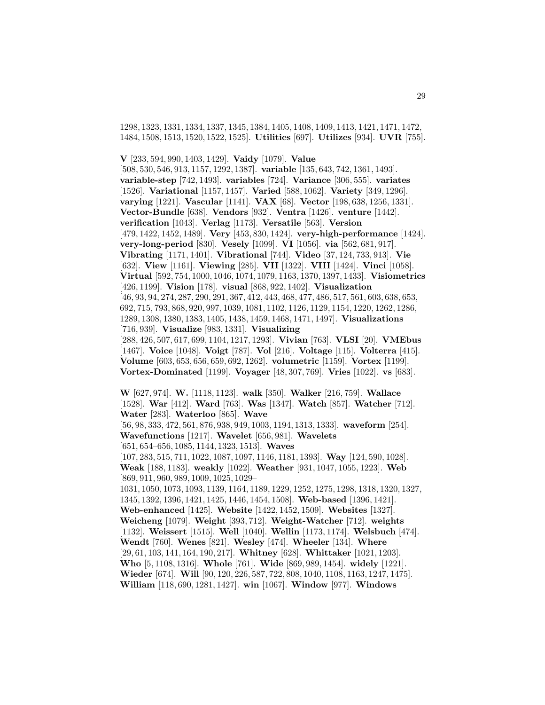1298, 1323, 1331, 1334, 1337, 1345, 1384, 1405, 1408, 1409, 1413, 1421, 1471, 1472, 1484, 1508, 1513, 1520, 1522, 1525]. **Utilities** [697]. **Utilizes** [934]. **UVR** [755].

**V** [233, 594, 990, 1403, 1429]. **Vaidy** [1079]. **Value** [508, 530, 546, 913, 1157, 1292, 1387]. **variable** [135, 643, 742, 1361, 1493]. **variable-step** [742, 1493]. **variables** [724]. **Variance** [306, 555]. **variates** [1526]. **Variational** [1157, 1457]. **Varied** [588, 1062]. **Variety** [349, 1296]. **varying** [1221]. **Vascular** [1141]. **VAX** [68]. **Vector** [198, 638, 1256, 1331]. **Vector-Bundle** [638]. **Vendors** [932]. **Ventra** [1426]. **venture** [1442]. **verification** [1043]. **Verlag** [1173]. **Versatile** [563]. **Version** [479, 1422, 1452, 1489]. **Very** [453, 830, 1424]. **very-high-performance** [1424]. **very-long-period** [830]. **Vesely** [1099]. **VI** [1056]. **via** [562, 681, 917]. **Vibrating** [1171, 1401]. **Vibrational** [744]. **Video** [37, 124, 733, 913]. **Vie** [632]. **View** [1161]. **Viewing** [285]. **VII** [1322]. **VIII** [1424]. **Vinci** [1058]. **Virtual** [592, 754, 1000, 1046, 1074, 1079, 1163, 1370, 1397, 1433]. **Visiometrics** [426, 1199]. **Vision** [178]. **visual** [868, 922, 1402]. **Visualization** [46, 93, 94, 274, 287, 290, 291, 367, 412, 443, 468, 477, 486, 517, 561, 603, 638, 653, 692, 715, 793, 868, 920, 997, 1039, 1081, 1102, 1126, 1129, 1154, 1220, 1262, 1286, 1289, 1308, 1380, 1383, 1405, 1438, 1459, 1468, 1471, 1497]. **Visualizations** [716, 939]. **Visualize** [983, 1331]. **Visualizing** [288, 426, 507, 617, 699, 1104, 1217, 1293]. **Vivian** [763]. **VLSI** [20]. **VMEbus** [1467]. **Voice** [1048]. **Voigt** [787]. **Vol** [216]. **Voltage** [115]. **Volterra** [415]. **Volume** [603, 653, 656, 659, 692, 1262]. **volumetric** [1159]. **Vortex** [1199]. **Vortex-Dominated** [1199]. **Voyager** [48, 307, 769]. **Vries** [1022]. **vs** [683].

**W** [627, 974]. **W.** [1118, 1123]. **walk** [350]. **Walker** [216, 759]. **Wallace** [1528]. **War** [412]. **Ward** [763]. **Was** [1347]. **Watch** [857]. **Watcher** [712]. **Water** [283]. **Waterloo** [865]. **Wave** [56, 98, 333, 472, 561, 876, 938, 949, 1003, 1194, 1313, 1333]. **waveform** [254]. **Wavefunctions** [1217]. **Wavelet** [656, 981]. **Wavelets** [651, 654–656, 1085, 1144, 1323, 1513]. **Waves** [107, 283, 515, 711, 1022, 1087, 1097, 1146, 1181, 1393]. **Way** [124, 590, 1028]. **Weak** [188, 1183]. **weakly** [1022]. **Weather** [931, 1047, 1055, 1223]. **Web** [869, 911, 960, 989, 1009, 1025, 1029– 1031, 1050, 1073, 1093, 1139, 1164, 1189, 1229, 1252, 1275, 1298, 1318, 1320, 1327, 1345, 1392, 1396, 1421, 1425, 1446, 1454, 1508]. **Web-based** [1396, 1421]. **Web-enhanced** [1425]. **Website** [1422, 1452, 1509]. **Websites** [1327]. **Weicheng** [1079]. **Weight** [393, 712]. **Weight-Watcher** [712]. **weights** [1132]. **Weissert** [1515]. **Well** [1040]. **Wellin** [1173, 1174]. **Welsbuch** [474]. **Wendt** [760]. **Wenes** [821]. **Wesley** [474]. **Wheeler** [134]. **Where** [29, 61, 103, 141, 164, 190, 217]. **Whitney** [628]. **Whittaker** [1021, 1203]. **Who** [5, 1108, 1316]. **Whole** [761]. **Wide** [869, 989, 1454]. **widely** [1221]. **Wieder** [674]. **Will** [90, 120, 226, 587, 722, 808, 1040, 1108, 1163, 1247, 1475]. **William** [118, 690, 1281, 1427]. **win** [1067]. **Window** [977]. **Windows**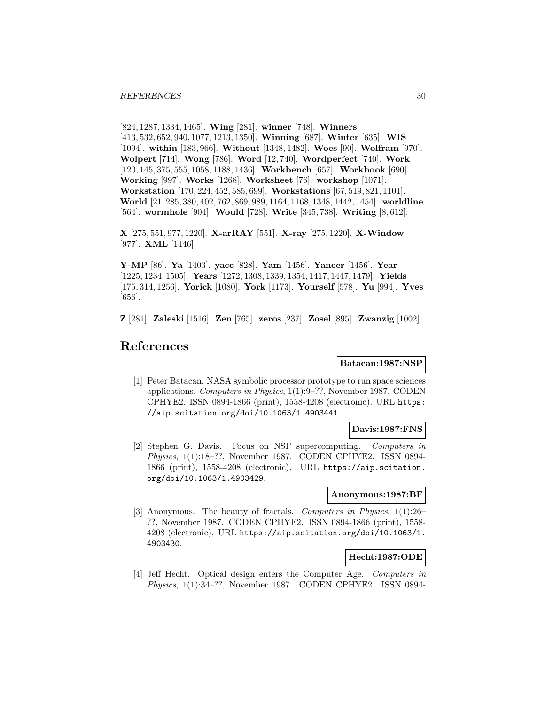[824, 1287, 1334, 1465]. **Wing** [281]. **winner** [748]. **Winners** [413, 532, 652, 940, 1077, 1213, 1350]. **Winning** [687]. **Winter** [635]. **WIS** [1094]. **within** [183, 966]. **Without** [1348, 1482]. **Woes** [90]. **Wolfram** [970]. **Wolpert** [714]. **Wong** [786]. **Word** [12, 740]. **Wordperfect** [740]. **Work** [120, 145, 375, 555, 1058, 1188, 1436]. **Workbench** [657]. **Workbook** [690]. **Working** [997]. **Works** [1268]. **Worksheet** [76]. **workshop** [1071]. **Workstation** [170, 224, 452, 585, 699]. **Workstations** [67, 519, 821, 1101]. **World** [21, 285, 380, 402, 762, 869, 989, 1164, 1168, 1348, 1442, 1454]. **worldline** [564]. **wormhole** [904]. **Would** [728]. **Write** [345, 738]. **Writing** [8, 612].

**X** [275, 551, 977, 1220]. **X-arRAY** [551]. **X-ray** [275, 1220]. **X-Window** [977]. **XML** [1446].

**Y-MP** [86]. **Ya** [1403]. **yacc** [828]. **Yam** [1456]. **Yaneer** [1456]. **Year** [1225, 1234, 1505]. **Years** [1272, 1308, 1339, 1354, 1417, 1447, 1479]. **Yields** [175, 314, 1256]. **Yorick** [1080]. **York** [1173]. **Yourself** [578]. **Yu** [994]. **Yves** [656].

**Z** [281]. **Zaleski** [1516]. **Zen** [765]. **zeros** [237]. **Zosel** [895]. **Zwanzig** [1002].

# **References**

#### **Batacan:1987:NSP**

[1] Peter Batacan. NASA symbolic processor prototype to run space sciences applications. Computers in Physics, 1(1):9–??, November 1987. CODEN CPHYE2. ISSN 0894-1866 (print), 1558-4208 (electronic). URL https: //aip.scitation.org/doi/10.1063/1.4903441.

# **Davis:1987:FNS**

[2] Stephen G. Davis. Focus on NSF supercomputing. Computers in Physics, 1(1):18–??, November 1987. CODEN CPHYE2. ISSN 0894- 1866 (print), 1558-4208 (electronic). URL https://aip.scitation. org/doi/10.1063/1.4903429.

#### **Anonymous:1987:BF**

[3] Anonymous. The beauty of fractals. Computers in Physics, 1(1):26– ??, November 1987. CODEN CPHYE2. ISSN 0894-1866 (print), 1558- 4208 (electronic). URL https://aip.scitation.org/doi/10.1063/1. 4903430.

# **Hecht:1987:ODE**

[4] Jeff Hecht. Optical design enters the Computer Age. Computers in Physics, 1(1):34–??, November 1987. CODEN CPHYE2. ISSN 0894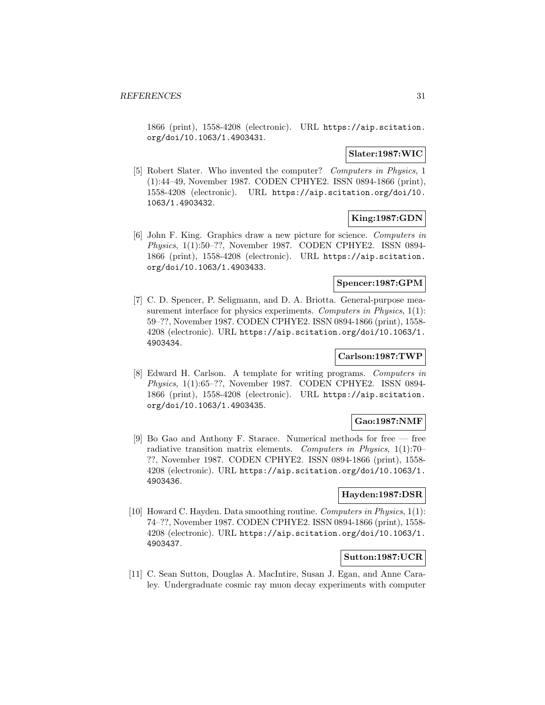1866 (print), 1558-4208 (electronic). URL https://aip.scitation. org/doi/10.1063/1.4903431.

# **Slater:1987:WIC**

[5] Robert Slater. Who invented the computer? Computers in Physics, 1 (1):44–49, November 1987. CODEN CPHYE2. ISSN 0894-1866 (print), 1558-4208 (electronic). URL https://aip.scitation.org/doi/10. 1063/1.4903432.

# **King:1987:GDN**

[6] John F. King. Graphics draw a new picture for science. Computers in Physics, 1(1):50–??, November 1987. CODEN CPHYE2. ISSN 0894- 1866 (print), 1558-4208 (electronic). URL https://aip.scitation. org/doi/10.1063/1.4903433.

# **Spencer:1987:GPM**

[7] C. D. Spencer, P. Seligmann, and D. A. Briotta. General-purpose measurement interface for physics experiments. Computers in Physics, 1(1): 59–??, November 1987. CODEN CPHYE2. ISSN 0894-1866 (print), 1558- 4208 (electronic). URL https://aip.scitation.org/doi/10.1063/1. 4903434.

# **Carlson:1987:TWP**

[8] Edward H. Carlson. A template for writing programs. Computers in Physics, 1(1):65–??, November 1987. CODEN CPHYE2. ISSN 0894- 1866 (print), 1558-4208 (electronic). URL https://aip.scitation. org/doi/10.1063/1.4903435.

#### **Gao:1987:NMF**

[9] Bo Gao and Anthony F. Starace. Numerical methods for free — free radiative transition matrix elements. Computers in Physics, 1(1):70– ??, November 1987. CODEN CPHYE2. ISSN 0894-1866 (print), 1558- 4208 (electronic). URL https://aip.scitation.org/doi/10.1063/1. 4903436.

## **Hayden:1987:DSR**

[10] Howard C. Hayden. Data smoothing routine. Computers in Physics, 1(1): 74–??, November 1987. CODEN CPHYE2. ISSN 0894-1866 (print), 1558- 4208 (electronic). URL https://aip.scitation.org/doi/10.1063/1. 4903437.

# **Sutton:1987:UCR**

[11] C. Sean Sutton, Douglas A. MacIntire, Susan J. Egan, and Anne Caraley. Undergraduate cosmic ray muon decay experiments with computer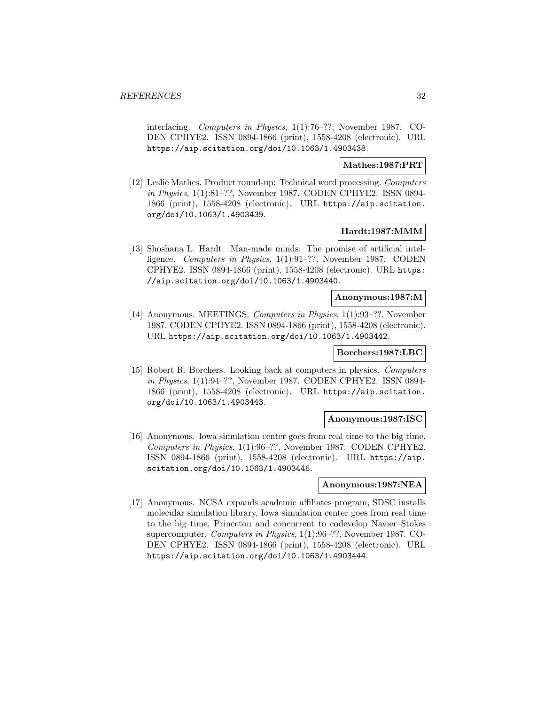interfacing. Computers in Physics, 1(1):76–??, November 1987. CO-DEN CPHYE2. ISSN 0894-1866 (print), 1558-4208 (electronic). URL https://aip.scitation.org/doi/10.1063/1.4903438.

# **Mathes:1987:PRT**

[12] Leslie Mathes. Product round-up: Technical word processing. Computers in Physics, 1(1):81–??, November 1987. CODEN CPHYE2. ISSN 0894- 1866 (print), 1558-4208 (electronic). URL https://aip.scitation. org/doi/10.1063/1.4903439.

## **Hardt:1987:MMM**

[13] Shoshana L. Hardt. Man-made minds: The promise of artificial intelligence. Computers in Physics, 1(1):91–??, November 1987. CODEN CPHYE2. ISSN 0894-1866 (print), 1558-4208 (electronic). URL https: //aip.scitation.org/doi/10.1063/1.4903440.

#### **Anonymous:1987:M**

[14] Anonymous. MEETINGS. Computers in Physics, 1(1):93–??, November 1987. CODEN CPHYE2. ISSN 0894-1866 (print), 1558-4208 (electronic). URL https://aip.scitation.org/doi/10.1063/1.4903442.

# **Borchers:1987:LBC**

[15] Robert R. Borchers. Looking back at computers in physics. Computers in Physics, 1(1):94–??, November 1987. CODEN CPHYE2. ISSN 0894- 1866 (print), 1558-4208 (electronic). URL https://aip.scitation. org/doi/10.1063/1.4903443.

#### **Anonymous:1987:ISC**

[16] Anonymous. Iowa simulation center goes from real time to the big time. Computers in Physics, 1(1):96–??, November 1987. CODEN CPHYE2. ISSN 0894-1866 (print), 1558-4208 (electronic). URL https://aip. scitation.org/doi/10.1063/1.4903446.

# **Anonymous:1987:NEA**

[17] Anonymous. NCSA expands academic affiliates program, SDSC installs molecular simulation library, Iowa simulation center goes from real time to the big time, Princeton and concurrent to codevelop Navier–Stokes supercomputer. Computers in Physics, 1(1):96–??, November 1987. CO-DEN CPHYE2. ISSN 0894-1866 (print), 1558-4208 (electronic). URL https://aip.scitation.org/doi/10.1063/1.4903444.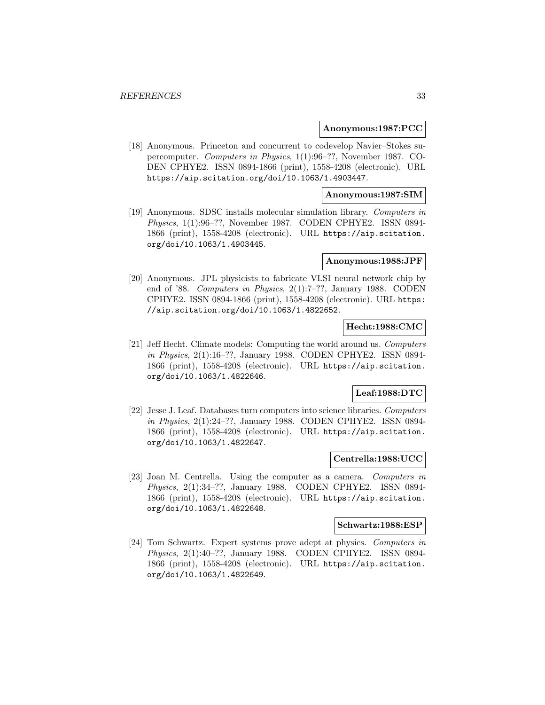#### **Anonymous:1987:PCC**

[18] Anonymous. Princeton and concurrent to codevelop Navier–Stokes supercomputer. Computers in Physics, 1(1):96–??, November 1987. CO-DEN CPHYE2. ISSN 0894-1866 (print), 1558-4208 (electronic). URL https://aip.scitation.org/doi/10.1063/1.4903447.

### **Anonymous:1987:SIM**

[19] Anonymous. SDSC installs molecular simulation library. Computers in Physics, 1(1):96–??, November 1987. CODEN CPHYE2. ISSN 0894- 1866 (print), 1558-4208 (electronic). URL https://aip.scitation. org/doi/10.1063/1.4903445.

#### **Anonymous:1988:JPF**

[20] Anonymous. JPL physicists to fabricate VLSI neural network chip by end of '88. Computers in Physics, 2(1):7–??, January 1988. CODEN CPHYE2. ISSN 0894-1866 (print), 1558-4208 (electronic). URL https: //aip.scitation.org/doi/10.1063/1.4822652.

# **Hecht:1988:CMC**

[21] Jeff Hecht. Climate models: Computing the world around us. Computers in Physics, 2(1):16–??, January 1988. CODEN CPHYE2. ISSN 0894- 1866 (print), 1558-4208 (electronic). URL https://aip.scitation. org/doi/10.1063/1.4822646.

# **Leaf:1988:DTC**

[22] Jesse J. Leaf. Databases turn computers into science libraries. Computers in Physics, 2(1):24–??, January 1988. CODEN CPHYE2. ISSN 0894- 1866 (print), 1558-4208 (electronic). URL https://aip.scitation. org/doi/10.1063/1.4822647.

# **Centrella:1988:UCC**

[23] Joan M. Centrella. Using the computer as a camera. Computers in Physics, 2(1):34–??, January 1988. CODEN CPHYE2. ISSN 0894- 1866 (print), 1558-4208 (electronic). URL https://aip.scitation. org/doi/10.1063/1.4822648.

#### **Schwartz:1988:ESP**

[24] Tom Schwartz. Expert systems prove adept at physics. Computers in Physics, 2(1):40–??, January 1988. CODEN CPHYE2. ISSN 0894- 1866 (print), 1558-4208 (electronic). URL https://aip.scitation. org/doi/10.1063/1.4822649.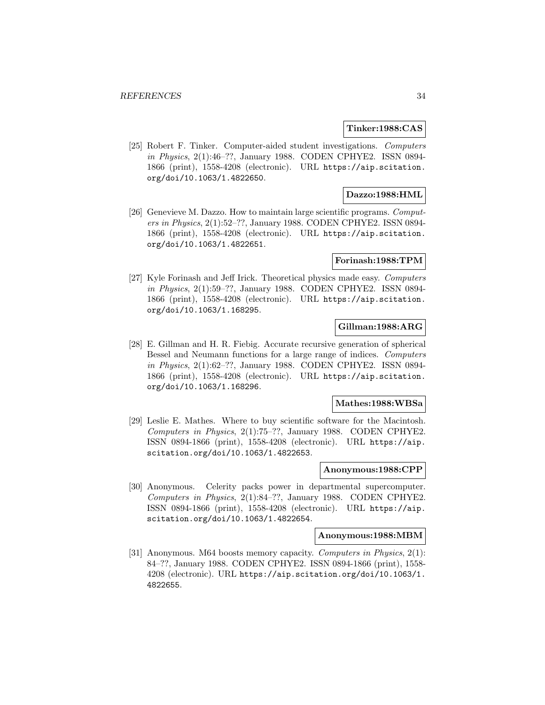#### **Tinker:1988:CAS**

[25] Robert F. Tinker. Computer-aided student investigations. Computers in Physics, 2(1):46–??, January 1988. CODEN CPHYE2. ISSN 0894- 1866 (print), 1558-4208 (electronic). URL https://aip.scitation. org/doi/10.1063/1.4822650.

# **Dazzo:1988:HML**

[26] Genevieve M. Dazzo. How to maintain large scientific programs. Computers in Physics, 2(1):52–??, January 1988. CODEN CPHYE2. ISSN 0894- 1866 (print), 1558-4208 (electronic). URL https://aip.scitation. org/doi/10.1063/1.4822651.

#### **Forinash:1988:TPM**

[27] Kyle Forinash and Jeff Irick. Theoretical physics made easy. Computers in Physics, 2(1):59–??, January 1988. CODEN CPHYE2. ISSN 0894- 1866 (print), 1558-4208 (electronic). URL https://aip.scitation. org/doi/10.1063/1.168295.

# **Gillman:1988:ARG**

[28] E. Gillman and H. R. Fiebig. Accurate recursive generation of spherical Bessel and Neumann functions for a large range of indices. Computers in Physics, 2(1):62–??, January 1988. CODEN CPHYE2. ISSN 0894- 1866 (print), 1558-4208 (electronic). URL https://aip.scitation. org/doi/10.1063/1.168296.

## **Mathes:1988:WBSa**

[29] Leslie E. Mathes. Where to buy scientific software for the Macintosh. Computers in Physics, 2(1):75–??, January 1988. CODEN CPHYE2. ISSN 0894-1866 (print), 1558-4208 (electronic). URL https://aip. scitation.org/doi/10.1063/1.4822653.

# **Anonymous:1988:CPP**

[30] Anonymous. Celerity packs power in departmental supercomputer. Computers in Physics, 2(1):84–??, January 1988. CODEN CPHYE2. ISSN 0894-1866 (print), 1558-4208 (electronic). URL https://aip. scitation.org/doi/10.1063/1.4822654.

#### **Anonymous:1988:MBM**

[31] Anonymous. M64 boosts memory capacity. Computers in Physics, 2(1): 84–??, January 1988. CODEN CPHYE2. ISSN 0894-1866 (print), 1558- 4208 (electronic). URL https://aip.scitation.org/doi/10.1063/1. 4822655.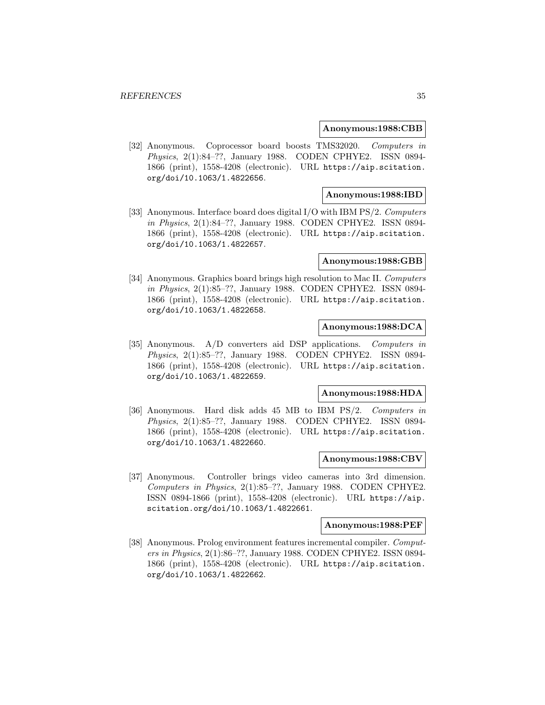#### **Anonymous:1988:CBB**

[32] Anonymous. Coprocessor board boosts TMS32020. Computers in Physics, 2(1):84–??, January 1988. CODEN CPHYE2. ISSN 0894- 1866 (print), 1558-4208 (electronic). URL https://aip.scitation. org/doi/10.1063/1.4822656.

## **Anonymous:1988:IBD**

[33] Anonymous. Interface board does digital I/O with IBM PS/2. Computers in Physics, 2(1):84–??, January 1988. CODEN CPHYE2. ISSN 0894- 1866 (print), 1558-4208 (electronic). URL https://aip.scitation. org/doi/10.1063/1.4822657.

#### **Anonymous:1988:GBB**

[34] Anonymous. Graphics board brings high resolution to Mac II. Computers in Physics, 2(1):85–??, January 1988. CODEN CPHYE2. ISSN 0894- 1866 (print), 1558-4208 (electronic). URL https://aip.scitation. org/doi/10.1063/1.4822658.

# **Anonymous:1988:DCA**

[35] Anonymous. A/D converters aid DSP applications. Computers in Physics, 2(1):85–??, January 1988. CODEN CPHYE2. ISSN 0894- 1866 (print), 1558-4208 (electronic). URL https://aip.scitation. org/doi/10.1063/1.4822659.

#### **Anonymous:1988:HDA**

[36] Anonymous. Hard disk adds 45 MB to IBM PS/2. Computers in Physics, 2(1):85–??, January 1988. CODEN CPHYE2. ISSN 0894- 1866 (print), 1558-4208 (electronic). URL https://aip.scitation. org/doi/10.1063/1.4822660.

#### **Anonymous:1988:CBV**

[37] Anonymous. Controller brings video cameras into 3rd dimension. Computers in Physics, 2(1):85–??, January 1988. CODEN CPHYE2. ISSN 0894-1866 (print), 1558-4208 (electronic). URL https://aip. scitation.org/doi/10.1063/1.4822661.

#### **Anonymous:1988:PEF**

[38] Anonymous. Prolog environment features incremental compiler. Computers in Physics, 2(1):86–??, January 1988. CODEN CPHYE2. ISSN 0894- 1866 (print), 1558-4208 (electronic). URL https://aip.scitation. org/doi/10.1063/1.4822662.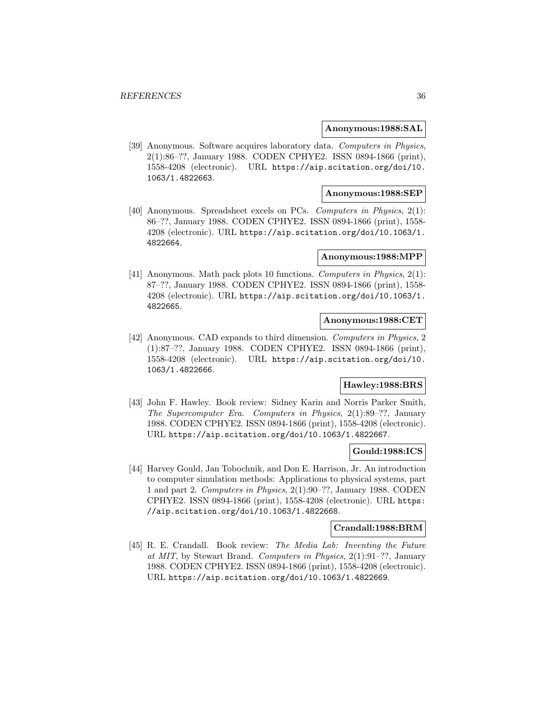#### **Anonymous:1988:SAL**

[39] Anonymous. Software acquires laboratory data. Computers in Physics, 2(1):86–??, January 1988. CODEN CPHYE2. ISSN 0894-1866 (print), 1558-4208 (electronic). URL https://aip.scitation.org/doi/10. 1063/1.4822663.

## **Anonymous:1988:SEP**

[40] Anonymous. Spreadsheet excels on PCs. Computers in Physics, 2(1): 86–??, January 1988. CODEN CPHYE2. ISSN 0894-1866 (print), 1558- 4208 (electronic). URL https://aip.scitation.org/doi/10.1063/1. 4822664.

#### **Anonymous:1988:MPP**

[41] Anonymous. Math pack plots 10 functions. Computers in Physics, 2(1): 87–??, January 1988. CODEN CPHYE2. ISSN 0894-1866 (print), 1558- 4208 (electronic). URL https://aip.scitation.org/doi/10.1063/1. 4822665.

#### **Anonymous:1988:CET**

[42] Anonymous. CAD expands to third dimension. Computers in Physics, 2 (1):87–??, January 1988. CODEN CPHYE2. ISSN 0894-1866 (print), 1558-4208 (electronic). URL https://aip.scitation.org/doi/10. 1063/1.4822666.

# **Hawley:1988:BRS**

[43] John F. Hawley. Book review: Sidney Karin and Norris Parker Smith, The Supercomputer Era. Computers in Physics, 2(1):89–??, January 1988. CODEN CPHYE2. ISSN 0894-1866 (print), 1558-4208 (electronic). URL https://aip.scitation.org/doi/10.1063/1.4822667.

#### **Gould:1988:ICS**

[44] Harvey Gould, Jan Tobochnik, and Don E. Harrison, Jr. An introduction to computer simulation methods: Applications to physical systems, part 1 and part 2. Computers in Physics, 2(1):90–??, January 1988. CODEN CPHYE2. ISSN 0894-1866 (print), 1558-4208 (electronic). URL https: //aip.scitation.org/doi/10.1063/1.4822668.

#### **Crandall:1988:BRM**

[45] R. E. Crandall. Book review: The Media Lab: Inventing the Future at MIT, by Stewart Brand. Computers in Physics, 2(1):91–??, January 1988. CODEN CPHYE2. ISSN 0894-1866 (print), 1558-4208 (electronic). URL https://aip.scitation.org/doi/10.1063/1.4822669.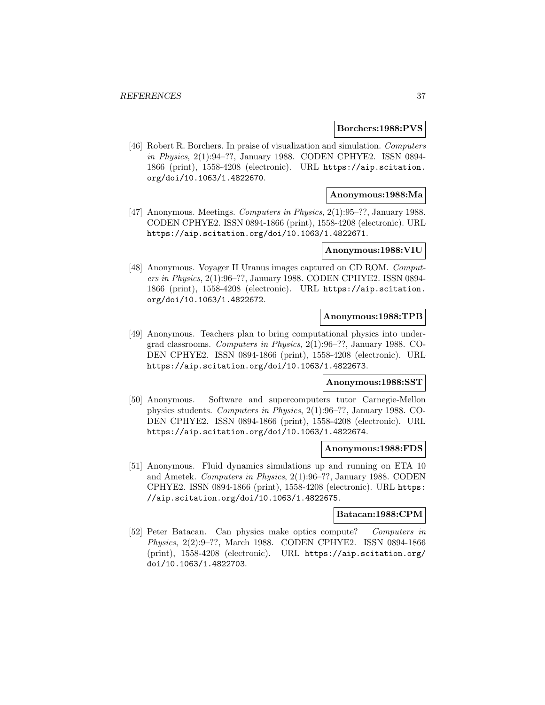### **Borchers:1988:PVS**

[46] Robert R. Borchers. In praise of visualization and simulation. Computers in Physics, 2(1):94–??, January 1988. CODEN CPHYE2. ISSN 0894- 1866 (print), 1558-4208 (electronic). URL https://aip.scitation. org/doi/10.1063/1.4822670.

# **Anonymous:1988:Ma**

[47] Anonymous. Meetings. Computers in Physics, 2(1):95–??, January 1988. CODEN CPHYE2. ISSN 0894-1866 (print), 1558-4208 (electronic). URL https://aip.scitation.org/doi/10.1063/1.4822671.

# **Anonymous:1988:VIU**

[48] Anonymous. Voyager II Uranus images captured on CD ROM. Computers in Physics, 2(1):96–??, January 1988. CODEN CPHYE2. ISSN 0894- 1866 (print), 1558-4208 (electronic). URL https://aip.scitation. org/doi/10.1063/1.4822672.

### **Anonymous:1988:TPB**

[49] Anonymous. Teachers plan to bring computational physics into undergrad classrooms. Computers in Physics, 2(1):96–??, January 1988. CO-DEN CPHYE2. ISSN 0894-1866 (print), 1558-4208 (electronic). URL https://aip.scitation.org/doi/10.1063/1.4822673.

### **Anonymous:1988:SST**

[50] Anonymous. Software and supercomputers tutor Carnegie-Mellon physics students. Computers in Physics, 2(1):96–??, January 1988. CO-DEN CPHYE2. ISSN 0894-1866 (print), 1558-4208 (electronic). URL https://aip.scitation.org/doi/10.1063/1.4822674.

### **Anonymous:1988:FDS**

[51] Anonymous. Fluid dynamics simulations up and running on ETA 10 and Ametek. Computers in Physics, 2(1):96–??, January 1988. CODEN CPHYE2. ISSN 0894-1866 (print), 1558-4208 (electronic). URL https: //aip.scitation.org/doi/10.1063/1.4822675.

# **Batacan:1988:CPM**

[52] Peter Batacan. Can physics make optics compute? Computers in Physics, 2(2):9–??, March 1988. CODEN CPHYE2. ISSN 0894-1866 (print), 1558-4208 (electronic). URL https://aip.scitation.org/ doi/10.1063/1.4822703.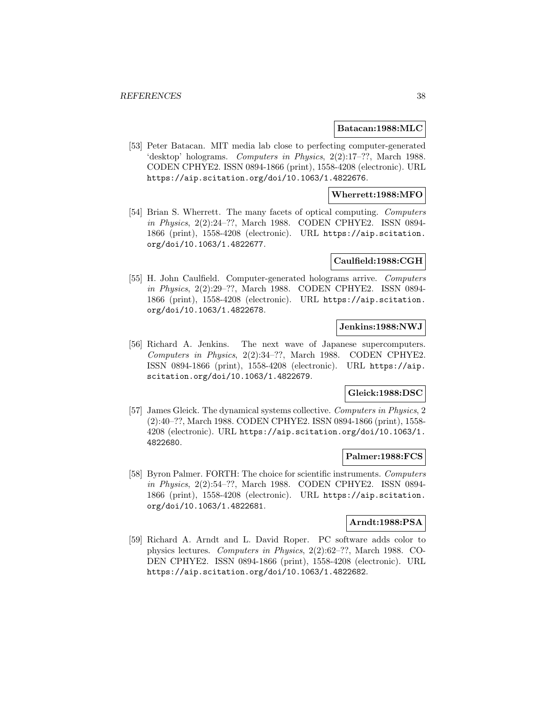### **Batacan:1988:MLC**

[53] Peter Batacan. MIT media lab close to perfecting computer-generated 'desktop' holograms. Computers in Physics, 2(2):17–??, March 1988. CODEN CPHYE2. ISSN 0894-1866 (print), 1558-4208 (electronic). URL https://aip.scitation.org/doi/10.1063/1.4822676.

# **Wherrett:1988:MFO**

[54] Brian S. Wherrett. The many facets of optical computing. Computers in Physics, 2(2):24–??, March 1988. CODEN CPHYE2. ISSN 0894- 1866 (print), 1558-4208 (electronic). URL https://aip.scitation. org/doi/10.1063/1.4822677.

### **Caulfield:1988:CGH**

[55] H. John Caulfield. Computer-generated holograms arrive. Computers in Physics, 2(2):29–??, March 1988. CODEN CPHYE2. ISSN 0894- 1866 (print), 1558-4208 (electronic). URL https://aip.scitation. org/doi/10.1063/1.4822678.

### **Jenkins:1988:NWJ**

[56] Richard A. Jenkins. The next wave of Japanese supercomputers. Computers in Physics, 2(2):34–??, March 1988. CODEN CPHYE2. ISSN 0894-1866 (print), 1558-4208 (electronic). URL https://aip. scitation.org/doi/10.1063/1.4822679.

# **Gleick:1988:DSC**

[57] James Gleick. The dynamical systems collective. Computers in Physics, 2 (2):40–??, March 1988. CODEN CPHYE2. ISSN 0894-1866 (print), 1558- 4208 (electronic). URL https://aip.scitation.org/doi/10.1063/1. 4822680.

# **Palmer:1988:FCS**

[58] Byron Palmer. FORTH: The choice for scientific instruments. Computers in Physics, 2(2):54–??, March 1988. CODEN CPHYE2. ISSN 0894- 1866 (print), 1558-4208 (electronic). URL https://aip.scitation. org/doi/10.1063/1.4822681.

### **Arndt:1988:PSA**

[59] Richard A. Arndt and L. David Roper. PC software adds color to physics lectures. Computers in Physics, 2(2):62–??, March 1988. CO-DEN CPHYE2. ISSN 0894-1866 (print), 1558-4208 (electronic). URL https://aip.scitation.org/doi/10.1063/1.4822682.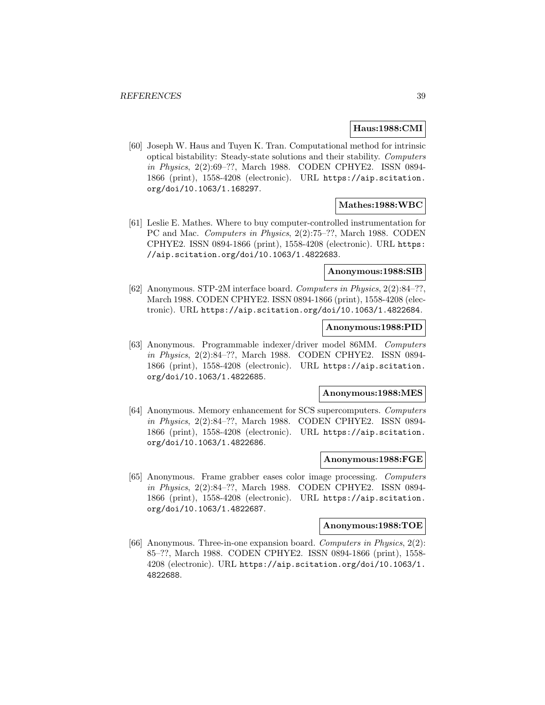### **Haus:1988:CMI**

[60] Joseph W. Haus and Tuyen K. Tran. Computational method for intrinsic optical bistability: Steady-state solutions and their stability. Computers in Physics, 2(2):69–??, March 1988. CODEN CPHYE2. ISSN 0894- 1866 (print), 1558-4208 (electronic). URL https://aip.scitation. org/doi/10.1063/1.168297.

# **Mathes:1988:WBC**

[61] Leslie E. Mathes. Where to buy computer-controlled instrumentation for PC and Mac. Computers in Physics, 2(2):75–??, March 1988. CODEN CPHYE2. ISSN 0894-1866 (print), 1558-4208 (electronic). URL https: //aip.scitation.org/doi/10.1063/1.4822683.

# **Anonymous:1988:SIB**

[62] Anonymous. STP-2M interface board. Computers in Physics, 2(2):84–??, March 1988. CODEN CPHYE2. ISSN 0894-1866 (print), 1558-4208 (electronic). URL https://aip.scitation.org/doi/10.1063/1.4822684.

# **Anonymous:1988:PID**

[63] Anonymous. Programmable indexer/driver model 86MM. Computers in Physics, 2(2):84–??, March 1988. CODEN CPHYE2. ISSN 0894- 1866 (print), 1558-4208 (electronic). URL https://aip.scitation. org/doi/10.1063/1.4822685.

### **Anonymous:1988:MES**

[64] Anonymous. Memory enhancement for SCS supercomputers. Computers in Physics, 2(2):84–??, March 1988. CODEN CPHYE2. ISSN 0894- 1866 (print), 1558-4208 (electronic). URL https://aip.scitation. org/doi/10.1063/1.4822686.

### **Anonymous:1988:FGE**

[65] Anonymous. Frame grabber eases color image processing. Computers in Physics, 2(2):84–??, March 1988. CODEN CPHYE2. ISSN 0894- 1866 (print), 1558-4208 (electronic). URL https://aip.scitation. org/doi/10.1063/1.4822687.

#### **Anonymous:1988:TOE**

[66] Anonymous. Three-in-one expansion board. Computers in Physics, 2(2): 85–??, March 1988. CODEN CPHYE2. ISSN 0894-1866 (print), 1558- 4208 (electronic). URL https://aip.scitation.org/doi/10.1063/1. 4822688.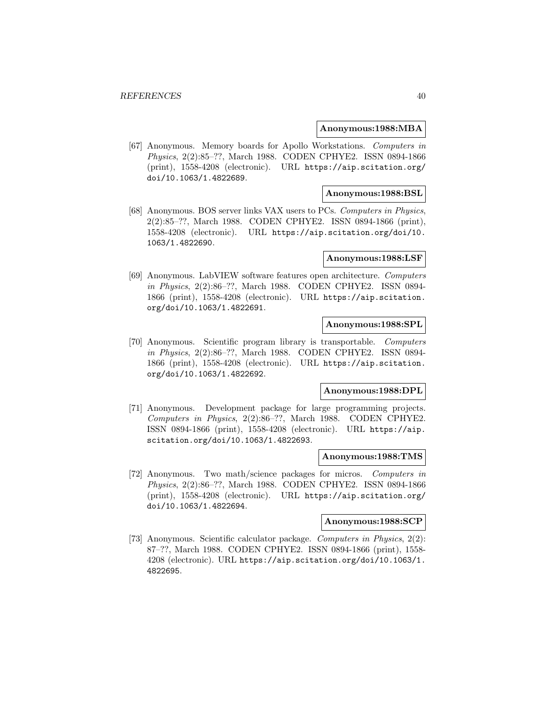### **Anonymous:1988:MBA**

[67] Anonymous. Memory boards for Apollo Workstations. Computers in Physics, 2(2):85–??, March 1988. CODEN CPHYE2. ISSN 0894-1866 (print), 1558-4208 (electronic). URL https://aip.scitation.org/ doi/10.1063/1.4822689.

# **Anonymous:1988:BSL**

[68] Anonymous. BOS server links VAX users to PCs. Computers in Physics, 2(2):85–??, March 1988. CODEN CPHYE2. ISSN 0894-1866 (print), 1558-4208 (electronic). URL https://aip.scitation.org/doi/10. 1063/1.4822690.

#### **Anonymous:1988:LSF**

[69] Anonymous. LabVIEW software features open architecture. Computers in Physics, 2(2):86–??, March 1988. CODEN CPHYE2. ISSN 0894- 1866 (print), 1558-4208 (electronic). URL https://aip.scitation. org/doi/10.1063/1.4822691.

# **Anonymous:1988:SPL**

[70] Anonymous. Scientific program library is transportable. Computers in Physics, 2(2):86–??, March 1988. CODEN CPHYE2. ISSN 0894- 1866 (print), 1558-4208 (electronic). URL https://aip.scitation. org/doi/10.1063/1.4822692.

# **Anonymous:1988:DPL**

[71] Anonymous. Development package for large programming projects. Computers in Physics, 2(2):86–??, March 1988. CODEN CPHYE2. ISSN 0894-1866 (print), 1558-4208 (electronic). URL https://aip. scitation.org/doi/10.1063/1.4822693.

### **Anonymous:1988:TMS**

[72] Anonymous. Two math/science packages for micros. Computers in Physics, 2(2):86–??, March 1988. CODEN CPHYE2. ISSN 0894-1866 (print), 1558-4208 (electronic). URL https://aip.scitation.org/ doi/10.1063/1.4822694.

#### **Anonymous:1988:SCP**

[73] Anonymous. Scientific calculator package. Computers in Physics, 2(2): 87–??, March 1988. CODEN CPHYE2. ISSN 0894-1866 (print), 1558- 4208 (electronic). URL https://aip.scitation.org/doi/10.1063/1. 4822695.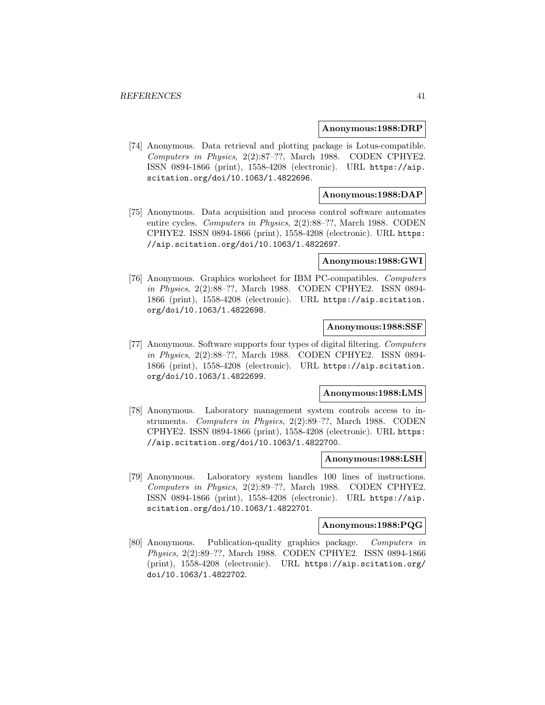#### **Anonymous:1988:DRP**

[74] Anonymous. Data retrieval and plotting package is Lotus-compatible. Computers in Physics, 2(2):87–??, March 1988. CODEN CPHYE2. ISSN 0894-1866 (print), 1558-4208 (electronic). URL https://aip. scitation.org/doi/10.1063/1.4822696.

# **Anonymous:1988:DAP**

[75] Anonymous. Data acquisition and process control software automates entire cycles. Computers in Physics, 2(2):88–??, March 1988. CODEN CPHYE2. ISSN 0894-1866 (print), 1558-4208 (electronic). URL https: //aip.scitation.org/doi/10.1063/1.4822697.

#### **Anonymous:1988:GWI**

[76] Anonymous. Graphics worksheet for IBM PC-compatibles. Computers in Physics, 2(2):88–??, March 1988. CODEN CPHYE2. ISSN 0894- 1866 (print), 1558-4208 (electronic). URL https://aip.scitation. org/doi/10.1063/1.4822698.

# **Anonymous:1988:SSF**

[77] Anonymous. Software supports four types of digital filtering. Computers in Physics, 2(2):88–??, March 1988. CODEN CPHYE2. ISSN 0894- 1866 (print), 1558-4208 (electronic). URL https://aip.scitation. org/doi/10.1063/1.4822699.

### **Anonymous:1988:LMS**

[78] Anonymous. Laboratory management system controls access to instruments. Computers in Physics, 2(2):89–??, March 1988. CODEN CPHYE2. ISSN 0894-1866 (print), 1558-4208 (electronic). URL https: //aip.scitation.org/doi/10.1063/1.4822700.

### **Anonymous:1988:LSH**

[79] Anonymous. Laboratory system handles 100 lines of instructions. Computers in Physics, 2(2):89–??, March 1988. CODEN CPHYE2. ISSN 0894-1866 (print), 1558-4208 (electronic). URL https://aip. scitation.org/doi/10.1063/1.4822701.

#### **Anonymous:1988:PQG**

[80] Anonymous. Publication-quality graphics package. Computers in Physics, 2(2):89–??, March 1988. CODEN CPHYE2. ISSN 0894-1866 (print), 1558-4208 (electronic). URL https://aip.scitation.org/ doi/10.1063/1.4822702.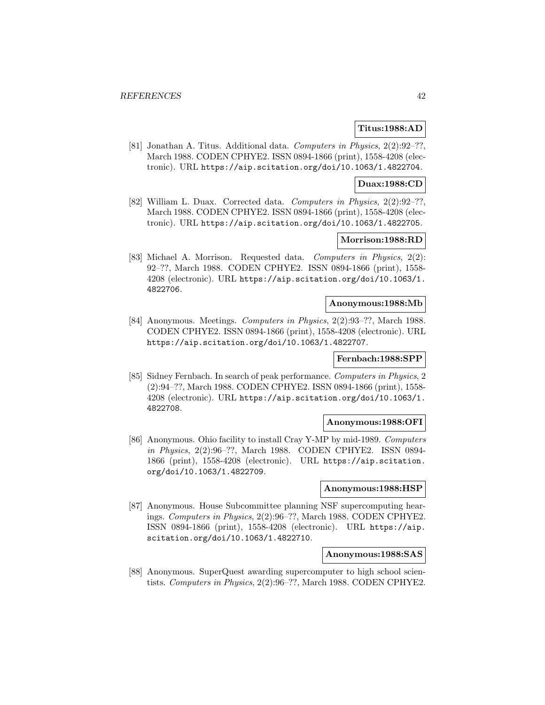# **Titus:1988:AD**

[81] Jonathan A. Titus. Additional data. Computers in Physics, 2(2):92–??, March 1988. CODEN CPHYE2. ISSN 0894-1866 (print), 1558-4208 (electronic). URL https://aip.scitation.org/doi/10.1063/1.4822704.

# **Duax:1988:CD**

[82] William L. Duax. Corrected data. Computers in Physics, 2(2):92–??, March 1988. CODEN CPHYE2. ISSN 0894-1866 (print), 1558-4208 (electronic). URL https://aip.scitation.org/doi/10.1063/1.4822705.

# **Morrison:1988:RD**

[83] Michael A. Morrison. Requested data. Computers in Physics, 2(2): 92–??, March 1988. CODEN CPHYE2. ISSN 0894-1866 (print), 1558- 4208 (electronic). URL https://aip.scitation.org/doi/10.1063/1. 4822706.

### **Anonymous:1988:Mb**

[84] Anonymous. Meetings. Computers in Physics, 2(2):93–??, March 1988. CODEN CPHYE2. ISSN 0894-1866 (print), 1558-4208 (electronic). URL https://aip.scitation.org/doi/10.1063/1.4822707.

# **Fernbach:1988:SPP**

[85] Sidney Fernbach. In search of peak performance. Computers in Physics, 2 (2):94–??, March 1988. CODEN CPHYE2. ISSN 0894-1866 (print), 1558- 4208 (electronic). URL https://aip.scitation.org/doi/10.1063/1. 4822708.

### **Anonymous:1988:OFI**

[86] Anonymous. Ohio facility to install Cray Y-MP by mid-1989. Computers in Physics, 2(2):96–??, March 1988. CODEN CPHYE2. ISSN 0894- 1866 (print), 1558-4208 (electronic). URL https://aip.scitation. org/doi/10.1063/1.4822709.

# **Anonymous:1988:HSP**

[87] Anonymous. House Subcommittee planning NSF supercomputing hearings. Computers in Physics, 2(2):96–??, March 1988. CODEN CPHYE2. ISSN 0894-1866 (print), 1558-4208 (electronic). URL https://aip. scitation.org/doi/10.1063/1.4822710.

### **Anonymous:1988:SAS**

[88] Anonymous. SuperQuest awarding supercomputer to high school scientists. Computers in Physics, 2(2):96–??, March 1988. CODEN CPHYE2.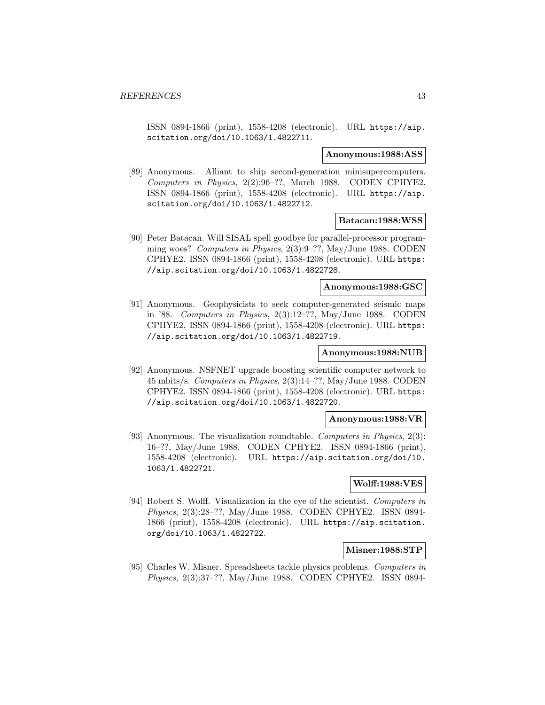ISSN 0894-1866 (print), 1558-4208 (electronic). URL https://aip. scitation.org/doi/10.1063/1.4822711.

#### **Anonymous:1988:ASS**

[89] Anonymous. Alliant to ship second-generation minisupercomputers. Computers in Physics, 2(2):96–??, March 1988. CODEN CPHYE2. ISSN 0894-1866 (print), 1558-4208 (electronic). URL https://aip. scitation.org/doi/10.1063/1.4822712.

### **Batacan:1988:WSS**

[90] Peter Batacan. Will SISAL spell goodbye for parallel-processor programming woes? Computers in Physics, 2(3):9–??, May/June 1988. CODEN CPHYE2. ISSN 0894-1866 (print), 1558-4208 (electronic). URL https: //aip.scitation.org/doi/10.1063/1.4822728.

### **Anonymous:1988:GSC**

[91] Anonymous. Geophysicists to seek computer-generated seismic maps in '88. Computers in Physics, 2(3):12–??, May/June 1988. CODEN CPHYE2. ISSN 0894-1866 (print), 1558-4208 (electronic). URL https: //aip.scitation.org/doi/10.1063/1.4822719.

# **Anonymous:1988:NUB**

[92] Anonymous. NSFNET upgrade boosting scientific computer network to 45 mbits/s. Computers in Physics, 2(3):14–??, May/June 1988. CODEN CPHYE2. ISSN 0894-1866 (print), 1558-4208 (electronic). URL https: //aip.scitation.org/doi/10.1063/1.4822720.

### **Anonymous:1988:VR**

[93] Anonymous. The visualization roundtable. Computers in Physics, 2(3): 16–??, May/June 1988. CODEN CPHYE2. ISSN 0894-1866 (print), 1558-4208 (electronic). URL https://aip.scitation.org/doi/10. 1063/1.4822721.

### **Wolff:1988:VES**

[94] Robert S. Wolff. Visualization in the eye of the scientist. Computers in Physics, 2(3):28–??, May/June 1988. CODEN CPHYE2. ISSN 0894- 1866 (print), 1558-4208 (electronic). URL https://aip.scitation. org/doi/10.1063/1.4822722.

### **Misner:1988:STP**

[95] Charles W. Misner. Spreadsheets tackle physics problems. Computers in Physics, 2(3):37–??, May/June 1988. CODEN CPHYE2. ISSN 0894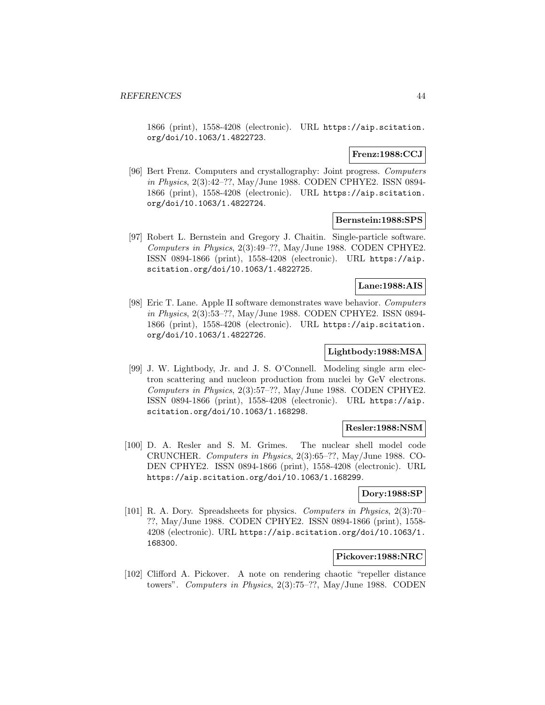1866 (print), 1558-4208 (electronic). URL https://aip.scitation. org/doi/10.1063/1.4822723.

## **Frenz:1988:CCJ**

[96] Bert Frenz. Computers and crystallography: Joint progress. Computers in Physics, 2(3):42–??, May/June 1988. CODEN CPHYE2. ISSN 0894- 1866 (print), 1558-4208 (electronic). URL https://aip.scitation. org/doi/10.1063/1.4822724.

# **Bernstein:1988:SPS**

[97] Robert L. Bernstein and Gregory J. Chaitin. Single-particle software. Computers in Physics, 2(3):49–??, May/June 1988. CODEN CPHYE2. ISSN 0894-1866 (print), 1558-4208 (electronic). URL https://aip. scitation.org/doi/10.1063/1.4822725.

# **Lane:1988:AIS**

[98] Eric T. Lane. Apple II software demonstrates wave behavior. Computers in Physics, 2(3):53–??, May/June 1988. CODEN CPHYE2. ISSN 0894- 1866 (print), 1558-4208 (electronic). URL https://aip.scitation. org/doi/10.1063/1.4822726.

# **Lightbody:1988:MSA**

[99] J. W. Lightbody, Jr. and J. S. O'Connell. Modeling single arm electron scattering and nucleon production from nuclei by GeV electrons. Computers in Physics, 2(3):57–??, May/June 1988. CODEN CPHYE2. ISSN 0894-1866 (print), 1558-4208 (electronic). URL https://aip. scitation.org/doi/10.1063/1.168298.

### **Resler:1988:NSM**

[100] D. A. Resler and S. M. Grimes. The nuclear shell model code CRUNCHER. Computers in Physics, 2(3):65–??, May/June 1988. CO-DEN CPHYE2. ISSN 0894-1866 (print), 1558-4208 (electronic). URL https://aip.scitation.org/doi/10.1063/1.168299.

# **Dory:1988:SP**

[101] R. A. Dory. Spreadsheets for physics. Computers in Physics, 2(3):70– ??, May/June 1988. CODEN CPHYE2. ISSN 0894-1866 (print), 1558- 4208 (electronic). URL https://aip.scitation.org/doi/10.1063/1. 168300.

### **Pickover:1988:NRC**

[102] Clifford A. Pickover. A note on rendering chaotic "repeller distance towers". Computers in Physics, 2(3):75–??, May/June 1988. CODEN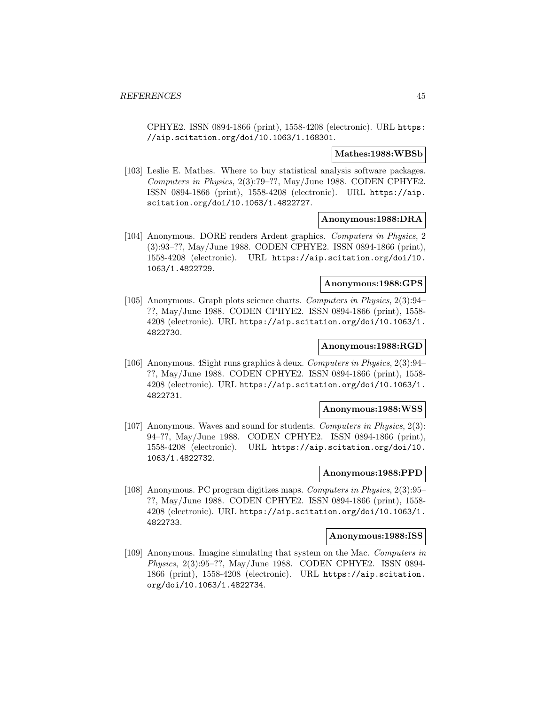CPHYE2. ISSN 0894-1866 (print), 1558-4208 (electronic). URL https: //aip.scitation.org/doi/10.1063/1.168301.

### **Mathes:1988:WBSb**

[103] Leslie E. Mathes. Where to buy statistical analysis software packages. Computers in Physics, 2(3):79–??, May/June 1988. CODEN CPHYE2. ISSN 0894-1866 (print), 1558-4208 (electronic). URL https://aip. scitation.org/doi/10.1063/1.4822727.

# **Anonymous:1988:DRA**

[104] Anonymous. DORE renders Ardent graphics. Computers in Physics, 2 (3):93–??, May/June 1988. CODEN CPHYE2. ISSN 0894-1866 (print), 1558-4208 (electronic). URL https://aip.scitation.org/doi/10. 1063/1.4822729.

# **Anonymous:1988:GPS**

[105] Anonymous. Graph plots science charts. Computers in Physics, 2(3):94– ??, May/June 1988. CODEN CPHYE2. ISSN 0894-1866 (print), 1558- 4208 (electronic). URL https://aip.scitation.org/doi/10.1063/1. 4822730.

### **Anonymous:1988:RGD**

[106] Anonymous. 4Sight runs graphics à deux. Computers in Physics, 2(3):94– ??, May/June 1988. CODEN CPHYE2. ISSN 0894-1866 (print), 1558- 4208 (electronic). URL https://aip.scitation.org/doi/10.1063/1. 4822731.

# **Anonymous:1988:WSS**

[107] Anonymous. Waves and sound for students. Computers in Physics, 2(3): 94–??, May/June 1988. CODEN CPHYE2. ISSN 0894-1866 (print), 1558-4208 (electronic). URL https://aip.scitation.org/doi/10. 1063/1.4822732.

# **Anonymous:1988:PPD**

[108] Anonymous. PC program digitizes maps. Computers in Physics, 2(3):95– ??, May/June 1988. CODEN CPHYE2. ISSN 0894-1866 (print), 1558- 4208 (electronic). URL https://aip.scitation.org/doi/10.1063/1. 4822733.

#### **Anonymous:1988:ISS**

[109] Anonymous. Imagine simulating that system on the Mac. Computers in Physics, 2(3):95–??, May/June 1988. CODEN CPHYE2. ISSN 0894- 1866 (print), 1558-4208 (electronic). URL https://aip.scitation. org/doi/10.1063/1.4822734.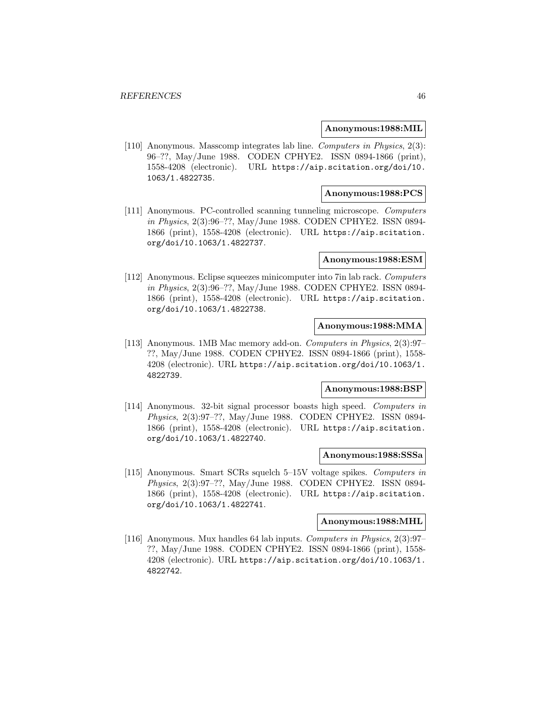### **Anonymous:1988:MIL**

[110] Anonymous. Masscomp integrates lab line. Computers in Physics, 2(3): 96–??, May/June 1988. CODEN CPHYE2. ISSN 0894-1866 (print), 1558-4208 (electronic). URL https://aip.scitation.org/doi/10. 1063/1.4822735.

# **Anonymous:1988:PCS**

[111] Anonymous. PC-controlled scanning tunneling microscope. Computers in Physics, 2(3):96–??, May/June 1988. CODEN CPHYE2. ISSN 0894- 1866 (print), 1558-4208 (electronic). URL https://aip.scitation. org/doi/10.1063/1.4822737.

### **Anonymous:1988:ESM**

[112] Anonymous. Eclipse squeezes minicomputer into 7in lab rack. Computers in Physics, 2(3):96–??, May/June 1988. CODEN CPHYE2. ISSN 0894- 1866 (print), 1558-4208 (electronic). URL https://aip.scitation. org/doi/10.1063/1.4822738.

# **Anonymous:1988:MMA**

[113] Anonymous. 1MB Mac memory add-on. Computers in Physics, 2(3):97– ??, May/June 1988. CODEN CPHYE2. ISSN 0894-1866 (print), 1558- 4208 (electronic). URL https://aip.scitation.org/doi/10.1063/1. 4822739.

# **Anonymous:1988:BSP**

[114] Anonymous. 32-bit signal processor boasts high speed. Computers in Physics, 2(3):97–??, May/June 1988. CODEN CPHYE2. ISSN 0894- 1866 (print), 1558-4208 (electronic). URL https://aip.scitation. org/doi/10.1063/1.4822740.

### **Anonymous:1988:SSSa**

[115] Anonymous. Smart SCRs squelch 5–15V voltage spikes. Computers in Physics, 2(3):97–??, May/June 1988. CODEN CPHYE2. ISSN 0894- 1866 (print), 1558-4208 (electronic). URL https://aip.scitation. org/doi/10.1063/1.4822741.

#### **Anonymous:1988:MHL**

[116] Anonymous. Mux handles 64 lab inputs. Computers in Physics, 2(3):97– ??, May/June 1988. CODEN CPHYE2. ISSN 0894-1866 (print), 1558- 4208 (electronic). URL https://aip.scitation.org/doi/10.1063/1. 4822742.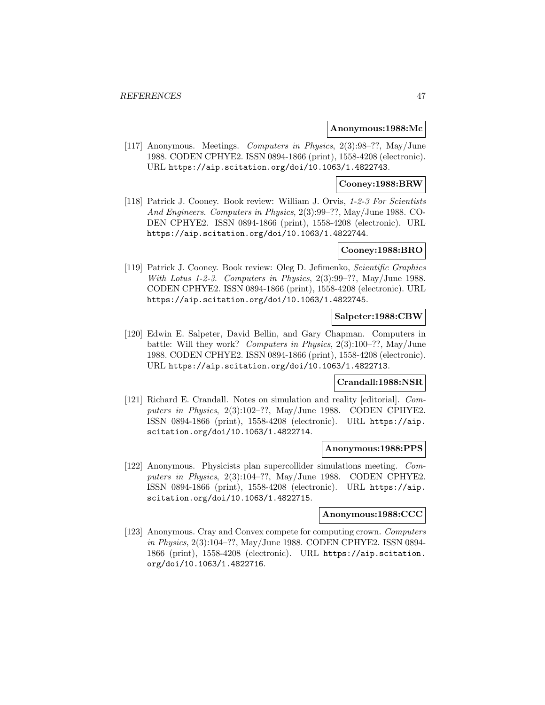### **Anonymous:1988:Mc**

[117] Anonymous. Meetings. Computers in Physics, 2(3):98–??, May/June 1988. CODEN CPHYE2. ISSN 0894-1866 (print), 1558-4208 (electronic). URL https://aip.scitation.org/doi/10.1063/1.4822743.

### **Cooney:1988:BRW**

[118] Patrick J. Cooney. Book review: William J. Orvis, 1-2-3 For Scientists And Engineers. Computers in Physics, 2(3):99–??, May/June 1988. CO-DEN CPHYE2. ISSN 0894-1866 (print), 1558-4208 (electronic). URL https://aip.scitation.org/doi/10.1063/1.4822744.

# **Cooney:1988:BRO**

[119] Patrick J. Cooney. Book review: Oleg D. Jefimenko, Scientific Graphics With Lotus 1-2-3. Computers in Physics, 2(3):99–??, May/June 1988. CODEN CPHYE2. ISSN 0894-1866 (print), 1558-4208 (electronic). URL https://aip.scitation.org/doi/10.1063/1.4822745.

### **Salpeter:1988:CBW**

[120] Edwin E. Salpeter, David Bellin, and Gary Chapman. Computers in battle: Will they work? Computers in Physics, 2(3):100–??, May/June 1988. CODEN CPHYE2. ISSN 0894-1866 (print), 1558-4208 (electronic). URL https://aip.scitation.org/doi/10.1063/1.4822713.

# **Crandall:1988:NSR**

[121] Richard E. Crandall. Notes on simulation and reality [editorial]. Computers in Physics, 2(3):102–??, May/June 1988. CODEN CPHYE2. ISSN 0894-1866 (print), 1558-4208 (electronic). URL https://aip. scitation.org/doi/10.1063/1.4822714.

### **Anonymous:1988:PPS**

[122] Anonymous. Physicists plan supercollider simulations meeting. Computers in Physics,  $2(3):104-??$ , May/June 1988. CODEN CPHYE2. ISSN 0894-1866 (print), 1558-4208 (electronic). URL https://aip. scitation.org/doi/10.1063/1.4822715.

# **Anonymous:1988:CCC**

[123] Anonymous. Cray and Convex compete for computing crown. Computers in Physics, 2(3):104–??, May/June 1988. CODEN CPHYE2. ISSN 0894- 1866 (print), 1558-4208 (electronic). URL https://aip.scitation. org/doi/10.1063/1.4822716.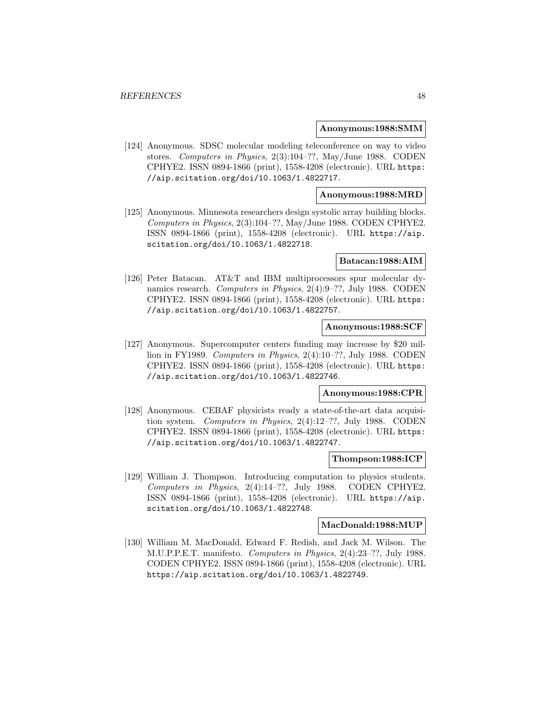### **Anonymous:1988:SMM**

[124] Anonymous. SDSC molecular modeling teleconference on way to video stores. Computers in Physics, 2(3):104–??, May/June 1988. CODEN CPHYE2. ISSN 0894-1866 (print), 1558-4208 (electronic). URL https: //aip.scitation.org/doi/10.1063/1.4822717.

# **Anonymous:1988:MRD**

[125] Anonymous. Minnesota researchers design systolic array building blocks. Computers in Physics, 2(3):104–??, May/June 1988. CODEN CPHYE2. ISSN 0894-1866 (print), 1558-4208 (electronic). URL https://aip. scitation.org/doi/10.1063/1.4822718.

### **Batacan:1988:AIM**

[126] Peter Batacan. AT&T and IBM multiprocessors spur molecular dynamics research. Computers in Physics, 2(4):9–??, July 1988. CODEN CPHYE2. ISSN 0894-1866 (print), 1558-4208 (electronic). URL https: //aip.scitation.org/doi/10.1063/1.4822757.

# **Anonymous:1988:SCF**

[127] Anonymous. Supercomputer centers funding may increase by \$20 million in FY1989. Computers in Physics, 2(4):10–??, July 1988. CODEN CPHYE2. ISSN 0894-1866 (print), 1558-4208 (electronic). URL https: //aip.scitation.org/doi/10.1063/1.4822746.

### **Anonymous:1988:CPR**

[128] Anonymous. CEBAF physicists ready a state-of-the-art data acquisition system. Computers in Physics, 2(4):12–??, July 1988. CODEN CPHYE2. ISSN 0894-1866 (print), 1558-4208 (electronic). URL https: //aip.scitation.org/doi/10.1063/1.4822747.

### **Thompson:1988:ICP**

[129] William J. Thompson. Introducing computation to physics students. Computers in Physics, 2(4):14–??, July 1988. CODEN CPHYE2. ISSN 0894-1866 (print), 1558-4208 (electronic). URL https://aip. scitation.org/doi/10.1063/1.4822748.

#### **MacDonald:1988:MUP**

[130] William M. MacDonald, Edward F. Redish, and Jack M. Wilson. The M.U.P.P.E.T. manifesto. Computers in Physics, 2(4):23–??, July 1988. CODEN CPHYE2. ISSN 0894-1866 (print), 1558-4208 (electronic). URL https://aip.scitation.org/doi/10.1063/1.4822749.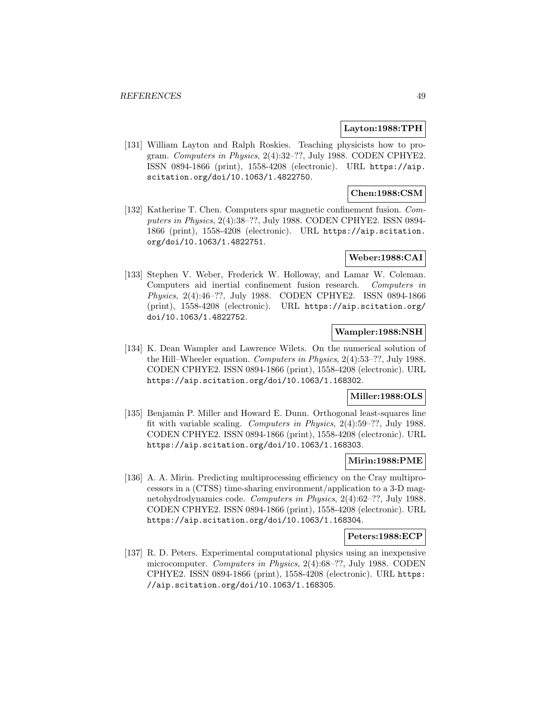### **Layton:1988:TPH**

[131] William Layton and Ralph Roskies. Teaching physicists how to program. Computers in Physics, 2(4):32–??, July 1988. CODEN CPHYE2. ISSN 0894-1866 (print), 1558-4208 (electronic). URL https://aip. scitation.org/doi/10.1063/1.4822750.

# **Chen:1988:CSM**

[132] Katherine T. Chen. Computers spur magnetic confinement fusion. Computers in Physics, 2(4):38–??, July 1988. CODEN CPHYE2. ISSN 0894- 1866 (print), 1558-4208 (electronic). URL https://aip.scitation. org/doi/10.1063/1.4822751.

# **Weber:1988:CAI**

[133] Stephen V. Weber, Frederick W. Holloway, and Lamar W. Coleman. Computers aid inertial confinement fusion research. Computers in Physics, 2(4):46–??, July 1988. CODEN CPHYE2. ISSN 0894-1866 (print), 1558-4208 (electronic). URL https://aip.scitation.org/ doi/10.1063/1.4822752.

# **Wampler:1988:NSH**

[134] K. Dean Wampler and Lawrence Wilets. On the numerical solution of the Hill–Wheeler equation. Computers in Physics, 2(4):53–??, July 1988. CODEN CPHYE2. ISSN 0894-1866 (print), 1558-4208 (electronic). URL https://aip.scitation.org/doi/10.1063/1.168302.

# **Miller:1988:OLS**

[135] Benjamin P. Miller and Howard E. Dunn. Orthogonal least-squares line fit with variable scaling. Computers in Physics, 2(4):59–??, July 1988. CODEN CPHYE2. ISSN 0894-1866 (print), 1558-4208 (electronic). URL https://aip.scitation.org/doi/10.1063/1.168303.

# **Mirin:1988:PME**

[136] A. A. Mirin. Predicting multiprocessing efficiency on the Cray multiprocessors in a (CTSS) time-sharing environment/application to a 3-D magnetohydrodynamics code. Computers in Physics, 2(4):62–??, July 1988. CODEN CPHYE2. ISSN 0894-1866 (print), 1558-4208 (electronic). URL https://aip.scitation.org/doi/10.1063/1.168304.

# **Peters:1988:ECP**

[137] R. D. Peters. Experimental computational physics using an inexpensive microcomputer. Computers in Physics, 2(4):68–??, July 1988. CODEN CPHYE2. ISSN 0894-1866 (print), 1558-4208 (electronic). URL https: //aip.scitation.org/doi/10.1063/1.168305.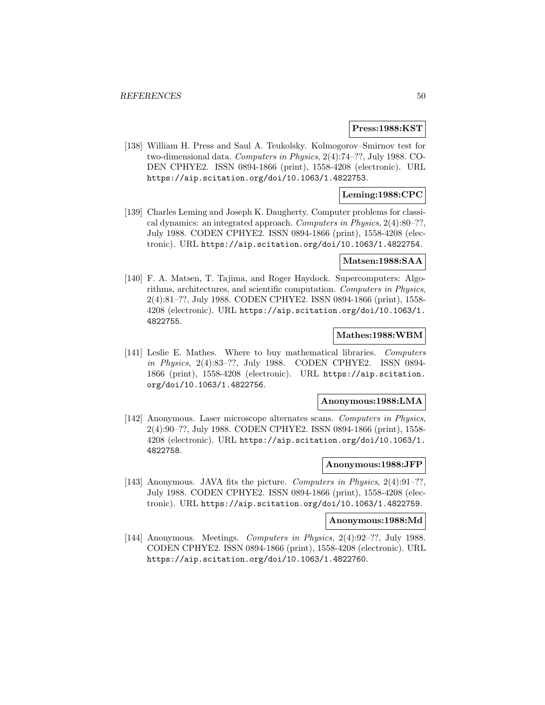### **Press:1988:KST**

[138] William H. Press and Saul A. Teukolsky. Kolmogorov–Smirnov test for two-dimensional data. Computers in Physics, 2(4):74–??, July 1988. CO-DEN CPHYE2. ISSN 0894-1866 (print), 1558-4208 (electronic). URL https://aip.scitation.org/doi/10.1063/1.4822753.

# **Leming:1988:CPC**

[139] Charles Leming and Joseph K. Daugherty. Computer problems for classical dynamics: an integrated approach. Computers in Physics, 2(4):80–??, July 1988. CODEN CPHYE2. ISSN 0894-1866 (print), 1558-4208 (electronic). URL https://aip.scitation.org/doi/10.1063/1.4822754.

# **Matsen:1988:SAA**

[140] F. A. Matsen, T. Tajima, and Roger Haydock. Supercomputers: Algorithms, architectures, and scientific computation. Computers in Physics, 2(4):81–??, July 1988. CODEN CPHYE2. ISSN 0894-1866 (print), 1558- 4208 (electronic). URL https://aip.scitation.org/doi/10.1063/1. 4822755.

### **Mathes:1988:WBM**

[141] Leslie E. Mathes. Where to buy mathematical libraries. Computers in Physics, 2(4):83–??, July 1988. CODEN CPHYE2. ISSN 0894- 1866 (print), 1558-4208 (electronic). URL https://aip.scitation. org/doi/10.1063/1.4822756.

# **Anonymous:1988:LMA**

[142] Anonymous. Laser microscope alternates scans. Computers in Physics, 2(4):90–??, July 1988. CODEN CPHYE2. ISSN 0894-1866 (print), 1558- 4208 (electronic). URL https://aip.scitation.org/doi/10.1063/1. 4822758.

### **Anonymous:1988:JFP**

[143] Anonymous. JAVA fits the picture. Computers in Physics, 2(4):91–??, July 1988. CODEN CPHYE2. ISSN 0894-1866 (print), 1558-4208 (electronic). URL https://aip.scitation.org/doi/10.1063/1.4822759.

#### **Anonymous:1988:Md**

[144] Anonymous. Meetings. Computers in Physics, 2(4):92–??, July 1988. CODEN CPHYE2. ISSN 0894-1866 (print), 1558-4208 (electronic). URL https://aip.scitation.org/doi/10.1063/1.4822760.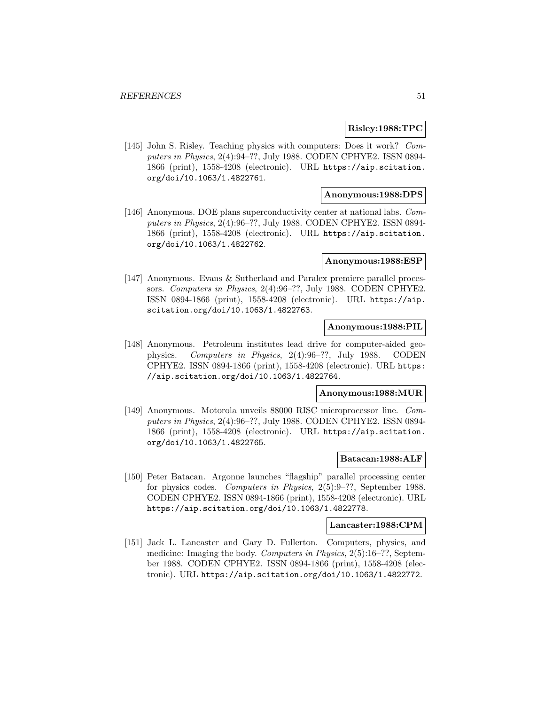### **Risley:1988:TPC**

[145] John S. Risley. Teaching physics with computers: Does it work? Computers in Physics, 2(4):94–??, July 1988. CODEN CPHYE2. ISSN 0894- 1866 (print), 1558-4208 (electronic). URL https://aip.scitation. org/doi/10.1063/1.4822761.

# **Anonymous:1988:DPS**

[146] Anonymous. DOE plans superconductivity center at national labs. Computers in Physics, 2(4):96–??, July 1988. CODEN CPHYE2. ISSN 0894- 1866 (print), 1558-4208 (electronic). URL https://aip.scitation. org/doi/10.1063/1.4822762.

### **Anonymous:1988:ESP**

[147] Anonymous. Evans & Sutherland and Paralex premiere parallel processors. Computers in Physics, 2(4):96-??, July 1988. CODEN CPHYE2. ISSN 0894-1866 (print), 1558-4208 (electronic). URL https://aip. scitation.org/doi/10.1063/1.4822763.

# **Anonymous:1988:PIL**

[148] Anonymous. Petroleum institutes lead drive for computer-aided geophysics. Computers in Physics, 2(4):96–??, July 1988. CODEN CPHYE2. ISSN 0894-1866 (print), 1558-4208 (electronic). URL https: //aip.scitation.org/doi/10.1063/1.4822764.

### **Anonymous:1988:MUR**

[149] Anonymous. Motorola unveils 88000 RISC microprocessor line. Computers in Physics, 2(4):96–??, July 1988. CODEN CPHYE2. ISSN 0894- 1866 (print), 1558-4208 (electronic). URL https://aip.scitation. org/doi/10.1063/1.4822765.

# **Batacan:1988:ALF**

[150] Peter Batacan. Argonne launches "flagship" parallel processing center for physics codes. Computers in Physics, 2(5):9–??, September 1988. CODEN CPHYE2. ISSN 0894-1866 (print), 1558-4208 (electronic). URL https://aip.scitation.org/doi/10.1063/1.4822778.

#### **Lancaster:1988:CPM**

[151] Jack L. Lancaster and Gary D. Fullerton. Computers, physics, and medicine: Imaging the body. Computers in Physics, 2(5):16–??, September 1988. CODEN CPHYE2. ISSN 0894-1866 (print), 1558-4208 (electronic). URL https://aip.scitation.org/doi/10.1063/1.4822772.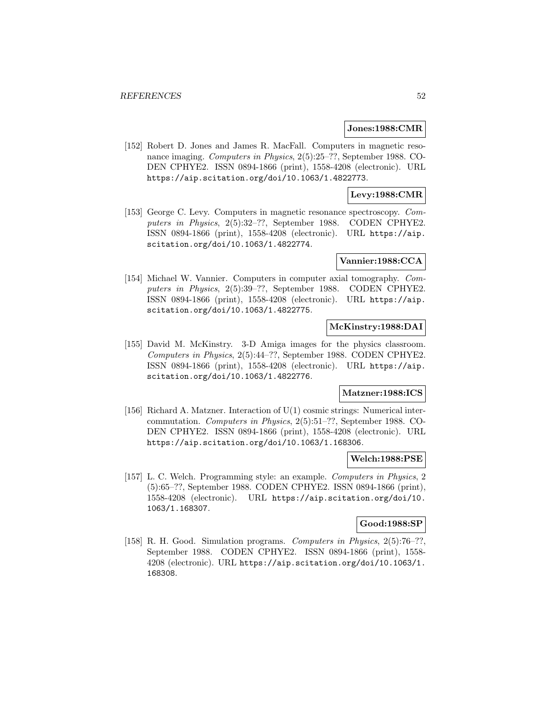### **Jones:1988:CMR**

[152] Robert D. Jones and James R. MacFall. Computers in magnetic resonance imaging. Computers in Physics, 2(5):25–??, September 1988. CO-DEN CPHYE2. ISSN 0894-1866 (print), 1558-4208 (electronic). URL https://aip.scitation.org/doi/10.1063/1.4822773.

# **Levy:1988:CMR**

[153] George C. Levy. Computers in magnetic resonance spectroscopy. Computers in Physics, 2(5):32–??, September 1988. CODEN CPHYE2. ISSN 0894-1866 (print), 1558-4208 (electronic). URL https://aip. scitation.org/doi/10.1063/1.4822774.

### **Vannier:1988:CCA**

[154] Michael W. Vannier. Computers in computer axial tomography. Computers in Physics, 2(5):39–??, September 1988. CODEN CPHYE2. ISSN 0894-1866 (print), 1558-4208 (electronic). URL https://aip. scitation.org/doi/10.1063/1.4822775.

# **McKinstry:1988:DAI**

[155] David M. McKinstry. 3-D Amiga images for the physics classroom. Computers in Physics, 2(5):44–??, September 1988. CODEN CPHYE2. ISSN 0894-1866 (print), 1558-4208 (electronic). URL https://aip. scitation.org/doi/10.1063/1.4822776.

### **Matzner:1988:ICS**

[156] Richard A. Matzner. Interaction of  $U(1)$  cosmic strings: Numerical intercommutation. Computers in Physics, 2(5):51–??, September 1988. CO-DEN CPHYE2. ISSN 0894-1866 (print), 1558-4208 (electronic). URL https://aip.scitation.org/doi/10.1063/1.168306.

### **Welch:1988:PSE**

[157] L. C. Welch. Programming style: an example. Computers in Physics, 2 (5):65–??, September 1988. CODEN CPHYE2. ISSN 0894-1866 (print), 1558-4208 (electronic). URL https://aip.scitation.org/doi/10. 1063/1.168307.

### **Good:1988:SP**

[158] R. H. Good. Simulation programs. Computers in Physics, 2(5):76–??, September 1988. CODEN CPHYE2. ISSN 0894-1866 (print), 1558- 4208 (electronic). URL https://aip.scitation.org/doi/10.1063/1. 168308.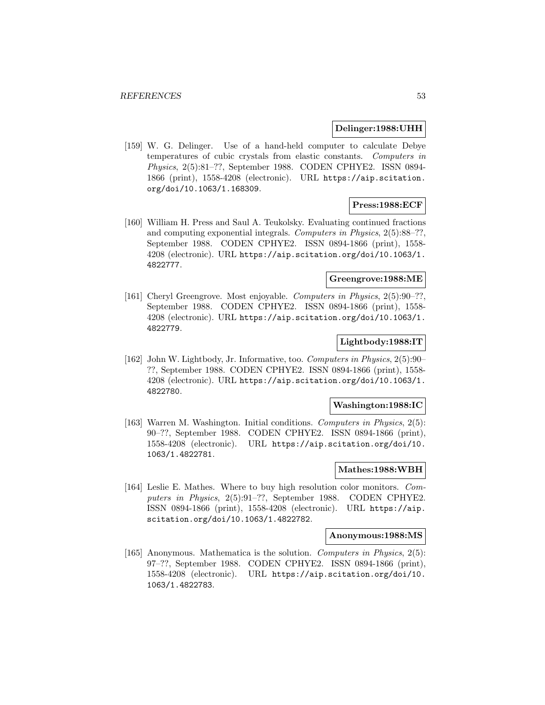### **Delinger:1988:UHH**

[159] W. G. Delinger. Use of a hand-held computer to calculate Debye temperatures of cubic crystals from elastic constants. Computers in Physics, 2(5):81–??, September 1988. CODEN CPHYE2. ISSN 0894- 1866 (print), 1558-4208 (electronic). URL https://aip.scitation. org/doi/10.1063/1.168309.

# **Press:1988:ECF**

[160] William H. Press and Saul A. Teukolsky. Evaluating continued fractions and computing exponential integrals. Computers in Physics, 2(5):88–??, September 1988. CODEN CPHYE2. ISSN 0894-1866 (print), 1558- 4208 (electronic). URL https://aip.scitation.org/doi/10.1063/1. 4822777.

# **Greengrove:1988:ME**

[161] Cheryl Greengrove. Most enjoyable. Computers in Physics, 2(5):90–??, September 1988. CODEN CPHYE2. ISSN 0894-1866 (print), 1558- 4208 (electronic). URL https://aip.scitation.org/doi/10.1063/1. 4822779.

# **Lightbody:1988:IT**

[162] John W. Lightbody, Jr. Informative, too. Computers in Physics, 2(5):90– ??, September 1988. CODEN CPHYE2. ISSN 0894-1866 (print), 1558- 4208 (electronic). URL https://aip.scitation.org/doi/10.1063/1. 4822780.

### **Washington:1988:IC**

[163] Warren M. Washington. Initial conditions. Computers in Physics, 2(5): 90–??, September 1988. CODEN CPHYE2. ISSN 0894-1866 (print), 1558-4208 (electronic). URL https://aip.scitation.org/doi/10. 1063/1.4822781.

# **Mathes:1988:WBH**

[164] Leslie E. Mathes. Where to buy high resolution color monitors. Computers in Physics, 2(5):91-??, September 1988. CODEN CPHYE2. ISSN 0894-1866 (print), 1558-4208 (electronic). URL https://aip. scitation.org/doi/10.1063/1.4822782.

#### **Anonymous:1988:MS**

[165] Anonymous. Mathematica is the solution. Computers in Physics, 2(5): 97–??, September 1988. CODEN CPHYE2. ISSN 0894-1866 (print), 1558-4208 (electronic). URL https://aip.scitation.org/doi/10. 1063/1.4822783.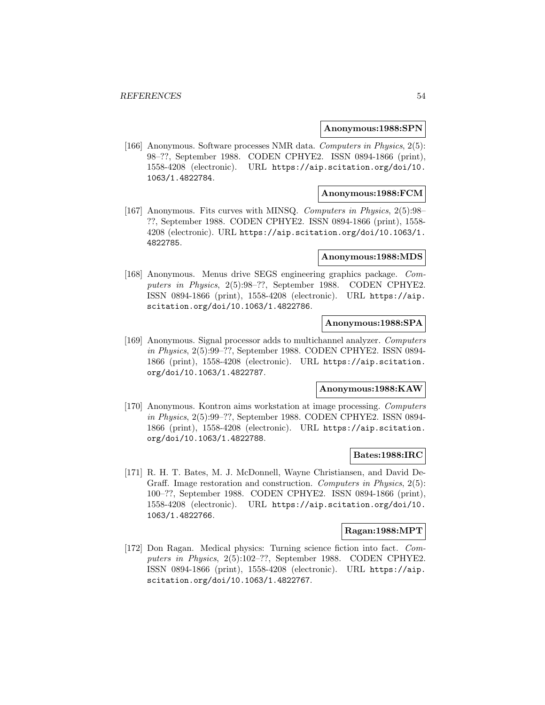### **Anonymous:1988:SPN**

[166] Anonymous. Software processes NMR data. Computers in Physics, 2(5): 98–??, September 1988. CODEN CPHYE2. ISSN 0894-1866 (print), 1558-4208 (electronic). URL https://aip.scitation.org/doi/10. 1063/1.4822784.

# **Anonymous:1988:FCM**

[167] Anonymous. Fits curves with MINSQ. Computers in Physics, 2(5):98– ??, September 1988. CODEN CPHYE2. ISSN 0894-1866 (print), 1558- 4208 (electronic). URL https://aip.scitation.org/doi/10.1063/1. 4822785.

### **Anonymous:1988:MDS**

[168] Anonymous. Menus drive SEGS engineering graphics package. Computers in Physics, 2(5):98–??, September 1988. CODEN CPHYE2. ISSN 0894-1866 (print), 1558-4208 (electronic). URL https://aip. scitation.org/doi/10.1063/1.4822786.

# **Anonymous:1988:SPA**

[169] Anonymous. Signal processor adds to multichannel analyzer. Computers in Physics, 2(5):99–??, September 1988. CODEN CPHYE2. ISSN 0894- 1866 (print), 1558-4208 (electronic). URL https://aip.scitation. org/doi/10.1063/1.4822787.

# **Anonymous:1988:KAW**

[170] Anonymous. Kontron aims workstation at image processing. Computers in Physics, 2(5):99–??, September 1988. CODEN CPHYE2. ISSN 0894- 1866 (print), 1558-4208 (electronic). URL https://aip.scitation. org/doi/10.1063/1.4822788.

# **Bates:1988:IRC**

[171] R. H. T. Bates, M. J. McDonnell, Wayne Christiansen, and David De-Graff. Image restoration and construction. Computers in Physics, 2(5): 100–??, September 1988. CODEN CPHYE2. ISSN 0894-1866 (print), 1558-4208 (electronic). URL https://aip.scitation.org/doi/10. 1063/1.4822766.

# **Ragan:1988:MPT**

[172] Don Ragan. Medical physics: Turning science fiction into fact. Computers in Physics, 2(5):102–??, September 1988. CODEN CPHYE2. ISSN 0894-1866 (print), 1558-4208 (electronic). URL https://aip. scitation.org/doi/10.1063/1.4822767.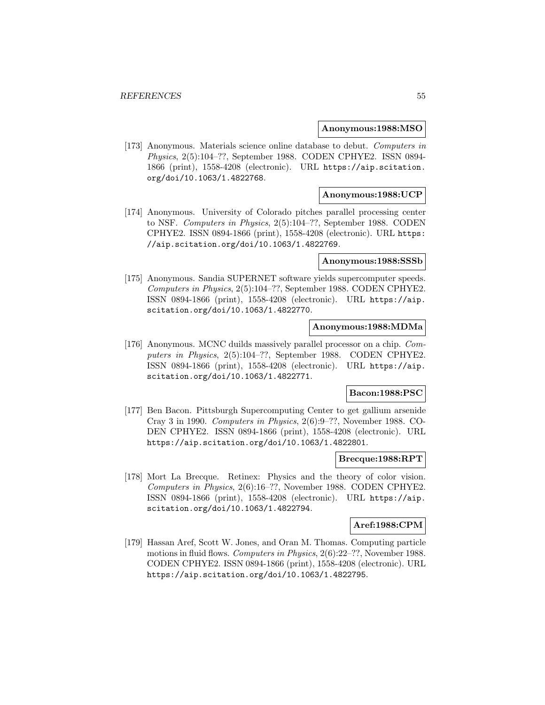### **Anonymous:1988:MSO**

[173] Anonymous. Materials science online database to debut. Computers in Physics, 2(5):104–??, September 1988. CODEN CPHYE2. ISSN 0894- 1866 (print), 1558-4208 (electronic). URL https://aip.scitation. org/doi/10.1063/1.4822768.

# **Anonymous:1988:UCP**

[174] Anonymous. University of Colorado pitches parallel processing center to NSF. Computers in Physics, 2(5):104–??, September 1988. CODEN CPHYE2. ISSN 0894-1866 (print), 1558-4208 (electronic). URL https: //aip.scitation.org/doi/10.1063/1.4822769.

### **Anonymous:1988:SSSb**

[175] Anonymous. Sandia SUPERNET software yields supercomputer speeds. Computers in Physics, 2(5):104–??, September 1988. CODEN CPHYE2. ISSN 0894-1866 (print), 1558-4208 (electronic). URL https://aip. scitation.org/doi/10.1063/1.4822770.

# **Anonymous:1988:MDMa**

[176] Anonymous. MCNC duilds massively parallel processor on a chip. Computers in Physics, 2(5):104–??, September 1988. CODEN CPHYE2. ISSN 0894-1866 (print), 1558-4208 (electronic). URL https://aip. scitation.org/doi/10.1063/1.4822771.

### **Bacon:1988:PSC**

[177] Ben Bacon. Pittsburgh Supercomputing Center to get gallium arsenide Cray 3 in 1990. Computers in Physics, 2(6):9–??, November 1988. CO-DEN CPHYE2. ISSN 0894-1866 (print), 1558-4208 (electronic). URL https://aip.scitation.org/doi/10.1063/1.4822801.

# **Brecque:1988:RPT**

[178] Mort La Brecque. Retinex: Physics and the theory of color vision. Computers in Physics, 2(6):16–??, November 1988. CODEN CPHYE2. ISSN 0894-1866 (print), 1558-4208 (electronic). URL https://aip. scitation.org/doi/10.1063/1.4822794.

### **Aref:1988:CPM**

[179] Hassan Aref, Scott W. Jones, and Oran M. Thomas. Computing particle motions in fluid flows. Computers in Physics, 2(6):22–??, November 1988. CODEN CPHYE2. ISSN 0894-1866 (print), 1558-4208 (electronic). URL https://aip.scitation.org/doi/10.1063/1.4822795.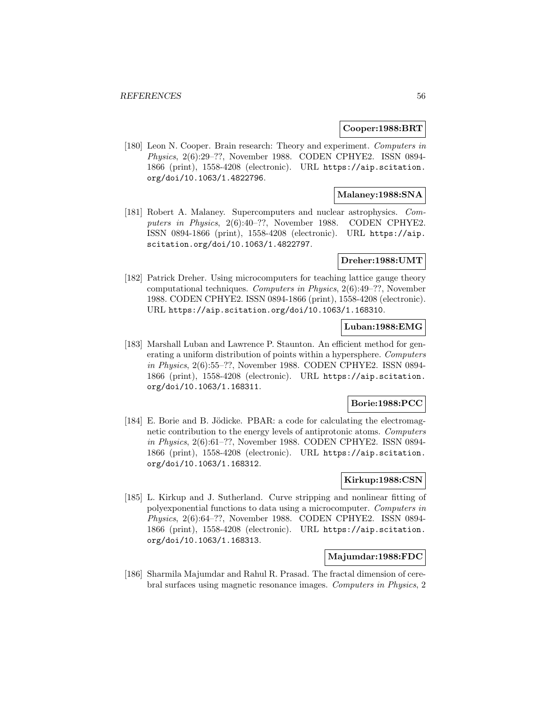### **Cooper:1988:BRT**

[180] Leon N. Cooper. Brain research: Theory and experiment. Computers in Physics, 2(6):29–??, November 1988. CODEN CPHYE2. ISSN 0894- 1866 (print), 1558-4208 (electronic). URL https://aip.scitation. org/doi/10.1063/1.4822796.

# **Malaney:1988:SNA**

[181] Robert A. Malaney. Supercomputers and nuclear astrophysics. Computers in Physics, 2(6):40–??, November 1988. CODEN CPHYE2. ISSN 0894-1866 (print), 1558-4208 (electronic). URL https://aip. scitation.org/doi/10.1063/1.4822797.

### **Dreher:1988:UMT**

[182] Patrick Dreher. Using microcomputers for teaching lattice gauge theory computational techniques. Computers in Physics, 2(6):49–??, November 1988. CODEN CPHYE2. ISSN 0894-1866 (print), 1558-4208 (electronic). URL https://aip.scitation.org/doi/10.1063/1.168310.

# **Luban:1988:EMG**

[183] Marshall Luban and Lawrence P. Staunton. An efficient method for generating a uniform distribution of points within a hypersphere. Computers in Physics, 2(6):55–??, November 1988. CODEN CPHYE2. ISSN 0894- 1866 (print), 1558-4208 (electronic). URL https://aip.scitation. org/doi/10.1063/1.168311.

# **Borie:1988:PCC**

[184] E. Borie and B. Jödicke. PBAR: a code for calculating the electromagnetic contribution to the energy levels of antiprotonic atoms. Computers in Physics, 2(6):61–??, November 1988. CODEN CPHYE2. ISSN 0894- 1866 (print), 1558-4208 (electronic). URL https://aip.scitation. org/doi/10.1063/1.168312.

# **Kirkup:1988:CSN**

[185] L. Kirkup and J. Sutherland. Curve stripping and nonlinear fitting of polyexponential functions to data using a microcomputer. Computers in Physics, 2(6):64–??, November 1988. CODEN CPHYE2. ISSN 0894- 1866 (print), 1558-4208 (electronic). URL https://aip.scitation. org/doi/10.1063/1.168313.

# **Majumdar:1988:FDC**

[186] Sharmila Majumdar and Rahul R. Prasad. The fractal dimension of cerebral surfaces using magnetic resonance images. Computers in Physics, 2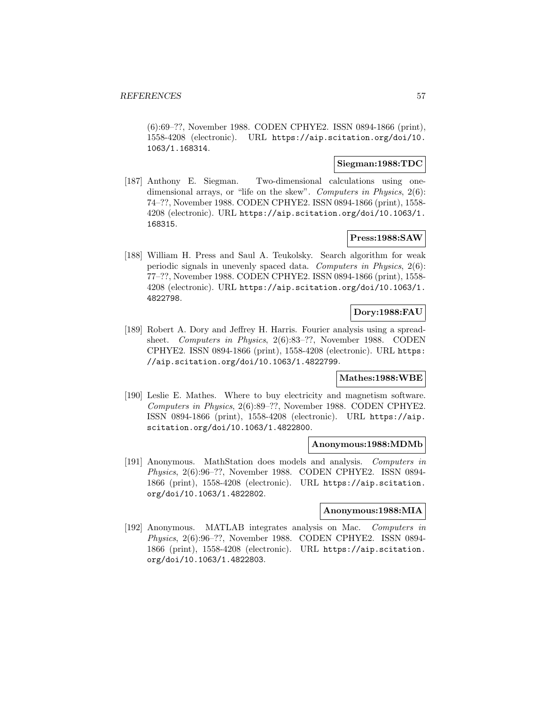(6):69–??, November 1988. CODEN CPHYE2. ISSN 0894-1866 (print), 1558-4208 (electronic). URL https://aip.scitation.org/doi/10. 1063/1.168314.

### **Siegman:1988:TDC**

[187] Anthony E. Siegman. Two-dimensional calculations using onedimensional arrays, or "life on the skew". Computers in Physics, 2(6): 74–??, November 1988. CODEN CPHYE2. ISSN 0894-1866 (print), 1558- 4208 (electronic). URL https://aip.scitation.org/doi/10.1063/1. 168315.

# **Press:1988:SAW**

[188] William H. Press and Saul A. Teukolsky. Search algorithm for weak periodic signals in unevenly spaced data. Computers in Physics, 2(6): 77–??, November 1988. CODEN CPHYE2. ISSN 0894-1866 (print), 1558- 4208 (electronic). URL https://aip.scitation.org/doi/10.1063/1. 4822798.

# **Dory:1988:FAU**

[189] Robert A. Dory and Jeffrey H. Harris. Fourier analysis using a spreadsheet. Computers in Physics, 2(6):83–??, November 1988. CODEN CPHYE2. ISSN 0894-1866 (print), 1558-4208 (electronic). URL https: //aip.scitation.org/doi/10.1063/1.4822799.

# **Mathes:1988:WBE**

[190] Leslie E. Mathes. Where to buy electricity and magnetism software. Computers in Physics, 2(6):89–??, November 1988. CODEN CPHYE2. ISSN 0894-1866 (print), 1558-4208 (electronic). URL https://aip. scitation.org/doi/10.1063/1.4822800.

### **Anonymous:1988:MDMb**

[191] Anonymous. MathStation does models and analysis. Computers in Physics, 2(6):96–??, November 1988. CODEN CPHYE2. ISSN 0894- 1866 (print), 1558-4208 (electronic). URL https://aip.scitation. org/doi/10.1063/1.4822802.

### **Anonymous:1988:MIA**

[192] Anonymous. MATLAB integrates analysis on Mac. Computers in Physics, 2(6):96–??, November 1988. CODEN CPHYE2. ISSN 0894- 1866 (print), 1558-4208 (electronic). URL https://aip.scitation. org/doi/10.1063/1.4822803.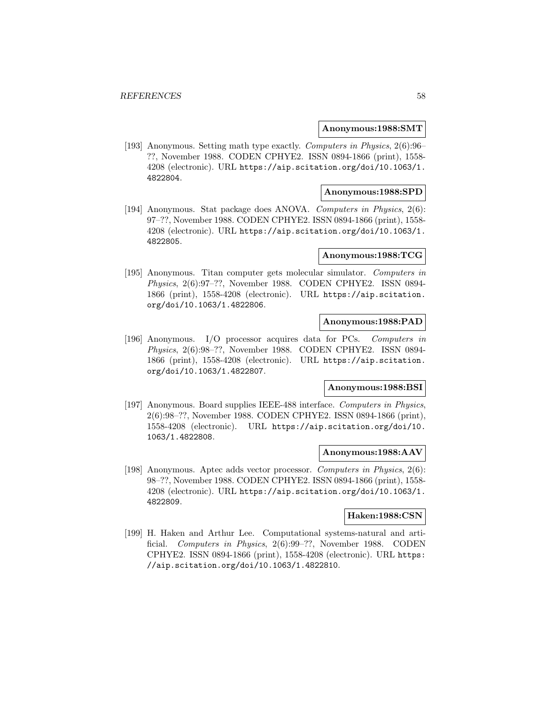### **Anonymous:1988:SMT**

[193] Anonymous. Setting math type exactly. Computers in Physics, 2(6):96– ??, November 1988. CODEN CPHYE2. ISSN 0894-1866 (print), 1558- 4208 (electronic). URL https://aip.scitation.org/doi/10.1063/1. 4822804.

### **Anonymous:1988:SPD**

[194] Anonymous. Stat package does ANOVA. Computers in Physics, 2(6): 97–??, November 1988. CODEN CPHYE2. ISSN 0894-1866 (print), 1558- 4208 (electronic). URL https://aip.scitation.org/doi/10.1063/1. 4822805.

### **Anonymous:1988:TCG**

[195] Anonymous. Titan computer gets molecular simulator. Computers in Physics, 2(6):97–??, November 1988. CODEN CPHYE2. ISSN 0894- 1866 (print), 1558-4208 (electronic). URL https://aip.scitation. org/doi/10.1063/1.4822806.

# **Anonymous:1988:PAD**

[196] Anonymous. I/O processor acquires data for PCs. Computers in Physics, 2(6):98–??, November 1988. CODEN CPHYE2. ISSN 0894- 1866 (print), 1558-4208 (electronic). URL https://aip.scitation. org/doi/10.1063/1.4822807.

# **Anonymous:1988:BSI**

[197] Anonymous. Board supplies IEEE-488 interface. Computers in Physics, 2(6):98–??, November 1988. CODEN CPHYE2. ISSN 0894-1866 (print), 1558-4208 (electronic). URL https://aip.scitation.org/doi/10. 1063/1.4822808.

### **Anonymous:1988:AAV**

[198] Anonymous. Aptec adds vector processor. Computers in Physics, 2(6): 98–??, November 1988. CODEN CPHYE2. ISSN 0894-1866 (print), 1558- 4208 (electronic). URL https://aip.scitation.org/doi/10.1063/1. 4822809.

# **Haken:1988:CSN**

[199] H. Haken and Arthur Lee. Computational systems-natural and artificial. Computers in Physics, 2(6):99–??, November 1988. CODEN CPHYE2. ISSN 0894-1866 (print), 1558-4208 (electronic). URL https: //aip.scitation.org/doi/10.1063/1.4822810.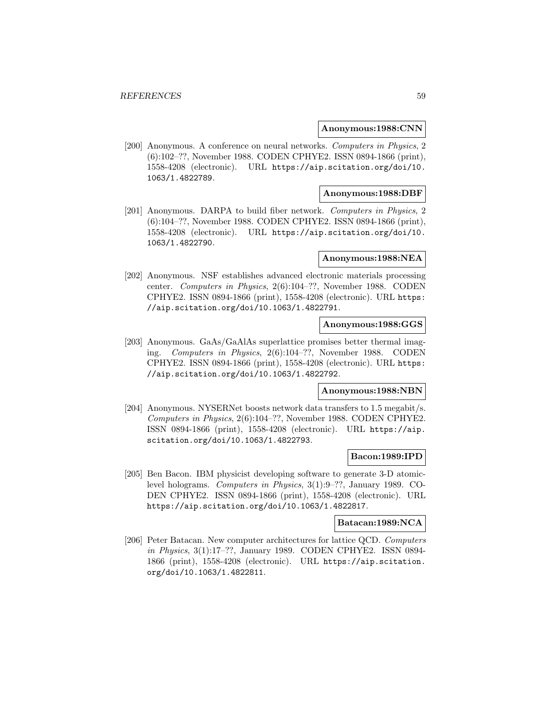### **Anonymous:1988:CNN**

[200] Anonymous. A conference on neural networks. Computers in Physics, 2 (6):102–??, November 1988. CODEN CPHYE2. ISSN 0894-1866 (print), 1558-4208 (electronic). URL https://aip.scitation.org/doi/10. 1063/1.4822789.

### **Anonymous:1988:DBF**

[201] Anonymous. DARPA to build fiber network. Computers in Physics, 2 (6):104–??, November 1988. CODEN CPHYE2. ISSN 0894-1866 (print), 1558-4208 (electronic). URL https://aip.scitation.org/doi/10. 1063/1.4822790.

### **Anonymous:1988:NEA**

[202] Anonymous. NSF establishes advanced electronic materials processing center. Computers in Physics, 2(6):104–??, November 1988. CODEN CPHYE2. ISSN 0894-1866 (print), 1558-4208 (electronic). URL https: //aip.scitation.org/doi/10.1063/1.4822791.

# **Anonymous:1988:GGS**

[203] Anonymous. GaAs/GaAlAs superlattice promises better thermal imaging. Computers in Physics, 2(6):104–??, November 1988. CODEN CPHYE2. ISSN 0894-1866 (print), 1558-4208 (electronic). URL https: //aip.scitation.org/doi/10.1063/1.4822792.

# **Anonymous:1988:NBN**

[204] Anonymous. NYSERNet boosts network data transfers to 1.5 megabit/s. Computers in Physics, 2(6):104–??, November 1988. CODEN CPHYE2. ISSN 0894-1866 (print), 1558-4208 (electronic). URL https://aip. scitation.org/doi/10.1063/1.4822793.

# **Bacon:1989:IPD**

[205] Ben Bacon. IBM physicist developing software to generate 3-D atomiclevel holograms. Computers in Physics, 3(1):9–??, January 1989. CO-DEN CPHYE2. ISSN 0894-1866 (print), 1558-4208 (electronic). URL https://aip.scitation.org/doi/10.1063/1.4822817.

# **Batacan:1989:NCA**

[206] Peter Batacan. New computer architectures for lattice QCD. Computers in Physics, 3(1):17–??, January 1989. CODEN CPHYE2. ISSN 0894- 1866 (print), 1558-4208 (electronic). URL https://aip.scitation. org/doi/10.1063/1.4822811.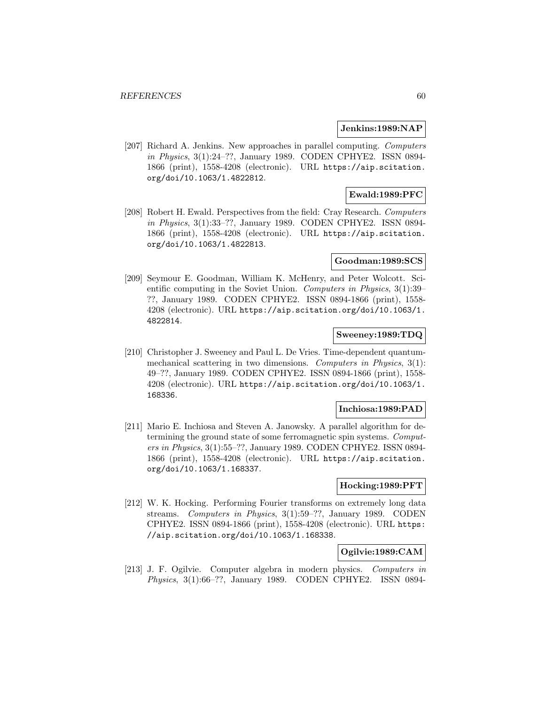### **Jenkins:1989:NAP**

[207] Richard A. Jenkins. New approaches in parallel computing. Computers in Physics, 3(1):24–??, January 1989. CODEN CPHYE2. ISSN 0894- 1866 (print), 1558-4208 (electronic). URL https://aip.scitation. org/doi/10.1063/1.4822812.

# **Ewald:1989:PFC**

[208] Robert H. Ewald. Perspectives from the field: Cray Research. Computers in Physics, 3(1):33–??, January 1989. CODEN CPHYE2. ISSN 0894- 1866 (print), 1558-4208 (electronic). URL https://aip.scitation. org/doi/10.1063/1.4822813.

# **Goodman:1989:SCS**

[209] Seymour E. Goodman, William K. McHenry, and Peter Wolcott. Scientific computing in the Soviet Union. Computers in Physics, 3(1):39– ??, January 1989. CODEN CPHYE2. ISSN 0894-1866 (print), 1558- 4208 (electronic). URL https://aip.scitation.org/doi/10.1063/1. 4822814.

### **Sweeney:1989:TDQ**

[210] Christopher J. Sweeney and Paul L. De Vries. Time-dependent quantummechanical scattering in two dimensions. Computers in Physics, 3(1): 49–??, January 1989. CODEN CPHYE2. ISSN 0894-1866 (print), 1558- 4208 (electronic). URL https://aip.scitation.org/doi/10.1063/1. 168336.

# **Inchiosa:1989:PAD**

[211] Mario E. Inchiosa and Steven A. Janowsky. A parallel algorithm for determining the ground state of some ferromagnetic spin systems. Computers in Physics, 3(1):55–??, January 1989. CODEN CPHYE2. ISSN 0894- 1866 (print), 1558-4208 (electronic). URL https://aip.scitation. org/doi/10.1063/1.168337.

### **Hocking:1989:PFT**

[212] W. K. Hocking. Performing Fourier transforms on extremely long data streams. Computers in Physics, 3(1):59–??, January 1989. CODEN CPHYE2. ISSN 0894-1866 (print), 1558-4208 (electronic). URL https: //aip.scitation.org/doi/10.1063/1.168338.

# **Ogilvie:1989:CAM**

[213] J. F. Ogilvie. Computer algebra in modern physics. Computers in Physics, 3(1):66–??, January 1989. CODEN CPHYE2. ISSN 0894-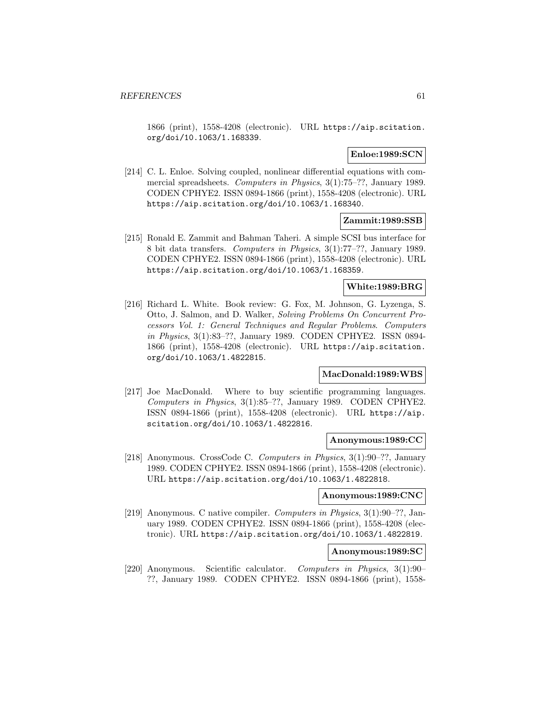1866 (print), 1558-4208 (electronic). URL https://aip.scitation. org/doi/10.1063/1.168339.

# **Enloe:1989:SCN**

[214] C. L. Enloe. Solving coupled, nonlinear differential equations with commercial spreadsheets. Computers in Physics, 3(1):75–??, January 1989. CODEN CPHYE2. ISSN 0894-1866 (print), 1558-4208 (electronic). URL https://aip.scitation.org/doi/10.1063/1.168340.

## **Zammit:1989:SSB**

[215] Ronald E. Zammit and Bahman Taheri. A simple SCSI bus interface for 8 bit data transfers. Computers in Physics, 3(1):77–??, January 1989. CODEN CPHYE2. ISSN 0894-1866 (print), 1558-4208 (electronic). URL https://aip.scitation.org/doi/10.1063/1.168359.

# **White:1989:BRG**

[216] Richard L. White. Book review: G. Fox, M. Johnson, G. Lyzenga, S. Otto, J. Salmon, and D. Walker, Solving Problems On Concurrent Processors Vol. 1: General Techniques and Regular Problems. Computers in Physics, 3(1):83–??, January 1989. CODEN CPHYE2. ISSN 0894- 1866 (print), 1558-4208 (electronic). URL https://aip.scitation. org/doi/10.1063/1.4822815.

# **MacDonald:1989:WBS**

[217] Joe MacDonald. Where to buy scientific programming languages. Computers in Physics, 3(1):85–??, January 1989. CODEN CPHYE2. ISSN 0894-1866 (print), 1558-4208 (electronic). URL https://aip. scitation.org/doi/10.1063/1.4822816.

# **Anonymous:1989:CC**

[218] Anonymous. CrossCode C. Computers in Physics, 3(1):90–??, January 1989. CODEN CPHYE2. ISSN 0894-1866 (print), 1558-4208 (electronic). URL https://aip.scitation.org/doi/10.1063/1.4822818.

### **Anonymous:1989:CNC**

[219] Anonymous. C native compiler. Computers in Physics, 3(1):90–??, January 1989. CODEN CPHYE2. ISSN 0894-1866 (print), 1558-4208 (electronic). URL https://aip.scitation.org/doi/10.1063/1.4822819.

### **Anonymous:1989:SC**

[220] Anonymous. Scientific calculator. Computers in Physics, 3(1):90– ??, January 1989. CODEN CPHYE2. ISSN 0894-1866 (print), 1558-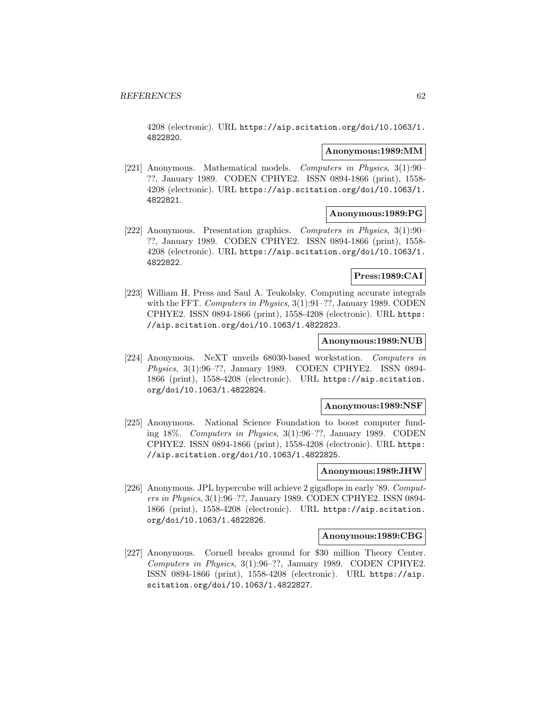4208 (electronic). URL https://aip.scitation.org/doi/10.1063/1. 4822820.

# **Anonymous:1989:MM**

[221] Anonymous. Mathematical models. Computers in Physics, 3(1):90– ??, January 1989. CODEN CPHYE2. ISSN 0894-1866 (print), 1558- 4208 (electronic). URL https://aip.scitation.org/doi/10.1063/1. 4822821.

# **Anonymous:1989:PG**

[222] Anonymous. Presentation graphics. Computers in Physics, 3(1):90– ??, January 1989. CODEN CPHYE2. ISSN 0894-1866 (print), 1558- 4208 (electronic). URL https://aip.scitation.org/doi/10.1063/1. 4822822.

### **Press:1989:CAI**

[223] William H. Press and Saul A. Teukolsky. Computing accurate integrals with the FFT. Computers in Physics, 3(1):91-??, January 1989. CODEN CPHYE2. ISSN 0894-1866 (print), 1558-4208 (electronic). URL https: //aip.scitation.org/doi/10.1063/1.4822823.

### **Anonymous:1989:NUB**

[224] Anonymous. NeXT unveils 68030-based workstation. Computers in Physics, 3(1):96–??, January 1989. CODEN CPHYE2. ISSN 0894- 1866 (print), 1558-4208 (electronic). URL https://aip.scitation. org/doi/10.1063/1.4822824.

### **Anonymous:1989:NSF**

[225] Anonymous. National Science Foundation to boost computer funding 18%. Computers in Physics, 3(1):96–??, January 1989. CODEN CPHYE2. ISSN 0894-1866 (print), 1558-4208 (electronic). URL https: //aip.scitation.org/doi/10.1063/1.4822825.

### **Anonymous:1989:JHW**

[226] Anonymous. JPL hypercube will achieve 2 gigaflops in early '89. Computers in Physics, 3(1):96–??, January 1989. CODEN CPHYE2. ISSN 0894- 1866 (print), 1558-4208 (electronic). URL https://aip.scitation. org/doi/10.1063/1.4822826.

### **Anonymous:1989:CBG**

[227] Anonymous. Cornell breaks ground for \$30 million Theory Center. Computers in Physics, 3(1):96–??, January 1989. CODEN CPHYE2. ISSN 0894-1866 (print), 1558-4208 (electronic). URL https://aip. scitation.org/doi/10.1063/1.4822827.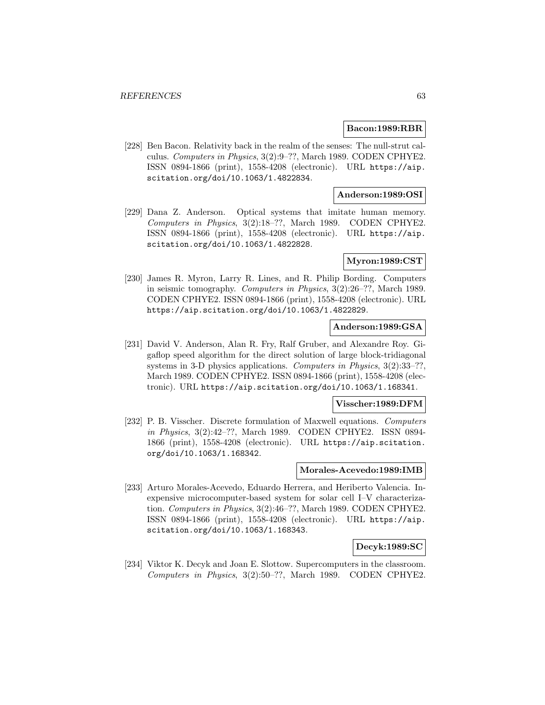### **Bacon:1989:RBR**

[228] Ben Bacon. Relativity back in the realm of the senses: The null-strut calculus. Computers in Physics, 3(2):9–??, March 1989. CODEN CPHYE2. ISSN 0894-1866 (print), 1558-4208 (electronic). URL https://aip. scitation.org/doi/10.1063/1.4822834.

# **Anderson:1989:OSI**

[229] Dana Z. Anderson. Optical systems that imitate human memory. Computers in Physics, 3(2):18–??, March 1989. CODEN CPHYE2. ISSN 0894-1866 (print), 1558-4208 (electronic). URL https://aip. scitation.org/doi/10.1063/1.4822828.

### **Myron:1989:CST**

[230] James R. Myron, Larry R. Lines, and R. Philip Bording. Computers in seismic tomography. Computers in Physics, 3(2):26–??, March 1989. CODEN CPHYE2. ISSN 0894-1866 (print), 1558-4208 (electronic). URL https://aip.scitation.org/doi/10.1063/1.4822829.

# **Anderson:1989:GSA**

[231] David V. Anderson, Alan R. Fry, Ralf Gruber, and Alexandre Roy. Gigaflop speed algorithm for the direct solution of large block-tridiagonal systems in 3-D physics applications. Computers in Physics, 3(2):33–??, March 1989. CODEN CPHYE2. ISSN 0894-1866 (print), 1558-4208 (electronic). URL https://aip.scitation.org/doi/10.1063/1.168341.

### **Visscher:1989:DFM**

[232] P. B. Visscher. Discrete formulation of Maxwell equations. Computers in Physics, 3(2):42–??, March 1989. CODEN CPHYE2. ISSN 0894- 1866 (print), 1558-4208 (electronic). URL https://aip.scitation. org/doi/10.1063/1.168342.

### **Morales-Acevedo:1989:IMB**

[233] Arturo Morales-Acevedo, Eduardo Herrera, and Heriberto Valencia. Inexpensive microcomputer-based system for solar cell I–V characterization. Computers in Physics, 3(2):46–??, March 1989. CODEN CPHYE2. ISSN 0894-1866 (print), 1558-4208 (electronic). URL https://aip. scitation.org/doi/10.1063/1.168343.

# **Decyk:1989:SC**

[234] Viktor K. Decyk and Joan E. Slottow. Supercomputers in the classroom. Computers in Physics, 3(2):50–??, March 1989. CODEN CPHYE2.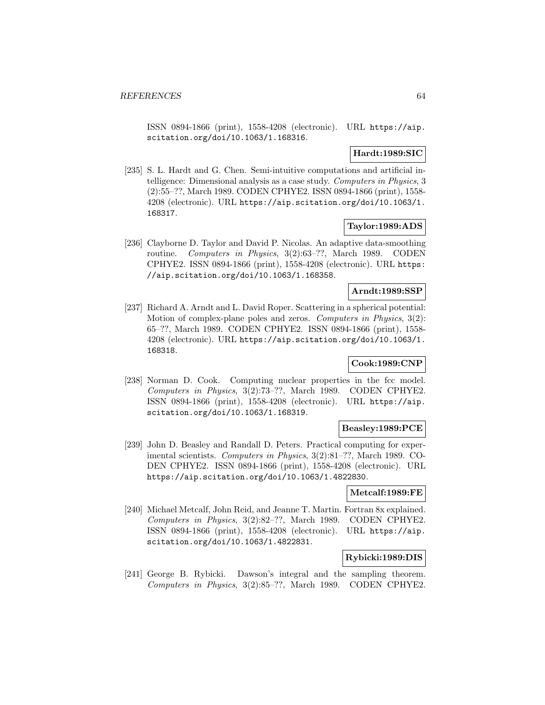ISSN 0894-1866 (print), 1558-4208 (electronic). URL https://aip. scitation.org/doi/10.1063/1.168316.

### **Hardt:1989:SIC**

[235] S. L. Hardt and G. Chen. Semi-intuitive computations and artificial intelligence: Dimensional analysis as a case study. Computers in Physics, 3 (2):55–??, March 1989. CODEN CPHYE2. ISSN 0894-1866 (print), 1558- 4208 (electronic). URL https://aip.scitation.org/doi/10.1063/1. 168317.

# **Taylor:1989:ADS**

[236] Clayborne D. Taylor and David P. Nicolas. An adaptive data-smoothing routine. Computers in Physics, 3(2):63–??, March 1989. CODEN CPHYE2. ISSN 0894-1866 (print), 1558-4208 (electronic). URL https: //aip.scitation.org/doi/10.1063/1.168358.

### **Arndt:1989:SSP**

[237] Richard A. Arndt and L. David Roper. Scattering in a spherical potential: Motion of complex-plane poles and zeros. Computers in Physics, 3(2): 65–??, March 1989. CODEN CPHYE2. ISSN 0894-1866 (print), 1558- 4208 (electronic). URL https://aip.scitation.org/doi/10.1063/1. 168318.

### **Cook:1989:CNP**

[238] Norman D. Cook. Computing nuclear properties in the fcc model. Computers in Physics, 3(2):73–??, March 1989. CODEN CPHYE2. ISSN 0894-1866 (print), 1558-4208 (electronic). URL https://aip. scitation.org/doi/10.1063/1.168319.

### **Beasley:1989:PCE**

[239] John D. Beasley and Randall D. Peters. Practical computing for experimental scientists. Computers in Physics, 3(2):81–??, March 1989. CO-DEN CPHYE2. ISSN 0894-1866 (print), 1558-4208 (electronic). URL https://aip.scitation.org/doi/10.1063/1.4822830.

# **Metcalf:1989:FE**

[240] Michael Metcalf, John Reid, and Jeanne T. Martin. Fortran 8x explained. Computers in Physics, 3(2):82–??, March 1989. CODEN CPHYE2. ISSN 0894-1866 (print), 1558-4208 (electronic). URL https://aip. scitation.org/doi/10.1063/1.4822831.

### **Rybicki:1989:DIS**

[241] George B. Rybicki. Dawson's integral and the sampling theorem. Computers in Physics, 3(2):85–??, March 1989. CODEN CPHYE2.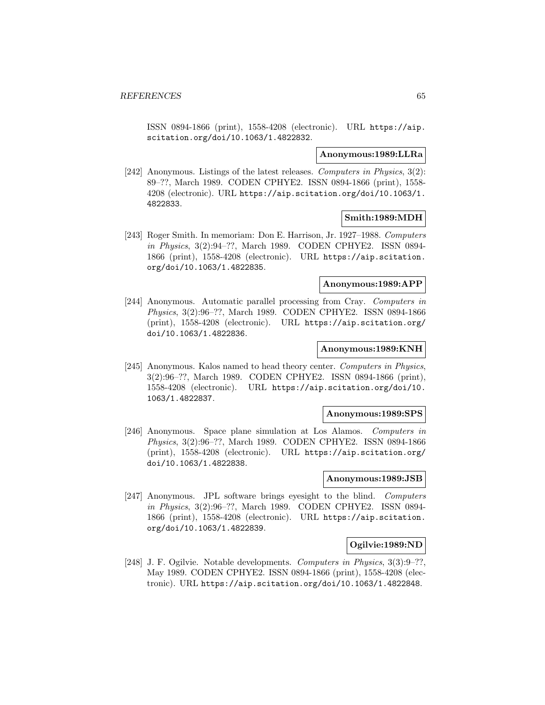ISSN 0894-1866 (print), 1558-4208 (electronic). URL https://aip. scitation.org/doi/10.1063/1.4822832.

### **Anonymous:1989:LLRa**

[242] Anonymous. Listings of the latest releases. Computers in Physics, 3(2): 89–??, March 1989. CODEN CPHYE2. ISSN 0894-1866 (print), 1558- 4208 (electronic). URL https://aip.scitation.org/doi/10.1063/1. 4822833.

# **Smith:1989:MDH**

[243] Roger Smith. In memoriam: Don E. Harrison, Jr. 1927–1988. Computers in Physics, 3(2):94–??, March 1989. CODEN CPHYE2. ISSN 0894- 1866 (print), 1558-4208 (electronic). URL https://aip.scitation. org/doi/10.1063/1.4822835.

# **Anonymous:1989:APP**

[244] Anonymous. Automatic parallel processing from Cray. Computers in Physics, 3(2):96–??, March 1989. CODEN CPHYE2. ISSN 0894-1866 (print), 1558-4208 (electronic). URL https://aip.scitation.org/ doi/10.1063/1.4822836.

### **Anonymous:1989:KNH**

[245] Anonymous. Kalos named to head theory center. Computers in Physics, 3(2):96–??, March 1989. CODEN CPHYE2. ISSN 0894-1866 (print), 1558-4208 (electronic). URL https://aip.scitation.org/doi/10. 1063/1.4822837.

### **Anonymous:1989:SPS**

[246] Anonymous. Space plane simulation at Los Alamos. Computers in Physics, 3(2):96–??, March 1989. CODEN CPHYE2. ISSN 0894-1866 (print), 1558-4208 (electronic). URL https://aip.scitation.org/ doi/10.1063/1.4822838.

# **Anonymous:1989:JSB**

[247] Anonymous. JPL software brings eyesight to the blind. Computers in Physics, 3(2):96–??, March 1989. CODEN CPHYE2. ISSN 0894- 1866 (print), 1558-4208 (electronic). URL https://aip.scitation. org/doi/10.1063/1.4822839.

# **Ogilvie:1989:ND**

[248] J. F. Ogilvie. Notable developments. Computers in Physics, 3(3):9–??, May 1989. CODEN CPHYE2. ISSN 0894-1866 (print), 1558-4208 (electronic). URL https://aip.scitation.org/doi/10.1063/1.4822848.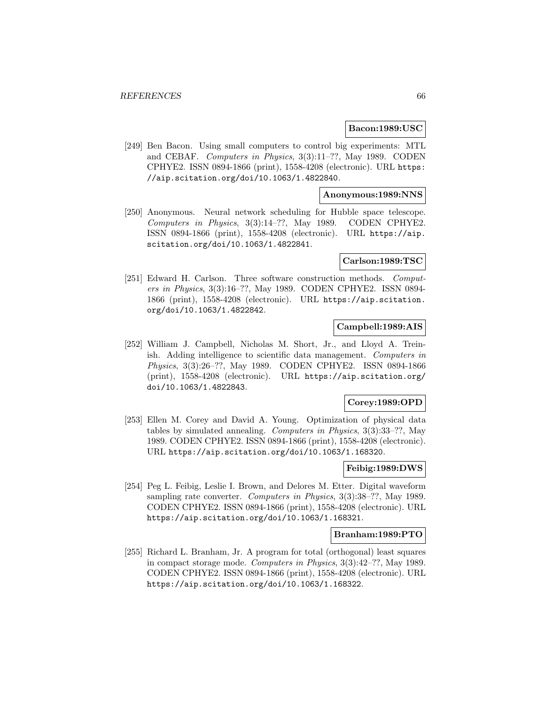### **Bacon:1989:USC**

[249] Ben Bacon. Using small computers to control big experiments: MTL and CEBAF. Computers in Physics, 3(3):11–??, May 1989. CODEN CPHYE2. ISSN 0894-1866 (print), 1558-4208 (electronic). URL https: //aip.scitation.org/doi/10.1063/1.4822840.

### **Anonymous:1989:NNS**

[250] Anonymous. Neural network scheduling for Hubble space telescope. Computers in Physics, 3(3):14–??, May 1989. CODEN CPHYE2. ISSN 0894-1866 (print), 1558-4208 (electronic). URL https://aip. scitation.org/doi/10.1063/1.4822841.

### **Carlson:1989:TSC**

[251] Edward H. Carlson. Three software construction methods. Computers in Physics, 3(3):16–??, May 1989. CODEN CPHYE2. ISSN 0894- 1866 (print), 1558-4208 (electronic). URL https://aip.scitation. org/doi/10.1063/1.4822842.

# **Campbell:1989:AIS**

[252] William J. Campbell, Nicholas M. Short, Jr., and Lloyd A. Treinish. Adding intelligence to scientific data management. Computers in Physics, 3(3):26–??, May 1989. CODEN CPHYE2. ISSN 0894-1866 (print), 1558-4208 (electronic). URL https://aip.scitation.org/ doi/10.1063/1.4822843.

# **Corey:1989:OPD**

[253] Ellen M. Corey and David A. Young. Optimization of physical data tables by simulated annealing. Computers in Physics, 3(3):33–??, May 1989. CODEN CPHYE2. ISSN 0894-1866 (print), 1558-4208 (electronic). URL https://aip.scitation.org/doi/10.1063/1.168320.

# **Feibig:1989:DWS**

[254] Peg L. Feibig, Leslie I. Brown, and Delores M. Etter. Digital waveform sampling rate converter. Computers in Physics, 3(3):38–??, May 1989. CODEN CPHYE2. ISSN 0894-1866 (print), 1558-4208 (electronic). URL https://aip.scitation.org/doi/10.1063/1.168321.

### **Branham:1989:PTO**

[255] Richard L. Branham, Jr. A program for total (orthogonal) least squares in compact storage mode. Computers in Physics, 3(3):42–??, May 1989. CODEN CPHYE2. ISSN 0894-1866 (print), 1558-4208 (electronic). URL https://aip.scitation.org/doi/10.1063/1.168322.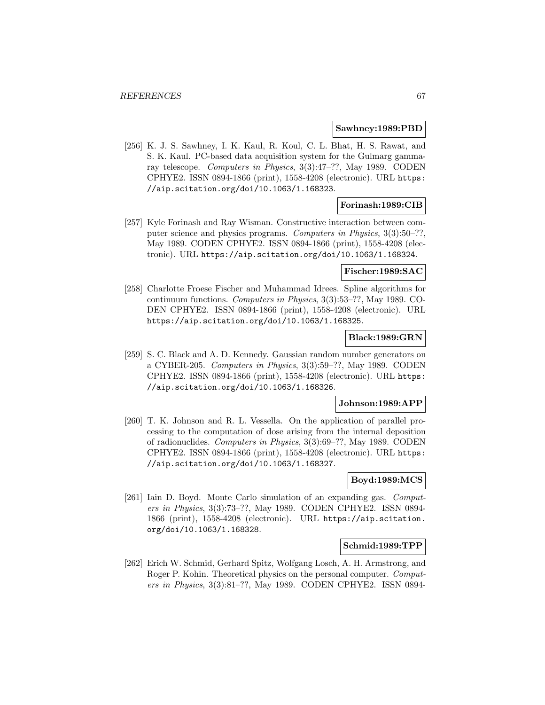#### **Sawhney:1989:PBD**

[256] K. J. S. Sawhney, I. K. Kaul, R. Koul, C. L. Bhat, H. S. Rawat, and S. K. Kaul. PC-based data acquisition system for the Gulmarg gammaray telescope. Computers in Physics, 3(3):47–??, May 1989. CODEN CPHYE2. ISSN 0894-1866 (print), 1558-4208 (electronic). URL https: //aip.scitation.org/doi/10.1063/1.168323.

### **Forinash:1989:CIB**

[257] Kyle Forinash and Ray Wisman. Constructive interaction between computer science and physics programs. Computers in Physics, 3(3):50–??, May 1989. CODEN CPHYE2. ISSN 0894-1866 (print), 1558-4208 (electronic). URL https://aip.scitation.org/doi/10.1063/1.168324.

### **Fischer:1989:SAC**

[258] Charlotte Froese Fischer and Muhammad Idrees. Spline algorithms for continuum functions. Computers in Physics, 3(3):53–??, May 1989. CO-DEN CPHYE2. ISSN 0894-1866 (print), 1558-4208 (electronic). URL https://aip.scitation.org/doi/10.1063/1.168325.

### **Black:1989:GRN**

[259] S. C. Black and A. D. Kennedy. Gaussian random number generators on a CYBER-205. Computers in Physics, 3(3):59–??, May 1989. CODEN CPHYE2. ISSN 0894-1866 (print), 1558-4208 (electronic). URL https: //aip.scitation.org/doi/10.1063/1.168326.

### **Johnson:1989:APP**

[260] T. K. Johnson and R. L. Vessella. On the application of parallel processing to the computation of dose arising from the internal deposition of radionuclides. Computers in Physics, 3(3):69–??, May 1989. CODEN CPHYE2. ISSN 0894-1866 (print), 1558-4208 (electronic). URL https: //aip.scitation.org/doi/10.1063/1.168327.

# **Boyd:1989:MCS**

[261] Iain D. Boyd. Monte Carlo simulation of an expanding gas. Computers in Physics, 3(3):73–??, May 1989. CODEN CPHYE2. ISSN 0894- 1866 (print), 1558-4208 (electronic). URL https://aip.scitation. org/doi/10.1063/1.168328.

### **Schmid:1989:TPP**

[262] Erich W. Schmid, Gerhard Spitz, Wolfgang Losch, A. H. Armstrong, and Roger P. Kohin. Theoretical physics on the personal computer. Computers in Physics, 3(3):81–??, May 1989. CODEN CPHYE2. ISSN 0894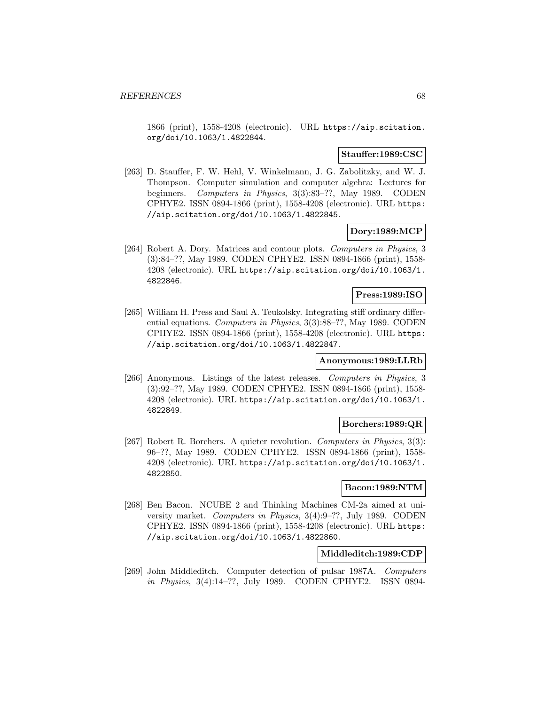1866 (print), 1558-4208 (electronic). URL https://aip.scitation. org/doi/10.1063/1.4822844.

### **Stauffer:1989:CSC**

[263] D. Stauffer, F. W. Hehl, V. Winkelmann, J. G. Zabolitzky, and W. J. Thompson. Computer simulation and computer algebra: Lectures for beginners. Computers in Physics, 3(3):83–??, May 1989. CODEN CPHYE2. ISSN 0894-1866 (print), 1558-4208 (electronic). URL https: //aip.scitation.org/doi/10.1063/1.4822845.

# **Dory:1989:MCP**

[264] Robert A. Dory. Matrices and contour plots. Computers in Physics, 3 (3):84–??, May 1989. CODEN CPHYE2. ISSN 0894-1866 (print), 1558- 4208 (electronic). URL https://aip.scitation.org/doi/10.1063/1. 4822846.

# **Press:1989:ISO**

[265] William H. Press and Saul A. Teukolsky. Integrating stiff ordinary differential equations. Computers in Physics, 3(3):88–??, May 1989. CODEN CPHYE2. ISSN 0894-1866 (print), 1558-4208 (electronic). URL https: //aip.scitation.org/doi/10.1063/1.4822847.

### **Anonymous:1989:LLRb**

[266] Anonymous. Listings of the latest releases. Computers in Physics, 3 (3):92–??, May 1989. CODEN CPHYE2. ISSN 0894-1866 (print), 1558- 4208 (electronic). URL https://aip.scitation.org/doi/10.1063/1. 4822849.

# **Borchers:1989:QR**

[267] Robert R. Borchers. A quieter revolution. Computers in Physics, 3(3): 96–??, May 1989. CODEN CPHYE2. ISSN 0894-1866 (print), 1558- 4208 (electronic). URL https://aip.scitation.org/doi/10.1063/1. 4822850.

### **Bacon:1989:NTM**

[268] Ben Bacon. NCUBE 2 and Thinking Machines CM-2a aimed at university market. Computers in Physics, 3(4):9–??, July 1989. CODEN CPHYE2. ISSN 0894-1866 (print), 1558-4208 (electronic). URL https: //aip.scitation.org/doi/10.1063/1.4822860.

### **Middleditch:1989:CDP**

[269] John Middleditch. Computer detection of pulsar 1987A. Computers in Physics, 3(4):14–??, July 1989. CODEN CPHYE2. ISSN 0894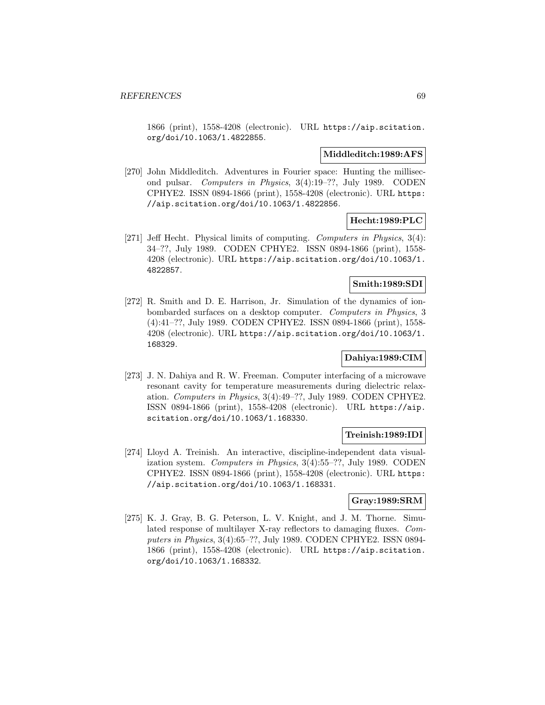1866 (print), 1558-4208 (electronic). URL https://aip.scitation. org/doi/10.1063/1.4822855.

### **Middleditch:1989:AFS**

[270] John Middleditch. Adventures in Fourier space: Hunting the millisecond pulsar. Computers in Physics, 3(4):19–??, July 1989. CODEN CPHYE2. ISSN 0894-1866 (print), 1558-4208 (electronic). URL https: //aip.scitation.org/doi/10.1063/1.4822856.

# **Hecht:1989:PLC**

[271] Jeff Hecht. Physical limits of computing. Computers in Physics, 3(4): 34–??, July 1989. CODEN CPHYE2. ISSN 0894-1866 (print), 1558- 4208 (electronic). URL https://aip.scitation.org/doi/10.1063/1. 4822857.

# **Smith:1989:SDI**

[272] R. Smith and D. E. Harrison, Jr. Simulation of the dynamics of ionbombarded surfaces on a desktop computer. Computers in Physics, 3 (4):41–??, July 1989. CODEN CPHYE2. ISSN 0894-1866 (print), 1558- 4208 (electronic). URL https://aip.scitation.org/doi/10.1063/1. 168329.

# **Dahiya:1989:CIM**

[273] J. N. Dahiya and R. W. Freeman. Computer interfacing of a microwave resonant cavity for temperature measurements during dielectric relaxation. Computers in Physics, 3(4):49–??, July 1989. CODEN CPHYE2. ISSN 0894-1866 (print), 1558-4208 (electronic). URL https://aip. scitation.org/doi/10.1063/1.168330.

# **Treinish:1989:IDI**

[274] Lloyd A. Treinish. An interactive, discipline-independent data visualization system. Computers in Physics, 3(4):55–??, July 1989. CODEN CPHYE2. ISSN 0894-1866 (print), 1558-4208 (electronic). URL https: //aip.scitation.org/doi/10.1063/1.168331.

# **Gray:1989:SRM**

[275] K. J. Gray, B. G. Peterson, L. V. Knight, and J. M. Thorne. Simulated response of multilayer X-ray reflectors to damaging fluxes. Computers in Physics, 3(4):65–??, July 1989. CODEN CPHYE2. ISSN 0894- 1866 (print), 1558-4208 (electronic). URL https://aip.scitation. org/doi/10.1063/1.168332.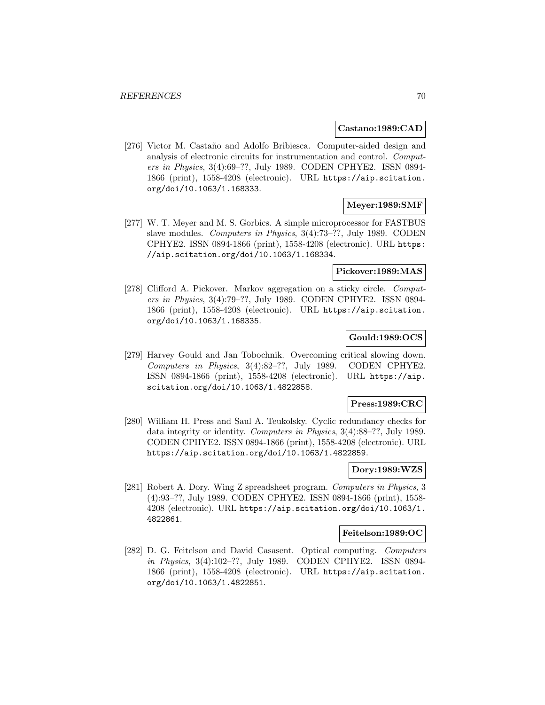### **Castano:1989:CAD**

[276] Victor M. Castaño and Adolfo Bribiesca. Computer-aided design and analysis of electronic circuits for instrumentation and control. Computers in Physics, 3(4):69–??, July 1989. CODEN CPHYE2. ISSN 0894- 1866 (print), 1558-4208 (electronic). URL https://aip.scitation. org/doi/10.1063/1.168333.

# **Meyer:1989:SMF**

[277] W. T. Meyer and M. S. Gorbics. A simple microprocessor for FASTBUS slave modules. Computers in Physics, 3(4):73–??, July 1989. CODEN CPHYE2. ISSN 0894-1866 (print), 1558-4208 (electronic). URL https: //aip.scitation.org/doi/10.1063/1.168334.

# **Pickover:1989:MAS**

[278] Clifford A. Pickover. Markov aggregation on a sticky circle. Computers in Physics, 3(4):79–??, July 1989. CODEN CPHYE2. ISSN 0894- 1866 (print), 1558-4208 (electronic). URL https://aip.scitation. org/doi/10.1063/1.168335.

# **Gould:1989:OCS**

[279] Harvey Gould and Jan Tobochnik. Overcoming critical slowing down. Computers in Physics, 3(4):82–??, July 1989. CODEN CPHYE2. ISSN 0894-1866 (print), 1558-4208 (electronic). URL https://aip. scitation.org/doi/10.1063/1.4822858.

# **Press:1989:CRC**

[280] William H. Press and Saul A. Teukolsky. Cyclic redundancy checks for data integrity or identity. Computers in Physics, 3(4):88–??, July 1989. CODEN CPHYE2. ISSN 0894-1866 (print), 1558-4208 (electronic). URL https://aip.scitation.org/doi/10.1063/1.4822859.

# **Dory:1989:WZS**

[281] Robert A. Dory. Wing Z spreadsheet program. Computers in Physics, 3 (4):93–??, July 1989. CODEN CPHYE2. ISSN 0894-1866 (print), 1558- 4208 (electronic). URL https://aip.scitation.org/doi/10.1063/1. 4822861.

# **Feitelson:1989:OC**

[282] D. G. Feitelson and David Casasent. Optical computing. Computers in Physics, 3(4):102–??, July 1989. CODEN CPHYE2. ISSN 0894- 1866 (print), 1558-4208 (electronic). URL https://aip.scitation. org/doi/10.1063/1.4822851.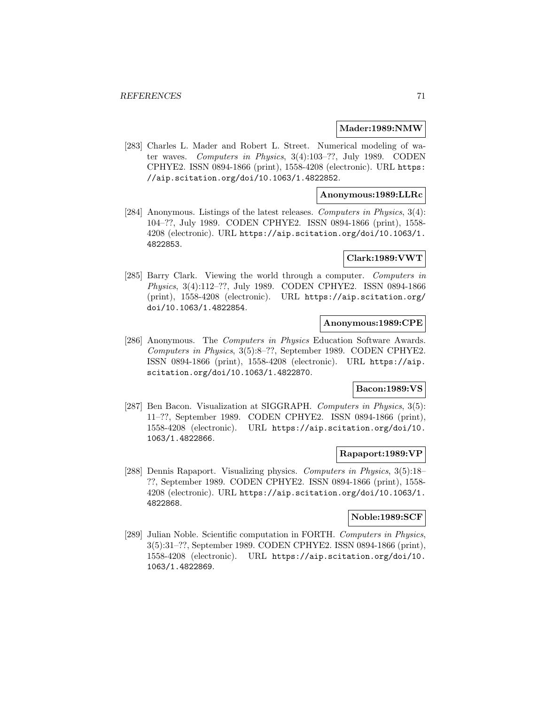### **Mader:1989:NMW**

[283] Charles L. Mader and Robert L. Street. Numerical modeling of water waves. Computers in Physics, 3(4):103–??, July 1989. CODEN CPHYE2. ISSN 0894-1866 (print), 1558-4208 (electronic). URL https: //aip.scitation.org/doi/10.1063/1.4822852.

# **Anonymous:1989:LLRc**

[284] Anonymous. Listings of the latest releases. Computers in Physics, 3(4): 104–??, July 1989. CODEN CPHYE2. ISSN 0894-1866 (print), 1558- 4208 (electronic). URL https://aip.scitation.org/doi/10.1063/1. 4822853.

## **Clark:1989:VWT**

[285] Barry Clark. Viewing the world through a computer. Computers in Physics, 3(4):112–??, July 1989. CODEN CPHYE2. ISSN 0894-1866 (print), 1558-4208 (electronic). URL https://aip.scitation.org/ doi/10.1063/1.4822854.

# **Anonymous:1989:CPE**

[286] Anonymous. The Computers in Physics Education Software Awards. Computers in Physics, 3(5):8–??, September 1989. CODEN CPHYE2. ISSN 0894-1866 (print), 1558-4208 (electronic). URL https://aip. scitation.org/doi/10.1063/1.4822870.

### **Bacon:1989:VS**

[287] Ben Bacon. Visualization at SIGGRAPH. Computers in Physics, 3(5): 11–??, September 1989. CODEN CPHYE2. ISSN 0894-1866 (print), 1558-4208 (electronic). URL https://aip.scitation.org/doi/10. 1063/1.4822866.

# **Rapaport:1989:VP**

[288] Dennis Rapaport. Visualizing physics. Computers in Physics, 3(5):18– ??, September 1989. CODEN CPHYE2. ISSN 0894-1866 (print), 1558- 4208 (electronic). URL https://aip.scitation.org/doi/10.1063/1. 4822868.

# **Noble:1989:SCF**

[289] Julian Noble. Scientific computation in FORTH. Computers in Physics, 3(5):31–??, September 1989. CODEN CPHYE2. ISSN 0894-1866 (print), 1558-4208 (electronic). URL https://aip.scitation.org/doi/10. 1063/1.4822869.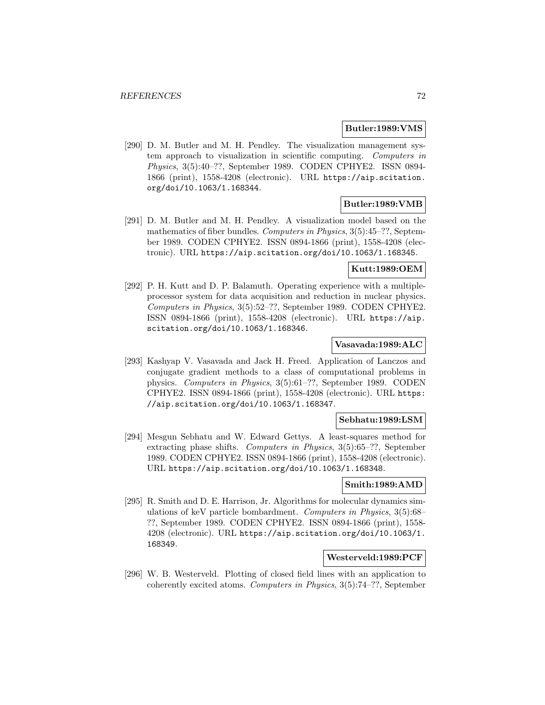### **Butler:1989:VMS**

[290] D. M. Butler and M. H. Pendley. The visualization management system approach to visualization in scientific computing. Computers in Physics, 3(5):40–??, September 1989. CODEN CPHYE2. ISSN 0894- 1866 (print), 1558-4208 (electronic). URL https://aip.scitation. org/doi/10.1063/1.168344.

# **Butler:1989:VMB**

[291] D. M. Butler and M. H. Pendley. A visualization model based on the mathematics of fiber bundles. Computers in Physics, 3(5):45–??, September 1989. CODEN CPHYE2. ISSN 0894-1866 (print), 1558-4208 (electronic). URL https://aip.scitation.org/doi/10.1063/1.168345.

# **Kutt:1989:OEM**

[292] P. H. Kutt and D. P. Balamuth. Operating experience with a multipleprocessor system for data acquisition and reduction in nuclear physics. Computers in Physics, 3(5):52–??, September 1989. CODEN CPHYE2. ISSN 0894-1866 (print), 1558-4208 (electronic). URL https://aip. scitation.org/doi/10.1063/1.168346.

### **Vasavada:1989:ALC**

[293] Kashyap V. Vasavada and Jack H. Freed. Application of Lanczos and conjugate gradient methods to a class of computational problems in physics. Computers in Physics, 3(5):61–??, September 1989. CODEN CPHYE2. ISSN 0894-1866 (print), 1558-4208 (electronic). URL https: //aip.scitation.org/doi/10.1063/1.168347.

# **Sebhatu:1989:LSM**

[294] Mesgun Sebhatu and W. Edward Gettys. A least-squares method for extracting phase shifts. Computers in Physics, 3(5):65–??, September 1989. CODEN CPHYE2. ISSN 0894-1866 (print), 1558-4208 (electronic). URL https://aip.scitation.org/doi/10.1063/1.168348.

# **Smith:1989:AMD**

[295] R. Smith and D. E. Harrison, Jr. Algorithms for molecular dynamics simulations of keV particle bombardment. Computers in Physics, 3(5):68– ??, September 1989. CODEN CPHYE2. ISSN 0894-1866 (print), 1558- 4208 (electronic). URL https://aip.scitation.org/doi/10.1063/1. 168349.

# **Westerveld:1989:PCF**

[296] W. B. Westerveld. Plotting of closed field lines with an application to coherently excited atoms. Computers in Physics, 3(5):74–??, September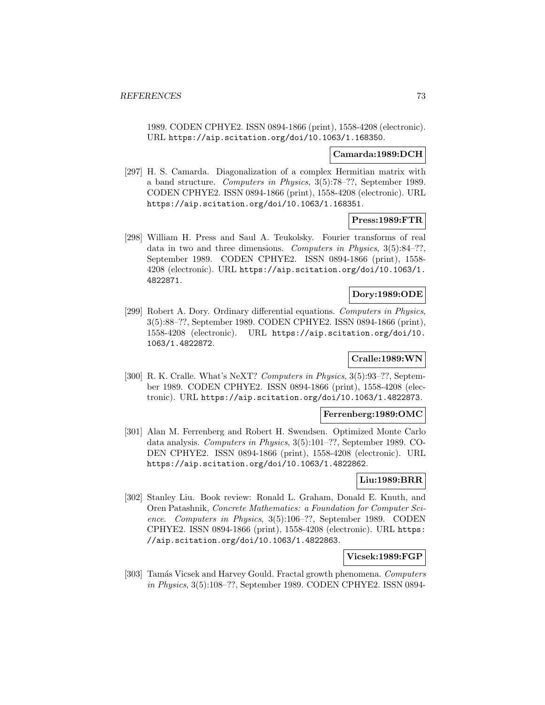1989. CODEN CPHYE2. ISSN 0894-1866 (print), 1558-4208 (electronic). URL https://aip.scitation.org/doi/10.1063/1.168350.

#### **Camarda:1989:DCH**

[297] H. S. Camarda. Diagonalization of a complex Hermitian matrix with a band structure. Computers in Physics, 3(5):78–??, September 1989. CODEN CPHYE2. ISSN 0894-1866 (print), 1558-4208 (electronic). URL https://aip.scitation.org/doi/10.1063/1.168351.

## **Press:1989:FTR**

[298] William H. Press and Saul A. Teukolsky. Fourier transforms of real data in two and three dimensions. Computers in Physics, 3(5):84–??, September 1989. CODEN CPHYE2. ISSN 0894-1866 (print), 1558- 4208 (electronic). URL https://aip.scitation.org/doi/10.1063/1. 4822871.

# **Dory:1989:ODE**

[299] Robert A. Dory. Ordinary differential equations. Computers in Physics, 3(5):88–??, September 1989. CODEN CPHYE2. ISSN 0894-1866 (print), 1558-4208 (electronic). URL https://aip.scitation.org/doi/10. 1063/1.4822872.

# **Cralle:1989:WN**

[300] R. K. Cralle. What's NeXT? Computers in Physics, 3(5):93–??, September 1989. CODEN CPHYE2. ISSN 0894-1866 (print), 1558-4208 (electronic). URL https://aip.scitation.org/doi/10.1063/1.4822873.

### **Ferrenberg:1989:OMC**

[301] Alan M. Ferrenberg and Robert H. Swendsen. Optimized Monte Carlo data analysis. Computers in Physics, 3(5):101–??, September 1989. CO-DEN CPHYE2. ISSN 0894-1866 (print), 1558-4208 (electronic). URL https://aip.scitation.org/doi/10.1063/1.4822862.

## **Liu:1989:BRR**

[302] Stanley Liu. Book review: Ronald L. Graham, Donald E. Knuth, and Oren Patashnik, Concrete Mathematics: a Foundation for Computer Science. Computers in Physics, 3(5):106–??, September 1989. CODEN CPHYE2. ISSN 0894-1866 (print), 1558-4208 (electronic). URL https: //aip.scitation.org/doi/10.1063/1.4822863.

### **Vicsek:1989:FGP**

[303] Tamás Vicsek and Harvey Gould. Fractal growth phenomena. Computers in Physics, 3(5):108–??, September 1989. CODEN CPHYE2. ISSN 0894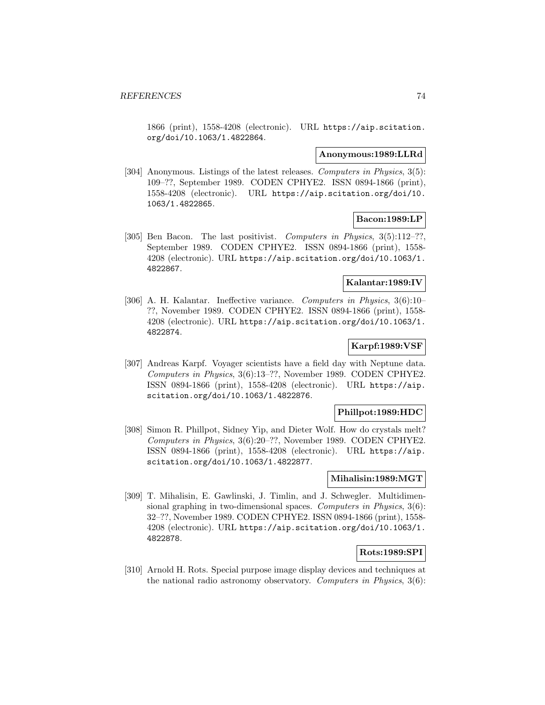1866 (print), 1558-4208 (electronic). URL https://aip.scitation. org/doi/10.1063/1.4822864.

#### **Anonymous:1989:LLRd**

[304] Anonymous. Listings of the latest releases. Computers in Physics, 3(5): 109–??, September 1989. CODEN CPHYE2. ISSN 0894-1866 (print), 1558-4208 (electronic). URL https://aip.scitation.org/doi/10. 1063/1.4822865.

# **Bacon:1989:LP**

[305] Ben Bacon. The last positivist. Computers in Physics, 3(5):112–??, September 1989. CODEN CPHYE2. ISSN 0894-1866 (print), 1558- 4208 (electronic). URL https://aip.scitation.org/doi/10.1063/1. 4822867.

# **Kalantar:1989:IV**

[306] A. H. Kalantar. Ineffective variance. Computers in Physics, 3(6):10– ??, November 1989. CODEN CPHYE2. ISSN 0894-1866 (print), 1558- 4208 (electronic). URL https://aip.scitation.org/doi/10.1063/1. 4822874.

## **Karpf:1989:VSF**

[307] Andreas Karpf. Voyager scientists have a field day with Neptune data. Computers in Physics, 3(6):13–??, November 1989. CODEN CPHYE2. ISSN 0894-1866 (print), 1558-4208 (electronic). URL https://aip. scitation.org/doi/10.1063/1.4822876.

# **Phillpot:1989:HDC**

[308] Simon R. Phillpot, Sidney Yip, and Dieter Wolf. How do crystals melt? Computers in Physics, 3(6):20–??, November 1989. CODEN CPHYE2. ISSN 0894-1866 (print), 1558-4208 (electronic). URL https://aip. scitation.org/doi/10.1063/1.4822877.

### **Mihalisin:1989:MGT**

[309] T. Mihalisin, E. Gawlinski, J. Timlin, and J. Schwegler. Multidimensional graphing in two-dimensional spaces. Computers in Physics, 3(6): 32–??, November 1989. CODEN CPHYE2. ISSN 0894-1866 (print), 1558- 4208 (electronic). URL https://aip.scitation.org/doi/10.1063/1. 4822878.

# **Rots:1989:SPI**

[310] Arnold H. Rots. Special purpose image display devices and techniques at the national radio astronomy observatory. Computers in Physics, 3(6):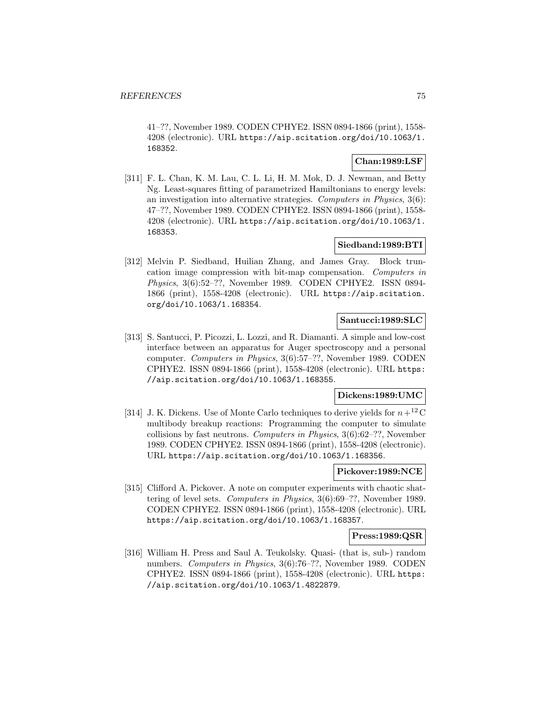41–??, November 1989. CODEN CPHYE2. ISSN 0894-1866 (print), 1558- 4208 (electronic). URL https://aip.scitation.org/doi/10.1063/1. 168352.

# **Chan:1989:LSF**

[311] F. L. Chan, K. M. Lau, C. L. Li, H. M. Mok, D. J. Newman, and Betty Ng. Least-squares fitting of parametrized Hamiltonians to energy levels: an investigation into alternative strategies. Computers in Physics, 3(6): 47–??, November 1989. CODEN CPHYE2. ISSN 0894-1866 (print), 1558- 4208 (electronic). URL https://aip.scitation.org/doi/10.1063/1. 168353.

## **Siedband:1989:BTI**

[312] Melvin P. Siedband, Huilian Zhang, and James Gray. Block truncation image compression with bit-map compensation. Computers in Physics, 3(6):52–??, November 1989. CODEN CPHYE2. ISSN 0894- 1866 (print), 1558-4208 (electronic). URL https://aip.scitation. org/doi/10.1063/1.168354.

### **Santucci:1989:SLC**

[313] S. Santucci, P. Picozzi, L. Lozzi, and R. Diamanti. A simple and low-cost interface between an apparatus for Auger spectroscopy and a personal computer. Computers in Physics, 3(6):57–??, November 1989. CODEN CPHYE2. ISSN 0894-1866 (print), 1558-4208 (electronic). URL https: //aip.scitation.org/doi/10.1063/1.168355.

# **Dickens:1989:UMC**

[314] J. K. Dickens. Use of Monte Carlo techniques to derive yields for  $n+12$  C multibody breakup reactions: Programming the computer to simulate collisions by fast neutrons. Computers in Physics, 3(6):62–??, November 1989. CODEN CPHYE2. ISSN 0894-1866 (print), 1558-4208 (electronic). URL https://aip.scitation.org/doi/10.1063/1.168356.

### **Pickover:1989:NCE**

[315] Clifford A. Pickover. A note on computer experiments with chaotic shattering of level sets. Computers in Physics, 3(6):69–??, November 1989. CODEN CPHYE2. ISSN 0894-1866 (print), 1558-4208 (electronic). URL https://aip.scitation.org/doi/10.1063/1.168357.

## **Press:1989:QSR**

[316] William H. Press and Saul A. Teukolsky. Quasi- (that is, sub-) random numbers. Computers in Physics, 3(6):76–??, November 1989. CODEN CPHYE2. ISSN 0894-1866 (print), 1558-4208 (electronic). URL https: //aip.scitation.org/doi/10.1063/1.4822879.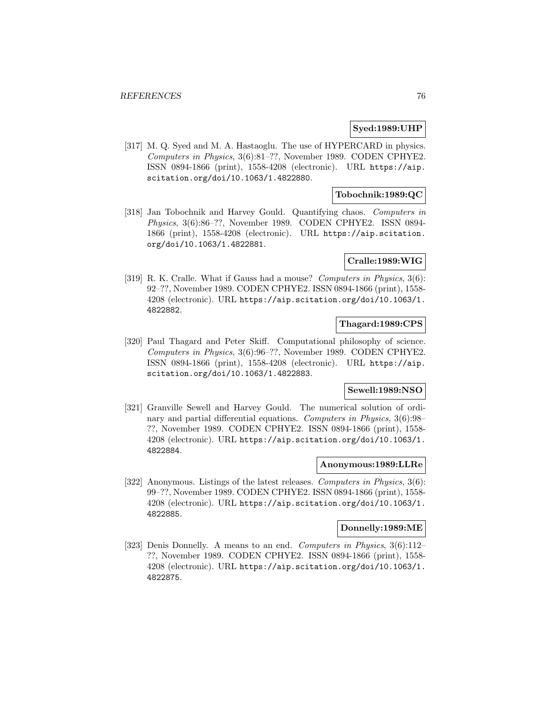### **Syed:1989:UHP**

[317] M. Q. Syed and M. A. Hastaoglu. The use of HYPERCARD in physics. Computers in Physics, 3(6):81–??, November 1989. CODEN CPHYE2. ISSN 0894-1866 (print), 1558-4208 (electronic). URL https://aip. scitation.org/doi/10.1063/1.4822880.

# **Tobochnik:1989:QC**

[318] Jan Tobochnik and Harvey Gould. Quantifying chaos. Computers in Physics, 3(6):86–??, November 1989. CODEN CPHYE2. ISSN 0894- 1866 (print), 1558-4208 (electronic). URL https://aip.scitation. org/doi/10.1063/1.4822881.

# **Cralle:1989:WIG**

[319] R. K. Cralle. What if Gauss had a mouse? Computers in Physics, 3(6): 92–??, November 1989. CODEN CPHYE2. ISSN 0894-1866 (print), 1558- 4208 (electronic). URL https://aip.scitation.org/doi/10.1063/1. 4822882.

# **Thagard:1989:CPS**

[320] Paul Thagard and Peter Skiff. Computational philosophy of science. Computers in Physics, 3(6):96–??, November 1989. CODEN CPHYE2. ISSN 0894-1866 (print), 1558-4208 (electronic). URL https://aip. scitation.org/doi/10.1063/1.4822883.

## **Sewell:1989:NSO**

[321] Granville Sewell and Harvey Gould. The numerical solution of ordinary and partial differential equations. Computers in Physics, 3(6):98– ??, November 1989. CODEN CPHYE2. ISSN 0894-1866 (print), 1558- 4208 (electronic). URL https://aip.scitation.org/doi/10.1063/1. 4822884.

### **Anonymous:1989:LLRe**

[322] Anonymous. Listings of the latest releases. Computers in Physics, 3(6): 99–??, November 1989. CODEN CPHYE2. ISSN 0894-1866 (print), 1558- 4208 (electronic). URL https://aip.scitation.org/doi/10.1063/1. 4822885.

## **Donnelly:1989:ME**

[323] Denis Donnelly. A means to an end. Computers in Physics, 3(6):112– ??, November 1989. CODEN CPHYE2. ISSN 0894-1866 (print), 1558- 4208 (electronic). URL https://aip.scitation.org/doi/10.1063/1. 4822875.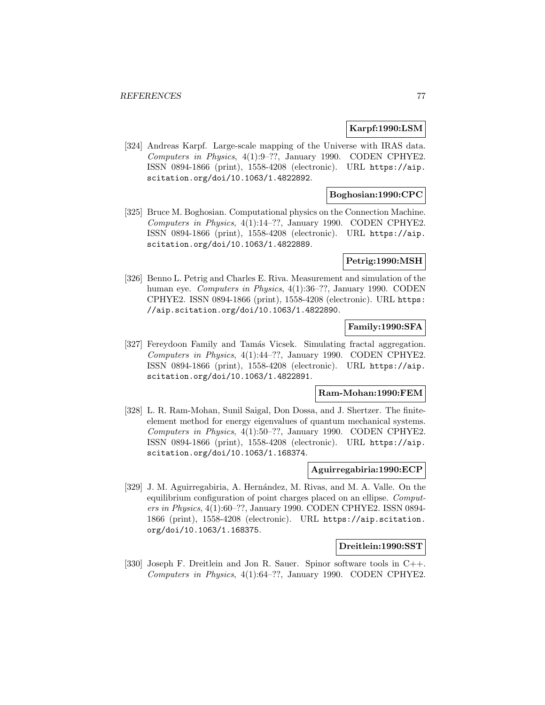## **Karpf:1990:LSM**

[324] Andreas Karpf. Large-scale mapping of the Universe with IRAS data. Computers in Physics, 4(1):9–??, January 1990. CODEN CPHYE2. ISSN 0894-1866 (print), 1558-4208 (electronic). URL https://aip. scitation.org/doi/10.1063/1.4822892.

## **Boghosian:1990:CPC**

[325] Bruce M. Boghosian. Computational physics on the Connection Machine. Computers in Physics, 4(1):14–??, January 1990. CODEN CPHYE2. ISSN 0894-1866 (print), 1558-4208 (electronic). URL https://aip. scitation.org/doi/10.1063/1.4822889.

### **Petrig:1990:MSH**

[326] Benno L. Petrig and Charles E. Riva. Measurement and simulation of the human eye. Computers in Physics, 4(1):36-??, January 1990. CODEN CPHYE2. ISSN 0894-1866 (print), 1558-4208 (electronic). URL https: //aip.scitation.org/doi/10.1063/1.4822890.

### **Family:1990:SFA**

[327] Fereydoon Family and Tamás Vicsek. Simulating fractal aggregation. Computers in Physics, 4(1):44–??, January 1990. CODEN CPHYE2. ISSN 0894-1866 (print), 1558-4208 (electronic). URL https://aip. scitation.org/doi/10.1063/1.4822891.

#### **Ram-Mohan:1990:FEM**

[328] L. R. Ram-Mohan, Sunil Saigal, Don Dossa, and J. Shertzer. The finiteelement method for energy eigenvalues of quantum mechanical systems. Computers in Physics, 4(1):50–??, January 1990. CODEN CPHYE2. ISSN 0894-1866 (print), 1558-4208 (electronic). URL https://aip. scitation.org/doi/10.1063/1.168374.

## **Aguirregabiria:1990:ECP**

[329] J. M. Aguirregabiria, A. Hernández, M. Rivas, and M. A. Valle. On the equilibrium configuration of point charges placed on an ellipse. Computers in Physics, 4(1):60–??, January 1990. CODEN CPHYE2. ISSN 0894- 1866 (print), 1558-4208 (electronic). URL https://aip.scitation. org/doi/10.1063/1.168375.

## **Dreitlein:1990:SST**

[330] Joseph F. Dreitlein and Jon R. Sauer. Spinor software tools in C++. Computers in Physics, 4(1):64–??, January 1990. CODEN CPHYE2.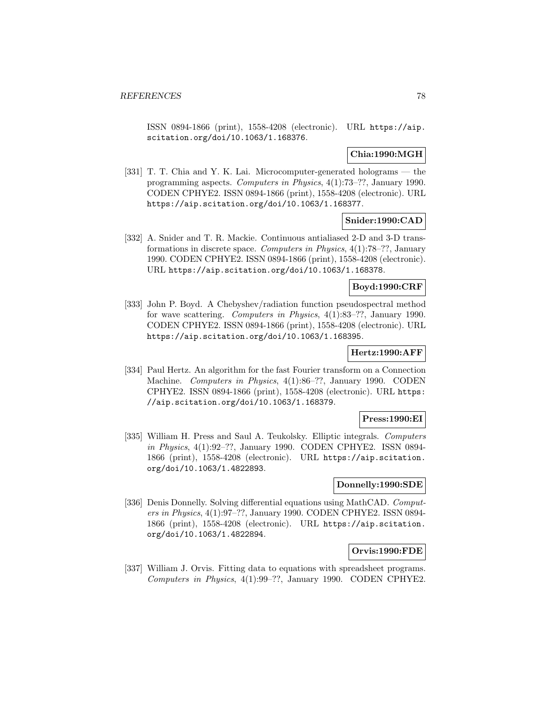ISSN 0894-1866 (print), 1558-4208 (electronic). URL https://aip. scitation.org/doi/10.1063/1.168376.

# **Chia:1990:MGH**

[331] T. T. Chia and Y. K. Lai. Microcomputer-generated holograms — the programming aspects. Computers in Physics, 4(1):73–??, January 1990. CODEN CPHYE2. ISSN 0894-1866 (print), 1558-4208 (electronic). URL https://aip.scitation.org/doi/10.1063/1.168377.

## **Snider:1990:CAD**

[332] A. Snider and T. R. Mackie. Continuous antialiased 2-D and 3-D transformations in discrete space. Computers in Physics, 4(1):78–??, January 1990. CODEN CPHYE2. ISSN 0894-1866 (print), 1558-4208 (electronic). URL https://aip.scitation.org/doi/10.1063/1.168378.

## **Boyd:1990:CRF**

[333] John P. Boyd. A Chebyshev/radiation function pseudospectral method for wave scattering. Computers in Physics, 4(1):83–??, January 1990. CODEN CPHYE2. ISSN 0894-1866 (print), 1558-4208 (electronic). URL https://aip.scitation.org/doi/10.1063/1.168395.

## **Hertz:1990:AFF**

[334] Paul Hertz. An algorithm for the fast Fourier transform on a Connection Machine. Computers in Physics, 4(1):86–??, January 1990. CODEN CPHYE2. ISSN 0894-1866 (print), 1558-4208 (electronic). URL https: //aip.scitation.org/doi/10.1063/1.168379.

## **Press:1990:EI**

[335] William H. Press and Saul A. Teukolsky. Elliptic integrals. Computers in Physics, 4(1):92–??, January 1990. CODEN CPHYE2. ISSN 0894- 1866 (print), 1558-4208 (electronic). URL https://aip.scitation. org/doi/10.1063/1.4822893.

## **Donnelly:1990:SDE**

[336] Denis Donnelly. Solving differential equations using MathCAD. Computers in Physics, 4(1):97–??, January 1990. CODEN CPHYE2. ISSN 0894- 1866 (print), 1558-4208 (electronic). URL https://aip.scitation. org/doi/10.1063/1.4822894.

#### **Orvis:1990:FDE**

[337] William J. Orvis. Fitting data to equations with spreadsheet programs. Computers in Physics, 4(1):99–??, January 1990. CODEN CPHYE2.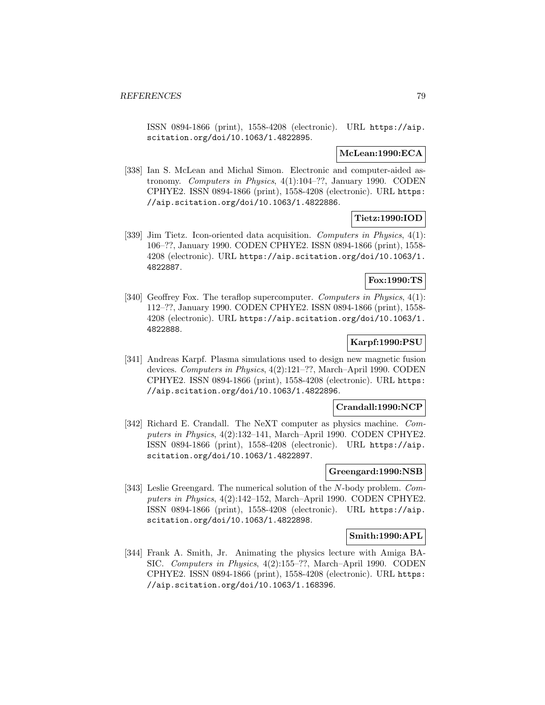ISSN 0894-1866 (print), 1558-4208 (electronic). URL https://aip. scitation.org/doi/10.1063/1.4822895.

## **McLean:1990:ECA**

[338] Ian S. McLean and Michal Simon. Electronic and computer-aided astronomy. Computers in Physics, 4(1):104–??, January 1990. CODEN CPHYE2. ISSN 0894-1866 (print), 1558-4208 (electronic). URL https: //aip.scitation.org/doi/10.1063/1.4822886.

### **Tietz:1990:IOD**

[339] Jim Tietz. Icon-oriented data acquisition. Computers in Physics, 4(1): 106–??, January 1990. CODEN CPHYE2. ISSN 0894-1866 (print), 1558- 4208 (electronic). URL https://aip.scitation.org/doi/10.1063/1. 4822887.

# **Fox:1990:TS**

[340] Geoffrey Fox. The teraflop supercomputer. Computers in Physics, 4(1): 112–??, January 1990. CODEN CPHYE2. ISSN 0894-1866 (print), 1558- 4208 (electronic). URL https://aip.scitation.org/doi/10.1063/1. 4822888.

# **Karpf:1990:PSU**

[341] Andreas Karpf. Plasma simulations used to design new magnetic fusion devices. Computers in Physics, 4(2):121–??, March–April 1990. CODEN CPHYE2. ISSN 0894-1866 (print), 1558-4208 (electronic). URL https: //aip.scitation.org/doi/10.1063/1.4822896.

### **Crandall:1990:NCP**

[342] Richard E. Crandall. The NeXT computer as physics machine. Computers in Physics, 4(2):132–141, March–April 1990. CODEN CPHYE2. ISSN 0894-1866 (print), 1558-4208 (electronic). URL https://aip. scitation.org/doi/10.1063/1.4822897.

#### **Greengard:1990:NSB**

[343] Leslie Greengard. The numerical solution of the N-body problem. Computers in Physics, 4(2):142–152, March–April 1990. CODEN CPHYE2. ISSN 0894-1866 (print), 1558-4208 (electronic). URL https://aip. scitation.org/doi/10.1063/1.4822898.

## **Smith:1990:APL**

[344] Frank A. Smith, Jr. Animating the physics lecture with Amiga BA-SIC. Computers in Physics, 4(2):155–??, March–April 1990. CODEN CPHYE2. ISSN 0894-1866 (print), 1558-4208 (electronic). URL https: //aip.scitation.org/doi/10.1063/1.168396.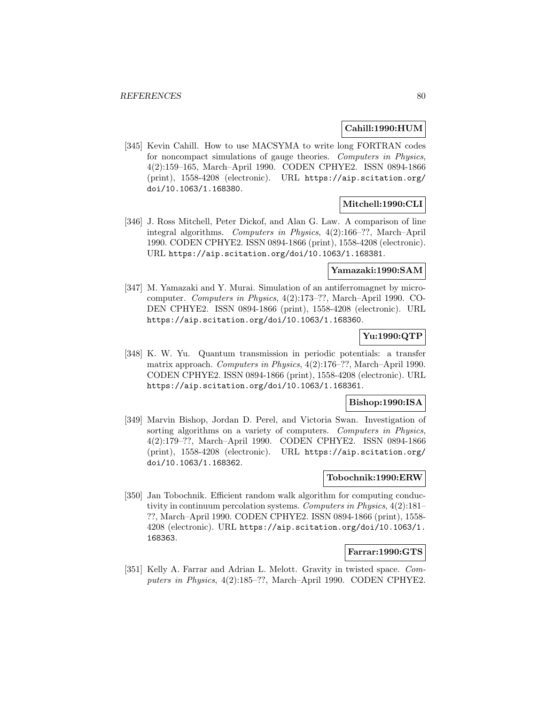## **Cahill:1990:HUM**

[345] Kevin Cahill. How to use MACSYMA to write long FORTRAN codes for noncompact simulations of gauge theories. Computers in Physics, 4(2):159–165, March–April 1990. CODEN CPHYE2. ISSN 0894-1866 (print), 1558-4208 (electronic). URL https://aip.scitation.org/ doi/10.1063/1.168380.

## **Mitchell:1990:CLI**

[346] J. Ross Mitchell, Peter Dickof, and Alan G. Law. A comparison of line integral algorithms. Computers in Physics, 4(2):166–??, March–April 1990. CODEN CPHYE2. ISSN 0894-1866 (print), 1558-4208 (electronic). URL https://aip.scitation.org/doi/10.1063/1.168381.

## **Yamazaki:1990:SAM**

[347] M. Yamazaki and Y. Murai. Simulation of an antiferromagnet by microcomputer. Computers in Physics, 4(2):173–??, March–April 1990. CO-DEN CPHYE2. ISSN 0894-1866 (print), 1558-4208 (electronic). URL https://aip.scitation.org/doi/10.1063/1.168360.

# **Yu:1990:QTP**

[348] K. W. Yu. Quantum transmission in periodic potentials: a transfer matrix approach. Computers in Physics, 4(2):176–??, March–April 1990. CODEN CPHYE2. ISSN 0894-1866 (print), 1558-4208 (electronic). URL https://aip.scitation.org/doi/10.1063/1.168361.

## **Bishop:1990:ISA**

[349] Marvin Bishop, Jordan D. Perel, and Victoria Swan. Investigation of sorting algorithms on a variety of computers. Computers in Physics, 4(2):179–??, March–April 1990. CODEN CPHYE2. ISSN 0894-1866 (print), 1558-4208 (electronic). URL https://aip.scitation.org/ doi/10.1063/1.168362.

#### **Tobochnik:1990:ERW**

[350] Jan Tobochnik. Efficient random walk algorithm for computing conductivity in continuum percolation systems. Computers in Physics, 4(2):181– ??, March–April 1990. CODEN CPHYE2. ISSN 0894-1866 (print), 1558- 4208 (electronic). URL https://aip.scitation.org/doi/10.1063/1. 168363.

## **Farrar:1990:GTS**

[351] Kelly A. Farrar and Adrian L. Melott. Gravity in twisted space. Computers in Physics, 4(2):185–??, March–April 1990. CODEN CPHYE2.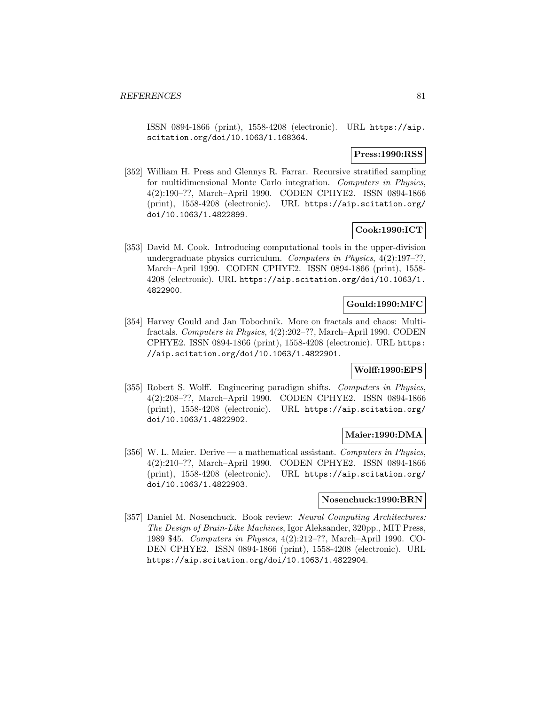ISSN 0894-1866 (print), 1558-4208 (electronic). URL https://aip. scitation.org/doi/10.1063/1.168364.

## **Press:1990:RSS**

[352] William H. Press and Glennys R. Farrar. Recursive stratified sampling for multidimensional Monte Carlo integration. Computers in Physics, 4(2):190–??, March–April 1990. CODEN CPHYE2. ISSN 0894-1866 (print), 1558-4208 (electronic). URL https://aip.scitation.org/ doi/10.1063/1.4822899.

# **Cook:1990:ICT**

[353] David M. Cook. Introducing computational tools in the upper-division undergraduate physics curriculum. Computers in Physics, 4(2):197–??, March–April 1990. CODEN CPHYE2. ISSN 0894-1866 (print), 1558- 4208 (electronic). URL https://aip.scitation.org/doi/10.1063/1. 4822900.

## **Gould:1990:MFC**

[354] Harvey Gould and Jan Tobochnik. More on fractals and chaos: Multifractals. Computers in Physics, 4(2):202–??, March–April 1990. CODEN CPHYE2. ISSN 0894-1866 (print), 1558-4208 (electronic). URL https: //aip.scitation.org/doi/10.1063/1.4822901.

# **Wolff:1990:EPS**

[355] Robert S. Wolff. Engineering paradigm shifts. Computers in Physics, 4(2):208–??, March–April 1990. CODEN CPHYE2. ISSN 0894-1866 (print), 1558-4208 (electronic). URL https://aip.scitation.org/ doi/10.1063/1.4822902.

#### **Maier:1990:DMA**

[356] W. L. Maier. Derive — a mathematical assistant. Computers in Physics, 4(2):210–??, March–April 1990. CODEN CPHYE2. ISSN 0894-1866 (print), 1558-4208 (electronic). URL https://aip.scitation.org/ doi/10.1063/1.4822903.

# **Nosenchuck:1990:BRN**

[357] Daniel M. Nosenchuck. Book review: Neural Computing Architectures: The Design of Brain-Like Machines, Igor Aleksander, 320pp., MIT Press, 1989 \$45. Computers in Physics, 4(2):212–??, March–April 1990. CO-DEN CPHYE2. ISSN 0894-1866 (print), 1558-4208 (electronic). URL https://aip.scitation.org/doi/10.1063/1.4822904.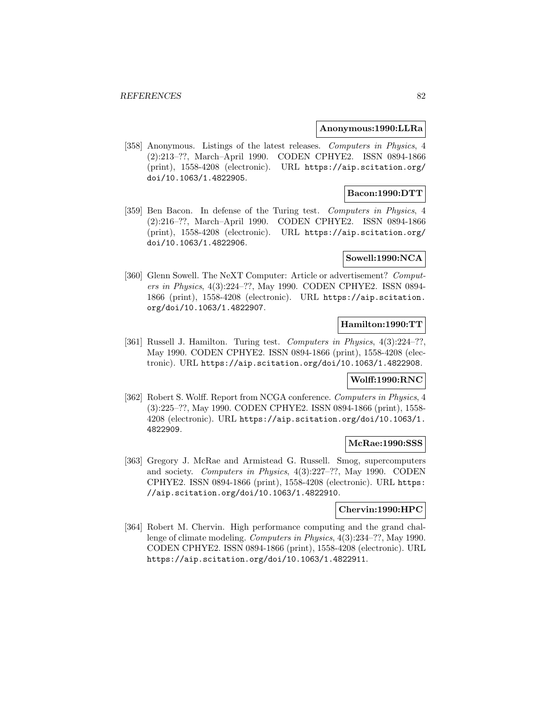### **Anonymous:1990:LLRa**

[358] Anonymous. Listings of the latest releases. Computers in Physics, 4 (2):213–??, March–April 1990. CODEN CPHYE2. ISSN 0894-1866 (print), 1558-4208 (electronic). URL https://aip.scitation.org/ doi/10.1063/1.4822905.

# **Bacon:1990:DTT**

[359] Ben Bacon. In defense of the Turing test. Computers in Physics, 4 (2):216–??, March–April 1990. CODEN CPHYE2. ISSN 0894-1866 (print), 1558-4208 (electronic). URL https://aip.scitation.org/ doi/10.1063/1.4822906.

## **Sowell:1990:NCA**

[360] Glenn Sowell. The NeXT Computer: Article or advertisement? Computers in Physics, 4(3):224–??, May 1990. CODEN CPHYE2. ISSN 0894- 1866 (print), 1558-4208 (electronic). URL https://aip.scitation. org/doi/10.1063/1.4822907.

# **Hamilton:1990:TT**

[361] Russell J. Hamilton. Turing test. Computers in Physics, 4(3):224-??, May 1990. CODEN CPHYE2. ISSN 0894-1866 (print), 1558-4208 (electronic). URL https://aip.scitation.org/doi/10.1063/1.4822908.

## **Wolff:1990:RNC**

[362] Robert S. Wolff. Report from NCGA conference. Computers in Physics, 4 (3):225–??, May 1990. CODEN CPHYE2. ISSN 0894-1866 (print), 1558- 4208 (electronic). URL https://aip.scitation.org/doi/10.1063/1. 4822909.

#### **McRae:1990:SSS**

[363] Gregory J. McRae and Armistead G. Russell. Smog, supercomputers and society. Computers in Physics, 4(3):227–??, May 1990. CODEN CPHYE2. ISSN 0894-1866 (print), 1558-4208 (electronic). URL https: //aip.scitation.org/doi/10.1063/1.4822910.

### **Chervin:1990:HPC**

[364] Robert M. Chervin. High performance computing and the grand challenge of climate modeling. Computers in Physics, 4(3):234–??, May 1990. CODEN CPHYE2. ISSN 0894-1866 (print), 1558-4208 (electronic). URL https://aip.scitation.org/doi/10.1063/1.4822911.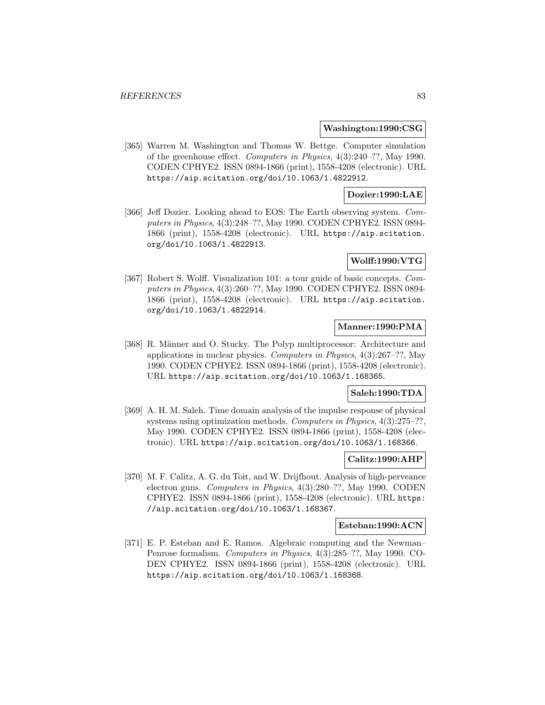### **Washington:1990:CSG**

[365] Warren M. Washington and Thomas W. Bettge. Computer simulation of the greenhouse effect. Computers in Physics, 4(3):240–??, May 1990. CODEN CPHYE2. ISSN 0894-1866 (print), 1558-4208 (electronic). URL https://aip.scitation.org/doi/10.1063/1.4822912.

## **Dozier:1990:LAE**

[366] Jeff Dozier. Looking ahead to EOS: The Earth observing system. Computers in Physics, 4(3):248–??, May 1990. CODEN CPHYE2. ISSN 0894- 1866 (print), 1558-4208 (electronic). URL https://aip.scitation. org/doi/10.1063/1.4822913.

## **Wolff:1990:VTG**

[367] Robert S. Wolff. Visualization 101: a tour guide of basic concepts. Computers in Physics, 4(3):260–??, May 1990. CODEN CPHYE2. ISSN 0894- 1866 (print), 1558-4208 (electronic). URL https://aip.scitation. org/doi/10.1063/1.4822914.

# **Manner:1990:PMA**

[368] R. Männer and O. Stucky. The Polyp multiprocessor: Architecture and applications in nuclear physics. Computers in Physics, 4(3):267–??, May 1990. CODEN CPHYE2. ISSN 0894-1866 (print), 1558-4208 (electronic). URL https://aip.scitation.org/doi/10.1063/1.168365.

# **Saleh:1990:TDA**

[369] A. H. M. Saleh. Time domain analysis of the impulse response of physical systems using optimization methods. Computers in Physics, 4(3):275–??, May 1990. CODEN CPHYE2. ISSN 0894-1866 (print), 1558-4208 (electronic). URL https://aip.scitation.org/doi/10.1063/1.168366.

### **Calitz:1990:AHP**

[370] M. F. Calitz, A. G. du Toit, and W. Drijfhout. Analysis of high-perveance electron guns. Computers in Physics, 4(3):280–??, May 1990. CODEN CPHYE2. ISSN 0894-1866 (print), 1558-4208 (electronic). URL https: //aip.scitation.org/doi/10.1063/1.168367.

#### **Esteban:1990:ACN**

[371] E. P. Esteban and E. Ramos. Algebraic computing and the Newman– Penrose formalism. Computers in Physics, 4(3):285–??, May 1990. CO-DEN CPHYE2. ISSN 0894-1866 (print), 1558-4208 (electronic). URL https://aip.scitation.org/doi/10.1063/1.168368.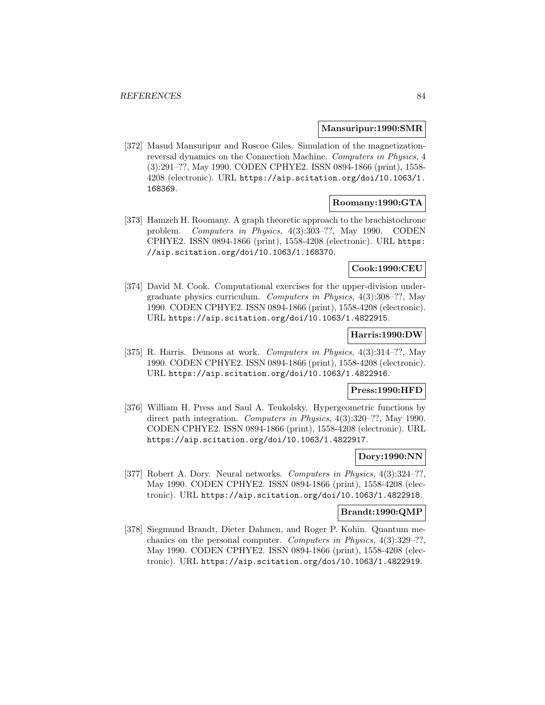### **Mansuripur:1990:SMR**

[372] Masud Mansuripur and Roscoe Giles. Simulation of the magnetizationreversal dynamics on the Connection Machine. Computers in Physics, 4 (3):291–??, May 1990. CODEN CPHYE2. ISSN 0894-1866 (print), 1558- 4208 (electronic). URL https://aip.scitation.org/doi/10.1063/1. 168369.

# **Roomany:1990:GTA**

[373] Hamzeh H. Roomany. A graph theoretic approach to the brachistochrone problem. Computers in Physics, 4(3):303–??, May 1990. CODEN CPHYE2. ISSN 0894-1866 (print), 1558-4208 (electronic). URL https: //aip.scitation.org/doi/10.1063/1.168370.

# **Cook:1990:CEU**

[374] David M. Cook. Computational exercises for the upper-division undergraduate physics curriculum. Computers in Physics, 4(3):308–??, May 1990. CODEN CPHYE2. ISSN 0894-1866 (print), 1558-4208 (electronic). URL https://aip.scitation.org/doi/10.1063/1.4822915.

### **Harris:1990:DW**

[375] R. Harris. Demons at work. Computers in Physics, 4(3):314–??, May 1990. CODEN CPHYE2. ISSN 0894-1866 (print), 1558-4208 (electronic). URL https://aip.scitation.org/doi/10.1063/1.4822916.

## **Press:1990:HFD**

[376] William H. Press and Saul A. Teukolsky. Hypergeometric functions by direct path integration. Computers in Physics, 4(3):320–??, May 1990. CODEN CPHYE2. ISSN 0894-1866 (print), 1558-4208 (electronic). URL https://aip.scitation.org/doi/10.1063/1.4822917.

### **Dory:1990:NN**

[377] Robert A. Dory. Neural networks. Computers in Physics, 4(3):324-??, May 1990. CODEN CPHYE2. ISSN 0894-1866 (print), 1558-4208 (electronic). URL https://aip.scitation.org/doi/10.1063/1.4822918.

### **Brandt:1990:QMP**

[378] Siegmund Brandt, Dieter Dahmen, and Roger P. Kohin. Quantum mechanics on the personal computer. Computers in Physics, 4(3):329–??, May 1990. CODEN CPHYE2. ISSN 0894-1866 (print), 1558-4208 (electronic). URL https://aip.scitation.org/doi/10.1063/1.4822919.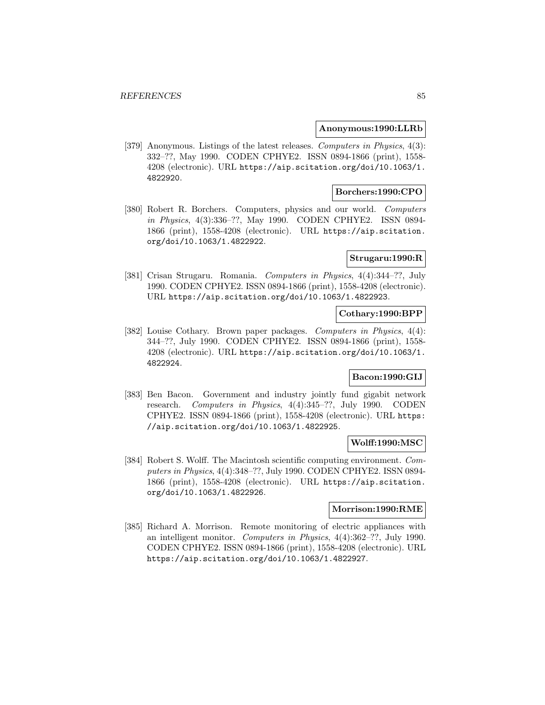### **Anonymous:1990:LLRb**

[379] Anonymous. Listings of the latest releases. Computers in Physics, 4(3): 332–??, May 1990. CODEN CPHYE2. ISSN 0894-1866 (print), 1558- 4208 (electronic). URL https://aip.scitation.org/doi/10.1063/1. 4822920.

## **Borchers:1990:CPO**

[380] Robert R. Borchers. Computers, physics and our world. Computers in Physics, 4(3):336–??, May 1990. CODEN CPHYE2. ISSN 0894- 1866 (print), 1558-4208 (electronic). URL https://aip.scitation. org/doi/10.1063/1.4822922.

## **Strugaru:1990:R**

[381] Crisan Strugaru. Romania. Computers in Physics, 4(4):344–??, July 1990. CODEN CPHYE2. ISSN 0894-1866 (print), 1558-4208 (electronic). URL https://aip.scitation.org/doi/10.1063/1.4822923.

### **Cothary:1990:BPP**

[382] Louise Cothary. Brown paper packages. Computers in Physics, 4(4): 344–??, July 1990. CODEN CPHYE2. ISSN 0894-1866 (print), 1558- 4208 (electronic). URL https://aip.scitation.org/doi/10.1063/1. 4822924.

## **Bacon:1990:GIJ**

[383] Ben Bacon. Government and industry jointly fund gigabit network research. Computers in Physics, 4(4):345–??, July 1990. CODEN CPHYE2. ISSN 0894-1866 (print), 1558-4208 (electronic). URL https: //aip.scitation.org/doi/10.1063/1.4822925.

# **Wolff:1990:MSC**

[384] Robert S. Wolff. The Macintosh scientific computing environment. Computers in Physics, 4(4):348–??, July 1990. CODEN CPHYE2. ISSN 0894- 1866 (print), 1558-4208 (electronic). URL https://aip.scitation. org/doi/10.1063/1.4822926.

### **Morrison:1990:RME**

[385] Richard A. Morrison. Remote monitoring of electric appliances with an intelligent monitor. Computers in Physics, 4(4):362–??, July 1990. CODEN CPHYE2. ISSN 0894-1866 (print), 1558-4208 (electronic). URL https://aip.scitation.org/doi/10.1063/1.4822927.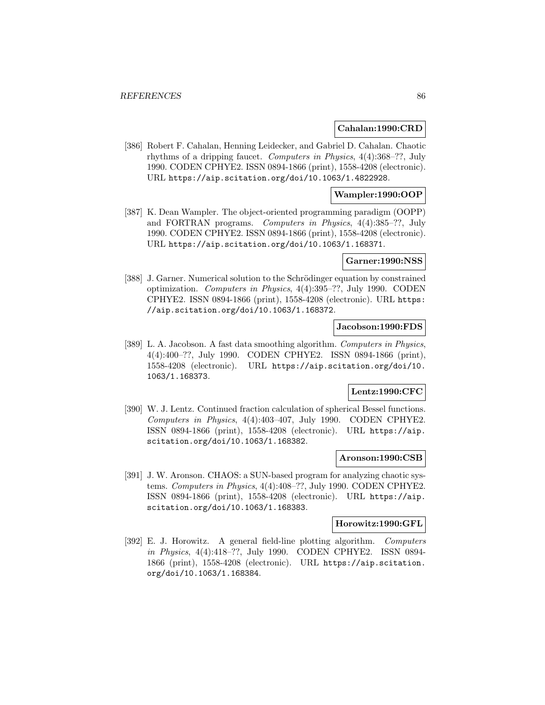### **Cahalan:1990:CRD**

[386] Robert F. Cahalan, Henning Leidecker, and Gabriel D. Cahalan. Chaotic rhythms of a dripping faucet. Computers in Physics, 4(4):368–??, July 1990. CODEN CPHYE2. ISSN 0894-1866 (print), 1558-4208 (electronic). URL https://aip.scitation.org/doi/10.1063/1.4822928.

### **Wampler:1990:OOP**

[387] K. Dean Wampler. The object-oriented programming paradigm (OOPP) and FORTRAN programs. Computers in Physics, 4(4):385–??, July 1990. CODEN CPHYE2. ISSN 0894-1866 (print), 1558-4208 (electronic). URL https://aip.scitation.org/doi/10.1063/1.168371.

### **Garner:1990:NSS**

[388] J. Garner. Numerical solution to the Schrödinger equation by constrained optimization. Computers in Physics, 4(4):395–??, July 1990. CODEN CPHYE2. ISSN 0894-1866 (print), 1558-4208 (electronic). URL https: //aip.scitation.org/doi/10.1063/1.168372.

### **Jacobson:1990:FDS**

[389] L. A. Jacobson. A fast data smoothing algorithm. Computers in Physics, 4(4):400–??, July 1990. CODEN CPHYE2. ISSN 0894-1866 (print), 1558-4208 (electronic). URL https://aip.scitation.org/doi/10. 1063/1.168373.

# **Lentz:1990:CFC**

[390] W. J. Lentz. Continued fraction calculation of spherical Bessel functions. Computers in Physics, 4(4):403–407, July 1990. CODEN CPHYE2. ISSN 0894-1866 (print), 1558-4208 (electronic). URL https://aip. scitation.org/doi/10.1063/1.168382.

#### **Aronson:1990:CSB**

[391] J. W. Aronson. CHAOS: a SUN-based program for analyzing chaotic systems. Computers in Physics, 4(4):408–??, July 1990. CODEN CPHYE2. ISSN 0894-1866 (print), 1558-4208 (electronic). URL https://aip. scitation.org/doi/10.1063/1.168383.

## **Horowitz:1990:GFL**

[392] E. J. Horowitz. A general field-line plotting algorithm. Computers in Physics, 4(4):418–??, July 1990. CODEN CPHYE2. ISSN 0894- 1866 (print), 1558-4208 (electronic). URL https://aip.scitation. org/doi/10.1063/1.168384.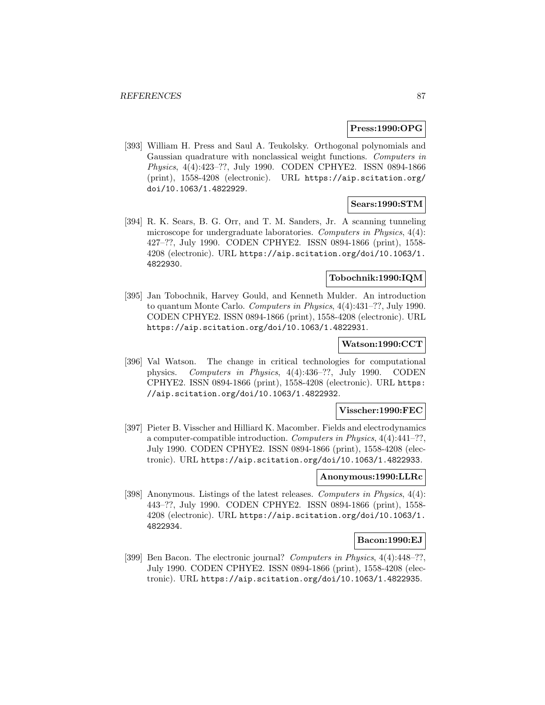### **Press:1990:OPG**

[393] William H. Press and Saul A. Teukolsky. Orthogonal polynomials and Gaussian quadrature with nonclassical weight functions. Computers in Physics, 4(4):423–??, July 1990. CODEN CPHYE2. ISSN 0894-1866 (print), 1558-4208 (electronic). URL https://aip.scitation.org/ doi/10.1063/1.4822929.

### **Sears:1990:STM**

[394] R. K. Sears, B. G. Orr, and T. M. Sanders, Jr. A scanning tunneling microscope for undergraduate laboratories. Computers in Physics, 4(4): 427–??, July 1990. CODEN CPHYE2. ISSN 0894-1866 (print), 1558- 4208 (electronic). URL https://aip.scitation.org/doi/10.1063/1. 4822930.

# **Tobochnik:1990:IQM**

[395] Jan Tobochnik, Harvey Gould, and Kenneth Mulder. An introduction to quantum Monte Carlo. Computers in Physics, 4(4):431–??, July 1990. CODEN CPHYE2. ISSN 0894-1866 (print), 1558-4208 (electronic). URL https://aip.scitation.org/doi/10.1063/1.4822931.

### **Watson:1990:CCT**

[396] Val Watson. The change in critical technologies for computational physics. Computers in Physics, 4(4):436–??, July 1990. CODEN CPHYE2. ISSN 0894-1866 (print), 1558-4208 (electronic). URL https: //aip.scitation.org/doi/10.1063/1.4822932.

# **Visscher:1990:FEC**

[397] Pieter B. Visscher and Hilliard K. Macomber. Fields and electrodynamics a computer-compatible introduction. Computers in Physics, 4(4):441–??, July 1990. CODEN CPHYE2. ISSN 0894-1866 (print), 1558-4208 (electronic). URL https://aip.scitation.org/doi/10.1063/1.4822933.

#### **Anonymous:1990:LLRc**

[398] Anonymous. Listings of the latest releases. Computers in Physics, 4(4): 443–??, July 1990. CODEN CPHYE2. ISSN 0894-1866 (print), 1558- 4208 (electronic). URL https://aip.scitation.org/doi/10.1063/1. 4822934.

#### **Bacon:1990:EJ**

[399] Ben Bacon. The electronic journal? Computers in Physics, 4(4):448–??, July 1990. CODEN CPHYE2. ISSN 0894-1866 (print), 1558-4208 (electronic). URL https://aip.scitation.org/doi/10.1063/1.4822935.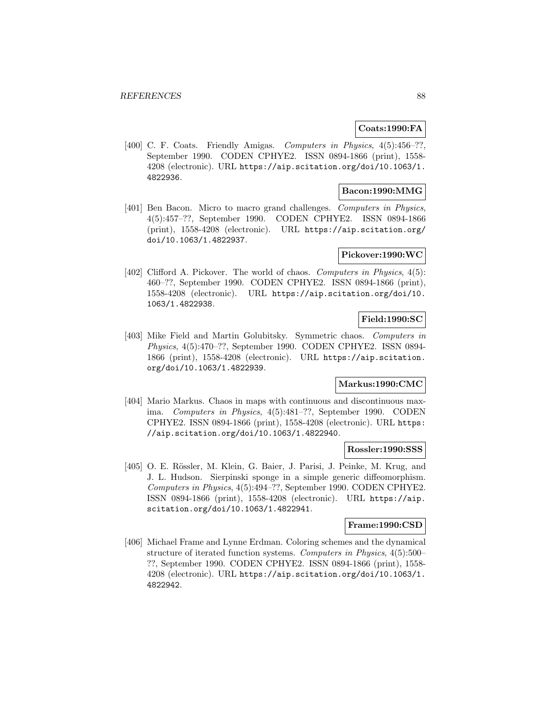# **Coats:1990:FA**

[400] C. F. Coats. Friendly Amigas. *Computers in Physics*, 4(5):456–??, September 1990. CODEN CPHYE2. ISSN 0894-1866 (print), 1558- 4208 (electronic). URL https://aip.scitation.org/doi/10.1063/1. 4822936.

## **Bacon:1990:MMG**

[401] Ben Bacon. Micro to macro grand challenges. Computers in Physics, 4(5):457–??, September 1990. CODEN CPHYE2. ISSN 0894-1866 (print), 1558-4208 (electronic). URL https://aip.scitation.org/ doi/10.1063/1.4822937.

# **Pickover:1990:WC**

[402] Clifford A. Pickover. The world of chaos. *Computers in Physics*, 4(5): 460–??, September 1990. CODEN CPHYE2. ISSN 0894-1866 (print), 1558-4208 (electronic). URL https://aip.scitation.org/doi/10. 1063/1.4822938.

## **Field:1990:SC**

[403] Mike Field and Martin Golubitsky. Symmetric chaos. Computers in Physics, 4(5):470–??, September 1990. CODEN CPHYE2. ISSN 0894- 1866 (print), 1558-4208 (electronic). URL https://aip.scitation. org/doi/10.1063/1.4822939.

## **Markus:1990:CMC**

[404] Mario Markus. Chaos in maps with continuous and discontinuous maxima. Computers in Physics, 4(5):481–??, September 1990. CODEN CPHYE2. ISSN 0894-1866 (print), 1558-4208 (electronic). URL https: //aip.scitation.org/doi/10.1063/1.4822940.

#### **Rossler:1990:SSS**

[405] O. E. Rössler, M. Klein, G. Baier, J. Parisi, J. Peinke, M. Krug, and J. L. Hudson. Sierpinski sponge in a simple generic diffeomorphism. Computers in Physics, 4(5):494–??, September 1990. CODEN CPHYE2. ISSN 0894-1866 (print), 1558-4208 (electronic). URL https://aip. scitation.org/doi/10.1063/1.4822941.

#### **Frame:1990:CSD**

[406] Michael Frame and Lynne Erdman. Coloring schemes and the dynamical structure of iterated function systems. Computers in Physics, 4(5):500– ??, September 1990. CODEN CPHYE2. ISSN 0894-1866 (print), 1558- 4208 (electronic). URL https://aip.scitation.org/doi/10.1063/1. 4822942.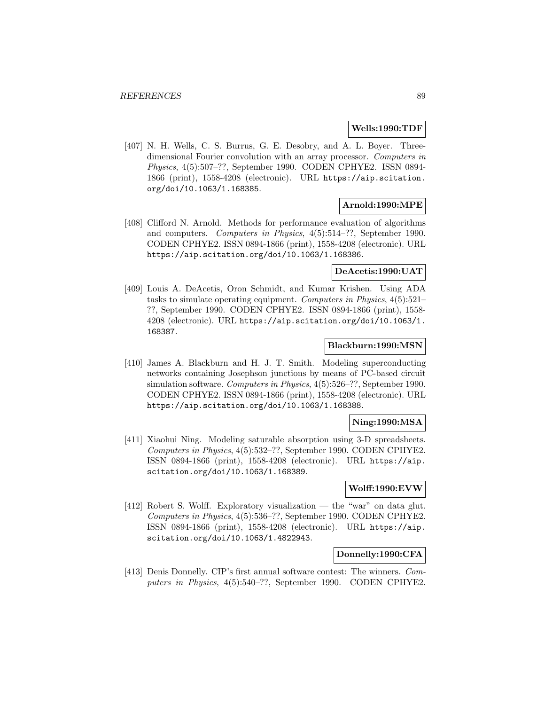### **Wells:1990:TDF**

[407] N. H. Wells, C. S. Burrus, G. E. Desobry, and A. L. Boyer. Threedimensional Fourier convolution with an array processor. Computers in Physics, 4(5):507–??, September 1990. CODEN CPHYE2. ISSN 0894- 1866 (print), 1558-4208 (electronic). URL https://aip.scitation. org/doi/10.1063/1.168385.

## **Arnold:1990:MPE**

[408] Clifford N. Arnold. Methods for performance evaluation of algorithms and computers. Computers in Physics, 4(5):514–??, September 1990. CODEN CPHYE2. ISSN 0894-1866 (print), 1558-4208 (electronic). URL https://aip.scitation.org/doi/10.1063/1.168386.

## **DeAcetis:1990:UAT**

[409] Louis A. DeAcetis, Oron Schmidt, and Kumar Krishen. Using ADA tasks to simulate operating equipment. Computers in Physics, 4(5):521– ??, September 1990. CODEN CPHYE2. ISSN 0894-1866 (print), 1558- 4208 (electronic). URL https://aip.scitation.org/doi/10.1063/1. 168387.

### **Blackburn:1990:MSN**

[410] James A. Blackburn and H. J. T. Smith. Modeling superconducting networks containing Josephson junctions by means of PC-based circuit simulation software. Computers in Physics, 4(5):526–??, September 1990. CODEN CPHYE2. ISSN 0894-1866 (print), 1558-4208 (electronic). URL https://aip.scitation.org/doi/10.1063/1.168388.

## **Ning:1990:MSA**

[411] Xiaohui Ning. Modeling saturable absorption using 3-D spreadsheets. Computers in Physics, 4(5):532–??, September 1990. CODEN CPHYE2. ISSN 0894-1866 (print), 1558-4208 (electronic). URL https://aip. scitation.org/doi/10.1063/1.168389.

# **Wolff:1990:EVW**

[412] Robert S. Wolff. Exploratory visualization — the "war" on data glut. Computers in Physics, 4(5):536–??, September 1990. CODEN CPHYE2. ISSN 0894-1866 (print), 1558-4208 (electronic). URL https://aip. scitation.org/doi/10.1063/1.4822943.

### **Donnelly:1990:CFA**

[413] Denis Donnelly. CIP's first annual software contest: The winners. Computers in Physics, 4(5):540–??, September 1990. CODEN CPHYE2.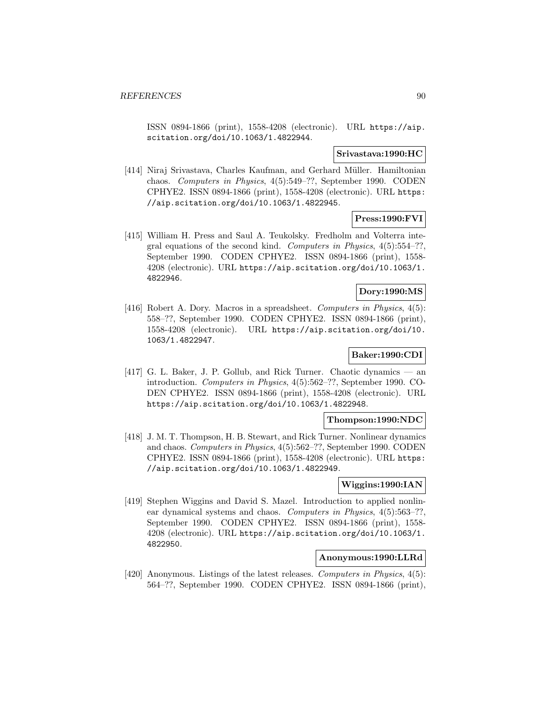ISSN 0894-1866 (print), 1558-4208 (electronic). URL https://aip. scitation.org/doi/10.1063/1.4822944.

### **Srivastava:1990:HC**

[414] Niraj Srivastava, Charles Kaufman, and Gerhard Müller. Hamiltonian chaos. Computers in Physics, 4(5):549–??, September 1990. CODEN CPHYE2. ISSN 0894-1866 (print), 1558-4208 (electronic). URL https: //aip.scitation.org/doi/10.1063/1.4822945.

# **Press:1990:FVI**

[415] William H. Press and Saul A. Teukolsky. Fredholm and Volterra integral equations of the second kind. Computers in Physics,  $4(5):554-??$ , September 1990. CODEN CPHYE2. ISSN 0894-1866 (print), 1558- 4208 (electronic). URL https://aip.scitation.org/doi/10.1063/1. 4822946.

# **Dory:1990:MS**

[416] Robert A. Dory. Macros in a spreadsheet. Computers in Physics, 4(5): 558–??, September 1990. CODEN CPHYE2. ISSN 0894-1866 (print), 1558-4208 (electronic). URL https://aip.scitation.org/doi/10. 1063/1.4822947.

# **Baker:1990:CDI**

[417] G. L. Baker, J. P. Gollub, and Rick Turner. Chaotic dynamics — an introduction. Computers in Physics, 4(5):562–??, September 1990. CO-DEN CPHYE2. ISSN 0894-1866 (print), 1558-4208 (electronic). URL https://aip.scitation.org/doi/10.1063/1.4822948.

### **Thompson:1990:NDC**

[418] J. M. T. Thompson, H. B. Stewart, and Rick Turner. Nonlinear dynamics and chaos. Computers in Physics, 4(5):562–??, September 1990. CODEN CPHYE2. ISSN 0894-1866 (print), 1558-4208 (electronic). URL https: //aip.scitation.org/doi/10.1063/1.4822949.

## **Wiggins:1990:IAN**

[419] Stephen Wiggins and David S. Mazel. Introduction to applied nonlinear dynamical systems and chaos. Computers in Physics, 4(5):563–??, September 1990. CODEN CPHYE2. ISSN 0894-1866 (print), 1558- 4208 (electronic). URL https://aip.scitation.org/doi/10.1063/1. 4822950.

# **Anonymous:1990:LLRd**

[420] Anonymous. Listings of the latest releases. Computers in Physics, 4(5): 564–??, September 1990. CODEN CPHYE2. ISSN 0894-1866 (print),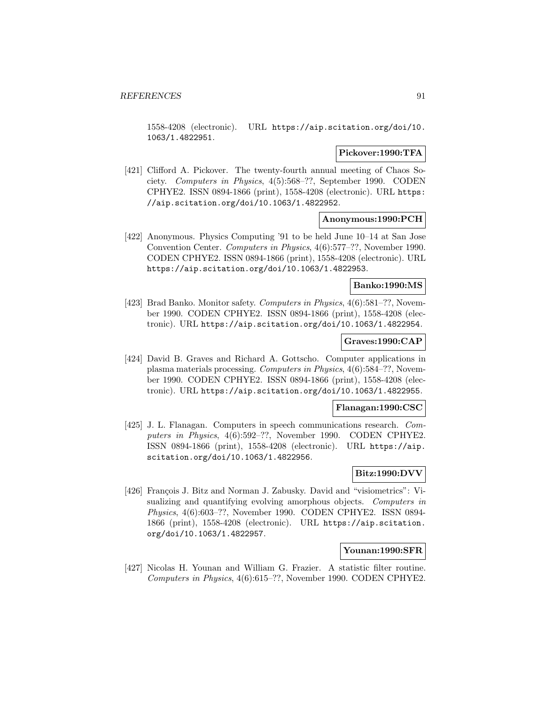1558-4208 (electronic). URL https://aip.scitation.org/doi/10. 1063/1.4822951.

### **Pickover:1990:TFA**

[421] Clifford A. Pickover. The twenty-fourth annual meeting of Chaos Society. Computers in Physics, 4(5):568–??, September 1990. CODEN CPHYE2. ISSN 0894-1866 (print), 1558-4208 (electronic). URL https: //aip.scitation.org/doi/10.1063/1.4822952.

## **Anonymous:1990:PCH**

[422] Anonymous. Physics Computing '91 to be held June 10–14 at San Jose Convention Center. Computers in Physics, 4(6):577–??, November 1990. CODEN CPHYE2. ISSN 0894-1866 (print), 1558-4208 (electronic). URL https://aip.scitation.org/doi/10.1063/1.4822953.

### **Banko:1990:MS**

[423] Brad Banko. Monitor safety. Computers in Physics, 4(6):581–??, November 1990. CODEN CPHYE2. ISSN 0894-1866 (print), 1558-4208 (electronic). URL https://aip.scitation.org/doi/10.1063/1.4822954.

## **Graves:1990:CAP**

[424] David B. Graves and Richard A. Gottscho. Computer applications in plasma materials processing. Computers in Physics, 4(6):584–??, November 1990. CODEN CPHYE2. ISSN 0894-1866 (print), 1558-4208 (electronic). URL https://aip.scitation.org/doi/10.1063/1.4822955.

### **Flanagan:1990:CSC**

[425] J. L. Flanagan. Computers in speech communications research. Computers in Physics, 4(6):592-??, November 1990. CODEN CPHYE2. ISSN 0894-1866 (print), 1558-4208 (electronic). URL https://aip. scitation.org/doi/10.1063/1.4822956.

## **Bitz:1990:DVV**

[426] François J. Bitz and Norman J. Zabusky. David and "visiometrics": Visualizing and quantifying evolving amorphous objects. Computers in Physics, 4(6):603–??, November 1990. CODEN CPHYE2. ISSN 0894- 1866 (print), 1558-4208 (electronic). URL https://aip.scitation. org/doi/10.1063/1.4822957.

### **Younan:1990:SFR**

[427] Nicolas H. Younan and William G. Frazier. A statistic filter routine. Computers in Physics, 4(6):615–??, November 1990. CODEN CPHYE2.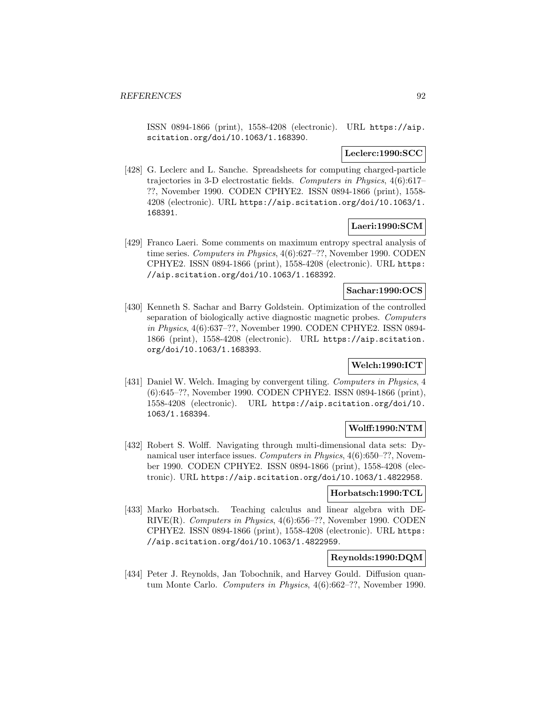ISSN 0894-1866 (print), 1558-4208 (electronic). URL https://aip. scitation.org/doi/10.1063/1.168390.

## **Leclerc:1990:SCC**

[428] G. Leclerc and L. Sanche. Spreadsheets for computing charged-particle trajectories in 3-D electrostatic fields. Computers in Physics, 4(6):617– ??, November 1990. CODEN CPHYE2. ISSN 0894-1866 (print), 1558- 4208 (electronic). URL https://aip.scitation.org/doi/10.1063/1. 168391.

# **Laeri:1990:SCM**

[429] Franco Laeri. Some comments on maximum entropy spectral analysis of time series. Computers in Physics, 4(6):627–??, November 1990. CODEN CPHYE2. ISSN 0894-1866 (print), 1558-4208 (electronic). URL https: //aip.scitation.org/doi/10.1063/1.168392.

### **Sachar:1990:OCS**

[430] Kenneth S. Sachar and Barry Goldstein. Optimization of the controlled separation of biologically active diagnostic magnetic probes. Computers in Physics, 4(6):637–??, November 1990. CODEN CPHYE2. ISSN 0894- 1866 (print), 1558-4208 (electronic). URL https://aip.scitation. org/doi/10.1063/1.168393.

# **Welch:1990:ICT**

[431] Daniel W. Welch. Imaging by convergent tiling. Computers in Physics, 4 (6):645–??, November 1990. CODEN CPHYE2. ISSN 0894-1866 (print), 1558-4208 (electronic). URL https://aip.scitation.org/doi/10. 1063/1.168394.

# **Wolff:1990:NTM**

[432] Robert S. Wolff. Navigating through multi-dimensional data sets: Dynamical user interface issues. Computers in Physics, 4(6):650–??, November 1990. CODEN CPHYE2. ISSN 0894-1866 (print), 1558-4208 (electronic). URL https://aip.scitation.org/doi/10.1063/1.4822958.

#### **Horbatsch:1990:TCL**

[433] Marko Horbatsch. Teaching calculus and linear algebra with DE-RIVE(R). Computers in Physics, 4(6):656–??, November 1990. CODEN CPHYE2. ISSN 0894-1866 (print), 1558-4208 (electronic). URL https: //aip.scitation.org/doi/10.1063/1.4822959.

# **Reynolds:1990:DQM**

[434] Peter J. Reynolds, Jan Tobochnik, and Harvey Gould. Diffusion quantum Monte Carlo. Computers in Physics, 4(6):662–??, November 1990.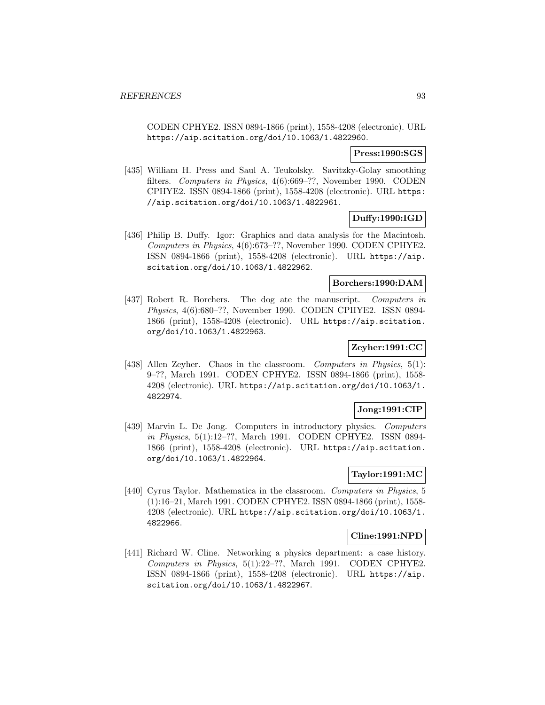CODEN CPHYE2. ISSN 0894-1866 (print), 1558-4208 (electronic). URL https://aip.scitation.org/doi/10.1063/1.4822960.

## **Press:1990:SGS**

[435] William H. Press and Saul A. Teukolsky. Savitzky-Golay smoothing filters. Computers in Physics, 4(6):669–??, November 1990. CODEN CPHYE2. ISSN 0894-1866 (print), 1558-4208 (electronic). URL https: //aip.scitation.org/doi/10.1063/1.4822961.

# **Duffy:1990:IGD**

[436] Philip B. Duffy. Igor: Graphics and data analysis for the Macintosh. Computers in Physics, 4(6):673–??, November 1990. CODEN CPHYE2. ISSN 0894-1866 (print), 1558-4208 (electronic). URL https://aip. scitation.org/doi/10.1063/1.4822962.

# **Borchers:1990:DAM**

[437] Robert R. Borchers. The dog ate the manuscript. Computers in Physics, 4(6):680–??, November 1990. CODEN CPHYE2. ISSN 0894- 1866 (print), 1558-4208 (electronic). URL https://aip.scitation. org/doi/10.1063/1.4822963.

# **Zeyher:1991:CC**

[438] Allen Zeyher. Chaos in the classroom. Computers in Physics, 5(1): 9–??, March 1991. CODEN CPHYE2. ISSN 0894-1866 (print), 1558- 4208 (electronic). URL https://aip.scitation.org/doi/10.1063/1. 4822974.

# **Jong:1991:CIP**

[439] Marvin L. De Jong. Computers in introductory physics. Computers in Physics, 5(1):12–??, March 1991. CODEN CPHYE2. ISSN 0894- 1866 (print), 1558-4208 (electronic). URL https://aip.scitation. org/doi/10.1063/1.4822964.

# **Taylor:1991:MC**

[440] Cyrus Taylor. Mathematica in the classroom. Computers in Physics, 5 (1):16–21, March 1991. CODEN CPHYE2. ISSN 0894-1866 (print), 1558- 4208 (electronic). URL https://aip.scitation.org/doi/10.1063/1. 4822966.

## **Cline:1991:NPD**

[441] Richard W. Cline. Networking a physics department: a case history. Computers in Physics, 5(1):22–??, March 1991. CODEN CPHYE2. ISSN 0894-1866 (print), 1558-4208 (electronic). URL https://aip. scitation.org/doi/10.1063/1.4822967.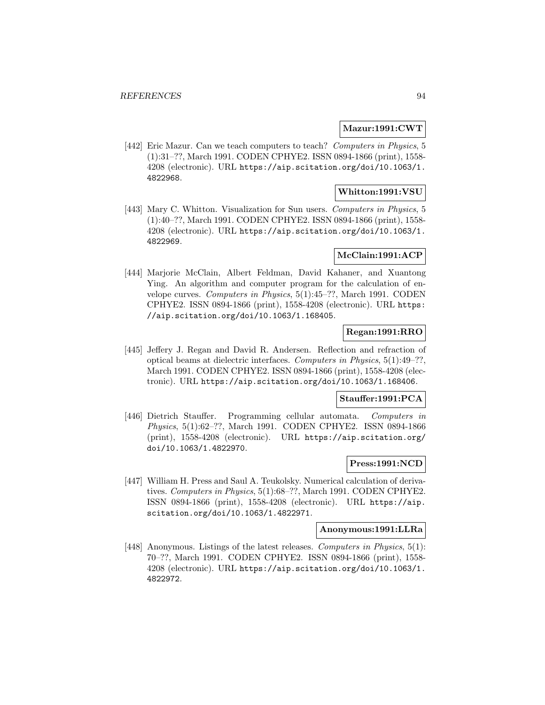### **Mazur:1991:CWT**

[442] Eric Mazur. Can we teach computers to teach? Computers in Physics, 5 (1):31–??, March 1991. CODEN CPHYE2. ISSN 0894-1866 (print), 1558- 4208 (electronic). URL https://aip.scitation.org/doi/10.1063/1. 4822968.

# **Whitton:1991:VSU**

[443] Mary C. Whitton. Visualization for Sun users. Computers in Physics, 5 (1):40–??, March 1991. CODEN CPHYE2. ISSN 0894-1866 (print), 1558- 4208 (electronic). URL https://aip.scitation.org/doi/10.1063/1. 4822969.

# **McClain:1991:ACP**

[444] Marjorie McClain, Albert Feldman, David Kahaner, and Xuantong Ying. An algorithm and computer program for the calculation of envelope curves. Computers in Physics, 5(1):45–??, March 1991. CODEN CPHYE2. ISSN 0894-1866 (print), 1558-4208 (electronic). URL https: //aip.scitation.org/doi/10.1063/1.168405.

## **Regan:1991:RRO**

[445] Jeffery J. Regan and David R. Andersen. Reflection and refraction of optical beams at dielectric interfaces. Computers in Physics, 5(1):49–??, March 1991. CODEN CPHYE2. ISSN 0894-1866 (print), 1558-4208 (electronic). URL https://aip.scitation.org/doi/10.1063/1.168406.

### **Stauffer:1991:PCA**

[446] Dietrich Stauffer. Programming cellular automata. Computers in Physics, 5(1):62–??, March 1991. CODEN CPHYE2. ISSN 0894-1866 (print), 1558-4208 (electronic). URL https://aip.scitation.org/ doi/10.1063/1.4822970.

## **Press:1991:NCD**

[447] William H. Press and Saul A. Teukolsky. Numerical calculation of derivatives. Computers in Physics, 5(1):68–??, March 1991. CODEN CPHYE2. ISSN 0894-1866 (print), 1558-4208 (electronic). URL https://aip. scitation.org/doi/10.1063/1.4822971.

## **Anonymous:1991:LLRa**

[448] Anonymous. Listings of the latest releases. Computers in Physics, 5(1): 70–??, March 1991. CODEN CPHYE2. ISSN 0894-1866 (print), 1558- 4208 (electronic). URL https://aip.scitation.org/doi/10.1063/1. 4822972.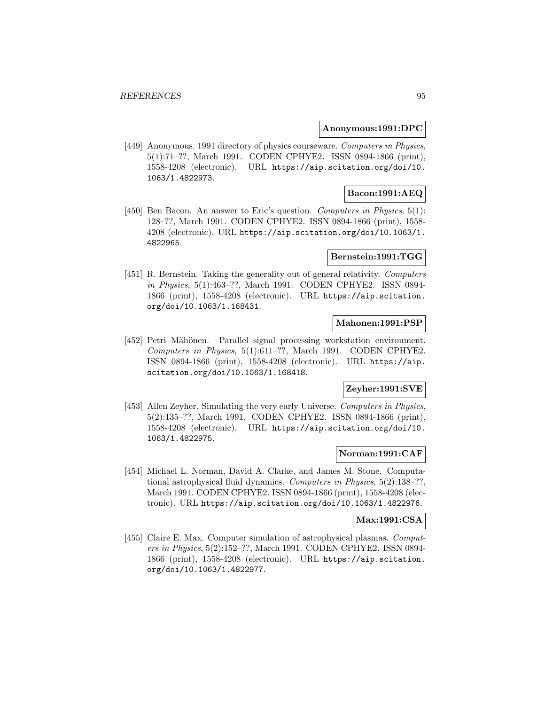### **Anonymous:1991:DPC**

[449] Anonymous. 1991 directory of physics courseware. Computers in Physics, 5(1):71–??, March 1991. CODEN CPHYE2. ISSN 0894-1866 (print), 1558-4208 (electronic). URL https://aip.scitation.org/doi/10. 1063/1.4822973.

# **Bacon:1991:AEQ**

[450] Ben Bacon. An answer to Eric's question. Computers in Physics, 5(1): 128–??, March 1991. CODEN CPHYE2. ISSN 0894-1866 (print), 1558- 4208 (electronic). URL https://aip.scitation.org/doi/10.1063/1. 4822965.

### **Bernstein:1991:TGG**

[451] R. Bernstein. Taking the generality out of general relativity. Computers in Physics, 5(1):463–??, March 1991. CODEN CPHYE2. ISSN 0894- 1866 (print), 1558-4208 (electronic). URL https://aip.scitation. org/doi/10.1063/1.168431.

# **Mahonen:1991:PSP**

[452] Petri Mähönen. Parallel signal processing workstation environment. Computers in Physics, 5(1):611–??, March 1991. CODEN CPHYE2. ISSN 0894-1866 (print), 1558-4208 (electronic). URL https://aip. scitation.org/doi/10.1063/1.168418.

# **Zeyher:1991:SVE**

[453] Allen Zeyher. Simulating the very early Universe. Computers in Physics, 5(2):135–??, March 1991. CODEN CPHYE2. ISSN 0894-1866 (print), 1558-4208 (electronic). URL https://aip.scitation.org/doi/10. 1063/1.4822975.

# **Norman:1991:CAF**

[454] Michael L. Norman, David A. Clarke, and James M. Stone. Computational astrophysical fluid dynamics. Computers in Physics, 5(2):138–??, March 1991. CODEN CPHYE2. ISSN 0894-1866 (print), 1558-4208 (electronic). URL https://aip.scitation.org/doi/10.1063/1.4822976.

#### **Max:1991:CSA**

[455] Claire E. Max. Computer simulation of astrophysical plasmas. Computers in Physics, 5(2):152–??, March 1991. CODEN CPHYE2. ISSN 0894- 1866 (print), 1558-4208 (electronic). URL https://aip.scitation. org/doi/10.1063/1.4822977.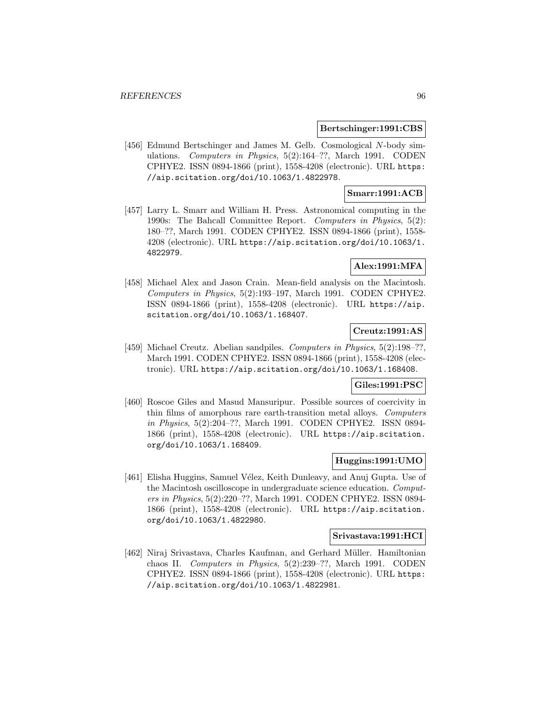#### **Bertschinger:1991:CBS**

[456] Edmund Bertschinger and James M. Gelb. Cosmological N-body simulations. Computers in Physics, 5(2):164–??, March 1991. CODEN CPHYE2. ISSN 0894-1866 (print), 1558-4208 (electronic). URL https: //aip.scitation.org/doi/10.1063/1.4822978.

# **Smarr:1991:ACB**

[457] Larry L. Smarr and William H. Press. Astronomical computing in the 1990s: The Bahcall Committee Report. Computers in Physics, 5(2): 180–??, March 1991. CODEN CPHYE2. ISSN 0894-1866 (print), 1558- 4208 (electronic). URL https://aip.scitation.org/doi/10.1063/1. 4822979.

### **Alex:1991:MFA**

[458] Michael Alex and Jason Crain. Mean-field analysis on the Macintosh. Computers in Physics, 5(2):193–197, March 1991. CODEN CPHYE2. ISSN 0894-1866 (print), 1558-4208 (electronic). URL https://aip. scitation.org/doi/10.1063/1.168407.

# **Creutz:1991:AS**

[459] Michael Creutz. Abelian sandpiles. Computers in Physics, 5(2):198-??, March 1991. CODEN CPHYE2. ISSN 0894-1866 (print), 1558-4208 (electronic). URL https://aip.scitation.org/doi/10.1063/1.168408.

### **Giles:1991:PSC**

[460] Roscoe Giles and Masud Mansuripur. Possible sources of coercivity in thin films of amorphous rare earth-transition metal alloys. Computers in Physics, 5(2):204–??, March 1991. CODEN CPHYE2. ISSN 0894- 1866 (print), 1558-4208 (electronic). URL https://aip.scitation. org/doi/10.1063/1.168409.

# **Huggins:1991:UMO**

[461] Elisha Huggins, Samuel Vélez, Keith Dunleavy, and Anuj Gupta. Use of the Macintosh oscilloscope in undergraduate science education. Computers in Physics, 5(2):220–??, March 1991. CODEN CPHYE2. ISSN 0894- 1866 (print), 1558-4208 (electronic). URL https://aip.scitation. org/doi/10.1063/1.4822980.

#### **Srivastava:1991:HCI**

[462] Niraj Srivastava, Charles Kaufman, and Gerhard Müller. Hamiltonian chaos II. Computers in Physics, 5(2):239–??, March 1991. CODEN CPHYE2. ISSN 0894-1866 (print), 1558-4208 (electronic). URL https: //aip.scitation.org/doi/10.1063/1.4822981.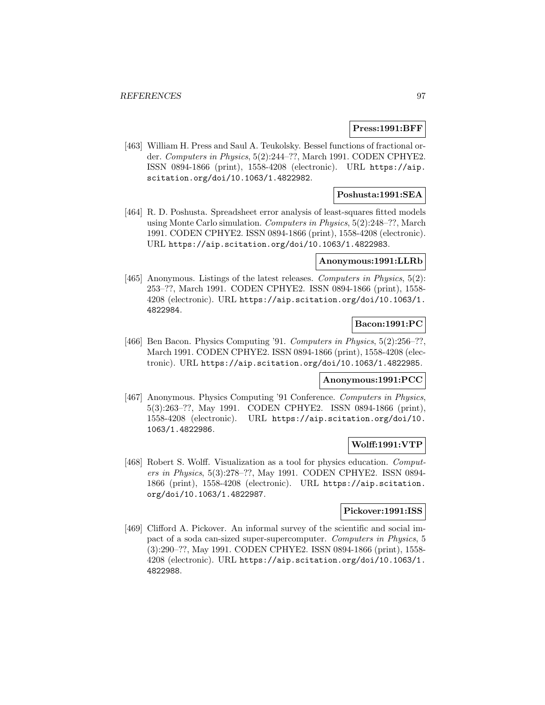### **Press:1991:BFF**

[463] William H. Press and Saul A. Teukolsky. Bessel functions of fractional order. Computers in Physics, 5(2):244–??, March 1991. CODEN CPHYE2. ISSN 0894-1866 (print), 1558-4208 (electronic). URL https://aip. scitation.org/doi/10.1063/1.4822982.

# **Poshusta:1991:SEA**

[464] R. D. Poshusta. Spreadsheet error analysis of least-squares fitted models using Monte Carlo simulation. Computers in Physics, 5(2):248–??, March 1991. CODEN CPHYE2. ISSN 0894-1866 (print), 1558-4208 (electronic). URL https://aip.scitation.org/doi/10.1063/1.4822983.

### **Anonymous:1991:LLRb**

[465] Anonymous. Listings of the latest releases. Computers in Physics, 5(2): 253–??, March 1991. CODEN CPHYE2. ISSN 0894-1866 (print), 1558- 4208 (electronic). URL https://aip.scitation.org/doi/10.1063/1. 4822984.

# **Bacon:1991:PC**

[466] Ben Bacon. Physics Computing '91. Computers in Physics, 5(2):256–??, March 1991. CODEN CPHYE2. ISSN 0894-1866 (print), 1558-4208 (electronic). URL https://aip.scitation.org/doi/10.1063/1.4822985.

#### **Anonymous:1991:PCC**

[467] Anonymous. Physics Computing '91 Conference. Computers in Physics, 5(3):263–??, May 1991. CODEN CPHYE2. ISSN 0894-1866 (print), 1558-4208 (electronic). URL https://aip.scitation.org/doi/10. 1063/1.4822986.

## **Wolff:1991:VTP**

[468] Robert S. Wolff. Visualization as a tool for physics education. Computers in Physics, 5(3):278–??, May 1991. CODEN CPHYE2. ISSN 0894- 1866 (print), 1558-4208 (electronic). URL https://aip.scitation. org/doi/10.1063/1.4822987.

#### **Pickover:1991:ISS**

[469] Clifford A. Pickover. An informal survey of the scientific and social impact of a soda can-sized super-supercomputer. Computers in Physics, 5 (3):290–??, May 1991. CODEN CPHYE2. ISSN 0894-1866 (print), 1558- 4208 (electronic). URL https://aip.scitation.org/doi/10.1063/1. 4822988.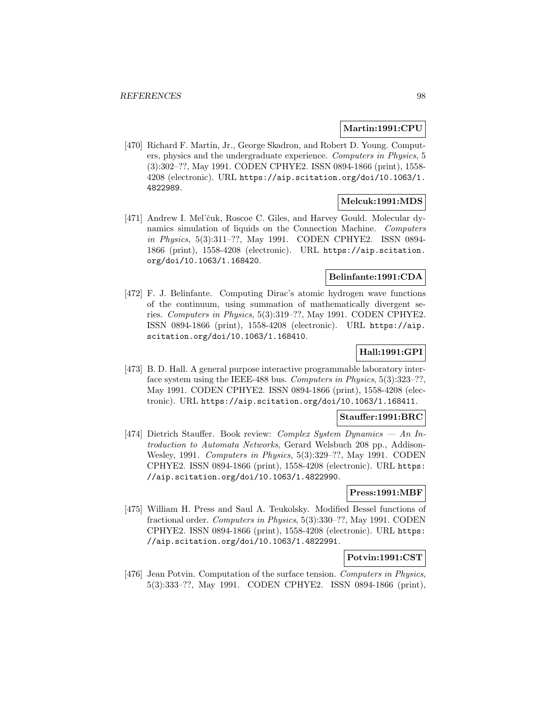### **Martin:1991:CPU**

[470] Richard F. Martin, Jr., George Skadron, and Robert D. Young. Computers, physics and the undergraduate experience. Computers in Physics, 5 (3):302–??, May 1991. CODEN CPHYE2. ISSN 0894-1866 (print), 1558- 4208 (electronic). URL https://aip.scitation.org/doi/10.1063/1. 4822989.

## **Melcuk:1991:MDS**

[471] Andrew I. Mel'čuk, Roscoe C. Giles, and Harvey Gould. Molecular dynamics simulation of liquids on the Connection Machine. Computers in Physics, 5(3):311–??, May 1991. CODEN CPHYE2. ISSN 0894- 1866 (print), 1558-4208 (electronic). URL https://aip.scitation. org/doi/10.1063/1.168420.

#### **Belinfante:1991:CDA**

[472] F. J. Belinfante. Computing Dirac's atomic hydrogen wave functions of the continuum, using summation of mathematically divergent series. Computers in Physics, 5(3):319–??, May 1991. CODEN CPHYE2. ISSN 0894-1866 (print), 1558-4208 (electronic). URL https://aip. scitation.org/doi/10.1063/1.168410.

# **Hall:1991:GPI**

[473] B. D. Hall. A general purpose interactive programmable laboratory interface system using the IEEE-488 bus. Computers in Physics, 5(3):323–??, May 1991. CODEN CPHYE2. ISSN 0894-1866 (print), 1558-4208 (electronic). URL https://aip.scitation.org/doi/10.1063/1.168411.

## **Stauffer:1991:BRC**

[474] Dietrich Stauffer. Book review: Complex System Dynamics — An Introduction to Automata Networks, Gerard Welsbuch 208 pp., Addison-Wesley, 1991. Computers in Physics, 5(3):329–??, May 1991. CODEN CPHYE2. ISSN 0894-1866 (print), 1558-4208 (electronic). URL https: //aip.scitation.org/doi/10.1063/1.4822990.

# **Press:1991:MBF**

[475] William H. Press and Saul A. Teukolsky. Modified Bessel functions of fractional order. Computers in Physics, 5(3):330–??, May 1991. CODEN CPHYE2. ISSN 0894-1866 (print), 1558-4208 (electronic). URL https: //aip.scitation.org/doi/10.1063/1.4822991.

# **Potvin:1991:CST**

[476] Jean Potvin. Computation of the surface tension. Computers in Physics, 5(3):333–??, May 1991. CODEN CPHYE2. ISSN 0894-1866 (print),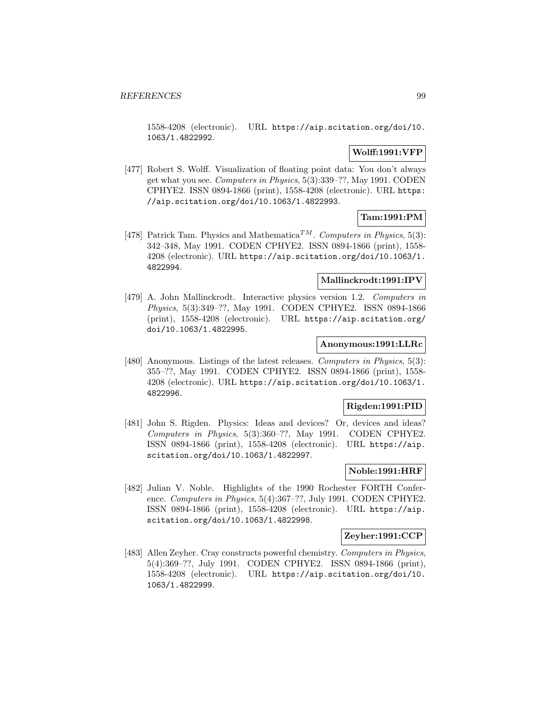1558-4208 (electronic). URL https://aip.scitation.org/doi/10. 1063/1.4822992.

# **Wolff:1991:VFP**

[477] Robert S. Wolff. Visualization of floating point data: You don't always get what you see. Computers in Physics, 5(3):339–??, May 1991. CODEN CPHYE2. ISSN 0894-1866 (print), 1558-4208 (electronic). URL https: //aip.scitation.org/doi/10.1063/1.4822993.

# **Tam:1991:PM**

[478] Patrick Tam. Physics and Mathematica<sup>TM</sup>. Computers in Physics, 5(3): 342–348, May 1991. CODEN CPHYE2. ISSN 0894-1866 (print), 1558- 4208 (electronic). URL https://aip.scitation.org/doi/10.1063/1. 4822994.

# **Mallinckrodt:1991:IPV**

[479] A. John Mallinckrodt. Interactive physics version 1.2. Computers in Physics, 5(3):349–??, May 1991. CODEN CPHYE2. ISSN 0894-1866 (print), 1558-4208 (electronic). URL https://aip.scitation.org/ doi/10.1063/1.4822995.

### **Anonymous:1991:LLRc**

[480] Anonymous. Listings of the latest releases. Computers in Physics, 5(3): 355–??, May 1991. CODEN CPHYE2. ISSN 0894-1866 (print), 1558- 4208 (electronic). URL https://aip.scitation.org/doi/10.1063/1. 4822996.

## **Rigden:1991:PID**

[481] John S. Rigden. Physics: Ideas and devices? Or, devices and ideas? Computers in Physics, 5(3):360–??, May 1991. CODEN CPHYE2. ISSN 0894-1866 (print), 1558-4208 (electronic). URL https://aip. scitation.org/doi/10.1063/1.4822997.

# **Noble:1991:HRF**

[482] Julian V. Noble. Highlights of the 1990 Rochester FORTH Conference. Computers in Physics, 5(4):367–??, July 1991. CODEN CPHYE2. ISSN 0894-1866 (print), 1558-4208 (electronic). URL https://aip. scitation.org/doi/10.1063/1.4822998.

## **Zeyher:1991:CCP**

[483] Allen Zeyher. Cray constructs powerful chemistry. Computers in Physics, 5(4):369–??, July 1991. CODEN CPHYE2. ISSN 0894-1866 (print), 1558-4208 (electronic). URL https://aip.scitation.org/doi/10. 1063/1.4822999.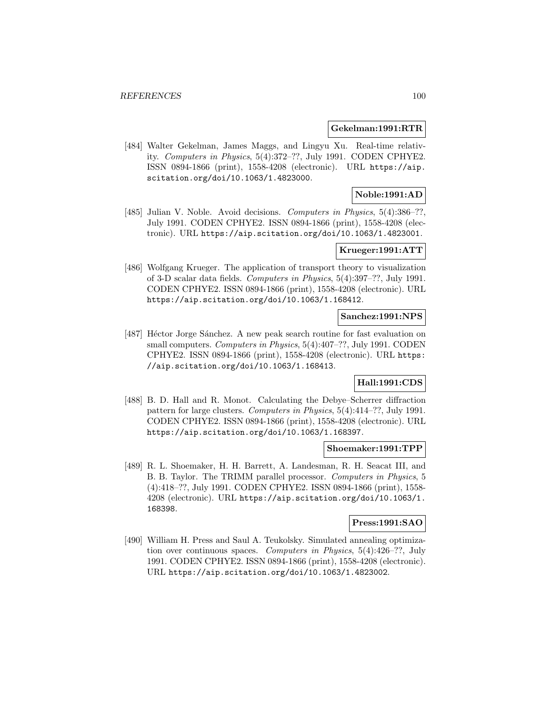#### **Gekelman:1991:RTR**

[484] Walter Gekelman, James Maggs, and Lingyu Xu. Real-time relativity. Computers in Physics, 5(4):372–??, July 1991. CODEN CPHYE2. ISSN 0894-1866 (print), 1558-4208 (electronic). URL https://aip. scitation.org/doi/10.1063/1.4823000.

# **Noble:1991:AD**

[485] Julian V. Noble. Avoid decisions. Computers in Physics, 5(4):386-??, July 1991. CODEN CPHYE2. ISSN 0894-1866 (print), 1558-4208 (electronic). URL https://aip.scitation.org/doi/10.1063/1.4823001.

# **Krueger:1991:ATT**

[486] Wolfgang Krueger. The application of transport theory to visualization of 3-D scalar data fields. Computers in Physics, 5(4):397–??, July 1991. CODEN CPHYE2. ISSN 0894-1866 (print), 1558-4208 (electronic). URL https://aip.scitation.org/doi/10.1063/1.168412.

## **Sanchez:1991:NPS**

[487] Héctor Jorge Sánchez. A new peak search routine for fast evaluation on small computers. Computers in Physics, 5(4):407–??, July 1991. CODEN CPHYE2. ISSN 0894-1866 (print), 1558-4208 (electronic). URL https: //aip.scitation.org/doi/10.1063/1.168413.

# **Hall:1991:CDS**

[488] B. D. Hall and R. Monot. Calculating the Debye–Scherrer diffraction pattern for large clusters. Computers in Physics, 5(4):414–??, July 1991. CODEN CPHYE2. ISSN 0894-1866 (print), 1558-4208 (electronic). URL https://aip.scitation.org/doi/10.1063/1.168397.

#### **Shoemaker:1991:TPP**

[489] R. L. Shoemaker, H. H. Barrett, A. Landesman, R. H. Seacat III, and B. B. Taylor. The TRIMM parallel processor. Computers in Physics, 5 (4):418–??, July 1991. CODEN CPHYE2. ISSN 0894-1866 (print), 1558- 4208 (electronic). URL https://aip.scitation.org/doi/10.1063/1. 168398.

### **Press:1991:SAO**

[490] William H. Press and Saul A. Teukolsky. Simulated annealing optimization over continuous spaces. Computers in Physics, 5(4):426–??, July 1991. CODEN CPHYE2. ISSN 0894-1866 (print), 1558-4208 (electronic). URL https://aip.scitation.org/doi/10.1063/1.4823002.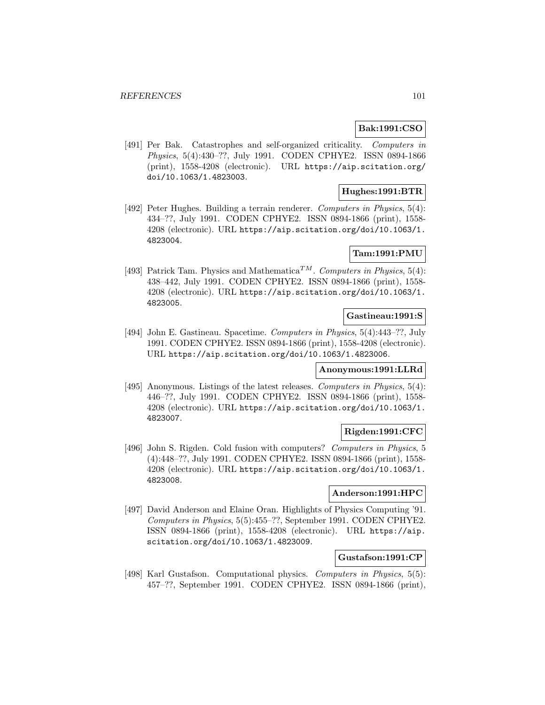# **Bak:1991:CSO**

[491] Per Bak. Catastrophes and self-organized criticality. Computers in Physics, 5(4):430–??, July 1991. CODEN CPHYE2. ISSN 0894-1866 (print), 1558-4208 (electronic). URL https://aip.scitation.org/ doi/10.1063/1.4823003.

# **Hughes:1991:BTR**

[492] Peter Hughes. Building a terrain renderer. *Computers in Physics*, 5(4): 434–??, July 1991. CODEN CPHYE2. ISSN 0894-1866 (print), 1558- 4208 (electronic). URL https://aip.scitation.org/doi/10.1063/1. 4823004.

# **Tam:1991:PMU**

[493] Patrick Tam. Physics and Mathematica<sup>TM</sup>. Computers in Physics, 5(4): 438–442, July 1991. CODEN CPHYE2. ISSN 0894-1866 (print), 1558- 4208 (electronic). URL https://aip.scitation.org/doi/10.1063/1. 4823005.

## **Gastineau:1991:S**

[494] John E. Gastineau. Spacetime. Computers in Physics, 5(4):443–??, July 1991. CODEN CPHYE2. ISSN 0894-1866 (print), 1558-4208 (electronic). URL https://aip.scitation.org/doi/10.1063/1.4823006.

## **Anonymous:1991:LLRd**

[495] Anonymous. Listings of the latest releases. Computers in Physics, 5(4): 446–??, July 1991. CODEN CPHYE2. ISSN 0894-1866 (print), 1558- 4208 (electronic). URL https://aip.scitation.org/doi/10.1063/1. 4823007.

## **Rigden:1991:CFC**

[496] John S. Rigden. Cold fusion with computers? Computers in Physics, 5 (4):448–??, July 1991. CODEN CPHYE2. ISSN 0894-1866 (print), 1558- 4208 (electronic). URL https://aip.scitation.org/doi/10.1063/1. 4823008.

### **Anderson:1991:HPC**

[497] David Anderson and Elaine Oran. Highlights of Physics Computing '91. Computers in Physics, 5(5):455–??, September 1991. CODEN CPHYE2. ISSN 0894-1866 (print), 1558-4208 (electronic). URL https://aip. scitation.org/doi/10.1063/1.4823009.

## **Gustafson:1991:CP**

[498] Karl Gustafson. Computational physics. Computers in Physics, 5(5): 457–??, September 1991. CODEN CPHYE2. ISSN 0894-1866 (print),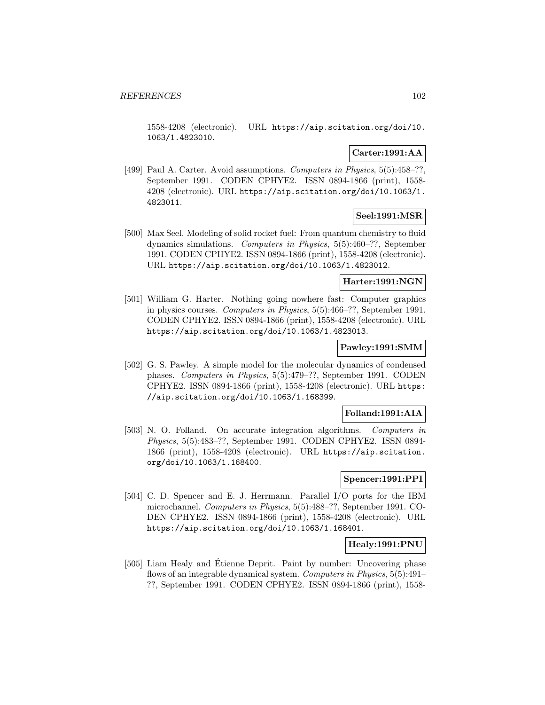1558-4208 (electronic). URL https://aip.scitation.org/doi/10. 1063/1.4823010.

# **Carter:1991:AA**

[499] Paul A. Carter. Avoid assumptions. Computers in Physics, 5(5):458-??, September 1991. CODEN CPHYE2. ISSN 0894-1866 (print), 1558- 4208 (electronic). URL https://aip.scitation.org/doi/10.1063/1. 4823011.

# **Seel:1991:MSR**

[500] Max Seel. Modeling of solid rocket fuel: From quantum chemistry to fluid dynamics simulations. Computers in Physics, 5(5):460–??, September 1991. CODEN CPHYE2. ISSN 0894-1866 (print), 1558-4208 (electronic). URL https://aip.scitation.org/doi/10.1063/1.4823012.

### **Harter:1991:NGN**

[501] William G. Harter. Nothing going nowhere fast: Computer graphics in physics courses. Computers in Physics, 5(5):466–??, September 1991. CODEN CPHYE2. ISSN 0894-1866 (print), 1558-4208 (electronic). URL https://aip.scitation.org/doi/10.1063/1.4823013.

### **Pawley:1991:SMM**

[502] G. S. Pawley. A simple model for the molecular dynamics of condensed phases. Computers in Physics, 5(5):479–??, September 1991. CODEN CPHYE2. ISSN 0894-1866 (print), 1558-4208 (electronic). URL https: //aip.scitation.org/doi/10.1063/1.168399.

## **Folland:1991:AIA**

[503] N. O. Folland. On accurate integration algorithms. Computers in Physics, 5(5):483–??, September 1991. CODEN CPHYE2. ISSN 0894- 1866 (print), 1558-4208 (electronic). URL https://aip.scitation. org/doi/10.1063/1.168400.

### **Spencer:1991:PPI**

[504] C. D. Spencer and E. J. Herrmann. Parallel I/O ports for the IBM microchannel. Computers in Physics, 5(5):488–??, September 1991. CO-DEN CPHYE2. ISSN 0894-1866 (print), 1558-4208 (electronic). URL https://aip.scitation.org/doi/10.1063/1.168401.

## **Healy:1991:PNU**

[505] Liam Healy and Étienne Deprit. Paint by number: Uncovering phase flows of an integrable dynamical system. Computers in Physics, 5(5):491– ??, September 1991. CODEN CPHYE2. ISSN 0894-1866 (print), 1558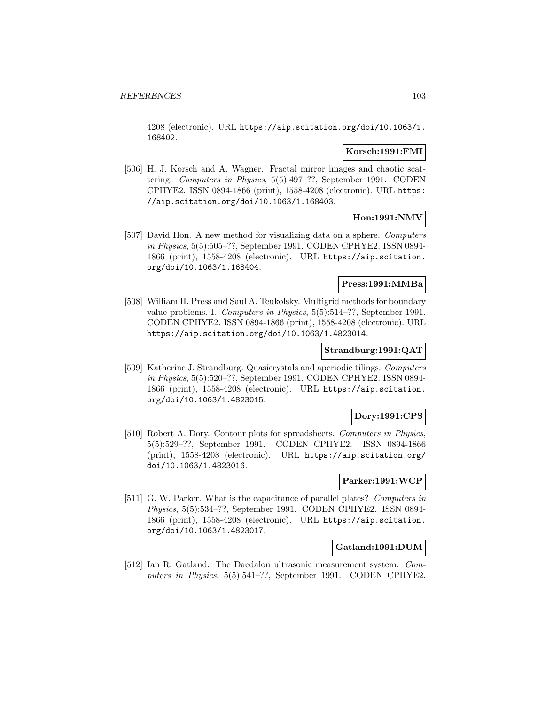4208 (electronic). URL https://aip.scitation.org/doi/10.1063/1. 168402.

### **Korsch:1991:FMI**

[506] H. J. Korsch and A. Wagner. Fractal mirror images and chaotic scattering. Computers in Physics, 5(5):497–??, September 1991. CODEN CPHYE2. ISSN 0894-1866 (print), 1558-4208 (electronic). URL https: //aip.scitation.org/doi/10.1063/1.168403.

# **Hon:1991:NMV**

[507] David Hon. A new method for visualizing data on a sphere. Computers in Physics, 5(5):505–??, September 1991. CODEN CPHYE2. ISSN 0894- 1866 (print), 1558-4208 (electronic). URL https://aip.scitation. org/doi/10.1063/1.168404.

### **Press:1991:MMBa**

[508] William H. Press and Saul A. Teukolsky. Multigrid methods for boundary value problems. I. Computers in Physics, 5(5):514–??, September 1991. CODEN CPHYE2. ISSN 0894-1866 (print), 1558-4208 (electronic). URL https://aip.scitation.org/doi/10.1063/1.4823014.

# **Strandburg:1991:QAT**

[509] Katherine J. Strandburg. Quasicrystals and aperiodic tilings. Computers in Physics, 5(5):520–??, September 1991. CODEN CPHYE2. ISSN 0894- 1866 (print), 1558-4208 (electronic). URL https://aip.scitation. org/doi/10.1063/1.4823015.

### **Dory:1991:CPS**

[510] Robert A. Dory. Contour plots for spreadsheets. Computers in Physics, 5(5):529–??, September 1991. CODEN CPHYE2. ISSN 0894-1866 (print), 1558-4208 (electronic). URL https://aip.scitation.org/ doi/10.1063/1.4823016.

### **Parker:1991:WCP**

[511] G. W. Parker. What is the capacitance of parallel plates? Computers in Physics, 5(5):534–??, September 1991. CODEN CPHYE2. ISSN 0894- 1866 (print), 1558-4208 (electronic). URL https://aip.scitation. org/doi/10.1063/1.4823017.

### **Gatland:1991:DUM**

[512] Ian R. Gatland. The Daedalon ultrasonic measurement system. Computers in Physics, 5(5):541–??, September 1991. CODEN CPHYE2.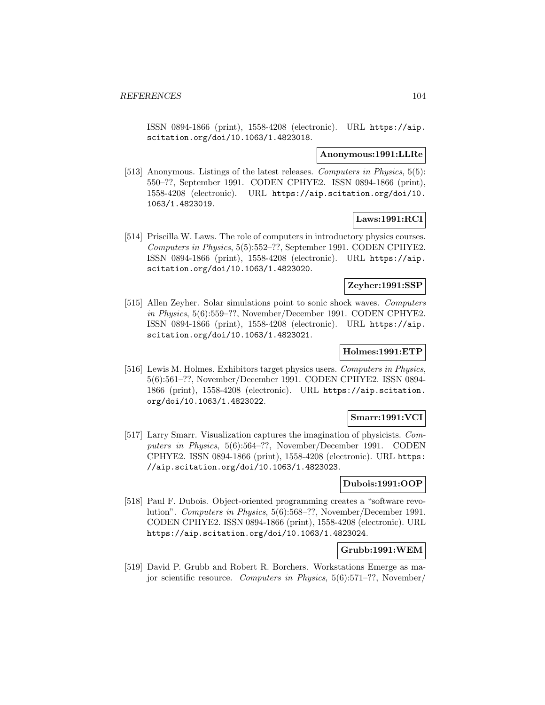ISSN 0894-1866 (print), 1558-4208 (electronic). URL https://aip. scitation.org/doi/10.1063/1.4823018.

#### **Anonymous:1991:LLRe**

[513] Anonymous. Listings of the latest releases. *Computers in Physics*, 5(5): 550–??, September 1991. CODEN CPHYE2. ISSN 0894-1866 (print), 1558-4208 (electronic). URL https://aip.scitation.org/doi/10. 1063/1.4823019.

# **Laws:1991:RCI**

[514] Priscilla W. Laws. The role of computers in introductory physics courses. Computers in Physics, 5(5):552–??, September 1991. CODEN CPHYE2. ISSN 0894-1866 (print), 1558-4208 (electronic). URL https://aip. scitation.org/doi/10.1063/1.4823020.

## **Zeyher:1991:SSP**

[515] Allen Zeyher. Solar simulations point to sonic shock waves. Computers in Physics, 5(6):559–??, November/December 1991. CODEN CPHYE2. ISSN 0894-1866 (print), 1558-4208 (electronic). URL https://aip. scitation.org/doi/10.1063/1.4823021.

# **Holmes:1991:ETP**

[516] Lewis M. Holmes. Exhibitors target physics users. Computers in Physics, 5(6):561–??, November/December 1991. CODEN CPHYE2. ISSN 0894- 1866 (print), 1558-4208 (electronic). URL https://aip.scitation. org/doi/10.1063/1.4823022.

## **Smarr:1991:VCI**

[517] Larry Smarr. Visualization captures the imagination of physicists. Computers in Physics, 5(6):564–??, November/December 1991. CODEN CPHYE2. ISSN 0894-1866 (print), 1558-4208 (electronic). URL https: //aip.scitation.org/doi/10.1063/1.4823023.

### **Dubois:1991:OOP**

[518] Paul F. Dubois. Object-oriented programming creates a "software revolution". Computers in Physics, 5(6):568–??, November/December 1991. CODEN CPHYE2. ISSN 0894-1866 (print), 1558-4208 (electronic). URL https://aip.scitation.org/doi/10.1063/1.4823024.

### **Grubb:1991:WEM**

[519] David P. Grubb and Robert R. Borchers. Workstations Emerge as major scientific resource. Computers in Physics, 5(6):571–??, November/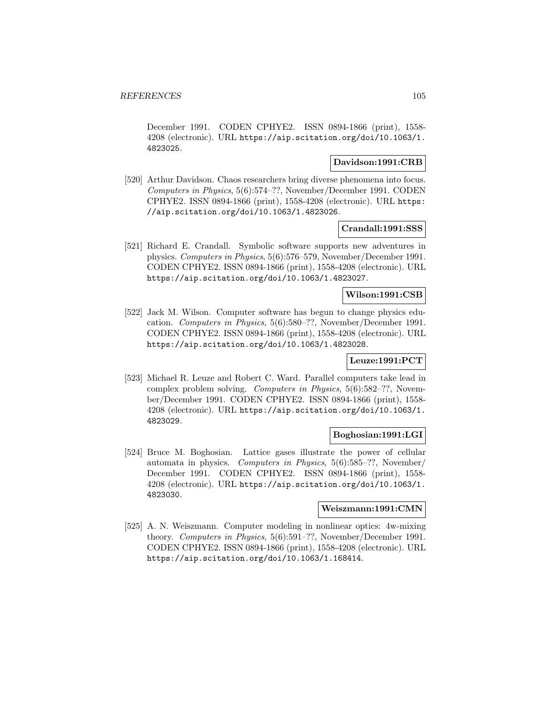December 1991. CODEN CPHYE2. ISSN 0894-1866 (print), 1558- 4208 (electronic). URL https://aip.scitation.org/doi/10.1063/1. 4823025.

# **Davidson:1991:CRB**

[520] Arthur Davidson. Chaos researchers bring diverse phenomena into focus. Computers in Physics, 5(6):574–??, November/December 1991. CODEN CPHYE2. ISSN 0894-1866 (print), 1558-4208 (electronic). URL https: //aip.scitation.org/doi/10.1063/1.4823026.

### **Crandall:1991:SSS**

[521] Richard E. Crandall. Symbolic software supports new adventures in physics. Computers in Physics, 5(6):576–579, November/December 1991. CODEN CPHYE2. ISSN 0894-1866 (print), 1558-4208 (electronic). URL https://aip.scitation.org/doi/10.1063/1.4823027.

# **Wilson:1991:CSB**

[522] Jack M. Wilson. Computer software has begun to change physics education. Computers in Physics, 5(6):580–??, November/December 1991. CODEN CPHYE2. ISSN 0894-1866 (print), 1558-4208 (electronic). URL https://aip.scitation.org/doi/10.1063/1.4823028.

## **Leuze:1991:PCT**

[523] Michael R. Leuze and Robert C. Ward. Parallel computers take lead in complex problem solving. Computers in Physics, 5(6):582–??, November/December 1991. CODEN CPHYE2. ISSN 0894-1866 (print), 1558- 4208 (electronic). URL https://aip.scitation.org/doi/10.1063/1. 4823029.

# **Boghosian:1991:LGI**

[524] Bruce M. Boghosian. Lattice gases illustrate the power of cellular automata in physics. Computers in Physics, 5(6):585–??, November/ December 1991. CODEN CPHYE2. ISSN 0894-1866 (print), 1558- 4208 (electronic). URL https://aip.scitation.org/doi/10.1063/1. 4823030.

### **Weiszmann:1991:CMN**

[525] A. N. Weiszmann. Computer modeling in nonlinear optics: 4w-mixing theory. Computers in Physics, 5(6):591–??, November/December 1991. CODEN CPHYE2. ISSN 0894-1866 (print), 1558-4208 (electronic). URL https://aip.scitation.org/doi/10.1063/1.168414.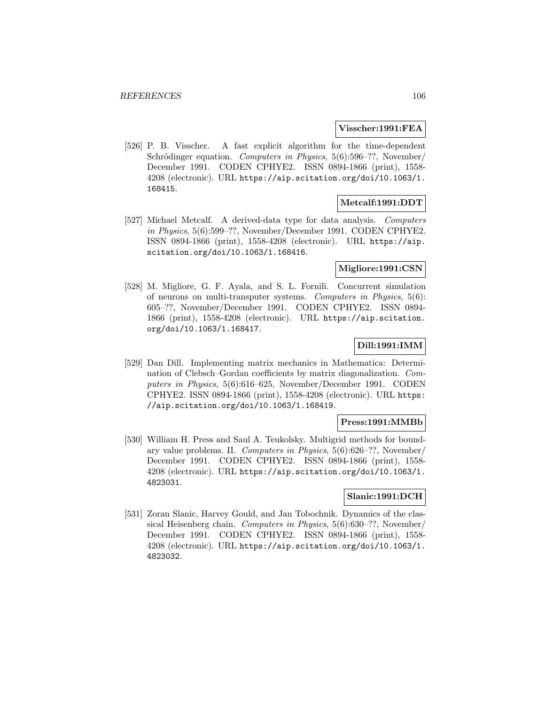### **Visscher:1991:FEA**

[526] P. B. Visscher. A fast explicit algorithm for the time-dependent Schrödinger equation. Computers in Physics,  $5(6):596-??$ , November/ December 1991. CODEN CPHYE2. ISSN 0894-1866 (print), 1558- 4208 (electronic). URL https://aip.scitation.org/doi/10.1063/1. 168415.

## **Metcalf:1991:DDT**

[527] Michael Metcalf. A derived-data type for data analysis. Computers in Physics, 5(6):599–??, November/December 1991. CODEN CPHYE2. ISSN 0894-1866 (print), 1558-4208 (electronic). URL https://aip. scitation.org/doi/10.1063/1.168416.

# **Migliore:1991:CSN**

[528] M. Migliore, G. F. Ayala, and S. L. Fornili. Concurrent simulation of neurons on multi-transputer systems. Computers in Physics, 5(6): 605–??, November/December 1991. CODEN CPHYE2. ISSN 0894- 1866 (print), 1558-4208 (electronic). URL https://aip.scitation. org/doi/10.1063/1.168417.

# **Dill:1991:IMM**

[529] Dan Dill. Implementing matrix mechanics in Mathematica: Determination of Clebsch–Gordan coefficients by matrix diagonalization. Computers in Physics, 5(6):616–625, November/December 1991. CODEN CPHYE2. ISSN 0894-1866 (print), 1558-4208 (electronic). URL https: //aip.scitation.org/doi/10.1063/1.168419.

## **Press:1991:MMBb**

[530] William H. Press and Saul A. Teukolsky. Multigrid methods for boundary value problems. II. Computers in Physics, 5(6):626–??, November/ December 1991. CODEN CPHYE2. ISSN 0894-1866 (print), 1558- 4208 (electronic). URL https://aip.scitation.org/doi/10.1063/1. 4823031.

### **Slanic:1991:DCH**

[531] Zoran Slanic, Harvey Gould, and Jan Tobochnik. Dynamics of the classical Heisenberg chain. Computers in Physics, 5(6):630–??, November/ December 1991. CODEN CPHYE2. ISSN 0894-1866 (print), 1558- 4208 (electronic). URL https://aip.scitation.org/doi/10.1063/1. 4823032.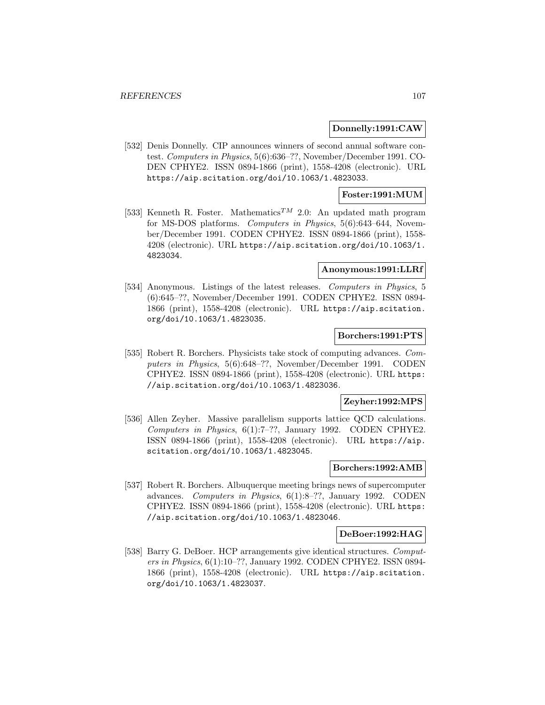### **Donnelly:1991:CAW**

[532] Denis Donnelly. CIP announces winners of second annual software contest. Computers in Physics, 5(6):636–??, November/December 1991. CO-DEN CPHYE2. ISSN 0894-1866 (print), 1558-4208 (electronic). URL https://aip.scitation.org/doi/10.1063/1.4823033.

### **Foster:1991:MUM**

[533] Kenneth R. Foster. Mathematics<sup>TM</sup> 2.0: An updated math program for MS-DOS platforms. Computers in Physics, 5(6):643–644, November/December 1991. CODEN CPHYE2. ISSN 0894-1866 (print), 1558- 4208 (electronic). URL https://aip.scitation.org/doi/10.1063/1. 4823034.

## **Anonymous:1991:LLRf**

[534] Anonymous. Listings of the latest releases. Computers in Physics, 5 (6):645–??, November/December 1991. CODEN CPHYE2. ISSN 0894- 1866 (print), 1558-4208 (electronic). URL https://aip.scitation. org/doi/10.1063/1.4823035.

### **Borchers:1991:PTS**

[535] Robert R. Borchers. Physicists take stock of computing advances. Computers in Physics, 5(6):648–??, November/December 1991. CODEN CPHYE2. ISSN 0894-1866 (print), 1558-4208 (electronic). URL https: //aip.scitation.org/doi/10.1063/1.4823036.

# **Zeyher:1992:MPS**

[536] Allen Zeyher. Massive parallelism supports lattice QCD calculations. Computers in Physics, 6(1):7–??, January 1992. CODEN CPHYE2. ISSN 0894-1866 (print), 1558-4208 (electronic). URL https://aip. scitation.org/doi/10.1063/1.4823045.

### **Borchers:1992:AMB**

[537] Robert R. Borchers. Albuquerque meeting brings news of supercomputer advances. Computers in Physics, 6(1):8–??, January 1992. CODEN CPHYE2. ISSN 0894-1866 (print), 1558-4208 (electronic). URL https: //aip.scitation.org/doi/10.1063/1.4823046.

## **DeBoer:1992:HAG**

[538] Barry G. DeBoer. HCP arrangements give identical structures. *Comput*ers in Physics, 6(1):10–??, January 1992. CODEN CPHYE2. ISSN 0894- 1866 (print), 1558-4208 (electronic). URL https://aip.scitation. org/doi/10.1063/1.4823037.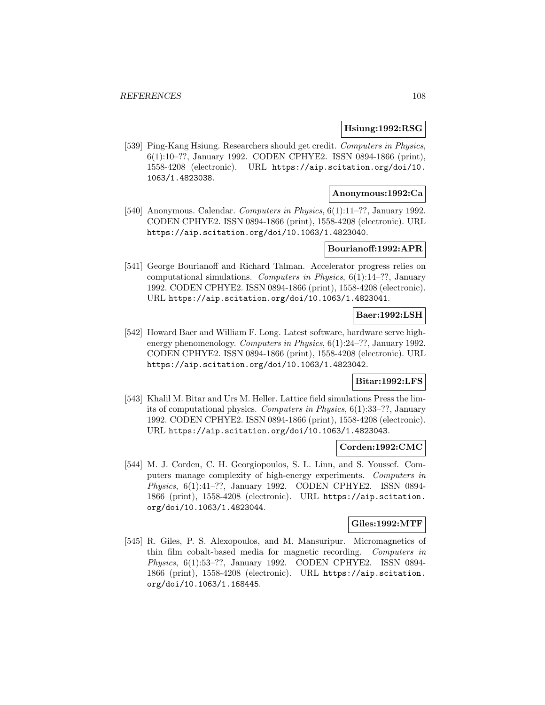### **Hsiung:1992:RSG**

[539] Ping-Kang Hsiung. Researchers should get credit. Computers in Physics, 6(1):10–??, January 1992. CODEN CPHYE2. ISSN 0894-1866 (print), 1558-4208 (electronic). URL https://aip.scitation.org/doi/10. 1063/1.4823038.

### **Anonymous:1992:Ca**

[540] Anonymous. Calendar. Computers in Physics, 6(1):11–??, January 1992. CODEN CPHYE2. ISSN 0894-1866 (print), 1558-4208 (electronic). URL https://aip.scitation.org/doi/10.1063/1.4823040.

## **Bourianoff:1992:APR**

[541] George Bourianoff and Richard Talman. Accelerator progress relies on computational simulations. Computers in Physics,  $6(1)$ :14–??, January 1992. CODEN CPHYE2. ISSN 0894-1866 (print), 1558-4208 (electronic). URL https://aip.scitation.org/doi/10.1063/1.4823041.

## **Baer:1992:LSH**

[542] Howard Baer and William F. Long. Latest software, hardware serve highenergy phenomenology. Computers in Physics, 6(1):24-??, January 1992. CODEN CPHYE2. ISSN 0894-1866 (print), 1558-4208 (electronic). URL https://aip.scitation.org/doi/10.1063/1.4823042.

# **Bitar:1992:LFS**

[543] Khalil M. Bitar and Urs M. Heller. Lattice field simulations Press the limits of computational physics. Computers in Physics, 6(1):33–??, January 1992. CODEN CPHYE2. ISSN 0894-1866 (print), 1558-4208 (electronic). URL https://aip.scitation.org/doi/10.1063/1.4823043.

#### **Corden:1992:CMC**

[544] M. J. Corden, C. H. Georgiopoulos, S. L. Linn, and S. Youssef. Computers manage complexity of high-energy experiments. Computers in Physics, 6(1):41–??, January 1992. CODEN CPHYE2. ISSN 0894- 1866 (print), 1558-4208 (electronic). URL https://aip.scitation. org/doi/10.1063/1.4823044.

#### **Giles:1992:MTF**

[545] R. Giles, P. S. Alexopoulos, and M. Mansuripur. Micromagnetics of thin film cobalt-based media for magnetic recording. Computers in Physics, 6(1):53–??, January 1992. CODEN CPHYE2. ISSN 0894- 1866 (print), 1558-4208 (electronic). URL https://aip.scitation. org/doi/10.1063/1.168445.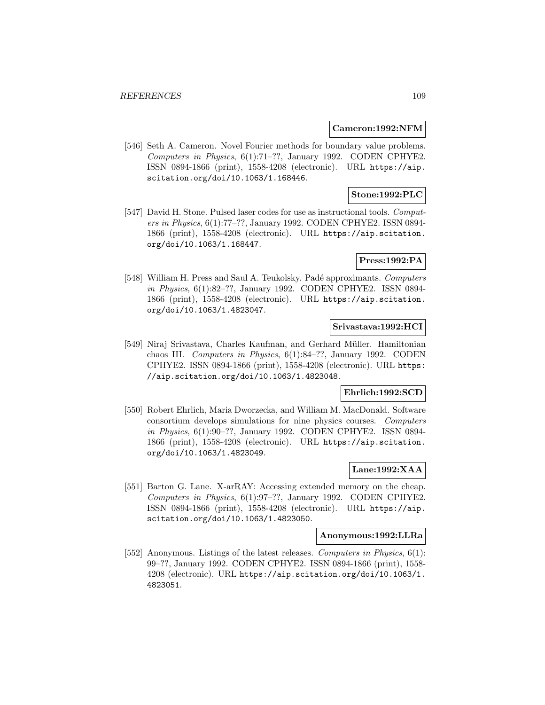#### **Cameron:1992:NFM**

[546] Seth A. Cameron. Novel Fourier methods for boundary value problems. Computers in Physics, 6(1):71–??, January 1992. CODEN CPHYE2. ISSN 0894-1866 (print), 1558-4208 (electronic). URL https://aip. scitation.org/doi/10.1063/1.168446.

# **Stone:1992:PLC**

[547] David H. Stone. Pulsed laser codes for use as instructional tools. Computers in Physics, 6(1):77–??, January 1992. CODEN CPHYE2. ISSN 0894- 1866 (print), 1558-4208 (electronic). URL https://aip.scitation. org/doi/10.1063/1.168447.

# **Press:1992:PA**

[548] William H. Press and Saul A. Teukolsky. Padé approximants. Computers in Physics, 6(1):82–??, January 1992. CODEN CPHYE2. ISSN 0894- 1866 (print), 1558-4208 (electronic). URL https://aip.scitation. org/doi/10.1063/1.4823047.

# **Srivastava:1992:HCI**

[549] Niraj Srivastava, Charles Kaufman, and Gerhard M¨uller. Hamiltonian chaos III. Computers in Physics, 6(1):84–??, January 1992. CODEN CPHYE2. ISSN 0894-1866 (print), 1558-4208 (electronic). URL https: //aip.scitation.org/doi/10.1063/1.4823048.

## **Ehrlich:1992:SCD**

[550] Robert Ehrlich, Maria Dworzecka, and William M. MacDonald. Software consortium develops simulations for nine physics courses. Computers in Physics, 6(1):90–??, January 1992. CODEN CPHYE2. ISSN 0894- 1866 (print), 1558-4208 (electronic). URL https://aip.scitation. org/doi/10.1063/1.4823049.

# **Lane:1992:XAA**

[551] Barton G. Lane. X-arRAY: Accessing extended memory on the cheap. Computers in Physics, 6(1):97–??, January 1992. CODEN CPHYE2. ISSN 0894-1866 (print), 1558-4208 (electronic). URL https://aip. scitation.org/doi/10.1063/1.4823050.

#### **Anonymous:1992:LLRa**

[552] Anonymous. Listings of the latest releases. Computers in Physics, 6(1): 99–??, January 1992. CODEN CPHYE2. ISSN 0894-1866 (print), 1558- 4208 (electronic). URL https://aip.scitation.org/doi/10.1063/1. 4823051.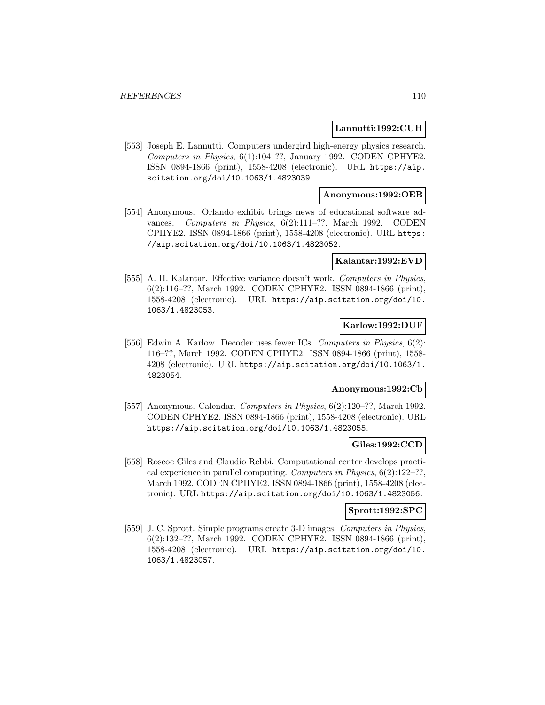#### **Lannutti:1992:CUH**

[553] Joseph E. Lannutti. Computers undergird high-energy physics research. Computers in Physics, 6(1):104–??, January 1992. CODEN CPHYE2. ISSN 0894-1866 (print), 1558-4208 (electronic). URL https://aip. scitation.org/doi/10.1063/1.4823039.

## **Anonymous:1992:OEB**

[554] Anonymous. Orlando exhibit brings news of educational software advances. Computers in Physics, 6(2):111–??, March 1992. CODEN CPHYE2. ISSN 0894-1866 (print), 1558-4208 (electronic). URL https: //aip.scitation.org/doi/10.1063/1.4823052.

### **Kalantar:1992:EVD**

[555] A. H. Kalantar. Effective variance doesn't work. Computers in Physics, 6(2):116–??, March 1992. CODEN CPHYE2. ISSN 0894-1866 (print), 1558-4208 (electronic). URL https://aip.scitation.org/doi/10. 1063/1.4823053.

## **Karlow:1992:DUF**

[556] Edwin A. Karlow. Decoder uses fewer ICs. Computers in Physics, 6(2): 116–??, March 1992. CODEN CPHYE2. ISSN 0894-1866 (print), 1558- 4208 (electronic). URL https://aip.scitation.org/doi/10.1063/1. 4823054.

#### **Anonymous:1992:Cb**

[557] Anonymous. Calendar. Computers in Physics, 6(2):120–??, March 1992. CODEN CPHYE2. ISSN 0894-1866 (print), 1558-4208 (electronic). URL https://aip.scitation.org/doi/10.1063/1.4823055.

# **Giles:1992:CCD**

[558] Roscoe Giles and Claudio Rebbi. Computational center develops practical experience in parallel computing. Computers in Physics, 6(2):122–??, March 1992. CODEN CPHYE2. ISSN 0894-1866 (print), 1558-4208 (electronic). URL https://aip.scitation.org/doi/10.1063/1.4823056.

## **Sprott:1992:SPC**

[559] J. C. Sprott. Simple programs create 3-D images. Computers in Physics, 6(2):132–??, March 1992. CODEN CPHYE2. ISSN 0894-1866 (print), 1558-4208 (electronic). URL https://aip.scitation.org/doi/10. 1063/1.4823057.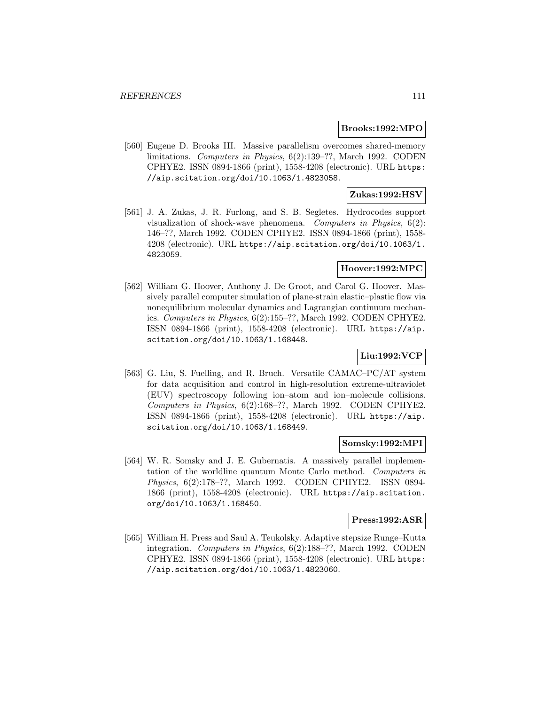#### **Brooks:1992:MPO**

[560] Eugene D. Brooks III. Massive parallelism overcomes shared-memory limitations. Computers in Physics, 6(2):139–??, March 1992. CODEN CPHYE2. ISSN 0894-1866 (print), 1558-4208 (electronic). URL https: //aip.scitation.org/doi/10.1063/1.4823058.

# **Zukas:1992:HSV**

[561] J. A. Zukas, J. R. Furlong, and S. B. Segletes. Hydrocodes support visualization of shock-wave phenomena. Computers in Physics,  $6(2)$ : 146–??, March 1992. CODEN CPHYE2. ISSN 0894-1866 (print), 1558- 4208 (electronic). URL https://aip.scitation.org/doi/10.1063/1. 4823059.

# **Hoover:1992:MPC**

[562] William G. Hoover, Anthony J. De Groot, and Carol G. Hoover. Massively parallel computer simulation of plane-strain elastic–plastic flow via nonequilibrium molecular dynamics and Lagrangian continuum mechanics. Computers in Physics, 6(2):155–??, March 1992. CODEN CPHYE2. ISSN 0894-1866 (print), 1558-4208 (electronic). URL https://aip. scitation.org/doi/10.1063/1.168448.

# **Liu:1992:VCP**

[563] G. Liu, S. Fuelling, and R. Bruch. Versatile CAMAC–PC/AT system for data acquisition and control in high-resolution extreme-ultraviolet (EUV) spectroscopy following ion–atom and ion–molecule collisions. Computers in Physics, 6(2):168–??, March 1992. CODEN CPHYE2. ISSN 0894-1866 (print), 1558-4208 (electronic). URL https://aip. scitation.org/doi/10.1063/1.168449.

#### **Somsky:1992:MPI**

[564] W. R. Somsky and J. E. Gubernatis. A massively parallel implementation of the worldline quantum Monte Carlo method. Computers in Physics, 6(2):178–??, March 1992. CODEN CPHYE2. ISSN 0894- 1866 (print), 1558-4208 (electronic). URL https://aip.scitation. org/doi/10.1063/1.168450.

#### **Press:1992:ASR**

[565] William H. Press and Saul A. Teukolsky. Adaptive stepsize Runge–Kutta integration. Computers in Physics, 6(2):188–??, March 1992. CODEN CPHYE2. ISSN 0894-1866 (print), 1558-4208 (electronic). URL https: //aip.scitation.org/doi/10.1063/1.4823060.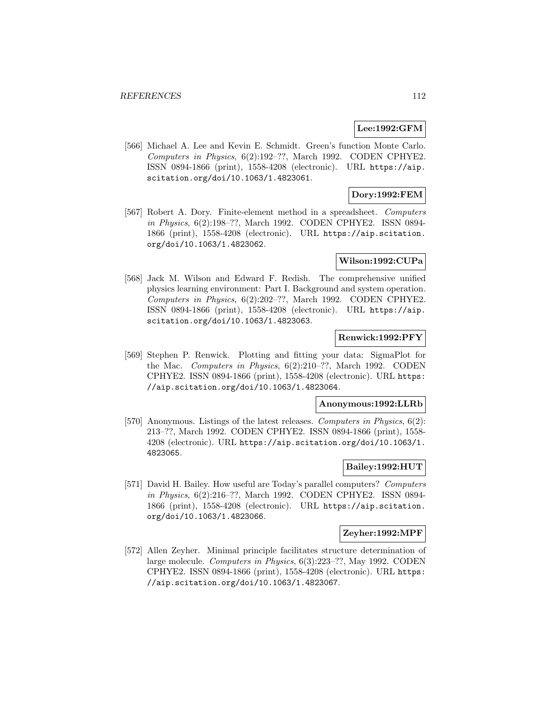## **Lee:1992:GFM**

[566] Michael A. Lee and Kevin E. Schmidt. Green's function Monte Carlo. Computers in Physics, 6(2):192–??, March 1992. CODEN CPHYE2. ISSN 0894-1866 (print), 1558-4208 (electronic). URL https://aip. scitation.org/doi/10.1063/1.4823061.

# **Dory:1992:FEM**

[567] Robert A. Dory. Finite-element method in a spreadsheet. Computers in Physics, 6(2):198–??, March 1992. CODEN CPHYE2. ISSN 0894- 1866 (print), 1558-4208 (electronic). URL https://aip.scitation. org/doi/10.1063/1.4823062.

## **Wilson:1992:CUPa**

[568] Jack M. Wilson and Edward F. Redish. The comprehensive unified physics learning environment: Part I. Background and system operation. Computers in Physics, 6(2):202–??, March 1992. CODEN CPHYE2. ISSN 0894-1866 (print), 1558-4208 (electronic). URL https://aip. scitation.org/doi/10.1063/1.4823063.

## **Renwick:1992:PFY**

[569] Stephen P. Renwick. Plotting and fitting your data: SigmaPlot for the Mac. Computers in Physics, 6(2):210–??, March 1992. CODEN CPHYE2. ISSN 0894-1866 (print), 1558-4208 (electronic). URL https: //aip.scitation.org/doi/10.1063/1.4823064.

#### **Anonymous:1992:LLRb**

[570] Anonymous. Listings of the latest releases. Computers in Physics, 6(2): 213–??, March 1992. CODEN CPHYE2. ISSN 0894-1866 (print), 1558- 4208 (electronic). URL https://aip.scitation.org/doi/10.1063/1. 4823065.

#### **Bailey:1992:HUT**

[571] David H. Bailey. How useful are Today's parallel computers? Computers in Physics, 6(2):216–??, March 1992. CODEN CPHYE2. ISSN 0894- 1866 (print), 1558-4208 (electronic). URL https://aip.scitation. org/doi/10.1063/1.4823066.

#### **Zeyher:1992:MPF**

[572] Allen Zeyher. Minimal principle facilitates structure determination of large molecule. Computers in Physics, 6(3):223–??, May 1992. CODEN CPHYE2. ISSN 0894-1866 (print), 1558-4208 (electronic). URL https: //aip.scitation.org/doi/10.1063/1.4823067.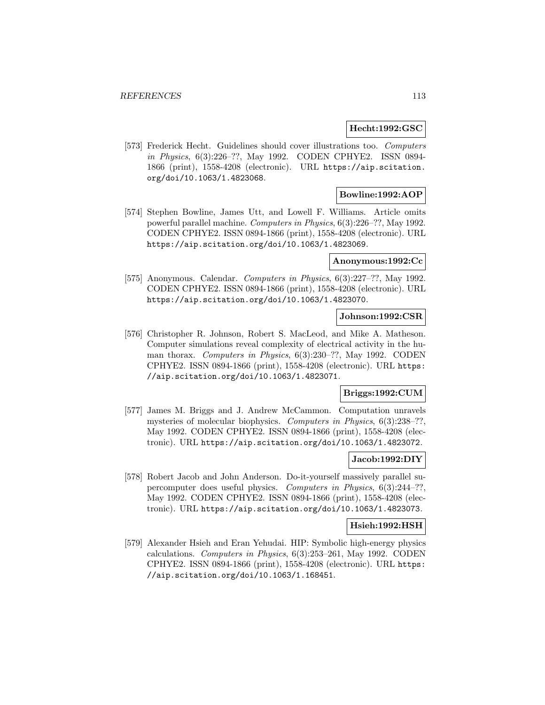#### **Hecht:1992:GSC**

[573] Frederick Hecht. Guidelines should cover illustrations too. Computers in Physics, 6(3):226–??, May 1992. CODEN CPHYE2. ISSN 0894- 1866 (print), 1558-4208 (electronic). URL https://aip.scitation. org/doi/10.1063/1.4823068.

# **Bowline:1992:AOP**

[574] Stephen Bowline, James Utt, and Lowell F. Williams. Article omits powerful parallel machine. Computers in Physics, 6(3):226–??, May 1992. CODEN CPHYE2. ISSN 0894-1866 (print), 1558-4208 (electronic). URL https://aip.scitation.org/doi/10.1063/1.4823069.

# **Anonymous:1992:Cc**

[575] Anonymous. Calendar. Computers in Physics, 6(3):227–??, May 1992. CODEN CPHYE2. ISSN 0894-1866 (print), 1558-4208 (electronic). URL https://aip.scitation.org/doi/10.1063/1.4823070.

#### **Johnson:1992:CSR**

[576] Christopher R. Johnson, Robert S. MacLeod, and Mike A. Matheson. Computer simulations reveal complexity of electrical activity in the human thorax. Computers in Physics, 6(3):230–??, May 1992. CODEN CPHYE2. ISSN 0894-1866 (print), 1558-4208 (electronic). URL https: //aip.scitation.org/doi/10.1063/1.4823071.

## **Briggs:1992:CUM**

[577] James M. Briggs and J. Andrew McCammon. Computation unravels mysteries of molecular biophysics. Computers in Physics, 6(3):238–??, May 1992. CODEN CPHYE2. ISSN 0894-1866 (print), 1558-4208 (electronic). URL https://aip.scitation.org/doi/10.1063/1.4823072.

# **Jacob:1992:DIY**

[578] Robert Jacob and John Anderson. Do-it-yourself massively parallel supercomputer does useful physics. Computers in Physics, 6(3):244–??, May 1992. CODEN CPHYE2. ISSN 0894-1866 (print), 1558-4208 (electronic). URL https://aip.scitation.org/doi/10.1063/1.4823073.

#### **Hsieh:1992:HSH**

[579] Alexander Hsieh and Eran Yehudai. HIP: Symbolic high-energy physics calculations. Computers in Physics, 6(3):253–261, May 1992. CODEN CPHYE2. ISSN 0894-1866 (print), 1558-4208 (electronic). URL https: //aip.scitation.org/doi/10.1063/1.168451.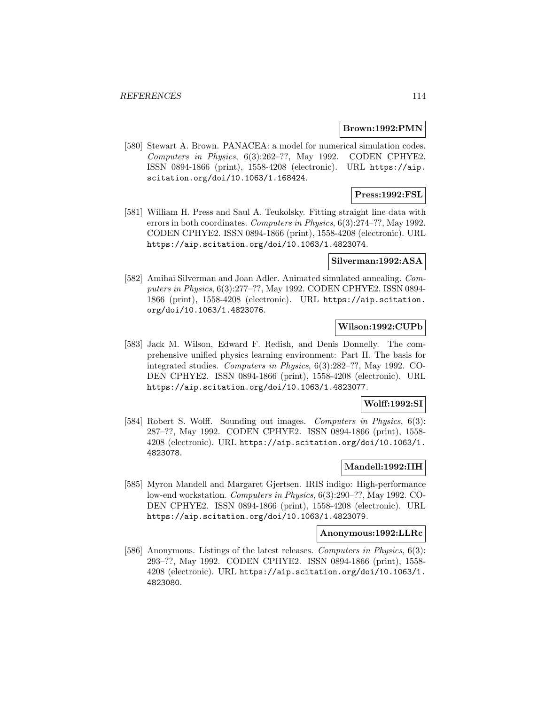#### **Brown:1992:PMN**

[580] Stewart A. Brown. PANACEA: a model for numerical simulation codes. Computers in Physics, 6(3):262–??, May 1992. CODEN CPHYE2. ISSN 0894-1866 (print), 1558-4208 (electronic). URL https://aip. scitation.org/doi/10.1063/1.168424.

# **Press:1992:FSL**

[581] William H. Press and Saul A. Teukolsky. Fitting straight line data with errors in both coordinates. Computers in Physics, 6(3):274–??, May 1992. CODEN CPHYE2. ISSN 0894-1866 (print), 1558-4208 (electronic). URL https://aip.scitation.org/doi/10.1063/1.4823074.

## **Silverman:1992:ASA**

[582] Amihai Silverman and Joan Adler. Animated simulated annealing. Computers in Physics, 6(3):277–??, May 1992. CODEN CPHYE2. ISSN 0894- 1866 (print), 1558-4208 (electronic). URL https://aip.scitation. org/doi/10.1063/1.4823076.

## **Wilson:1992:CUPb**

[583] Jack M. Wilson, Edward F. Redish, and Denis Donnelly. The comprehensive unified physics learning environment: Part II. The basis for integrated studies. Computers in Physics, 6(3):282–??, May 1992. CO-DEN CPHYE2. ISSN 0894-1866 (print), 1558-4208 (electronic). URL https://aip.scitation.org/doi/10.1063/1.4823077.

#### **Wolff:1992:SI**

[584] Robert S. Wolff. Sounding out images. Computers in Physics, 6(3): 287–??, May 1992. CODEN CPHYE2. ISSN 0894-1866 (print), 1558- 4208 (electronic). URL https://aip.scitation.org/doi/10.1063/1. 4823078.

#### **Mandell:1992:IIH**

[585] Myron Mandell and Margaret Gjertsen. IRIS indigo: High-performance low-end workstation. Computers in Physics, 6(3):290–??, May 1992. CO-DEN CPHYE2. ISSN 0894-1866 (print), 1558-4208 (electronic). URL https://aip.scitation.org/doi/10.1063/1.4823079.

#### **Anonymous:1992:LLRc**

[586] Anonymous. Listings of the latest releases. Computers in Physics, 6(3): 293–??, May 1992. CODEN CPHYE2. ISSN 0894-1866 (print), 1558- 4208 (electronic). URL https://aip.scitation.org/doi/10.1063/1. 4823080.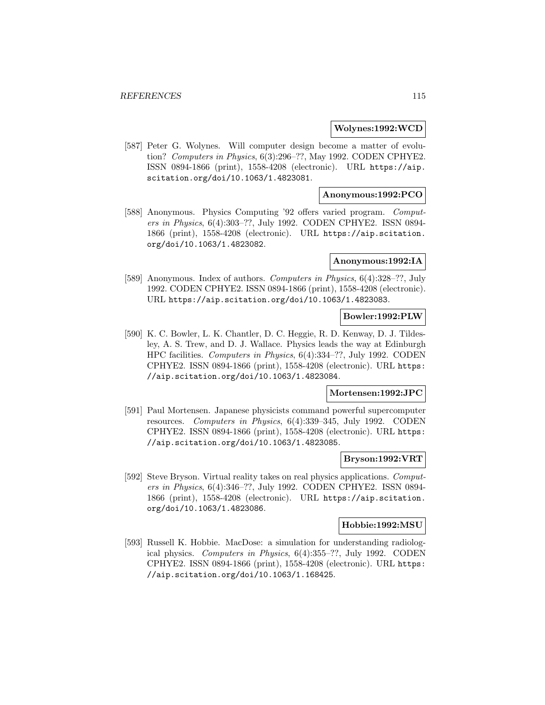#### **Wolynes:1992:WCD**

[587] Peter G. Wolynes. Will computer design become a matter of evolution? Computers in Physics, 6(3):296–??, May 1992. CODEN CPHYE2. ISSN 0894-1866 (print), 1558-4208 (electronic). URL https://aip. scitation.org/doi/10.1063/1.4823081.

## **Anonymous:1992:PCO**

[588] Anonymous. Physics Computing '92 offers varied program. Computers in Physics, 6(4):303–??, July 1992. CODEN CPHYE2. ISSN 0894- 1866 (print), 1558-4208 (electronic). URL https://aip.scitation. org/doi/10.1063/1.4823082.

### **Anonymous:1992:IA**

[589] Anonymous. Index of authors. Computers in Physics, 6(4):328–??, July 1992. CODEN CPHYE2. ISSN 0894-1866 (print), 1558-4208 (electronic). URL https://aip.scitation.org/doi/10.1063/1.4823083.

#### **Bowler:1992:PLW**

[590] K. C. Bowler, L. K. Chantler, D. C. Heggie, R. D. Kenway, D. J. Tildesley, A. S. Trew, and D. J. Wallace. Physics leads the way at Edinburgh HPC facilities. Computers in Physics, 6(4):334–??, July 1992. CODEN CPHYE2. ISSN 0894-1866 (print), 1558-4208 (electronic). URL https: //aip.scitation.org/doi/10.1063/1.4823084.

# **Mortensen:1992:JPC**

[591] Paul Mortensen. Japanese physicists command powerful supercomputer resources. Computers in Physics, 6(4):339–345, July 1992. CODEN CPHYE2. ISSN 0894-1866 (print), 1558-4208 (electronic). URL https: //aip.scitation.org/doi/10.1063/1.4823085.

## **Bryson:1992:VRT**

[592] Steve Bryson. Virtual reality takes on real physics applications. *Comput*ers in Physics, 6(4):346–??, July 1992. CODEN CPHYE2. ISSN 0894- 1866 (print), 1558-4208 (electronic). URL https://aip.scitation. org/doi/10.1063/1.4823086.

#### **Hobbie:1992:MSU**

[593] Russell K. Hobbie. MacDose: a simulation for understanding radiological physics. Computers in Physics, 6(4):355–??, July 1992. CODEN CPHYE2. ISSN 0894-1866 (print), 1558-4208 (electronic). URL https: //aip.scitation.org/doi/10.1063/1.168425.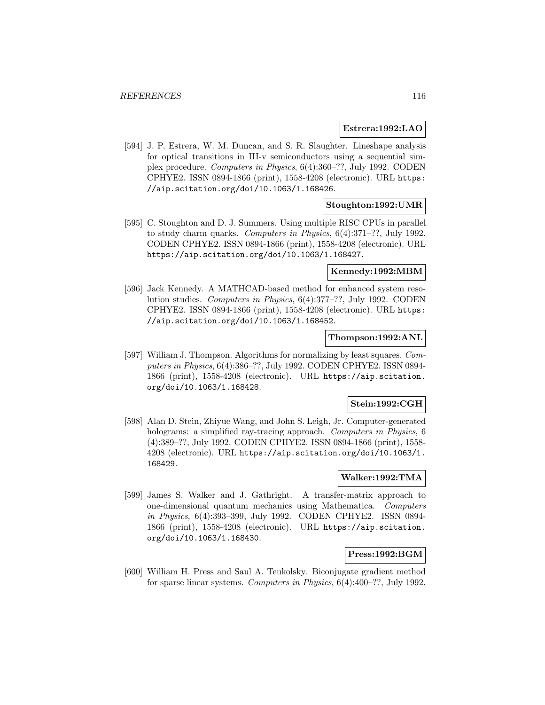#### **Estrera:1992:LAO**

[594] J. P. Estrera, W. M. Duncan, and S. R. Slaughter. Lineshape analysis for optical transitions in III-v semiconductors using a sequential simplex procedure. Computers in Physics, 6(4):360–??, July 1992. CODEN CPHYE2. ISSN 0894-1866 (print), 1558-4208 (electronic). URL https: //aip.scitation.org/doi/10.1063/1.168426.

# **Stoughton:1992:UMR**

[595] C. Stoughton and D. J. Summers. Using multiple RISC CPUs in parallel to study charm quarks. Computers in Physics, 6(4):371–??, July 1992. CODEN CPHYE2. ISSN 0894-1866 (print), 1558-4208 (electronic). URL https://aip.scitation.org/doi/10.1063/1.168427.

#### **Kennedy:1992:MBM**

[596] Jack Kennedy. A MATHCAD-based method for enhanced system resolution studies. Computers in Physics, 6(4):377–??, July 1992. CODEN CPHYE2. ISSN 0894-1866 (print), 1558-4208 (electronic). URL https: //aip.scitation.org/doi/10.1063/1.168452.

## **Thompson:1992:ANL**

[597] William J. Thompson. Algorithms for normalizing by least squares. Computers in Physics, 6(4):386–??, July 1992. CODEN CPHYE2. ISSN 0894- 1866 (print), 1558-4208 (electronic). URL https://aip.scitation. org/doi/10.1063/1.168428.

## **Stein:1992:CGH**

[598] Alan D. Stein, Zhiyue Wang, and John S. Leigh, Jr. Computer-generated holograms: a simplified ray-tracing approach. *Computers in Physics*, 6 (4):389–??, July 1992. CODEN CPHYE2. ISSN 0894-1866 (print), 1558- 4208 (electronic). URL https://aip.scitation.org/doi/10.1063/1. 168429.

## **Walker:1992:TMA**

[599] James S. Walker and J. Gathright. A transfer-matrix approach to one-dimensional quantum mechanics using Mathematica. Computers in Physics, 6(4):393–399, July 1992. CODEN CPHYE2. ISSN 0894- 1866 (print), 1558-4208 (electronic). URL https://aip.scitation. org/doi/10.1063/1.168430.

#### **Press:1992:BGM**

[600] William H. Press and Saul A. Teukolsky. Biconjugate gradient method for sparse linear systems. Computers in Physics, 6(4):400–??, July 1992.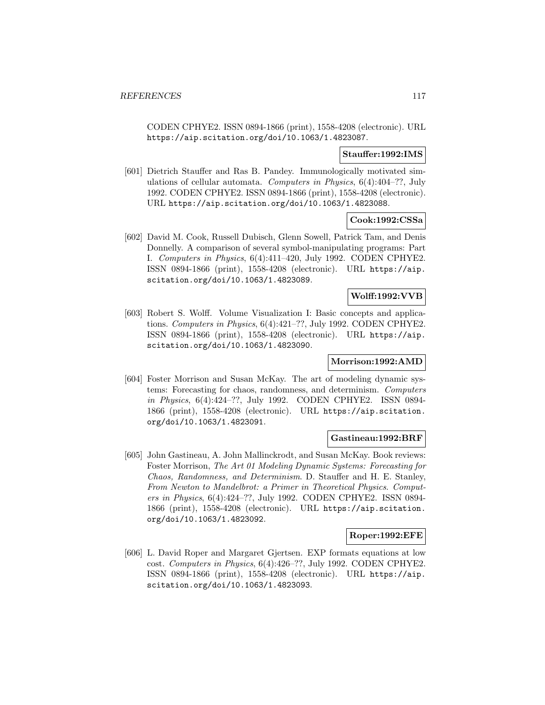CODEN CPHYE2. ISSN 0894-1866 (print), 1558-4208 (electronic). URL https://aip.scitation.org/doi/10.1063/1.4823087.

#### **Stauffer:1992:IMS**

[601] Dietrich Stauffer and Ras B. Pandey. Immunologically motivated simulations of cellular automata. Computers in Physics, 6(4):404–??, July 1992. CODEN CPHYE2. ISSN 0894-1866 (print), 1558-4208 (electronic). URL https://aip.scitation.org/doi/10.1063/1.4823088.

### **Cook:1992:CSSa**

[602] David M. Cook, Russell Dubisch, Glenn Sowell, Patrick Tam, and Denis Donnelly. A comparison of several symbol-manipulating programs: Part I. Computers in Physics, 6(4):411–420, July 1992. CODEN CPHYE2. ISSN 0894-1866 (print), 1558-4208 (electronic). URL https://aip. scitation.org/doi/10.1063/1.4823089.

# **Wolff:1992:VVB**

[603] Robert S. Wolff. Volume Visualization I: Basic concepts and applications. Computers in Physics, 6(4):421–??, July 1992. CODEN CPHYE2. ISSN 0894-1866 (print), 1558-4208 (electronic). URL https://aip. scitation.org/doi/10.1063/1.4823090.

### **Morrison:1992:AMD**

[604] Foster Morrison and Susan McKay. The art of modeling dynamic systems: Forecasting for chaos, randomness, and determinism. Computers in Physics, 6(4):424–??, July 1992. CODEN CPHYE2. ISSN 0894- 1866 (print), 1558-4208 (electronic). URL https://aip.scitation. org/doi/10.1063/1.4823091.

### **Gastineau:1992:BRF**

[605] John Gastineau, A. John Mallinckrodt, and Susan McKay. Book reviews: Foster Morrison, The Art 01 Modeling Dynamic Systems: Forecasting for Chaos, Randomness, and Determinism. D. Stauffer and H. E. Stanley, From Newton to Mandelbrot: a Primer in Theoretical Physics. Computers in Physics, 6(4):424–??, July 1992. CODEN CPHYE2. ISSN 0894- 1866 (print), 1558-4208 (electronic). URL https://aip.scitation. org/doi/10.1063/1.4823092.

## **Roper:1992:EFE**

[606] L. David Roper and Margaret Gjertsen. EXP formats equations at low cost. Computers in Physics, 6(4):426–??, July 1992. CODEN CPHYE2. ISSN 0894-1866 (print), 1558-4208 (electronic). URL https://aip. scitation.org/doi/10.1063/1.4823093.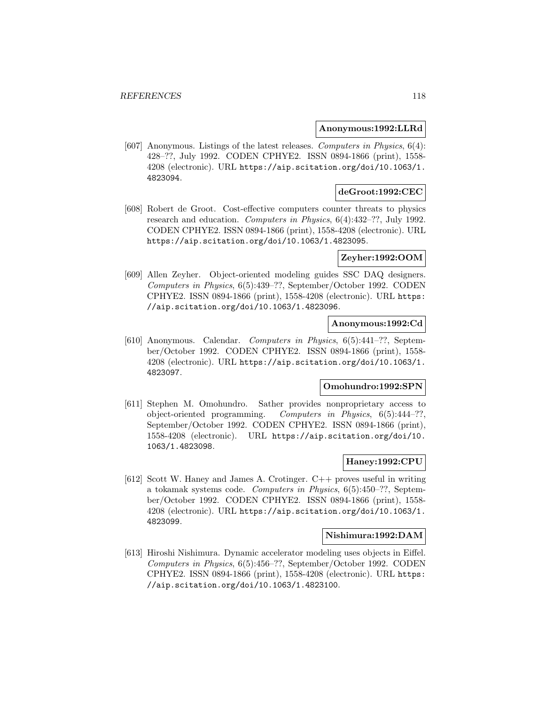#### **Anonymous:1992:LLRd**

[607] Anonymous. Listings of the latest releases. Computers in Physics, 6(4): 428–??, July 1992. CODEN CPHYE2. ISSN 0894-1866 (print), 1558- 4208 (electronic). URL https://aip.scitation.org/doi/10.1063/1. 4823094.

# **deGroot:1992:CEC**

[608] Robert de Groot. Cost-effective computers counter threats to physics research and education. Computers in Physics, 6(4):432–??, July 1992. CODEN CPHYE2. ISSN 0894-1866 (print), 1558-4208 (electronic). URL https://aip.scitation.org/doi/10.1063/1.4823095.

## **Zeyher:1992:OOM**

[609] Allen Zeyher. Object-oriented modeling guides SSC DAQ designers. Computers in Physics, 6(5):439–??, September/October 1992. CODEN CPHYE2. ISSN 0894-1866 (print), 1558-4208 (electronic). URL https: //aip.scitation.org/doi/10.1063/1.4823096.

## **Anonymous:1992:Cd**

[610] Anonymous. Calendar. Computers in Physics, 6(5):441–??, September/October 1992. CODEN CPHYE2. ISSN 0894-1866 (print), 1558- 4208 (electronic). URL https://aip.scitation.org/doi/10.1063/1. 4823097.

## **Omohundro:1992:SPN**

[611] Stephen M. Omohundro. Sather provides nonproprietary access to object-oriented programming. Computers in Physics, 6(5):444–??, September/October 1992. CODEN CPHYE2. ISSN 0894-1866 (print), 1558-4208 (electronic). URL https://aip.scitation.org/doi/10. 1063/1.4823098.

#### **Haney:1992:CPU**

[612] Scott W. Haney and James A. Crotinger. C++ proves useful in writing a tokamak systems code. Computers in Physics, 6(5):450–??, September/October 1992. CODEN CPHYE2. ISSN 0894-1866 (print), 1558- 4208 (electronic). URL https://aip.scitation.org/doi/10.1063/1. 4823099.

### **Nishimura:1992:DAM**

[613] Hiroshi Nishimura. Dynamic accelerator modeling uses objects in Eiffel. Computers in Physics, 6(5):456–??, September/October 1992. CODEN CPHYE2. ISSN 0894-1866 (print), 1558-4208 (electronic). URL https: //aip.scitation.org/doi/10.1063/1.4823100.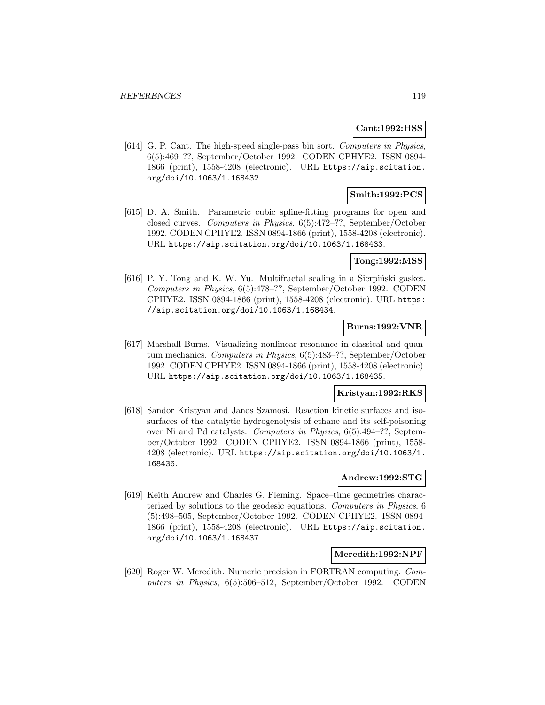#### **Cant:1992:HSS**

[614] G. P. Cant. The high-speed single-pass bin sort. Computers in Physics, 6(5):469–??, September/October 1992. CODEN CPHYE2. ISSN 0894- 1866 (print), 1558-4208 (electronic). URL https://aip.scitation. org/doi/10.1063/1.168432.

# **Smith:1992:PCS**

[615] D. A. Smith. Parametric cubic spline-fitting programs for open and closed curves. Computers in Physics, 6(5):472–??, September/October 1992. CODEN CPHYE2. ISSN 0894-1866 (print), 1558-4208 (electronic). URL https://aip.scitation.org/doi/10.1063/1.168433.

#### **Tong:1992:MSS**

[616] P. Y. Tong and K. W. Yu. Multifractal scaling in a Sierpiński gasket. Computers in Physics, 6(5):478–??, September/October 1992. CODEN CPHYE2. ISSN 0894-1866 (print), 1558-4208 (electronic). URL https: //aip.scitation.org/doi/10.1063/1.168434.

# **Burns:1992:VNR**

[617] Marshall Burns. Visualizing nonlinear resonance in classical and quantum mechanics. Computers in Physics, 6(5):483–??, September/October 1992. CODEN CPHYE2. ISSN 0894-1866 (print), 1558-4208 (electronic). URL https://aip.scitation.org/doi/10.1063/1.168435.

# **Kristyan:1992:RKS**

[618] Sandor Kristyan and Janos Szamosi. Reaction kinetic surfaces and isosurfaces of the catalytic hydrogenolysis of ethane and its self-poisoning over Ni and Pd catalysts. Computers in Physics, 6(5):494–??, September/October 1992. CODEN CPHYE2. ISSN 0894-1866 (print), 1558- 4208 (electronic). URL https://aip.scitation.org/doi/10.1063/1. 168436.

#### **Andrew:1992:STG**

[619] Keith Andrew and Charles G. Fleming. Space–time geometries characterized by solutions to the geodesic equations. Computers in Physics, 6 (5):498–505, September/October 1992. CODEN CPHYE2. ISSN 0894- 1866 (print), 1558-4208 (electronic). URL https://aip.scitation. org/doi/10.1063/1.168437.

#### **Meredith:1992:NPF**

[620] Roger W. Meredith. Numeric precision in FORTRAN computing. Computers in Physics, 6(5):506–512, September/October 1992. CODEN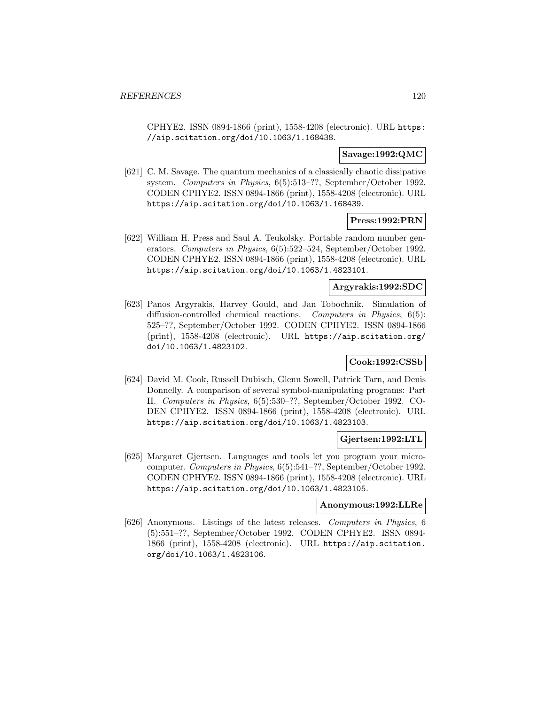CPHYE2. ISSN 0894-1866 (print), 1558-4208 (electronic). URL https: //aip.scitation.org/doi/10.1063/1.168438.

### **Savage:1992:QMC**

[621] C. M. Savage. The quantum mechanics of a classically chaotic dissipative system. Computers in Physics, 6(5):513–??, September/October 1992. CODEN CPHYE2. ISSN 0894-1866 (print), 1558-4208 (electronic). URL https://aip.scitation.org/doi/10.1063/1.168439.

## **Press:1992:PRN**

[622] William H. Press and Saul A. Teukolsky. Portable random number generators. Computers in Physics, 6(5):522–524, September/October 1992. CODEN CPHYE2. ISSN 0894-1866 (print), 1558-4208 (electronic). URL https://aip.scitation.org/doi/10.1063/1.4823101.

#### **Argyrakis:1992:SDC**

[623] Panos Argyrakis, Harvey Gould, and Jan Tobochnik. Simulation of diffusion-controlled chemical reactions. Computers in Physics, 6(5): 525–??, September/October 1992. CODEN CPHYE2. ISSN 0894-1866 (print), 1558-4208 (electronic). URL https://aip.scitation.org/ doi/10.1063/1.4823102.

# **Cook:1992:CSSb**

[624] David M. Cook, Russell Dubisch, Glenn Sowell, Patrick Tarn, and Denis Donnelly. A comparison of several symbol-manipulating programs: Part II. Computers in Physics, 6(5):530–??, September/October 1992. CO-DEN CPHYE2. ISSN 0894-1866 (print), 1558-4208 (electronic). URL https://aip.scitation.org/doi/10.1063/1.4823103.

## **Gjertsen:1992:LTL**

[625] Margaret Gjertsen. Languages and tools let you program your microcomputer. Computers in Physics, 6(5):541–??, September/October 1992. CODEN CPHYE2. ISSN 0894-1866 (print), 1558-4208 (electronic). URL https://aip.scitation.org/doi/10.1063/1.4823105.

### **Anonymous:1992:LLRe**

[626] Anonymous. Listings of the latest releases. Computers in Physics, 6 (5):551–??, September/October 1992. CODEN CPHYE2. ISSN 0894- 1866 (print), 1558-4208 (electronic). URL https://aip.scitation. org/doi/10.1063/1.4823106.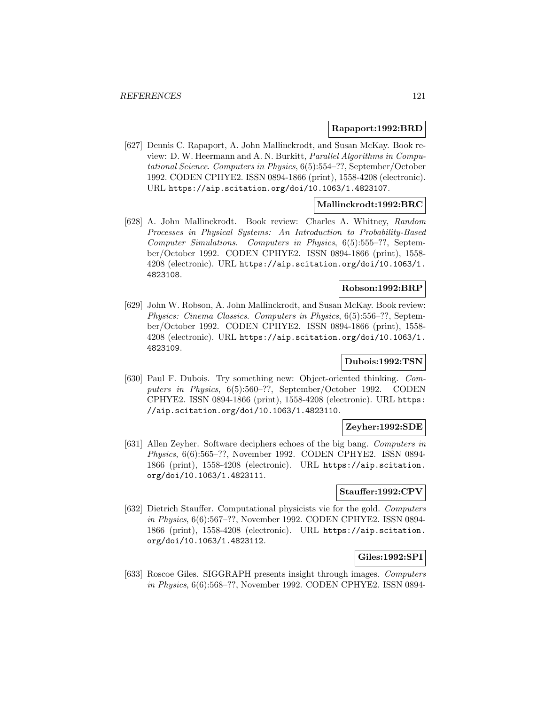#### **Rapaport:1992:BRD**

[627] Dennis C. Rapaport, A. John Mallinckrodt, and Susan McKay. Book review: D. W. Heermann and A. N. Burkitt, Parallel Algorithms in Computational Science. Computers in Physics, 6(5):554–??, September/October 1992. CODEN CPHYE2. ISSN 0894-1866 (print), 1558-4208 (electronic). URL https://aip.scitation.org/doi/10.1063/1.4823107.

## **Mallinckrodt:1992:BRC**

[628] A. John Mallinckrodt. Book review: Charles A. Whitney, Random Processes in Physical Systems: An Introduction to Probability-Based Computer Simulations. Computers in Physics, 6(5):555–??, September/October 1992. CODEN CPHYE2. ISSN 0894-1866 (print), 1558- 4208 (electronic). URL https://aip.scitation.org/doi/10.1063/1. 4823108.

### **Robson:1992:BRP**

[629] John W. Robson, A. John Mallinckrodt, and Susan McKay. Book review: Physics: Cinema Classics. Computers in Physics, 6(5):556–??, September/October 1992. CODEN CPHYE2. ISSN 0894-1866 (print), 1558- 4208 (electronic). URL https://aip.scitation.org/doi/10.1063/1. 4823109.

## **Dubois:1992:TSN**

[630] Paul F. Dubois. Try something new: Object-oriented thinking. Computers in Physics, 6(5):560–??, September/October 1992. CODEN CPHYE2. ISSN 0894-1866 (print), 1558-4208 (electronic). URL https: //aip.scitation.org/doi/10.1063/1.4823110.

## **Zeyher:1992:SDE**

[631] Allen Zeyher. Software deciphers echoes of the big bang. Computers in Physics, 6(6):565–??, November 1992. CODEN CPHYE2. ISSN 0894- 1866 (print), 1558-4208 (electronic). URL https://aip.scitation. org/doi/10.1063/1.4823111.

## **Stauffer:1992:CPV**

[632] Dietrich Stauffer. Computational physicists vie for the gold. Computers in Physics, 6(6):567–??, November 1992. CODEN CPHYE2. ISSN 0894- 1866 (print), 1558-4208 (electronic). URL https://aip.scitation. org/doi/10.1063/1.4823112.

# **Giles:1992:SPI**

[633] Roscoe Giles. SIGGRAPH presents insight through images. Computers in Physics, 6(6):568–??, November 1992. CODEN CPHYE2. ISSN 0894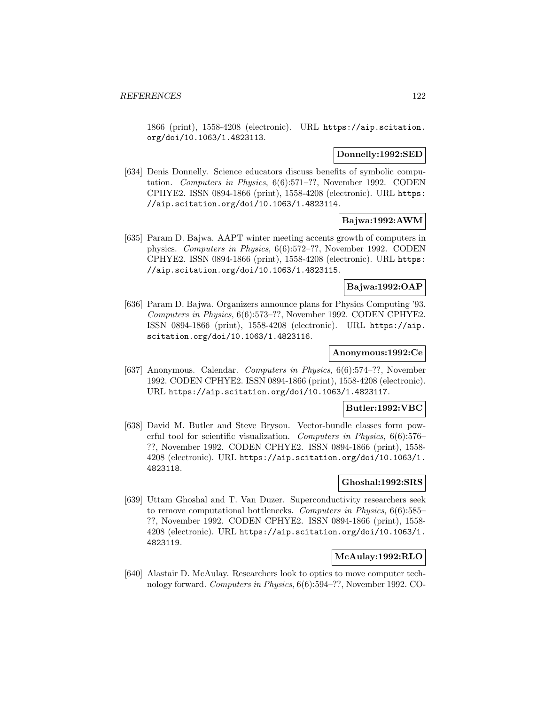1866 (print), 1558-4208 (electronic). URL https://aip.scitation. org/doi/10.1063/1.4823113.

### **Donnelly:1992:SED**

[634] Denis Donnelly. Science educators discuss benefits of symbolic computation. Computers in Physics, 6(6):571–??, November 1992. CODEN CPHYE2. ISSN 0894-1866 (print), 1558-4208 (electronic). URL https: //aip.scitation.org/doi/10.1063/1.4823114.

### **Bajwa:1992:AWM**

[635] Param D. Bajwa. AAPT winter meeting accents growth of computers in physics. Computers in Physics, 6(6):572–??, November 1992. CODEN CPHYE2. ISSN 0894-1866 (print), 1558-4208 (electronic). URL https: //aip.scitation.org/doi/10.1063/1.4823115.

## **Bajwa:1992:OAP**

[636] Param D. Bajwa. Organizers announce plans for Physics Computing '93. Computers in Physics, 6(6):573–??, November 1992. CODEN CPHYE2. ISSN 0894-1866 (print), 1558-4208 (electronic). URL https://aip. scitation.org/doi/10.1063/1.4823116.

# **Anonymous:1992:Ce**

[637] Anonymous. Calendar. Computers in Physics, 6(6):574–??, November 1992. CODEN CPHYE2. ISSN 0894-1866 (print), 1558-4208 (electronic). URL https://aip.scitation.org/doi/10.1063/1.4823117.

#### **Butler:1992:VBC**

[638] David M. Butler and Steve Bryson. Vector-bundle classes form powerful tool for scientific visualization. Computers in Physics, 6(6):576– ??, November 1992. CODEN CPHYE2. ISSN 0894-1866 (print), 1558- 4208 (electronic). URL https://aip.scitation.org/doi/10.1063/1. 4823118.

## **Ghoshal:1992:SRS**

[639] Uttam Ghoshal and T. Van Duzer. Superconductivity researchers seek to remove computational bottlenecks. Computers in Physics, 6(6):585– ??, November 1992. CODEN CPHYE2. ISSN 0894-1866 (print), 1558- 4208 (electronic). URL https://aip.scitation.org/doi/10.1063/1. 4823119.

## **McAulay:1992:RLO**

[640] Alastair D. McAulay. Researchers look to optics to move computer technology forward. Computers in Physics, 6(6):594–??, November 1992. CO-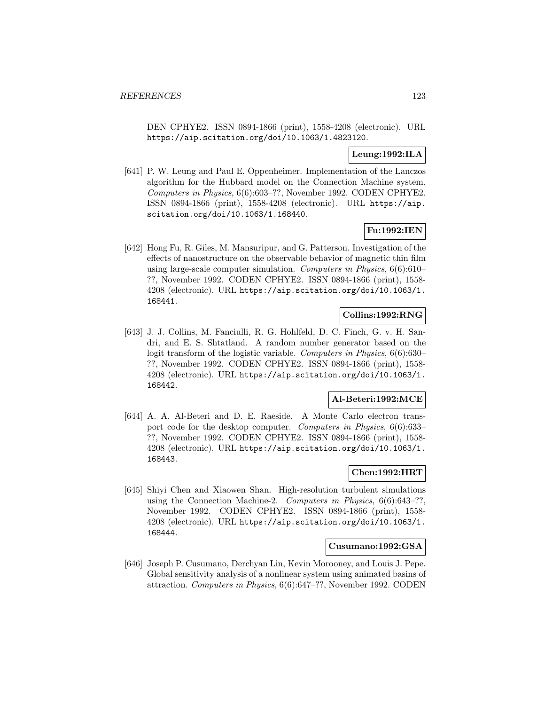DEN CPHYE2. ISSN 0894-1866 (print), 1558-4208 (electronic). URL https://aip.scitation.org/doi/10.1063/1.4823120.

# **Leung:1992:ILA**

[641] P. W. Leung and Paul E. Oppenheimer. Implementation of the Lanczos algorithm for the Hubbard model on the Connection Machine system. Computers in Physics, 6(6):603–??, November 1992. CODEN CPHYE2. ISSN 0894-1866 (print), 1558-4208 (electronic). URL https://aip. scitation.org/doi/10.1063/1.168440.

# **Fu:1992:IEN**

[642] Hong Fu, R. Giles, M. Mansuripur, and G. Patterson. Investigation of the effects of nanostructure on the observable behavior of magnetic thin film using large-scale computer simulation. Computers in Physics, 6(6):610– ??, November 1992. CODEN CPHYE2. ISSN 0894-1866 (print), 1558- 4208 (electronic). URL https://aip.scitation.org/doi/10.1063/1. 168441.

# **Collins:1992:RNG**

[643] J. J. Collins, M. Fanciulli, R. G. Hohlfeld, D. C. Finch, G. v. H. Sandri, and E. S. Shtatland. A random number generator based on the logit transform of the logistic variable. Computers in Physics, 6(6):630– ??, November 1992. CODEN CPHYE2. ISSN 0894-1866 (print), 1558- 4208 (electronic). URL https://aip.scitation.org/doi/10.1063/1. 168442.

#### **Al-Beteri:1992:MCE**

[644] A. A. Al-Beteri and D. E. Raeside. A Monte Carlo electron transport code for the desktop computer. Computers in Physics, 6(6):633– ??, November 1992. CODEN CPHYE2. ISSN 0894-1866 (print), 1558- 4208 (electronic). URL https://aip.scitation.org/doi/10.1063/1. 168443.

# **Chen:1992:HRT**

[645] Shiyi Chen and Xiaowen Shan. High-resolution turbulent simulations using the Connection Machine-2. Computers in Physics, 6(6):643–??, November 1992. CODEN CPHYE2. ISSN 0894-1866 (print), 1558- 4208 (electronic). URL https://aip.scitation.org/doi/10.1063/1. 168444.

### **Cusumano:1992:GSA**

[646] Joseph P. Cusumano, Derchyan Lin, Kevin Morooney, and Louis J. Pepe. Global sensitivity analysis of a nonlinear system using animated basins of attraction. Computers in Physics, 6(6):647–??, November 1992. CODEN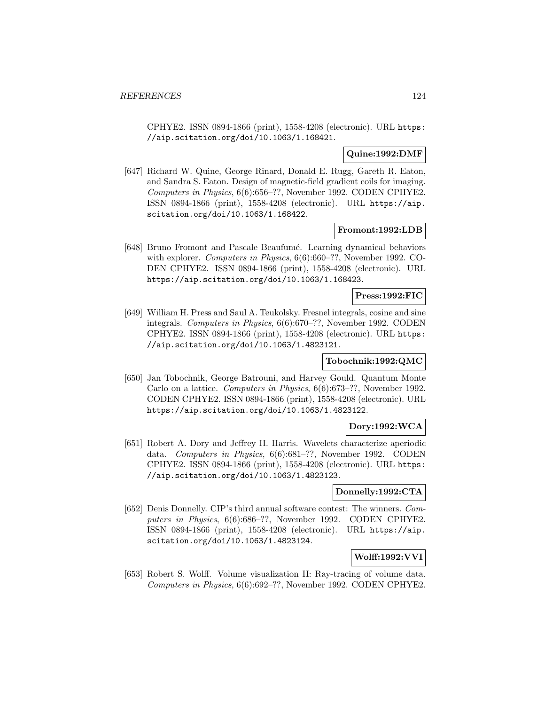CPHYE2. ISSN 0894-1866 (print), 1558-4208 (electronic). URL https: //aip.scitation.org/doi/10.1063/1.168421.

## **Quine:1992:DMF**

[647] Richard W. Quine, George Rinard, Donald E. Rugg, Gareth R. Eaton, and Sandra S. Eaton. Design of magnetic-field gradient coils for imaging. Computers in Physics, 6(6):656–??, November 1992. CODEN CPHYE2. ISSN 0894-1866 (print), 1558-4208 (electronic). URL https://aip. scitation.org/doi/10.1063/1.168422.

# **Fromont:1992:LDB**

[648] Bruno Fromont and Pascale Beaufum´e. Learning dynamical behaviors with explorer. *Computers in Physics*, 6(6):660–??, November 1992. CO-DEN CPHYE2. ISSN 0894-1866 (print), 1558-4208 (electronic). URL https://aip.scitation.org/doi/10.1063/1.168423.

#### **Press:1992:FIC**

[649] William H. Press and Saul A. Teukolsky. Fresnel integrals, cosine and sine integrals. Computers in Physics, 6(6):670–??, November 1992. CODEN CPHYE2. ISSN 0894-1866 (print), 1558-4208 (electronic). URL https: //aip.scitation.org/doi/10.1063/1.4823121.

### **Tobochnik:1992:QMC**

[650] Jan Tobochnik, George Batrouni, and Harvey Gould. Quantum Monte Carlo on a lattice. Computers in Physics, 6(6):673–??, November 1992. CODEN CPHYE2. ISSN 0894-1866 (print), 1558-4208 (electronic). URL https://aip.scitation.org/doi/10.1063/1.4823122.

# **Dory:1992:WCA**

[651] Robert A. Dory and Jeffrey H. Harris. Wavelets characterize aperiodic data. Computers in Physics, 6(6):681–??, November 1992. CODEN CPHYE2. ISSN 0894-1866 (print), 1558-4208 (electronic). URL https: //aip.scitation.org/doi/10.1063/1.4823123.

## **Donnelly:1992:CTA**

[652] Denis Donnelly. CIP's third annual software contest: The winners. Computers in Physics, 6(6):686–??, November 1992. CODEN CPHYE2. ISSN 0894-1866 (print), 1558-4208 (electronic). URL https://aip. scitation.org/doi/10.1063/1.4823124.

# **Wolff:1992:VVI**

[653] Robert S. Wolff. Volume visualization II: Ray-tracing of volume data. Computers in Physics, 6(6):692–??, November 1992. CODEN CPHYE2.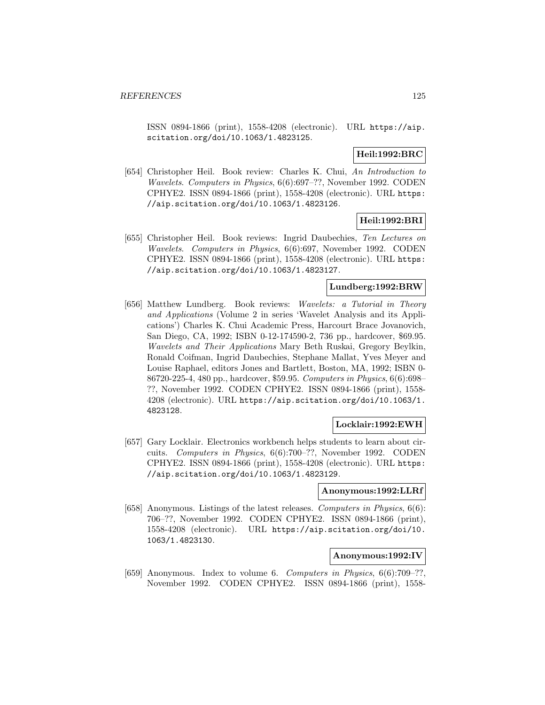ISSN 0894-1866 (print), 1558-4208 (electronic). URL https://aip. scitation.org/doi/10.1063/1.4823125.

## **Heil:1992:BRC**

[654] Christopher Heil. Book review: Charles K. Chui, An Introduction to Wavelets. Computers in Physics, 6(6):697–??, November 1992. CODEN CPHYE2. ISSN 0894-1866 (print), 1558-4208 (electronic). URL https: //aip.scitation.org/doi/10.1063/1.4823126.

# **Heil:1992:BRI**

[655] Christopher Heil. Book reviews: Ingrid Daubechies, Ten Lectures on Wavelets. Computers in Physics, 6(6):697, November 1992. CODEN CPHYE2. ISSN 0894-1866 (print), 1558-4208 (electronic). URL https: //aip.scitation.org/doi/10.1063/1.4823127.

## **Lundberg:1992:BRW**

[656] Matthew Lundberg. Book reviews: Wavelets: a Tutorial in Theory and Applications (Volume 2 in series 'Wavelet Analysis and its Applications') Charles K. Chui Academic Press, Harcourt Brace Jovanovich, San Diego, CA, 1992; ISBN 0-12-174590-2, 736 pp., hardcover, \$69.95. Wavelets and Their Applications Mary Beth Ruskai, Gregory Beylkin, Ronald Coifman, Ingrid Daubechies, Stephane Mallat, Yves Meyer and Louise Raphael, editors Jones and Bartlett, Boston, MA, 1992; ISBN 0- 86720-225-4, 480 pp., hardcover, \$59.95. Computers in Physics, 6(6):698– ??, November 1992. CODEN CPHYE2. ISSN 0894-1866 (print), 1558- 4208 (electronic). URL https://aip.scitation.org/doi/10.1063/1. 4823128.

# **Locklair:1992:EWH**

[657] Gary Locklair. Electronics workbench helps students to learn about circuits. Computers in Physics, 6(6):700–??, November 1992. CODEN CPHYE2. ISSN 0894-1866 (print), 1558-4208 (electronic). URL https: //aip.scitation.org/doi/10.1063/1.4823129.

#### **Anonymous:1992:LLRf**

[658] Anonymous. Listings of the latest releases. Computers in Physics, 6(6): 706–??, November 1992. CODEN CPHYE2. ISSN 0894-1866 (print), 1558-4208 (electronic). URL https://aip.scitation.org/doi/10. 1063/1.4823130.

## **Anonymous:1992:IV**

[659] Anonymous. Index to volume 6. Computers in Physics, 6(6):709–??, November 1992. CODEN CPHYE2. ISSN 0894-1866 (print), 1558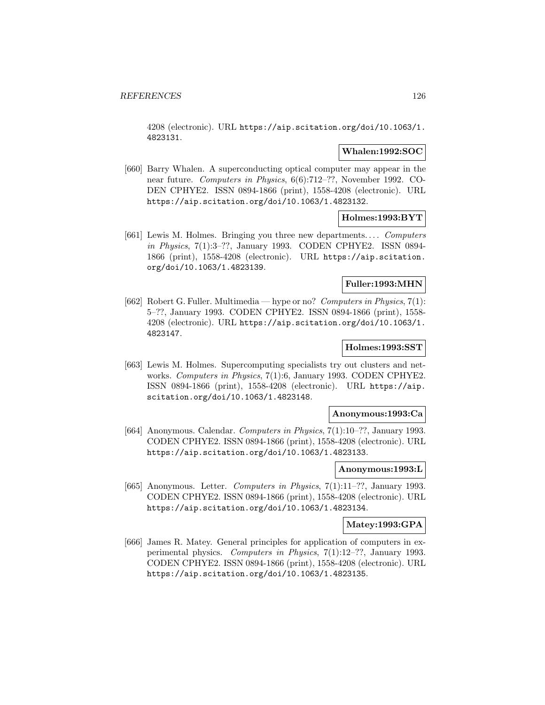4208 (electronic). URL https://aip.scitation.org/doi/10.1063/1. 4823131.

# **Whalen:1992:SOC**

[660] Barry Whalen. A superconducting optical computer may appear in the near future. Computers in Physics, 6(6):712–??, November 1992. CO-DEN CPHYE2. ISSN 0894-1866 (print), 1558-4208 (electronic). URL https://aip.scitation.org/doi/10.1063/1.4823132.

## **Holmes:1993:BYT**

[661] Lewis M. Holmes. Bringing you three new departments.... Computers in Physics, 7(1):3–??, January 1993. CODEN CPHYE2. ISSN 0894- 1866 (print), 1558-4208 (electronic). URL https://aip.scitation. org/doi/10.1063/1.4823139.

# **Fuller:1993:MHN**

[662] Robert G. Fuller. Multimedia — hype or no? Computers in Physics, 7(1): 5–??, January 1993. CODEN CPHYE2. ISSN 0894-1866 (print), 1558- 4208 (electronic). URL https://aip.scitation.org/doi/10.1063/1. 4823147.

## **Holmes:1993:SST**

[663] Lewis M. Holmes. Supercomputing specialists try out clusters and networks. Computers in Physics, 7(1):6, January 1993. CODEN CPHYE2. ISSN 0894-1866 (print), 1558-4208 (electronic). URL https://aip. scitation.org/doi/10.1063/1.4823148.

#### **Anonymous:1993:Ca**

[664] Anonymous. Calendar. Computers in Physics, 7(1):10–??, January 1993. CODEN CPHYE2. ISSN 0894-1866 (print), 1558-4208 (electronic). URL https://aip.scitation.org/doi/10.1063/1.4823133.

# **Anonymous:1993:L**

[665] Anonymous. Letter. Computers in Physics, 7(1):11–??, January 1993. CODEN CPHYE2. ISSN 0894-1866 (print), 1558-4208 (electronic). URL https://aip.scitation.org/doi/10.1063/1.4823134.

#### **Matey:1993:GPA**

[666] James R. Matey. General principles for application of computers in experimental physics. Computers in Physics, 7(1):12–??, January 1993. CODEN CPHYE2. ISSN 0894-1866 (print), 1558-4208 (electronic). URL https://aip.scitation.org/doi/10.1063/1.4823135.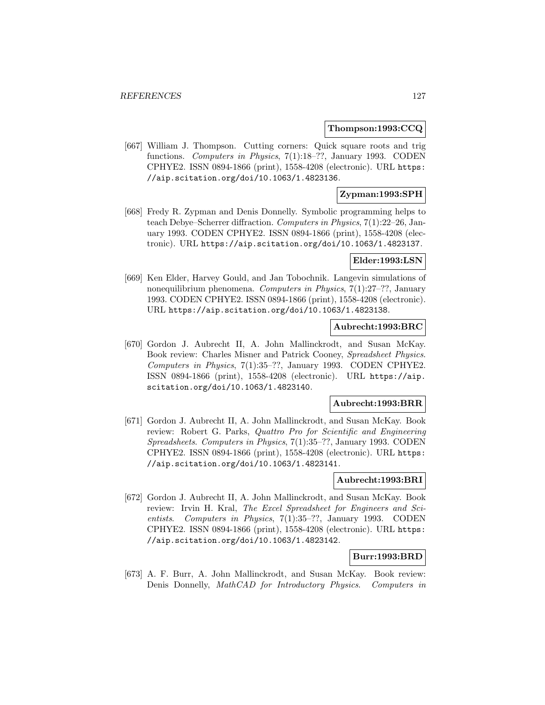### **Thompson:1993:CCQ**

[667] William J. Thompson. Cutting corners: Quick square roots and trig functions. Computers in Physics, 7(1):18–??, January 1993. CODEN CPHYE2. ISSN 0894-1866 (print), 1558-4208 (electronic). URL https: //aip.scitation.org/doi/10.1063/1.4823136.

# **Zypman:1993:SPH**

[668] Fredy R. Zypman and Denis Donnelly. Symbolic programming helps to teach Debye–Scherrer diffraction. Computers in Physics, 7(1):22–26, January 1993. CODEN CPHYE2. ISSN 0894-1866 (print), 1558-4208 (electronic). URL https://aip.scitation.org/doi/10.1063/1.4823137.

### **Elder:1993:LSN**

[669] Ken Elder, Harvey Gould, and Jan Tobochnik. Langevin simulations of nonequilibrium phenomena. Computers in Physics, 7(1):27–??, January 1993. CODEN CPHYE2. ISSN 0894-1866 (print), 1558-4208 (electronic). URL https://aip.scitation.org/doi/10.1063/1.4823138.

## **Aubrecht:1993:BRC**

[670] Gordon J. Aubrecht II, A. John Mallinckrodt, and Susan McKay. Book review: Charles Misner and Patrick Cooney, Spreadsheet Physics. Computers in Physics, 7(1):35–??, January 1993. CODEN CPHYE2. ISSN 0894-1866 (print), 1558-4208 (electronic). URL https://aip. scitation.org/doi/10.1063/1.4823140.

#### **Aubrecht:1993:BRR**

[671] Gordon J. Aubrecht II, A. John Mallinckrodt, and Susan McKay. Book review: Robert G. Parks, Quattro Pro for Scientific and Engineering Spreadsheets. Computers in Physics, 7(1):35–??, January 1993. CODEN CPHYE2. ISSN 0894-1866 (print), 1558-4208 (electronic). URL https: //aip.scitation.org/doi/10.1063/1.4823141.

## **Aubrecht:1993:BRI**

[672] Gordon J. Aubrecht II, A. John Mallinckrodt, and Susan McKay. Book review: Irvin H. Kral, The Excel Spreadsheet for Engineers and Scientists. Computers in Physics, 7(1):35–??, January 1993. CODEN CPHYE2. ISSN 0894-1866 (print), 1558-4208 (electronic). URL https: //aip.scitation.org/doi/10.1063/1.4823142.

#### **Burr:1993:BRD**

[673] A. F. Burr, A. John Mallinckrodt, and Susan McKay. Book review: Denis Donnelly, MathCAD for Introductory Physics. Computers in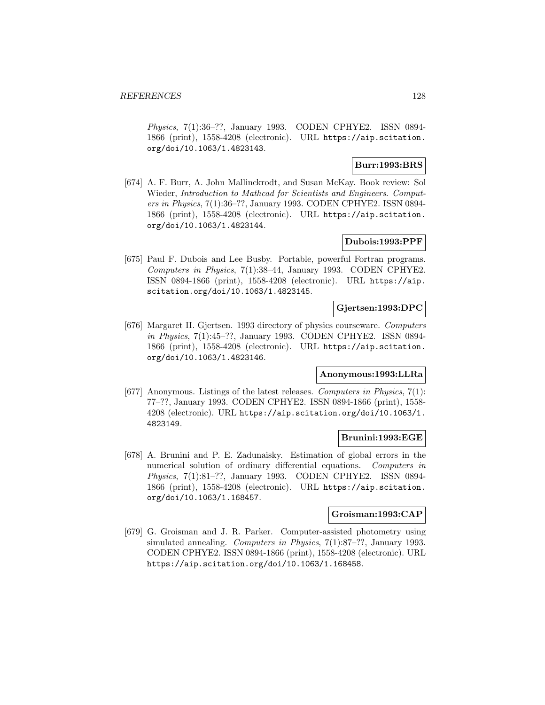Physics, 7(1):36–??, January 1993. CODEN CPHYE2. ISSN 0894- 1866 (print), 1558-4208 (electronic). URL https://aip.scitation. org/doi/10.1063/1.4823143.

## **Burr:1993:BRS**

[674] A. F. Burr, A. John Mallinckrodt, and Susan McKay. Book review: Sol Wieder, Introduction to Mathcad for Scientists and Engineers. Computers in Physics, 7(1):36–??, January 1993. CODEN CPHYE2. ISSN 0894- 1866 (print), 1558-4208 (electronic). URL https://aip.scitation. org/doi/10.1063/1.4823144.

# **Dubois:1993:PPF**

[675] Paul F. Dubois and Lee Busby. Portable, powerful Fortran programs. Computers in Physics, 7(1):38–44, January 1993. CODEN CPHYE2. ISSN 0894-1866 (print), 1558-4208 (electronic). URL https://aip. scitation.org/doi/10.1063/1.4823145.

## **Gjertsen:1993:DPC**

[676] Margaret H. Gjertsen. 1993 directory of physics courseware. Computers in Physics, 7(1):45–??, January 1993. CODEN CPHYE2. ISSN 0894- 1866 (print), 1558-4208 (electronic). URL https://aip.scitation. org/doi/10.1063/1.4823146.

## **Anonymous:1993:LLRa**

[677] Anonymous. Listings of the latest releases. Computers in Physics, 7(1): 77–??, January 1993. CODEN CPHYE2. ISSN 0894-1866 (print), 1558- 4208 (electronic). URL https://aip.scitation.org/doi/10.1063/1. 4823149.

## **Brunini:1993:EGE**

[678] A. Brunini and P. E. Zadunaisky. Estimation of global errors in the numerical solution of ordinary differential equations. Computers in Physics, 7(1):81–??, January 1993. CODEN CPHYE2. ISSN 0894- 1866 (print), 1558-4208 (electronic). URL https://aip.scitation. org/doi/10.1063/1.168457.

# **Groisman:1993:CAP**

[679] G. Groisman and J. R. Parker. Computer-assisted photometry using simulated annealing. Computers in Physics, 7(1):87–??, January 1993. CODEN CPHYE2. ISSN 0894-1866 (print), 1558-4208 (electronic). URL https://aip.scitation.org/doi/10.1063/1.168458.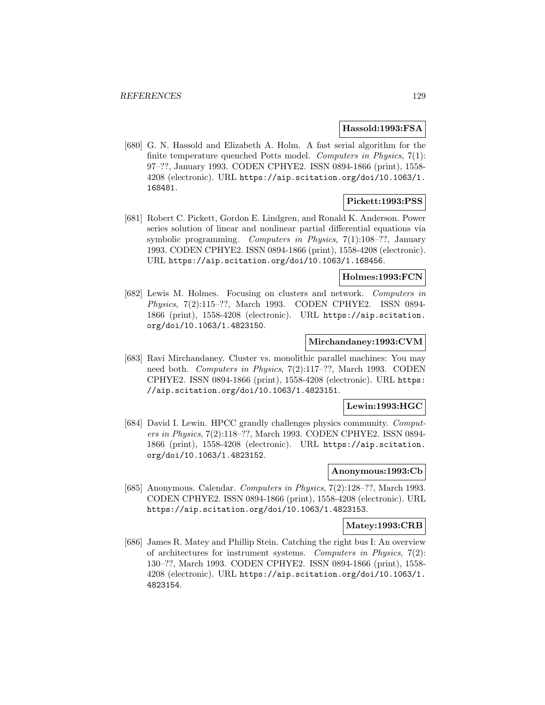#### **Hassold:1993:FSA**

[680] G. N. Hassold and Elizabeth A. Holm. A fast serial algorithm for the finite temperature quenched Potts model. Computers in Physics, 7(1): 97–??, January 1993. CODEN CPHYE2. ISSN 0894-1866 (print), 1558- 4208 (electronic). URL https://aip.scitation.org/doi/10.1063/1. 168481.

## **Pickett:1993:PSS**

[681] Robert C. Pickett, Gordon E. Lindgren, and Ronald K. Anderson. Power series solution of linear and nonlinear partial differential equations via symbolic programming. Computers in Physics, 7(1):108–??, January 1993. CODEN CPHYE2. ISSN 0894-1866 (print), 1558-4208 (electronic). URL https://aip.scitation.org/doi/10.1063/1.168456.

#### **Holmes:1993:FCN**

[682] Lewis M. Holmes. Focusing on clusters and network. Computers in Physics, 7(2):115–??, March 1993. CODEN CPHYE2. ISSN 0894- 1866 (print), 1558-4208 (electronic). URL https://aip.scitation. org/doi/10.1063/1.4823150.

# **Mirchandaney:1993:CVM**

[683] Ravi Mirchandaney. Cluster vs. monolithic parallel machines: You may need both. Computers in Physics, 7(2):117–??, March 1993. CODEN CPHYE2. ISSN 0894-1866 (print), 1558-4208 (electronic). URL https: //aip.scitation.org/doi/10.1063/1.4823151.

### **Lewin:1993:HGC**

[684] David I. Lewin. HPCC grandly challenges physics community. Computers in Physics, 7(2):118–??, March 1993. CODEN CPHYE2. ISSN 0894- 1866 (print), 1558-4208 (electronic). URL https://aip.scitation. org/doi/10.1063/1.4823152.

## **Anonymous:1993:Cb**

[685] Anonymous. Calendar. Computers in Physics, 7(2):128–??, March 1993. CODEN CPHYE2. ISSN 0894-1866 (print), 1558-4208 (electronic). URL https://aip.scitation.org/doi/10.1063/1.4823153.

#### **Matey:1993:CRB**

[686] James R. Matey and Phillip Stein. Catching the right bus I: An overview of architectures for instrument systems. Computers in Physics, 7(2): 130–??, March 1993. CODEN CPHYE2. ISSN 0894-1866 (print), 1558- 4208 (electronic). URL https://aip.scitation.org/doi/10.1063/1. 4823154.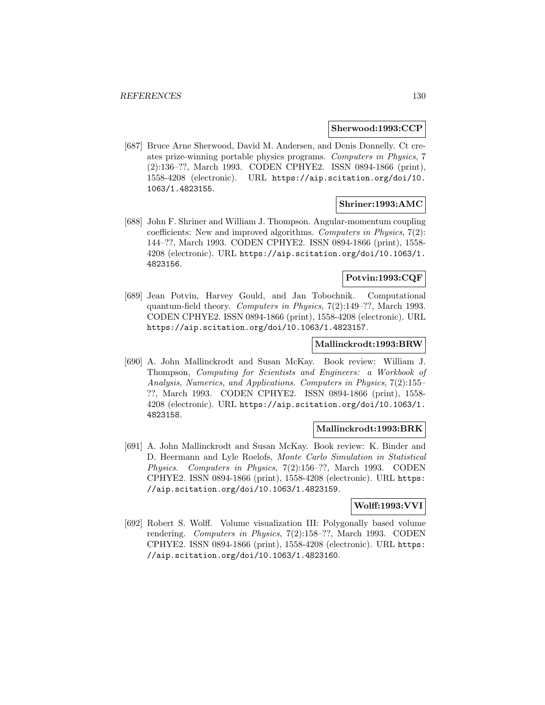#### **Sherwood:1993:CCP**

[687] Bruce Arne Sherwood, David M. Andersen, and Denis Donnelly. Ct creates prize-winning portable physics programs. Computers in Physics, 7 (2):136–??, March 1993. CODEN CPHYE2. ISSN 0894-1866 (print), 1558-4208 (electronic). URL https://aip.scitation.org/doi/10. 1063/1.4823155.

# **Shriner:1993:AMC**

[688] John F. Shriner and William J. Thompson. Angular-momentum coupling coefficients: New and improved algorithms. Computers in Physics,  $7(2)$ : 144–??, March 1993. CODEN CPHYE2. ISSN 0894-1866 (print), 1558- 4208 (electronic). URL https://aip.scitation.org/doi/10.1063/1. 4823156.

# **Potvin:1993:CQF**

[689] Jean Potvin, Harvey Gould, and Jan Tobochnik. Computational quantum-field theory. Computers in Physics, 7(2):149–??, March 1993. CODEN CPHYE2. ISSN 0894-1866 (print), 1558-4208 (electronic). URL https://aip.scitation.org/doi/10.1063/1.4823157.

#### **Mallinckrodt:1993:BRW**

[690] A. John Mallinckrodt and Susan McKay. Book review: William J. Thompson, Computing for Scientists and Engineers: a Workbook of Analysis, Numerics, and Applications. Computers in Physics, 7(2):155– ??, March 1993. CODEN CPHYE2. ISSN 0894-1866 (print), 1558- 4208 (electronic). URL https://aip.scitation.org/doi/10.1063/1. 4823158.

# **Mallinckrodt:1993:BRK**

[691] A. John Mallinckrodt and Susan McKay. Book review: K. Binder and D. Heermann and Lyle Roelofs, Monte Carlo Simulation in Statistical Physics. Computers in Physics, 7(2):156–??, March 1993. CODEN CPHYE2. ISSN 0894-1866 (print), 1558-4208 (electronic). URL https: //aip.scitation.org/doi/10.1063/1.4823159.

## **Wolff:1993:VVI**

[692] Robert S. Wolff. Volume visualization III: Polygonally based volume rendering. Computers in Physics, 7(2):158–??, March 1993. CODEN CPHYE2. ISSN 0894-1866 (print), 1558-4208 (electronic). URL https: //aip.scitation.org/doi/10.1063/1.4823160.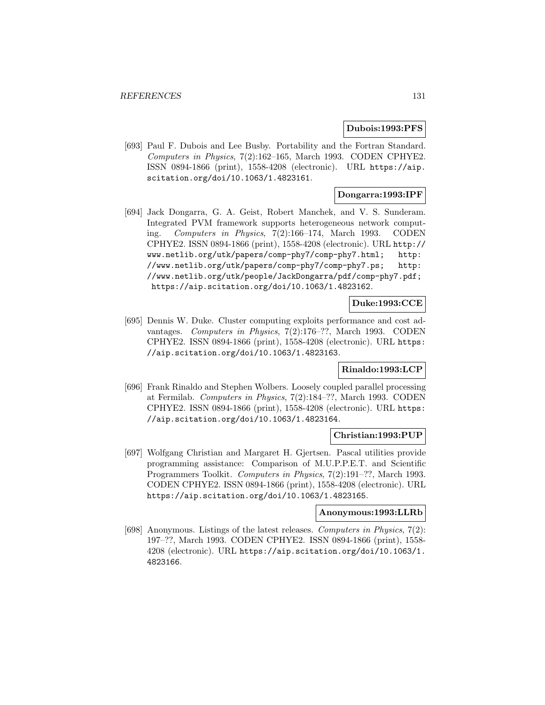#### **Dubois:1993:PFS**

[693] Paul F. Dubois and Lee Busby. Portability and the Fortran Standard. Computers in Physics, 7(2):162–165, March 1993. CODEN CPHYE2. ISSN 0894-1866 (print), 1558-4208 (electronic). URL https://aip. scitation.org/doi/10.1063/1.4823161.

# **Dongarra:1993:IPF**

[694] Jack Dongarra, G. A. Geist, Robert Manchek, and V. S. Sunderam. Integrated PVM framework supports heterogeneous network computing. Computers in Physics, 7(2):166–174, March 1993. CODEN CPHYE2. ISSN 0894-1866 (print), 1558-4208 (electronic). URL http:// www.netlib.org/utk/papers/comp-phy7/comp-phy7.html; http: //www.netlib.org/utk/papers/comp-phy7/comp-phy7.ps; http: //www.netlib.org/utk/people/JackDongarra/pdf/comp-phy7.pdf; https://aip.scitation.org/doi/10.1063/1.4823162.

## **Duke:1993:CCE**

[695] Dennis W. Duke. Cluster computing exploits performance and cost advantages. Computers in Physics, 7(2):176–??, March 1993. CODEN CPHYE2. ISSN 0894-1866 (print), 1558-4208 (electronic). URL https: //aip.scitation.org/doi/10.1063/1.4823163.

# **Rinaldo:1993:LCP**

[696] Frank Rinaldo and Stephen Wolbers. Loosely coupled parallel processing at Fermilab. Computers in Physics, 7(2):184–??, March 1993. CODEN CPHYE2. ISSN 0894-1866 (print), 1558-4208 (electronic). URL https: //aip.scitation.org/doi/10.1063/1.4823164.

#### **Christian:1993:PUP**

[697] Wolfgang Christian and Margaret H. Gjertsen. Pascal utilities provide programming assistance: Comparison of M.U.P.P.E.T. and Scientific Programmers Toolkit. Computers in Physics, 7(2):191–??, March 1993. CODEN CPHYE2. ISSN 0894-1866 (print), 1558-4208 (electronic). URL https://aip.scitation.org/doi/10.1063/1.4823165.

## **Anonymous:1993:LLRb**

[698] Anonymous. Listings of the latest releases. Computers in Physics, 7(2): 197–??, March 1993. CODEN CPHYE2. ISSN 0894-1866 (print), 1558- 4208 (electronic). URL https://aip.scitation.org/doi/10.1063/1. 4823166.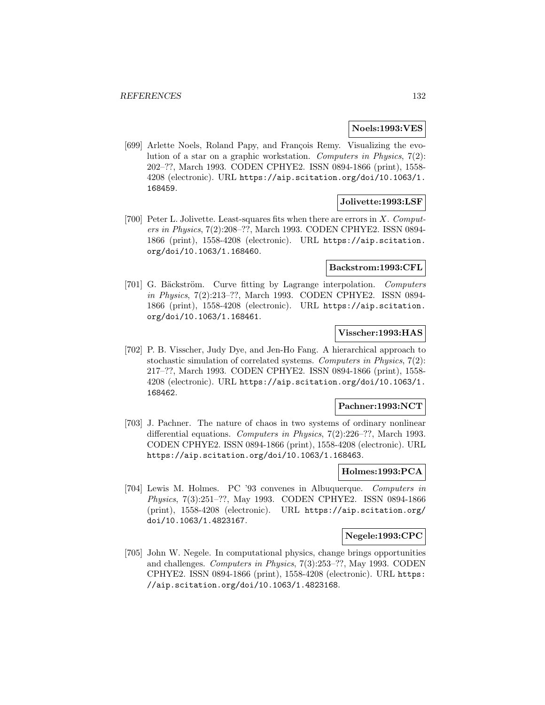### **Noels:1993:VES**

[699] Arlette Noels, Roland Papy, and François Remy. Visualizing the evolution of a star on a graphic workstation. Computers in Physics, 7(2): 202–??, March 1993. CODEN CPHYE2. ISSN 0894-1866 (print), 1558- 4208 (electronic). URL https://aip.scitation.org/doi/10.1063/1. 168459.

## **Jolivette:1993:LSF**

[700] Peter L. Jolivette. Least-squares fits when there are errors in  $X$ . Computers in Physics, 7(2):208–??, March 1993. CODEN CPHYE2. ISSN 0894- 1866 (print), 1558-4208 (electronic). URL https://aip.scitation. org/doi/10.1063/1.168460.

## **Backstrom:1993:CFL**

[701] G. Bäckström. Curve fitting by Lagrange interpolation. Computers in Physics, 7(2):213–??, March 1993. CODEN CPHYE2. ISSN 0894- 1866 (print), 1558-4208 (electronic). URL https://aip.scitation. org/doi/10.1063/1.168461.

## **Visscher:1993:HAS**

[702] P. B. Visscher, Judy Dye, and Jen-Ho Fang. A hierarchical approach to stochastic simulation of correlated systems. Computers in Physics, 7(2): 217–??, March 1993. CODEN CPHYE2. ISSN 0894-1866 (print), 1558- 4208 (electronic). URL https://aip.scitation.org/doi/10.1063/1. 168462.

## **Pachner:1993:NCT**

[703] J. Pachner. The nature of chaos in two systems of ordinary nonlinear differential equations. Computers in Physics, 7(2):226–??, March 1993. CODEN CPHYE2. ISSN 0894-1866 (print), 1558-4208 (electronic). URL https://aip.scitation.org/doi/10.1063/1.168463.

#### **Holmes:1993:PCA**

[704] Lewis M. Holmes. PC '93 convenes in Albuquerque. Computers in Physics, 7(3):251–??, May 1993. CODEN CPHYE2. ISSN 0894-1866 (print), 1558-4208 (electronic). URL https://aip.scitation.org/ doi/10.1063/1.4823167.

### **Negele:1993:CPC**

[705] John W. Negele. In computational physics, change brings opportunities and challenges. Computers in Physics, 7(3):253–??, May 1993. CODEN CPHYE2. ISSN 0894-1866 (print), 1558-4208 (electronic). URL https: //aip.scitation.org/doi/10.1063/1.4823168.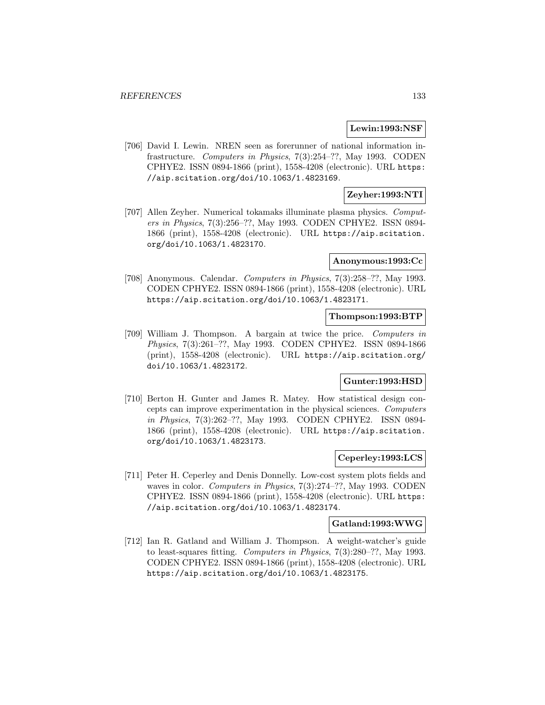### **Lewin:1993:NSF**

[706] David I. Lewin. NREN seen as forerunner of national information infrastructure. Computers in Physics, 7(3):254–??, May 1993. CODEN CPHYE2. ISSN 0894-1866 (print), 1558-4208 (electronic). URL https: //aip.scitation.org/doi/10.1063/1.4823169.

# **Zeyher:1993:NTI**

[707] Allen Zeyher. Numerical tokamaks illuminate plasma physics. Computers in Physics, 7(3):256–??, May 1993. CODEN CPHYE2. ISSN 0894- 1866 (print), 1558-4208 (electronic). URL https://aip.scitation. org/doi/10.1063/1.4823170.

#### **Anonymous:1993:Cc**

[708] Anonymous. Calendar. Computers in Physics, 7(3):258–??, May 1993. CODEN CPHYE2. ISSN 0894-1866 (print), 1558-4208 (electronic). URL https://aip.scitation.org/doi/10.1063/1.4823171.

#### **Thompson:1993:BTP**

[709] William J. Thompson. A bargain at twice the price. Computers in Physics, 7(3):261–??, May 1993. CODEN CPHYE2. ISSN 0894-1866 (print), 1558-4208 (electronic). URL https://aip.scitation.org/ doi/10.1063/1.4823172.

# **Gunter:1993:HSD**

[710] Berton H. Gunter and James R. Matey. How statistical design concepts can improve experimentation in the physical sciences. Computers in Physics, 7(3):262–??, May 1993. CODEN CPHYE2. ISSN 0894- 1866 (print), 1558-4208 (electronic). URL https://aip.scitation. org/doi/10.1063/1.4823173.

# **Ceperley:1993:LCS**

[711] Peter H. Ceperley and Denis Donnelly. Low-cost system plots fields and waves in color. Computers in Physics, 7(3):274–??, May 1993. CODEN CPHYE2. ISSN 0894-1866 (print), 1558-4208 (electronic). URL https: //aip.scitation.org/doi/10.1063/1.4823174.

#### **Gatland:1993:WWG**

[712] Ian R. Gatland and William J. Thompson. A weight-watcher's guide to least-squares fitting. Computers in Physics, 7(3):280–??, May 1993. CODEN CPHYE2. ISSN 0894-1866 (print), 1558-4208 (electronic). URL https://aip.scitation.org/doi/10.1063/1.4823175.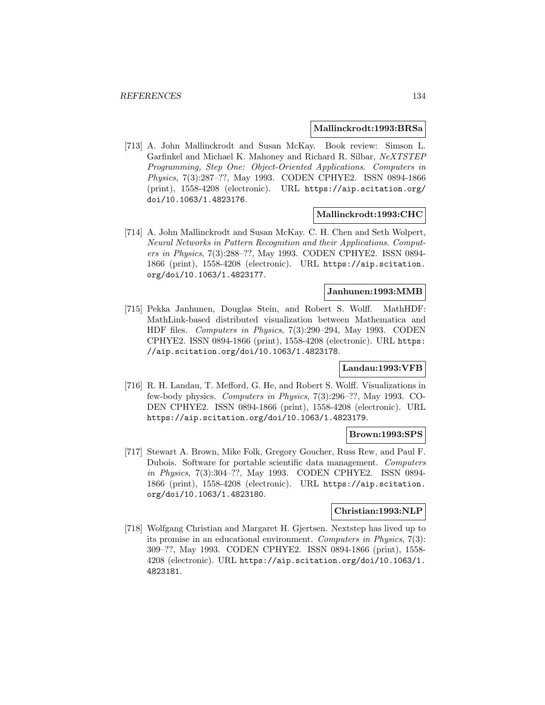#### **Mallinckrodt:1993:BRSa**

[713] A. John Mallinckrodt and Susan McKay. Book review: Simson L. Garfinkel and Michael K. Mahoney and Richard R. Silbar, NeXTSTEP Programming, Step One: Object-Oriented Applications. Computers in Physics, 7(3):287–??, May 1993. CODEN CPHYE2. ISSN 0894-1866 (print), 1558-4208 (electronic). URL https://aip.scitation.org/ doi/10.1063/1.4823176.

#### **Mallinckrodt:1993:CHC**

[714] A. John Mallinckrodt and Susan McKay. C. H. Chen and Seth Wolpert, Neural Networks in Pattern Recognition and their Applications. Computers in Physics, 7(3):288–??, May 1993. CODEN CPHYE2. ISSN 0894- 1866 (print), 1558-4208 (electronic). URL https://aip.scitation. org/doi/10.1063/1.4823177.

## **Janhunen:1993:MMB**

[715] Pekka Janhunen, Douglas Stein, and Robert S. Wolff. MathHDF: MathLink-based distributed visualization between Mathematica and HDF files. Computers in Physics, 7(3):290–294, May 1993. CODEN CPHYE2. ISSN 0894-1866 (print), 1558-4208 (electronic). URL https: //aip.scitation.org/doi/10.1063/1.4823178.

# **Landau:1993:VFB**

[716] R. H. Landau, T. Mefford, G. He, and Robert S. Wolff. Visualizations in few-body physics. Computers in Physics, 7(3):296–??, May 1993. CO-DEN CPHYE2. ISSN 0894-1866 (print), 1558-4208 (electronic). URL https://aip.scitation.org/doi/10.1063/1.4823179.

## **Brown:1993:SPS**

[717] Stewart A. Brown, Mike Folk, Gregory Goucher, Russ Rew, and Paul F. Dubois. Software for portable scientific data management. Computers in Physics, 7(3):304–??, May 1993. CODEN CPHYE2. ISSN 0894- 1866 (print), 1558-4208 (electronic). URL https://aip.scitation. org/doi/10.1063/1.4823180.

## **Christian:1993:NLP**

[718] Wolfgang Christian and Margaret H. Gjertsen. Nextstep has lived up to its promise in an educational environment. Computers in Physics, 7(3): 309–??, May 1993. CODEN CPHYE2. ISSN 0894-1866 (print), 1558- 4208 (electronic). URL https://aip.scitation.org/doi/10.1063/1. 4823181.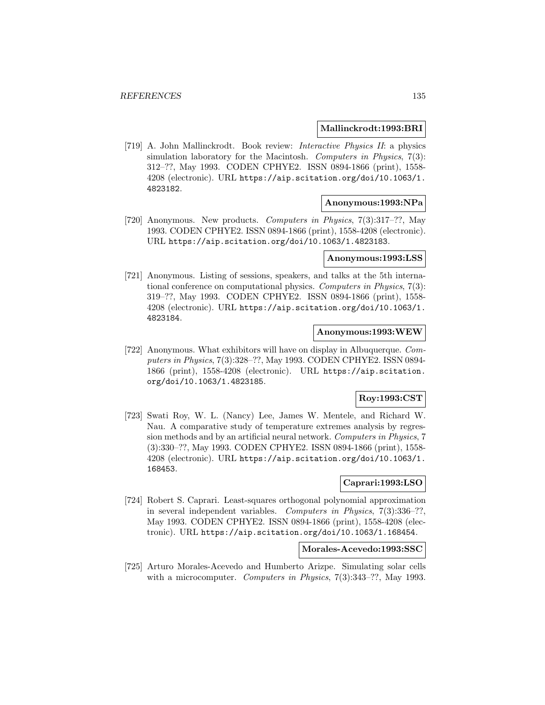#### **Mallinckrodt:1993:BRI**

[719] A. John Mallinckrodt. Book review: Interactive Physics II: a physics simulation laboratory for the Macintosh. Computers in Physics, 7(3): 312–??, May 1993. CODEN CPHYE2. ISSN 0894-1866 (print), 1558- 4208 (electronic). URL https://aip.scitation.org/doi/10.1063/1. 4823182.

### **Anonymous:1993:NPa**

[720] Anonymous. New products. Computers in Physics, 7(3):317–??, May 1993. CODEN CPHYE2. ISSN 0894-1866 (print), 1558-4208 (electronic). URL https://aip.scitation.org/doi/10.1063/1.4823183.

#### **Anonymous:1993:LSS**

[721] Anonymous. Listing of sessions, speakers, and talks at the 5th international conference on computational physics. Computers in Physics, 7(3): 319–??, May 1993. CODEN CPHYE2. ISSN 0894-1866 (print), 1558- 4208 (electronic). URL https://aip.scitation.org/doi/10.1063/1. 4823184.

### **Anonymous:1993:WEW**

[722] Anonymous. What exhibitors will have on display in Albuquerque. Computers in Physics, 7(3):328–??, May 1993. CODEN CPHYE2. ISSN 0894- 1866 (print), 1558-4208 (electronic). URL https://aip.scitation. org/doi/10.1063/1.4823185.

# **Roy:1993:CST**

[723] Swati Roy, W. L. (Nancy) Lee, James W. Mentele, and Richard W. Nau. A comparative study of temperature extremes analysis by regression methods and by an artificial neural network. Computers in Physics, 7 (3):330–??, May 1993. CODEN CPHYE2. ISSN 0894-1866 (print), 1558- 4208 (electronic). URL https://aip.scitation.org/doi/10.1063/1. 168453.

# **Caprari:1993:LSO**

[724] Robert S. Caprari. Least-squares orthogonal polynomial approximation in several independent variables. Computers in Physics, 7(3):336–??, May 1993. CODEN CPHYE2. ISSN 0894-1866 (print), 1558-4208 (electronic). URL https://aip.scitation.org/doi/10.1063/1.168454.

### **Morales-Acevedo:1993:SSC**

[725] Arturo Morales-Acevedo and Humberto Arizpe. Simulating solar cells with a microcomputer. Computers in Physics, 7(3):343-??, May 1993.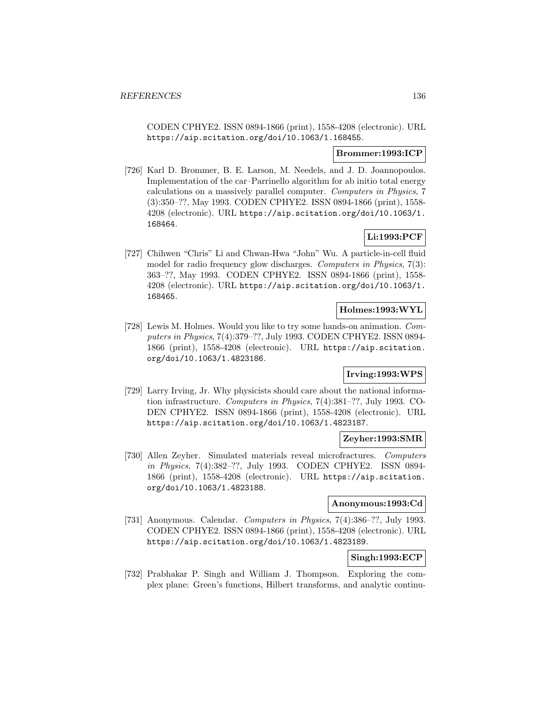CODEN CPHYE2. ISSN 0894-1866 (print), 1558-4208 (electronic). URL https://aip.scitation.org/doi/10.1063/1.168455.

## **Brommer:1993:ICP**

[726] Karl D. Brommer, B. E. Larson, M. Needels, and J. D. Joannopoulos. Implementation of the car–Parrinello algorithm for ab initio total energy calculations on a massively parallel computer. Computers in Physics, 7 (3):350–??, May 1993. CODEN CPHYE2. ISSN 0894-1866 (print), 1558- 4208 (electronic). URL https://aip.scitation.org/doi/10.1063/1. 168464.

# **Li:1993:PCF**

[727] Chihwen "Chris" Li and Chwan-Hwa "John" Wu. A particle-in-cell fluid model for radio frequency glow discharges. Computers in Physics, 7(3): 363–??, May 1993. CODEN CPHYE2. ISSN 0894-1866 (print), 1558- 4208 (electronic). URL https://aip.scitation.org/doi/10.1063/1. 168465.

## **Holmes:1993:WYL**

[728] Lewis M. Holmes. Would you like to try some hands-on animation. Computers in Physics, 7(4):379–??, July 1993. CODEN CPHYE2. ISSN 0894- 1866 (print), 1558-4208 (electronic). URL https://aip.scitation. org/doi/10.1063/1.4823186.

# **Irving:1993:WPS**

[729] Larry Irving, Jr. Why physicists should care about the national information infrastructure. Computers in Physics, 7(4):381–??, July 1993. CO-DEN CPHYE2. ISSN 0894-1866 (print), 1558-4208 (electronic). URL https://aip.scitation.org/doi/10.1063/1.4823187.

## **Zeyher:1993:SMR**

[730] Allen Zeyher. Simulated materials reveal microfractures. Computers in Physics, 7(4):382–??, July 1993. CODEN CPHYE2. ISSN 0894- 1866 (print), 1558-4208 (electronic). URL https://aip.scitation. org/doi/10.1063/1.4823188.

# **Anonymous:1993:Cd**

[731] Anonymous. Calendar. Computers in Physics, 7(4):386–??, July 1993. CODEN CPHYE2. ISSN 0894-1866 (print), 1558-4208 (electronic). URL https://aip.scitation.org/doi/10.1063/1.4823189.

# **Singh:1993:ECP**

[732] Prabhakar P. Singh and William J. Thompson. Exploring the complex plane: Green's functions, Hilbert transforms, and analytic continu-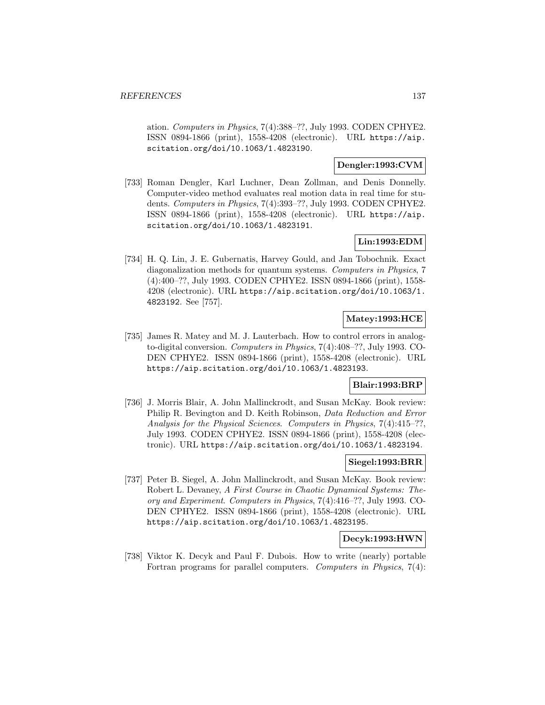ation. Computers in Physics, 7(4):388–??, July 1993. CODEN CPHYE2. ISSN 0894-1866 (print), 1558-4208 (electronic). URL https://aip. scitation.org/doi/10.1063/1.4823190.

# **Dengler:1993:CVM**

[733] Roman Dengler, Karl Luchner, Dean Zollman, and Denis Donnelly. Computer-video method evaluates real motion data in real time for students. Computers in Physics, 7(4):393–??, July 1993. CODEN CPHYE2. ISSN 0894-1866 (print), 1558-4208 (electronic). URL https://aip. scitation.org/doi/10.1063/1.4823191.

# **Lin:1993:EDM**

[734] H. Q. Lin, J. E. Gubernatis, Harvey Gould, and Jan Tobochnik. Exact diagonalization methods for quantum systems. Computers in Physics, 7 (4):400–??, July 1993. CODEN CPHYE2. ISSN 0894-1866 (print), 1558- 4208 (electronic). URL https://aip.scitation.org/doi/10.1063/1. 4823192. See [757].

# **Matey:1993:HCE**

[735] James R. Matey and M. J. Lauterbach. How to control errors in analogto-digital conversion. Computers in Physics, 7(4):408–??, July 1993. CO-DEN CPHYE2. ISSN 0894-1866 (print), 1558-4208 (electronic). URL https://aip.scitation.org/doi/10.1063/1.4823193.

# **Blair:1993:BRP**

[736] J. Morris Blair, A. John Mallinckrodt, and Susan McKay. Book review: Philip R. Bevington and D. Keith Robinson, Data Reduction and Error Analysis for the Physical Sciences. Computers in Physics, 7(4):415–??, July 1993. CODEN CPHYE2. ISSN 0894-1866 (print), 1558-4208 (electronic). URL https://aip.scitation.org/doi/10.1063/1.4823194.

## **Siegel:1993:BRR**

[737] Peter B. Siegel, A. John Mallinckrodt, and Susan McKay. Book review: Robert L. Devaney, A First Course in Chaotic Dynamical Systems: Theory and Experiment. Computers in Physics, 7(4):416–??, July 1993. CO-DEN CPHYE2. ISSN 0894-1866 (print), 1558-4208 (electronic). URL https://aip.scitation.org/doi/10.1063/1.4823195.

# **Decyk:1993:HWN**

[738] Viktor K. Decyk and Paul F. Dubois. How to write (nearly) portable Fortran programs for parallel computers. Computers in Physics, 7(4):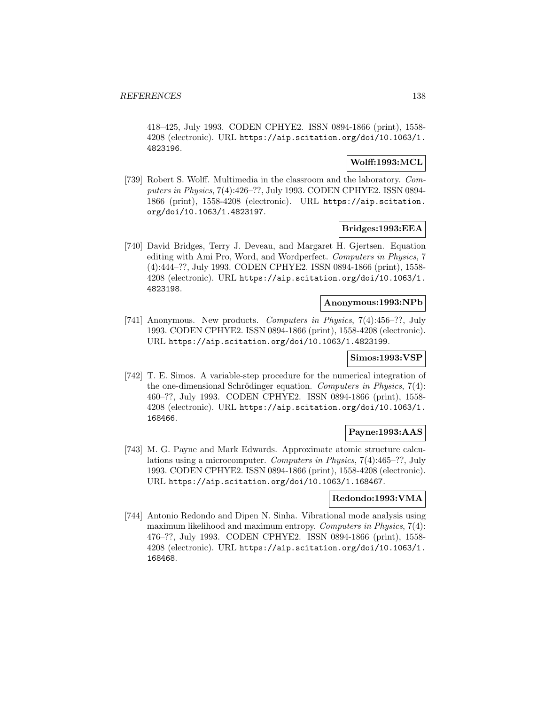418–425, July 1993. CODEN CPHYE2. ISSN 0894-1866 (print), 1558- 4208 (electronic). URL https://aip.scitation.org/doi/10.1063/1. 4823196.

# **Wolff:1993:MCL**

[739] Robert S. Wolff. Multimedia in the classroom and the laboratory. Computers in Physics, 7(4):426–??, July 1993. CODEN CPHYE2. ISSN 0894- 1866 (print), 1558-4208 (electronic). URL https://aip.scitation. org/doi/10.1063/1.4823197.

## **Bridges:1993:EEA**

[740] David Bridges, Terry J. Deveau, and Margaret H. Gjertsen. Equation editing with Ami Pro, Word, and Wordperfect. Computers in Physics, 7 (4):444–??, July 1993. CODEN CPHYE2. ISSN 0894-1866 (print), 1558- 4208 (electronic). URL https://aip.scitation.org/doi/10.1063/1. 4823198.

#### **Anonymous:1993:NPb**

[741] Anonymous. New products. Computers in Physics, 7(4):456–??, July 1993. CODEN CPHYE2. ISSN 0894-1866 (print), 1558-4208 (electronic). URL https://aip.scitation.org/doi/10.1063/1.4823199.

#### **Simos:1993:VSP**

[742] T. E. Simos. A variable-step procedure for the numerical integration of the one-dimensional Schrödinger equation. Computers in Physics,  $7(4)$ : 460–??, July 1993. CODEN CPHYE2. ISSN 0894-1866 (print), 1558- 4208 (electronic). URL https://aip.scitation.org/doi/10.1063/1. 168466.

## **Payne:1993:AAS**

[743] M. G. Payne and Mark Edwards. Approximate atomic structure calculations using a microcomputer. Computers in Physics, 7(4):465–??, July 1993. CODEN CPHYE2. ISSN 0894-1866 (print), 1558-4208 (electronic). URL https://aip.scitation.org/doi/10.1063/1.168467.

# **Redondo:1993:VMA**

[744] Antonio Redondo and Dipen N. Sinha. Vibrational mode analysis using maximum likelihood and maximum entropy. Computers in Physics, 7(4): 476–??, July 1993. CODEN CPHYE2. ISSN 0894-1866 (print), 1558- 4208 (electronic). URL https://aip.scitation.org/doi/10.1063/1. 168468.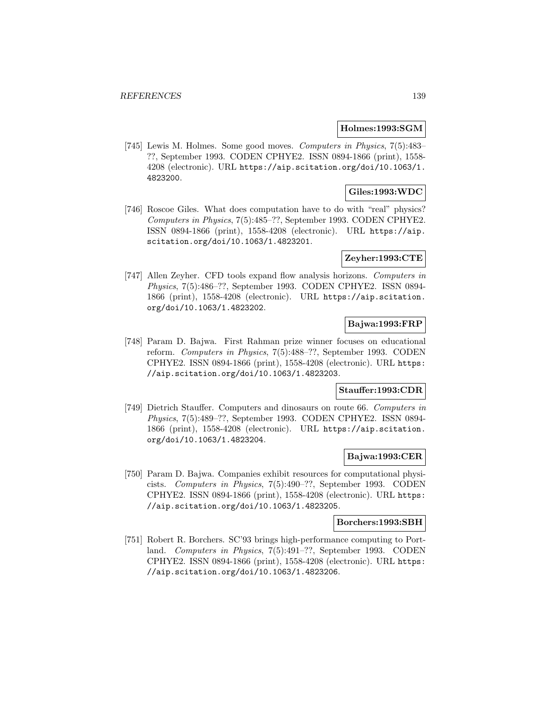### **Holmes:1993:SGM**

[745] Lewis M. Holmes. Some good moves. Computers in Physics, 7(5):483– ??, September 1993. CODEN CPHYE2. ISSN 0894-1866 (print), 1558- 4208 (electronic). URL https://aip.scitation.org/doi/10.1063/1. 4823200.

# **Giles:1993:WDC**

[746] Roscoe Giles. What does computation have to do with "real" physics? Computers in Physics, 7(5):485–??, September 1993. CODEN CPHYE2. ISSN 0894-1866 (print), 1558-4208 (electronic). URL https://aip. scitation.org/doi/10.1063/1.4823201.

# **Zeyher:1993:CTE**

[747] Allen Zeyher. CFD tools expand flow analysis horizons. Computers in Physics, 7(5):486–??, September 1993. CODEN CPHYE2. ISSN 0894- 1866 (print), 1558-4208 (electronic). URL https://aip.scitation. org/doi/10.1063/1.4823202.

# **Bajwa:1993:FRP**

[748] Param D. Bajwa. First Rahman prize winner focuses on educational reform. Computers in Physics, 7(5):488–??, September 1993. CODEN CPHYE2. ISSN 0894-1866 (print), 1558-4208 (electronic). URL https: //aip.scitation.org/doi/10.1063/1.4823203.

# **Stauffer:1993:CDR**

[749] Dietrich Stauffer. Computers and dinosaurs on route 66. Computers in Physics, 7(5):489–??, September 1993. CODEN CPHYE2. ISSN 0894- 1866 (print), 1558-4208 (electronic). URL https://aip.scitation. org/doi/10.1063/1.4823204.

# **Bajwa:1993:CER**

[750] Param D. Bajwa. Companies exhibit resources for computational physicists. Computers in Physics, 7(5):490–??, September 1993. CODEN CPHYE2. ISSN 0894-1866 (print), 1558-4208 (electronic). URL https: //aip.scitation.org/doi/10.1063/1.4823205.

# **Borchers:1993:SBH**

[751] Robert R. Borchers. SC'93 brings high-performance computing to Portland. Computers in Physics, 7(5):491–??, September 1993. CODEN CPHYE2. ISSN 0894-1866 (print), 1558-4208 (electronic). URL https: //aip.scitation.org/doi/10.1063/1.4823206.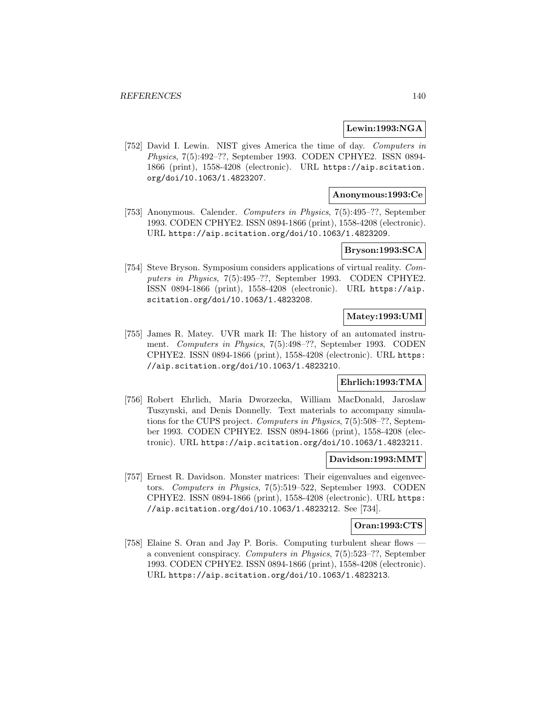#### **Lewin:1993:NGA**

[752] David I. Lewin. NIST gives America the time of day. Computers in Physics, 7(5):492–??, September 1993. CODEN CPHYE2. ISSN 0894- 1866 (print), 1558-4208 (electronic). URL https://aip.scitation. org/doi/10.1063/1.4823207.

# **Anonymous:1993:Ce**

[753] Anonymous. Calender. Computers in Physics, 7(5):495–??, September 1993. CODEN CPHYE2. ISSN 0894-1866 (print), 1558-4208 (electronic). URL https://aip.scitation.org/doi/10.1063/1.4823209.

# **Bryson:1993:SCA**

[754] Steve Bryson. Symposium considers applications of virtual reality. Computers in Physics, 7(5):495–??, September 1993. CODEN CPHYE2. ISSN 0894-1866 (print), 1558-4208 (electronic). URL https://aip. scitation.org/doi/10.1063/1.4823208.

# **Matey:1993:UMI**

[755] James R. Matey. UVR mark II: The history of an automated instrument. Computers in Physics, 7(5):498–??, September 1993. CODEN CPHYE2. ISSN 0894-1866 (print), 1558-4208 (electronic). URL https: //aip.scitation.org/doi/10.1063/1.4823210.

## **Ehrlich:1993:TMA**

[756] Robert Ehrlich, Maria Dworzecka, William MacDonald, Jaroslaw Tuszynski, and Denis Donnelly. Text materials to accompany simulations for the CUPS project. Computers in Physics, 7(5):508–??, September 1993. CODEN CPHYE2. ISSN 0894-1866 (print), 1558-4208 (electronic). URL https://aip.scitation.org/doi/10.1063/1.4823211.

### **Davidson:1993:MMT**

[757] Ernest R. Davidson. Monster matrices: Their eigenvalues and eigenvectors. Computers in Physics, 7(5):519–522, September 1993. CODEN CPHYE2. ISSN 0894-1866 (print), 1558-4208 (electronic). URL https: //aip.scitation.org/doi/10.1063/1.4823212. See [734].

#### **Oran:1993:CTS**

[758] Elaine S. Oran and Jay P. Boris. Computing turbulent shear flows a convenient conspiracy. Computers in Physics, 7(5):523–??, September 1993. CODEN CPHYE2. ISSN 0894-1866 (print), 1558-4208 (electronic). URL https://aip.scitation.org/doi/10.1063/1.4823213.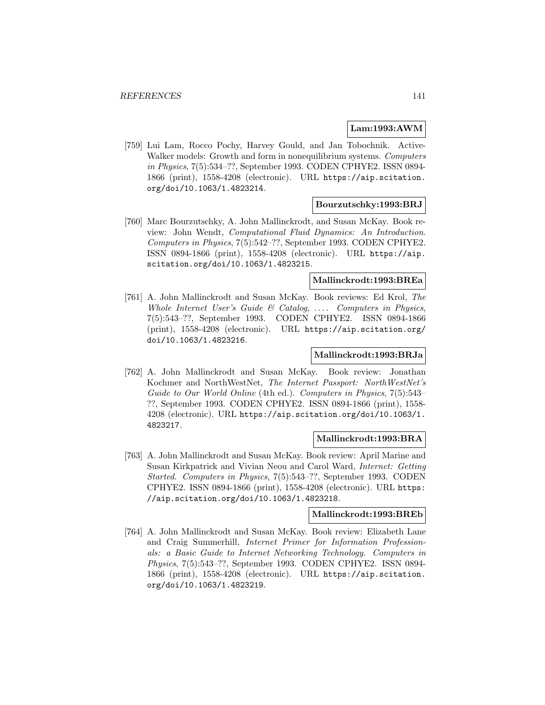## **Lam:1993:AWM**

[759] Lui Lam, Rocco Pochy, Harvey Gould, and Jan Tobochnik. Active-Walker models: Growth and form in nonequilibrium systems. Computers in Physics, 7(5):534–??, September 1993. CODEN CPHYE2. ISSN 0894- 1866 (print), 1558-4208 (electronic). URL https://aip.scitation. org/doi/10.1063/1.4823214.

## **Bourzutschky:1993:BRJ**

[760] Marc Bourzutschky, A. John Mallinckrodt, and Susan McKay. Book review: John Wendt, Computational Fluid Dynamics: An Introduction. Computers in Physics, 7(5):542–??, September 1993. CODEN CPHYE2. ISSN 0894-1866 (print), 1558-4208 (electronic). URL https://aip. scitation.org/doi/10.1063/1.4823215.

# **Mallinckrodt:1993:BREa**

[761] A. John Mallinckrodt and Susan McKay. Book reviews: Ed Krol, The Whole Internet User's Guide  $\mathcal C$  Catalog, .... Computers in Physics, 7(5):543–??, September 1993. CODEN CPHYE2. ISSN 0894-1866 (print), 1558-4208 (electronic). URL https://aip.scitation.org/ doi/10.1063/1.4823216.

# **Mallinckrodt:1993:BRJa**

[762] A. John Mallinckrodt and Susan McKay. Book review: Jonathan Kochmer and NorthWestNet, The Internet Passport: NorthWestNet's Guide to Our World Online (4th ed.). Computers in Physics, 7(5):543– ??, September 1993. CODEN CPHYE2. ISSN 0894-1866 (print), 1558- 4208 (electronic). URL https://aip.scitation.org/doi/10.1063/1. 4823217.

# **Mallinckrodt:1993:BRA**

[763] A. John Mallinckrodt and Susan McKay. Book review: April Marine and Susan Kirkpatrick and Vivian Neou and Carol Ward, Internet: Getting Started. Computers in Physics, 7(5):543–??, September 1993. CODEN CPHYE2. ISSN 0894-1866 (print), 1558-4208 (electronic). URL https: //aip.scitation.org/doi/10.1063/1.4823218.

# **Mallinckrodt:1993:BREb**

[764] A. John Mallinckrodt and Susan McKay. Book review: Elizabeth Lane and Craig Summerhill, Internet Primer for Information Professionals: a Basic Guide to Internet Networking Technology. Computers in Physics, 7(5):543–??, September 1993. CODEN CPHYE2. ISSN 0894- 1866 (print), 1558-4208 (electronic). URL https://aip.scitation. org/doi/10.1063/1.4823219.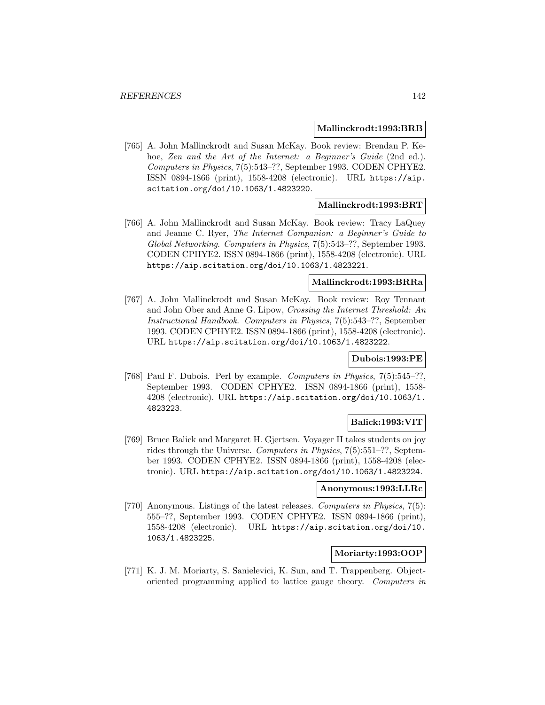#### **Mallinckrodt:1993:BRB**

[765] A. John Mallinckrodt and Susan McKay. Book review: Brendan P. Kehoe, Zen and the Art of the Internet: a Beginner's Guide (2nd ed.). Computers in Physics, 7(5):543–??, September 1993. CODEN CPHYE2. ISSN 0894-1866 (print), 1558-4208 (electronic). URL https://aip. scitation.org/doi/10.1063/1.4823220.

# **Mallinckrodt:1993:BRT**

[766] A. John Mallinckrodt and Susan McKay. Book review: Tracy LaQuey and Jeanne C. Ryer, The Internet Companion: a Beginner's Guide to Global Networking. Computers in Physics, 7(5):543–??, September 1993. CODEN CPHYE2. ISSN 0894-1866 (print), 1558-4208 (electronic). URL https://aip.scitation.org/doi/10.1063/1.4823221.

# **Mallinckrodt:1993:BRRa**

[767] A. John Mallinckrodt and Susan McKay. Book review: Roy Tennant and John Ober and Anne G. Lipow, Crossing the Internet Threshold: An Instructional Handbook. Computers in Physics, 7(5):543–??, September 1993. CODEN CPHYE2. ISSN 0894-1866 (print), 1558-4208 (electronic). URL https://aip.scitation.org/doi/10.1063/1.4823222.

## **Dubois:1993:PE**

[768] Paul F. Dubois. Perl by example. Computers in Physics, 7(5):545-??, September 1993. CODEN CPHYE2. ISSN 0894-1866 (print), 1558- 4208 (electronic). URL https://aip.scitation.org/doi/10.1063/1. 4823223.

## **Balick:1993:VIT**

[769] Bruce Balick and Margaret H. Gjertsen. Voyager II takes students on joy rides through the Universe. Computers in Physics, 7(5):551–??, September 1993. CODEN CPHYE2. ISSN 0894-1866 (print), 1558-4208 (electronic). URL https://aip.scitation.org/doi/10.1063/1.4823224.

# **Anonymous:1993:LLRc**

[770] Anonymous. Listings of the latest releases. Computers in Physics, 7(5): 555–??, September 1993. CODEN CPHYE2. ISSN 0894-1866 (print), 1558-4208 (electronic). URL https://aip.scitation.org/doi/10. 1063/1.4823225.

# **Moriarty:1993:OOP**

[771] K. J. M. Moriarty, S. Sanielevici, K. Sun, and T. Trappenberg. Objectoriented programming applied to lattice gauge theory. Computers in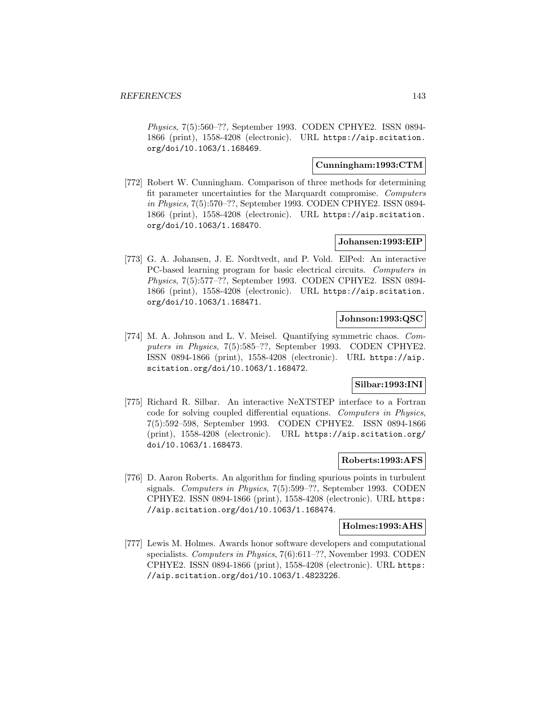Physics, 7(5):560–??, September 1993. CODEN CPHYE2. ISSN 0894- 1866 (print), 1558-4208 (electronic). URL https://aip.scitation. org/doi/10.1063/1.168469.

# **Cunningham:1993:CTM**

[772] Robert W. Cunningham. Comparison of three methods for determining fit parameter uncertainties for the Marquardt compromise. Computers in Physics, 7(5):570–??, September 1993. CODEN CPHYE2. ISSN 0894- 1866 (print), 1558-4208 (electronic). URL https://aip.scitation. org/doi/10.1063/1.168470.

## **Johansen:1993:EIP**

[773] G. A. Johansen, J. E. Nordtvedt, and P. Vold. ElPed: An interactive PC-based learning program for basic electrical circuits. Computers in Physics, 7(5):577–??, September 1993. CODEN CPHYE2. ISSN 0894- 1866 (print), 1558-4208 (electronic). URL https://aip.scitation. org/doi/10.1063/1.168471.

## **Johnson:1993:QSC**

[774] M. A. Johnson and L. V. Meisel. Quantifying symmetric chaos. Computers in Physics, 7(5):585–??, September 1993. CODEN CPHYE2. ISSN 0894-1866 (print), 1558-4208 (electronic). URL https://aip. scitation.org/doi/10.1063/1.168472.

# **Silbar:1993:INI**

[775] Richard R. Silbar. An interactive NeXTSTEP interface to a Fortran code for solving coupled differential equations. Computers in Physics, 7(5):592–598, September 1993. CODEN CPHYE2. ISSN 0894-1866 (print), 1558-4208 (electronic). URL https://aip.scitation.org/ doi/10.1063/1.168473.

## **Roberts:1993:AFS**

[776] D. Aaron Roberts. An algorithm for finding spurious points in turbulent signals. Computers in Physics, 7(5):599–??, September 1993. CODEN CPHYE2. ISSN 0894-1866 (print), 1558-4208 (electronic). URL https: //aip.scitation.org/doi/10.1063/1.168474.

### **Holmes:1993:AHS**

[777] Lewis M. Holmes. Awards honor software developers and computational specialists. Computers in Physics, 7(6):611–??, November 1993. CODEN CPHYE2. ISSN 0894-1866 (print), 1558-4208 (electronic). URL https: //aip.scitation.org/doi/10.1063/1.4823226.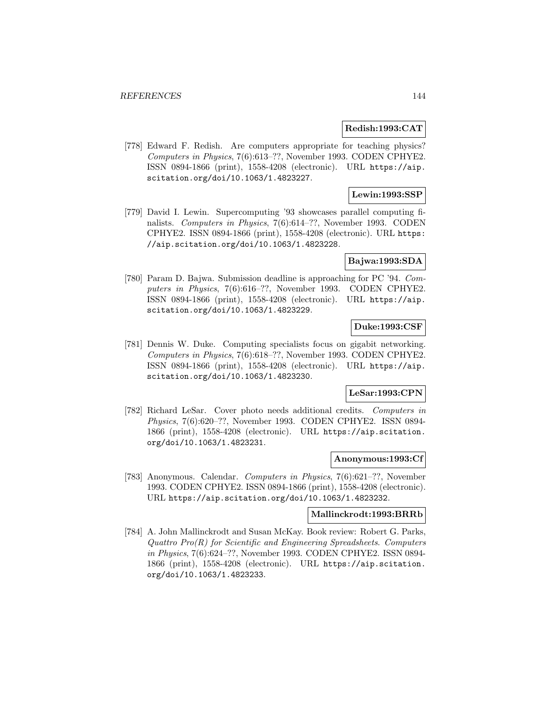#### **Redish:1993:CAT**

[778] Edward F. Redish. Are computers appropriate for teaching physics? Computers in Physics, 7(6):613–??, November 1993. CODEN CPHYE2. ISSN 0894-1866 (print), 1558-4208 (electronic). URL https://aip. scitation.org/doi/10.1063/1.4823227.

# **Lewin:1993:SSP**

[779] David I. Lewin. Supercomputing '93 showcases parallel computing finalists. Computers in Physics, 7(6):614–??, November 1993. CODEN CPHYE2. ISSN 0894-1866 (print), 1558-4208 (electronic). URL https: //aip.scitation.org/doi/10.1063/1.4823228.

### **Bajwa:1993:SDA**

[780] Param D. Bajwa. Submission deadline is approaching for PC '94. Computers in Physics, 7(6):616–??, November 1993. CODEN CPHYE2. ISSN 0894-1866 (print), 1558-4208 (electronic). URL https://aip. scitation.org/doi/10.1063/1.4823229.

### **Duke:1993:CSF**

[781] Dennis W. Duke. Computing specialists focus on gigabit networking. Computers in Physics, 7(6):618–??, November 1993. CODEN CPHYE2. ISSN 0894-1866 (print), 1558-4208 (electronic). URL https://aip. scitation.org/doi/10.1063/1.4823230.

### **LeSar:1993:CPN**

[782] Richard LeSar. Cover photo needs additional credits. Computers in Physics, 7(6):620–??, November 1993. CODEN CPHYE2. ISSN 0894- 1866 (print), 1558-4208 (electronic). URL https://aip.scitation. org/doi/10.1063/1.4823231.

## **Anonymous:1993:Cf**

[783] Anonymous. Calendar. Computers in Physics, 7(6):621–??, November 1993. CODEN CPHYE2. ISSN 0894-1866 (print), 1558-4208 (electronic). URL https://aip.scitation.org/doi/10.1063/1.4823232.

# **Mallinckrodt:1993:BRRb**

[784] A. John Mallinckrodt and Susan McKay. Book review: Robert G. Parks, Quattro Pro(R) for Scientific and Engineering Spreadsheets. Computers in Physics, 7(6):624–??, November 1993. CODEN CPHYE2. ISSN 0894- 1866 (print), 1558-4208 (electronic). URL https://aip.scitation. org/doi/10.1063/1.4823233.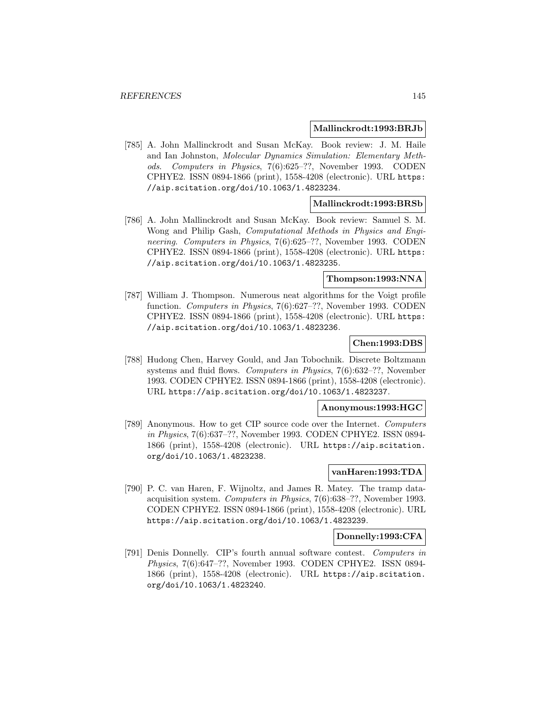#### **Mallinckrodt:1993:BRJb**

[785] A. John Mallinckrodt and Susan McKay. Book review: J. M. Haile and Ian Johnston, Molecular Dynamics Simulation: Elementary Methods. Computers in Physics, 7(6):625–??, November 1993. CODEN CPHYE2. ISSN 0894-1866 (print), 1558-4208 (electronic). URL https: //aip.scitation.org/doi/10.1063/1.4823234.

## **Mallinckrodt:1993:BRSb**

[786] A. John Mallinckrodt and Susan McKay. Book review: Samuel S. M. Wong and Philip Gash, Computational Methods in Physics and Engineering. Computers in Physics, 7(6):625–??, November 1993. CODEN CPHYE2. ISSN 0894-1866 (print), 1558-4208 (electronic). URL https: //aip.scitation.org/doi/10.1063/1.4823235.

# **Thompson:1993:NNA**

[787] William J. Thompson. Numerous neat algorithms for the Voigt profile function. Computers in Physics, 7(6):627–??, November 1993. CODEN CPHYE2. ISSN 0894-1866 (print), 1558-4208 (electronic). URL https: //aip.scitation.org/doi/10.1063/1.4823236.

## **Chen:1993:DBS**

[788] Hudong Chen, Harvey Gould, and Jan Tobochnik. Discrete Boltzmann systems and fluid flows. Computers in Physics, 7(6):632–??, November 1993. CODEN CPHYE2. ISSN 0894-1866 (print), 1558-4208 (electronic). URL https://aip.scitation.org/doi/10.1063/1.4823237.

#### **Anonymous:1993:HGC**

[789] Anonymous. How to get CIP source code over the Internet. Computers in Physics, 7(6):637–??, November 1993. CODEN CPHYE2. ISSN 0894- 1866 (print), 1558-4208 (electronic). URL https://aip.scitation. org/doi/10.1063/1.4823238.

#### **vanHaren:1993:TDA**

[790] P. C. van Haren, F. Wijnoltz, and James R. Matey. The tramp dataacquisition system. Computers in Physics, 7(6):638–??, November 1993. CODEN CPHYE2. ISSN 0894-1866 (print), 1558-4208 (electronic). URL https://aip.scitation.org/doi/10.1063/1.4823239.

#### **Donnelly:1993:CFA**

[791] Denis Donnelly. CIP's fourth annual software contest. Computers in Physics, 7(6):647–??, November 1993. CODEN CPHYE2. ISSN 0894- 1866 (print), 1558-4208 (electronic). URL https://aip.scitation. org/doi/10.1063/1.4823240.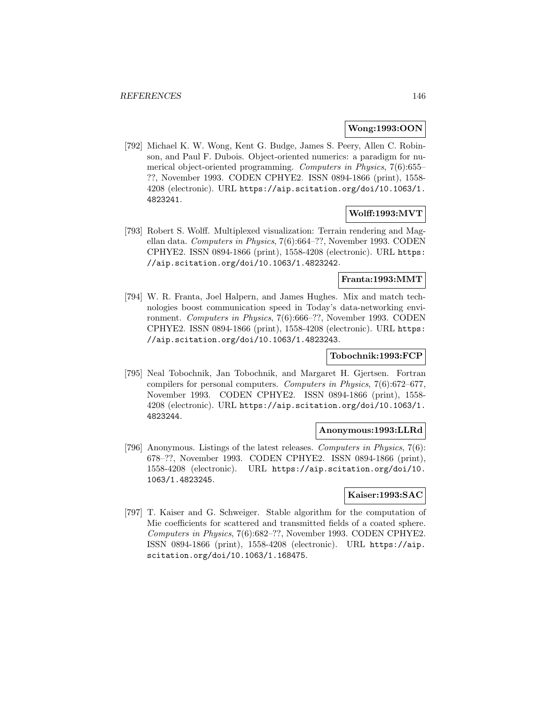#### **Wong:1993:OON**

[792] Michael K. W. Wong, Kent G. Budge, James S. Peery, Allen C. Robinson, and Paul F. Dubois. Object-oriented numerics: a paradigm for numerical object-oriented programming. Computers in Physics, 7(6):655– ??, November 1993. CODEN CPHYE2. ISSN 0894-1866 (print), 1558- 4208 (electronic). URL https://aip.scitation.org/doi/10.1063/1. 4823241.

# **Wolff:1993:MVT**

[793] Robert S. Wolff. Multiplexed visualization: Terrain rendering and Magellan data. Computers in Physics, 7(6):664–??, November 1993. CODEN CPHYE2. ISSN 0894-1866 (print), 1558-4208 (electronic). URL https: //aip.scitation.org/doi/10.1063/1.4823242.

# **Franta:1993:MMT**

[794] W. R. Franta, Joel Halpern, and James Hughes. Mix and match technologies boost communication speed in Today's data-networking environment. Computers in Physics, 7(6):666–??, November 1993. CODEN CPHYE2. ISSN 0894-1866 (print), 1558-4208 (electronic). URL https: //aip.scitation.org/doi/10.1063/1.4823243.

## **Tobochnik:1993:FCP**

[795] Neal Tobochnik, Jan Tobochnik, and Margaret H. Gjertsen. Fortran compilers for personal computers. Computers in Physics, 7(6):672–677, November 1993. CODEN CPHYE2. ISSN 0894-1866 (print), 1558- 4208 (electronic). URL https://aip.scitation.org/doi/10.1063/1. 4823244.

# **Anonymous:1993:LLRd**

[796] Anonymous. Listings of the latest releases. Computers in Physics, 7(6): 678–??, November 1993. CODEN CPHYE2. ISSN 0894-1866 (print), 1558-4208 (electronic). URL https://aip.scitation.org/doi/10. 1063/1.4823245.

#### **Kaiser:1993:SAC**

[797] T. Kaiser and G. Schweiger. Stable algorithm for the computation of Mie coefficients for scattered and transmitted fields of a coated sphere. Computers in Physics, 7(6):682–??, November 1993. CODEN CPHYE2. ISSN 0894-1866 (print), 1558-4208 (electronic). URL https://aip. scitation.org/doi/10.1063/1.168475.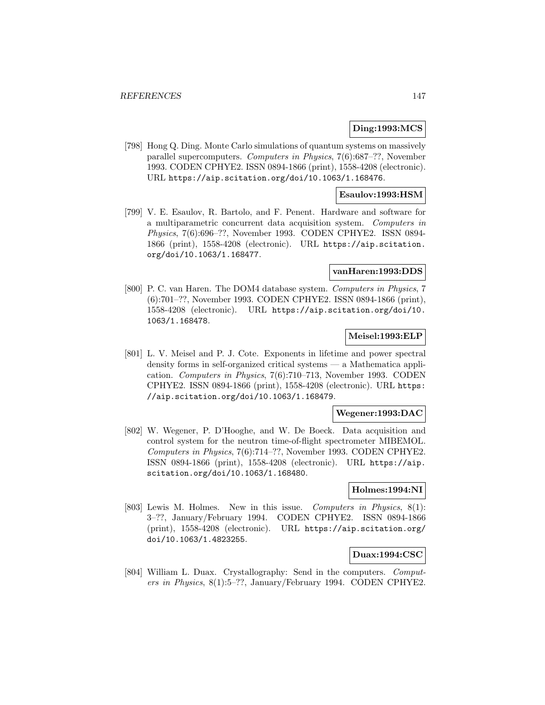## **Ding:1993:MCS**

[798] Hong Q. Ding. Monte Carlo simulations of quantum systems on massively parallel supercomputers. Computers in Physics, 7(6):687–??, November 1993. CODEN CPHYE2. ISSN 0894-1866 (print), 1558-4208 (electronic). URL https://aip.scitation.org/doi/10.1063/1.168476.

## **Esaulov:1993:HSM**

[799] V. E. Esaulov, R. Bartolo, and F. Penent. Hardware and software for a multiparametric concurrent data acquisition system. Computers in Physics, 7(6):696–??, November 1993. CODEN CPHYE2. ISSN 0894- 1866 (print), 1558-4208 (electronic). URL https://aip.scitation. org/doi/10.1063/1.168477.

#### **vanHaren:1993:DDS**

[800] P. C. van Haren. The DOM4 database system. Computers in Physics, 7 (6):701–??, November 1993. CODEN CPHYE2. ISSN 0894-1866 (print), 1558-4208 (electronic). URL https://aip.scitation.org/doi/10. 1063/1.168478.

# **Meisel:1993:ELP**

[801] L. V. Meisel and P. J. Cote. Exponents in lifetime and power spectral density forms in self-organized critical systems — a Mathematica application. Computers in Physics, 7(6):710–713, November 1993. CODEN CPHYE2. ISSN 0894-1866 (print), 1558-4208 (electronic). URL https: //aip.scitation.org/doi/10.1063/1.168479.

#### **Wegener:1993:DAC**

[802] W. Wegener, P. D'Hooghe, and W. De Boeck. Data acquisition and control system for the neutron time-of-flight spectrometer MIBEMOL. Computers in Physics, 7(6):714–??, November 1993. CODEN CPHYE2. ISSN 0894-1866 (print), 1558-4208 (electronic). URL https://aip. scitation.org/doi/10.1063/1.168480.

# **Holmes:1994:NI**

[803] Lewis M. Holmes. New in this issue. Computers in Physics, 8(1): 3–??, January/February 1994. CODEN CPHYE2. ISSN 0894-1866 (print), 1558-4208 (electronic). URL https://aip.scitation.org/ doi/10.1063/1.4823255.

#### **Duax:1994:CSC**

[804] William L. Duax. Crystallography: Send in the computers. Computers in Physics, 8(1):5–??, January/February 1994. CODEN CPHYE2.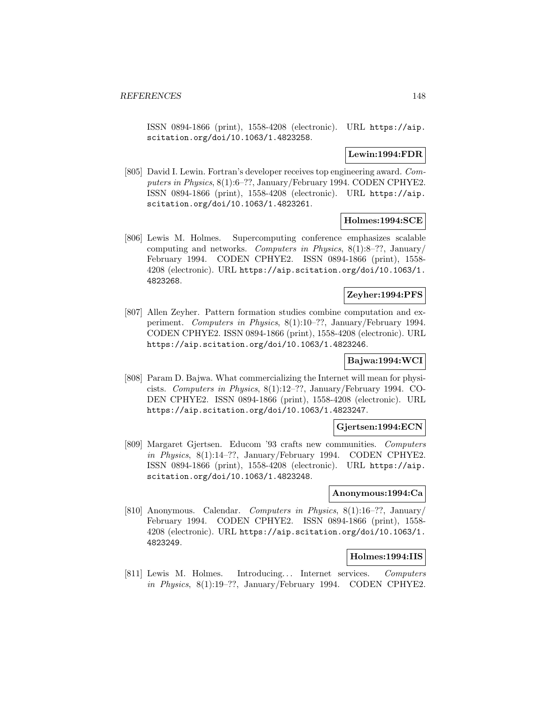ISSN 0894-1866 (print), 1558-4208 (electronic). URL https://aip. scitation.org/doi/10.1063/1.4823258.

#### **Lewin:1994:FDR**

[805] David I. Lewin. Fortran's developer receives top engineering award. Computers in Physics, 8(1):6–??, January/February 1994. CODEN CPHYE2. ISSN 0894-1866 (print), 1558-4208 (electronic). URL https://aip. scitation.org/doi/10.1063/1.4823261.

## **Holmes:1994:SCE**

[806] Lewis M. Holmes. Supercomputing conference emphasizes scalable computing and networks. Computers in Physics,  $8(1):8-$ ??, January/ February 1994. CODEN CPHYE2. ISSN 0894-1866 (print), 1558- 4208 (electronic). URL https://aip.scitation.org/doi/10.1063/1. 4823268.

# **Zeyher:1994:PFS**

[807] Allen Zeyher. Pattern formation studies combine computation and experiment. Computers in Physics, 8(1):10–??, January/February 1994. CODEN CPHYE2. ISSN 0894-1866 (print), 1558-4208 (electronic). URL https://aip.scitation.org/doi/10.1063/1.4823246.

# **Bajwa:1994:WCI**

[808] Param D. Bajwa. What commercializing the Internet will mean for physicists. Computers in Physics, 8(1):12–??, January/February 1994. CO-DEN CPHYE2. ISSN 0894-1866 (print), 1558-4208 (electronic). URL https://aip.scitation.org/doi/10.1063/1.4823247.

#### **Gjertsen:1994:ECN**

[809] Margaret Gjertsen. Educom '93 crafts new communities. Computers in Physics, 8(1):14–??, January/February 1994. CODEN CPHYE2. ISSN 0894-1866 (print), 1558-4208 (electronic). URL https://aip. scitation.org/doi/10.1063/1.4823248.

## **Anonymous:1994:Ca**

[810] Anonymous. Calendar. Computers in Physics, 8(1):16–??, January/ February 1994. CODEN CPHYE2. ISSN 0894-1866 (print), 1558- 4208 (electronic). URL https://aip.scitation.org/doi/10.1063/1. 4823249.

# **Holmes:1994:IIS**

[811] Lewis M. Holmes. Introducing... Internet services. Computers in Physics, 8(1):19–??, January/February 1994. CODEN CPHYE2.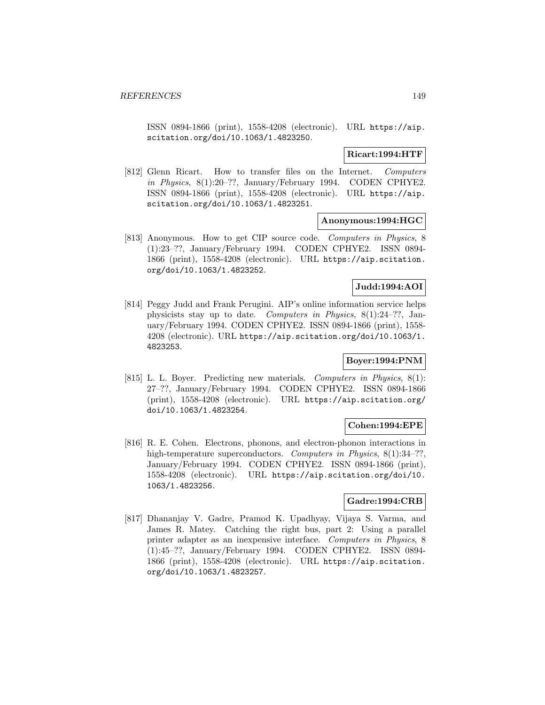ISSN 0894-1866 (print), 1558-4208 (electronic). URL https://aip. scitation.org/doi/10.1063/1.4823250.

**Ricart:1994:HTF**

[812] Glenn Ricart. How to transfer files on the Internet. Computers in Physics, 8(1):20–??, January/February 1994. CODEN CPHYE2. ISSN 0894-1866 (print), 1558-4208 (electronic). URL https://aip. scitation.org/doi/10.1063/1.4823251.

#### **Anonymous:1994:HGC**

[813] Anonymous. How to get CIP source code. Computers in Physics, 8 (1):23–??, January/February 1994. CODEN CPHYE2. ISSN 0894- 1866 (print), 1558-4208 (electronic). URL https://aip.scitation. org/doi/10.1063/1.4823252.

## **Judd:1994:AOI**

[814] Peggy Judd and Frank Perugini. AIP's online information service helps physicists stay up to date. Computers in Physics, 8(1):24–??, January/February 1994. CODEN CPHYE2. ISSN 0894-1866 (print), 1558- 4208 (electronic). URL https://aip.scitation.org/doi/10.1063/1. 4823253.

# **Boyer:1994:PNM**

[815] L. L. Boyer. Predicting new materials. Computers in Physics, 8(1): 27–??, January/February 1994. CODEN CPHYE2. ISSN 0894-1866 (print), 1558-4208 (electronic). URL https://aip.scitation.org/ doi/10.1063/1.4823254.

## **Cohen:1994:EPE**

[816] R. E. Cohen. Electrons, phonons, and electron-phonon interactions in high-temperature superconductors. Computers in Physics, 8(1):34-??, January/February 1994. CODEN CPHYE2. ISSN 0894-1866 (print), 1558-4208 (electronic). URL https://aip.scitation.org/doi/10. 1063/1.4823256.

## **Gadre:1994:CRB**

[817] Dhananjay V. Gadre, Pramod K. Upadhyay, Vijaya S. Varma, and James R. Matey. Catching the right bus, part 2: Using a parallel printer adapter as an inexpensive interface. Computers in Physics, 8 (1):45–??, January/February 1994. CODEN CPHYE2. ISSN 0894- 1866 (print), 1558-4208 (electronic). URL https://aip.scitation. org/doi/10.1063/1.4823257.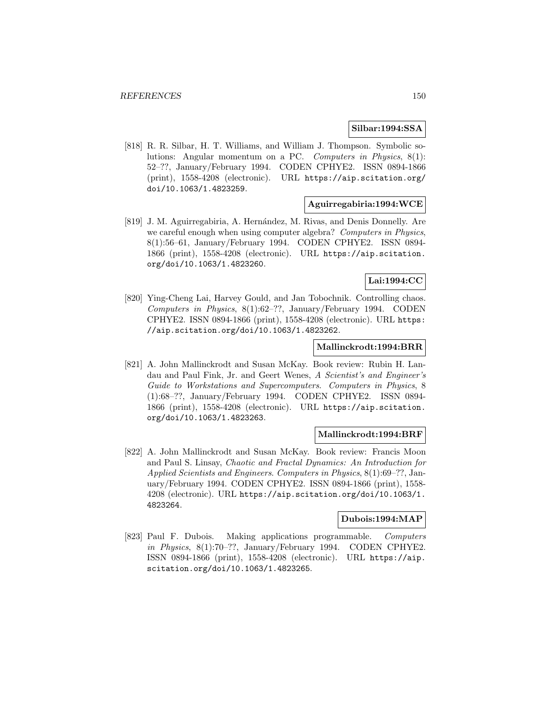#### **Silbar:1994:SSA**

[818] R. R. Silbar, H. T. Williams, and William J. Thompson. Symbolic solutions: Angular momentum on a PC. Computers in Physics, 8(1): 52–??, January/February 1994. CODEN CPHYE2. ISSN 0894-1866 (print), 1558-4208 (electronic). URL https://aip.scitation.org/ doi/10.1063/1.4823259.

#### **Aguirregabiria:1994:WCE**

[819] J. M. Aguirregabiria, A. Hernández, M. Rivas, and Denis Donnelly. Are we careful enough when using computer algebra? Computers in Physics, 8(1):56–61, January/February 1994. CODEN CPHYE2. ISSN 0894- 1866 (print), 1558-4208 (electronic). URL https://aip.scitation. org/doi/10.1063/1.4823260.

# **Lai:1994:CC**

[820] Ying-Cheng Lai, Harvey Gould, and Jan Tobochnik. Controlling chaos. Computers in Physics, 8(1):62–??, January/February 1994. CODEN CPHYE2. ISSN 0894-1866 (print), 1558-4208 (electronic). URL https: //aip.scitation.org/doi/10.1063/1.4823262.

#### **Mallinckrodt:1994:BRR**

[821] A. John Mallinckrodt and Susan McKay. Book review: Rubin H. Landau and Paul Fink, Jr. and Geert Wenes, A Scientist's and Engineer's Guide to Workstations and Supercomputers. Computers in Physics, 8 (1):68–??, January/February 1994. CODEN CPHYE2. ISSN 0894- 1866 (print), 1558-4208 (electronic). URL https://aip.scitation. org/doi/10.1063/1.4823263.

#### **Mallinckrodt:1994:BRF**

[822] A. John Mallinckrodt and Susan McKay. Book review: Francis Moon and Paul S. Linsay, Chaotic and Fractal Dynamics: An Introduction for Applied Scientists and Engineers. Computers in Physics, 8(1):69–??, January/February 1994. CODEN CPHYE2. ISSN 0894-1866 (print), 1558- 4208 (electronic). URL https://aip.scitation.org/doi/10.1063/1. 4823264.

#### **Dubois:1994:MAP**

[823] Paul F. Dubois. Making applications programmable. Computers in Physics,  $8(1)$ :70–??, January/February 1994. CODEN CPHYE2. ISSN 0894-1866 (print), 1558-4208 (electronic). URL https://aip. scitation.org/doi/10.1063/1.4823265.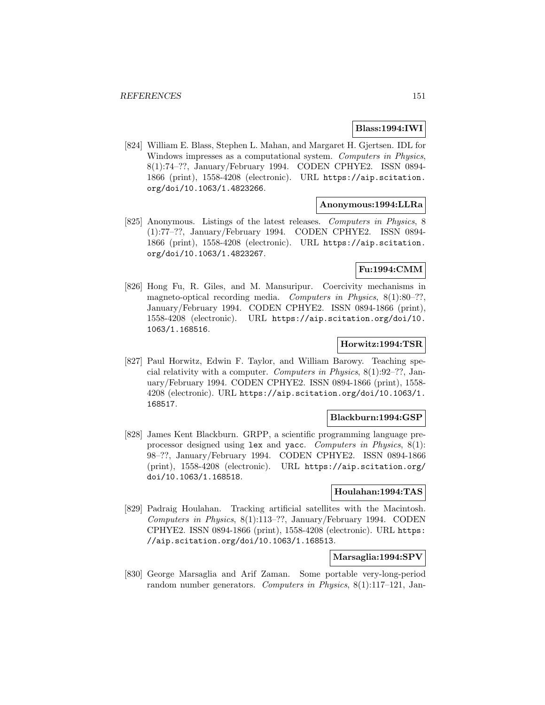# **Blass:1994:IWI**

[824] William E. Blass, Stephen L. Mahan, and Margaret H. Gjertsen. IDL for Windows impresses as a computational system. Computers in Physics, 8(1):74–??, January/February 1994. CODEN CPHYE2. ISSN 0894- 1866 (print), 1558-4208 (electronic). URL https://aip.scitation. org/doi/10.1063/1.4823266.

#### **Anonymous:1994:LLRa**

[825] Anonymous. Listings of the latest releases. Computers in Physics, 8 (1):77–??, January/February 1994. CODEN CPHYE2. ISSN 0894- 1866 (print), 1558-4208 (electronic). URL https://aip.scitation. org/doi/10.1063/1.4823267.

# **Fu:1994:CMM**

[826] Hong Fu, R. Giles, and M. Mansuripur. Coercivity mechanisms in magneto-optical recording media. Computers in Physics, 8(1):80-??, January/February 1994. CODEN CPHYE2. ISSN 0894-1866 (print), 1558-4208 (electronic). URL https://aip.scitation.org/doi/10. 1063/1.168516.

#### **Horwitz:1994:TSR**

[827] Paul Horwitz, Edwin F. Taylor, and William Barowy. Teaching special relativity with a computer. Computers in Physics, 8(1):92–??, January/February 1994. CODEN CPHYE2. ISSN 0894-1866 (print), 1558- 4208 (electronic). URL https://aip.scitation.org/doi/10.1063/1. 168517.

#### **Blackburn:1994:GSP**

[828] James Kent Blackburn. GRPP, a scientific programming language preprocessor designed using lex and yacc. Computers in Physics, 8(1): 98–??, January/February 1994. CODEN CPHYE2. ISSN 0894-1866 (print), 1558-4208 (electronic). URL https://aip.scitation.org/ doi/10.1063/1.168518.

## **Houlahan:1994:TAS**

[829] Padraig Houlahan. Tracking artificial satellites with the Macintosh. Computers in Physics, 8(1):113–??, January/February 1994. CODEN CPHYE2. ISSN 0894-1866 (print), 1558-4208 (electronic). URL https: //aip.scitation.org/doi/10.1063/1.168513.

## **Marsaglia:1994:SPV**

[830] George Marsaglia and Arif Zaman. Some portable very-long-period random number generators. Computers in Physics, 8(1):117–121, Jan-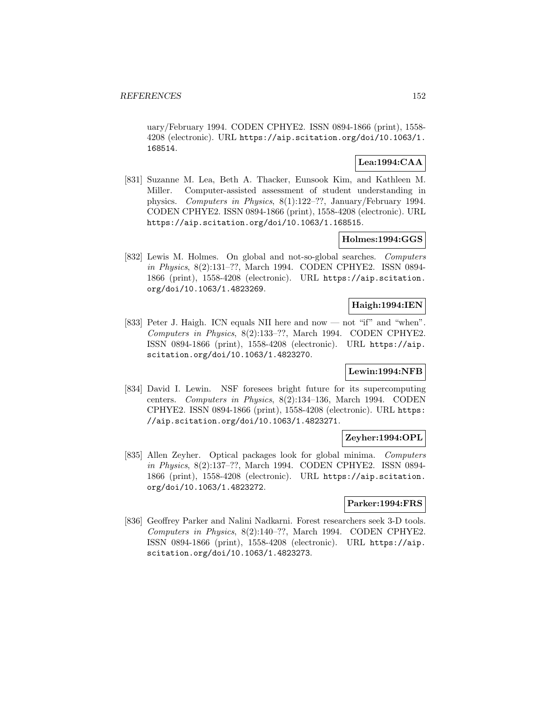uary/February 1994. CODEN CPHYE2. ISSN 0894-1866 (print), 1558- 4208 (electronic). URL https://aip.scitation.org/doi/10.1063/1. 168514.

# **Lea:1994:CAA**

[831] Suzanne M. Lea, Beth A. Thacker, Eunsook Kim, and Kathleen M. Miller. Computer-assisted assessment of student understanding in physics. Computers in Physics, 8(1):122–??, January/February 1994. CODEN CPHYE2. ISSN 0894-1866 (print), 1558-4208 (electronic). URL https://aip.scitation.org/doi/10.1063/1.168515.

## **Holmes:1994:GGS**

[832] Lewis M. Holmes. On global and not-so-global searches. Computers in Physics, 8(2):131–??, March 1994. CODEN CPHYE2. ISSN 0894- 1866 (print), 1558-4208 (electronic). URL https://aip.scitation. org/doi/10.1063/1.4823269.

#### **Haigh:1994:IEN**

[833] Peter J. Haigh. ICN equals NII here and now — not "if" and "when". Computers in Physics, 8(2):133–??, March 1994. CODEN CPHYE2. ISSN 0894-1866 (print), 1558-4208 (electronic). URL https://aip. scitation.org/doi/10.1063/1.4823270.

# **Lewin:1994:NFB**

[834] David I. Lewin. NSF foresees bright future for its supercomputing centers. Computers in Physics, 8(2):134–136, March 1994. CODEN CPHYE2. ISSN 0894-1866 (print), 1558-4208 (electronic). URL https: //aip.scitation.org/doi/10.1063/1.4823271.

## **Zeyher:1994:OPL**

[835] Allen Zeyher. Optical packages look for global minima. Computers in Physics, 8(2):137–??, March 1994. CODEN CPHYE2. ISSN 0894- 1866 (print), 1558-4208 (electronic). URL https://aip.scitation. org/doi/10.1063/1.4823272.

## **Parker:1994:FRS**

[836] Geoffrey Parker and Nalini Nadkarni. Forest researchers seek 3-D tools. Computers in Physics, 8(2):140–??, March 1994. CODEN CPHYE2. ISSN 0894-1866 (print), 1558-4208 (electronic). URL https://aip. scitation.org/doi/10.1063/1.4823273.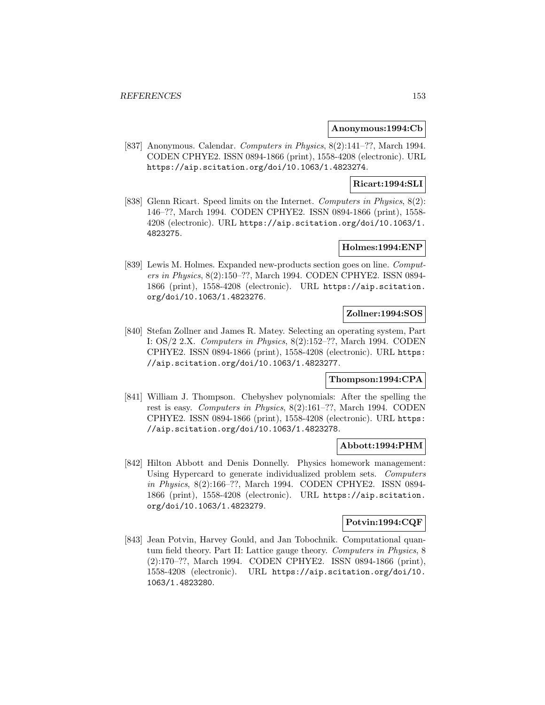#### **Anonymous:1994:Cb**

[837] Anonymous. Calendar. Computers in Physics, 8(2):141–??, March 1994. CODEN CPHYE2. ISSN 0894-1866 (print), 1558-4208 (electronic). URL https://aip.scitation.org/doi/10.1063/1.4823274.

# **Ricart:1994:SLI**

[838] Glenn Ricart. Speed limits on the Internet. Computers in Physics, 8(2): 146–??, March 1994. CODEN CPHYE2. ISSN 0894-1866 (print), 1558- 4208 (electronic). URL https://aip.scitation.org/doi/10.1063/1. 4823275.

# **Holmes:1994:ENP**

[839] Lewis M. Holmes. Expanded new-products section goes on line. Computers in Physics, 8(2):150–??, March 1994. CODEN CPHYE2. ISSN 0894- 1866 (print), 1558-4208 (electronic). URL https://aip.scitation. org/doi/10.1063/1.4823276.

# **Zollner:1994:SOS**

[840] Stefan Zollner and James R. Matey. Selecting an operating system, Part I: OS/2 2.X. Computers in Physics, 8(2):152–??, March 1994. CODEN CPHYE2. ISSN 0894-1866 (print), 1558-4208 (electronic). URL https: //aip.scitation.org/doi/10.1063/1.4823277.

## **Thompson:1994:CPA**

[841] William J. Thompson. Chebyshev polynomials: After the spelling the rest is easy. Computers in Physics, 8(2):161–??, March 1994. CODEN CPHYE2. ISSN 0894-1866 (print), 1558-4208 (electronic). URL https: //aip.scitation.org/doi/10.1063/1.4823278.

## **Abbott:1994:PHM**

[842] Hilton Abbott and Denis Donnelly. Physics homework management: Using Hypercard to generate individualized problem sets. Computers in Physics, 8(2):166–??, March 1994. CODEN CPHYE2. ISSN 0894- 1866 (print), 1558-4208 (electronic). URL https://aip.scitation. org/doi/10.1063/1.4823279.

## **Potvin:1994:CQF**

[843] Jean Potvin, Harvey Gould, and Jan Tobochnik. Computational quantum field theory. Part II: Lattice gauge theory. Computers in Physics, 8 (2):170–??, March 1994. CODEN CPHYE2. ISSN 0894-1866 (print), 1558-4208 (electronic). URL https://aip.scitation.org/doi/10. 1063/1.4823280.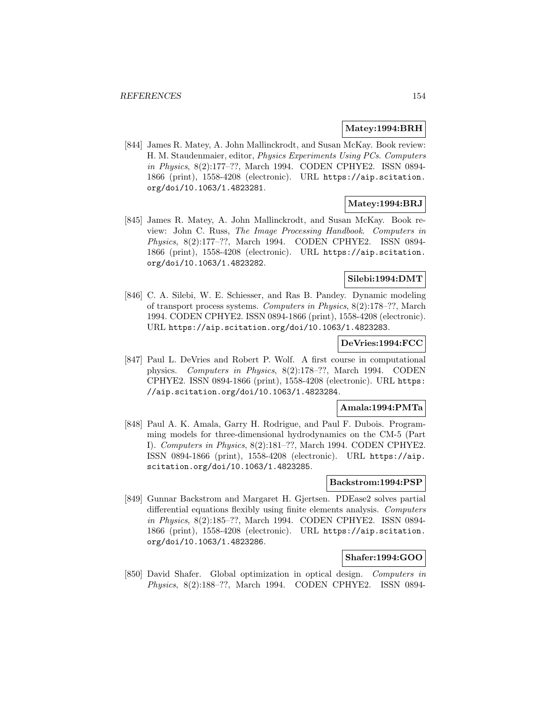## **Matey:1994:BRH**

[844] James R. Matey, A. John Mallinckrodt, and Susan McKay. Book review: H. M. Staudenmaier, editor, Physics Experiments Using PCs. Computers in Physics, 8(2):177–??, March 1994. CODEN CPHYE2. ISSN 0894- 1866 (print), 1558-4208 (electronic). URL https://aip.scitation. org/doi/10.1063/1.4823281.

# **Matey:1994:BRJ**

[845] James R. Matey, A. John Mallinckrodt, and Susan McKay. Book review: John C. Russ, The Image Processing Handbook. Computers in Physics, 8(2):177–??, March 1994. CODEN CPHYE2. ISSN 0894- 1866 (print), 1558-4208 (electronic). URL https://aip.scitation. org/doi/10.1063/1.4823282.

# **Silebi:1994:DMT**

[846] C. A. Silebi, W. E. Schiesser, and Ras B. Pandey. Dynamic modeling of transport process systems. Computers in Physics, 8(2):178–??, March 1994. CODEN CPHYE2. ISSN 0894-1866 (print), 1558-4208 (electronic). URL https://aip.scitation.org/doi/10.1063/1.4823283.

## **DeVries:1994:FCC**

[847] Paul L. DeVries and Robert P. Wolf. A first course in computational physics. Computers in Physics, 8(2):178–??, March 1994. CODEN CPHYE2. ISSN 0894-1866 (print), 1558-4208 (electronic). URL https: //aip.scitation.org/doi/10.1063/1.4823284.

#### **Amala:1994:PMTa**

[848] Paul A. K. Amala, Garry H. Rodrigue, and Paul F. Dubois. Programming models for three-dimensional hydrodynamics on the CM-5 (Part I). Computers in Physics, 8(2):181–??, March 1994. CODEN CPHYE2. ISSN 0894-1866 (print), 1558-4208 (electronic). URL https://aip. scitation.org/doi/10.1063/1.4823285.

#### **Backstrom:1994:PSP**

[849] Gunnar Backstrom and Margaret H. Gjertsen. PDEase2 solves partial differential equations flexibly using finite elements analysis. Computers in Physics, 8(2):185–??, March 1994. CODEN CPHYE2. ISSN 0894- 1866 (print), 1558-4208 (electronic). URL https://aip.scitation. org/doi/10.1063/1.4823286.

# **Shafer:1994:GOO**

[850] David Shafer. Global optimization in optical design. Computers in Physics, 8(2):188–??, March 1994. CODEN CPHYE2. ISSN 0894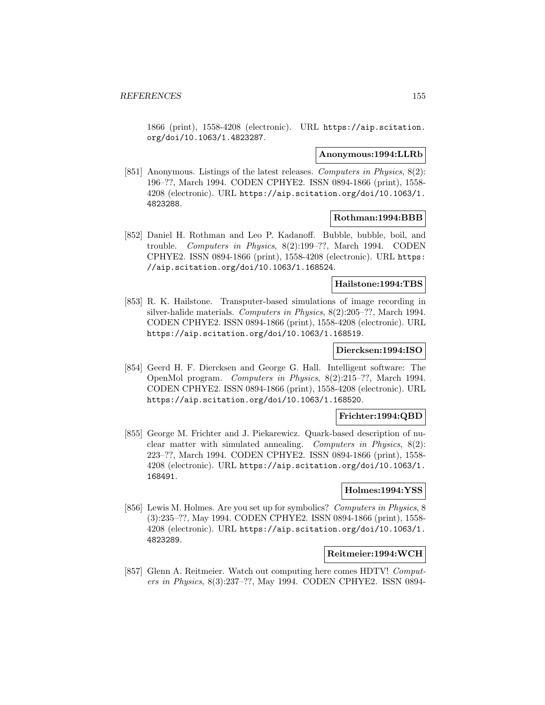1866 (print), 1558-4208 (electronic). URL https://aip.scitation. org/doi/10.1063/1.4823287.

#### **Anonymous:1994:LLRb**

[851] Anonymous. Listings of the latest releases. Computers in Physics, 8(2): 196–??, March 1994. CODEN CPHYE2. ISSN 0894-1866 (print), 1558- 4208 (electronic). URL https://aip.scitation.org/doi/10.1063/1. 4823288.

#### **Rothman:1994:BBB**

[852] Daniel H. Rothman and Leo P. Kadanoff. Bubble, bubble, boil, and trouble. Computers in Physics, 8(2):199–??, March 1994. CODEN CPHYE2. ISSN 0894-1866 (print), 1558-4208 (electronic). URL https: //aip.scitation.org/doi/10.1063/1.168524.

## **Hailstone:1994:TBS**

[853] R. K. Hailstone. Transputer-based simulations of image recording in silver-halide materials. Computers in Physics, 8(2):205–??, March 1994. CODEN CPHYE2. ISSN 0894-1866 (print), 1558-4208 (electronic). URL https://aip.scitation.org/doi/10.1063/1.168519.

## **Diercksen:1994:ISO**

[854] Geerd H. F. Diercksen and George G. Hall. Intelligent software: The OpenMol program. Computers in Physics, 8(2):215–??, March 1994. CODEN CPHYE2. ISSN 0894-1866 (print), 1558-4208 (electronic). URL https://aip.scitation.org/doi/10.1063/1.168520.

#### **Frichter:1994:QBD**

[855] George M. Frichter and J. Piekarewicz. Quark-based description of nuclear matter with simulated annealing. Computers in Physics, 8(2): 223–??, March 1994. CODEN CPHYE2. ISSN 0894-1866 (print), 1558- 4208 (electronic). URL https://aip.scitation.org/doi/10.1063/1. 168491.

#### **Holmes:1994:YSS**

[856] Lewis M. Holmes. Are you set up for symbolics? Computers in Physics, 8 (3):235–??, May 1994. CODEN CPHYE2. ISSN 0894-1866 (print), 1558- 4208 (electronic). URL https://aip.scitation.org/doi/10.1063/1. 4823289.

## **Reitmeier:1994:WCH**

[857] Glenn A. Reitmeier. Watch out computing here comes HDTV! Computers in Physics, 8(3):237–??, May 1994. CODEN CPHYE2. ISSN 0894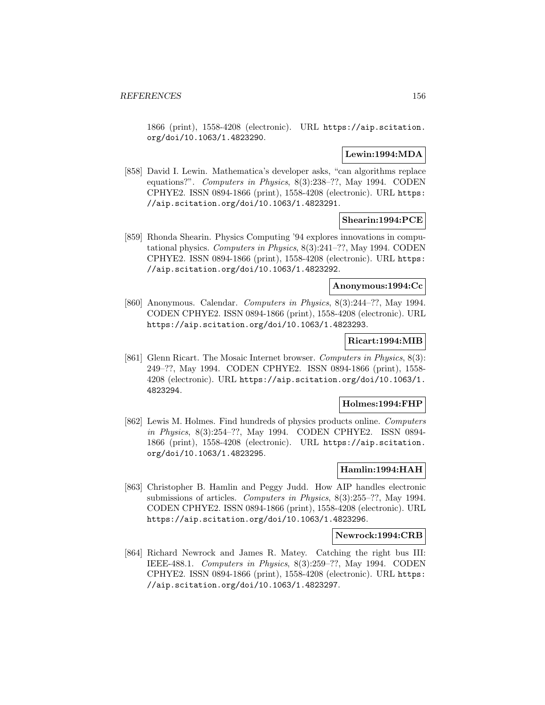1866 (print), 1558-4208 (electronic). URL https://aip.scitation. org/doi/10.1063/1.4823290.

# **Lewin:1994:MDA**

[858] David I. Lewin. Mathematica's developer asks, "can algorithms replace equations?". Computers in Physics, 8(3):238–??, May 1994. CODEN CPHYE2. ISSN 0894-1866 (print), 1558-4208 (electronic). URL https: //aip.scitation.org/doi/10.1063/1.4823291.

## **Shearin:1994:PCE**

[859] Rhonda Shearin. Physics Computing '94 explores innovations in computational physics. Computers in Physics, 8(3):241–??, May 1994. CODEN CPHYE2. ISSN 0894-1866 (print), 1558-4208 (electronic). URL https: //aip.scitation.org/doi/10.1063/1.4823292.

#### **Anonymous:1994:Cc**

[860] Anonymous. Calendar. Computers in Physics, 8(3):244–??, May 1994. CODEN CPHYE2. ISSN 0894-1866 (print), 1558-4208 (electronic). URL https://aip.scitation.org/doi/10.1063/1.4823293.

# **Ricart:1994:MIB**

[861] Glenn Ricart. The Mosaic Internet browser. Computers in Physics, 8(3): 249–??, May 1994. CODEN CPHYE2. ISSN 0894-1866 (print), 1558- 4208 (electronic). URL https://aip.scitation.org/doi/10.1063/1. 4823294.

## **Holmes:1994:FHP**

[862] Lewis M. Holmes. Find hundreds of physics products online. Computers in Physics, 8(3):254–??, May 1994. CODEN CPHYE2. ISSN 0894- 1866 (print), 1558-4208 (electronic). URL https://aip.scitation. org/doi/10.1063/1.4823295.

## **Hamlin:1994:HAH**

[863] Christopher B. Hamlin and Peggy Judd. How AIP handles electronic submissions of articles. Computers in Physics, 8(3):255–??, May 1994. CODEN CPHYE2. ISSN 0894-1866 (print), 1558-4208 (electronic). URL https://aip.scitation.org/doi/10.1063/1.4823296.

## **Newrock:1994:CRB**

[864] Richard Newrock and James R. Matey. Catching the right bus III: IEEE-488.1. Computers in Physics, 8(3):259–??, May 1994. CODEN CPHYE2. ISSN 0894-1866 (print), 1558-4208 (electronic). URL https: //aip.scitation.org/doi/10.1063/1.4823297.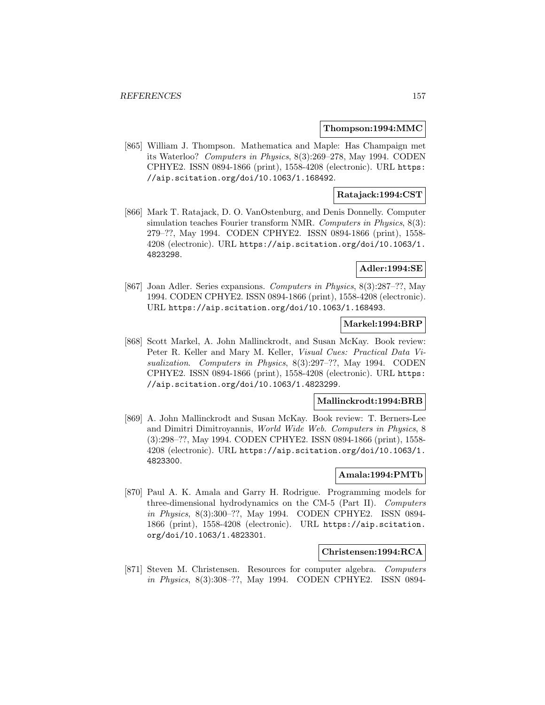#### **Thompson:1994:MMC**

[865] William J. Thompson. Mathematica and Maple: Has Champaign met its Waterloo? Computers in Physics, 8(3):269–278, May 1994. CODEN CPHYE2. ISSN 0894-1866 (print), 1558-4208 (electronic). URL https: //aip.scitation.org/doi/10.1063/1.168492.

## **Ratajack:1994:CST**

[866] Mark T. Ratajack, D. O. VanOstenburg, and Denis Donnelly. Computer simulation teaches Fourier transform NMR. Computers in Physics, 8(3): 279–??, May 1994. CODEN CPHYE2. ISSN 0894-1866 (print), 1558- 4208 (electronic). URL https://aip.scitation.org/doi/10.1063/1. 4823298.

# **Adler:1994:SE**

[867] Joan Adler. Series expansions. Computers in Physics, 8(3):287–??, May 1994. CODEN CPHYE2. ISSN 0894-1866 (print), 1558-4208 (electronic). URL https://aip.scitation.org/doi/10.1063/1.168493.

# **Markel:1994:BRP**

[868] Scott Markel, A. John Mallinckrodt, and Susan McKay. Book review: Peter R. Keller and Mary M. Keller, Visual Cues: Practical Data Visualization. Computers in Physics, 8(3):297-??, May 1994. CODEN CPHYE2. ISSN 0894-1866 (print), 1558-4208 (electronic). URL https: //aip.scitation.org/doi/10.1063/1.4823299.

## **Mallinckrodt:1994:BRB**

[869] A. John Mallinckrodt and Susan McKay. Book review: T. Berners-Lee and Dimitri Dimitroyannis, World Wide Web. Computers in Physics, 8 (3):298–??, May 1994. CODEN CPHYE2. ISSN 0894-1866 (print), 1558- 4208 (electronic). URL https://aip.scitation.org/doi/10.1063/1. 4823300.

# **Amala:1994:PMTb**

[870] Paul A. K. Amala and Garry H. Rodrigue. Programming models for three-dimensional hydrodynamics on the CM-5 (Part II). Computers in Physics, 8(3):300–??, May 1994. CODEN CPHYE2. ISSN 0894- 1866 (print), 1558-4208 (electronic). URL https://aip.scitation. org/doi/10.1063/1.4823301.

#### **Christensen:1994:RCA**

[871] Steven M. Christensen. Resources for computer algebra. Computers in Physics, 8(3):308–??, May 1994. CODEN CPHYE2. ISSN 0894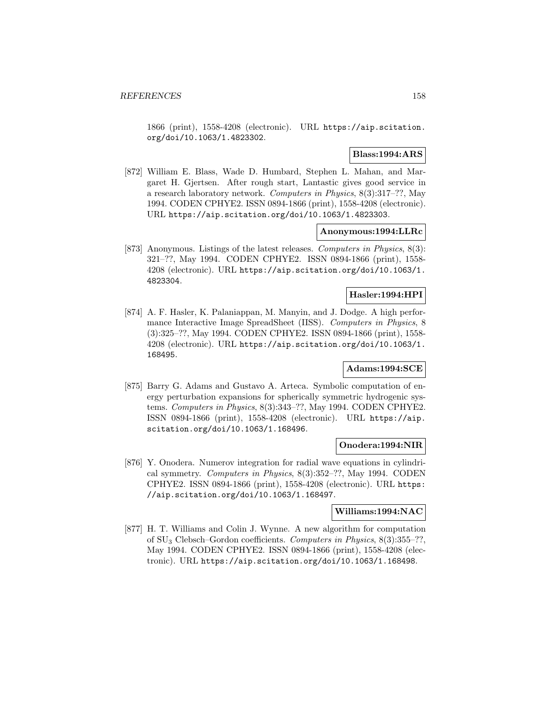1866 (print), 1558-4208 (electronic). URL https://aip.scitation. org/doi/10.1063/1.4823302.

# **Blass:1994:ARS**

[872] William E. Blass, Wade D. Humbard, Stephen L. Mahan, and Margaret H. Gjertsen. After rough start, Lantastic gives good service in a research laboratory network. Computers in Physics, 8(3):317–??, May 1994. CODEN CPHYE2. ISSN 0894-1866 (print), 1558-4208 (electronic). URL https://aip.scitation.org/doi/10.1063/1.4823303.

#### **Anonymous:1994:LLRc**

[873] Anonymous. Listings of the latest releases. Computers in Physics, 8(3): 321–??, May 1994. CODEN CPHYE2. ISSN 0894-1866 (print), 1558- 4208 (electronic). URL https://aip.scitation.org/doi/10.1063/1. 4823304.

# **Hasler:1994:HPI**

[874] A. F. Hasler, K. Palaniappan, M. Manyin, and J. Dodge. A high performance Interactive Image SpreadSheet (IISS). Computers in Physics, 8 (3):325–??, May 1994. CODEN CPHYE2. ISSN 0894-1866 (print), 1558- 4208 (electronic). URL https://aip.scitation.org/doi/10.1063/1. 168495.

# **Adams:1994:SCE**

[875] Barry G. Adams and Gustavo A. Arteca. Symbolic computation of energy perturbation expansions for spherically symmetric hydrogenic systems. Computers in Physics, 8(3):343–??, May 1994. CODEN CPHYE2. ISSN 0894-1866 (print), 1558-4208 (electronic). URL https://aip. scitation.org/doi/10.1063/1.168496.

## **Onodera:1994:NIR**

[876] Y. Onodera. Numerov integration for radial wave equations in cylindrical symmetry. Computers in Physics, 8(3):352–??, May 1994. CODEN CPHYE2. ISSN 0894-1866 (print), 1558-4208 (electronic). URL https: //aip.scitation.org/doi/10.1063/1.168497.

## **Williams:1994:NAC**

[877] H. T. Williams and Colin J. Wynne. A new algorithm for computation of SU<sup>3</sup> Clebsch–Gordon coefficients. Computers in Physics, 8(3):355–??, May 1994. CODEN CPHYE2. ISSN 0894-1866 (print), 1558-4208 (electronic). URL https://aip.scitation.org/doi/10.1063/1.168498.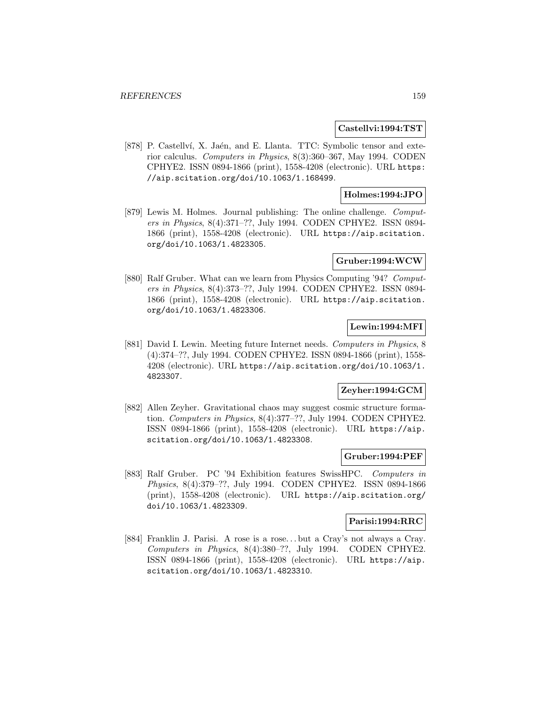#### **Castellvi:1994:TST**

[878] P. Castellví, X. Jaén, and E. Llanta. TTC: Symbolic tensor and exterior calculus. Computers in Physics, 8(3):360–367, May 1994. CODEN CPHYE2. ISSN 0894-1866 (print), 1558-4208 (electronic). URL https: //aip.scitation.org/doi/10.1063/1.168499.

# **Holmes:1994:JPO**

[879] Lewis M. Holmes. Journal publishing: The online challenge. Computers in Physics, 8(4):371–??, July 1994. CODEN CPHYE2. ISSN 0894- 1866 (print), 1558-4208 (electronic). URL https://aip.scitation. org/doi/10.1063/1.4823305.

#### **Gruber:1994:WCW**

[880] Ralf Gruber. What can we learn from Physics Computing '94? Computers in Physics, 8(4):373–??, July 1994. CODEN CPHYE2. ISSN 0894- 1866 (print), 1558-4208 (electronic). URL https://aip.scitation. org/doi/10.1063/1.4823306.

# **Lewin:1994:MFI**

[881] David I. Lewin. Meeting future Internet needs. Computers in Physics, 8 (4):374–??, July 1994. CODEN CPHYE2. ISSN 0894-1866 (print), 1558- 4208 (electronic). URL https://aip.scitation.org/doi/10.1063/1. 4823307.

# **Zeyher:1994:GCM**

[882] Allen Zeyher. Gravitational chaos may suggest cosmic structure formation. Computers in Physics, 8(4):377–??, July 1994. CODEN CPHYE2. ISSN 0894-1866 (print), 1558-4208 (electronic). URL https://aip. scitation.org/doi/10.1063/1.4823308.

#### **Gruber:1994:PEF**

[883] Ralf Gruber. PC '94 Exhibition features SwissHPC. Computers in Physics, 8(4):379–??, July 1994. CODEN CPHYE2. ISSN 0894-1866 (print), 1558-4208 (electronic). URL https://aip.scitation.org/ doi/10.1063/1.4823309.

#### **Parisi:1994:RRC**

[884] Franklin J. Parisi. A rose is a rose... but a Cray's not always a Cray. Computers in Physics, 8(4):380–??, July 1994. CODEN CPHYE2. ISSN 0894-1866 (print), 1558-4208 (electronic). URL https://aip. scitation.org/doi/10.1063/1.4823310.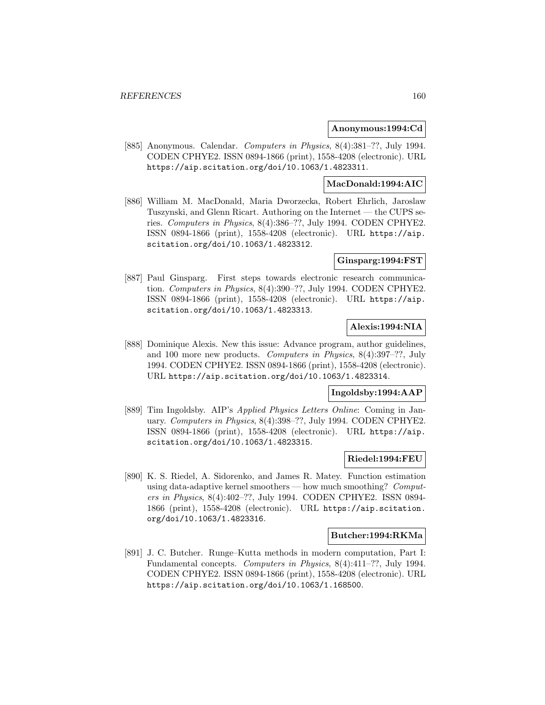#### **Anonymous:1994:Cd**

[885] Anonymous. Calendar. Computers in Physics, 8(4):381–??, July 1994. CODEN CPHYE2. ISSN 0894-1866 (print), 1558-4208 (electronic). URL https://aip.scitation.org/doi/10.1063/1.4823311.

# **MacDonald:1994:AIC**

[886] William M. MacDonald, Maria Dworzecka, Robert Ehrlich, Jaroslaw Tuszynski, and Glenn Ricart. Authoring on the Internet — the CUPS series. Computers in Physics, 8(4):386–??, July 1994. CODEN CPHYE2. ISSN 0894-1866 (print), 1558-4208 (electronic). URL https://aip. scitation.org/doi/10.1063/1.4823312.

#### **Ginsparg:1994:FST**

[887] Paul Ginsparg. First steps towards electronic research communication. Computers in Physics, 8(4):390–??, July 1994. CODEN CPHYE2. ISSN 0894-1866 (print), 1558-4208 (electronic). URL https://aip. scitation.org/doi/10.1063/1.4823313.

# **Alexis:1994:NIA**

[888] Dominique Alexis. New this issue: Advance program, author guidelines, and 100 more new products. Computers in Physics, 8(4):397–??, July 1994. CODEN CPHYE2. ISSN 0894-1866 (print), 1558-4208 (electronic). URL https://aip.scitation.org/doi/10.1063/1.4823314.

#### **Ingoldsby:1994:AAP**

[889] Tim Ingoldsby. AIP's Applied Physics Letters Online: Coming in January. Computers in Physics, 8(4):398–??, July 1994. CODEN CPHYE2. ISSN 0894-1866 (print), 1558-4208 (electronic). URL https://aip. scitation.org/doi/10.1063/1.4823315.

#### **Riedel:1994:FEU**

[890] K. S. Riedel, A. Sidorenko, and James R. Matey. Function estimation using data-adaptive kernel smoothers — how much smoothing? Computers in Physics, 8(4):402–??, July 1994. CODEN CPHYE2. ISSN 0894- 1866 (print), 1558-4208 (electronic). URL https://aip.scitation. org/doi/10.1063/1.4823316.

#### **Butcher:1994:RKMa**

[891] J. C. Butcher. Runge–Kutta methods in modern computation, Part I: Fundamental concepts. Computers in Physics, 8(4):411–??, July 1994. CODEN CPHYE2. ISSN 0894-1866 (print), 1558-4208 (electronic). URL https://aip.scitation.org/doi/10.1063/1.168500.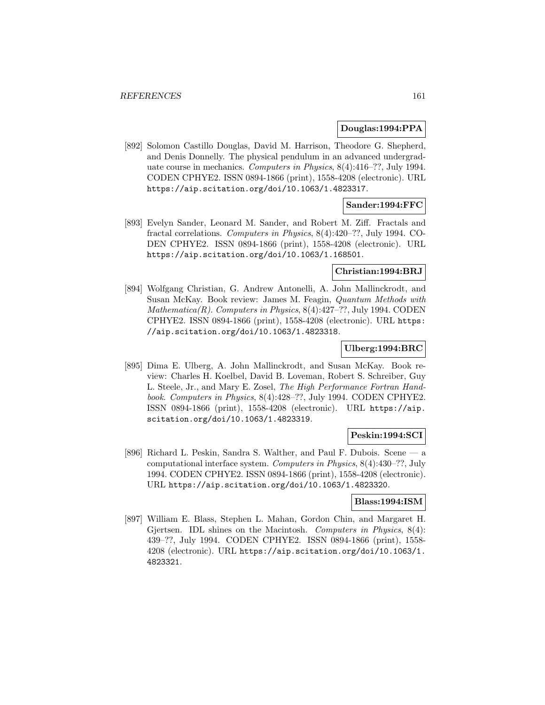#### **Douglas:1994:PPA**

[892] Solomon Castillo Douglas, David M. Harrison, Theodore G. Shepherd, and Denis Donnelly. The physical pendulum in an advanced undergraduate course in mechanics. Computers in Physics, 8(4):416–??, July 1994. CODEN CPHYE2. ISSN 0894-1866 (print), 1558-4208 (electronic). URL https://aip.scitation.org/doi/10.1063/1.4823317.

# **Sander:1994:FFC**

[893] Evelyn Sander, Leonard M. Sander, and Robert M. Ziff. Fractals and fractal correlations. Computers in Physics, 8(4):420–??, July 1994. CO-DEN CPHYE2. ISSN 0894-1866 (print), 1558-4208 (electronic). URL https://aip.scitation.org/doi/10.1063/1.168501.

# **Christian:1994:BRJ**

[894] Wolfgang Christian, G. Andrew Antonelli, A. John Mallinckrodt, and Susan McKay. Book review: James M. Feagin, Quantum Methods with Mathematica $(R)$ . Computers in Physics,  $8(4):427-$ ??, July 1994. CODEN CPHYE2. ISSN 0894-1866 (print), 1558-4208 (electronic). URL https: //aip.scitation.org/doi/10.1063/1.4823318.

# **Ulberg:1994:BRC**

[895] Dima E. Ulberg, A. John Mallinckrodt, and Susan McKay. Book review: Charles H. Koelbel, David B. Loveman, Robert S. Schreiber, Guy L. Steele, Jr., and Mary E. Zosel, The High Performance Fortran Handbook. Computers in Physics, 8(4):428–??, July 1994. CODEN CPHYE2. ISSN 0894-1866 (print), 1558-4208 (electronic). URL https://aip. scitation.org/doi/10.1063/1.4823319.

#### **Peskin:1994:SCI**

[896] Richard L. Peskin, Sandra S. Walther, and Paul F. Dubois. Scene — a computational interface system. Computers in Physics, 8(4):430–??, July 1994. CODEN CPHYE2. ISSN 0894-1866 (print), 1558-4208 (electronic). URL https://aip.scitation.org/doi/10.1063/1.4823320.

#### **Blass:1994:ISM**

[897] William E. Blass, Stephen L. Mahan, Gordon Chin, and Margaret H. Gjertsen. IDL shines on the Macintosh. Computers in Physics, 8(4): 439–??, July 1994. CODEN CPHYE2. ISSN 0894-1866 (print), 1558- 4208 (electronic). URL https://aip.scitation.org/doi/10.1063/1. 4823321.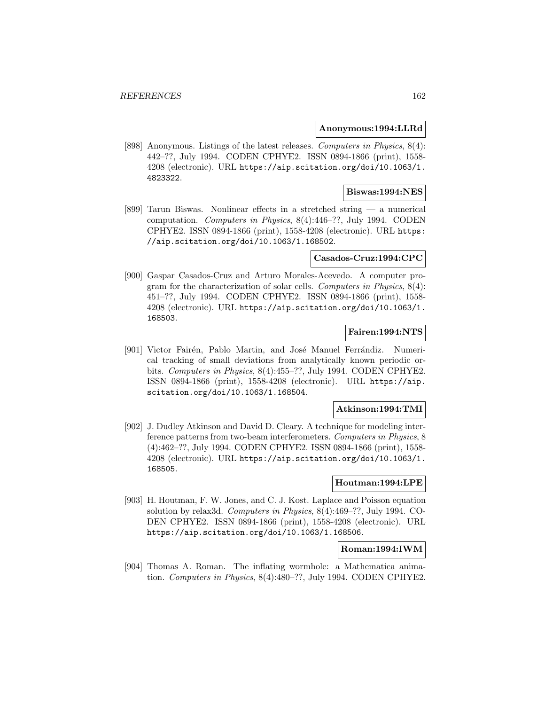#### **Anonymous:1994:LLRd**

[898] Anonymous. Listings of the latest releases. Computers in Physics, 8(4): 442–??, July 1994. CODEN CPHYE2. ISSN 0894-1866 (print), 1558- 4208 (electronic). URL https://aip.scitation.org/doi/10.1063/1. 4823322.

# **Biswas:1994:NES**

[899] Tarun Biswas. Nonlinear effects in a stretched string — a numerical computation. Computers in Physics, 8(4):446–??, July 1994. CODEN CPHYE2. ISSN 0894-1866 (print), 1558-4208 (electronic). URL https: //aip.scitation.org/doi/10.1063/1.168502.

## **Casados-Cruz:1994:CPC**

[900] Gaspar Casados-Cruz and Arturo Morales-Acevedo. A computer program for the characterization of solar cells. Computers in Physics,  $8(4)$ : 451–??, July 1994. CODEN CPHYE2. ISSN 0894-1866 (print), 1558- 4208 (electronic). URL https://aip.scitation.org/doi/10.1063/1. 168503.

## **Fairen:1994:NTS**

[901] Victor Fairén, Pablo Martin, and José Manuel Ferrándiz. Numerical tracking of small deviations from analytically known periodic orbits. Computers in Physics, 8(4):455–??, July 1994. CODEN CPHYE2. ISSN 0894-1866 (print), 1558-4208 (electronic). URL https://aip. scitation.org/doi/10.1063/1.168504.

# **Atkinson:1994:TMI**

[902] J. Dudley Atkinson and David D. Cleary. A technique for modeling interference patterns from two-beam interferometers. Computers in Physics, 8 (4):462–??, July 1994. CODEN CPHYE2. ISSN 0894-1866 (print), 1558- 4208 (electronic). URL https://aip.scitation.org/doi/10.1063/1. 168505.

# **Houtman:1994:LPE**

[903] H. Houtman, F. W. Jones, and C. J. Kost. Laplace and Poisson equation solution by relax3d. Computers in Physics, 8(4):469–??, July 1994. CO-DEN CPHYE2. ISSN 0894-1866 (print), 1558-4208 (electronic). URL https://aip.scitation.org/doi/10.1063/1.168506.

#### **Roman:1994:IWM**

[904] Thomas A. Roman. The inflating wormhole: a Mathematica animation. Computers in Physics, 8(4):480–??, July 1994. CODEN CPHYE2.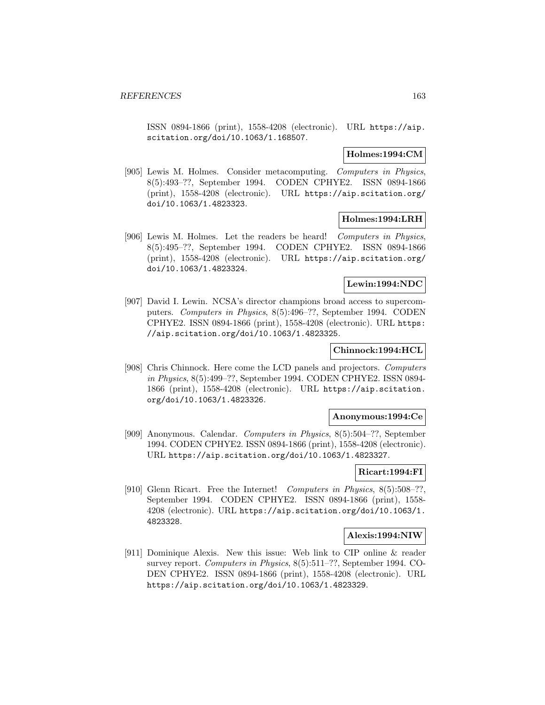ISSN 0894-1866 (print), 1558-4208 (electronic). URL https://aip. scitation.org/doi/10.1063/1.168507.

#### **Holmes:1994:CM**

[905] Lewis M. Holmes. Consider metacomputing. Computers in Physics, 8(5):493–??, September 1994. CODEN CPHYE2. ISSN 0894-1866 (print), 1558-4208 (electronic). URL https://aip.scitation.org/ doi/10.1063/1.4823323.

## **Holmes:1994:LRH**

[906] Lewis M. Holmes. Let the readers be heard! Computers in Physics, 8(5):495–??, September 1994. CODEN CPHYE2. ISSN 0894-1866 (print), 1558-4208 (electronic). URL https://aip.scitation.org/ doi/10.1063/1.4823324.

## **Lewin:1994:NDC**

[907] David I. Lewin. NCSA's director champions broad access to supercomputers. Computers in Physics, 8(5):496–??, September 1994. CODEN CPHYE2. ISSN 0894-1866 (print), 1558-4208 (electronic). URL https: //aip.scitation.org/doi/10.1063/1.4823325.

## **Chinnock:1994:HCL**

[908] Chris Chinnock. Here come the LCD panels and projectors. Computers in Physics, 8(5):499–??, September 1994. CODEN CPHYE2. ISSN 0894- 1866 (print), 1558-4208 (electronic). URL https://aip.scitation. org/doi/10.1063/1.4823326.

#### **Anonymous:1994:Ce**

[909] Anonymous. Calendar. Computers in Physics, 8(5):504–??, September 1994. CODEN CPHYE2. ISSN 0894-1866 (print), 1558-4208 (electronic). URL https://aip.scitation.org/doi/10.1063/1.4823327.

## **Ricart:1994:FI**

[910] Glenn Ricart. Free the Internet! Computers in Physics, 8(5):508-??, September 1994. CODEN CPHYE2. ISSN 0894-1866 (print), 1558- 4208 (electronic). URL https://aip.scitation.org/doi/10.1063/1. 4823328.

#### **Alexis:1994:NIW**

[911] Dominique Alexis. New this issue: Web link to CIP online & reader survey report. Computers in Physics, 8(5):511–??, September 1994. CO-DEN CPHYE2. ISSN 0894-1866 (print), 1558-4208 (electronic). URL https://aip.scitation.org/doi/10.1063/1.4823329.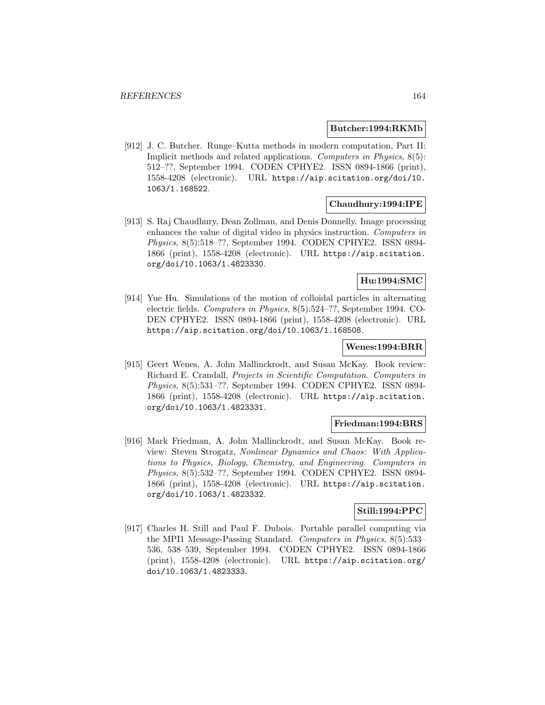#### **Butcher:1994:RKMb**

[912] J. C. Butcher. Runge–Kutta methods in modern computation, Part II: Implicit methods and related applications. Computers in Physics, 8(5): 512–??, September 1994. CODEN CPHYE2. ISSN 0894-1866 (print), 1558-4208 (electronic). URL https://aip.scitation.org/doi/10. 1063/1.168522.

#### **Chaudhury:1994:IPE**

[913] S. Raj Chaudhury, Dean Zollman, and Denis Donnelly. Image processing enhances the value of digital video in physics instruction. Computers in Physics, 8(5):518–??, September 1994. CODEN CPHYE2. ISSN 0894- 1866 (print), 1558-4208 (electronic). URL https://aip.scitation. org/doi/10.1063/1.4823330.

# **Hu:1994:SMC**

[914] Yue Hu. Simulations of the motion of colloidal particles in alternating electric fields. Computers in Physics, 8(5):524–??, September 1994. CO-DEN CPHYE2. ISSN 0894-1866 (print), 1558-4208 (electronic). URL https://aip.scitation.org/doi/10.1063/1.168508.

#### **Wenes:1994:BRR**

[915] Geert Wenes, A. John Mallinckrodt, and Susan McKay. Book review: Richard E. Crandall, Projects in Scientific Computation. Computers in Physics, 8(5):531–??, September 1994. CODEN CPHYE2. ISSN 0894- 1866 (print), 1558-4208 (electronic). URL https://aip.scitation. org/doi/10.1063/1.4823331.

## **Friedman:1994:BRS**

[916] Mark Friedman, A. John Mallinckrodt, and Susan McKay. Book review: Steven Strogatz, Nonlinear Dynamics and Chaos: With Applications to Physics, Biology, Chemistry, and Engineering. Computers in Physics, 8(5):532–??, September 1994. CODEN CPHYE2. ISSN 0894- 1866 (print), 1558-4208 (electronic). URL https://aip.scitation. org/doi/10.1063/1.4823332.

# **Still:1994:PPC**

[917] Charles H. Still and Paul F. Dubois. Portable parallel computing via the MPI1 Message-Passing Standard. Computers in Physics, 8(5):533– 536, 538–539, September 1994. CODEN CPHYE2. ISSN 0894-1866 (print), 1558-4208 (electronic). URL https://aip.scitation.org/ doi/10.1063/1.4823333.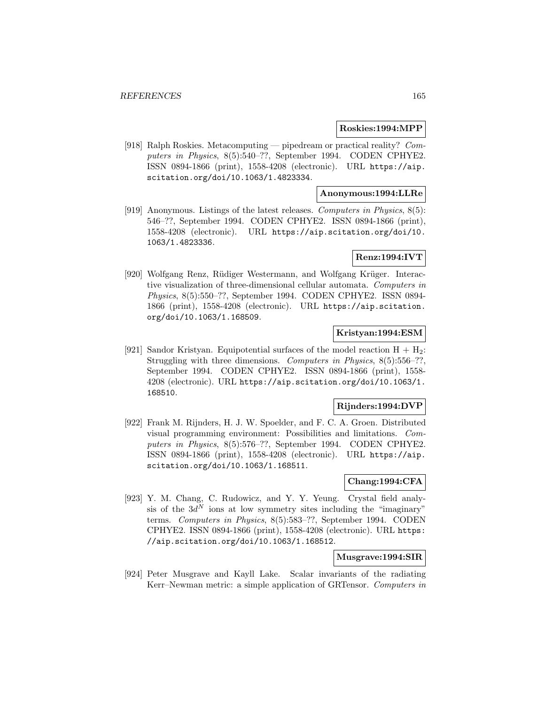#### **Roskies:1994:MPP**

[918] Ralph Roskies. Metacomputing — pipedream or practical reality? Computers in Physics, 8(5):540–??, September 1994. CODEN CPHYE2. ISSN 0894-1866 (print), 1558-4208 (electronic). URL https://aip. scitation.org/doi/10.1063/1.4823334.

## **Anonymous:1994:LLRe**

[919] Anonymous. Listings of the latest releases. Computers in Physics, 8(5): 546–??, September 1994. CODEN CPHYE2. ISSN 0894-1866 (print), 1558-4208 (electronic). URL https://aip.scitation.org/doi/10. 1063/1.4823336.

## **Renz:1994:IVT**

[920] Wolfgang Renz, Rüdiger Westermann, and Wolfgang Krüger. Interactive visualization of three-dimensional cellular automata. Computers in Physics, 8(5):550–??, September 1994. CODEN CPHYE2. ISSN 0894- 1866 (print), 1558-4208 (electronic). URL https://aip.scitation. org/doi/10.1063/1.168509.

# **Kristyan:1994:ESM**

[921] Sandor Kristyan. Equipotential surfaces of the model reaction  $H + H_2$ : Struggling with three dimensions. Computers in Physics, 8(5):556–??, September 1994. CODEN CPHYE2. ISSN 0894-1866 (print), 1558- 4208 (electronic). URL https://aip.scitation.org/doi/10.1063/1. 168510.

# **Rijnders:1994:DVP**

[922] Frank M. Rijnders, H. J. W. Spoelder, and F. C. A. Groen. Distributed visual programming environment: Possibilities and limitations. Computers in Physics, 8(5):576–??, September 1994. CODEN CPHYE2. ISSN 0894-1866 (print), 1558-4208 (electronic). URL https://aip. scitation.org/doi/10.1063/1.168511.

#### **Chang:1994:CFA**

[923] Y. M. Chang, C. Rudowicz, and Y. Y. Yeung. Crystal field analysis of the  $3d^N$  ions at low symmetry sites including the "imaginary" terms. Computers in Physics, 8(5):583–??, September 1994. CODEN CPHYE2. ISSN 0894-1866 (print), 1558-4208 (electronic). URL https: //aip.scitation.org/doi/10.1063/1.168512.

## **Musgrave:1994:SIR**

[924] Peter Musgrave and Kayll Lake. Scalar invariants of the radiating Kerr–Newman metric: a simple application of GRTensor. Computers in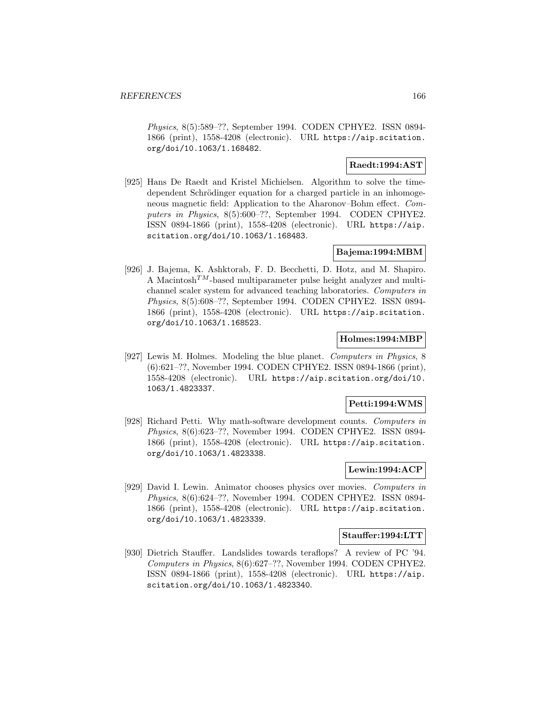Physics, 8(5):589–??, September 1994. CODEN CPHYE2. ISSN 0894- 1866 (print), 1558-4208 (electronic). URL https://aip.scitation. org/doi/10.1063/1.168482.

# **Raedt:1994:AST**

[925] Hans De Raedt and Kristel Michielsen. Algorithm to solve the timedependent Schrödinger equation for a charged particle in an inhomogeneous magnetic field: Application to the Aharonov–Bohm effect. Computers in Physics, 8(5):600–??, September 1994. CODEN CPHYE2. ISSN 0894-1866 (print), 1558-4208 (electronic). URL https://aip. scitation.org/doi/10.1063/1.168483.

# **Bajema:1994:MBM**

[926] J. Bajema, K. Ashktorab, F. D. Becchetti, D. Hotz, and M. Shapiro. A Macintosh<sup>TM</sup>-based multiparameter pulse height analyzer and multichannel scaler system for advanced teaching laboratories. Computers in Physics, 8(5):608–??, September 1994. CODEN CPHYE2. ISSN 0894- 1866 (print), 1558-4208 (electronic). URL https://aip.scitation. org/doi/10.1063/1.168523.

## **Holmes:1994:MBP**

[927] Lewis M. Holmes. Modeling the blue planet. Computers in Physics, 8 (6):621–??, November 1994. CODEN CPHYE2. ISSN 0894-1866 (print), 1558-4208 (electronic). URL https://aip.scitation.org/doi/10. 1063/1.4823337.

## **Petti:1994:WMS**

[928] Richard Petti. Why math-software development counts. Computers in Physics, 8(6):623–??, November 1994. CODEN CPHYE2. ISSN 0894- 1866 (print), 1558-4208 (electronic). URL https://aip.scitation. org/doi/10.1063/1.4823338.

# **Lewin:1994:ACP**

[929] David I. Lewin. Animator chooses physics over movies. Computers in Physics, 8(6):624–??, November 1994. CODEN CPHYE2. ISSN 0894- 1866 (print), 1558-4208 (electronic). URL https://aip.scitation. org/doi/10.1063/1.4823339.

#### **Stauffer:1994:LTT**

[930] Dietrich Stauffer. Landslides towards teraflops? A review of PC '94. Computers in Physics, 8(6):627–??, November 1994. CODEN CPHYE2. ISSN 0894-1866 (print), 1558-4208 (electronic). URL https://aip. scitation.org/doi/10.1063/1.4823340.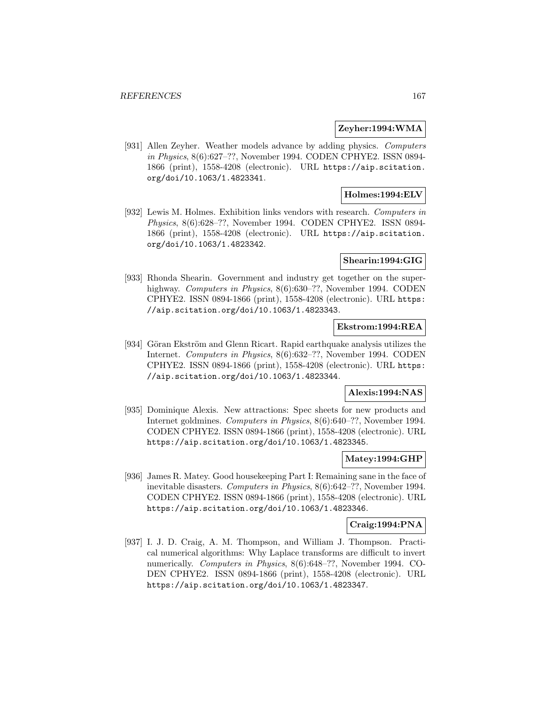#### **Zeyher:1994:WMA**

[931] Allen Zeyher. Weather models advance by adding physics. Computers in Physics, 8(6):627–??, November 1994. CODEN CPHYE2. ISSN 0894- 1866 (print), 1558-4208 (electronic). URL https://aip.scitation. org/doi/10.1063/1.4823341.

# **Holmes:1994:ELV**

[932] Lewis M. Holmes. Exhibition links vendors with research. Computers in Physics, 8(6):628–??, November 1994. CODEN CPHYE2. ISSN 0894- 1866 (print), 1558-4208 (electronic). URL https://aip.scitation. org/doi/10.1063/1.4823342.

#### **Shearin:1994:GIG**

[933] Rhonda Shearin. Government and industry get together on the superhighway. Computers in Physics, 8(6):630–??, November 1994. CODEN CPHYE2. ISSN 0894-1866 (print), 1558-4208 (electronic). URL https: //aip.scitation.org/doi/10.1063/1.4823343.

## **Ekstrom:1994:REA**

[934] Göran Ekström and Glenn Ricart. Rapid earthquake analysis utilizes the Internet. Computers in Physics, 8(6):632–??, November 1994. CODEN CPHYE2. ISSN 0894-1866 (print), 1558-4208 (electronic). URL https: //aip.scitation.org/doi/10.1063/1.4823344.

#### **Alexis:1994:NAS**

[935] Dominique Alexis. New attractions: Spec sheets for new products and Internet goldmines. Computers in Physics, 8(6):640–??, November 1994. CODEN CPHYE2. ISSN 0894-1866 (print), 1558-4208 (electronic). URL https://aip.scitation.org/doi/10.1063/1.4823345.

#### **Matey:1994:GHP**

[936] James R. Matey. Good housekeeping Part I: Remaining sane in the face of inevitable disasters. Computers in Physics, 8(6):642–??, November 1994. CODEN CPHYE2. ISSN 0894-1866 (print), 1558-4208 (electronic). URL https://aip.scitation.org/doi/10.1063/1.4823346.

#### **Craig:1994:PNA**

[937] I. J. D. Craig, A. M. Thompson, and William J. Thompson. Practical numerical algorithms: Why Laplace transforms are difficult to invert numerically. Computers in Physics, 8(6):648–??, November 1994. CO-DEN CPHYE2. ISSN 0894-1866 (print), 1558-4208 (electronic). URL https://aip.scitation.org/doi/10.1063/1.4823347.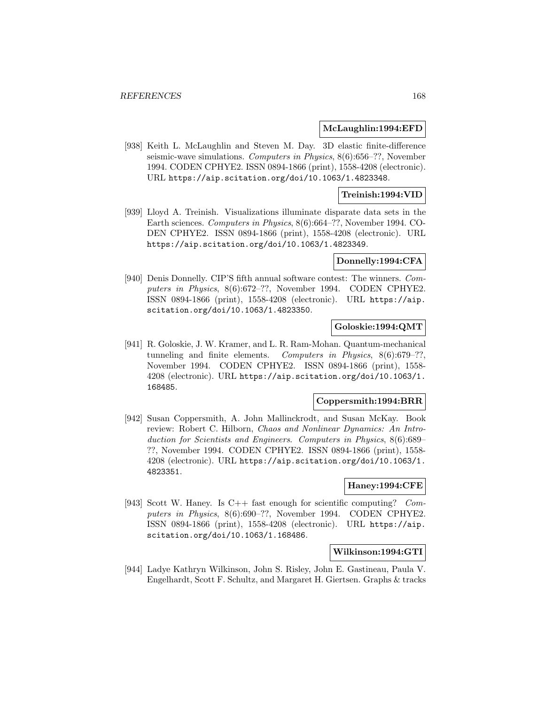#### **McLaughlin:1994:EFD**

[938] Keith L. McLaughlin and Steven M. Day. 3D elastic finite-difference seismic-wave simulations. Computers in Physics, 8(6):656–??, November 1994. CODEN CPHYE2. ISSN 0894-1866 (print), 1558-4208 (electronic). URL https://aip.scitation.org/doi/10.1063/1.4823348.

## **Treinish:1994:VID**

[939] Lloyd A. Treinish. Visualizations illuminate disparate data sets in the Earth sciences. Computers in Physics, 8(6):664–??, November 1994. CO-DEN CPHYE2. ISSN 0894-1866 (print), 1558-4208 (electronic). URL https://aip.scitation.org/doi/10.1063/1.4823349.

## **Donnelly:1994:CFA**

[940] Denis Donnelly. CIP'S fifth annual software contest: The winners. Computers in Physics, 8(6):672–??, November 1994. CODEN CPHYE2. ISSN 0894-1866 (print), 1558-4208 (electronic). URL https://aip. scitation.org/doi/10.1063/1.4823350.

# **Goloskie:1994:QMT**

[941] R. Goloskie, J. W. Kramer, and L. R. Ram-Mohan. Quantum-mechanical tunneling and finite elements. Computers in Physics, 8(6):679–??, November 1994. CODEN CPHYE2. ISSN 0894-1866 (print), 1558- 4208 (electronic). URL https://aip.scitation.org/doi/10.1063/1. 168485.

## **Coppersmith:1994:BRR**

[942] Susan Coppersmith, A. John Mallinckrodt, and Susan McKay. Book review: Robert C. Hilborn, Chaos and Nonlinear Dynamics: An Introduction for Scientists and Engineers. Computers in Physics, 8(6):689– ??, November 1994. CODEN CPHYE2. ISSN 0894-1866 (print), 1558- 4208 (electronic). URL https://aip.scitation.org/doi/10.1063/1. 4823351.

#### **Haney:1994:CFE**

[943] Scott W. Haney. Is C++ fast enough for scientific computing? Computers in Physics, 8(6):690–??, November 1994. CODEN CPHYE2. ISSN 0894-1866 (print), 1558-4208 (electronic). URL https://aip. scitation.org/doi/10.1063/1.168486.

#### **Wilkinson:1994:GTI**

[944] Ladye Kathryn Wilkinson, John S. Risley, John E. Gastineau, Paula V. Engelhardt, Scott F. Schultz, and Margaret H. Giertsen. Graphs & tracks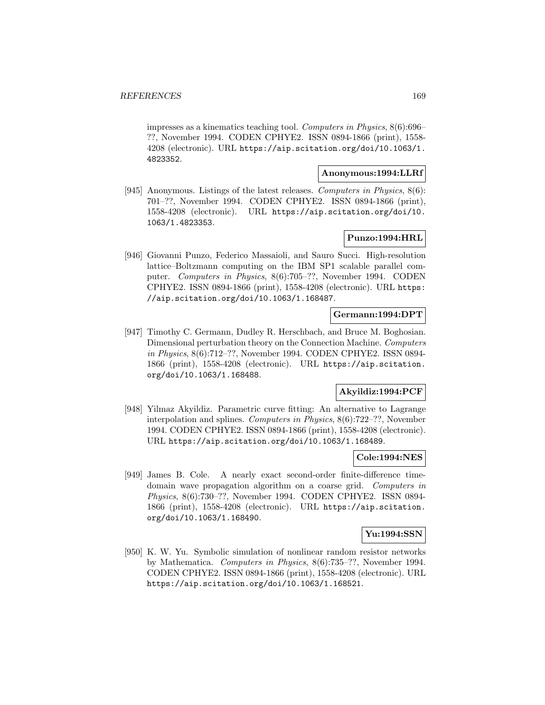impresses as a kinematics teaching tool. Computers in Physics, 8(6):696– ??, November 1994. CODEN CPHYE2. ISSN 0894-1866 (print), 1558- 4208 (electronic). URL https://aip.scitation.org/doi/10.1063/1. 4823352.

#### **Anonymous:1994:LLRf**

[945] Anonymous. Listings of the latest releases. Computers in Physics, 8(6): 701–??, November 1994. CODEN CPHYE2. ISSN 0894-1866 (print), 1558-4208 (electronic). URL https://aip.scitation.org/doi/10. 1063/1.4823353.

# **Punzo:1994:HRL**

[946] Giovanni Punzo, Federico Massaioli, and Sauro Succi. High-resolution lattice–Boltzmann computing on the IBM SP1 scalable parallel computer. Computers in Physics, 8(6):705–??, November 1994. CODEN CPHYE2. ISSN 0894-1866 (print), 1558-4208 (electronic). URL https: //aip.scitation.org/doi/10.1063/1.168487.

# **Germann:1994:DPT**

[947] Timothy C. Germann, Dudley R. Herschbach, and Bruce M. Boghosian. Dimensional perturbation theory on the Connection Machine. Computers in Physics, 8(6):712–??, November 1994. CODEN CPHYE2. ISSN 0894- 1866 (print), 1558-4208 (electronic). URL https://aip.scitation. org/doi/10.1063/1.168488.

# **Akyildiz:1994:PCF**

[948] Yilmaz Akyildiz. Parametric curve fitting: An alternative to Lagrange interpolation and splines. Computers in Physics, 8(6):722–??, November 1994. CODEN CPHYE2. ISSN 0894-1866 (print), 1558-4208 (electronic). URL https://aip.scitation.org/doi/10.1063/1.168489.

#### **Cole:1994:NES**

[949] James B. Cole. A nearly exact second-order finite-difference timedomain wave propagation algorithm on a coarse grid. Computers in Physics, 8(6):730–??, November 1994. CODEN CPHYE2. ISSN 0894- 1866 (print), 1558-4208 (electronic). URL https://aip.scitation. org/doi/10.1063/1.168490.

## **Yu:1994:SSN**

[950] K. W. Yu. Symbolic simulation of nonlinear random resistor networks by Mathematica. Computers in Physics, 8(6):735–??, November 1994. CODEN CPHYE2. ISSN 0894-1866 (print), 1558-4208 (electronic). URL https://aip.scitation.org/doi/10.1063/1.168521.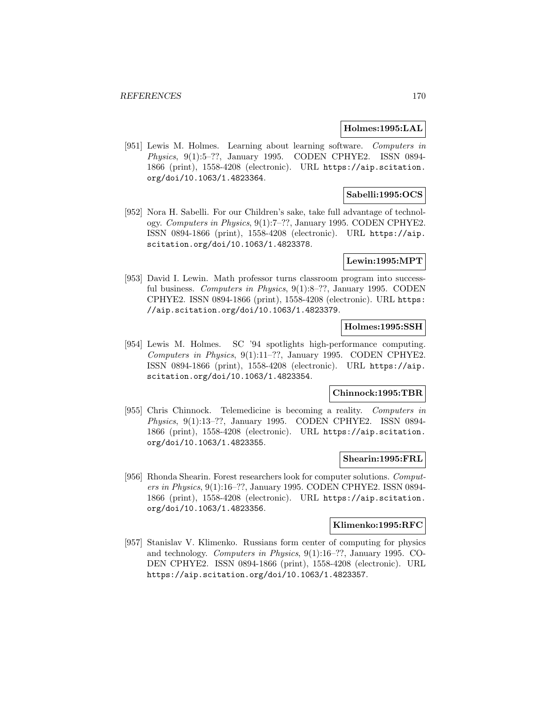#### **Holmes:1995:LAL**

[951] Lewis M. Holmes. Learning about learning software. Computers in Physics, 9(1):5–??, January 1995. CODEN CPHYE2. ISSN 0894- 1866 (print), 1558-4208 (electronic). URL https://aip.scitation. org/doi/10.1063/1.4823364.

# **Sabelli:1995:OCS**

[952] Nora H. Sabelli. For our Children's sake, take full advantage of technology. Computers in Physics, 9(1):7–??, January 1995. CODEN CPHYE2. ISSN 0894-1866 (print), 1558-4208 (electronic). URL https://aip. scitation.org/doi/10.1063/1.4823378.

#### **Lewin:1995:MPT**

[953] David I. Lewin. Math professor turns classroom program into successful business. Computers in Physics, 9(1):8–??, January 1995. CODEN CPHYE2. ISSN 0894-1866 (print), 1558-4208 (electronic). URL https: //aip.scitation.org/doi/10.1063/1.4823379.

## **Holmes:1995:SSH**

[954] Lewis M. Holmes. SC '94 spotlights high-performance computing. Computers in Physics, 9(1):11–??, January 1995. CODEN CPHYE2. ISSN 0894-1866 (print), 1558-4208 (electronic). URL https://aip. scitation.org/doi/10.1063/1.4823354.

#### **Chinnock:1995:TBR**

[955] Chris Chinnock. Telemedicine is becoming a reality. Computers in Physics, 9(1):13–??, January 1995. CODEN CPHYE2. ISSN 0894- 1866 (print), 1558-4208 (electronic). URL https://aip.scitation. org/doi/10.1063/1.4823355.

#### **Shearin:1995:FRL**

[956] Rhonda Shearin. Forest researchers look for computer solutions. Computers in Physics, 9(1):16–??, January 1995. CODEN CPHYE2. ISSN 0894- 1866 (print), 1558-4208 (electronic). URL https://aip.scitation. org/doi/10.1063/1.4823356.

#### **Klimenko:1995:RFC**

[957] Stanislav V. Klimenko. Russians form center of computing for physics and technology. Computers in Physics, 9(1):16–??, January 1995. CO-DEN CPHYE2. ISSN 0894-1866 (print), 1558-4208 (electronic). URL https://aip.scitation.org/doi/10.1063/1.4823357.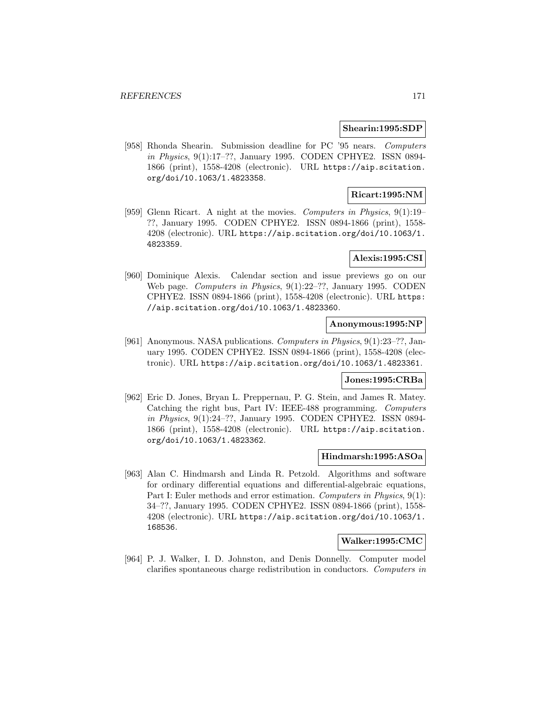#### **Shearin:1995:SDP**

[958] Rhonda Shearin. Submission deadline for PC '95 nears. Computers in Physics, 9(1):17–??, January 1995. CODEN CPHYE2. ISSN 0894- 1866 (print), 1558-4208 (electronic). URL https://aip.scitation. org/doi/10.1063/1.4823358.

# **Ricart:1995:NM**

[959] Glenn Ricart. A night at the movies. Computers in Physics, 9(1):19– ??, January 1995. CODEN CPHYE2. ISSN 0894-1866 (print), 1558- 4208 (electronic). URL https://aip.scitation.org/doi/10.1063/1. 4823359.

# **Alexis:1995:CSI**

[960] Dominique Alexis. Calendar section and issue previews go on our Web page. Computers in Physics, 9(1):22–??, January 1995. CODEN CPHYE2. ISSN 0894-1866 (print), 1558-4208 (electronic). URL https: //aip.scitation.org/doi/10.1063/1.4823360.

# **Anonymous:1995:NP**

[961] Anonymous. NASA publications. Computers in Physics, 9(1):23–??, January 1995. CODEN CPHYE2. ISSN 0894-1866 (print), 1558-4208 (electronic). URL https://aip.scitation.org/doi/10.1063/1.4823361.

## **Jones:1995:CRBa**

[962] Eric D. Jones, Bryan L. Preppernau, P. G. Stein, and James R. Matey. Catching the right bus, Part IV: IEEE-488 programming. Computers in Physics, 9(1):24–??, January 1995. CODEN CPHYE2. ISSN 0894- 1866 (print), 1558-4208 (electronic). URL https://aip.scitation. org/doi/10.1063/1.4823362.

## **Hindmarsh:1995:ASOa**

[963] Alan C. Hindmarsh and Linda R. Petzold. Algorithms and software for ordinary differential equations and differential-algebraic equations, Part I: Euler methods and error estimation. Computers in Physics, 9(1): 34–??, January 1995. CODEN CPHYE2. ISSN 0894-1866 (print), 1558- 4208 (electronic). URL https://aip.scitation.org/doi/10.1063/1. 168536.

#### **Walker:1995:CMC**

[964] P. J. Walker, I. D. Johnston, and Denis Donnelly. Computer model clarifies spontaneous charge redistribution in conductors. Computers in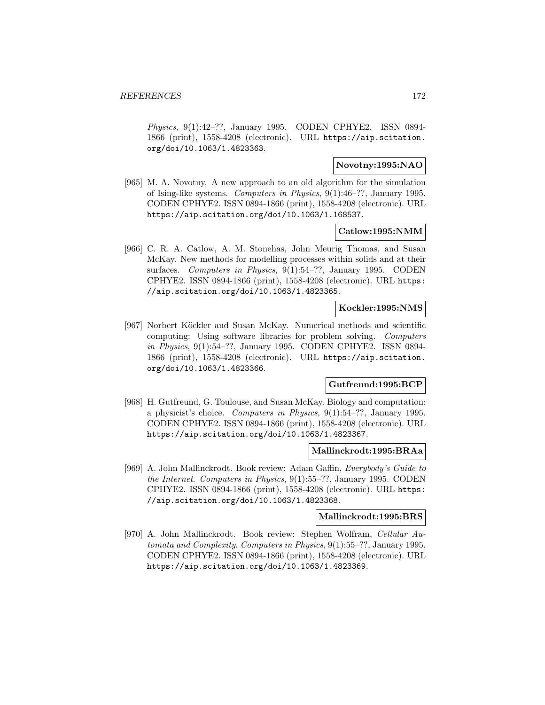Physics, 9(1):42–??, January 1995. CODEN CPHYE2. ISSN 0894- 1866 (print), 1558-4208 (electronic). URL https://aip.scitation. org/doi/10.1063/1.4823363.

# **Novotny:1995:NAO**

[965] M. A. Novotny. A new approach to an old algorithm for the simulation of Ising-like systems. Computers in Physics, 9(1):46–??, January 1995. CODEN CPHYE2. ISSN 0894-1866 (print), 1558-4208 (electronic). URL https://aip.scitation.org/doi/10.1063/1.168537.

# **Catlow:1995:NMM**

[966] C. R. A. Catlow, A. M. Stonehas, John Meurig Thomas, and Susan McKay. New methods for modelling processes within solids and at their surfaces. Computers in Physics, 9(1):54–??, January 1995. CODEN CPHYE2. ISSN 0894-1866 (print), 1558-4208 (electronic). URL https: //aip.scitation.org/doi/10.1063/1.4823365.

# **Kockler:1995:NMS**

[967] Norbert Köckler and Susan McKay. Numerical methods and scientific computing: Using software libraries for problem solving. Computers in Physics, 9(1):54–??, January 1995. CODEN CPHYE2. ISSN 0894- 1866 (print), 1558-4208 (electronic). URL https://aip.scitation. org/doi/10.1063/1.4823366.

# **Gutfreund:1995:BCP**

[968] H. Gutfreund, G. Toulouse, and Susan McKay. Biology and computation: a physicist's choice. Computers in Physics, 9(1):54–??, January 1995. CODEN CPHYE2. ISSN 0894-1866 (print), 1558-4208 (electronic). URL https://aip.scitation.org/doi/10.1063/1.4823367.

## **Mallinckrodt:1995:BRAa**

[969] A. John Mallinckrodt. Book review: Adam Gaffin, Everybody's Guide to the Internet. Computers in Physics, 9(1):55–??, January 1995. CODEN CPHYE2. ISSN 0894-1866 (print), 1558-4208 (electronic). URL https: //aip.scitation.org/doi/10.1063/1.4823368.

#### **Mallinckrodt:1995:BRS**

[970] A. John Mallinckrodt. Book review: Stephen Wolfram, Cellular Automata and Complexity. Computers in Physics, 9(1):55–??, January 1995. CODEN CPHYE2. ISSN 0894-1866 (print), 1558-4208 (electronic). URL https://aip.scitation.org/doi/10.1063/1.4823369.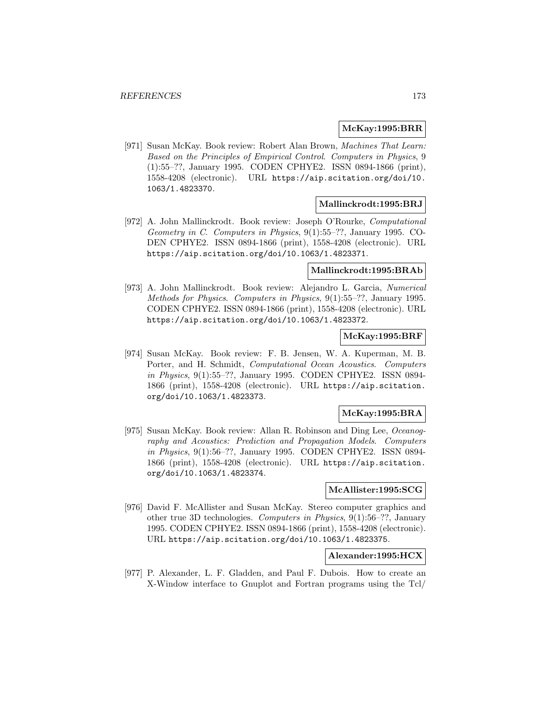#### **McKay:1995:BRR**

[971] Susan McKay. Book review: Robert Alan Brown, Machines That Learn: Based on the Principles of Empirical Control. Computers in Physics, 9 (1):55–??, January 1995. CODEN CPHYE2. ISSN 0894-1866 (print), 1558-4208 (electronic). URL https://aip.scitation.org/doi/10. 1063/1.4823370.

#### **Mallinckrodt:1995:BRJ**

[972] A. John Mallinckrodt. Book review: Joseph O'Rourke, Computational Geometry in C. Computers in Physics, 9(1):55–??, January 1995. CO-DEN CPHYE2. ISSN 0894-1866 (print), 1558-4208 (electronic). URL https://aip.scitation.org/doi/10.1063/1.4823371.

#### **Mallinckrodt:1995:BRAb**

[973] A. John Mallinckrodt. Book review: Alejandro L. Garcia, Numerical Methods for Physics. Computers in Physics, 9(1):55–??, January 1995. CODEN CPHYE2. ISSN 0894-1866 (print), 1558-4208 (electronic). URL https://aip.scitation.org/doi/10.1063/1.4823372.

# **McKay:1995:BRF**

[974] Susan McKay. Book review: F. B. Jensen, W. A. Kuperman, M. B. Porter, and H. Schmidt, Computational Ocean Acoustics. Computers in Physics, 9(1):55–??, January 1995. CODEN CPHYE2. ISSN 0894- 1866 (print), 1558-4208 (electronic). URL https://aip.scitation. org/doi/10.1063/1.4823373.

## **McKay:1995:BRA**

[975] Susan McKay. Book review: Allan R. Robinson and Ding Lee, Oceanography and Acoustics: Prediction and Propagation Models. Computers in Physics, 9(1):56–??, January 1995. CODEN CPHYE2. ISSN 0894- 1866 (print), 1558-4208 (electronic). URL https://aip.scitation. org/doi/10.1063/1.4823374.

# **McAllister:1995:SCG**

[976] David F. McAllister and Susan McKay. Stereo computer graphics and other true 3D technologies. Computers in Physics, 9(1):56–??, January 1995. CODEN CPHYE2. ISSN 0894-1866 (print), 1558-4208 (electronic). URL https://aip.scitation.org/doi/10.1063/1.4823375.

#### **Alexander:1995:HCX**

[977] P. Alexander, L. F. Gladden, and Paul F. Dubois. How to create an X-Window interface to Gnuplot and Fortran programs using the Tcl/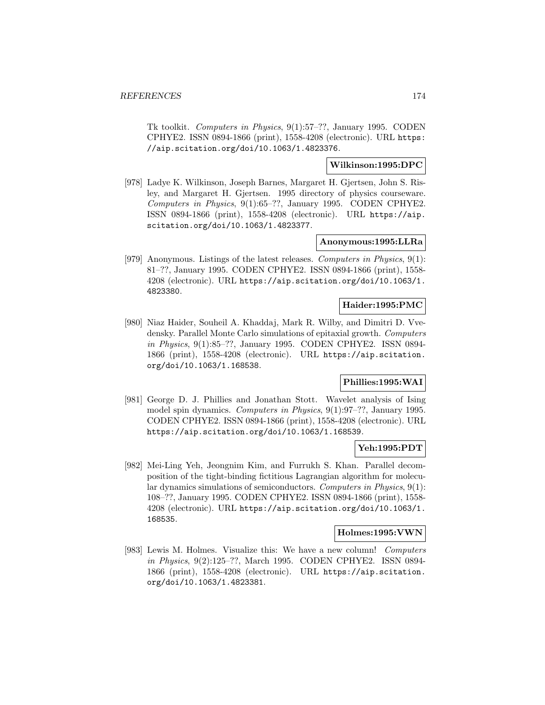Tk toolkit. Computers in Physics, 9(1):57–??, January 1995. CODEN CPHYE2. ISSN 0894-1866 (print), 1558-4208 (electronic). URL https: //aip.scitation.org/doi/10.1063/1.4823376.

# **Wilkinson:1995:DPC**

[978] Ladye K. Wilkinson, Joseph Barnes, Margaret H. Gjertsen, John S. Risley, and Margaret H. Gjertsen. 1995 directory of physics courseware. Computers in Physics, 9(1):65–??, January 1995. CODEN CPHYE2. ISSN 0894-1866 (print), 1558-4208 (electronic). URL https://aip. scitation.org/doi/10.1063/1.4823377.

## **Anonymous:1995:LLRa**

[979] Anonymous. Listings of the latest releases. Computers in Physics, 9(1): 81–??, January 1995. CODEN CPHYE2. ISSN 0894-1866 (print), 1558- 4208 (electronic). URL https://aip.scitation.org/doi/10.1063/1. 4823380.

#### **Haider:1995:PMC**

[980] Niaz Haider, Souheil A. Khaddaj, Mark R. Wilby, and Dimitri D. Vvedensky. Parallel Monte Carlo simulations of epitaxial growth. Computers in Physics, 9(1):85–??, January 1995. CODEN CPHYE2. ISSN 0894- 1866 (print), 1558-4208 (electronic). URL https://aip.scitation. org/doi/10.1063/1.168538.

# **Phillies:1995:WAI**

[981] George D. J. Phillies and Jonathan Stott. Wavelet analysis of Ising model spin dynamics. Computers in Physics, 9(1):97-??, January 1995. CODEN CPHYE2. ISSN 0894-1866 (print), 1558-4208 (electronic). URL https://aip.scitation.org/doi/10.1063/1.168539.

## **Yeh:1995:PDT**

[982] Mei-Ling Yeh, Jeongnim Kim, and Furrukh S. Khan. Parallel decomposition of the tight-binding fictitious Lagrangian algorithm for molecular dynamics simulations of semiconductors. Computers in Physics, 9(1): 108–??, January 1995. CODEN CPHYE2. ISSN 0894-1866 (print), 1558- 4208 (electronic). URL https://aip.scitation.org/doi/10.1063/1. 168535.

# **Holmes:1995:VWN**

[983] Lewis M. Holmes. Visualize this: We have a new column! Computers in Physics, 9(2):125–??, March 1995. CODEN CPHYE2. ISSN 0894- 1866 (print), 1558-4208 (electronic). URL https://aip.scitation. org/doi/10.1063/1.4823381.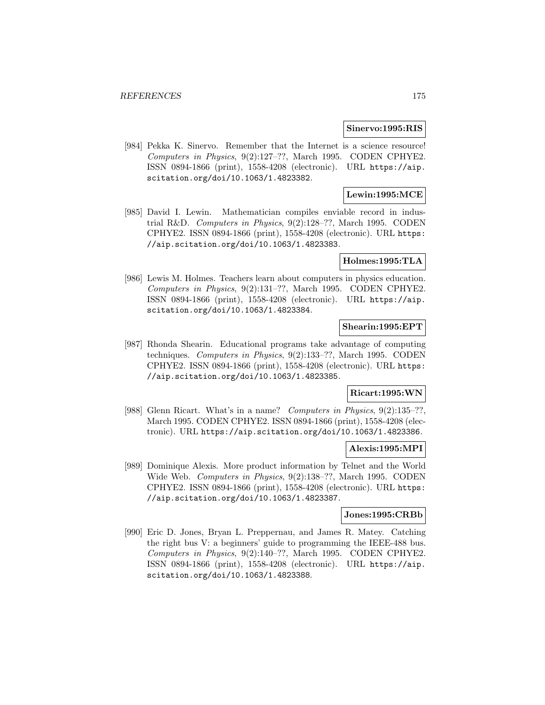#### **Sinervo:1995:RIS**

[984] Pekka K. Sinervo. Remember that the Internet is a science resource! Computers in Physics, 9(2):127–??, March 1995. CODEN CPHYE2. ISSN 0894-1866 (print), 1558-4208 (electronic). URL https://aip. scitation.org/doi/10.1063/1.4823382.

# **Lewin:1995:MCE**

[985] David I. Lewin. Mathematician compiles enviable record in industrial R&D. Computers in Physics, 9(2):128–??, March 1995. CODEN CPHYE2. ISSN 0894-1866 (print), 1558-4208 (electronic). URL https: //aip.scitation.org/doi/10.1063/1.4823383.

#### **Holmes:1995:TLA**

[986] Lewis M. Holmes. Teachers learn about computers in physics education. Computers in Physics, 9(2):131–??, March 1995. CODEN CPHYE2. ISSN 0894-1866 (print), 1558-4208 (electronic). URL https://aip. scitation.org/doi/10.1063/1.4823384.

#### **Shearin:1995:EPT**

[987] Rhonda Shearin. Educational programs take advantage of computing techniques. Computers in Physics, 9(2):133–??, March 1995. CODEN CPHYE2. ISSN 0894-1866 (print), 1558-4208 (electronic). URL https: //aip.scitation.org/doi/10.1063/1.4823385.

# **Ricart:1995:WN**

[988] Glenn Ricart. What's in a name? Computers in Physics, 9(2):135–??, March 1995. CODEN CPHYE2. ISSN 0894-1866 (print), 1558-4208 (electronic). URL https://aip.scitation.org/doi/10.1063/1.4823386.

## **Alexis:1995:MPI**

[989] Dominique Alexis. More product information by Telnet and the World Wide Web. Computers in Physics, 9(2):138–??, March 1995. CODEN CPHYE2. ISSN 0894-1866 (print), 1558-4208 (electronic). URL https: //aip.scitation.org/doi/10.1063/1.4823387.

#### **Jones:1995:CRBb**

[990] Eric D. Jones, Bryan L. Preppernau, and James R. Matey. Catching the right bus V: a beginners' guide to programming the IEEE-488 bus. Computers in Physics, 9(2):140–??, March 1995. CODEN CPHYE2. ISSN 0894-1866 (print), 1558-4208 (electronic). URL https://aip. scitation.org/doi/10.1063/1.4823388.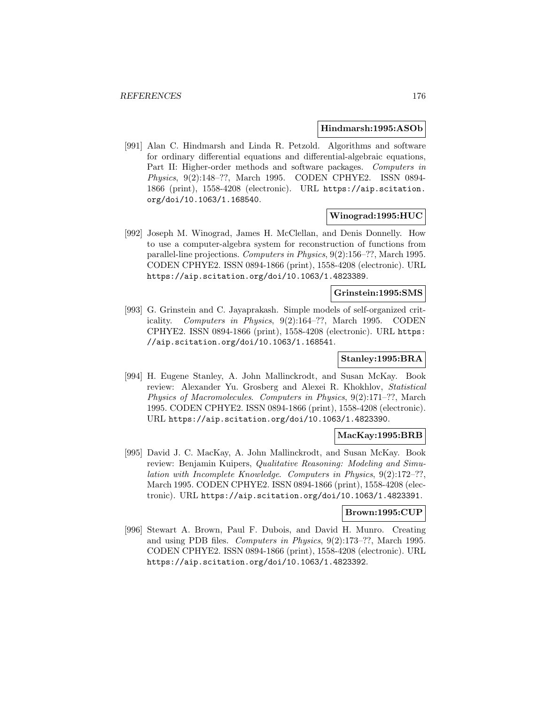#### **Hindmarsh:1995:ASOb**

[991] Alan C. Hindmarsh and Linda R. Petzold. Algorithms and software for ordinary differential equations and differential-algebraic equations, Part II: Higher-order methods and software packages. Computers in Physics, 9(2):148–??, March 1995. CODEN CPHYE2. ISSN 0894- 1866 (print), 1558-4208 (electronic). URL https://aip.scitation. org/doi/10.1063/1.168540.

## **Winograd:1995:HUC**

[992] Joseph M. Winograd, James H. McClellan, and Denis Donnelly. How to use a computer-algebra system for reconstruction of functions from parallel-line projections. Computers in Physics, 9(2):156–??, March 1995. CODEN CPHYE2. ISSN 0894-1866 (print), 1558-4208 (electronic). URL https://aip.scitation.org/doi/10.1063/1.4823389.

#### **Grinstein:1995:SMS**

[993] G. Grinstein and C. Jayaprakash. Simple models of self-organized criticality. Computers in Physics, 9(2):164–??, March 1995. CODEN CPHYE2. ISSN 0894-1866 (print), 1558-4208 (electronic). URL https: //aip.scitation.org/doi/10.1063/1.168541.

## **Stanley:1995:BRA**

[994] H. Eugene Stanley, A. John Mallinckrodt, and Susan McKay. Book review: Alexander Yu. Grosberg and Alexei R. Khokhlov, Statistical Physics of Macromolecules. Computers in Physics, 9(2):171–??, March 1995. CODEN CPHYE2. ISSN 0894-1866 (print), 1558-4208 (electronic). URL https://aip.scitation.org/doi/10.1063/1.4823390.

#### **MacKay:1995:BRB**

[995] David J. C. MacKay, A. John Mallinckrodt, and Susan McKay. Book review: Benjamin Kuipers, Qualitative Reasoning: Modeling and Simulation with Incomplete Knowledge. Computers in Physics, 9(2):172–??, March 1995. CODEN CPHYE2. ISSN 0894-1866 (print), 1558-4208 (electronic). URL https://aip.scitation.org/doi/10.1063/1.4823391.

#### **Brown:1995:CUP**

[996] Stewart A. Brown, Paul F. Dubois, and David H. Munro. Creating and using PDB files. Computers in Physics, 9(2):173–??, March 1995. CODEN CPHYE2. ISSN 0894-1866 (print), 1558-4208 (electronic). URL https://aip.scitation.org/doi/10.1063/1.4823392.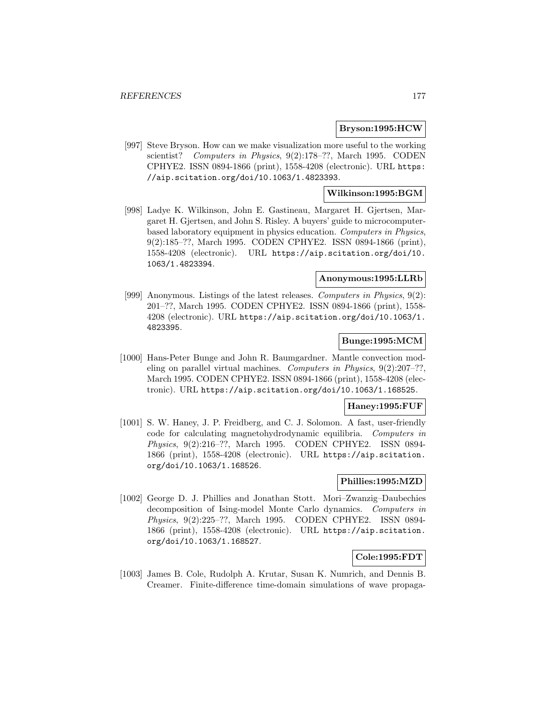## **Bryson:1995:HCW**

[997] Steve Bryson. How can we make visualization more useful to the working scientist? Computers in Physics, 9(2):178-??, March 1995. CODEN CPHYE2. ISSN 0894-1866 (print), 1558-4208 (electronic). URL https: //aip.scitation.org/doi/10.1063/1.4823393.

# **Wilkinson:1995:BGM**

[998] Ladye K. Wilkinson, John E. Gastineau, Margaret H. Gjertsen, Margaret H. Gjertsen, and John S. Risley. A buyers' guide to microcomputerbased laboratory equipment in physics education. Computers in Physics, 9(2):185–??, March 1995. CODEN CPHYE2. ISSN 0894-1866 (print), 1558-4208 (electronic). URL https://aip.scitation.org/doi/10. 1063/1.4823394.

# **Anonymous:1995:LLRb**

[999] Anonymous. Listings of the latest releases. Computers in Physics, 9(2): 201–??, March 1995. CODEN CPHYE2. ISSN 0894-1866 (print), 1558- 4208 (electronic). URL https://aip.scitation.org/doi/10.1063/1. 4823395.

# **Bunge:1995:MCM**

[1000] Hans-Peter Bunge and John R. Baumgardner. Mantle convection modeling on parallel virtual machines. Computers in Physics,  $9(2):207-?$ ? March 1995. CODEN CPHYE2. ISSN 0894-1866 (print), 1558-4208 (electronic). URL https://aip.scitation.org/doi/10.1063/1.168525.

## **Haney:1995:FUF**

[1001] S. W. Haney, J. P. Freidberg, and C. J. Solomon. A fast, user-friendly code for calculating magnetohydrodynamic equilibria. Computers in Physics, 9(2):216–??, March 1995. CODEN CPHYE2. ISSN 0894- 1866 (print), 1558-4208 (electronic). URL https://aip.scitation. org/doi/10.1063/1.168526.

#### **Phillies:1995:MZD**

[1002] George D. J. Phillies and Jonathan Stott. Mori–Zwanzig–Daubechies decomposition of Ising-model Monte Carlo dynamics. Computers in Physics, 9(2):225–??, March 1995. CODEN CPHYE2. ISSN 0894- 1866 (print), 1558-4208 (electronic). URL https://aip.scitation. org/doi/10.1063/1.168527.

# **Cole:1995:FDT**

[1003] James B. Cole, Rudolph A. Krutar, Susan K. Numrich, and Dennis B. Creamer. Finite-difference time-domain simulations of wave propaga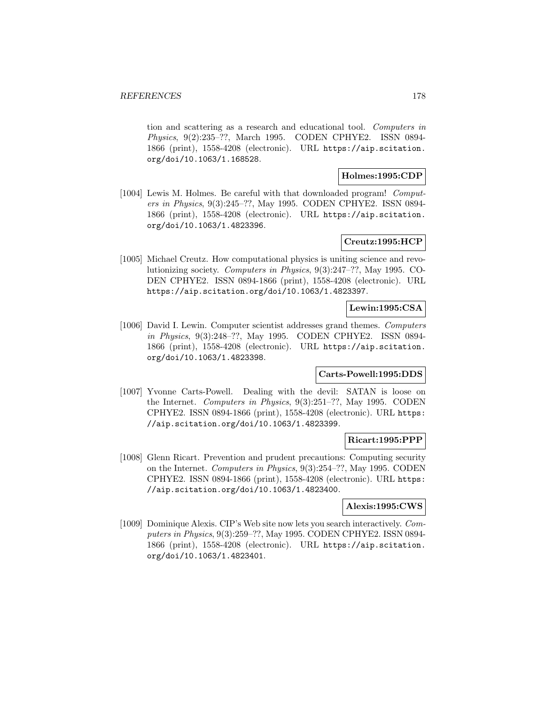tion and scattering as a research and educational tool. Computers in Physics, 9(2):235–??, March 1995. CODEN CPHYE2. ISSN 0894- 1866 (print), 1558-4208 (electronic). URL https://aip.scitation. org/doi/10.1063/1.168528.

#### **Holmes:1995:CDP**

[1004] Lewis M. Holmes. Be careful with that downloaded program! Computers in Physics, 9(3):245–??, May 1995. CODEN CPHYE2. ISSN 0894- 1866 (print), 1558-4208 (electronic). URL https://aip.scitation. org/doi/10.1063/1.4823396.

# **Creutz:1995:HCP**

[1005] Michael Creutz. How computational physics is uniting science and revolutionizing society. Computers in Physics, 9(3):247–??, May 1995. CO-DEN CPHYE2. ISSN 0894-1866 (print), 1558-4208 (electronic). URL https://aip.scitation.org/doi/10.1063/1.4823397.

# **Lewin:1995:CSA**

[1006] David I. Lewin. Computer scientist addresses grand themes. Computers in Physics, 9(3):248–??, May 1995. CODEN CPHYE2. ISSN 0894- 1866 (print), 1558-4208 (electronic). URL https://aip.scitation. org/doi/10.1063/1.4823398.

# **Carts-Powell:1995:DDS**

[1007] Yvonne Carts-Powell. Dealing with the devil: SATAN is loose on the Internet. Computers in Physics, 9(3):251–??, May 1995. CODEN CPHYE2. ISSN 0894-1866 (print), 1558-4208 (electronic). URL https: //aip.scitation.org/doi/10.1063/1.4823399.

# **Ricart:1995:PPP**

[1008] Glenn Ricart. Prevention and prudent precautions: Computing security on the Internet. Computers in Physics, 9(3):254–??, May 1995. CODEN CPHYE2. ISSN 0894-1866 (print), 1558-4208 (electronic). URL https: //aip.scitation.org/doi/10.1063/1.4823400.

#### **Alexis:1995:CWS**

[1009] Dominique Alexis. CIP's Web site now lets you search interactively. Computers in Physics, 9(3):259–??, May 1995. CODEN CPHYE2. ISSN 0894- 1866 (print), 1558-4208 (electronic). URL https://aip.scitation. org/doi/10.1063/1.4823401.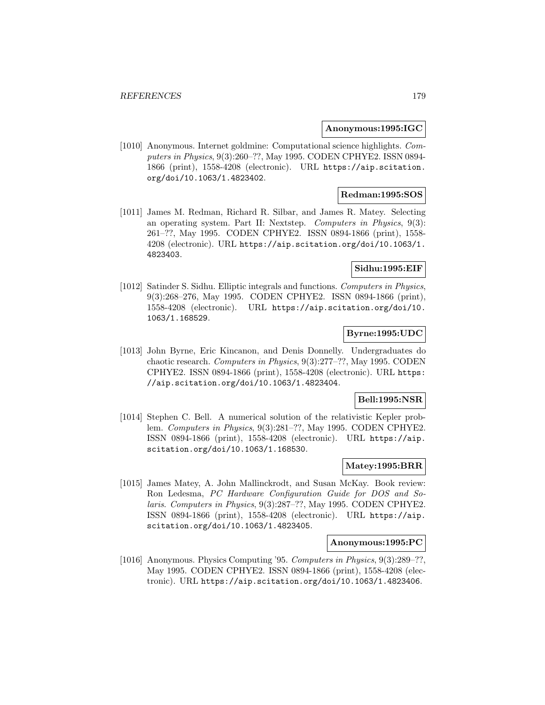#### **Anonymous:1995:IGC**

[1010] Anonymous. Internet goldmine: Computational science highlights. Computers in Physics, 9(3):260–??, May 1995. CODEN CPHYE2. ISSN 0894- 1866 (print), 1558-4208 (electronic). URL https://aip.scitation. org/doi/10.1063/1.4823402.

#### **Redman:1995:SOS**

[1011] James M. Redman, Richard R. Silbar, and James R. Matey. Selecting an operating system. Part II: Nextstep. Computers in Physics, 9(3): 261–??, May 1995. CODEN CPHYE2. ISSN 0894-1866 (print), 1558- 4208 (electronic). URL https://aip.scitation.org/doi/10.1063/1. 4823403.

# **Sidhu:1995:EIF**

[1012] Satinder S. Sidhu. Elliptic integrals and functions. Computers in Physics, 9(3):268–276, May 1995. CODEN CPHYE2. ISSN 0894-1866 (print), 1558-4208 (electronic). URL https://aip.scitation.org/doi/10. 1063/1.168529.

## **Byrne:1995:UDC**

[1013] John Byrne, Eric Kincanon, and Denis Donnelly. Undergraduates do chaotic research. Computers in Physics, 9(3):277–??, May 1995. CODEN CPHYE2. ISSN 0894-1866 (print), 1558-4208 (electronic). URL https: //aip.scitation.org/doi/10.1063/1.4823404.

# **Bell:1995:NSR**

[1014] Stephen C. Bell. A numerical solution of the relativistic Kepler problem. Computers in Physics, 9(3):281–??, May 1995. CODEN CPHYE2. ISSN 0894-1866 (print), 1558-4208 (electronic). URL https://aip. scitation.org/doi/10.1063/1.168530.

#### **Matey:1995:BRR**

[1015] James Matey, A. John Mallinckrodt, and Susan McKay. Book review: Ron Ledesma, PC Hardware Configuration Guide for DOS and Solaris. Computers in Physics, 9(3):287–??, May 1995. CODEN CPHYE2. ISSN 0894-1866 (print), 1558-4208 (electronic). URL https://aip. scitation.org/doi/10.1063/1.4823405.

## **Anonymous:1995:PC**

[1016] Anonymous. Physics Computing '95. Computers in Physics, 9(3):289–??, May 1995. CODEN CPHYE2. ISSN 0894-1866 (print), 1558-4208 (electronic). URL https://aip.scitation.org/doi/10.1063/1.4823406.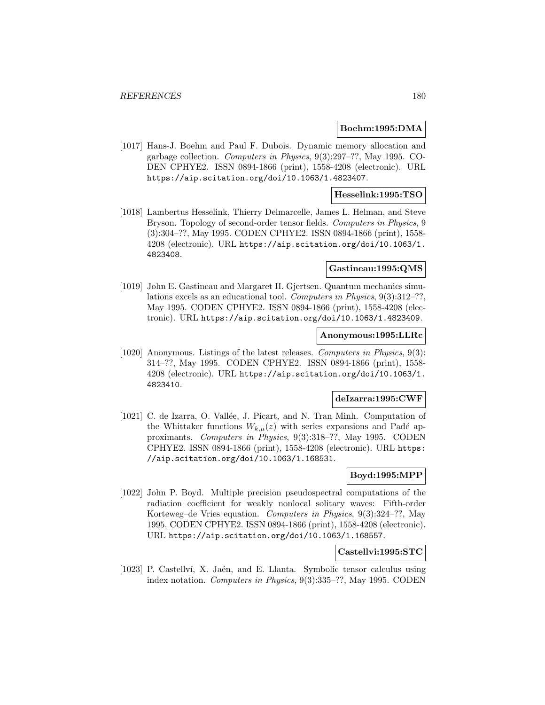#### **Boehm:1995:DMA**

[1017] Hans-J. Boehm and Paul F. Dubois. Dynamic memory allocation and garbage collection. Computers in Physics, 9(3):297–??, May 1995. CO-DEN CPHYE2. ISSN 0894-1866 (print), 1558-4208 (electronic). URL https://aip.scitation.org/doi/10.1063/1.4823407.

# **Hesselink:1995:TSO**

[1018] Lambertus Hesselink, Thierry Delmarcelle, James L. Helman, and Steve Bryson. Topology of second-order tensor fields. Computers in Physics, 9 (3):304–??, May 1995. CODEN CPHYE2. ISSN 0894-1866 (print), 1558- 4208 (electronic). URL https://aip.scitation.org/doi/10.1063/1. 4823408.

# **Gastineau:1995:QMS**

[1019] John E. Gastineau and Margaret H. Gjertsen. Quantum mechanics simulations excels as an educational tool. Computers in Physics, 9(3):312–??, May 1995. CODEN CPHYE2. ISSN 0894-1866 (print), 1558-4208 (electronic). URL https://aip.scitation.org/doi/10.1063/1.4823409.

#### **Anonymous:1995:LLRc**

[1020] Anonymous. Listings of the latest releases. Computers in Physics, 9(3): 314–??, May 1995. CODEN CPHYE2. ISSN 0894-1866 (print), 1558- 4208 (electronic). URL https://aip.scitation.org/doi/10.1063/1. 4823410.

# **deIzarra:1995:CWF**

[1021] C. de Izarra, O. Vallée, J. Picart, and N. Tran Minh. Computation of the Whittaker functions  $W_{k,\mu}(z)$  with series expansions and Padé approximants. Computers in Physics, 9(3):318–??, May 1995. CODEN CPHYE2. ISSN 0894-1866 (print), 1558-4208 (electronic). URL https: //aip.scitation.org/doi/10.1063/1.168531.

# **Boyd:1995:MPP**

[1022] John P. Boyd. Multiple precision pseudospectral computations of the radiation coefficient for weakly nonlocal solitary waves: Fifth-order Korteweg–de Vries equation. Computers in Physics, 9(3):324–??, May 1995. CODEN CPHYE2. ISSN 0894-1866 (print), 1558-4208 (electronic). URL https://aip.scitation.org/doi/10.1063/1.168557.

#### **Castellvi:1995:STC**

[1023] P. Castellví, X. Jaén, and E. Llanta. Symbolic tensor calculus using index notation. Computers in Physics, 9(3):335–??, May 1995. CODEN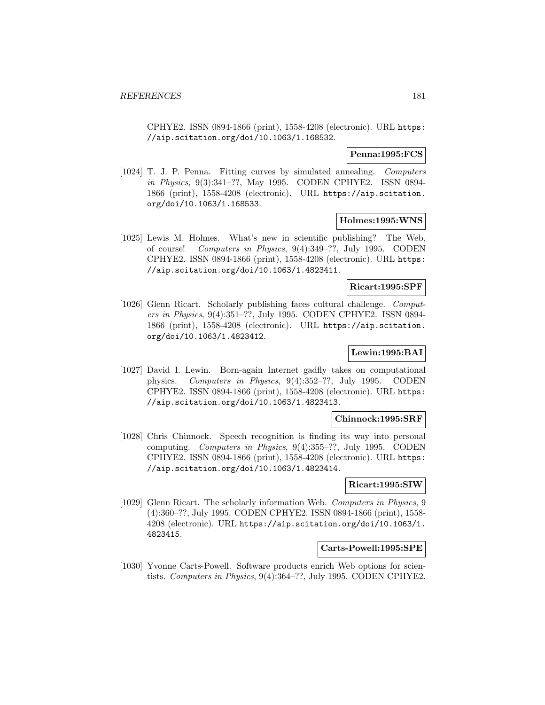CPHYE2. ISSN 0894-1866 (print), 1558-4208 (electronic). URL https: //aip.scitation.org/doi/10.1063/1.168532.

### **Penna:1995:FCS**

[1024] T. J. P. Penna. Fitting curves by simulated annealing. Computers in Physics, 9(3):341–??, May 1995. CODEN CPHYE2. ISSN 0894- 1866 (print), 1558-4208 (electronic). URL https://aip.scitation. org/doi/10.1063/1.168533.

## **Holmes:1995:WNS**

[1025] Lewis M. Holmes. What's new in scientific publishing? The Web, of course! Computers in Physics, 9(4):349–??, July 1995. CODEN CPHYE2. ISSN 0894-1866 (print), 1558-4208 (electronic). URL https: //aip.scitation.org/doi/10.1063/1.4823411.

### **Ricart:1995:SPF**

[1026] Glenn Ricart. Scholarly publishing faces cultural challenge. Computers in Physics, 9(4):351–??, July 1995. CODEN CPHYE2. ISSN 0894- 1866 (print), 1558-4208 (electronic). URL https://aip.scitation. org/doi/10.1063/1.4823412.

# **Lewin:1995:BAI**

[1027] David I. Lewin. Born-again Internet gadfly takes on computational physics. Computers in Physics, 9(4):352–??, July 1995. CODEN CPHYE2. ISSN 0894-1866 (print), 1558-4208 (electronic). URL https: //aip.scitation.org/doi/10.1063/1.4823413.

# **Chinnock:1995:SRF**

[1028] Chris Chinnock. Speech recognition is finding its way into personal computing. Computers in Physics, 9(4):355–??, July 1995. CODEN CPHYE2. ISSN 0894-1866 (print), 1558-4208 (electronic). URL https: //aip.scitation.org/doi/10.1063/1.4823414.

### **Ricart:1995:SIW**

[1029] Glenn Ricart. The scholarly information Web. Computers in Physics, 9 (4):360–??, July 1995. CODEN CPHYE2. ISSN 0894-1866 (print), 1558- 4208 (electronic). URL https://aip.scitation.org/doi/10.1063/1. 4823415.

#### **Carts-Powell:1995:SPE**

[1030] Yvonne Carts-Powell. Software products enrich Web options for scientists. Computers in Physics, 9(4):364–??, July 1995. CODEN CPHYE2.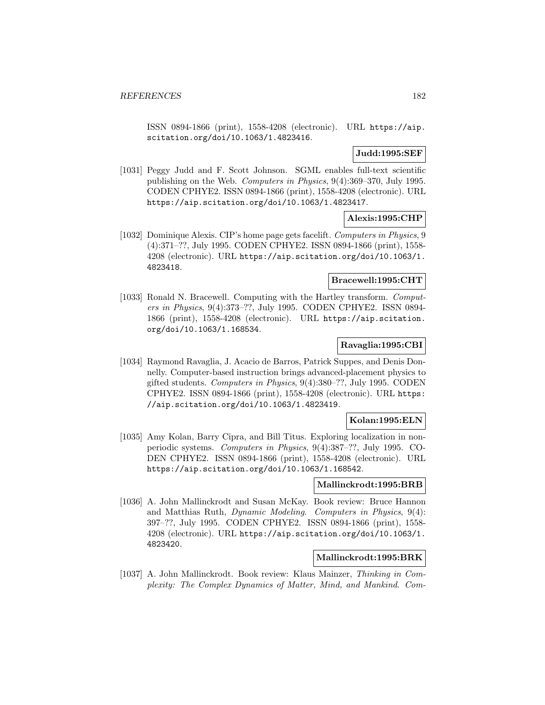ISSN 0894-1866 (print), 1558-4208 (electronic). URL https://aip. scitation.org/doi/10.1063/1.4823416.

**Judd:1995:SEF**

[1031] Peggy Judd and F. Scott Johnson. SGML enables full-text scientific publishing on the Web. Computers in Physics, 9(4):369–370, July 1995. CODEN CPHYE2. ISSN 0894-1866 (print), 1558-4208 (electronic). URL https://aip.scitation.org/doi/10.1063/1.4823417.

#### **Alexis:1995:CHP**

[1032] Dominique Alexis. CIP's home page gets facelift. Computers in Physics, 9 (4):371–??, July 1995. CODEN CPHYE2. ISSN 0894-1866 (print), 1558- 4208 (electronic). URL https://aip.scitation.org/doi/10.1063/1. 4823418.

## **Bracewell:1995:CHT**

[1033] Ronald N. Bracewell. Computing with the Hartley transform. Computers in Physics, 9(4):373–??, July 1995. CODEN CPHYE2. ISSN 0894- 1866 (print), 1558-4208 (electronic). URL https://aip.scitation. org/doi/10.1063/1.168534.

### **Ravaglia:1995:CBI**

[1034] Raymond Ravaglia, J. Acacio de Barros, Patrick Suppes, and Denis Donnelly. Computer-based instruction brings advanced-placement physics to gifted students. Computers in Physics, 9(4):380–??, July 1995. CODEN CPHYE2. ISSN 0894-1866 (print), 1558-4208 (electronic). URL https: //aip.scitation.org/doi/10.1063/1.4823419.

### **Kolan:1995:ELN**

[1035] Amy Kolan, Barry Cipra, and Bill Titus. Exploring localization in nonperiodic systems. Computers in Physics, 9(4):387–??, July 1995. CO-DEN CPHYE2. ISSN 0894-1866 (print), 1558-4208 (electronic). URL https://aip.scitation.org/doi/10.1063/1.168542.

## **Mallinckrodt:1995:BRB**

[1036] A. John Mallinckrodt and Susan McKay. Book review: Bruce Hannon and Matthias Ruth, Dynamic Modeling. Computers in Physics, 9(4): 397–??, July 1995. CODEN CPHYE2. ISSN 0894-1866 (print), 1558- 4208 (electronic). URL https://aip.scitation.org/doi/10.1063/1. 4823420.

## **Mallinckrodt:1995:BRK**

[1037] A. John Mallinckrodt. Book review: Klaus Mainzer, Thinking in Complexity: The Complex Dynamics of Matter, Mind, and Mankind. Com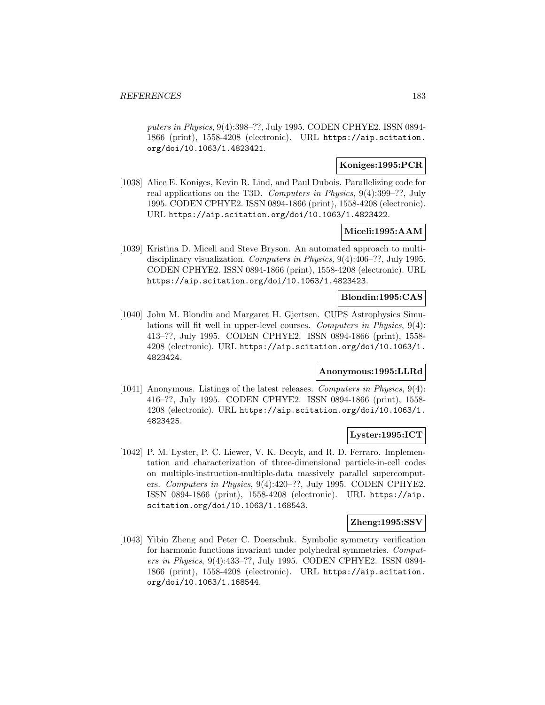puters in Physics, 9(4):398–??, July 1995. CODEN CPHYE2. ISSN 0894- 1866 (print), 1558-4208 (electronic). URL https://aip.scitation. org/doi/10.1063/1.4823421.

# **Koniges:1995:PCR**

[1038] Alice E. Koniges, Kevin R. Lind, and Paul Dubois. Parallelizing code for real applications on the T3D. Computers in Physics, 9(4):399–??, July 1995. CODEN CPHYE2. ISSN 0894-1866 (print), 1558-4208 (electronic). URL https://aip.scitation.org/doi/10.1063/1.4823422.

### **Miceli:1995:AAM**

[1039] Kristina D. Miceli and Steve Bryson. An automated approach to multidisciplinary visualization. Computers in Physics, 9(4):406–??, July 1995. CODEN CPHYE2. ISSN 0894-1866 (print), 1558-4208 (electronic). URL https://aip.scitation.org/doi/10.1063/1.4823423.

### **Blondin:1995:CAS**

[1040] John M. Blondin and Margaret H. Gjertsen. CUPS Astrophysics Simulations will fit well in upper-level courses. Computers in Physics, 9(4): 413–??, July 1995. CODEN CPHYE2. ISSN 0894-1866 (print), 1558- 4208 (electronic). URL https://aip.scitation.org/doi/10.1063/1. 4823424.

# **Anonymous:1995:LLRd**

[1041] Anonymous. Listings of the latest releases. Computers in Physics, 9(4): 416–??, July 1995. CODEN CPHYE2. ISSN 0894-1866 (print), 1558- 4208 (electronic). URL https://aip.scitation.org/doi/10.1063/1. 4823425.

# **Lyster:1995:ICT**

[1042] P. M. Lyster, P. C. Liewer, V. K. Decyk, and R. D. Ferraro. Implementation and characterization of three-dimensional particle-in-cell codes on multiple-instruction-multiple-data massively parallel supercomputers. Computers in Physics, 9(4):420–??, July 1995. CODEN CPHYE2. ISSN 0894-1866 (print), 1558-4208 (electronic). URL https://aip. scitation.org/doi/10.1063/1.168543.

#### **Zheng:1995:SSV**

[1043] Yibin Zheng and Peter C. Doerschuk. Symbolic symmetry verification for harmonic functions invariant under polyhedral symmetries. Computers in Physics, 9(4):433–??, July 1995. CODEN CPHYE2. ISSN 0894- 1866 (print), 1558-4208 (electronic). URL https://aip.scitation. org/doi/10.1063/1.168544.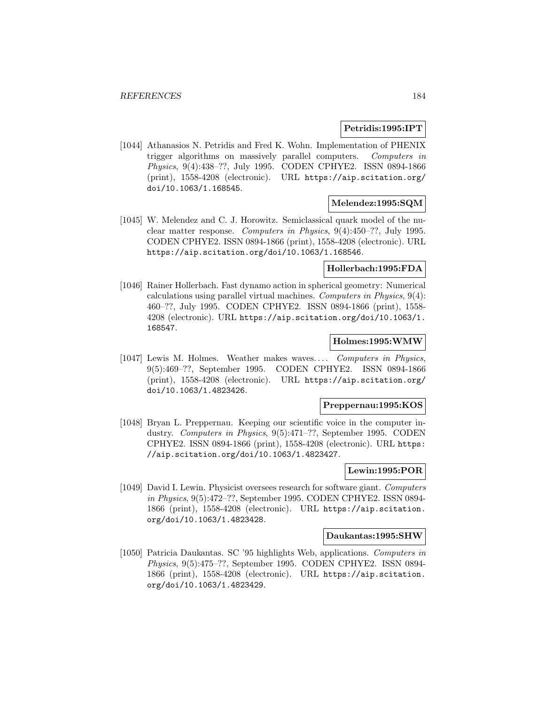## **Petridis:1995:IPT**

[1044] Athanasios N. Petridis and Fred K. Wohn. Implementation of PHENIX trigger algorithms on massively parallel computers. Computers in Physics, 9(4):438–??, July 1995. CODEN CPHYE2. ISSN 0894-1866 (print), 1558-4208 (electronic). URL https://aip.scitation.org/ doi/10.1063/1.168545.

#### **Melendez:1995:SQM**

[1045] W. Melendez and C. J. Horowitz. Semiclassical quark model of the nuclear matter response. Computers in Physics, 9(4):450–??, July 1995. CODEN CPHYE2. ISSN 0894-1866 (print), 1558-4208 (electronic). URL https://aip.scitation.org/doi/10.1063/1.168546.

## **Hollerbach:1995:FDA**

[1046] Rainer Hollerbach. Fast dynamo action in spherical geometry: Numerical calculations using parallel virtual machines. Computers in Physics, 9(4): 460–??, July 1995. CODEN CPHYE2. ISSN 0894-1866 (print), 1558- 4208 (electronic). URL https://aip.scitation.org/doi/10.1063/1. 168547.

## **Holmes:1995:WMW**

[1047] Lewis M. Holmes. Weather makes waves... . Computers in Physics, 9(5):469–??, September 1995. CODEN CPHYE2. ISSN 0894-1866 (print), 1558-4208 (electronic). URL https://aip.scitation.org/ doi/10.1063/1.4823426.

#### **Preppernau:1995:KOS**

[1048] Bryan L. Preppernau. Keeping our scientific voice in the computer industry. Computers in Physics, 9(5):471–??, September 1995. CODEN CPHYE2. ISSN 0894-1866 (print), 1558-4208 (electronic). URL https: //aip.scitation.org/doi/10.1063/1.4823427.

# **Lewin:1995:POR**

[1049] David I. Lewin. Physicist oversees research for software giant. Computers in Physics, 9(5):472–??, September 1995. CODEN CPHYE2. ISSN 0894- 1866 (print), 1558-4208 (electronic). URL https://aip.scitation. org/doi/10.1063/1.4823428.

#### **Daukantas:1995:SHW**

[1050] Patricia Daukantas. SC '95 highlights Web, applications. Computers in Physics, 9(5):475–??, September 1995. CODEN CPHYE2. ISSN 0894- 1866 (print), 1558-4208 (electronic). URL https://aip.scitation. org/doi/10.1063/1.4823429.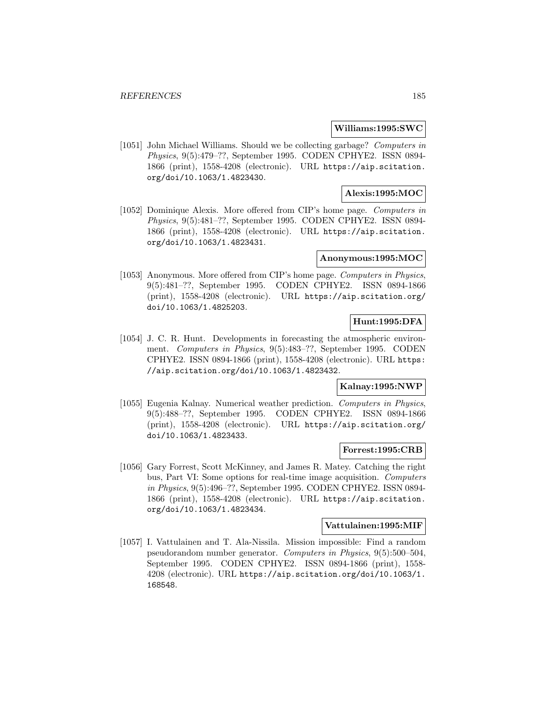#### **Williams:1995:SWC**

[1051] John Michael Williams. Should we be collecting garbage? Computers in Physics, 9(5):479–??, September 1995. CODEN CPHYE2. ISSN 0894- 1866 (print), 1558-4208 (electronic). URL https://aip.scitation. org/doi/10.1063/1.4823430.

# **Alexis:1995:MOC**

[1052] Dominique Alexis. More offered from CIP's home page. Computers in Physics, 9(5):481–??, September 1995. CODEN CPHYE2. ISSN 0894- 1866 (print), 1558-4208 (electronic). URL https://aip.scitation. org/doi/10.1063/1.4823431.

### **Anonymous:1995:MOC**

[1053] Anonymous. More offered from CIP's home page. Computers in Physics, 9(5):481–??, September 1995. CODEN CPHYE2. ISSN 0894-1866 (print), 1558-4208 (electronic). URL https://aip.scitation.org/ doi/10.1063/1.4825203.

# **Hunt:1995:DFA**

[1054] J. C. R. Hunt. Developments in forecasting the atmospheric environment. Computers in Physics, 9(5):483–??, September 1995. CODEN CPHYE2. ISSN 0894-1866 (print), 1558-4208 (electronic). URL https: //aip.scitation.org/doi/10.1063/1.4823432.

## **Kalnay:1995:NWP**

[1055] Eugenia Kalnay. Numerical weather prediction. Computers in Physics, 9(5):488–??, September 1995. CODEN CPHYE2. ISSN 0894-1866 (print), 1558-4208 (electronic). URL https://aip.scitation.org/ doi/10.1063/1.4823433.

#### **Forrest:1995:CRB**

[1056] Gary Forrest, Scott McKinney, and James R. Matey. Catching the right bus, Part VI: Some options for real-time image acquisition. Computers in Physics, 9(5):496–??, September 1995. CODEN CPHYE2. ISSN 0894- 1866 (print), 1558-4208 (electronic). URL https://aip.scitation. org/doi/10.1063/1.4823434.

#### **Vattulainen:1995:MIF**

[1057] I. Vattulainen and T. Ala-Nissila. Mission impossible: Find a random pseudorandom number generator. Computers in Physics, 9(5):500–504, September 1995. CODEN CPHYE2. ISSN 0894-1866 (print), 1558- 4208 (electronic). URL https://aip.scitation.org/doi/10.1063/1. 168548.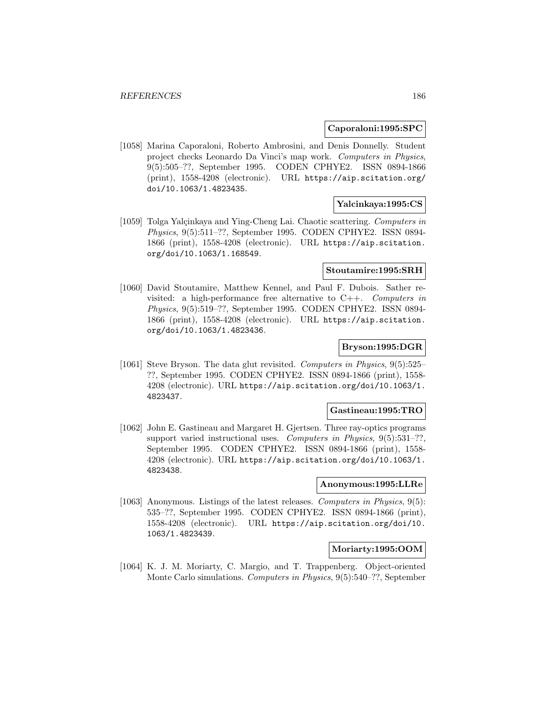#### **Caporaloni:1995:SPC**

[1058] Marina Caporaloni, Roberto Ambrosini, and Denis Donnelly. Student project checks Leonardo Da Vinci's map work. Computers in Physics, 9(5):505–??, September 1995. CODEN CPHYE2. ISSN 0894-1866 (print), 1558-4208 (electronic). URL https://aip.scitation.org/ doi/10.1063/1.4823435.

#### **Yalcinkaya:1995:CS**

[1059] Tolga Yalçinkaya and Ying-Cheng Lai. Chaotic scattering. Computers in Physics, 9(5):511–??, September 1995. CODEN CPHYE2. ISSN 0894- 1866 (print), 1558-4208 (electronic). URL https://aip.scitation. org/doi/10.1063/1.168549.

### **Stoutamire:1995:SRH**

[1060] David Stoutamire, Matthew Kennel, and Paul F. Dubois. Sather revisited: a high-performance free alternative to  $C++$ . Computers in Physics, 9(5):519–??, September 1995. CODEN CPHYE2. ISSN 0894- 1866 (print), 1558-4208 (electronic). URL https://aip.scitation. org/doi/10.1063/1.4823436.

#### **Bryson:1995:DGR**

[1061] Steve Bryson. The data glut revisited. Computers in Physics, 9(5):525– ??, September 1995. CODEN CPHYE2. ISSN 0894-1866 (print), 1558- 4208 (electronic). URL https://aip.scitation.org/doi/10.1063/1. 4823437.

## **Gastineau:1995:TRO**

[1062] John E. Gastineau and Margaret H. Gjertsen. Three ray-optics programs support varied instructional uses. Computers in Physics, 9(5):531-??, September 1995. CODEN CPHYE2. ISSN 0894-1866 (print), 1558- 4208 (electronic). URL https://aip.scitation.org/doi/10.1063/1. 4823438.

# **Anonymous:1995:LLRe**

[1063] Anonymous. Listings of the latest releases. Computers in Physics, 9(5): 535–??, September 1995. CODEN CPHYE2. ISSN 0894-1866 (print), 1558-4208 (electronic). URL https://aip.scitation.org/doi/10. 1063/1.4823439.

#### **Moriarty:1995:OOM**

[1064] K. J. M. Moriarty, C. Margio, and T. Trappenberg. Object-oriented Monte Carlo simulations. Computers in Physics, 9(5):540–??, September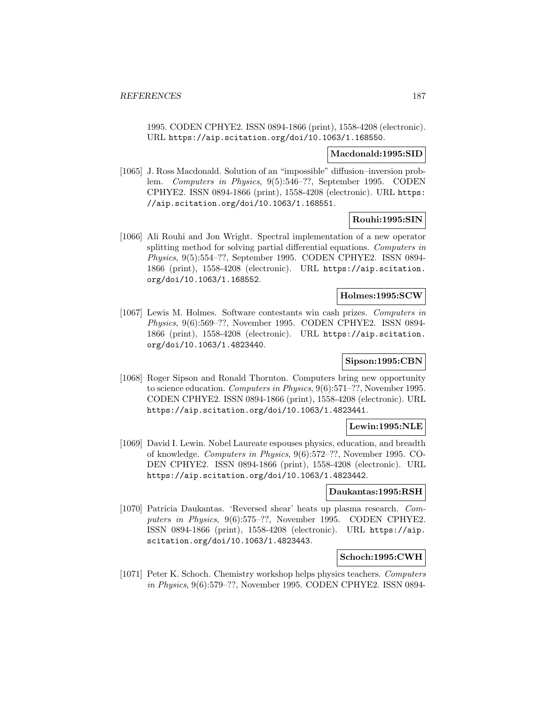1995. CODEN CPHYE2. ISSN 0894-1866 (print), 1558-4208 (electronic). URL https://aip.scitation.org/doi/10.1063/1.168550.

### **Macdonald:1995:SID**

[1065] J. Ross Macdonald. Solution of an "impossible" diffusion–inversion problem. Computers in Physics, 9(5):546–??, September 1995. CODEN CPHYE2. ISSN 0894-1866 (print), 1558-4208 (electronic). URL https: //aip.scitation.org/doi/10.1063/1.168551.

# **Rouhi:1995:SIN**

[1066] Ali Rouhi and Jon Wright. Spectral implementation of a new operator splitting method for solving partial differential equations. Computers in Physics, 9(5):554–??, September 1995. CODEN CPHYE2. ISSN 0894- 1866 (print), 1558-4208 (electronic). URL https://aip.scitation. org/doi/10.1063/1.168552.

## **Holmes:1995:SCW**

[1067] Lewis M. Holmes. Software contestants win cash prizes. Computers in Physics, 9(6):569–??, November 1995. CODEN CPHYE2. ISSN 0894- 1866 (print), 1558-4208 (electronic). URL https://aip.scitation. org/doi/10.1063/1.4823440.

# **Sipson:1995:CBN**

[1068] Roger Sipson and Ronald Thornton. Computers bring new opportunity to science education. Computers in Physics, 9(6):571–??, November 1995. CODEN CPHYE2. ISSN 0894-1866 (print), 1558-4208 (electronic). URL https://aip.scitation.org/doi/10.1063/1.4823441.

## **Lewin:1995:NLE**

[1069] David I. Lewin. Nobel Laureate espouses physics, education, and breadth of knowledge. Computers in Physics, 9(6):572–??, November 1995. CO-DEN CPHYE2. ISSN 0894-1866 (print), 1558-4208 (electronic). URL https://aip.scitation.org/doi/10.1063/1.4823442.

### **Daukantas:1995:RSH**

[1070] Patricia Daukantas. 'Reversed shear' heats up plasma research. Computers in Physics, 9(6):575–??, November 1995. CODEN CPHYE2. ISSN 0894-1866 (print), 1558-4208 (electronic). URL https://aip. scitation.org/doi/10.1063/1.4823443.

# **Schoch:1995:CWH**

[1071] Peter K. Schoch. Chemistry workshop helps physics teachers. Computers in Physics, 9(6):579–??, November 1995. CODEN CPHYE2. ISSN 0894-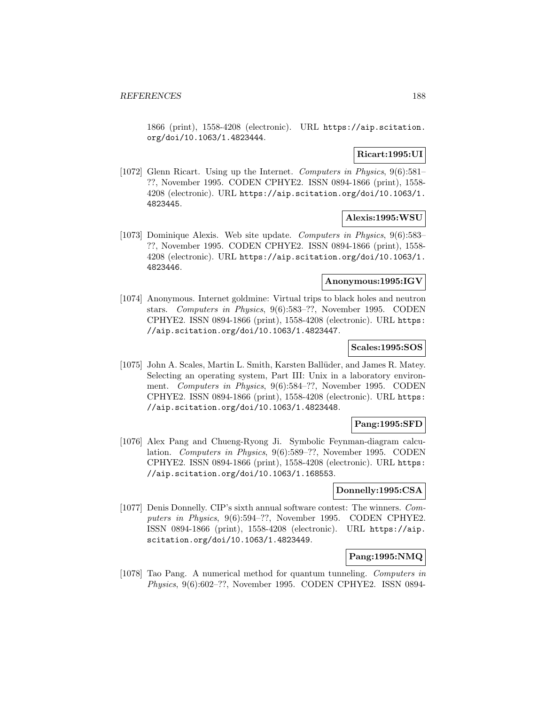1866 (print), 1558-4208 (electronic). URL https://aip.scitation. org/doi/10.1063/1.4823444.

# **Ricart:1995:UI**

[1072] Glenn Ricart. Using up the Internet. Computers in Physics, 9(6):581– ??, November 1995. CODEN CPHYE2. ISSN 0894-1866 (print), 1558- 4208 (electronic). URL https://aip.scitation.org/doi/10.1063/1. 4823445.

## **Alexis:1995:WSU**

[1073] Dominique Alexis. Web site update. Computers in Physics, 9(6):583– ??, November 1995. CODEN CPHYE2. ISSN 0894-1866 (print), 1558- 4208 (electronic). URL https://aip.scitation.org/doi/10.1063/1. 4823446.

### **Anonymous:1995:IGV**

[1074] Anonymous. Internet goldmine: Virtual trips to black holes and neutron stars. Computers in Physics, 9(6):583–??, November 1995. CODEN CPHYE2. ISSN 0894-1866 (print), 1558-4208 (electronic). URL https: //aip.scitation.org/doi/10.1063/1.4823447.

## **Scales:1995:SOS**

[1075] John A. Scales, Martin L. Smith, Karsten Ballüder, and James R. Matey. Selecting an operating system, Part III: Unix in a laboratory environment. Computers in Physics, 9(6):584–??, November 1995. CODEN CPHYE2. ISSN 0894-1866 (print), 1558-4208 (electronic). URL https: //aip.scitation.org/doi/10.1063/1.4823448.

# **Pang:1995:SFD**

[1076] Alex Pang and Chueng-Ryong Ji. Symbolic Feynman-diagram calculation. Computers in Physics, 9(6):589–??, November 1995. CODEN CPHYE2. ISSN 0894-1866 (print), 1558-4208 (electronic). URL https: //aip.scitation.org/doi/10.1063/1.168553.

#### **Donnelly:1995:CSA**

[1077] Denis Donnelly. CIP's sixth annual software contest: The winners. Computers in Physics, 9(6):594–??, November 1995. CODEN CPHYE2. ISSN 0894-1866 (print), 1558-4208 (electronic). URL https://aip. scitation.org/doi/10.1063/1.4823449.

## **Pang:1995:NMQ**

[1078] Tao Pang. A numerical method for quantum tunneling. Computers in Physics, 9(6):602–??, November 1995. CODEN CPHYE2. ISSN 0894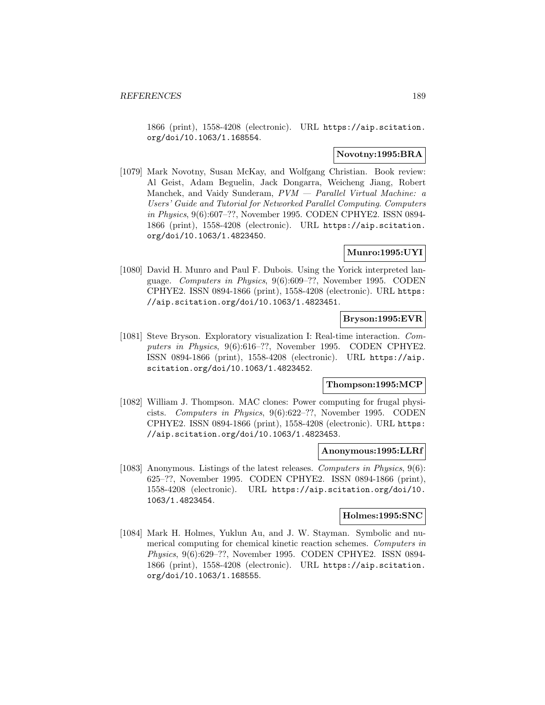1866 (print), 1558-4208 (electronic). URL https://aip.scitation. org/doi/10.1063/1.168554.

## **Novotny:1995:BRA**

[1079] Mark Novotny, Susan McKay, and Wolfgang Christian. Book review: Al Geist, Adam Beguelin, Jack Dongarra, Weicheng Jiang, Robert Manchek, and Vaidy Sunderam,  $PVM$  – Parallel Virtual Machine: a Users' Guide and Tutorial for Networked Parallel Computing. Computers in Physics, 9(6):607–??, November 1995. CODEN CPHYE2. ISSN 0894- 1866 (print), 1558-4208 (electronic). URL https://aip.scitation. org/doi/10.1063/1.4823450.

## **Munro:1995:UYI**

[1080] David H. Munro and Paul F. Dubois. Using the Yorick interpreted language. Computers in Physics, 9(6):609–??, November 1995. CODEN CPHYE2. ISSN 0894-1866 (print), 1558-4208 (electronic). URL https: //aip.scitation.org/doi/10.1063/1.4823451.

#### **Bryson:1995:EVR**

[1081] Steve Bryson. Exploratory visualization I: Real-time interaction. Computers in Physics, 9(6):616–??, November 1995. CODEN CPHYE2. ISSN 0894-1866 (print), 1558-4208 (electronic). URL https://aip. scitation.org/doi/10.1063/1.4823452.

### **Thompson:1995:MCP**

[1082] William J. Thompson. MAC clones: Power computing for frugal physicists. Computers in Physics, 9(6):622–??, November 1995. CODEN CPHYE2. ISSN 0894-1866 (print), 1558-4208 (electronic). URL https: //aip.scitation.org/doi/10.1063/1.4823453.

### **Anonymous:1995:LLRf**

[1083] Anonymous. Listings of the latest releases. Computers in Physics, 9(6): 625–??, November 1995. CODEN CPHYE2. ISSN 0894-1866 (print), 1558-4208 (electronic). URL https://aip.scitation.org/doi/10. 1063/1.4823454.

# **Holmes:1995:SNC**

[1084] Mark H. Holmes, Yuklun Au, and J. W. Stayman. Symbolic and numerical computing for chemical kinetic reaction schemes. Computers in Physics, 9(6):629–??, November 1995. CODEN CPHYE2. ISSN 0894- 1866 (print), 1558-4208 (electronic). URL https://aip.scitation. org/doi/10.1063/1.168555.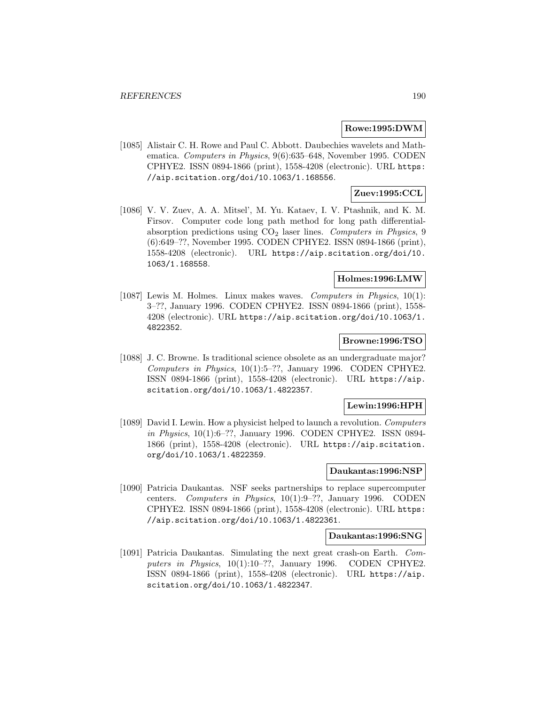### **Rowe:1995:DWM**

[1085] Alistair C. H. Rowe and Paul C. Abbott. Daubechies wavelets and Mathematica. Computers in Physics, 9(6):635–648, November 1995. CODEN CPHYE2. ISSN 0894-1866 (print), 1558-4208 (electronic). URL https: //aip.scitation.org/doi/10.1063/1.168556.

# **Zuev:1995:CCL**

[1086] V. V. Zuev, A. A. Mitsel', M. Yu. Kataev, I. V. Ptashnik, and K. M. Firsov. Computer code long path method for long path differentialabsorption predictions using  $CO<sub>2</sub>$  laser lines. Computers in Physics, 9 (6):649–??, November 1995. CODEN CPHYE2. ISSN 0894-1866 (print), 1558-4208 (electronic). URL https://aip.scitation.org/doi/10. 1063/1.168558.

# **Holmes:1996:LMW**

[1087] Lewis M. Holmes. Linux makes waves. Computers in Physics, 10(1): 3–??, January 1996. CODEN CPHYE2. ISSN 0894-1866 (print), 1558- 4208 (electronic). URL https://aip.scitation.org/doi/10.1063/1. 4822352.

### **Browne:1996:TSO**

[1088] J. C. Browne. Is traditional science obsolete as an undergraduate major? Computers in Physics, 10(1):5–??, January 1996. CODEN CPHYE2. ISSN 0894-1866 (print), 1558-4208 (electronic). URL https://aip. scitation.org/doi/10.1063/1.4822357.

## **Lewin:1996:HPH**

[1089] David I. Lewin. How a physicist helped to launch a revolution. Computers in Physics, 10(1):6–??, January 1996. CODEN CPHYE2. ISSN 0894- 1866 (print), 1558-4208 (electronic). URL https://aip.scitation. org/doi/10.1063/1.4822359.

## **Daukantas:1996:NSP**

[1090] Patricia Daukantas. NSF seeks partnerships to replace supercomputer centers. Computers in Physics, 10(1):9–??, January 1996. CODEN CPHYE2. ISSN 0894-1866 (print), 1558-4208 (electronic). URL https: //aip.scitation.org/doi/10.1063/1.4822361.

#### **Daukantas:1996:SNG**

[1091] Patricia Daukantas. Simulating the next great crash-on Earth. Computers in Physics, 10(1):10-??, January 1996. CODEN CPHYE2. ISSN 0894-1866 (print), 1558-4208 (electronic). URL https://aip. scitation.org/doi/10.1063/1.4822347.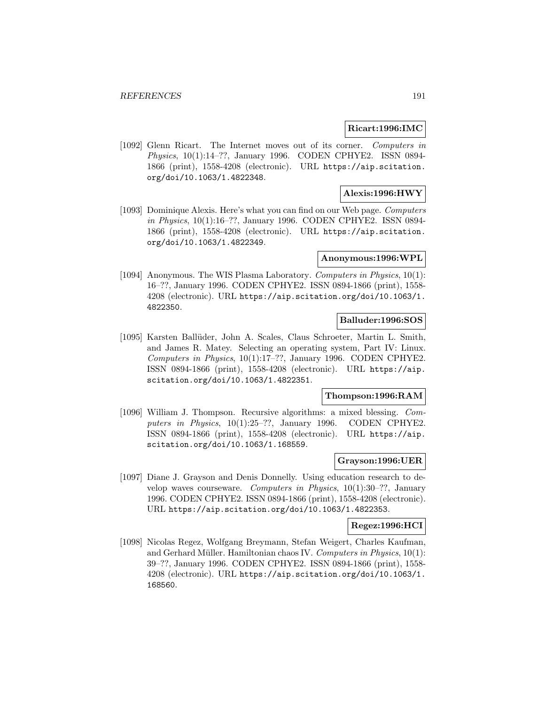### **Ricart:1996:IMC**

[1092] Glenn Ricart. The Internet moves out of its corner. Computers in Physics, 10(1):14–??, January 1996. CODEN CPHYE2. ISSN 0894- 1866 (print), 1558-4208 (electronic). URL https://aip.scitation. org/doi/10.1063/1.4822348.

## **Alexis:1996:HWY**

[1093] Dominique Alexis. Here's what you can find on our Web page. Computers in Physics, 10(1):16–??, January 1996. CODEN CPHYE2. ISSN 0894- 1866 (print), 1558-4208 (electronic). URL https://aip.scitation. org/doi/10.1063/1.4822349.

### **Anonymous:1996:WPL**

[1094] Anonymous. The WIS Plasma Laboratory. Computers in Physics, 10(1): 16–??, January 1996. CODEN CPHYE2. ISSN 0894-1866 (print), 1558- 4208 (electronic). URL https://aip.scitation.org/doi/10.1063/1. 4822350.

## **Balluder:1996:SOS**

[1095] Karsten Ballüder, John A. Scales, Claus Schroeter, Martin L. Smith, and James R. Matey. Selecting an operating system, Part IV: Linux. Computers in Physics, 10(1):17–??, January 1996. CODEN CPHYE2. ISSN 0894-1866 (print), 1558-4208 (electronic). URL https://aip. scitation.org/doi/10.1063/1.4822351.

## **Thompson:1996:RAM**

[1096] William J. Thompson. Recursive algorithms: a mixed blessing. Computers in Physics, 10(1):25-??, January 1996. CODEN CPHYE2. ISSN 0894-1866 (print), 1558-4208 (electronic). URL https://aip. scitation.org/doi/10.1063/1.168559.

### **Grayson:1996:UER**

[1097] Diane J. Grayson and Denis Donnelly. Using education research to develop waves courseware. Computers in Physics,  $10(1):30-??$ , January 1996. CODEN CPHYE2. ISSN 0894-1866 (print), 1558-4208 (electronic). URL https://aip.scitation.org/doi/10.1063/1.4822353.

#### **Regez:1996:HCI**

[1098] Nicolas Regez, Wolfgang Breymann, Stefan Weigert, Charles Kaufman, and Gerhard Müller. Hamiltonian chaos IV. Computers in Physics,  $10(1)$ : 39–??, January 1996. CODEN CPHYE2. ISSN 0894-1866 (print), 1558- 4208 (electronic). URL https://aip.scitation.org/doi/10.1063/1. 168560.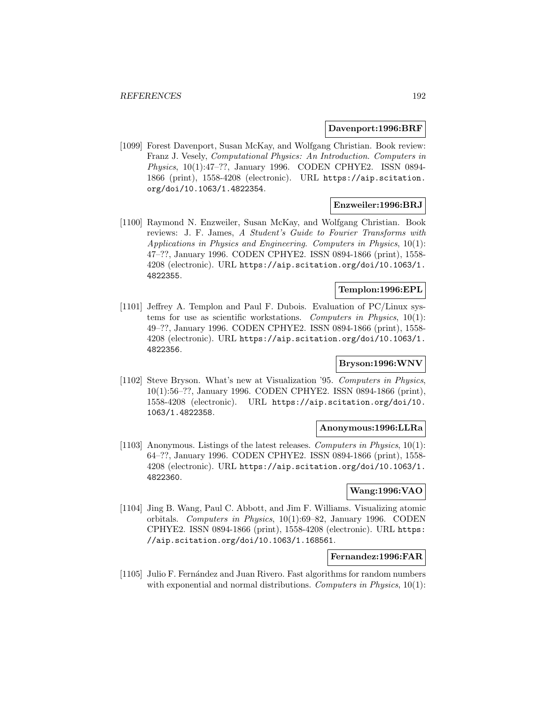#### **Davenport:1996:BRF**

[1099] Forest Davenport, Susan McKay, and Wolfgang Christian. Book review: Franz J. Vesely, Computational Physics: An Introduction. Computers in Physics, 10(1):47–??, January 1996. CODEN CPHYE2. ISSN 0894- 1866 (print), 1558-4208 (electronic). URL https://aip.scitation. org/doi/10.1063/1.4822354.

### **Enzweiler:1996:BRJ**

[1100] Raymond N. Enzweiler, Susan McKay, and Wolfgang Christian. Book reviews: J. F. James, A Student's Guide to Fourier Transforms with Applications in Physics and Engineering. Computers in Physics, 10(1): 47–??, January 1996. CODEN CPHYE2. ISSN 0894-1866 (print), 1558- 4208 (electronic). URL https://aip.scitation.org/doi/10.1063/1. 4822355.

## **Templon:1996:EPL**

[1101] Jeffrey A. Templon and Paul F. Dubois. Evaluation of PC/Linux systems for use as scientific workstations. Computers in Physics, 10(1): 49–??, January 1996. CODEN CPHYE2. ISSN 0894-1866 (print), 1558- 4208 (electronic). URL https://aip.scitation.org/doi/10.1063/1. 4822356.

# **Bryson:1996:WNV**

[1102] Steve Bryson. What's new at Visualization '95. Computers in Physics, 10(1):56–??, January 1996. CODEN CPHYE2. ISSN 0894-1866 (print), 1558-4208 (electronic). URL https://aip.scitation.org/doi/10. 1063/1.4822358.

# **Anonymous:1996:LLRa**

[1103] Anonymous. Listings of the latest releases. Computers in Physics, 10(1): 64–??, January 1996. CODEN CPHYE2. ISSN 0894-1866 (print), 1558- 4208 (electronic). URL https://aip.scitation.org/doi/10.1063/1. 4822360.

#### **Wang:1996:VAO**

[1104] Jing B. Wang, Paul C. Abbott, and Jim F. Williams. Visualizing atomic orbitals. Computers in Physics, 10(1):69–82, January 1996. CODEN CPHYE2. ISSN 0894-1866 (print), 1558-4208 (electronic). URL https: //aip.scitation.org/doi/10.1063/1.168561.

## **Fernandez:1996:FAR**

[1105] Julio F. Fernández and Juan Rivero. Fast algorithms for random numbers with exponential and normal distributions. Computers in Physics,  $10(1)$ :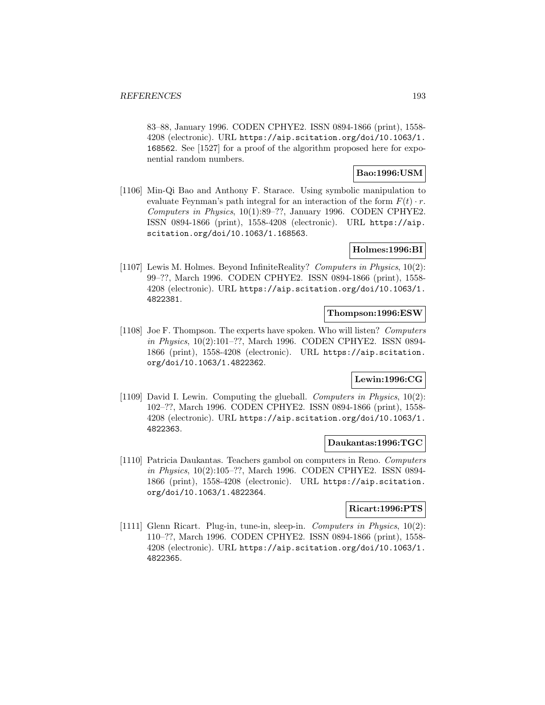83–88, January 1996. CODEN CPHYE2. ISSN 0894-1866 (print), 1558- 4208 (electronic). URL https://aip.scitation.org/doi/10.1063/1. 168562. See [1527] for a proof of the algorithm proposed here for exponential random numbers.

## **Bao:1996:USM**

[1106] Min-Qi Bao and Anthony F. Starace. Using symbolic manipulation to evaluate Feynman's path integral for an interaction of the form  $F(t) \cdot r$ . Computers in Physics, 10(1):89–??, January 1996. CODEN CPHYE2. ISSN 0894-1866 (print), 1558-4208 (electronic). URL https://aip. scitation.org/doi/10.1063/1.168563.

# **Holmes:1996:BI**

[1107] Lewis M. Holmes. Beyond InfiniteReality? Computers in Physics, 10(2): 99–??, March 1996. CODEN CPHYE2. ISSN 0894-1866 (print), 1558- 4208 (electronic). URL https://aip.scitation.org/doi/10.1063/1. 4822381.

## **Thompson:1996:ESW**

[1108] Joe F. Thompson. The experts have spoken. Who will listen? Computers in Physics, 10(2):101–??, March 1996. CODEN CPHYE2. ISSN 0894- 1866 (print), 1558-4208 (electronic). URL https://aip.scitation. org/doi/10.1063/1.4822362.

# **Lewin:1996:CG**

[1109] David I. Lewin. Computing the glueball. Computers in Physics, 10(2): 102–??, March 1996. CODEN CPHYE2. ISSN 0894-1866 (print), 1558- 4208 (electronic). URL https://aip.scitation.org/doi/10.1063/1. 4822363.

### **Daukantas:1996:TGC**

[1110] Patricia Daukantas. Teachers gambol on computers in Reno. Computers in Physics, 10(2):105–??, March 1996. CODEN CPHYE2. ISSN 0894- 1866 (print), 1558-4208 (electronic). URL https://aip.scitation. org/doi/10.1063/1.4822364.

### **Ricart:1996:PTS**

[1111] Glenn Ricart. Plug-in, tune-in, sleep-in. Computers in Physics, 10(2): 110–??, March 1996. CODEN CPHYE2. ISSN 0894-1866 (print), 1558- 4208 (electronic). URL https://aip.scitation.org/doi/10.1063/1. 4822365.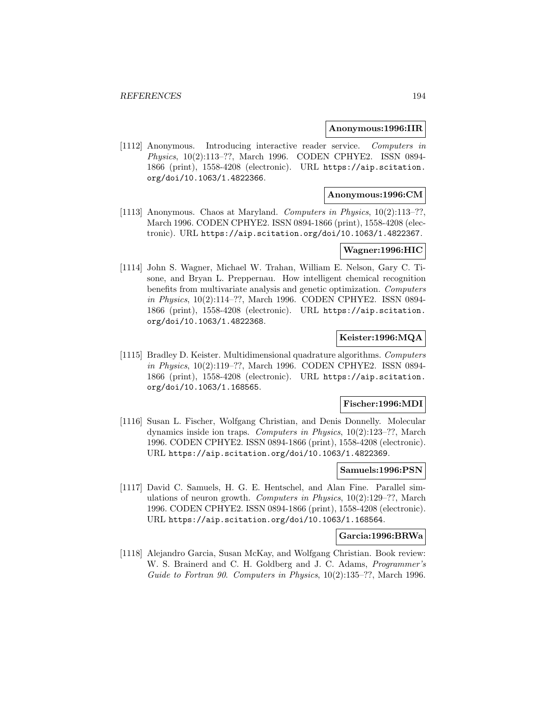#### **Anonymous:1996:IIR**

[1112] Anonymous. Introducing interactive reader service. Computers in Physics, 10(2):113–??, March 1996. CODEN CPHYE2. ISSN 0894- 1866 (print), 1558-4208 (electronic). URL https://aip.scitation. org/doi/10.1063/1.4822366.

## **Anonymous:1996:CM**

[1113] Anonymous. Chaos at Maryland. Computers in Physics, 10(2):113–??, March 1996. CODEN CPHYE2. ISSN 0894-1866 (print), 1558-4208 (electronic). URL https://aip.scitation.org/doi/10.1063/1.4822367.

# **Wagner:1996:HIC**

[1114] John S. Wagner, Michael W. Trahan, William E. Nelson, Gary C. Tisone, and Bryan L. Preppernau. How intelligent chemical recognition benefits from multivariate analysis and genetic optimization. Computers in Physics, 10(2):114–??, March 1996. CODEN CPHYE2. ISSN 0894- 1866 (print), 1558-4208 (electronic). URL https://aip.scitation. org/doi/10.1063/1.4822368.

# **Keister:1996:MQA**

[1115] Bradley D. Keister. Multidimensional quadrature algorithms. Computers in Physics, 10(2):119–??, March 1996. CODEN CPHYE2. ISSN 0894- 1866 (print), 1558-4208 (electronic). URL https://aip.scitation. org/doi/10.1063/1.168565.

### **Fischer:1996:MDI**

[1116] Susan L. Fischer, Wolfgang Christian, and Denis Donnelly. Molecular dynamics inside ion traps. Computers in Physics, 10(2):123–??, March 1996. CODEN CPHYE2. ISSN 0894-1866 (print), 1558-4208 (electronic). URL https://aip.scitation.org/doi/10.1063/1.4822369.

## **Samuels:1996:PSN**

[1117] David C. Samuels, H. G. E. Hentschel, and Alan Fine. Parallel simulations of neuron growth. Computers in Physics, 10(2):129–??, March 1996. CODEN CPHYE2. ISSN 0894-1866 (print), 1558-4208 (electronic). URL https://aip.scitation.org/doi/10.1063/1.168564.

### **Garcia:1996:BRWa**

[1118] Alejandro Garcia, Susan McKay, and Wolfgang Christian. Book review: W. S. Brainerd and C. H. Goldberg and J. C. Adams, Programmer's Guide to Fortran 90. Computers in Physics, 10(2):135–??, March 1996.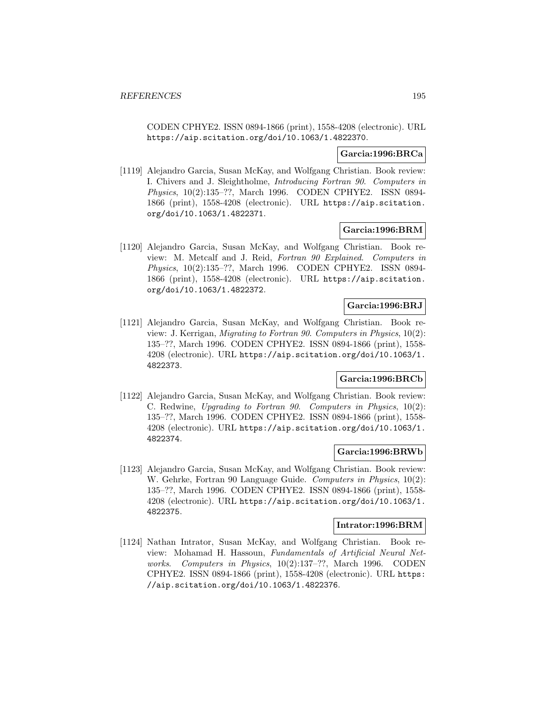CODEN CPHYE2. ISSN 0894-1866 (print), 1558-4208 (electronic). URL https://aip.scitation.org/doi/10.1063/1.4822370.

#### **Garcia:1996:BRCa**

[1119] Alejandro Garcia, Susan McKay, and Wolfgang Christian. Book review: I. Chivers and J. Sleightholme, Introducing Fortran 90. Computers in Physics, 10(2):135–??, March 1996. CODEN CPHYE2. ISSN 0894- 1866 (print), 1558-4208 (electronic). URL https://aip.scitation. org/doi/10.1063/1.4822371.

#### **Garcia:1996:BRM**

[1120] Alejandro Garcia, Susan McKay, and Wolfgang Christian. Book review: M. Metcalf and J. Reid, Fortran 90 Explained. Computers in Physics, 10(2):135–??, March 1996. CODEN CPHYE2. ISSN 0894- 1866 (print), 1558-4208 (electronic). URL https://aip.scitation. org/doi/10.1063/1.4822372.

## **Garcia:1996:BRJ**

[1121] Alejandro Garcia, Susan McKay, and Wolfgang Christian. Book review: J. Kerrigan, Migrating to Fortran 90. Computers in Physics, 10(2): 135–??, March 1996. CODEN CPHYE2. ISSN 0894-1866 (print), 1558- 4208 (electronic). URL https://aip.scitation.org/doi/10.1063/1. 4822373.

### **Garcia:1996:BRCb**

[1122] Alejandro Garcia, Susan McKay, and Wolfgang Christian. Book review: C. Redwine, Upgrading to Fortran 90. Computers in Physics, 10(2): 135–??, March 1996. CODEN CPHYE2. ISSN 0894-1866 (print), 1558- 4208 (electronic). URL https://aip.scitation.org/doi/10.1063/1. 4822374.

### **Garcia:1996:BRWb**

[1123] Alejandro Garcia, Susan McKay, and Wolfgang Christian. Book review: W. Gehrke, Fortran 90 Language Guide. Computers in Physics, 10(2): 135–??, March 1996. CODEN CPHYE2. ISSN 0894-1866 (print), 1558- 4208 (electronic). URL https://aip.scitation.org/doi/10.1063/1. 4822375.

#### **Intrator:1996:BRM**

[1124] Nathan Intrator, Susan McKay, and Wolfgang Christian. Book review: Mohamad H. Hassoun, Fundamentals of Artificial Neural Networks. Computers in Physics, 10(2):137–??, March 1996. CODEN CPHYE2. ISSN 0894-1866 (print), 1558-4208 (electronic). URL https: //aip.scitation.org/doi/10.1063/1.4822376.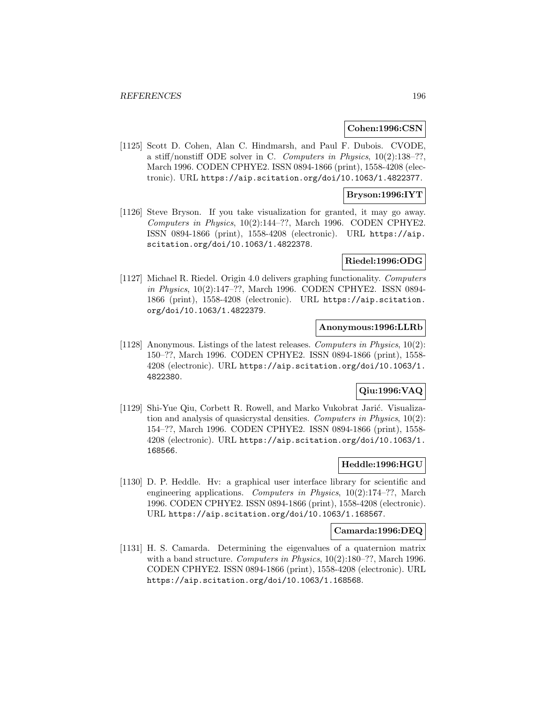### **Cohen:1996:CSN**

[1125] Scott D. Cohen, Alan C. Hindmarsh, and Paul F. Dubois. CVODE, a stiff/nonstiff ODE solver in C. Computers in Physics, 10(2):138–??, March 1996. CODEN CPHYE2. ISSN 0894-1866 (print), 1558-4208 (electronic). URL https://aip.scitation.org/doi/10.1063/1.4822377.

## **Bryson:1996:IYT**

[1126] Steve Bryson. If you take visualization for granted, it may go away. Computers in Physics, 10(2):144–??, March 1996. CODEN CPHYE2. ISSN 0894-1866 (print), 1558-4208 (electronic). URL https://aip. scitation.org/doi/10.1063/1.4822378.

#### **Riedel:1996:ODG**

[1127] Michael R. Riedel. Origin 4.0 delivers graphing functionality. Computers in Physics, 10(2):147–??, March 1996. CODEN CPHYE2. ISSN 0894- 1866 (print), 1558-4208 (electronic). URL https://aip.scitation. org/doi/10.1063/1.4822379.

# **Anonymous:1996:LLRb**

[1128] Anonymous. Listings of the latest releases. Computers in Physics, 10(2): 150–??, March 1996. CODEN CPHYE2. ISSN 0894-1866 (print), 1558- 4208 (electronic). URL https://aip.scitation.org/doi/10.1063/1. 4822380.

# **Qiu:1996:VAQ**

[1129] Shi-Yue Qiu, Corbett R. Rowell, and Marko Vukobrat Jarić. Visualization and analysis of quasicrystal densities. Computers in Physics, 10(2): 154–??, March 1996. CODEN CPHYE2. ISSN 0894-1866 (print), 1558- 4208 (electronic). URL https://aip.scitation.org/doi/10.1063/1. 168566.

#### **Heddle:1996:HGU**

[1130] D. P. Heddle. Hv: a graphical user interface library for scientific and engineering applications. Computers in Physics, 10(2):174–??, March 1996. CODEN CPHYE2. ISSN 0894-1866 (print), 1558-4208 (electronic). URL https://aip.scitation.org/doi/10.1063/1.168567.

#### **Camarda:1996:DEQ**

[1131] H. S. Camarda. Determining the eigenvalues of a quaternion matrix with a band structure. Computers in Physics,  $10(2):180-$ ??, March 1996. CODEN CPHYE2. ISSN 0894-1866 (print), 1558-4208 (electronic). URL https://aip.scitation.org/doi/10.1063/1.168568.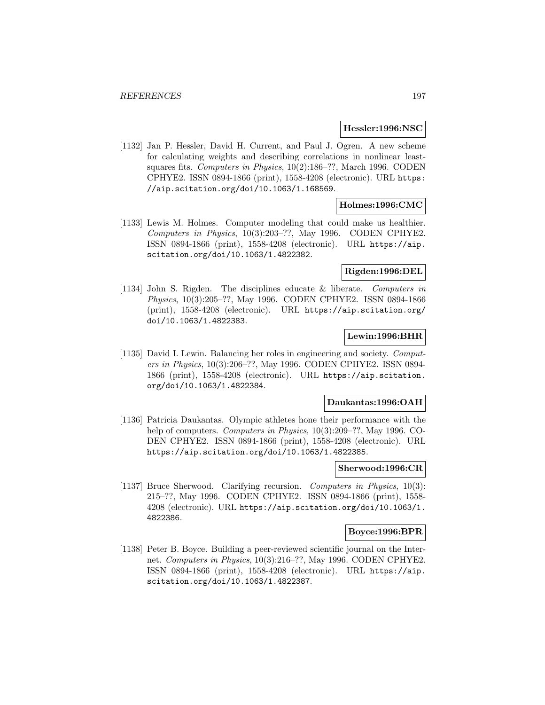#### **Hessler:1996:NSC**

[1132] Jan P. Hessler, David H. Current, and Paul J. Ogren. A new scheme for calculating weights and describing correlations in nonlinear leastsquares fits. Computers in Physics, 10(2):186-??, March 1996. CODEN CPHYE2. ISSN 0894-1866 (print), 1558-4208 (electronic). URL https: //aip.scitation.org/doi/10.1063/1.168569.

## **Holmes:1996:CMC**

[1133] Lewis M. Holmes. Computer modeling that could make us healthier. Computers in Physics, 10(3):203–??, May 1996. CODEN CPHYE2. ISSN 0894-1866 (print), 1558-4208 (electronic). URL https://aip. scitation.org/doi/10.1063/1.4822382.

#### **Rigden:1996:DEL**

[1134] John S. Rigden. The disciplines educate & liberate. Computers in Physics, 10(3):205–??, May 1996. CODEN CPHYE2. ISSN 0894-1866 (print), 1558-4208 (electronic). URL https://aip.scitation.org/ doi/10.1063/1.4822383.

# **Lewin:1996:BHR**

[1135] David I. Lewin. Balancing her roles in engineering and society. Computers in Physics, 10(3):206–??, May 1996. CODEN CPHYE2. ISSN 0894- 1866 (print), 1558-4208 (electronic). URL https://aip.scitation. org/doi/10.1063/1.4822384.

#### **Daukantas:1996:OAH**

[1136] Patricia Daukantas. Olympic athletes hone their performance with the help of computers. Computers in Physics, 10(3):209–??, May 1996. CO-DEN CPHYE2. ISSN 0894-1866 (print), 1558-4208 (electronic). URL https://aip.scitation.org/doi/10.1063/1.4822385.

## **Sherwood:1996:CR**

[1137] Bruce Sherwood. Clarifying recursion. Computers in Physics, 10(3): 215–??, May 1996. CODEN CPHYE2. ISSN 0894-1866 (print), 1558- 4208 (electronic). URL https://aip.scitation.org/doi/10.1063/1. 4822386.

### **Boyce:1996:BPR**

[1138] Peter B. Boyce. Building a peer-reviewed scientific journal on the Internet. Computers in Physics, 10(3):216–??, May 1996. CODEN CPHYE2. ISSN 0894-1866 (print), 1558-4208 (electronic). URL https://aip. scitation.org/doi/10.1063/1.4822387.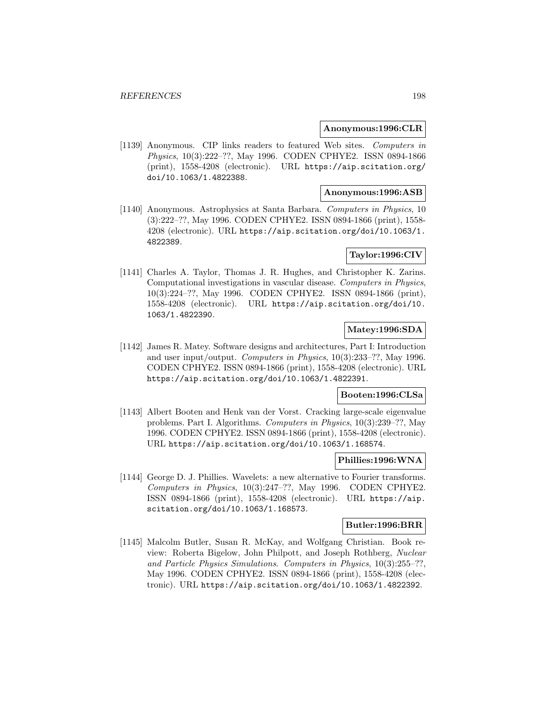#### **Anonymous:1996:CLR**

[1139] Anonymous. CIP links readers to featured Web sites. Computers in Physics, 10(3):222–??, May 1996. CODEN CPHYE2. ISSN 0894-1866 (print), 1558-4208 (electronic). URL https://aip.scitation.org/ doi/10.1063/1.4822388.

# **Anonymous:1996:ASB**

[1140] Anonymous. Astrophysics at Santa Barbara. Computers in Physics, 10 (3):222–??, May 1996. CODEN CPHYE2. ISSN 0894-1866 (print), 1558- 4208 (electronic). URL https://aip.scitation.org/doi/10.1063/1. 4822389.

## **Taylor:1996:CIV**

[1141] Charles A. Taylor, Thomas J. R. Hughes, and Christopher K. Zarins. Computational investigations in vascular disease. Computers in Physics, 10(3):224–??, May 1996. CODEN CPHYE2. ISSN 0894-1866 (print), 1558-4208 (electronic). URL https://aip.scitation.org/doi/10. 1063/1.4822390.

# **Matey:1996:SDA**

[1142] James R. Matey. Software designs and architectures, Part I: Introduction and user input/output. Computers in Physics, 10(3):233–??, May 1996. CODEN CPHYE2. ISSN 0894-1866 (print), 1558-4208 (electronic). URL https://aip.scitation.org/doi/10.1063/1.4822391.

# **Booten:1996:CLSa**

[1143] Albert Booten and Henk van der Vorst. Cracking large-scale eigenvalue problems. Part I. Algorithms. Computers in Physics, 10(3):239–??, May 1996. CODEN CPHYE2. ISSN 0894-1866 (print), 1558-4208 (electronic). URL https://aip.scitation.org/doi/10.1063/1.168574.

## **Phillies:1996:WNA**

[1144] George D. J. Phillies. Wavelets: a new alternative to Fourier transforms. Computers in Physics, 10(3):247–??, May 1996. CODEN CPHYE2. ISSN 0894-1866 (print), 1558-4208 (electronic). URL https://aip. scitation.org/doi/10.1063/1.168573.

#### **Butler:1996:BRR**

[1145] Malcolm Butler, Susan R. McKay, and Wolfgang Christian. Book review: Roberta Bigelow, John Philpott, and Joseph Rothberg, Nuclear and Particle Physics Simulations. Computers in Physics, 10(3):255–??, May 1996. CODEN CPHYE2. ISSN 0894-1866 (print), 1558-4208 (electronic). URL https://aip.scitation.org/doi/10.1063/1.4822392.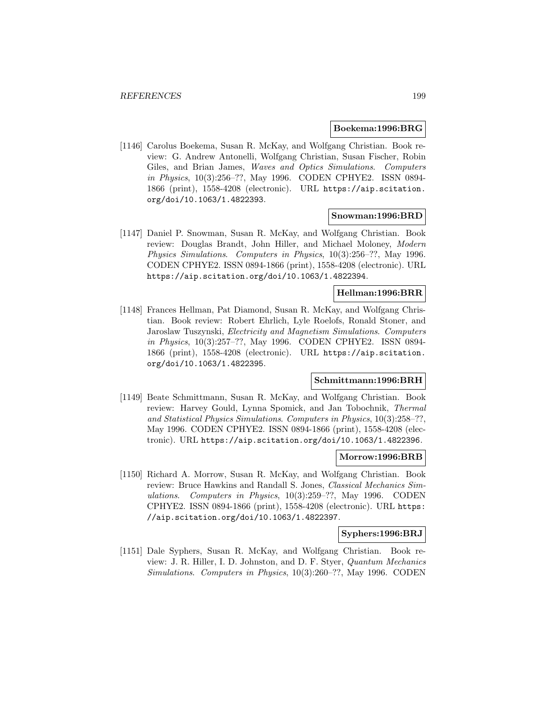#### **Boekema:1996:BRG**

[1146] Carolus Boekema, Susan R. McKay, and Wolfgang Christian. Book review: G. Andrew Antonelli, Wolfgang Christian, Susan Fischer, Robin Giles, and Brian James, *Waves and Optics Simulations. Computers* in Physics, 10(3):256–??, May 1996. CODEN CPHYE2. ISSN 0894- 1866 (print), 1558-4208 (electronic). URL https://aip.scitation. org/doi/10.1063/1.4822393.

#### **Snowman:1996:BRD**

[1147] Daniel P. Snowman, Susan R. McKay, and Wolfgang Christian. Book review: Douglas Brandt, John Hiller, and Michael Moloney, Modern Physics Simulations. Computers in Physics, 10(3):256–??, May 1996. CODEN CPHYE2. ISSN 0894-1866 (print), 1558-4208 (electronic). URL https://aip.scitation.org/doi/10.1063/1.4822394.

# **Hellman:1996:BRR**

[1148] Frances Hellman, Pat Diamond, Susan R. McKay, and Wolfgang Christian. Book review: Robert Ehrlich, Lyle Roelofs, Ronald Stoner, and Jaroslaw Tuszynski, Electricity and Magnetism Simulations. Computers in Physics, 10(3):257–??, May 1996. CODEN CPHYE2. ISSN 0894- 1866 (print), 1558-4208 (electronic). URL https://aip.scitation. org/doi/10.1063/1.4822395.

#### **Schmittmann:1996:BRH**

[1149] Beate Schmittmann, Susan R. McKay, and Wolfgang Christian. Book review: Harvey Gould, Lynna Spomick, and Jan Tobochnik, Thermal and Statistical Physics Simulations. Computers in Physics, 10(3):258–??, May 1996. CODEN CPHYE2. ISSN 0894-1866 (print), 1558-4208 (electronic). URL https://aip.scitation.org/doi/10.1063/1.4822396.

#### **Morrow:1996:BRB**

[1150] Richard A. Morrow, Susan R. McKay, and Wolfgang Christian. Book review: Bruce Hawkins and Randall S. Jones, Classical Mechanics Simulations. Computers in Physics, 10(3):259–??, May 1996. CODEN CPHYE2. ISSN 0894-1866 (print), 1558-4208 (electronic). URL https: //aip.scitation.org/doi/10.1063/1.4822397.

### **Syphers:1996:BRJ**

[1151] Dale Syphers, Susan R. McKay, and Wolfgang Christian. Book review: J. R. Hiller, I. D. Johnston, and D. F. Styer, Quantum Mechanics Simulations. Computers in Physics, 10(3):260–??, May 1996. CODEN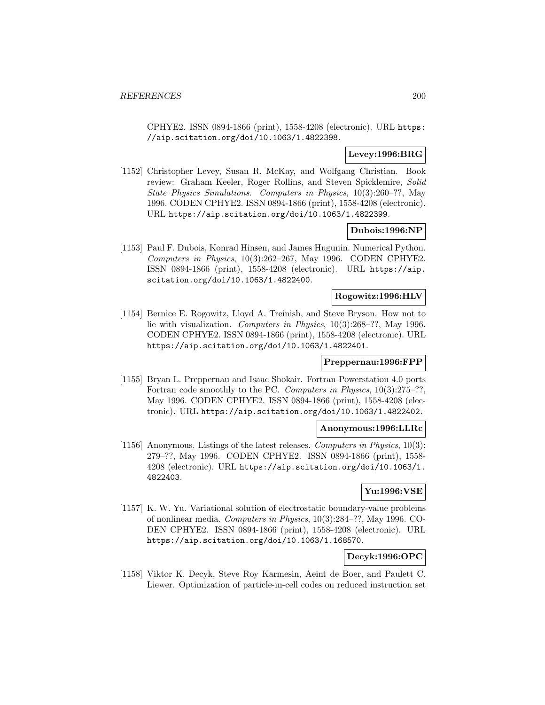CPHYE2. ISSN 0894-1866 (print), 1558-4208 (electronic). URL https: //aip.scitation.org/doi/10.1063/1.4822398.

# **Levey:1996:BRG**

[1152] Christopher Levey, Susan R. McKay, and Wolfgang Christian. Book review: Graham Keeler, Roger Rollins, and Steven Spicklemire, Solid State Physics Simulations. Computers in Physics, 10(3):260–??, May 1996. CODEN CPHYE2. ISSN 0894-1866 (print), 1558-4208 (electronic). URL https://aip.scitation.org/doi/10.1063/1.4822399.

# **Dubois:1996:NP**

[1153] Paul F. Dubois, Konrad Hinsen, and James Hugunin. Numerical Python. Computers in Physics, 10(3):262–267, May 1996. CODEN CPHYE2. ISSN 0894-1866 (print), 1558-4208 (electronic). URL https://aip. scitation.org/doi/10.1063/1.4822400.

# **Rogowitz:1996:HLV**

[1154] Bernice E. Rogowitz, Lloyd A. Treinish, and Steve Bryson. How not to lie with visualization. Computers in Physics, 10(3):268–??, May 1996. CODEN CPHYE2. ISSN 0894-1866 (print), 1558-4208 (electronic). URL https://aip.scitation.org/doi/10.1063/1.4822401.

## **Preppernau:1996:FPP**

[1155] Bryan L. Preppernau and Isaac Shokair. Fortran Powerstation 4.0 ports Fortran code smoothly to the PC. Computers in Physics,  $10(3):275-$ ??, May 1996. CODEN CPHYE2. ISSN 0894-1866 (print), 1558-4208 (electronic). URL https://aip.scitation.org/doi/10.1063/1.4822402.

#### **Anonymous:1996:LLRc**

[1156] Anonymous. Listings of the latest releases. Computers in Physics, 10(3): 279–??, May 1996. CODEN CPHYE2. ISSN 0894-1866 (print), 1558- 4208 (electronic). URL https://aip.scitation.org/doi/10.1063/1. 4822403.

## **Yu:1996:VSE**

[1157] K. W. Yu. Variational solution of electrostatic boundary-value problems of nonlinear media. Computers in Physics, 10(3):284–??, May 1996. CO-DEN CPHYE2. ISSN 0894-1866 (print), 1558-4208 (electronic). URL https://aip.scitation.org/doi/10.1063/1.168570.

# **Decyk:1996:OPC**

[1158] Viktor K. Decyk, Steve Roy Karmesin, Aeint de Boer, and Paulett C. Liewer. Optimization of particle-in-cell codes on reduced instruction set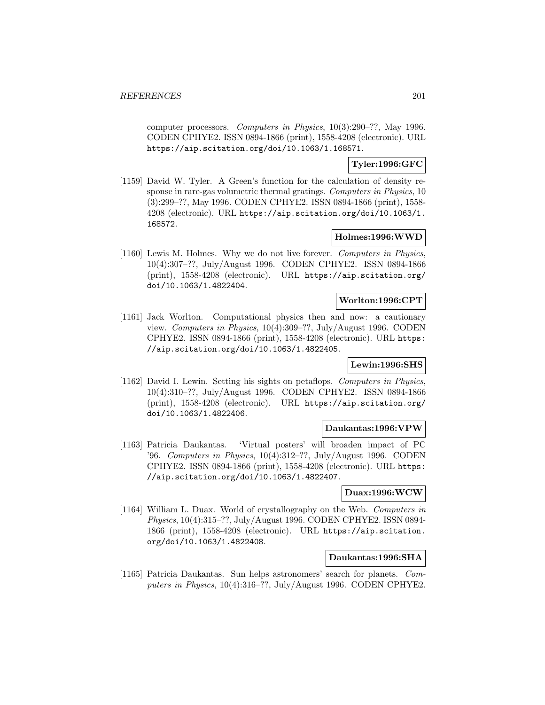computer processors. Computers in Physics, 10(3):290–??, May 1996. CODEN CPHYE2. ISSN 0894-1866 (print), 1558-4208 (electronic). URL https://aip.scitation.org/doi/10.1063/1.168571.

## **Tyler:1996:GFC**

[1159] David W. Tyler. A Green's function for the calculation of density response in rare-gas volumetric thermal gratings. Computers in Physics, 10 (3):299–??, May 1996. CODEN CPHYE2. ISSN 0894-1866 (print), 1558- 4208 (electronic). URL https://aip.scitation.org/doi/10.1063/1. 168572.

## **Holmes:1996:WWD**

[1160] Lewis M. Holmes. Why we do not live forever. Computers in Physics, 10(4):307–??, July/August 1996. CODEN CPHYE2. ISSN 0894-1866 (print), 1558-4208 (electronic). URL https://aip.scitation.org/ doi/10.1063/1.4822404.

#### **Worlton:1996:CPT**

[1161] Jack Worlton. Computational physics then and now: a cautionary view. Computers in Physics, 10(4):309–??, July/August 1996. CODEN CPHYE2. ISSN 0894-1866 (print), 1558-4208 (electronic). URL https: //aip.scitation.org/doi/10.1063/1.4822405.

# **Lewin:1996:SHS**

[1162] David I. Lewin. Setting his sights on petaflops. Computers in Physics, 10(4):310–??, July/August 1996. CODEN CPHYE2. ISSN 0894-1866 (print), 1558-4208 (electronic). URL https://aip.scitation.org/ doi/10.1063/1.4822406.

### **Daukantas:1996:VPW**

[1163] Patricia Daukantas. 'Virtual posters' will broaden impact of PC '96. Computers in Physics, 10(4):312–??, July/August 1996. CODEN CPHYE2. ISSN 0894-1866 (print), 1558-4208 (electronic). URL https: //aip.scitation.org/doi/10.1063/1.4822407.

## **Duax:1996:WCW**

[1164] William L. Duax. World of crystallography on the Web. Computers in Physics, 10(4):315–??, July/August 1996. CODEN CPHYE2. ISSN 0894- 1866 (print), 1558-4208 (electronic). URL https://aip.scitation. org/doi/10.1063/1.4822408.

## **Daukantas:1996:SHA**

[1165] Patricia Daukantas. Sun helps astronomers' search for planets. Computers in Physics,  $10(4):316-??$ , July/August 1996. CODEN CPHYE2.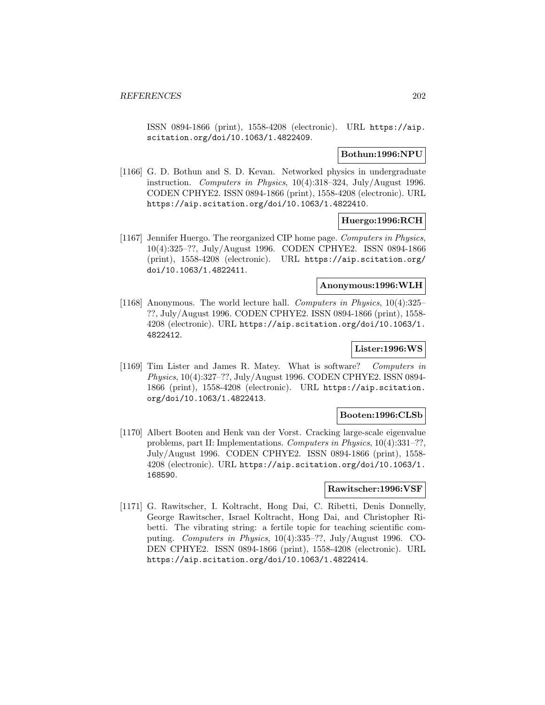ISSN 0894-1866 (print), 1558-4208 (electronic). URL https://aip. scitation.org/doi/10.1063/1.4822409.

### **Bothun:1996:NPU**

[1166] G. D. Bothun and S. D. Kevan. Networked physics in undergraduate instruction. Computers in Physics, 10(4):318–324, July/August 1996. CODEN CPHYE2. ISSN 0894-1866 (print), 1558-4208 (electronic). URL https://aip.scitation.org/doi/10.1063/1.4822410.

### **Huergo:1996:RCH**

[1167] Jennifer Huergo. The reorganized CIP home page. Computers in Physics, 10(4):325–??, July/August 1996. CODEN CPHYE2. ISSN 0894-1866 (print), 1558-4208 (electronic). URL https://aip.scitation.org/ doi/10.1063/1.4822411.

### **Anonymous:1996:WLH**

[1168] Anonymous. The world lecture hall. Computers in Physics, 10(4):325– ??, July/August 1996. CODEN CPHYE2. ISSN 0894-1866 (print), 1558- 4208 (electronic). URL https://aip.scitation.org/doi/10.1063/1. 4822412.

#### **Lister:1996:WS**

[1169] Tim Lister and James R. Matey. What is software? Computers in Physics, 10(4):327–??, July/August 1996. CODEN CPHYE2. ISSN 0894- 1866 (print), 1558-4208 (electronic). URL https://aip.scitation. org/doi/10.1063/1.4822413.

#### **Booten:1996:CLSb**

[1170] Albert Booten and Henk van der Vorst. Cracking large-scale eigenvalue problems, part II: Implementations. Computers in Physics, 10(4):331–??, July/August 1996. CODEN CPHYE2. ISSN 0894-1866 (print), 1558- 4208 (electronic). URL https://aip.scitation.org/doi/10.1063/1. 168590.

# **Rawitscher:1996:VSF**

[1171] G. Rawitscher, I. Koltracht, Hong Dai, C. Ribetti, Denis Donnelly, George Rawitscher, Israel Koltracht, Hong Dai, and Christopher Ribetti. The vibrating string: a fertile topic for teaching scientific computing. Computers in Physics, 10(4):335–??, July/August 1996. CO-DEN CPHYE2. ISSN 0894-1866 (print), 1558-4208 (electronic). URL https://aip.scitation.org/doi/10.1063/1.4822414.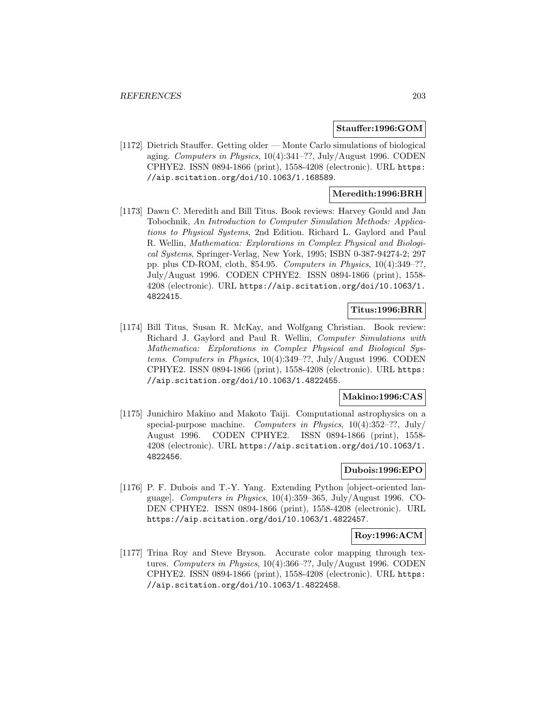### **Stauffer:1996:GOM**

[1172] Dietrich Stauffer. Getting older — Monte Carlo simulations of biological aging. Computers in Physics, 10(4):341–??, July/August 1996. CODEN CPHYE2. ISSN 0894-1866 (print), 1558-4208 (electronic). URL https: //aip.scitation.org/doi/10.1063/1.168589.

### **Meredith:1996:BRH**

[1173] Dawn C. Meredith and Bill Titus. Book reviews: Harvey Gould and Jan Tobochnik, An Introduction to Computer Simulation Methods: Applications to Physical Systems, 2nd Edition. Richard L. Gaylord and Paul R. Wellin, Mathematica: Explorations in Complex Physical and Biological Systems, Springer-Verlag, New York, 1995; ISBN 0-387-94274-2; 297 pp. plus CD-ROM, cloth, \$54.95. Computers in Physics, 10(4):349–??, July/August 1996. CODEN CPHYE2. ISSN 0894-1866 (print), 1558- 4208 (electronic). URL https://aip.scitation.org/doi/10.1063/1. 4822415.

# **Titus:1996:BRR**

[1174] Bill Titus, Susan R. McKay, and Wolfgang Christian. Book review: Richard J. Gaylord and Paul R. Wellin, Computer Simulations with Mathematica: Explorations in Complex Physical and Biological Systems. Computers in Physics, 10(4):349–??, July/August 1996. CODEN CPHYE2. ISSN 0894-1866 (print), 1558-4208 (electronic). URL https: //aip.scitation.org/doi/10.1063/1.4822455.

# **Makino:1996:CAS**

[1175] Junichiro Makino and Makoto Taiji. Computational astrophysics on a special-purpose machine. Computers in Physics,  $10(4):352-??$ , July/ August 1996. CODEN CPHYE2. ISSN 0894-1866 (print), 1558- 4208 (electronic). URL https://aip.scitation.org/doi/10.1063/1. 4822456.

## **Dubois:1996:EPO**

[1176] P. F. Dubois and T.-Y. Yang. Extending Python [object-oriented language]. Computers in Physics, 10(4):359–365, July/August 1996. CO-DEN CPHYE2. ISSN 0894-1866 (print), 1558-4208 (electronic). URL https://aip.scitation.org/doi/10.1063/1.4822457.

#### **Roy:1996:ACM**

[1177] Trina Roy and Steve Bryson. Accurate color mapping through textures. Computers in Physics, 10(4):366-??, July/August 1996. CODEN CPHYE2. ISSN 0894-1866 (print), 1558-4208 (electronic). URL https: //aip.scitation.org/doi/10.1063/1.4822458.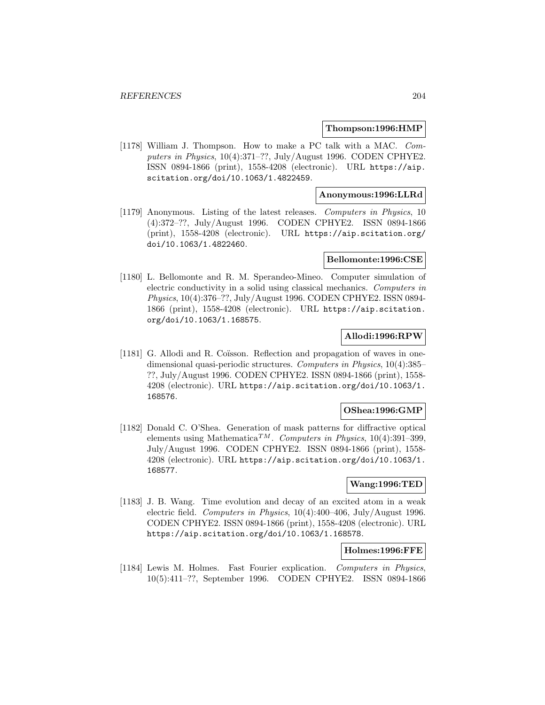#### **Thompson:1996:HMP**

[1178] William J. Thompson. How to make a PC talk with a MAC. Computers in Physics, 10(4):371–??, July/August 1996. CODEN CPHYE2. ISSN 0894-1866 (print), 1558-4208 (electronic). URL https://aip. scitation.org/doi/10.1063/1.4822459.

### **Anonymous:1996:LLRd**

[1179] Anonymous. Listing of the latest releases. Computers in Physics, 10 (4):372–??, July/August 1996. CODEN CPHYE2. ISSN 0894-1866 (print), 1558-4208 (electronic). URL https://aip.scitation.org/ doi/10.1063/1.4822460.

#### **Bellomonte:1996:CSE**

[1180] L. Bellomonte and R. M. Sperandeo-Mineo. Computer simulation of electric conductivity in a solid using classical mechanics. Computers in Physics, 10(4):376–??, July/August 1996. CODEN CPHYE2. ISSN 0894- 1866 (print), 1558-4208 (electronic). URL https://aip.scitation. org/doi/10.1063/1.168575.

# **Allodi:1996:RPW**

[1181] G. Allodi and R. Coïsson. Reflection and propagation of waves in onedimensional quasi-periodic structures. Computers in Physics, 10(4):385– ??, July/August 1996. CODEN CPHYE2. ISSN 0894-1866 (print), 1558- 4208 (electronic). URL https://aip.scitation.org/doi/10.1063/1. 168576.

# **OShea:1996:GMP**

[1182] Donald C. O'Shea. Generation of mask patterns for diffractive optical elements using Mathematica<sup>TM</sup>. Computers in Physics, 10(4):391-399, July/August 1996. CODEN CPHYE2. ISSN 0894-1866 (print), 1558- 4208 (electronic). URL https://aip.scitation.org/doi/10.1063/1. 168577.

## **Wang:1996:TED**

[1183] J. B. Wang. Time evolution and decay of an excited atom in a weak electric field. Computers in Physics, 10(4):400–406, July/August 1996. CODEN CPHYE2. ISSN 0894-1866 (print), 1558-4208 (electronic). URL https://aip.scitation.org/doi/10.1063/1.168578.

### **Holmes:1996:FFE**

[1184] Lewis M. Holmes. Fast Fourier explication. Computers in Physics, 10(5):411–??, September 1996. CODEN CPHYE2. ISSN 0894-1866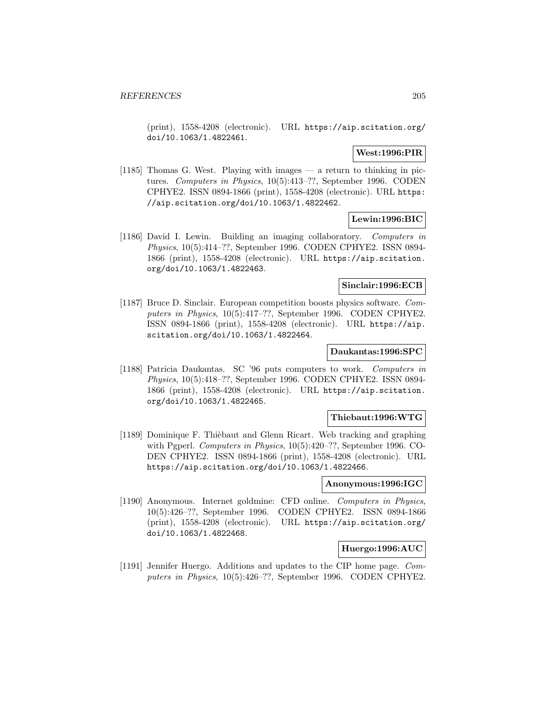(print), 1558-4208 (electronic). URL https://aip.scitation.org/ doi/10.1063/1.4822461.

#### **West:1996:PIR**

[1185] Thomas G. West. Playing with images — a return to thinking in pictures. Computers in Physics, 10(5):413–??, September 1996. CODEN CPHYE2. ISSN 0894-1866 (print), 1558-4208 (electronic). URL https: //aip.scitation.org/doi/10.1063/1.4822462.

## **Lewin:1996:BIC**

[1186] David I. Lewin. Building an imaging collaboratory. Computers in Physics, 10(5):414–??, September 1996. CODEN CPHYE2. ISSN 0894- 1866 (print), 1558-4208 (electronic). URL https://aip.scitation. org/doi/10.1063/1.4822463.

#### **Sinclair:1996:ECB**

[1187] Bruce D. Sinclair. European competition boosts physics software. Computers in Physics, 10(5):417–??, September 1996. CODEN CPHYE2. ISSN 0894-1866 (print), 1558-4208 (electronic). URL https://aip. scitation.org/doi/10.1063/1.4822464.

### **Daukantas:1996:SPC**

[1188] Patricia Daukantas. SC '96 puts computers to work. Computers in Physics, 10(5):418–??, September 1996. CODEN CPHYE2. ISSN 0894- 1866 (print), 1558-4208 (electronic). URL https://aip.scitation. org/doi/10.1063/1.4822465.

#### **Thiebaut:1996:WTG**

[1189] Dominique F. Thièbaut and Glenn Ricart. Web tracking and graphing with Pgperl. Computers in Physics,  $10(5):420-??$ , September 1996. CO-DEN CPHYE2. ISSN 0894-1866 (print), 1558-4208 (electronic). URL https://aip.scitation.org/doi/10.1063/1.4822466.

### **Anonymous:1996:IGC**

[1190] Anonymous. Internet goldmine: CFD online. Computers in Physics, 10(5):426–??, September 1996. CODEN CPHYE2. ISSN 0894-1866 (print), 1558-4208 (electronic). URL https://aip.scitation.org/ doi/10.1063/1.4822468.

### **Huergo:1996:AUC**

[1191] Jennifer Huergo. Additions and updates to the CIP home page. Computers in Physics, 10(5):426–??, September 1996. CODEN CPHYE2.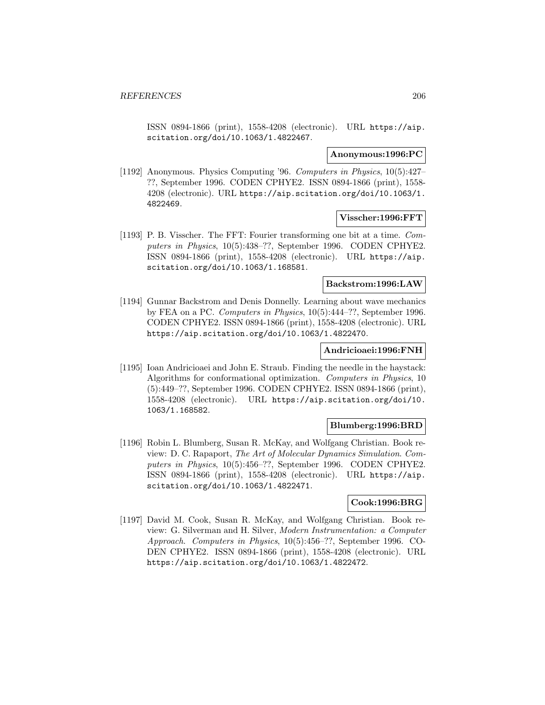ISSN 0894-1866 (print), 1558-4208 (electronic). URL https://aip. scitation.org/doi/10.1063/1.4822467.

#### **Anonymous:1996:PC**

[1192] Anonymous. Physics Computing '96. Computers in Physics, 10(5):427– ??, September 1996. CODEN CPHYE2. ISSN 0894-1866 (print), 1558- 4208 (electronic). URL https://aip.scitation.org/doi/10.1063/1. 4822469.

### **Visscher:1996:FFT**

[1193] P. B. Visscher. The FFT: Fourier transforming one bit at a time. Computers in Physics, 10(5):438–??, September 1996. CODEN CPHYE2. ISSN 0894-1866 (print), 1558-4208 (electronic). URL https://aip. scitation.org/doi/10.1063/1.168581.

## **Backstrom:1996:LAW**

[1194] Gunnar Backstrom and Denis Donnelly. Learning about wave mechanics by FEA on a PC. Computers in Physics, 10(5):444–??, September 1996. CODEN CPHYE2. ISSN 0894-1866 (print), 1558-4208 (electronic). URL https://aip.scitation.org/doi/10.1063/1.4822470.

## **Andricioaei:1996:FNH**

[1195] Ioan Andricioaei and John E. Straub. Finding the needle in the haystack: Algorithms for conformational optimization. Computers in Physics, 10 (5):449–??, September 1996. CODEN CPHYE2. ISSN 0894-1866 (print), 1558-4208 (electronic). URL https://aip.scitation.org/doi/10. 1063/1.168582.

# **Blumberg:1996:BRD**

[1196] Robin L. Blumberg, Susan R. McKay, and Wolfgang Christian. Book review: D. C. Rapaport, The Art of Molecular Dynamics Simulation. Computers in Physics, 10(5):456–??, September 1996. CODEN CPHYE2. ISSN 0894-1866 (print), 1558-4208 (electronic). URL https://aip. scitation.org/doi/10.1063/1.4822471.

### **Cook:1996:BRG**

[1197] David M. Cook, Susan R. McKay, and Wolfgang Christian. Book review: G. Silverman and H. Silver, Modern Instrumentation: a Computer Approach. Computers in Physics, 10(5):456–??, September 1996. CO-DEN CPHYE2. ISSN 0894-1866 (print), 1558-4208 (electronic). URL https://aip.scitation.org/doi/10.1063/1.4822472.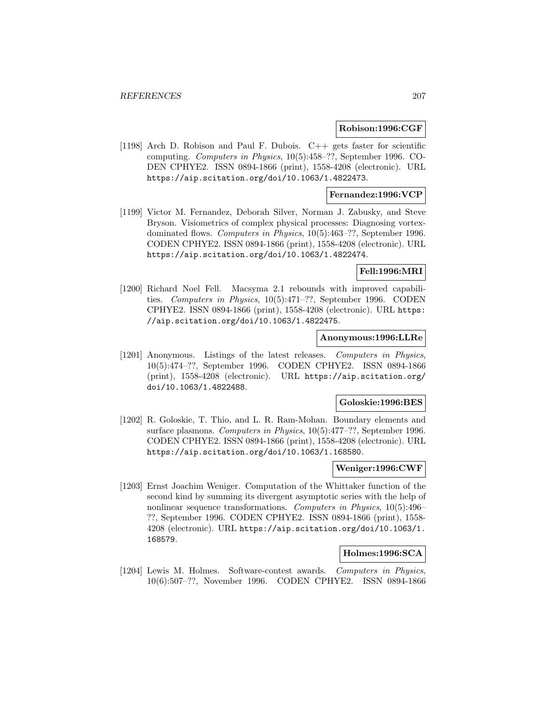#### **Robison:1996:CGF**

[1198] Arch D. Robison and Paul F. Dubois. C++ gets faster for scientific computing. Computers in Physics, 10(5):458–??, September 1996. CO-DEN CPHYE2. ISSN 0894-1866 (print), 1558-4208 (electronic). URL https://aip.scitation.org/doi/10.1063/1.4822473.

## **Fernandez:1996:VCP**

[1199] Victor M. Fernandez, Deborah Silver, Norman J. Zabusky, and Steve Bryson. Visiometrics of complex physical processes: Diagnosing vortexdominated flows. Computers in Physics, 10(5):463–??, September 1996. CODEN CPHYE2. ISSN 0894-1866 (print), 1558-4208 (electronic). URL https://aip.scitation.org/doi/10.1063/1.4822474.

### **Fell:1996:MRI**

[1200] Richard Noel Fell. Macsyma 2.1 rebounds with improved capabilities. Computers in Physics, 10(5):471–??, September 1996. CODEN CPHYE2. ISSN 0894-1866 (print), 1558-4208 (electronic). URL https: //aip.scitation.org/doi/10.1063/1.4822475.

#### **Anonymous:1996:LLRe**

[1201] Anonymous. Listings of the latest releases. Computers in Physics, 10(5):474–??, September 1996. CODEN CPHYE2. ISSN 0894-1866 (print), 1558-4208 (electronic). URL https://aip.scitation.org/ doi/10.1063/1.4822488.

#### **Goloskie:1996:BES**

[1202] R. Goloskie, T. Thio, and L. R. Ram-Mohan. Boundary elements and surface plasmons. Computers in Physics,  $10(5):477-$ ??, September 1996. CODEN CPHYE2. ISSN 0894-1866 (print), 1558-4208 (electronic). URL https://aip.scitation.org/doi/10.1063/1.168580.

# **Weniger:1996:CWF**

[1203] Ernst Joachim Weniger. Computation of the Whittaker function of the second kind by summing its divergent asymptotic series with the help of nonlinear sequence transformations. Computers in Physics, 10(5):496– ??, September 1996. CODEN CPHYE2. ISSN 0894-1866 (print), 1558- 4208 (electronic). URL https://aip.scitation.org/doi/10.1063/1. 168579.

### **Holmes:1996:SCA**

[1204] Lewis M. Holmes. Software-contest awards. Computers in Physics, 10(6):507–??, November 1996. CODEN CPHYE2. ISSN 0894-1866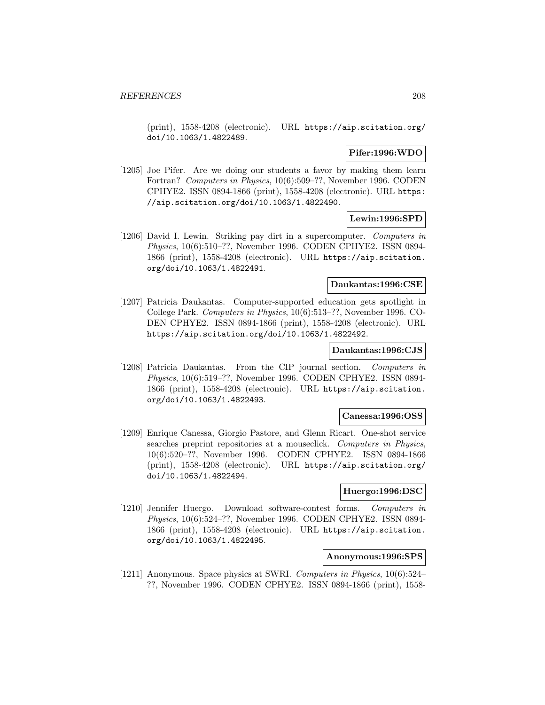(print), 1558-4208 (electronic). URL https://aip.scitation.org/ doi/10.1063/1.4822489.

# **Pifer:1996:WDO**

[1205] Joe Pifer. Are we doing our students a favor by making them learn Fortran? Computers in Physics, 10(6):509–??, November 1996. CODEN CPHYE2. ISSN 0894-1866 (print), 1558-4208 (electronic). URL https: //aip.scitation.org/doi/10.1063/1.4822490.

# **Lewin:1996:SPD**

[1206] David I. Lewin. Striking pay dirt in a supercomputer. Computers in Physics, 10(6):510–??, November 1996. CODEN CPHYE2. ISSN 0894- 1866 (print), 1558-4208 (electronic). URL https://aip.scitation. org/doi/10.1063/1.4822491.

### **Daukantas:1996:CSE**

[1207] Patricia Daukantas. Computer-supported education gets spotlight in College Park. Computers in Physics, 10(6):513–??, November 1996. CO-DEN CPHYE2. ISSN 0894-1866 (print), 1558-4208 (electronic). URL https://aip.scitation.org/doi/10.1063/1.4822492.

### **Daukantas:1996:CJS**

[1208] Patricia Daukantas. From the CIP journal section. Computers in Physics, 10(6):519–??, November 1996. CODEN CPHYE2. ISSN 0894- 1866 (print), 1558-4208 (electronic). URL https://aip.scitation. org/doi/10.1063/1.4822493.

#### **Canessa:1996:OSS**

[1209] Enrique Canessa, Giorgio Pastore, and Glenn Ricart. One-shot service searches preprint repositories at a mouseclick. Computers in Physics, 10(6):520–??, November 1996. CODEN CPHYE2. ISSN 0894-1866 (print), 1558-4208 (electronic). URL https://aip.scitation.org/ doi/10.1063/1.4822494.

#### **Huergo:1996:DSC**

[1210] Jennifer Huergo. Download software-contest forms. Computers in Physics, 10(6):524–??, November 1996. CODEN CPHYE2. ISSN 0894- 1866 (print), 1558-4208 (electronic). URL https://aip.scitation. org/doi/10.1063/1.4822495.

# **Anonymous:1996:SPS**

[1211] Anonymous. Space physics at SWRI. Computers in Physics, 10(6):524– ??, November 1996. CODEN CPHYE2. ISSN 0894-1866 (print), 1558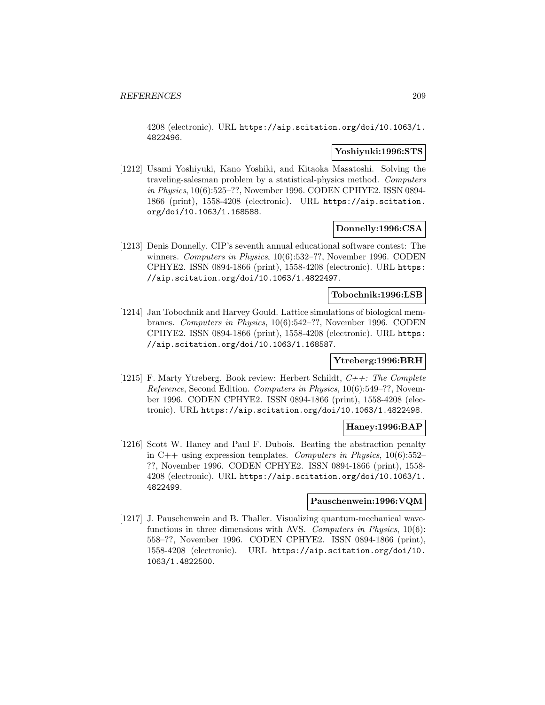4208 (electronic). URL https://aip.scitation.org/doi/10.1063/1. 4822496.

### **Yoshiyuki:1996:STS**

[1212] Usami Yoshiyuki, Kano Yoshiki, and Kitaoka Masatoshi. Solving the traveling-salesman problem by a statistical-physics method. Computers in Physics, 10(6):525–??, November 1996. CODEN CPHYE2. ISSN 0894- 1866 (print), 1558-4208 (electronic). URL https://aip.scitation. org/doi/10.1063/1.168588.

### **Donnelly:1996:CSA**

[1213] Denis Donnelly. CIP's seventh annual educational software contest: The winners. Computers in Physics, 10(6):532–??, November 1996. CODEN CPHYE2. ISSN 0894-1866 (print), 1558-4208 (electronic). URL https: //aip.scitation.org/doi/10.1063/1.4822497.

#### **Tobochnik:1996:LSB**

[1214] Jan Tobochnik and Harvey Gould. Lattice simulations of biological membranes. Computers in Physics, 10(6):542–??, November 1996. CODEN CPHYE2. ISSN 0894-1866 (print), 1558-4208 (electronic). URL https: //aip.scitation.org/doi/10.1063/1.168587.

## **Ytreberg:1996:BRH**

[1215] F. Marty Ytreberg. Book review: Herbert Schildt,  $C++$ : The Complete Reference, Second Edition. Computers in Physics, 10(6):549–??, November 1996. CODEN CPHYE2. ISSN 0894-1866 (print), 1558-4208 (electronic). URL https://aip.scitation.org/doi/10.1063/1.4822498.

### **Haney:1996:BAP**

[1216] Scott W. Haney and Paul F. Dubois. Beating the abstraction penalty in C++ using expression templates. Computers in Physics,  $10(6)$ :552– ??, November 1996. CODEN CPHYE2. ISSN 0894-1866 (print), 1558- 4208 (electronic). URL https://aip.scitation.org/doi/10.1063/1. 4822499.

## **Pauschenwein:1996:VQM**

[1217] J. Pauschenwein and B. Thaller. Visualizing quantum-mechanical wavefunctions in three dimensions with AVS. Computers in Physics, 10(6): 558–??, November 1996. CODEN CPHYE2. ISSN 0894-1866 (print), 1558-4208 (electronic). URL https://aip.scitation.org/doi/10. 1063/1.4822500.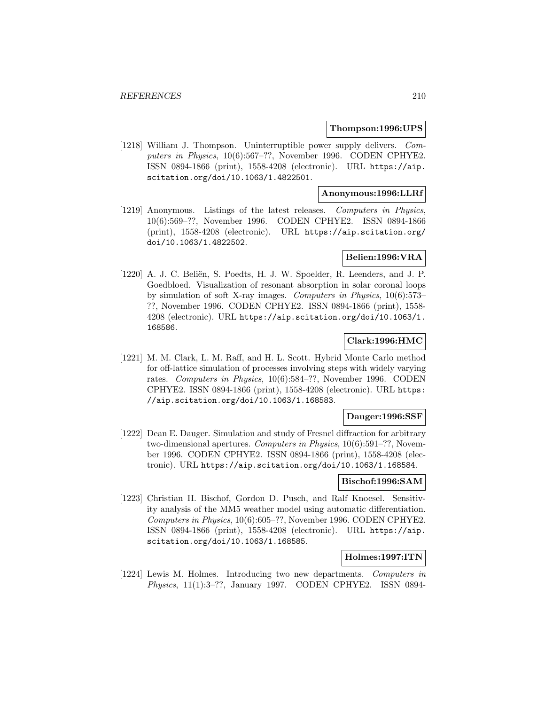#### **Thompson:1996:UPS**

[1218] William J. Thompson. Uninterruptible power supply delivers. Computers in Physics, 10(6):567–??, November 1996. CODEN CPHYE2. ISSN 0894-1866 (print), 1558-4208 (electronic). URL https://aip. scitation.org/doi/10.1063/1.4822501.

### **Anonymous:1996:LLRf**

[1219] Anonymous. Listings of the latest releases. Computers in Physics, 10(6):569–??, November 1996. CODEN CPHYE2. ISSN 0894-1866 (print), 1558-4208 (electronic). URL https://aip.scitation.org/ doi/10.1063/1.4822502.

#### **Belien:1996:VRA**

[1220] A. J. C. Beliën, S. Poedts, H. J. W. Spoelder, R. Leenders, and J. P. Goedbloed. Visualization of resonant absorption in solar coronal loops by simulation of soft X-ray images. Computers in Physics, 10(6):573– ??, November 1996. CODEN CPHYE2. ISSN 0894-1866 (print), 1558- 4208 (electronic). URL https://aip.scitation.org/doi/10.1063/1. 168586.

# **Clark:1996:HMC**

[1221] M. M. Clark, L. M. Raff, and H. L. Scott. Hybrid Monte Carlo method for off-lattice simulation of processes involving steps with widely varying rates. Computers in Physics, 10(6):584–??, November 1996. CODEN CPHYE2. ISSN 0894-1866 (print), 1558-4208 (electronic). URL https: //aip.scitation.org/doi/10.1063/1.168583.

### **Dauger:1996:SSF**

[1222] Dean E. Dauger. Simulation and study of Fresnel diffraction for arbitrary two-dimensional apertures. Computers in Physics, 10(6):591–??, November 1996. CODEN CPHYE2. ISSN 0894-1866 (print), 1558-4208 (electronic). URL https://aip.scitation.org/doi/10.1063/1.168584.

#### **Bischof:1996:SAM**

[1223] Christian H. Bischof, Gordon D. Pusch, and Ralf Knoesel. Sensitivity analysis of the MM5 weather model using automatic differentiation. Computers in Physics, 10(6):605–??, November 1996. CODEN CPHYE2. ISSN 0894-1866 (print), 1558-4208 (electronic). URL https://aip. scitation.org/doi/10.1063/1.168585.

# **Holmes:1997:ITN**

[1224] Lewis M. Holmes. Introducing two new departments. Computers in Physics, 11(1):3–??, January 1997. CODEN CPHYE2. ISSN 0894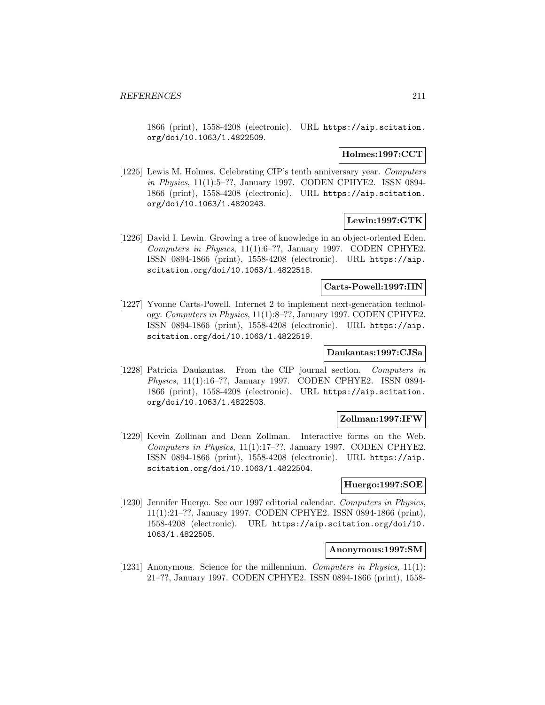1866 (print), 1558-4208 (electronic). URL https://aip.scitation. org/doi/10.1063/1.4822509.

#### **Holmes:1997:CCT**

[1225] Lewis M. Holmes. Celebrating CIP's tenth anniversary year. Computers in Physics, 11(1):5–??, January 1997. CODEN CPHYE2. ISSN 0894- 1866 (print), 1558-4208 (electronic). URL https://aip.scitation. org/doi/10.1063/1.4820243.

## **Lewin:1997:GTK**

[1226] David I. Lewin. Growing a tree of knowledge in an object-oriented Eden. Computers in Physics, 11(1):6–??, January 1997. CODEN CPHYE2. ISSN 0894-1866 (print), 1558-4208 (electronic). URL https://aip. scitation.org/doi/10.1063/1.4822518.

### **Carts-Powell:1997:IIN**

[1227] Yvonne Carts-Powell. Internet 2 to implement next-generation technology. Computers in Physics, 11(1):8–??, January 1997. CODEN CPHYE2. ISSN 0894-1866 (print), 1558-4208 (electronic). URL https://aip. scitation.org/doi/10.1063/1.4822519.

### **Daukantas:1997:CJSa**

[1228] Patricia Daukantas. From the CIP journal section. Computers in Physics, 11(1):16–??, January 1997. CODEN CPHYE2. ISSN 0894- 1866 (print), 1558-4208 (electronic). URL https://aip.scitation. org/doi/10.1063/1.4822503.

#### **Zollman:1997:IFW**

[1229] Kevin Zollman and Dean Zollman. Interactive forms on the Web. Computers in Physics, 11(1):17–??, January 1997. CODEN CPHYE2. ISSN 0894-1866 (print), 1558-4208 (electronic). URL https://aip. scitation.org/doi/10.1063/1.4822504.

## **Huergo:1997:SOE**

[1230] Jennifer Huergo. See our 1997 editorial calendar. Computers in Physics, 11(1):21–??, January 1997. CODEN CPHYE2. ISSN 0894-1866 (print), 1558-4208 (electronic). URL https://aip.scitation.org/doi/10. 1063/1.4822505.

#### **Anonymous:1997:SM**

[1231] Anonymous. Science for the millennium. Computers in Physics, 11(1): 21–??, January 1997. CODEN CPHYE2. ISSN 0894-1866 (print), 1558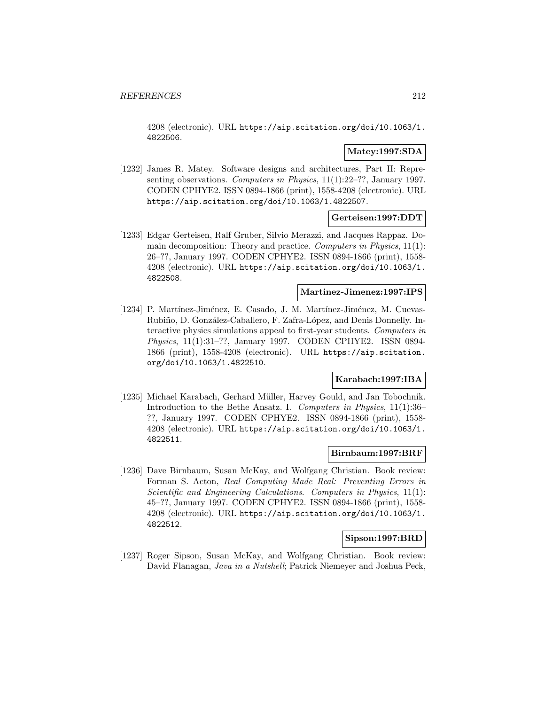4208 (electronic). URL https://aip.scitation.org/doi/10.1063/1. 4822506.

## **Matey:1997:SDA**

[1232] James R. Matey. Software designs and architectures, Part II: Representing observations. Computers in Physics, 11(1):22–??, January 1997. CODEN CPHYE2. ISSN 0894-1866 (print), 1558-4208 (electronic). URL https://aip.scitation.org/doi/10.1063/1.4822507.

## **Gerteisen:1997:DDT**

[1233] Edgar Gerteisen, Ralf Gruber, Silvio Merazzi, and Jacques Rappaz. Domain decomposition: Theory and practice. Computers in Physics,  $11(1)$ : 26–??, January 1997. CODEN CPHYE2. ISSN 0894-1866 (print), 1558- 4208 (electronic). URL https://aip.scitation.org/doi/10.1063/1. 4822508.

## **Martinez-Jimenez:1997:IPS**

[1234] P. Martínez-Jiménez, E. Casado, J. M. Martínez-Jiménez, M. Cuevas-Rubiño, D. González-Caballero, F. Zafra-López, and Denis Donnelly. Interactive physics simulations appeal to first-year students. Computers in Physics, 11(1):31–??, January 1997. CODEN CPHYE2. ISSN 0894- 1866 (print), 1558-4208 (electronic). URL https://aip.scitation. org/doi/10.1063/1.4822510.

### **Karabach:1997:IBA**

[1235] Michael Karabach, Gerhard Müller, Harvey Gould, and Jan Tobochnik. Introduction to the Bethe Ansatz. I. Computers in Physics, 11(1):36– ??, January 1997. CODEN CPHYE2. ISSN 0894-1866 (print), 1558- 4208 (electronic). URL https://aip.scitation.org/doi/10.1063/1. 4822511.

### **Birnbaum:1997:BRF**

[1236] Dave Birnbaum, Susan McKay, and Wolfgang Christian. Book review: Forman S. Acton, Real Computing Made Real: Preventing Errors in Scientific and Engineering Calculations. Computers in Physics, 11(1): 45–??, January 1997. CODEN CPHYE2. ISSN 0894-1866 (print), 1558- 4208 (electronic). URL https://aip.scitation.org/doi/10.1063/1. 4822512.

#### **Sipson:1997:BRD**

[1237] Roger Sipson, Susan McKay, and Wolfgang Christian. Book review: David Flanagan, Java in a Nutshell; Patrick Niemeyer and Joshua Peck,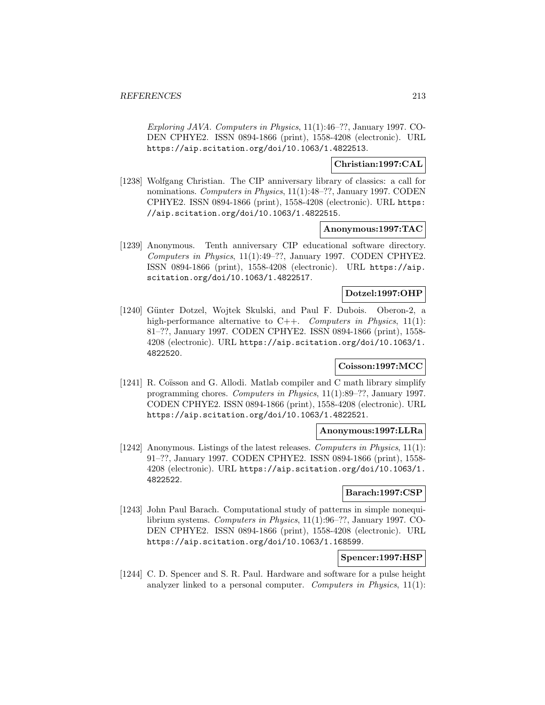Exploring JAVA. Computers in Physics, 11(1):46–??, January 1997. CO-DEN CPHYE2. ISSN 0894-1866 (print), 1558-4208 (electronic). URL https://aip.scitation.org/doi/10.1063/1.4822513.

**Christian:1997:CAL**

[1238] Wolfgang Christian. The CIP anniversary library of classics: a call for nominations. Computers in Physics, 11(1):48–??, January 1997. CODEN CPHYE2. ISSN 0894-1866 (print), 1558-4208 (electronic). URL https: //aip.scitation.org/doi/10.1063/1.4822515.

### **Anonymous:1997:TAC**

[1239] Anonymous. Tenth anniversary CIP educational software directory. Computers in Physics, 11(1):49–??, January 1997. CODEN CPHYE2. ISSN 0894-1866 (print), 1558-4208 (electronic). URL https://aip. scitation.org/doi/10.1063/1.4822517.

# **Dotzel:1997:OHP**

[1240] Günter Dotzel, Wojtek Skulski, and Paul F. Dubois. Oberon-2, a high-performance alternative to  $C++$ . Computers in Physics, 11(1): 81–??, January 1997. CODEN CPHYE2. ISSN 0894-1866 (print), 1558- 4208 (electronic). URL https://aip.scitation.org/doi/10.1063/1. 4822520.

# **Coisson:1997:MCC**

[1241] R. Coïsson and G. Allodi. Matlab compiler and C math library simplify programming chores. Computers in Physics, 11(1):89–??, January 1997. CODEN CPHYE2. ISSN 0894-1866 (print), 1558-4208 (electronic). URL https://aip.scitation.org/doi/10.1063/1.4822521.

### **Anonymous:1997:LLRa**

[1242] Anonymous. Listings of the latest releases. Computers in Physics, 11(1): 91–??, January 1997. CODEN CPHYE2. ISSN 0894-1866 (print), 1558- 4208 (electronic). URL https://aip.scitation.org/doi/10.1063/1. 4822522.

### **Barach:1997:CSP**

[1243] John Paul Barach. Computational study of patterns in simple nonequilibrium systems. Computers in Physics, 11(1):96–??, January 1997. CO-DEN CPHYE2. ISSN 0894-1866 (print), 1558-4208 (electronic). URL https://aip.scitation.org/doi/10.1063/1.168599.

# **Spencer:1997:HSP**

[1244] C. D. Spencer and S. R. Paul. Hardware and software for a pulse height analyzer linked to a personal computer. Computers in Physics,  $11(1)$ :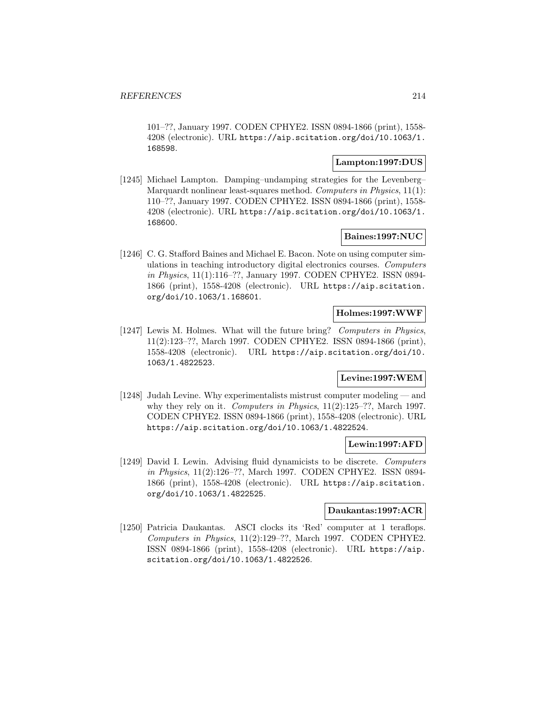101–??, January 1997. CODEN CPHYE2. ISSN 0894-1866 (print), 1558- 4208 (electronic). URL https://aip.scitation.org/doi/10.1063/1. 168598.

# **Lampton:1997:DUS**

[1245] Michael Lampton. Damping–undamping strategies for the Levenberg– Marquardt nonlinear least-squares method. Computers in Physics, 11(1): 110–??, January 1997. CODEN CPHYE2. ISSN 0894-1866 (print), 1558- 4208 (electronic). URL https://aip.scitation.org/doi/10.1063/1. 168600.

# **Baines:1997:NUC**

[1246] C. G. Stafford Baines and Michael E. Bacon. Note on using computer simulations in teaching introductory digital electronics courses. Computers in Physics, 11(1):116–??, January 1997. CODEN CPHYE2. ISSN 0894- 1866 (print), 1558-4208 (electronic). URL https://aip.scitation. org/doi/10.1063/1.168601.

## **Holmes:1997:WWF**

[1247] Lewis M. Holmes. What will the future bring? Computers in Physics, 11(2):123–??, March 1997. CODEN CPHYE2. ISSN 0894-1866 (print), 1558-4208 (electronic). URL https://aip.scitation.org/doi/10. 1063/1.4822523.

#### **Levine:1997:WEM**

[1248] Judah Levine. Why experimentalists mistrust computer modeling — and why they rely on it. Computers in Physics,  $11(2):125-??$ , March 1997. CODEN CPHYE2. ISSN 0894-1866 (print), 1558-4208 (electronic). URL https://aip.scitation.org/doi/10.1063/1.4822524.

### **Lewin:1997:AFD**

[1249] David I. Lewin. Advising fluid dynamicists to be discrete. Computers in Physics, 11(2):126–??, March 1997. CODEN CPHYE2. ISSN 0894- 1866 (print), 1558-4208 (electronic). URL https://aip.scitation. org/doi/10.1063/1.4822525.

#### **Daukantas:1997:ACR**

[1250] Patricia Daukantas. ASCI clocks its 'Red' computer at 1 teraflops. Computers in Physics, 11(2):129–??, March 1997. CODEN CPHYE2. ISSN 0894-1866 (print), 1558-4208 (electronic). URL https://aip. scitation.org/doi/10.1063/1.4822526.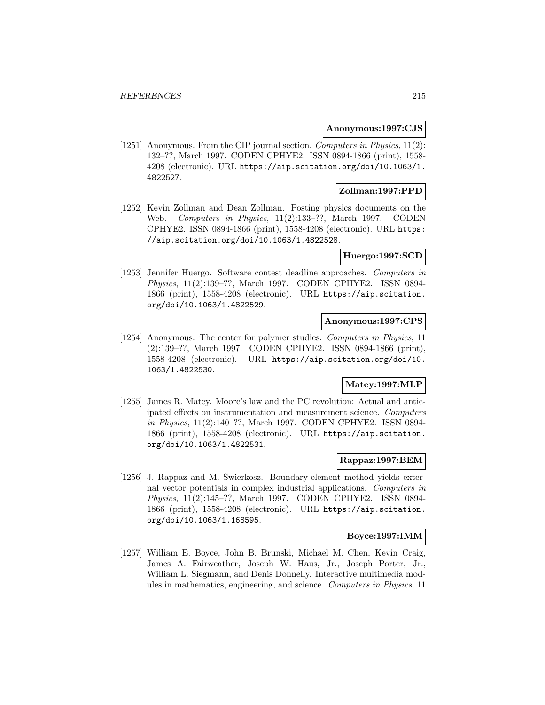#### **Anonymous:1997:CJS**

[1251] Anonymous. From the CIP journal section. Computers in Physics, 11(2): 132–??, March 1997. CODEN CPHYE2. ISSN 0894-1866 (print), 1558- 4208 (electronic). URL https://aip.scitation.org/doi/10.1063/1. 4822527.

## **Zollman:1997:PPD**

[1252] Kevin Zollman and Dean Zollman. Posting physics documents on the Web. Computers in Physics, 11(2):133–??, March 1997. CODEN CPHYE2. ISSN 0894-1866 (print), 1558-4208 (electronic). URL https: //aip.scitation.org/doi/10.1063/1.4822528.

## **Huergo:1997:SCD**

[1253] Jennifer Huergo. Software contest deadline approaches. Computers in Physics, 11(2):139–??, March 1997. CODEN CPHYE2. ISSN 0894- 1866 (print), 1558-4208 (electronic). URL https://aip.scitation. org/doi/10.1063/1.4822529.

#### **Anonymous:1997:CPS**

[1254] Anonymous. The center for polymer studies. Computers in Physics, 11 (2):139–??, March 1997. CODEN CPHYE2. ISSN 0894-1866 (print), 1558-4208 (electronic). URL https://aip.scitation.org/doi/10. 1063/1.4822530.

# **Matey:1997:MLP**

[1255] James R. Matey. Moore's law and the PC revolution: Actual and anticipated effects on instrumentation and measurement science. Computers in Physics, 11(2):140–??, March 1997. CODEN CPHYE2. ISSN 0894- 1866 (print), 1558-4208 (electronic). URL https://aip.scitation. org/doi/10.1063/1.4822531.

### **Rappaz:1997:BEM**

[1256] J. Rappaz and M. Swierkosz. Boundary-element method yields external vector potentials in complex industrial applications. Computers in Physics, 11(2):145–??, March 1997. CODEN CPHYE2. ISSN 0894- 1866 (print), 1558-4208 (electronic). URL https://aip.scitation. org/doi/10.1063/1.168595.

### **Boyce:1997:IMM**

[1257] William E. Boyce, John B. Brunski, Michael M. Chen, Kevin Craig, James A. Fairweather, Joseph W. Haus, Jr., Joseph Porter, Jr., William L. Siegmann, and Denis Donnelly. Interactive multimedia modules in mathematics, engineering, and science. Computers in Physics, 11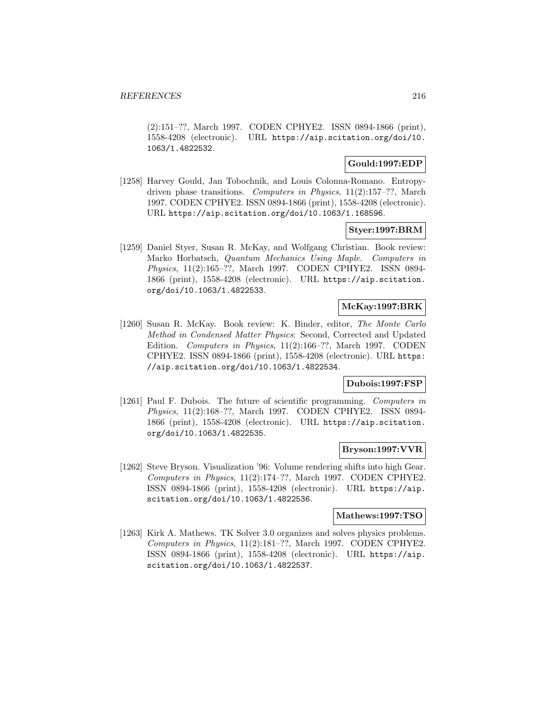(2):151–??, March 1997. CODEN CPHYE2. ISSN 0894-1866 (print), 1558-4208 (electronic). URL https://aip.scitation.org/doi/10. 1063/1.4822532.

## **Gould:1997:EDP**

[1258] Harvey Gould, Jan Tobochnik, and Louis Colonna-Romano. Entropydriven phase transitions. Computers in Physics, 11(2):157–??, March 1997. CODEN CPHYE2. ISSN 0894-1866 (print), 1558-4208 (electronic). URL https://aip.scitation.org/doi/10.1063/1.168596.

### **Styer:1997:BRM**

[1259] Daniel Styer, Susan R. McKay, and Wolfgang Christian. Book review: Marko Horbatsch, Quantum Mechanics Using Maple. Computers in Physics, 11(2):165–??, March 1997. CODEN CPHYE2. ISSN 0894- 1866 (print), 1558-4208 (electronic). URL https://aip.scitation. org/doi/10.1063/1.4822533.

## **McKay:1997:BRK**

[1260] Susan R. McKay. Book review: K. Binder, editor, The Monte Carlo Method in Condensed Matter Physics: Second, Corrected and Updated Edition. Computers in Physics, 11(2):166–??, March 1997. CODEN CPHYE2. ISSN 0894-1866 (print), 1558-4208 (electronic). URL https: //aip.scitation.org/doi/10.1063/1.4822534.

### **Dubois:1997:FSP**

[1261] Paul F. Dubois. The future of scientific programming. Computers in Physics, 11(2):168–??, March 1997. CODEN CPHYE2. ISSN 0894- 1866 (print), 1558-4208 (electronic). URL https://aip.scitation. org/doi/10.1063/1.4822535.

#### **Bryson:1997:VVR**

[1262] Steve Bryson. Visualization '96: Volume rendering shifts into high Gear. Computers in Physics, 11(2):174–??, March 1997. CODEN CPHYE2. ISSN 0894-1866 (print), 1558-4208 (electronic). URL https://aip. scitation.org/doi/10.1063/1.4822536.

### **Mathews:1997:TSO**

[1263] Kirk A. Mathews. TK Solver 3.0 organizes and solves physics problems. Computers in Physics, 11(2):181–??, March 1997. CODEN CPHYE2. ISSN 0894-1866 (print), 1558-4208 (electronic). URL https://aip. scitation.org/doi/10.1063/1.4822537.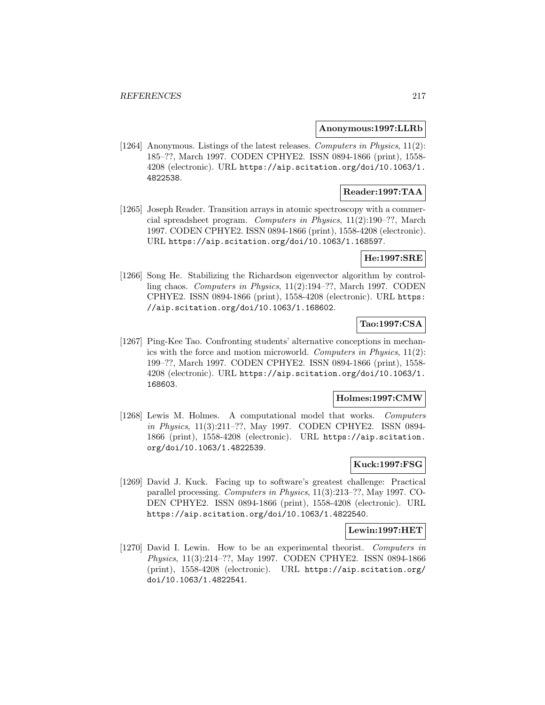#### **Anonymous:1997:LLRb**

[1264] Anonymous. Listings of the latest releases. Computers in Physics, 11(2): 185–??, March 1997. CODEN CPHYE2. ISSN 0894-1866 (print), 1558- 4208 (electronic). URL https://aip.scitation.org/doi/10.1063/1. 4822538.

## **Reader:1997:TAA**

[1265] Joseph Reader. Transition arrays in atomic spectroscopy with a commercial spreadsheet program. Computers in Physics, 11(2):190–??, March 1997. CODEN CPHYE2. ISSN 0894-1866 (print), 1558-4208 (electronic). URL https://aip.scitation.org/doi/10.1063/1.168597.

# **He:1997:SRE**

[1266] Song He. Stabilizing the Richardson eigenvector algorithm by controlling chaos. Computers in Physics, 11(2):194–??, March 1997. CODEN CPHYE2. ISSN 0894-1866 (print), 1558-4208 (electronic). URL https: //aip.scitation.org/doi/10.1063/1.168602.

# **Tao:1997:CSA**

[1267] Ping-Kee Tao. Confronting students' alternative conceptions in mechanics with the force and motion microworld. Computers in Physics, 11(2): 199–??, March 1997. CODEN CPHYE2. ISSN 0894-1866 (print), 1558- 4208 (electronic). URL https://aip.scitation.org/doi/10.1063/1. 168603.

# **Holmes:1997:CMW**

[1268] Lewis M. Holmes. A computational model that works. Computers in Physics, 11(3):211–??, May 1997. CODEN CPHYE2. ISSN 0894- 1866 (print), 1558-4208 (electronic). URL https://aip.scitation. org/doi/10.1063/1.4822539.

## **Kuck:1997:FSG**

[1269] David J. Kuck. Facing up to software's greatest challenge: Practical parallel processing. Computers in Physics, 11(3):213–??, May 1997. CO-DEN CPHYE2. ISSN 0894-1866 (print), 1558-4208 (electronic). URL https://aip.scitation.org/doi/10.1063/1.4822540.

**Lewin:1997:HET**

[1270] David I. Lewin. How to be an experimental theorist. Computers in Physics, 11(3):214–??, May 1997. CODEN CPHYE2. ISSN 0894-1866 (print), 1558-4208 (electronic). URL https://aip.scitation.org/ doi/10.1063/1.4822541.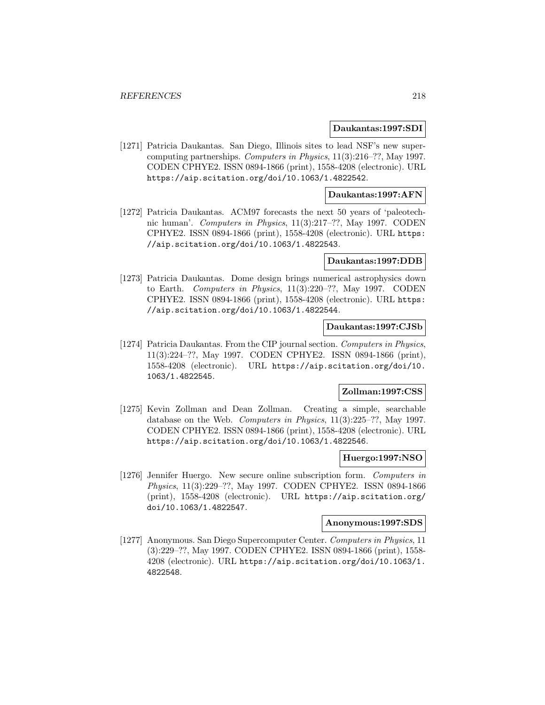#### **Daukantas:1997:SDI**

[1271] Patricia Daukantas. San Diego, Illinois sites to lead NSF's new supercomputing partnerships. Computers in Physics, 11(3):216–??, May 1997. CODEN CPHYE2. ISSN 0894-1866 (print), 1558-4208 (electronic). URL https://aip.scitation.org/doi/10.1063/1.4822542.

## **Daukantas:1997:AFN**

[1272] Patricia Daukantas. ACM97 forecasts the next 50 years of 'paleotechnic human'. Computers in Physics, 11(3):217–??, May 1997. CODEN CPHYE2. ISSN 0894-1866 (print), 1558-4208 (electronic). URL https: //aip.scitation.org/doi/10.1063/1.4822543.

#### **Daukantas:1997:DDB**

[1273] Patricia Daukantas. Dome design brings numerical astrophysics down to Earth. Computers in Physics, 11(3):220–??, May 1997. CODEN CPHYE2. ISSN 0894-1866 (print), 1558-4208 (electronic). URL https: //aip.scitation.org/doi/10.1063/1.4822544.

## **Daukantas:1997:CJSb**

[1274] Patricia Daukantas. From the CIP journal section. Computers in Physics, 11(3):224–??, May 1997. CODEN CPHYE2. ISSN 0894-1866 (print), 1558-4208 (electronic). URL https://aip.scitation.org/doi/10. 1063/1.4822545.

### **Zollman:1997:CSS**

[1275] Kevin Zollman and Dean Zollman. Creating a simple, searchable database on the Web. Computers in Physics, 11(3):225–??, May 1997. CODEN CPHYE2. ISSN 0894-1866 (print), 1558-4208 (electronic). URL https://aip.scitation.org/doi/10.1063/1.4822546.

#### **Huergo:1997:NSO**

[1276] Jennifer Huergo. New secure online subscription form. Computers in Physics, 11(3):229–??, May 1997. CODEN CPHYE2. ISSN 0894-1866 (print), 1558-4208 (electronic). URL https://aip.scitation.org/ doi/10.1063/1.4822547.

#### **Anonymous:1997:SDS**

[1277] Anonymous. San Diego Supercomputer Center. Computers in Physics, 11 (3):229–??, May 1997. CODEN CPHYE2. ISSN 0894-1866 (print), 1558- 4208 (electronic). URL https://aip.scitation.org/doi/10.1063/1. 4822548.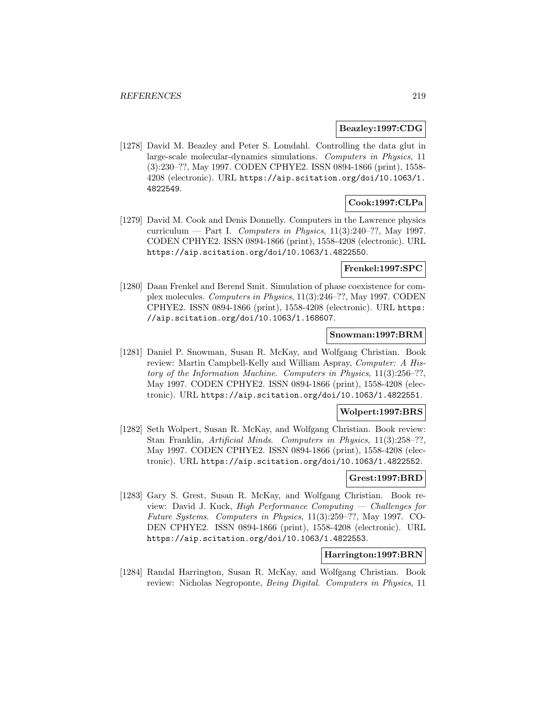### **Beazley:1997:CDG**

[1278] David M. Beazley and Peter S. Lomdahl. Controlling the data glut in large-scale molecular-dynamics simulations. Computers in Physics, 11 (3):230–??, May 1997. CODEN CPHYE2. ISSN 0894-1866 (print), 1558- 4208 (electronic). URL https://aip.scitation.org/doi/10.1063/1. 4822549.

# **Cook:1997:CLPa**

[1279] David M. Cook and Denis Donnelly. Computers in the Lawrence physics curriculum — Part I. Computers in Physics,  $11(3):240-??$ , May 1997. CODEN CPHYE2. ISSN 0894-1866 (print), 1558-4208 (electronic). URL https://aip.scitation.org/doi/10.1063/1.4822550.

# **Frenkel:1997:SPC**

[1280] Daan Frenkel and Berend Smit. Simulation of phase coexistence for complex molecules. Computers in Physics, 11(3):246–??, May 1997. CODEN CPHYE2. ISSN 0894-1866 (print), 1558-4208 (electronic). URL https: //aip.scitation.org/doi/10.1063/1.168607.

#### **Snowman:1997:BRM**

[1281] Daniel P. Snowman, Susan R. McKay, and Wolfgang Christian. Book review: Martin Campbell-Kelly and William Aspray, Computer: A History of the Information Machine. Computers in Physics, 11(3):256–??, May 1997. CODEN CPHYE2. ISSN 0894-1866 (print), 1558-4208 (electronic). URL https://aip.scitation.org/doi/10.1063/1.4822551.

# **Wolpert:1997:BRS**

[1282] Seth Wolpert, Susan R. McKay, and Wolfgang Christian. Book review: Stan Franklin, Artificial Minds. Computers in Physics, 11(3):258–??, May 1997. CODEN CPHYE2. ISSN 0894-1866 (print), 1558-4208 (electronic). URL https://aip.scitation.org/doi/10.1063/1.4822552.

#### **Grest:1997:BRD**

[1283] Gary S. Grest, Susan R. McKay, and Wolfgang Christian. Book review: David J. Kuck, High Performance Computing — Challenges for Future Systems. Computers in Physics, 11(3):259–??, May 1997. CO-DEN CPHYE2. ISSN 0894-1866 (print), 1558-4208 (electronic). URL https://aip.scitation.org/doi/10.1063/1.4822553.

#### **Harrington:1997:BRN**

[1284] Randal Harrington, Susan R. McKay, and Wolfgang Christian. Book review: Nicholas Negroponte, Being Digital. Computers in Physics, 11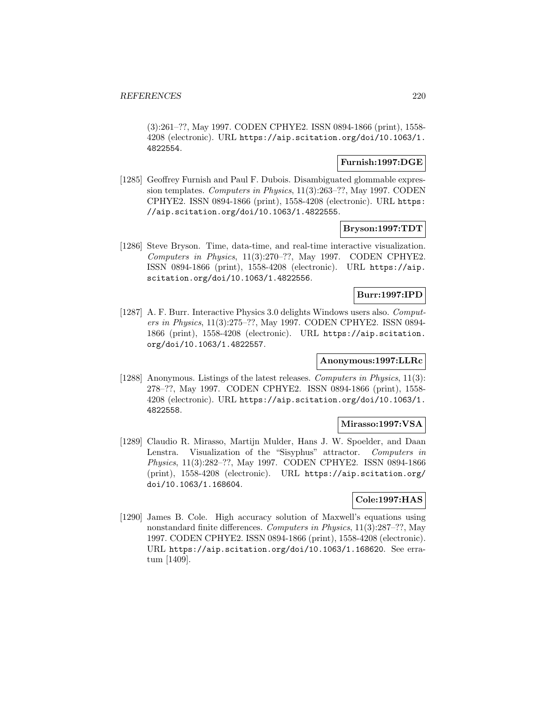(3):261–??, May 1997. CODEN CPHYE2. ISSN 0894-1866 (print), 1558- 4208 (electronic). URL https://aip.scitation.org/doi/10.1063/1. 4822554.

## **Furnish:1997:DGE**

[1285] Geoffrey Furnish and Paul F. Dubois. Disambiguated glommable expression templates. Computers in Physics, 11(3):263–??, May 1997. CODEN CPHYE2. ISSN 0894-1866 (print), 1558-4208 (electronic). URL https: //aip.scitation.org/doi/10.1063/1.4822555.

## **Bryson:1997:TDT**

[1286] Steve Bryson. Time, data-time, and real-time interactive visualization. Computers in Physics, 11(3):270–??, May 1997. CODEN CPHYE2. ISSN 0894-1866 (print), 1558-4208 (electronic). URL https://aip. scitation.org/doi/10.1063/1.4822556.

# **Burr:1997:IPD**

[1287] A. F. Burr. Interactive Physics 3.0 delights Windows users also. Computers in Physics, 11(3):275–??, May 1997. CODEN CPHYE2. ISSN 0894- 1866 (print), 1558-4208 (electronic). URL https://aip.scitation. org/doi/10.1063/1.4822557.

## **Anonymous:1997:LLRc**

[1288] Anonymous. Listings of the latest releases. Computers in Physics, 11(3): 278–??, May 1997. CODEN CPHYE2. ISSN 0894-1866 (print), 1558- 4208 (electronic). URL https://aip.scitation.org/doi/10.1063/1. 4822558.

# **Mirasso:1997:VSA**

[1289] Claudio R. Mirasso, Martijn Mulder, Hans J. W. Spoelder, and Daan Lenstra. Visualization of the "Sisyphus" attractor. Computers in Physics, 11(3):282–??, May 1997. CODEN CPHYE2. ISSN 0894-1866 (print), 1558-4208 (electronic). URL https://aip.scitation.org/ doi/10.1063/1.168604.

## **Cole:1997:HAS**

[1290] James B. Cole. High accuracy solution of Maxwell's equations using nonstandard finite differences. Computers in Physics, 11(3):287–??, May 1997. CODEN CPHYE2. ISSN 0894-1866 (print), 1558-4208 (electronic). URL https://aip.scitation.org/doi/10.1063/1.168620. See erratum [1409].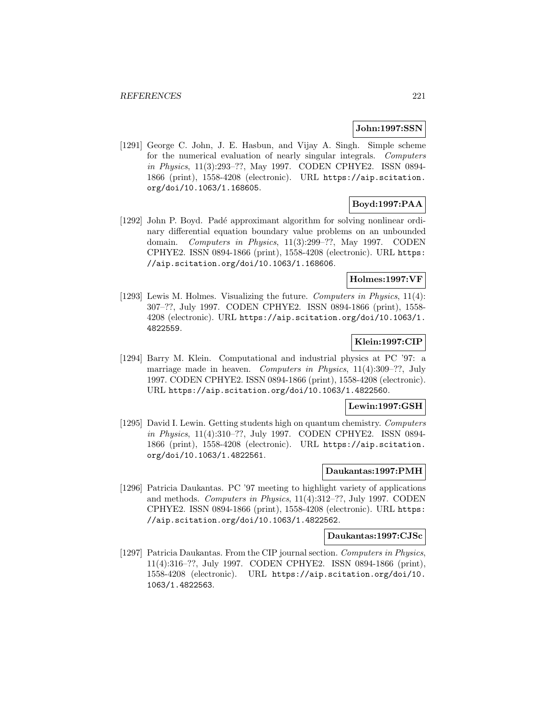## **John:1997:SSN**

[1291] George C. John, J. E. Hasbun, and Vijay A. Singh. Simple scheme for the numerical evaluation of nearly singular integrals. Computers in Physics, 11(3):293–??, May 1997. CODEN CPHYE2. ISSN 0894- 1866 (print), 1558-4208 (electronic). URL https://aip.scitation. org/doi/10.1063/1.168605.

# **Boyd:1997:PAA**

[1292] John P. Boyd. Padé approximant algorithm for solving nonlinear ordinary differential equation boundary value problems on an unbounded domain. Computers in Physics, 11(3):299–??, May 1997. CODEN CPHYE2. ISSN 0894-1866 (print), 1558-4208 (electronic). URL https: //aip.scitation.org/doi/10.1063/1.168606.

# **Holmes:1997:VF**

[1293] Lewis M. Holmes. Visualizing the future. Computers in Physics, 11(4): 307–??, July 1997. CODEN CPHYE2. ISSN 0894-1866 (print), 1558- 4208 (electronic). URL https://aip.scitation.org/doi/10.1063/1. 4822559.

# **Klein:1997:CIP**

[1294] Barry M. Klein. Computational and industrial physics at PC '97: a marriage made in heaven. Computers in Physics, 11(4):309–??, July 1997. CODEN CPHYE2. ISSN 0894-1866 (print), 1558-4208 (electronic). URL https://aip.scitation.org/doi/10.1063/1.4822560.

## **Lewin:1997:GSH**

[1295] David I. Lewin. Getting students high on quantum chemistry. Computers in Physics, 11(4):310–??, July 1997. CODEN CPHYE2. ISSN 0894- 1866 (print), 1558-4208 (electronic). URL https://aip.scitation. org/doi/10.1063/1.4822561.

## **Daukantas:1997:PMH**

[1296] Patricia Daukantas. PC '97 meeting to highlight variety of applications and methods. Computers in Physics, 11(4):312–??, July 1997. CODEN CPHYE2. ISSN 0894-1866 (print), 1558-4208 (electronic). URL https: //aip.scitation.org/doi/10.1063/1.4822562.

#### **Daukantas:1997:CJSc**

[1297] Patricia Daukantas. From the CIP journal section. Computers in Physics, 11(4):316–??, July 1997. CODEN CPHYE2. ISSN 0894-1866 (print), 1558-4208 (electronic). URL https://aip.scitation.org/doi/10. 1063/1.4822563.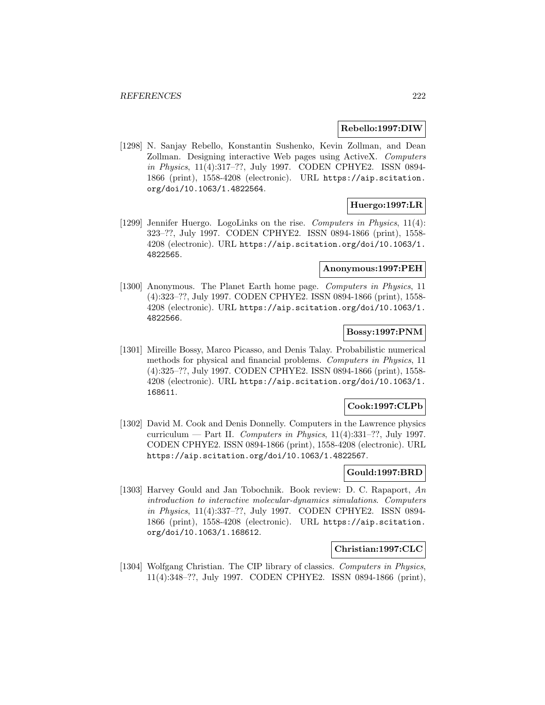#### **Rebello:1997:DIW**

[1298] N. Sanjay Rebello, Konstantin Sushenko, Kevin Zollman, and Dean Zollman. Designing interactive Web pages using ActiveX. Computers in Physics, 11(4):317–??, July 1997. CODEN CPHYE2. ISSN 0894- 1866 (print), 1558-4208 (electronic). URL https://aip.scitation. org/doi/10.1063/1.4822564.

# **Huergo:1997:LR**

[1299] Jennifer Huergo. LogoLinks on the rise. Computers in Physics, 11(4): 323–??, July 1997. CODEN CPHYE2. ISSN 0894-1866 (print), 1558- 4208 (electronic). URL https://aip.scitation.org/doi/10.1063/1. 4822565.

# **Anonymous:1997:PEH**

[1300] Anonymous. The Planet Earth home page. Computers in Physics, 11 (4):323–??, July 1997. CODEN CPHYE2. ISSN 0894-1866 (print), 1558- 4208 (electronic). URL https://aip.scitation.org/doi/10.1063/1. 4822566.

### **Bossy:1997:PNM**

[1301] Mireille Bossy, Marco Picasso, and Denis Talay. Probabilistic numerical methods for physical and financial problems. Computers in Physics, 11 (4):325–??, July 1997. CODEN CPHYE2. ISSN 0894-1866 (print), 1558- 4208 (electronic). URL https://aip.scitation.org/doi/10.1063/1. 168611.

## **Cook:1997:CLPb**

[1302] David M. Cook and Denis Donnelly. Computers in the Lawrence physics curriculum — Part II. Computers in Physics,  $11(4):331-??$ , July 1997. CODEN CPHYE2. ISSN 0894-1866 (print), 1558-4208 (electronic). URL https://aip.scitation.org/doi/10.1063/1.4822567.

## **Gould:1997:BRD**

[1303] Harvey Gould and Jan Tobochnik. Book review: D. C. Rapaport, An introduction to interactive molecular-dynamics simulations. Computers in Physics, 11(4):337–??, July 1997. CODEN CPHYE2. ISSN 0894- 1866 (print), 1558-4208 (electronic). URL https://aip.scitation. org/doi/10.1063/1.168612.

#### **Christian:1997:CLC**

[1304] Wolfgang Christian. The CIP library of classics. Computers in Physics, 11(4):348–??, July 1997. CODEN CPHYE2. ISSN 0894-1866 (print),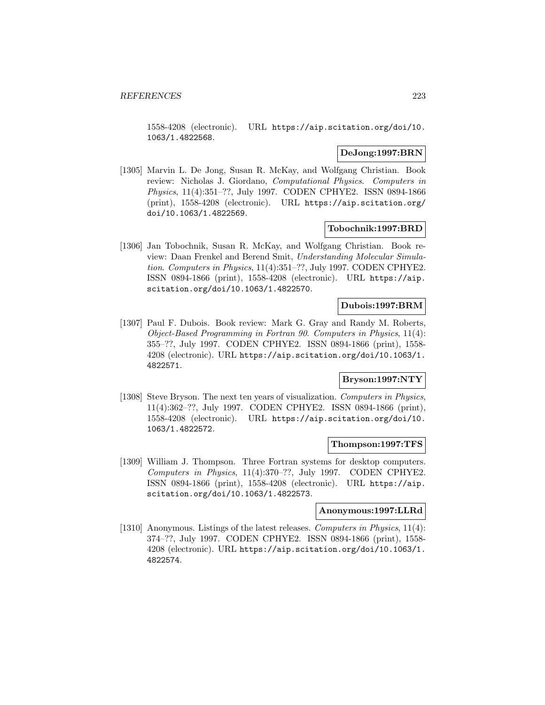1558-4208 (electronic). URL https://aip.scitation.org/doi/10. 1063/1.4822568.

### **DeJong:1997:BRN**

[1305] Marvin L. De Jong, Susan R. McKay, and Wolfgang Christian. Book review: Nicholas J. Giordano, Computational Physics. Computers in Physics, 11(4):351–??, July 1997. CODEN CPHYE2. ISSN 0894-1866 (print), 1558-4208 (electronic). URL https://aip.scitation.org/ doi/10.1063/1.4822569.

### **Tobochnik:1997:BRD**

[1306] Jan Tobochnik, Susan R. McKay, and Wolfgang Christian. Book review: Daan Frenkel and Berend Smit, Understanding Molecular Simulation. Computers in Physics, 11(4):351–??, July 1997. CODEN CPHYE2. ISSN 0894-1866 (print), 1558-4208 (electronic). URL https://aip. scitation.org/doi/10.1063/1.4822570.

### **Dubois:1997:BRM**

[1307] Paul F. Dubois. Book review: Mark G. Gray and Randy M. Roberts, Object-Based Programming in Fortran 90. Computers in Physics, 11(4): 355–??, July 1997. CODEN CPHYE2. ISSN 0894-1866 (print), 1558- 4208 (electronic). URL https://aip.scitation.org/doi/10.1063/1. 4822571.

## **Bryson:1997:NTY**

[1308] Steve Bryson. The next ten years of visualization. Computers in Physics, 11(4):362–??, July 1997. CODEN CPHYE2. ISSN 0894-1866 (print), 1558-4208 (electronic). URL https://aip.scitation.org/doi/10. 1063/1.4822572.

#### **Thompson:1997:TFS**

[1309] William J. Thompson. Three Fortran systems for desktop computers. Computers in Physics, 11(4):370–??, July 1997. CODEN CPHYE2. ISSN 0894-1866 (print), 1558-4208 (electronic). URL https://aip. scitation.org/doi/10.1063/1.4822573.

#### **Anonymous:1997:LLRd**

[1310] Anonymous. Listings of the latest releases. *Computers in Physics*, 11(4): 374–??, July 1997. CODEN CPHYE2. ISSN 0894-1866 (print), 1558- 4208 (electronic). URL https://aip.scitation.org/doi/10.1063/1. 4822574.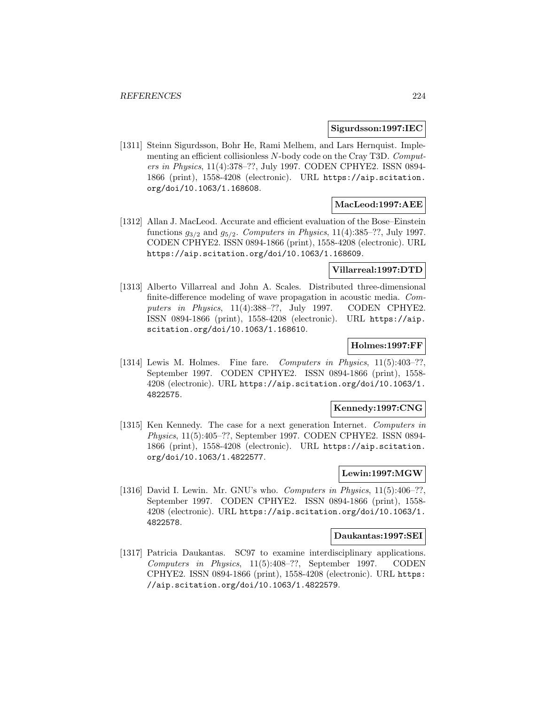#### **Sigurdsson:1997:IEC**

[1311] Steinn Sigurdsson, Bohr He, Rami Melhem, and Lars Hernquist. Implementing an efficient collisionless N-body code on the Cray T3D. Computers in Physics, 11(4):378–??, July 1997. CODEN CPHYE2. ISSN 0894- 1866 (print), 1558-4208 (electronic). URL https://aip.scitation. org/doi/10.1063/1.168608.

## **MacLeod:1997:AEE**

[1312] Allan J. MacLeod. Accurate and efficient evaluation of the Bose–Einstein functions  $q_{3/2}$  and  $q_{5/2}$ . Computers in Physics, 11(4):385–??, July 1997. CODEN CPHYE2. ISSN 0894-1866 (print), 1558-4208 (electronic). URL https://aip.scitation.org/doi/10.1063/1.168609.

# **Villarreal:1997:DTD**

[1313] Alberto Villarreal and John A. Scales. Distributed three-dimensional finite-difference modeling of wave propagation in acoustic media. Computers in Physics, 11(4):388–??, July 1997. CODEN CPHYE2. ISSN 0894-1866 (print), 1558-4208 (electronic). URL https://aip. scitation.org/doi/10.1063/1.168610.

# **Holmes:1997:FF**

[1314] Lewis M. Holmes. Fine fare. Computers in Physics, 11(5):403-??, September 1997. CODEN CPHYE2. ISSN 0894-1866 (print), 1558- 4208 (electronic). URL https://aip.scitation.org/doi/10.1063/1. 4822575.

#### **Kennedy:1997:CNG**

[1315] Ken Kennedy. The case for a next generation Internet. Computers in Physics, 11(5):405–??, September 1997. CODEN CPHYE2. ISSN 0894- 1866 (print), 1558-4208 (electronic). URL https://aip.scitation. org/doi/10.1063/1.4822577.

## **Lewin:1997:MGW**

[1316] David I. Lewin. Mr. GNU's who. Computers in Physics, 11(5):406–??, September 1997. CODEN CPHYE2. ISSN 0894-1866 (print), 1558- 4208 (electronic). URL https://aip.scitation.org/doi/10.1063/1. 4822578.

#### **Daukantas:1997:SEI**

[1317] Patricia Daukantas. SC97 to examine interdisciplinary applications. Computers in Physics, 11(5):408–??, September 1997. CODEN CPHYE2. ISSN 0894-1866 (print), 1558-4208 (electronic). URL https: //aip.scitation.org/doi/10.1063/1.4822579.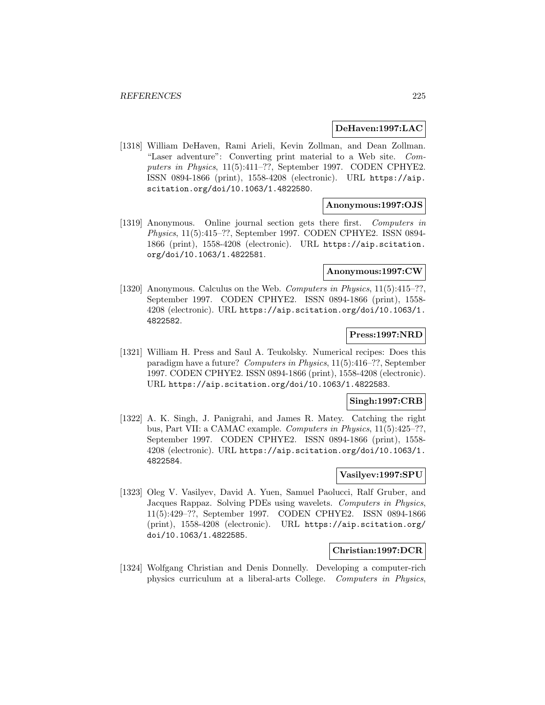#### **DeHaven:1997:LAC**

[1318] William DeHaven, Rami Arieli, Kevin Zollman, and Dean Zollman. "Laser adventure": Converting print material to a Web site. Computers in Physics, 11(5):411–??, September 1997. CODEN CPHYE2. ISSN 0894-1866 (print), 1558-4208 (electronic). URL https://aip. scitation.org/doi/10.1063/1.4822580.

#### **Anonymous:1997:OJS**

[1319] Anonymous. Online journal section gets there first. Computers in Physics, 11(5):415–??, September 1997. CODEN CPHYE2. ISSN 0894- 1866 (print), 1558-4208 (electronic). URL https://aip.scitation. org/doi/10.1063/1.4822581.

#### **Anonymous:1997:CW**

[1320] Anonymous. Calculus on the Web. Computers in Physics, 11(5):415–??, September 1997. CODEN CPHYE2. ISSN 0894-1866 (print), 1558- 4208 (electronic). URL https://aip.scitation.org/doi/10.1063/1. 4822582.

#### **Press:1997:NRD**

[1321] William H. Press and Saul A. Teukolsky. Numerical recipes: Does this paradigm have a future? Computers in Physics, 11(5):416–??, September 1997. CODEN CPHYE2. ISSN 0894-1866 (print), 1558-4208 (electronic). URL https://aip.scitation.org/doi/10.1063/1.4822583.

## **Singh:1997:CRB**

[1322] A. K. Singh, J. Panigrahi, and James R. Matey. Catching the right bus, Part VII: a CAMAC example. Computers in Physics, 11(5):425–??, September 1997. CODEN CPHYE2. ISSN 0894-1866 (print), 1558- 4208 (electronic). URL https://aip.scitation.org/doi/10.1063/1. 4822584.

## **Vasilyev:1997:SPU**

[1323] Oleg V. Vasilyev, David A. Yuen, Samuel Paolucci, Ralf Gruber, and Jacques Rappaz. Solving PDEs using wavelets. Computers in Physics, 11(5):429–??, September 1997. CODEN CPHYE2. ISSN 0894-1866 (print), 1558-4208 (electronic). URL https://aip.scitation.org/ doi/10.1063/1.4822585.

### **Christian:1997:DCR**

[1324] Wolfgang Christian and Denis Donnelly. Developing a computer-rich physics curriculum at a liberal-arts College. Computers in Physics,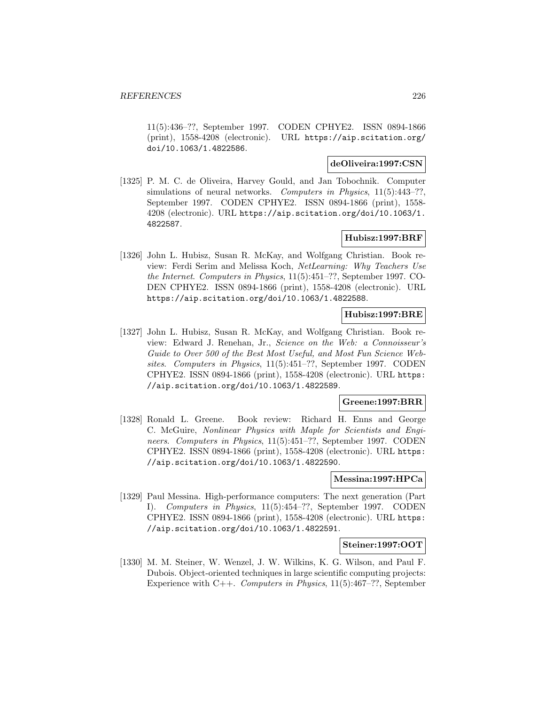11(5):436–??, September 1997. CODEN CPHYE2. ISSN 0894-1866 (print), 1558-4208 (electronic). URL https://aip.scitation.org/ doi/10.1063/1.4822586.

# **deOliveira:1997:CSN**

[1325] P. M. C. de Oliveira, Harvey Gould, and Jan Tobochnik. Computer simulations of neural networks. Computers in Physics, 11(5):443–??, September 1997. CODEN CPHYE2. ISSN 0894-1866 (print), 1558- 4208 (electronic). URL https://aip.scitation.org/doi/10.1063/1. 4822587.

# **Hubisz:1997:BRF**

[1326] John L. Hubisz, Susan R. McKay, and Wolfgang Christian. Book review: Ferdi Serim and Melissa Koch, NetLearning: Why Teachers Use the Internet. Computers in Physics, 11(5):451–??, September 1997. CO-DEN CPHYE2. ISSN 0894-1866 (print), 1558-4208 (electronic). URL https://aip.scitation.org/doi/10.1063/1.4822588.

## **Hubisz:1997:BRE**

[1327] John L. Hubisz, Susan R. McKay, and Wolfgang Christian. Book review: Edward J. Renehan, Jr., Science on the Web: a Connoisseur's Guide to Over 500 of the Best Most Useful, and Most Fun Science Websites. Computers in Physics, 11(5):451–??, September 1997. CODEN CPHYE2. ISSN 0894-1866 (print), 1558-4208 (electronic). URL https: //aip.scitation.org/doi/10.1063/1.4822589.

## **Greene:1997:BRR**

[1328] Ronald L. Greene. Book review: Richard H. Enns and George C. McGuire, Nonlinear Physics with Maple for Scientists and Engineers. Computers in Physics, 11(5):451–??, September 1997. CODEN CPHYE2. ISSN 0894-1866 (print), 1558-4208 (electronic). URL https: //aip.scitation.org/doi/10.1063/1.4822590.

#### **Messina:1997:HPCa**

[1329] Paul Messina. High-performance computers: The next generation (Part I). Computers in Physics, 11(5):454–??, September 1997. CODEN CPHYE2. ISSN 0894-1866 (print), 1558-4208 (electronic). URL https: //aip.scitation.org/doi/10.1063/1.4822591.

#### **Steiner:1997:OOT**

[1330] M. M. Steiner, W. Wenzel, J. W. Wilkins, K. G. Wilson, and Paul F. Dubois. Object-oriented techniques in large scientific computing projects: Experience with C++. Computers in Physics, 11(5):467–??, September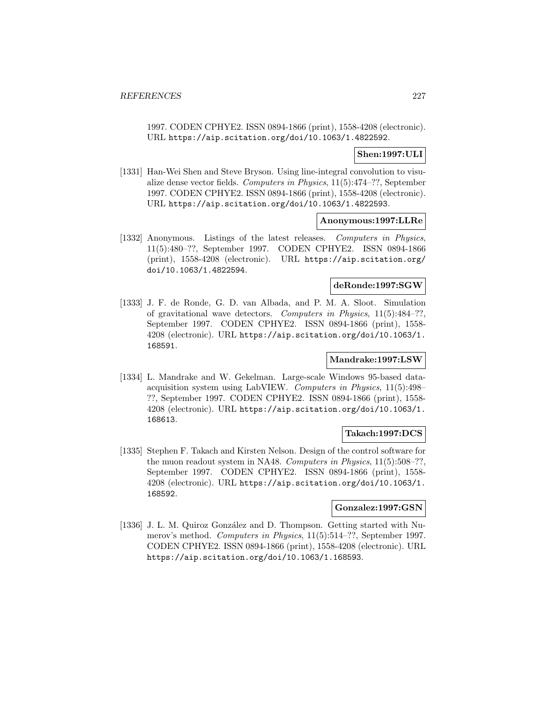1997. CODEN CPHYE2. ISSN 0894-1866 (print), 1558-4208 (electronic). URL https://aip.scitation.org/doi/10.1063/1.4822592.

# **Shen:1997:ULI**

[1331] Han-Wei Shen and Steve Bryson. Using line-integral convolution to visualize dense vector fields. Computers in Physics, 11(5):474–??, September 1997. CODEN CPHYE2. ISSN 0894-1866 (print), 1558-4208 (electronic). URL https://aip.scitation.org/doi/10.1063/1.4822593.

## **Anonymous:1997:LLRe**

[1332] Anonymous. Listings of the latest releases. Computers in Physics, 11(5):480–??, September 1997. CODEN CPHYE2. ISSN 0894-1866 (print), 1558-4208 (electronic). URL https://aip.scitation.org/ doi/10.1063/1.4822594.

## **deRonde:1997:SGW**

[1333] J. F. de Ronde, G. D. van Albada, and P. M. A. Sloot. Simulation of gravitational wave detectors. Computers in Physics, 11(5):484–??, September 1997. CODEN CPHYE2. ISSN 0894-1866 (print), 1558- 4208 (electronic). URL https://aip.scitation.org/doi/10.1063/1. 168591.

## **Mandrake:1997:LSW**

[1334] L. Mandrake and W. Gekelman. Large-scale Windows 95-based dataacquisition system using LabVIEW. Computers in Physics, 11(5):498– ??, September 1997. CODEN CPHYE2. ISSN 0894-1866 (print), 1558- 4208 (electronic). URL https://aip.scitation.org/doi/10.1063/1. 168613.

## **Takach:1997:DCS**

[1335] Stephen F. Takach and Kirsten Nelson. Design of the control software for the muon readout system in NA48. Computers in Physics, 11(5):508–??, September 1997. CODEN CPHYE2. ISSN 0894-1866 (print), 1558- 4208 (electronic). URL https://aip.scitation.org/doi/10.1063/1. 168592.

## **Gonzalez:1997:GSN**

[1336] J. L. M. Quiroz González and D. Thompson. Getting started with Numerov's method. Computers in Physics, 11(5):514–??, September 1997. CODEN CPHYE2. ISSN 0894-1866 (print), 1558-4208 (electronic). URL https://aip.scitation.org/doi/10.1063/1.168593.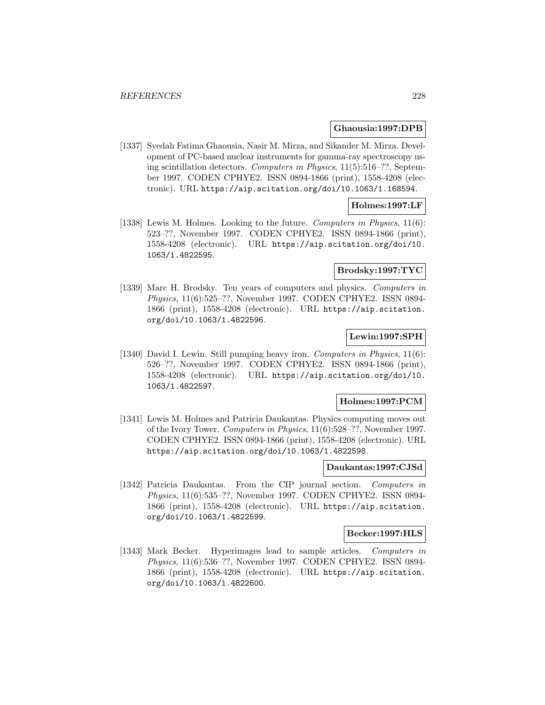#### **Ghaousia:1997:DPB**

[1337] Syedah Fatima Ghaousia, Nasir M. Mirza, and Sikander M. Mirza. Development of PC-based nuclear instruments for gamma-ray spectroscopy using scintillation detectors. Computers in Physics, 11(5):516–??, September 1997. CODEN CPHYE2. ISSN 0894-1866 (print), 1558-4208 (electronic). URL https://aip.scitation.org/doi/10.1063/1.168594.

# **Holmes:1997:LF**

[1338] Lewis M. Holmes. Looking to the future. Computers in Physics, 11(6): 523–??, November 1997. CODEN CPHYE2. ISSN 0894-1866 (print), 1558-4208 (electronic). URL https://aip.scitation.org/doi/10. 1063/1.4822595.

## **Brodsky:1997:TYC**

[1339] Marc H. Brodsky. Ten years of computers and physics. Computers in Physics, 11(6):525–??, November 1997. CODEN CPHYE2. ISSN 0894- 1866 (print), 1558-4208 (electronic). URL https://aip.scitation. org/doi/10.1063/1.4822596.

# **Lewin:1997:SPH**

[1340] David I. Lewin. Still pumping heavy iron. Computers in Physics, 11(6): 526–??, November 1997. CODEN CPHYE2. ISSN 0894-1866 (print), 1558-4208 (electronic). URL https://aip.scitation.org/doi/10. 1063/1.4822597.

## **Holmes:1997:PCM**

[1341] Lewis M. Holmes and Patricia Daukantas. Physics computing moves out of the Ivory Tower. Computers in Physics, 11(6):528–??, November 1997. CODEN CPHYE2. ISSN 0894-1866 (print), 1558-4208 (electronic). URL https://aip.scitation.org/doi/10.1063/1.4822598.

#### **Daukantas:1997:CJSd**

[1342] Patricia Daukantas. From the CIP journal section. Computers in Physics, 11(6):535–??, November 1997. CODEN CPHYE2. ISSN 0894- 1866 (print), 1558-4208 (electronic). URL https://aip.scitation. org/doi/10.1063/1.4822599.

#### **Becker:1997:HLS**

[1343] Mark Becker. Hyperimages lead to sample articles. Computers in Physics, 11(6):536–??, November 1997. CODEN CPHYE2. ISSN 0894- 1866 (print), 1558-4208 (electronic). URL https://aip.scitation. org/doi/10.1063/1.4822600.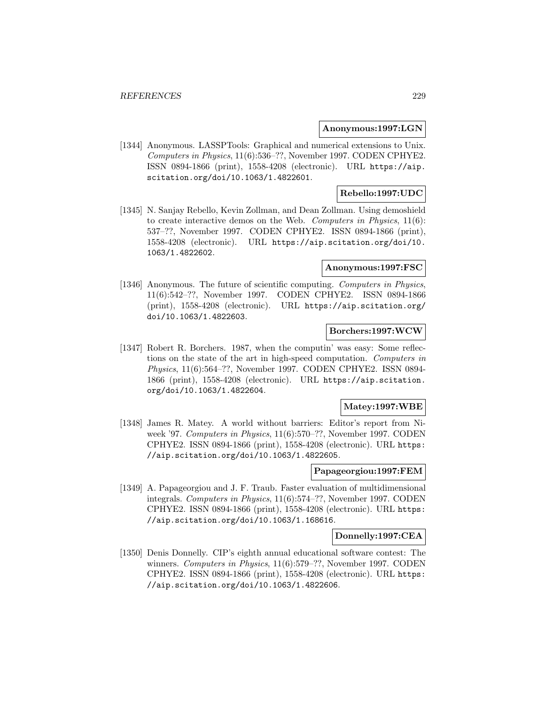#### **Anonymous:1997:LGN**

[1344] Anonymous. LASSPTools: Graphical and numerical extensions to Unix. Computers in Physics, 11(6):536–??, November 1997. CODEN CPHYE2. ISSN 0894-1866 (print), 1558-4208 (electronic). URL https://aip. scitation.org/doi/10.1063/1.4822601.

# **Rebello:1997:UDC**

[1345] N. Sanjay Rebello, Kevin Zollman, and Dean Zollman. Using demoshield to create interactive demos on the Web. Computers in Physics, 11(6): 537–??, November 1997. CODEN CPHYE2. ISSN 0894-1866 (print), 1558-4208 (electronic). URL https://aip.scitation.org/doi/10. 1063/1.4822602.

### **Anonymous:1997:FSC**

[1346] Anonymous. The future of scientific computing. Computers in Physics, 11(6):542–??, November 1997. CODEN CPHYE2. ISSN 0894-1866 (print), 1558-4208 (electronic). URL https://aip.scitation.org/ doi/10.1063/1.4822603.

#### **Borchers:1997:WCW**

[1347] Robert R. Borchers. 1987, when the computin' was easy: Some reflections on the state of the art in high-speed computation. Computers in Physics, 11(6):564–??, November 1997. CODEN CPHYE2. ISSN 0894- 1866 (print), 1558-4208 (electronic). URL https://aip.scitation. org/doi/10.1063/1.4822604.

### **Matey:1997:WBE**

[1348] James R. Matey. A world without barriers: Editor's report from Niweek '97. Computers in Physics, 11(6):570–??, November 1997. CODEN CPHYE2. ISSN 0894-1866 (print), 1558-4208 (electronic). URL https: //aip.scitation.org/doi/10.1063/1.4822605.

## **Papageorgiou:1997:FEM**

[1349] A. Papageorgiou and J. F. Traub. Faster evaluation of multidimensional integrals. Computers in Physics, 11(6):574–??, November 1997. CODEN CPHYE2. ISSN 0894-1866 (print), 1558-4208 (electronic). URL https: //aip.scitation.org/doi/10.1063/1.168616.

### **Donnelly:1997:CEA**

[1350] Denis Donnelly. CIP's eighth annual educational software contest: The winners. Computers in Physics, 11(6):579–??, November 1997. CODEN CPHYE2. ISSN 0894-1866 (print), 1558-4208 (electronic). URL https: //aip.scitation.org/doi/10.1063/1.4822606.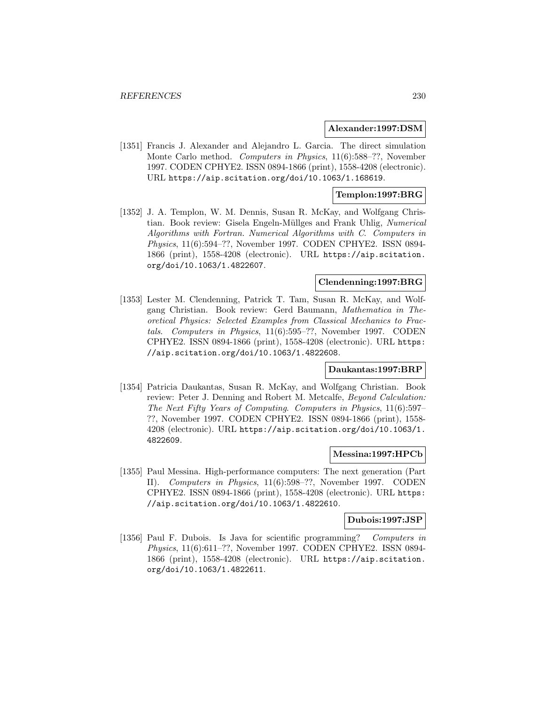#### **Alexander:1997:DSM**

[1351] Francis J. Alexander and Alejandro L. Garcia. The direct simulation Monte Carlo method. Computers in Physics, 11(6):588–??, November 1997. CODEN CPHYE2. ISSN 0894-1866 (print), 1558-4208 (electronic). URL https://aip.scitation.org/doi/10.1063/1.168619.

## **Templon:1997:BRG**

[1352] J. A. Templon, W. M. Dennis, Susan R. McKay, and Wolfgang Christian. Book review: Gisela Engeln-Müllges and Frank Uhlig, Numerical Algorithms with Fortran. Numerical Algorithms with C. Computers in Physics, 11(6):594–??, November 1997. CODEN CPHYE2. ISSN 0894- 1866 (print), 1558-4208 (electronic). URL https://aip.scitation. org/doi/10.1063/1.4822607.

# **Clendenning:1997:BRG**

[1353] Lester M. Clendenning, Patrick T. Tam, Susan R. McKay, and Wolfgang Christian. Book review: Gerd Baumann, Mathematica in Theoretical Physics: Selected Examples from Classical Mechanics to Fractals. Computers in Physics, 11(6):595–??, November 1997. CODEN CPHYE2. ISSN 0894-1866 (print), 1558-4208 (electronic). URL https: //aip.scitation.org/doi/10.1063/1.4822608.

### **Daukantas:1997:BRP**

[1354] Patricia Daukantas, Susan R. McKay, and Wolfgang Christian. Book review: Peter J. Denning and Robert M. Metcalfe, Beyond Calculation: The Next Fifty Years of Computing. Computers in Physics, 11(6):597– ??, November 1997. CODEN CPHYE2. ISSN 0894-1866 (print), 1558- 4208 (electronic). URL https://aip.scitation.org/doi/10.1063/1. 4822609.

# **Messina:1997:HPCb**

[1355] Paul Messina. High-performance computers: The next generation (Part II). Computers in Physics, 11(6):598–??, November 1997. CODEN CPHYE2. ISSN 0894-1866 (print), 1558-4208 (electronic). URL https: //aip.scitation.org/doi/10.1063/1.4822610.

#### **Dubois:1997:JSP**

[1356] Paul F. Dubois. Is Java for scientific programming? Computers in Physics, 11(6):611–??, November 1997. CODEN CPHYE2. ISSN 0894- 1866 (print), 1558-4208 (electronic). URL https://aip.scitation. org/doi/10.1063/1.4822611.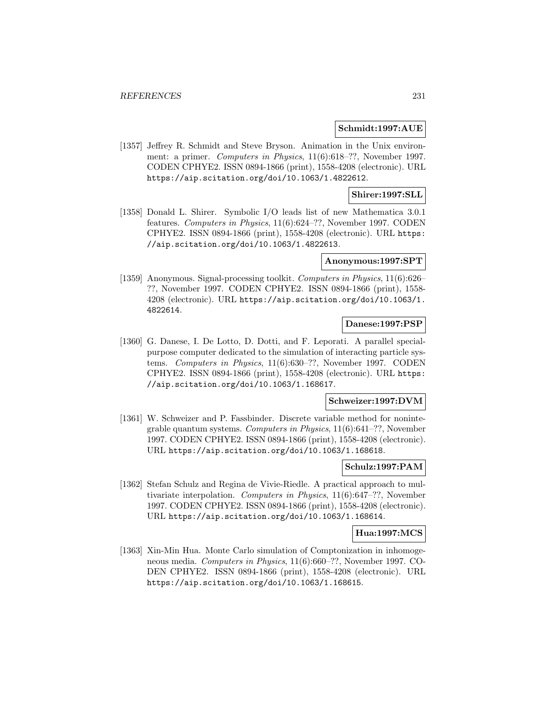#### **Schmidt:1997:AUE**

[1357] Jeffrey R. Schmidt and Steve Bryson. Animation in the Unix environment: a primer. Computers in Physics, 11(6):618–??, November 1997. CODEN CPHYE2. ISSN 0894-1866 (print), 1558-4208 (electronic). URL https://aip.scitation.org/doi/10.1063/1.4822612.

## **Shirer:1997:SLL**

[1358] Donald L. Shirer. Symbolic I/O leads list of new Mathematica 3.0.1 features. Computers in Physics, 11(6):624–??, November 1997. CODEN CPHYE2. ISSN 0894-1866 (print), 1558-4208 (electronic). URL https: //aip.scitation.org/doi/10.1063/1.4822613.

#### **Anonymous:1997:SPT**

[1359] Anonymous. Signal-processing toolkit. Computers in Physics, 11(6):626– ??, November 1997. CODEN CPHYE2. ISSN 0894-1866 (print), 1558- 4208 (electronic). URL https://aip.scitation.org/doi/10.1063/1. 4822614.

# **Danese:1997:PSP**

[1360] G. Danese, I. De Lotto, D. Dotti, and F. Leporati. A parallel specialpurpose computer dedicated to the simulation of interacting particle systems. Computers in Physics, 11(6):630–??, November 1997. CODEN CPHYE2. ISSN 0894-1866 (print), 1558-4208 (electronic). URL https: //aip.scitation.org/doi/10.1063/1.168617.

## **Schweizer:1997:DVM**

[1361] W. Schweizer and P. Fassbinder. Discrete variable method for nonintegrable quantum systems. Computers in Physics, 11(6):641–??, November 1997. CODEN CPHYE2. ISSN 0894-1866 (print), 1558-4208 (electronic). URL https://aip.scitation.org/doi/10.1063/1.168618.

#### **Schulz:1997:PAM**

[1362] Stefan Schulz and Regina de Vivie-Riedle. A practical approach to multivariate interpolation. Computers in Physics, 11(6):647–??, November 1997. CODEN CPHYE2. ISSN 0894-1866 (print), 1558-4208 (electronic). URL https://aip.scitation.org/doi/10.1063/1.168614.

# **Hua:1997:MCS**

[1363] Xin-Min Hua. Monte Carlo simulation of Comptonization in inhomogeneous media. Computers in Physics, 11(6):660–??, November 1997. CO-DEN CPHYE2. ISSN 0894-1866 (print), 1558-4208 (electronic). URL https://aip.scitation.org/doi/10.1063/1.168615.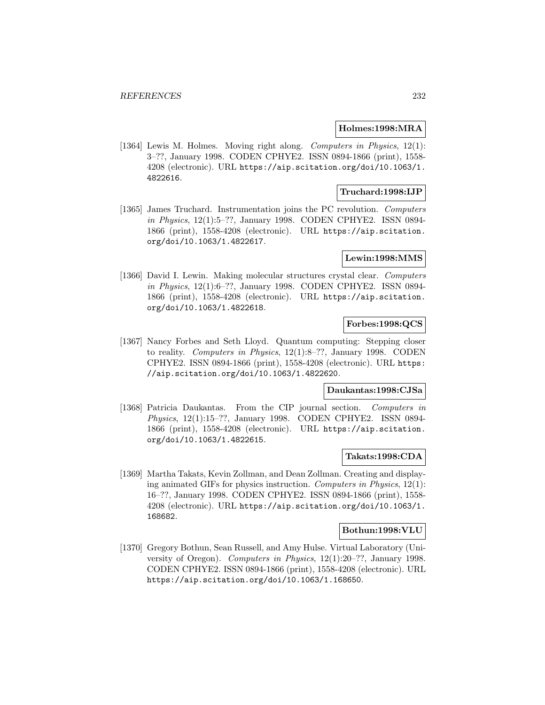#### **Holmes:1998:MRA**

[1364] Lewis M. Holmes. Moving right along. Computers in Physics, 12(1): 3–??, January 1998. CODEN CPHYE2. ISSN 0894-1866 (print), 1558- 4208 (electronic). URL https://aip.scitation.org/doi/10.1063/1. 4822616.

## **Truchard:1998:IJP**

[1365] James Truchard. Instrumentation joins the PC revolution. Computers in Physics, 12(1):5–??, January 1998. CODEN CPHYE2. ISSN 0894- 1866 (print), 1558-4208 (electronic). URL https://aip.scitation. org/doi/10.1063/1.4822617.

## **Lewin:1998:MMS**

[1366] David I. Lewin. Making molecular structures crystal clear. Computers in Physics, 12(1):6–??, January 1998. CODEN CPHYE2. ISSN 0894- 1866 (print), 1558-4208 (electronic). URL https://aip.scitation. org/doi/10.1063/1.4822618.

# **Forbes:1998:QCS**

[1367] Nancy Forbes and Seth Lloyd. Quantum computing: Stepping closer to reality. Computers in Physics, 12(1):8–??, January 1998. CODEN CPHYE2. ISSN 0894-1866 (print), 1558-4208 (electronic). URL https: //aip.scitation.org/doi/10.1063/1.4822620.

## **Daukantas:1998:CJSa**

[1368] Patricia Daukantas. From the CIP journal section. Computers in Physics, 12(1):15–??, January 1998. CODEN CPHYE2. ISSN 0894- 1866 (print), 1558-4208 (electronic). URL https://aip.scitation. org/doi/10.1063/1.4822615.

# **Takats:1998:CDA**

[1369] Martha Takats, Kevin Zollman, and Dean Zollman. Creating and displaying animated GIFs for physics instruction. Computers in Physics, 12(1): 16–??, January 1998. CODEN CPHYE2. ISSN 0894-1866 (print), 1558- 4208 (electronic). URL https://aip.scitation.org/doi/10.1063/1. 168682.

## **Bothun:1998:VLU**

[1370] Gregory Bothun, Sean Russell, and Amy Hulse. Virtual Laboratory (University of Oregon). Computers in Physics, 12(1):20–??, January 1998. CODEN CPHYE2. ISSN 0894-1866 (print), 1558-4208 (electronic). URL https://aip.scitation.org/doi/10.1063/1.168650.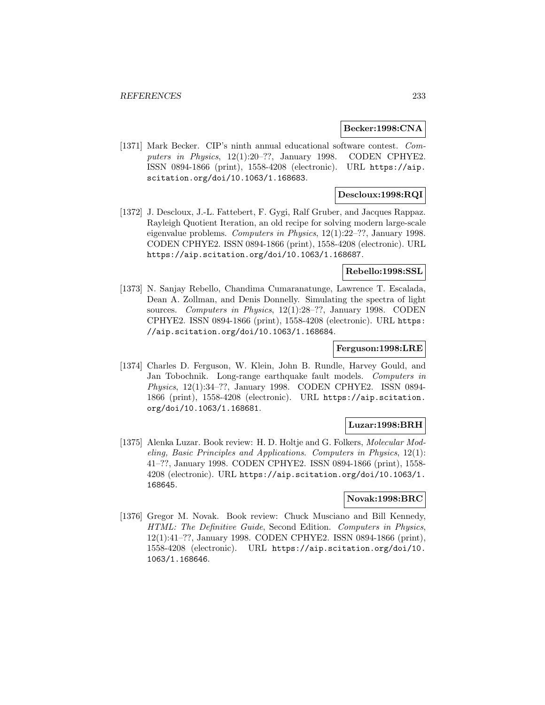#### **Becker:1998:CNA**

[1371] Mark Becker. CIP's ninth annual educational software contest. Computers in Physics, 12(1):20–??, January 1998. CODEN CPHYE2. ISSN 0894-1866 (print), 1558-4208 (electronic). URL https://aip. scitation.org/doi/10.1063/1.168683.

# **Descloux:1998:RQI**

[1372] J. Descloux, J.-L. Fattebert, F. Gygi, Ralf Gruber, and Jacques Rappaz. Rayleigh Quotient Iteration, an old recipe for solving modern large-scale eigenvalue problems. Computers in Physics, 12(1):22–??, January 1998. CODEN CPHYE2. ISSN 0894-1866 (print), 1558-4208 (electronic). URL https://aip.scitation.org/doi/10.1063/1.168687.

#### **Rebello:1998:SSL**

[1373] N. Sanjay Rebello, Chandima Cumaranatunge, Lawrence T. Escalada, Dean A. Zollman, and Denis Donnelly. Simulating the spectra of light sources. Computers in Physics, 12(1):28–??, January 1998. CODEN CPHYE2. ISSN 0894-1866 (print), 1558-4208 (electronic). URL https: //aip.scitation.org/doi/10.1063/1.168684.

## **Ferguson:1998:LRE**

[1374] Charles D. Ferguson, W. Klein, John B. Rundle, Harvey Gould, and Jan Tobochnik. Long-range earthquake fault models. Computers in Physics, 12(1):34–??, January 1998. CODEN CPHYE2. ISSN 0894- 1866 (print), 1558-4208 (electronic). URL https://aip.scitation. org/doi/10.1063/1.168681.

# **Luzar:1998:BRH**

[1375] Alenka Luzar. Book review: H. D. Holtje and G. Folkers, Molecular Modeling, Basic Principles and Applications. Computers in Physics, 12(1): 41–??, January 1998. CODEN CPHYE2. ISSN 0894-1866 (print), 1558- 4208 (electronic). URL https://aip.scitation.org/doi/10.1063/1. 168645.

# **Novak:1998:BRC**

[1376] Gregor M. Novak. Book review: Chuck Musciano and Bill Kennedy, HTML: The Definitive Guide, Second Edition. Computers in Physics, 12(1):41–??, January 1998. CODEN CPHYE2. ISSN 0894-1866 (print), 1558-4208 (electronic). URL https://aip.scitation.org/doi/10. 1063/1.168646.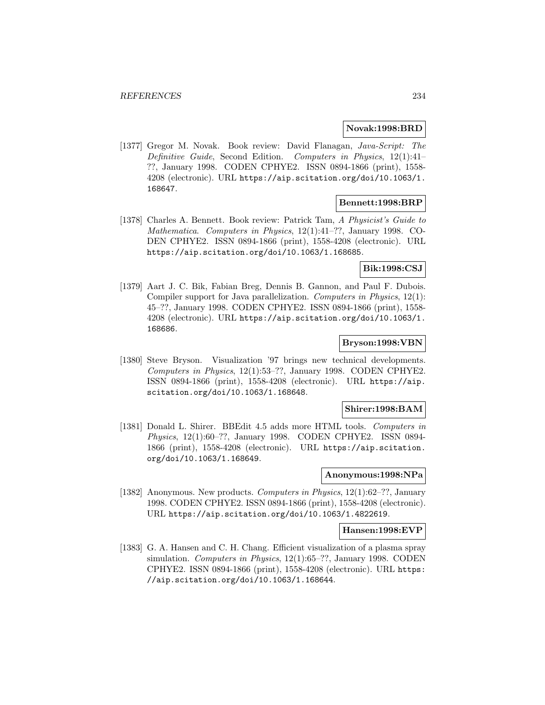#### **Novak:1998:BRD**

[1377] Gregor M. Novak. Book review: David Flanagan, Java-Script: The Definitive Guide, Second Edition. Computers in Physics, 12(1):41– ??, January 1998. CODEN CPHYE2. ISSN 0894-1866 (print), 1558- 4208 (electronic). URL https://aip.scitation.org/doi/10.1063/1. 168647.

# **Bennett:1998:BRP**

[1378] Charles A. Bennett. Book review: Patrick Tam, A Physicist's Guide to Mathematica. Computers in Physics, 12(1):41–??, January 1998. CO-DEN CPHYE2. ISSN 0894-1866 (print), 1558-4208 (electronic). URL https://aip.scitation.org/doi/10.1063/1.168685.

# **Bik:1998:CSJ**

[1379] Aart J. C. Bik, Fabian Breg, Dennis B. Gannon, and Paul F. Dubois. Compiler support for Java parallelization. Computers in Physics, 12(1): 45–??, January 1998. CODEN CPHYE2. ISSN 0894-1866 (print), 1558- 4208 (electronic). URL https://aip.scitation.org/doi/10.1063/1. 168686.

# **Bryson:1998:VBN**

[1380] Steve Bryson. Visualization '97 brings new technical developments. Computers in Physics, 12(1):53–??, January 1998. CODEN CPHYE2. ISSN 0894-1866 (print), 1558-4208 (electronic). URL https://aip. scitation.org/doi/10.1063/1.168648.

# **Shirer:1998:BAM**

[1381] Donald L. Shirer. BBEdit 4.5 adds more HTML tools. Computers in Physics, 12(1):60–??, January 1998. CODEN CPHYE2. ISSN 0894- 1866 (print), 1558-4208 (electronic). URL https://aip.scitation. org/doi/10.1063/1.168649.

#### **Anonymous:1998:NPa**

[1382] Anonymous. New products. Computers in Physics, 12(1):62–??, January 1998. CODEN CPHYE2. ISSN 0894-1866 (print), 1558-4208 (electronic). URL https://aip.scitation.org/doi/10.1063/1.4822619.

#### **Hansen:1998:EVP**

[1383] G. A. Hansen and C. H. Chang. Efficient visualization of a plasma spray simulation. Computers in Physics, 12(1):65–??, January 1998. CODEN CPHYE2. ISSN 0894-1866 (print), 1558-4208 (electronic). URL https: //aip.scitation.org/doi/10.1063/1.168644.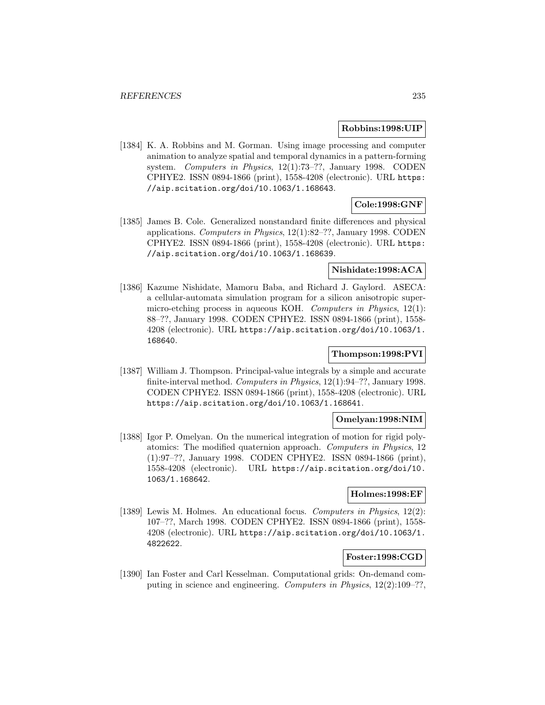#### **Robbins:1998:UIP**

[1384] K. A. Robbins and M. Gorman. Using image processing and computer animation to analyze spatial and temporal dynamics in a pattern-forming system. Computers in Physics, 12(1):73-??, January 1998. CODEN CPHYE2. ISSN 0894-1866 (print), 1558-4208 (electronic). URL https: //aip.scitation.org/doi/10.1063/1.168643.

## **Cole:1998:GNF**

[1385] James B. Cole. Generalized nonstandard finite differences and physical applications. Computers in Physics, 12(1):82–??, January 1998. CODEN CPHYE2. ISSN 0894-1866 (print), 1558-4208 (electronic). URL https: //aip.scitation.org/doi/10.1063/1.168639.

## **Nishidate:1998:ACA**

[1386] Kazume Nishidate, Mamoru Baba, and Richard J. Gaylord. ASECA: a cellular-automata simulation program for a silicon anisotropic supermicro-etching process in aqueous KOH. Computers in Physics, 12(1): 88–??, January 1998. CODEN CPHYE2. ISSN 0894-1866 (print), 1558- 4208 (electronic). URL https://aip.scitation.org/doi/10.1063/1. 168640.

## **Thompson:1998:PVI**

[1387] William J. Thompson. Principal-value integrals by a simple and accurate finite-interval method. Computers in Physics, 12(1):94–??, January 1998. CODEN CPHYE2. ISSN 0894-1866 (print), 1558-4208 (electronic). URL https://aip.scitation.org/doi/10.1063/1.168641.

## **Omelyan:1998:NIM**

[1388] Igor P. Omelyan. On the numerical integration of motion for rigid polyatomics: The modified quaternion approach. Computers in Physics, 12 (1):97–??, January 1998. CODEN CPHYE2. ISSN 0894-1866 (print), 1558-4208 (electronic). URL https://aip.scitation.org/doi/10. 1063/1.168642.

## **Holmes:1998:EF**

[1389] Lewis M. Holmes. An educational focus. Computers in Physics, 12(2): 107–??, March 1998. CODEN CPHYE2. ISSN 0894-1866 (print), 1558- 4208 (electronic). URL https://aip.scitation.org/doi/10.1063/1. 4822622.

# **Foster:1998:CGD**

[1390] Ian Foster and Carl Kesselman. Computational grids: On-demand computing in science and engineering. Computers in Physics,  $12(2):109-?$ ?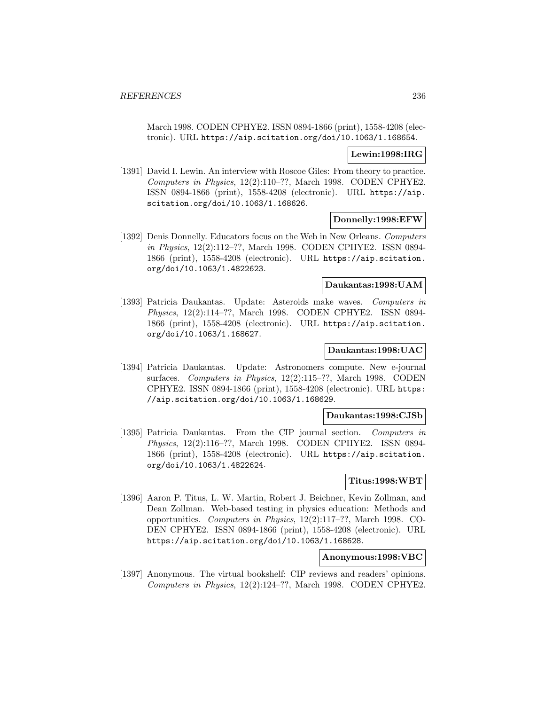March 1998. CODEN CPHYE2. ISSN 0894-1866 (print), 1558-4208 (electronic). URL https://aip.scitation.org/doi/10.1063/1.168654.

## **Lewin:1998:IRG**

[1391] David I. Lewin. An interview with Roscoe Giles: From theory to practice. Computers in Physics, 12(2):110–??, March 1998. CODEN CPHYE2. ISSN 0894-1866 (print), 1558-4208 (electronic). URL https://aip. scitation.org/doi/10.1063/1.168626.

# **Donnelly:1998:EFW**

[1392] Denis Donnelly. Educators focus on the Web in New Orleans. Computers in Physics, 12(2):112–??, March 1998. CODEN CPHYE2. ISSN 0894- 1866 (print), 1558-4208 (electronic). URL https://aip.scitation. org/doi/10.1063/1.4822623.

### **Daukantas:1998:UAM**

[1393] Patricia Daukantas. Update: Asteroids make waves. Computers in Physics, 12(2):114–??, March 1998. CODEN CPHYE2. ISSN 0894- 1866 (print), 1558-4208 (electronic). URL https://aip.scitation. org/doi/10.1063/1.168627.

#### **Daukantas:1998:UAC**

[1394] Patricia Daukantas. Update: Astronomers compute. New e-journal surfaces. Computers in Physics, 12(2):115–??, March 1998. CODEN CPHYE2. ISSN 0894-1866 (print), 1558-4208 (electronic). URL https: //aip.scitation.org/doi/10.1063/1.168629.

## **Daukantas:1998:CJSb**

[1395] Patricia Daukantas. From the CIP journal section. Computers in Physics, 12(2):116–??, March 1998. CODEN CPHYE2. ISSN 0894- 1866 (print), 1558-4208 (electronic). URL https://aip.scitation. org/doi/10.1063/1.4822624.

### **Titus:1998:WBT**

[1396] Aaron P. Titus, L. W. Martin, Robert J. Beichner, Kevin Zollman, and Dean Zollman. Web-based testing in physics education: Methods and opportunities. Computers in Physics, 12(2):117–??, March 1998. CO-DEN CPHYE2. ISSN 0894-1866 (print), 1558-4208 (electronic). URL https://aip.scitation.org/doi/10.1063/1.168628.

## **Anonymous:1998:VBC**

[1397] Anonymous. The virtual bookshelf: CIP reviews and readers' opinions. Computers in Physics, 12(2):124–??, March 1998. CODEN CPHYE2.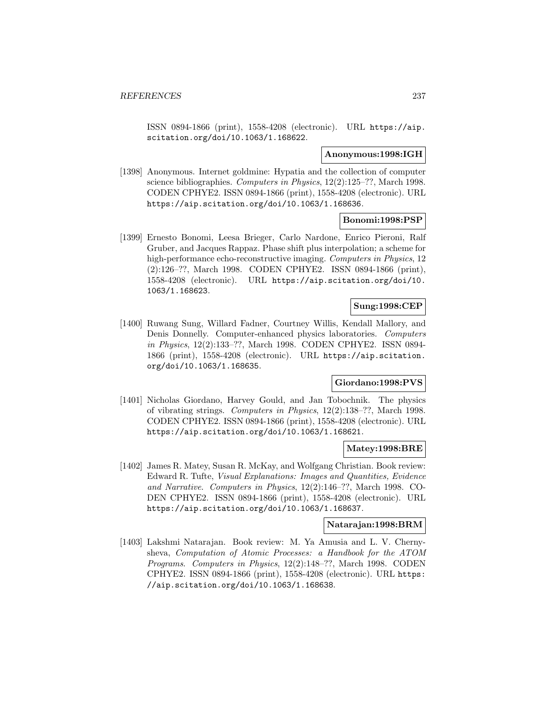ISSN 0894-1866 (print), 1558-4208 (electronic). URL https://aip. scitation.org/doi/10.1063/1.168622.

#### **Anonymous:1998:IGH**

[1398] Anonymous. Internet goldmine: Hypatia and the collection of computer science bibliographies. Computers in Physics, 12(2):125–??, March 1998. CODEN CPHYE2. ISSN 0894-1866 (print), 1558-4208 (electronic). URL https://aip.scitation.org/doi/10.1063/1.168636.

### **Bonomi:1998:PSP**

[1399] Ernesto Bonomi, Leesa Brieger, Carlo Nardone, Enrico Pieroni, Ralf Gruber, and Jacques Rappaz. Phase shift plus interpolation; a scheme for high-performance echo-reconstructive imaging. Computers in Physics, 12 (2):126–??, March 1998. CODEN CPHYE2. ISSN 0894-1866 (print), 1558-4208 (electronic). URL https://aip.scitation.org/doi/10. 1063/1.168623.

# **Sung:1998:CEP**

[1400] Ruwang Sung, Willard Fadner, Courtney Willis, Kendall Mallory, and Denis Donnelly. Computer-enhanced physics laboratories. Computers in Physics, 12(2):133–??, March 1998. CODEN CPHYE2. ISSN 0894- 1866 (print), 1558-4208 (electronic). URL https://aip.scitation. org/doi/10.1063/1.168635.

# **Giordano:1998:PVS**

[1401] Nicholas Giordano, Harvey Gould, and Jan Tobochnik. The physics of vibrating strings. Computers in Physics, 12(2):138–??, March 1998. CODEN CPHYE2. ISSN 0894-1866 (print), 1558-4208 (electronic). URL https://aip.scitation.org/doi/10.1063/1.168621.

## **Matey:1998:BRE**

[1402] James R. Matey, Susan R. McKay, and Wolfgang Christian. Book review: Edward R. Tufte, Visual Explanations: Images and Quantities, Evidence and Narrative. Computers in Physics, 12(2):146–??, March 1998. CO-DEN CPHYE2. ISSN 0894-1866 (print), 1558-4208 (electronic). URL https://aip.scitation.org/doi/10.1063/1.168637.

#### **Natarajan:1998:BRM**

[1403] Lakshmi Natarajan. Book review: M. Ya Amusia and L. V. Chernysheva, Computation of Atomic Processes: a Handbook for the ATOM Programs. Computers in Physics, 12(2):148–??, March 1998. CODEN CPHYE2. ISSN 0894-1866 (print), 1558-4208 (electronic). URL https: //aip.scitation.org/doi/10.1063/1.168638.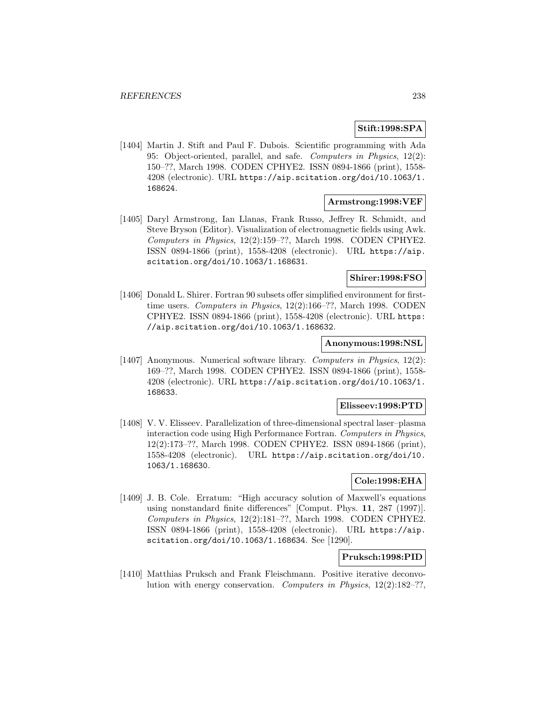# **Stift:1998:SPA**

[1404] Martin J. Stift and Paul F. Dubois. Scientific programming with Ada 95: Object-oriented, parallel, and safe. Computers in Physics, 12(2): 150–??, March 1998. CODEN CPHYE2. ISSN 0894-1866 (print), 1558- 4208 (electronic). URL https://aip.scitation.org/doi/10.1063/1. 168624.

## **Armstrong:1998:VEF**

[1405] Daryl Armstrong, Ian Llanas, Frank Russo, Jeffrey R. Schmidt, and Steve Bryson (Editor). Visualization of electromagnetic fields using Awk. Computers in Physics, 12(2):159–??, March 1998. CODEN CPHYE2. ISSN 0894-1866 (print), 1558-4208 (electronic). URL https://aip. scitation.org/doi/10.1063/1.168631.

# **Shirer:1998:FSO**

[1406] Donald L. Shirer. Fortran 90 subsets offer simplified environment for firsttime users. Computers in Physics, 12(2):166–??, March 1998. CODEN CPHYE2. ISSN 0894-1866 (print), 1558-4208 (electronic). URL https: //aip.scitation.org/doi/10.1063/1.168632.

### **Anonymous:1998:NSL**

[1407] Anonymous. Numerical software library. Computers in Physics, 12(2): 169–??, March 1998. CODEN CPHYE2. ISSN 0894-1866 (print), 1558- 4208 (electronic). URL https://aip.scitation.org/doi/10.1063/1. 168633.

### **Elisseev:1998:PTD**

[1408] V. V. Elisseev. Parallelization of three-dimensional spectral laser–plasma interaction code using High Performance Fortran. Computers in Physics, 12(2):173–??, March 1998. CODEN CPHYE2. ISSN 0894-1866 (print), 1558-4208 (electronic). URL https://aip.scitation.org/doi/10. 1063/1.168630.

### **Cole:1998:EHA**

[1409] J. B. Cole. Erratum: "High accuracy solution of Maxwell's equations using nonstandard finite differences" [Comput. Phys. **11**, 287 (1997)]. Computers in Physics, 12(2):181–??, March 1998. CODEN CPHYE2. ISSN 0894-1866 (print), 1558-4208 (electronic). URL https://aip. scitation.org/doi/10.1063/1.168634. See [1290].

# **Pruksch:1998:PID**

[1410] Matthias Pruksch and Frank Fleischmann. Positive iterative deconvolution with energy conservation. Computers in Physics, 12(2):182–??,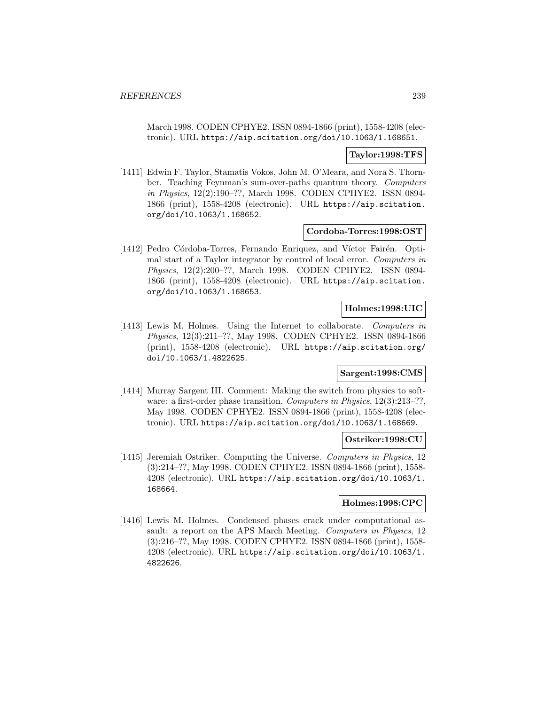March 1998. CODEN CPHYE2. ISSN 0894-1866 (print), 1558-4208 (electronic). URL https://aip.scitation.org/doi/10.1063/1.168651.

### **Taylor:1998:TFS**

[1411] Edwin F. Taylor, Stamatis Vokos, John M. O'Meara, and Nora S. Thornber. Teaching Feynman's sum-over-paths quantum theory. Computers in Physics, 12(2):190–??, March 1998. CODEN CPHYE2. ISSN 0894- 1866 (print), 1558-4208 (electronic). URL https://aip.scitation. org/doi/10.1063/1.168652.

#### **Cordoba-Torres:1998:OST**

[1412] Pedro Córdoba-Torres, Fernando Enriquez, and Víctor Fairén. Optimal start of a Taylor integrator by control of local error. Computers in Physics, 12(2):200–??, March 1998. CODEN CPHYE2. ISSN 0894- 1866 (print), 1558-4208 (electronic). URL https://aip.scitation. org/doi/10.1063/1.168653.

# **Holmes:1998:UIC**

[1413] Lewis M. Holmes. Using the Internet to collaborate. Computers in Physics, 12(3):211–??, May 1998. CODEN CPHYE2. ISSN 0894-1866 (print), 1558-4208 (electronic). URL https://aip.scitation.org/ doi/10.1063/1.4822625.

#### **Sargent:1998:CMS**

[1414] Murray Sargent III. Comment: Making the switch from physics to software: a first-order phase transition. Computers in Physics, 12(3):213-??, May 1998. CODEN CPHYE2. ISSN 0894-1866 (print), 1558-4208 (electronic). URL https://aip.scitation.org/doi/10.1063/1.168669.

# **Ostriker:1998:CU**

[1415] Jeremiah Ostriker. Computing the Universe. Computers in Physics, 12 (3):214–??, May 1998. CODEN CPHYE2. ISSN 0894-1866 (print), 1558- 4208 (electronic). URL https://aip.scitation.org/doi/10.1063/1. 168664.

## **Holmes:1998:CPC**

[1416] Lewis M. Holmes. Condensed phases crack under computational assault: a report on the APS March Meeting. Computers in Physics, 12 (3):216–??, May 1998. CODEN CPHYE2. ISSN 0894-1866 (print), 1558- 4208 (electronic). URL https://aip.scitation.org/doi/10.1063/1. 4822626.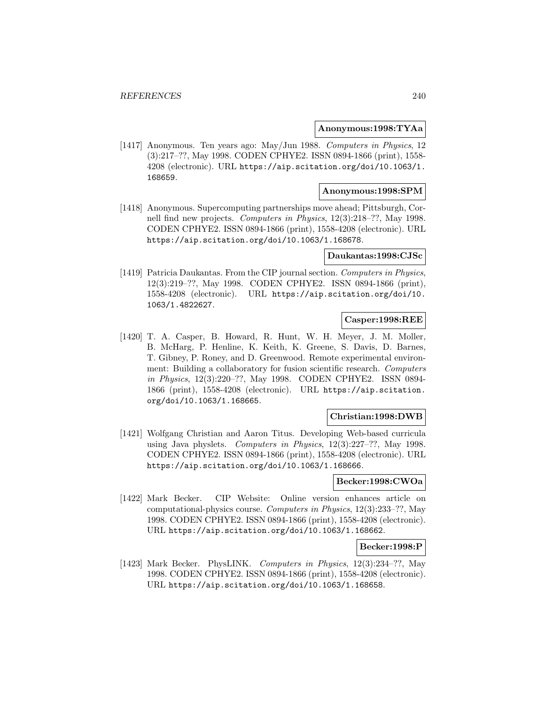### **Anonymous:1998:TYAa**

[1417] Anonymous. Ten years ago: May/Jun 1988. Computers in Physics, 12 (3):217–??, May 1998. CODEN CPHYE2. ISSN 0894-1866 (print), 1558- 4208 (electronic). URL https://aip.scitation.org/doi/10.1063/1. 168659.

# **Anonymous:1998:SPM**

[1418] Anonymous. Supercomputing partnerships move ahead; Pittsburgh, Cornell find new projects. Computers in Physics, 12(3):218–??, May 1998. CODEN CPHYE2. ISSN 0894-1866 (print), 1558-4208 (electronic). URL https://aip.scitation.org/doi/10.1063/1.168678.

#### **Daukantas:1998:CJSc**

[1419] Patricia Daukantas. From the CIP journal section. Computers in Physics, 12(3):219–??, May 1998. CODEN CPHYE2. ISSN 0894-1866 (print), 1558-4208 (electronic). URL https://aip.scitation.org/doi/10. 1063/1.4822627.

# **Casper:1998:REE**

[1420] T. A. Casper, B. Howard, R. Hunt, W. H. Meyer, J. M. Moller, B. McHarg, P. Henline, K. Keith, K. Greene, S. Davis, D. Barnes, T. Gibney, P. Roney, and D. Greenwood. Remote experimental environment: Building a collaboratory for fusion scientific research. Computers in Physics, 12(3):220–??, May 1998. CODEN CPHYE2. ISSN 0894- 1866 (print), 1558-4208 (electronic). URL https://aip.scitation. org/doi/10.1063/1.168665.

### **Christian:1998:DWB**

[1421] Wolfgang Christian and Aaron Titus. Developing Web-based curricula using Java physlets. Computers in Physics, 12(3):227–??, May 1998. CODEN CPHYE2. ISSN 0894-1866 (print), 1558-4208 (electronic). URL https://aip.scitation.org/doi/10.1063/1.168666.

### **Becker:1998:CWOa**

[1422] Mark Becker. CIP Website: Online version enhances article on computational-physics course. Computers in Physics, 12(3):233–??, May 1998. CODEN CPHYE2. ISSN 0894-1866 (print), 1558-4208 (electronic). URL https://aip.scitation.org/doi/10.1063/1.168662.

### **Becker:1998:P**

[1423] Mark Becker. PhysLINK. Computers in Physics, 12(3):234–??, May 1998. CODEN CPHYE2. ISSN 0894-1866 (print), 1558-4208 (electronic). URL https://aip.scitation.org/doi/10.1063/1.168658.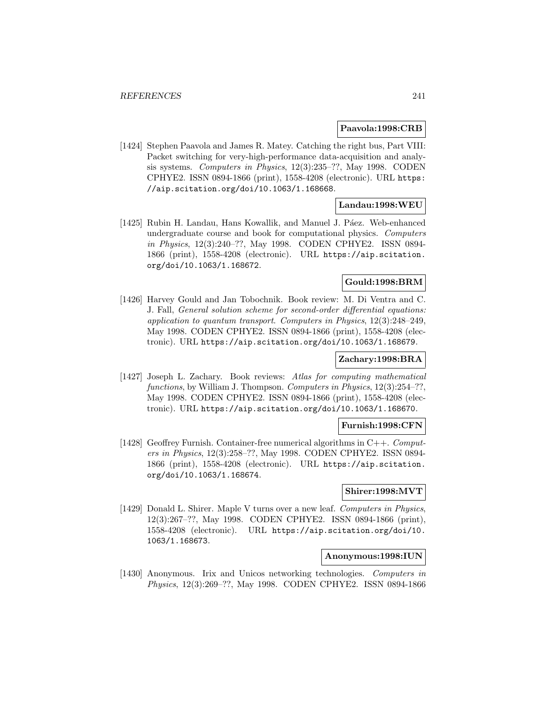#### **Paavola:1998:CRB**

[1424] Stephen Paavola and James R. Matey. Catching the right bus, Part VIII: Packet switching for very-high-performance data-acquisition and analysis systems. Computers in Physics, 12(3):235–??, May 1998. CODEN CPHYE2. ISSN 0894-1866 (print), 1558-4208 (electronic). URL https: //aip.scitation.org/doi/10.1063/1.168668.

# **Landau:1998:WEU**

[1425] Rubin H. Landau, Hans Kowallik, and Manuel J. Páez. Web-enhanced undergraduate course and book for computational physics. Computers in Physics, 12(3):240–??, May 1998. CODEN CPHYE2. ISSN 0894- 1866 (print), 1558-4208 (electronic). URL https://aip.scitation. org/doi/10.1063/1.168672.

# **Gould:1998:BRM**

[1426] Harvey Gould and Jan Tobochnik. Book review: M. Di Ventra and C. J. Fall, General solution scheme for second-order differential equations: application to quantum transport. Computers in Physics, 12(3):248–249, May 1998. CODEN CPHYE2. ISSN 0894-1866 (print), 1558-4208 (electronic). URL https://aip.scitation.org/doi/10.1063/1.168679.

## **Zachary:1998:BRA**

[1427] Joseph L. Zachary. Book reviews: Atlas for computing mathematical functions, by William J. Thompson. Computers in Physics, 12(3):254–??, May 1998. CODEN CPHYE2. ISSN 0894-1866 (print), 1558-4208 (electronic). URL https://aip.scitation.org/doi/10.1063/1.168670.

### **Furnish:1998:CFN**

[1428] Geoffrey Furnish. Container-free numerical algorithms in  $C++$ . Computers in Physics, 12(3):258–??, May 1998. CODEN CPHYE2. ISSN 0894- 1866 (print), 1558-4208 (electronic). URL https://aip.scitation. org/doi/10.1063/1.168674.

# **Shirer:1998:MVT**

[1429] Donald L. Shirer. Maple V turns over a new leaf. Computers in Physics, 12(3):267–??, May 1998. CODEN CPHYE2. ISSN 0894-1866 (print), 1558-4208 (electronic). URL https://aip.scitation.org/doi/10. 1063/1.168673.

### **Anonymous:1998:IUN**

[1430] Anonymous. Irix and Unicos networking technologies. Computers in Physics, 12(3):269–??, May 1998. CODEN CPHYE2. ISSN 0894-1866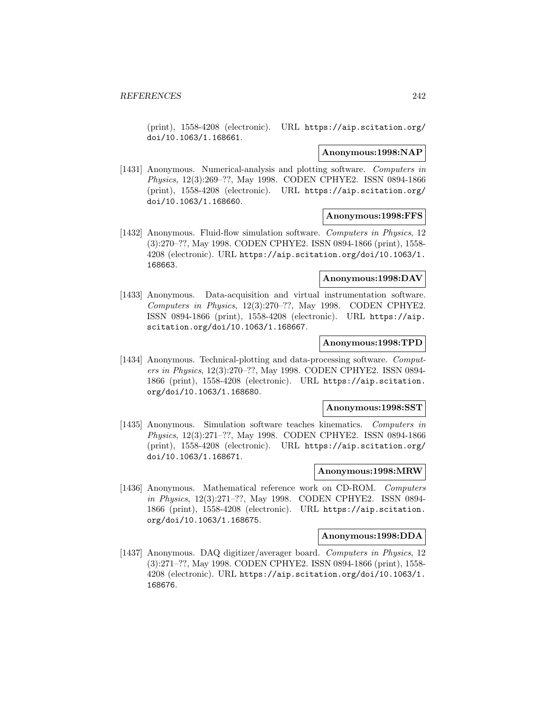(print), 1558-4208 (electronic). URL https://aip.scitation.org/ doi/10.1063/1.168661.

### **Anonymous:1998:NAP**

[1431] Anonymous. Numerical-analysis and plotting software. Computers in Physics, 12(3):269–??, May 1998. CODEN CPHYE2. ISSN 0894-1866 (print), 1558-4208 (electronic). URL https://aip.scitation.org/ doi/10.1063/1.168660.

#### **Anonymous:1998:FFS**

[1432] Anonymous. Fluid-flow simulation software. Computers in Physics, 12 (3):270–??, May 1998. CODEN CPHYE2. ISSN 0894-1866 (print), 1558- 4208 (electronic). URL https://aip.scitation.org/doi/10.1063/1. 168663.

## **Anonymous:1998:DAV**

[1433] Anonymous. Data-acquisition and virtual instrumentation software. Computers in Physics, 12(3):270–??, May 1998. CODEN CPHYE2. ISSN 0894-1866 (print), 1558-4208 (electronic). URL https://aip. scitation.org/doi/10.1063/1.168667.

## **Anonymous:1998:TPD**

[1434] Anonymous. Technical-plotting and data-processing software. Computers in Physics, 12(3):270–??, May 1998. CODEN CPHYE2. ISSN 0894- 1866 (print), 1558-4208 (electronic). URL https://aip.scitation. org/doi/10.1063/1.168680.

#### **Anonymous:1998:SST**

[1435] Anonymous. Simulation software teaches kinematics. Computers in Physics, 12(3):271–??, May 1998. CODEN CPHYE2. ISSN 0894-1866 (print), 1558-4208 (electronic). URL https://aip.scitation.org/ doi/10.1063/1.168671.

#### **Anonymous:1998:MRW**

[1436] Anonymous. Mathematical reference work on CD-ROM. Computers in Physics, 12(3):271–??, May 1998. CODEN CPHYE2. ISSN 0894- 1866 (print), 1558-4208 (electronic). URL https://aip.scitation. org/doi/10.1063/1.168675.

### **Anonymous:1998:DDA**

[1437] Anonymous. DAQ digitizer/averager board. Computers in Physics, 12 (3):271–??, May 1998. CODEN CPHYE2. ISSN 0894-1866 (print), 1558- 4208 (electronic). URL https://aip.scitation.org/doi/10.1063/1. 168676.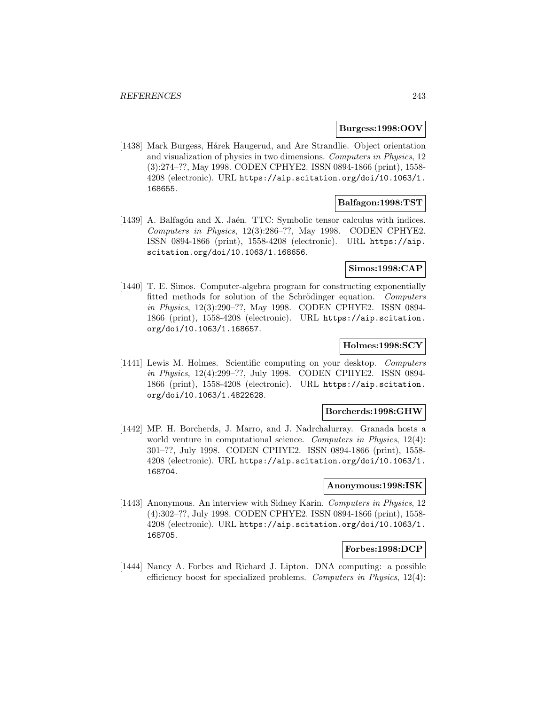### **Burgess:1998:OOV**

[1438] Mark Burgess, Hårek Haugerud, and Are Strandlie. Object orientation and visualization of physics in two dimensions. Computers in Physics, 12 (3):274–??, May 1998. CODEN CPHYE2. ISSN 0894-1866 (print), 1558- 4208 (electronic). URL https://aip.scitation.org/doi/10.1063/1. 168655.

# **Balfagon:1998:TST**

[1439] A. Balfagón and X. Jaén. TTC: Symbolic tensor calculus with indices. Computers in Physics, 12(3):286–??, May 1998. CODEN CPHYE2. ISSN 0894-1866 (print), 1558-4208 (electronic). URL https://aip. scitation.org/doi/10.1063/1.168656.

# **Simos:1998:CAP**

[1440] T. E. Simos. Computer-algebra program for constructing exponentially fitted methods for solution of the Schrödinger equation. Computers in Physics, 12(3):290–??, May 1998. CODEN CPHYE2. ISSN 0894- 1866 (print), 1558-4208 (electronic). URL https://aip.scitation. org/doi/10.1063/1.168657.

## **Holmes:1998:SCY**

[1441] Lewis M. Holmes. Scientific computing on your desktop. Computers in Physics, 12(4):299–??, July 1998. CODEN CPHYE2. ISSN 0894- 1866 (print), 1558-4208 (electronic). URL https://aip.scitation. org/doi/10.1063/1.4822628.

# **Borcherds:1998:GHW**

[1442] MP. H. Borcherds, J. Marro, and J. Nadrchalurray. Granada hosts a world venture in computational science. Computers in Physics, 12(4): 301–??, July 1998. CODEN CPHYE2. ISSN 0894-1866 (print), 1558- 4208 (electronic). URL https://aip.scitation.org/doi/10.1063/1. 168704.

#### **Anonymous:1998:ISK**

[1443] Anonymous. An interview with Sidney Karin. Computers in Physics, 12 (4):302–??, July 1998. CODEN CPHYE2. ISSN 0894-1866 (print), 1558- 4208 (electronic). URL https://aip.scitation.org/doi/10.1063/1. 168705.

### **Forbes:1998:DCP**

[1444] Nancy A. Forbes and Richard J. Lipton. DNA computing: a possible efficiency boost for specialized problems. Computers in Physics, 12(4):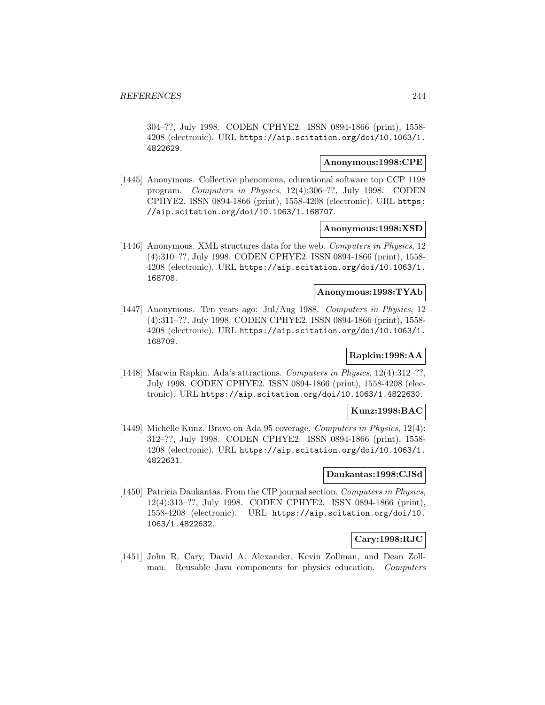304–??, July 1998. CODEN CPHYE2. ISSN 0894-1866 (print), 1558- 4208 (electronic). URL https://aip.scitation.org/doi/10.1063/1. 4822629.

#### **Anonymous:1998:CPE**

[1445] Anonymous. Collective phenomena, educational software top CCP 1198 program. Computers in Physics, 12(4):306–??, July 1998. CODEN CPHYE2. ISSN 0894-1866 (print), 1558-4208 (electronic). URL https: //aip.scitation.org/doi/10.1063/1.168707.

### **Anonymous:1998:XSD**

[1446] Anonymous. XML structures data for the web. Computers in Physics, 12 (4):310–??, July 1998. CODEN CPHYE2. ISSN 0894-1866 (print), 1558- 4208 (electronic). URL https://aip.scitation.org/doi/10.1063/1. 168708.

# **Anonymous:1998:TYAb**

[1447] Anonymous. Ten years ago: Jul/Aug 1988. Computers in Physics, 12 (4):311–??, July 1998. CODEN CPHYE2. ISSN 0894-1866 (print), 1558- 4208 (electronic). URL https://aip.scitation.org/doi/10.1063/1. 168709.

# **Rapkin:1998:AA**

[1448] Marwin Rapkin. Ada's attractions. Computers in Physics, 12(4):312–??, July 1998. CODEN CPHYE2. ISSN 0894-1866 (print), 1558-4208 (electronic). URL https://aip.scitation.org/doi/10.1063/1.4822630.

# **Kunz:1998:BAC**

[1449] Michelle Kunz. Bravo on Ada 95 coverage. Computers in Physics, 12(4): 312–??, July 1998. CODEN CPHYE2. ISSN 0894-1866 (print), 1558- 4208 (electronic). URL https://aip.scitation.org/doi/10.1063/1. 4822631.

## **Daukantas:1998:CJSd**

[1450] Patricia Daukantas. From the CIP journal section. Computers in Physics, 12(4):313–??, July 1998. CODEN CPHYE2. ISSN 0894-1866 (print), 1558-4208 (electronic). URL https://aip.scitation.org/doi/10. 1063/1.4822632.

### **Cary:1998:RJC**

[1451] John R. Cary, David A. Alexander, Kevin Zollman, and Dean Zollman. Reusable Java components for physics education. Computers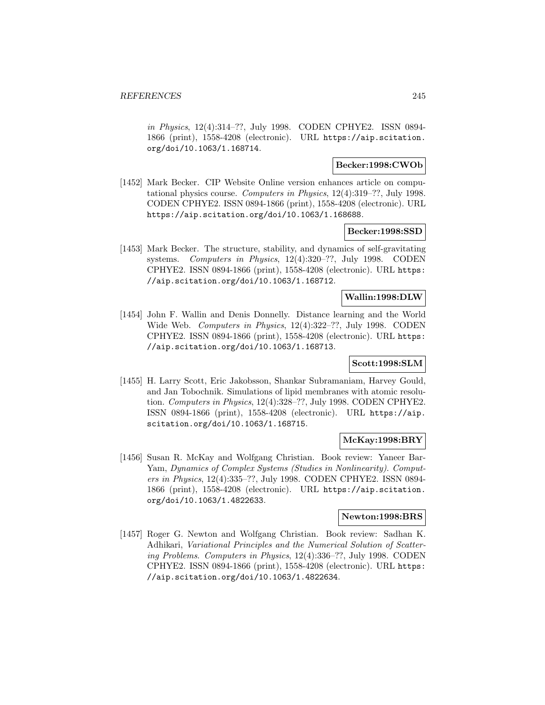in Physics, 12(4):314–??, July 1998. CODEN CPHYE2. ISSN 0894- 1866 (print), 1558-4208 (electronic). URL https://aip.scitation. org/doi/10.1063/1.168714.

### **Becker:1998:CWOb**

[1452] Mark Becker. CIP Website Online version enhances article on computational physics course. Computers in Physics, 12(4):319–??, July 1998. CODEN CPHYE2. ISSN 0894-1866 (print), 1558-4208 (electronic). URL https://aip.scitation.org/doi/10.1063/1.168688.

#### **Becker:1998:SSD**

[1453] Mark Becker. The structure, stability, and dynamics of self-gravitating systems. Computers in Physics, 12(4):320-??, July 1998. CODEN CPHYE2. ISSN 0894-1866 (print), 1558-4208 (electronic). URL https: //aip.scitation.org/doi/10.1063/1.168712.

# **Wallin:1998:DLW**

[1454] John F. Wallin and Denis Donnelly. Distance learning and the World Wide Web. Computers in Physics, 12(4):322–??, July 1998. CODEN CPHYE2. ISSN 0894-1866 (print), 1558-4208 (electronic). URL https: //aip.scitation.org/doi/10.1063/1.168713.

#### **Scott:1998:SLM**

[1455] H. Larry Scott, Eric Jakobsson, Shankar Subramaniam, Harvey Gould, and Jan Tobochnik. Simulations of lipid membranes with atomic resolution. Computers in Physics, 12(4):328–??, July 1998. CODEN CPHYE2. ISSN 0894-1866 (print), 1558-4208 (electronic). URL https://aip. scitation.org/doi/10.1063/1.168715.

### **McKay:1998:BRY**

[1456] Susan R. McKay and Wolfgang Christian. Book review: Yaneer Bar-Yam, Dynamics of Complex Systems (Studies in Nonlinearity). Computers in Physics, 12(4):335–??, July 1998. CODEN CPHYE2. ISSN 0894- 1866 (print), 1558-4208 (electronic). URL https://aip.scitation. org/doi/10.1063/1.4822633.

## **Newton:1998:BRS**

[1457] Roger G. Newton and Wolfgang Christian. Book review: Sadhan K. Adhikari, Variational Principles and the Numerical Solution of Scattering Problems. Computers in Physics, 12(4):336–??, July 1998. CODEN CPHYE2. ISSN 0894-1866 (print), 1558-4208 (electronic). URL https: //aip.scitation.org/doi/10.1063/1.4822634.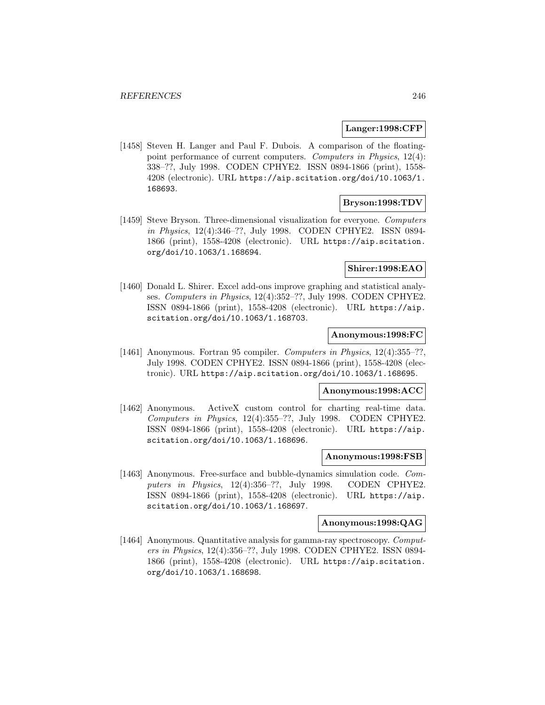#### **Langer:1998:CFP**

[1458] Steven H. Langer and Paul F. Dubois. A comparison of the floatingpoint performance of current computers. Computers in Physics, 12(4): 338–??, July 1998. CODEN CPHYE2. ISSN 0894-1866 (print), 1558- 4208 (electronic). URL https://aip.scitation.org/doi/10.1063/1. 168693.

#### **Bryson:1998:TDV**

[1459] Steve Bryson. Three-dimensional visualization for everyone. Computers in Physics, 12(4):346–??, July 1998. CODEN CPHYE2. ISSN 0894- 1866 (print), 1558-4208 (electronic). URL https://aip.scitation. org/doi/10.1063/1.168694.

# **Shirer:1998:EAO**

[1460] Donald L. Shirer. Excel add-ons improve graphing and statistical analyses. Computers in Physics, 12(4):352–??, July 1998. CODEN CPHYE2. ISSN 0894-1866 (print), 1558-4208 (electronic). URL https://aip. scitation.org/doi/10.1063/1.168703.

#### **Anonymous:1998:FC**

[1461] Anonymous. Fortran 95 compiler. Computers in Physics, 12(4):355–??, July 1998. CODEN CPHYE2. ISSN 0894-1866 (print), 1558-4208 (electronic). URL https://aip.scitation.org/doi/10.1063/1.168695.

## **Anonymous:1998:ACC**

[1462] Anonymous. ActiveX custom control for charting real-time data. Computers in Physics, 12(4):355–??, July 1998. CODEN CPHYE2. ISSN 0894-1866 (print), 1558-4208 (electronic). URL https://aip. scitation.org/doi/10.1063/1.168696.

# **Anonymous:1998:FSB**

[1463] Anonymous. Free-surface and bubble-dynamics simulation code. Computers in Physics, 12(4):356-??, July 1998. CODEN CPHYE2. ISSN 0894-1866 (print), 1558-4208 (electronic). URL https://aip. scitation.org/doi/10.1063/1.168697.

## **Anonymous:1998:QAG**

[1464] Anonymous. Quantitative analysis for gamma-ray spectroscopy. Computers in Physics, 12(4):356–??, July 1998. CODEN CPHYE2. ISSN 0894- 1866 (print), 1558-4208 (electronic). URL https://aip.scitation. org/doi/10.1063/1.168698.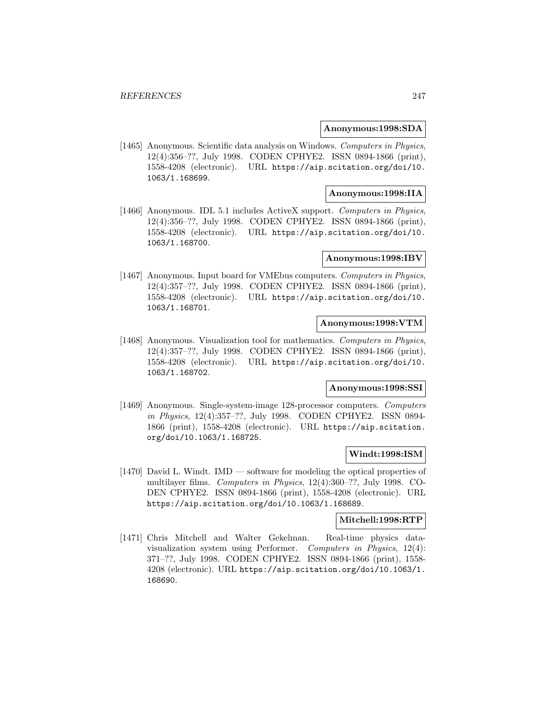#### **Anonymous:1998:SDA**

[1465] Anonymous. Scientific data analysis on Windows. Computers in Physics, 12(4):356–??, July 1998. CODEN CPHYE2. ISSN 0894-1866 (print), 1558-4208 (electronic). URL https://aip.scitation.org/doi/10. 1063/1.168699.

### **Anonymous:1998:IIA**

[1466] Anonymous. IDL 5.1 includes ActiveX support. Computers in Physics, 12(4):356–??, July 1998. CODEN CPHYE2. ISSN 0894-1866 (print), 1558-4208 (electronic). URL https://aip.scitation.org/doi/10. 1063/1.168700.

#### **Anonymous:1998:IBV**

[1467] Anonymous. Input board for VMEbus computers. Computers in Physics, 12(4):357–??, July 1998. CODEN CPHYE2. ISSN 0894-1866 (print), 1558-4208 (electronic). URL https://aip.scitation.org/doi/10. 1063/1.168701.

# **Anonymous:1998:VTM**

[1468] Anonymous. Visualization tool for mathematics. Computers in Physics, 12(4):357–??, July 1998. CODEN CPHYE2. ISSN 0894-1866 (print), 1558-4208 (electronic). URL https://aip.scitation.org/doi/10. 1063/1.168702.

#### **Anonymous:1998:SSI**

[1469] Anonymous. Single-system-image 128-processor computers. Computers in Physics, 12(4):357–??, July 1998. CODEN CPHYE2. ISSN 0894- 1866 (print), 1558-4208 (electronic). URL https://aip.scitation. org/doi/10.1063/1.168725.

# **Windt:1998:ISM**

[1470] David L. Windt. IMD — software for modeling the optical properties of multilayer films. Computers in Physics, 12(4):360–??, July 1998. CO-DEN CPHYE2. ISSN 0894-1866 (print), 1558-4208 (electronic). URL https://aip.scitation.org/doi/10.1063/1.168689.

#### **Mitchell:1998:RTP**

[1471] Chris Mitchell and Walter Gekelman. Real-time physics datavisualization system using Performer. Computers in Physics, 12(4): 371–??, July 1998. CODEN CPHYE2. ISSN 0894-1866 (print), 1558- 4208 (electronic). URL https://aip.scitation.org/doi/10.1063/1. 168690.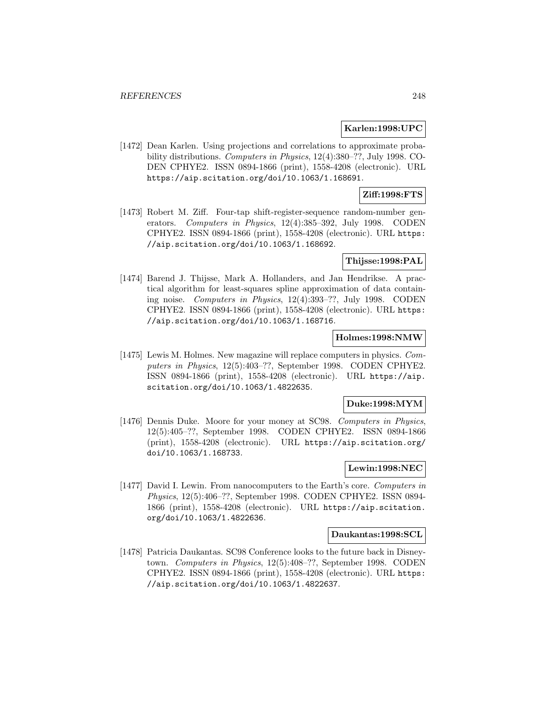#### **Karlen:1998:UPC**

[1472] Dean Karlen. Using projections and correlations to approximate probability distributions. Computers in Physics, 12(4):380–??, July 1998. CO-DEN CPHYE2. ISSN 0894-1866 (print), 1558-4208 (electronic). URL https://aip.scitation.org/doi/10.1063/1.168691.

# **Ziff:1998:FTS**

[1473] Robert M. Ziff. Four-tap shift-register-sequence random-number generators. Computers in Physics, 12(4):385–392, July 1998. CODEN CPHYE2. ISSN 0894-1866 (print), 1558-4208 (electronic). URL https: //aip.scitation.org/doi/10.1063/1.168692.

## **Thijsse:1998:PAL**

[1474] Barend J. Thijsse, Mark A. Hollanders, and Jan Hendrikse. A practical algorithm for least-squares spline approximation of data containing noise. Computers in Physics, 12(4):393–??, July 1998. CODEN CPHYE2. ISSN 0894-1866 (print), 1558-4208 (electronic). URL https: //aip.scitation.org/doi/10.1063/1.168716.

### **Holmes:1998:NMW**

[1475] Lewis M. Holmes. New magazine will replace computers in physics. Computers in Physics, 12(5):403–??, September 1998. CODEN CPHYE2. ISSN 0894-1866 (print), 1558-4208 (electronic). URL https://aip. scitation.org/doi/10.1063/1.4822635.

## **Duke:1998:MYM**

[1476] Dennis Duke. Moore for your money at SC98. Computers in Physics, 12(5):405–??, September 1998. CODEN CPHYE2. ISSN 0894-1866 (print), 1558-4208 (electronic). URL https://aip.scitation.org/ doi/10.1063/1.168733.

### **Lewin:1998:NEC**

[1477] David I. Lewin. From nanocomputers to the Earth's core. Computers in Physics, 12(5):406–??, September 1998. CODEN CPHYE2. ISSN 0894- 1866 (print), 1558-4208 (electronic). URL https://aip.scitation. org/doi/10.1063/1.4822636.

#### **Daukantas:1998:SCL**

[1478] Patricia Daukantas. SC98 Conference looks to the future back in Disneytown. Computers in Physics, 12(5):408–??, September 1998. CODEN CPHYE2. ISSN 0894-1866 (print), 1558-4208 (electronic). URL https: //aip.scitation.org/doi/10.1063/1.4822637.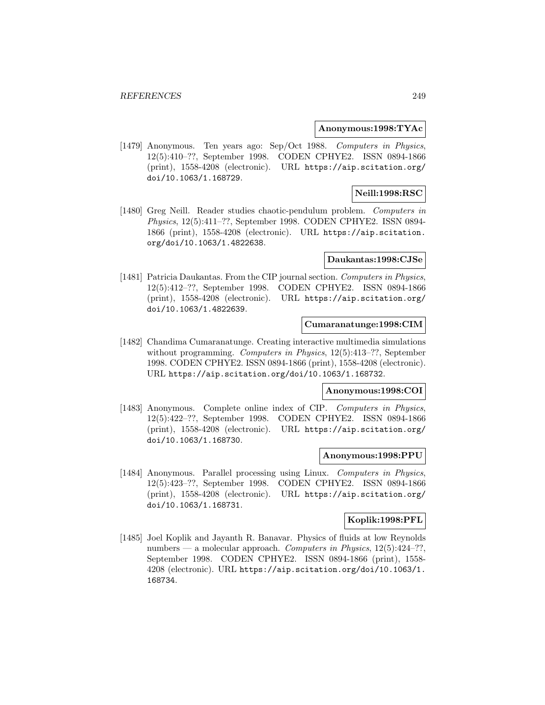#### **Anonymous:1998:TYAc**

[1479] Anonymous. Ten years ago: Sep/Oct 1988. Computers in Physics, 12(5):410–??, September 1998. CODEN CPHYE2. ISSN 0894-1866 (print), 1558-4208 (electronic). URL https://aip.scitation.org/ doi/10.1063/1.168729.

## **Neill:1998:RSC**

[1480] Greg Neill. Reader studies chaotic-pendulum problem. Computers in Physics, 12(5):411–??, September 1998. CODEN CPHYE2. ISSN 0894- 1866 (print), 1558-4208 (electronic). URL https://aip.scitation. org/doi/10.1063/1.4822638.

#### **Daukantas:1998:CJSe**

[1481] Patricia Daukantas. From the CIP journal section. Computers in Physics, 12(5):412–??, September 1998. CODEN CPHYE2. ISSN 0894-1866 (print), 1558-4208 (electronic). URL https://aip.scitation.org/ doi/10.1063/1.4822639.

# **Cumaranatunge:1998:CIM**

[1482] Chandima Cumaranatunge. Creating interactive multimedia simulations without programming. *Computers in Physics*, 12(5):413–??, September 1998. CODEN CPHYE2. ISSN 0894-1866 (print), 1558-4208 (electronic). URL https://aip.scitation.org/doi/10.1063/1.168732.

#### **Anonymous:1998:COI**

[1483] Anonymous. Complete online index of CIP. Computers in Physics, 12(5):422–??, September 1998. CODEN CPHYE2. ISSN 0894-1866 (print), 1558-4208 (electronic). URL https://aip.scitation.org/ doi/10.1063/1.168730.

## **Anonymous:1998:PPU**

[1484] Anonymous. Parallel processing using Linux. Computers in Physics, 12(5):423–??, September 1998. CODEN CPHYE2. ISSN 0894-1866 (print), 1558-4208 (electronic). URL https://aip.scitation.org/ doi/10.1063/1.168731.

# **Koplik:1998:PFL**

[1485] Joel Koplik and Jayanth R. Banavar. Physics of fluids at low Reynolds numbers — a molecular approach. Computers in Physics, 12(5):424–??, September 1998. CODEN CPHYE2. ISSN 0894-1866 (print), 1558- 4208 (electronic). URL https://aip.scitation.org/doi/10.1063/1. 168734.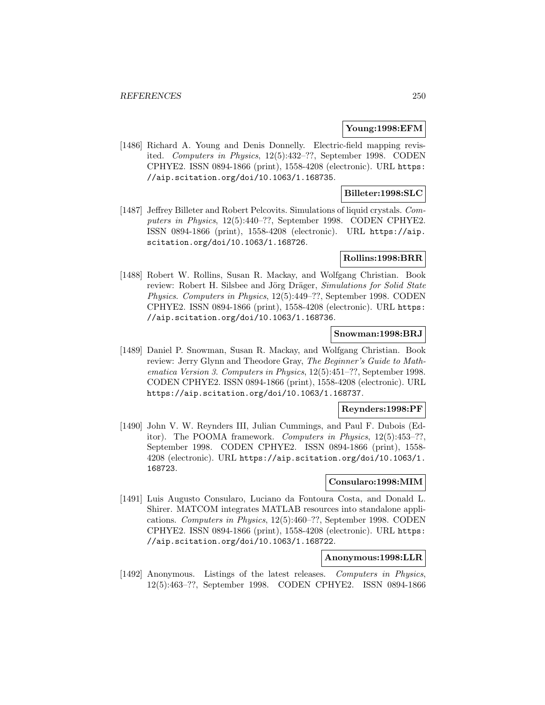## **Young:1998:EFM**

[1486] Richard A. Young and Denis Donnelly. Electric-field mapping revisited. Computers in Physics, 12(5):432–??, September 1998. CODEN CPHYE2. ISSN 0894-1866 (print), 1558-4208 (electronic). URL https: //aip.scitation.org/doi/10.1063/1.168735.

## **Billeter:1998:SLC**

[1487] Jeffrey Billeter and Robert Pelcovits. Simulations of liquid crystals. Computers in Physics, 12(5):440–??, September 1998. CODEN CPHYE2. ISSN 0894-1866 (print), 1558-4208 (electronic). URL https://aip. scitation.org/doi/10.1063/1.168726.

### **Rollins:1998:BRR**

[1488] Robert W. Rollins, Susan R. Mackay, and Wolfgang Christian. Book review: Robert H. Silsbee and Jörg Dräger, Simulations for Solid State Physics. Computers in Physics, 12(5):449–??, September 1998. CODEN CPHYE2. ISSN 0894-1866 (print), 1558-4208 (electronic). URL https: //aip.scitation.org/doi/10.1063/1.168736.

## **Snowman:1998:BRJ**

[1489] Daniel P. Snowman, Susan R. Mackay, and Wolfgang Christian. Book review: Jerry Glynn and Theodore Gray, The Beginner's Guide to Mathematica Version 3. Computers in Physics, 12(5):451–??, September 1998. CODEN CPHYE2. ISSN 0894-1866 (print), 1558-4208 (electronic). URL https://aip.scitation.org/doi/10.1063/1.168737.

# **Reynders:1998:PF**

[1490] John V. W. Reynders III, Julian Cummings, and Paul F. Dubois (Editor). The POOMA framework. Computers in Physics, 12(5):453–??, September 1998. CODEN CPHYE2. ISSN 0894-1866 (print), 1558- 4208 (electronic). URL https://aip.scitation.org/doi/10.1063/1. 168723.

### **Consularo:1998:MIM**

[1491] Luis Augusto Consularo, Luciano da Fontoura Costa, and Donald L. Shirer. MATCOM integrates MATLAB resources into standalone applications. Computers in Physics, 12(5):460–??, September 1998. CODEN CPHYE2. ISSN 0894-1866 (print), 1558-4208 (electronic). URL https: //aip.scitation.org/doi/10.1063/1.168722.

# **Anonymous:1998:LLR**

[1492] Anonymous. Listings of the latest releases. Computers in Physics, 12(5):463–??, September 1998. CODEN CPHYE2. ISSN 0894-1866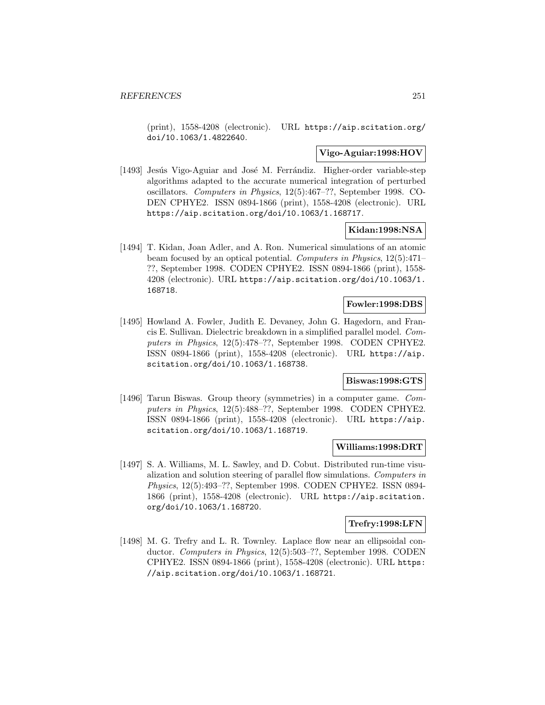(print), 1558-4208 (electronic). URL https://aip.scitation.org/ doi/10.1063/1.4822640.

### **Vigo-Aguiar:1998:HOV**

[1493] Jesús Vigo-Aguiar and José M. Ferrándiz. Higher-order variable-step algorithms adapted to the accurate numerical integration of perturbed oscillators. Computers in Physics, 12(5):467–??, September 1998. CO-DEN CPHYE2. ISSN 0894-1866 (print), 1558-4208 (electronic). URL https://aip.scitation.org/doi/10.1063/1.168717.

# **Kidan:1998:NSA**

[1494] T. Kidan, Joan Adler, and A. Ron. Numerical simulations of an atomic beam focused by an optical potential. Computers in Physics, 12(5):471– ??, September 1998. CODEN CPHYE2. ISSN 0894-1866 (print), 1558- 4208 (electronic). URL https://aip.scitation.org/doi/10.1063/1. 168718.

### **Fowler:1998:DBS**

[1495] Howland A. Fowler, Judith E. Devaney, John G. Hagedorn, and Francis E. Sullivan. Dielectric breakdown in a simplified parallel model. Computers in Physics, 12(5):478–??, September 1998. CODEN CPHYE2. ISSN 0894-1866 (print), 1558-4208 (electronic). URL https://aip. scitation.org/doi/10.1063/1.168738.

# **Biswas:1998:GTS**

[1496] Tarun Biswas. Group theory (symmetries) in a computer game. Computers in Physics, 12(5):488–??, September 1998. CODEN CPHYE2. ISSN 0894-1866 (print), 1558-4208 (electronic). URL https://aip. scitation.org/doi/10.1063/1.168719.

#### **Williams:1998:DRT**

[1497] S. A. Williams, M. L. Sawley, and D. Cobut. Distributed run-time visualization and solution steering of parallel flow simulations. Computers in Physics, 12(5):493–??, September 1998. CODEN CPHYE2. ISSN 0894- 1866 (print), 1558-4208 (electronic). URL https://aip.scitation. org/doi/10.1063/1.168720.

#### **Trefry:1998:LFN**

[1498] M. G. Trefry and L. R. Townley. Laplace flow near an ellipsoidal conductor. Computers in Physics, 12(5):503–??, September 1998. CODEN CPHYE2. ISSN 0894-1866 (print), 1558-4208 (electronic). URL https: //aip.scitation.org/doi/10.1063/1.168721.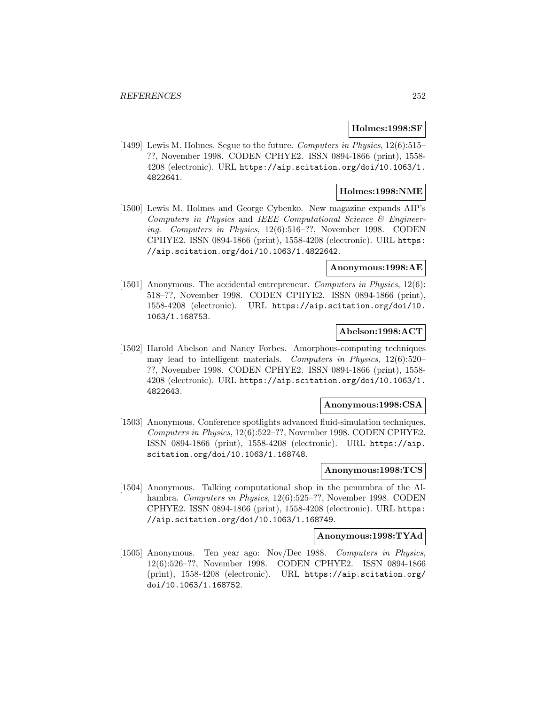## **Holmes:1998:SF**

[1499] Lewis M. Holmes. Segue to the future. Computers in Physics, 12(6):515– ??, November 1998. CODEN CPHYE2. ISSN 0894-1866 (print), 1558- 4208 (electronic). URL https://aip.scitation.org/doi/10.1063/1. 4822641.

# **Holmes:1998:NME**

[1500] Lewis M. Holmes and George Cybenko. New magazine expands AIP's Computers in Physics and IEEE Computational Science  $\mathcal B$  Engineering. Computers in Physics, 12(6):516–??, November 1998. CODEN CPHYE2. ISSN 0894-1866 (print), 1558-4208 (electronic). URL https: //aip.scitation.org/doi/10.1063/1.4822642.

## **Anonymous:1998:AE**

[1501] Anonymous. The accidental entrepreneur. *Computers in Physics*, 12(6): 518–??, November 1998. CODEN CPHYE2. ISSN 0894-1866 (print), 1558-4208 (electronic). URL https://aip.scitation.org/doi/10. 1063/1.168753.

## **Abelson:1998:ACT**

[1502] Harold Abelson and Nancy Forbes. Amorphous-computing techniques may lead to intelligent materials. Computers in Physics, 12(6):520– ??, November 1998. CODEN CPHYE2. ISSN 0894-1866 (print), 1558- 4208 (electronic). URL https://aip.scitation.org/doi/10.1063/1. 4822643.

#### **Anonymous:1998:CSA**

[1503] Anonymous. Conference spotlights advanced fluid-simulation techniques. Computers in Physics, 12(6):522–??, November 1998. CODEN CPHYE2. ISSN 0894-1866 (print), 1558-4208 (electronic). URL https://aip. scitation.org/doi/10.1063/1.168748.

### **Anonymous:1998:TCS**

[1504] Anonymous. Talking computational shop in the penumbra of the Alhambra. Computers in Physics, 12(6):525–??, November 1998. CODEN CPHYE2. ISSN 0894-1866 (print), 1558-4208 (electronic). URL https: //aip.scitation.org/doi/10.1063/1.168749.

#### **Anonymous:1998:TYAd**

[1505] Anonymous. Ten year ago: Nov/Dec 1988. Computers in Physics, 12(6):526–??, November 1998. CODEN CPHYE2. ISSN 0894-1866 (print), 1558-4208 (electronic). URL https://aip.scitation.org/ doi/10.1063/1.168752.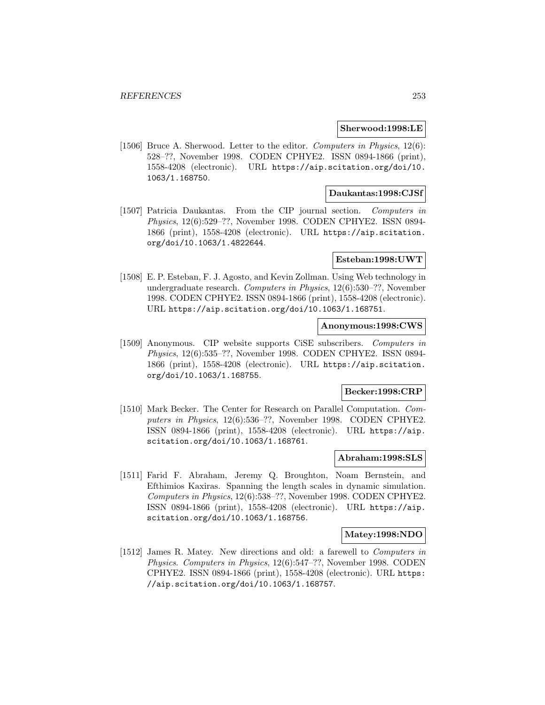#### **Sherwood:1998:LE**

[1506] Bruce A. Sherwood. Letter to the editor. Computers in Physics, 12(6): 528–??, November 1998. CODEN CPHYE2. ISSN 0894-1866 (print), 1558-4208 (electronic). URL https://aip.scitation.org/doi/10. 1063/1.168750.

#### **Daukantas:1998:CJSf**

[1507] Patricia Daukantas. From the CIP journal section. Computers in Physics, 12(6):529–??, November 1998. CODEN CPHYE2. ISSN 0894- 1866 (print), 1558-4208 (electronic). URL https://aip.scitation. org/doi/10.1063/1.4822644.

### **Esteban:1998:UWT**

[1508] E. P. Esteban, F. J. Agosto, and Kevin Zollman. Using Web technology in undergraduate research. Computers in Physics, 12(6):530–??, November 1998. CODEN CPHYE2. ISSN 0894-1866 (print), 1558-4208 (electronic). URL https://aip.scitation.org/doi/10.1063/1.168751.

### **Anonymous:1998:CWS**

[1509] Anonymous. CIP website supports CiSE subscribers. Computers in Physics, 12(6):535–??, November 1998. CODEN CPHYE2. ISSN 0894- 1866 (print), 1558-4208 (electronic). URL https://aip.scitation. org/doi/10.1063/1.168755.

## **Becker:1998:CRP**

[1510] Mark Becker. The Center for Research on Parallel Computation. Computers in Physics, 12(6):536–??, November 1998. CODEN CPHYE2. ISSN 0894-1866 (print), 1558-4208 (electronic). URL https://aip. scitation.org/doi/10.1063/1.168761.

#### **Abraham:1998:SLS**

[1511] Farid F. Abraham, Jeremy Q. Broughton, Noam Bernstein, and Efthimios Kaxiras. Spanning the length scales in dynamic simulation. Computers in Physics, 12(6):538–??, November 1998. CODEN CPHYE2. ISSN 0894-1866 (print), 1558-4208 (electronic). URL https://aip. scitation.org/doi/10.1063/1.168756.

#### **Matey:1998:NDO**

[1512] James R. Matey. New directions and old: a farewell to Computers in Physics. Computers in Physics, 12(6):547–??, November 1998. CODEN CPHYE2. ISSN 0894-1866 (print), 1558-4208 (electronic). URL https: //aip.scitation.org/doi/10.1063/1.168757.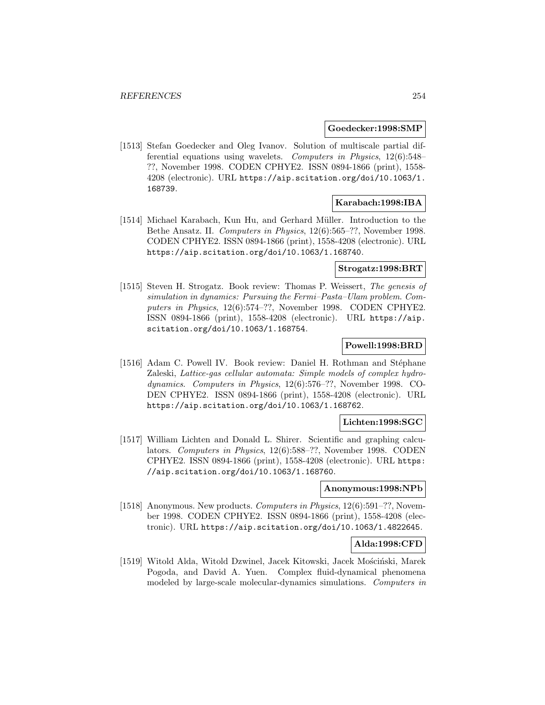### **Goedecker:1998:SMP**

[1513] Stefan Goedecker and Oleg Ivanov. Solution of multiscale partial differential equations using wavelets. Computers in Physics, 12(6):548– ??, November 1998. CODEN CPHYE2. ISSN 0894-1866 (print), 1558- 4208 (electronic). URL https://aip.scitation.org/doi/10.1063/1. 168739.

### **Karabach:1998:IBA**

[1514] Michael Karabach, Kun Hu, and Gerhard Müller. Introduction to the Bethe Ansatz. II. Computers in Physics, 12(6):565–??, November 1998. CODEN CPHYE2. ISSN 0894-1866 (print), 1558-4208 (electronic). URL https://aip.scitation.org/doi/10.1063/1.168740.

## **Strogatz:1998:BRT**

[1515] Steven H. Strogatz. Book review: Thomas P. Weissert, The genesis of simulation in dynamics: Pursuing the Fermi–Pasta–Ulam problem. Computers in Physics, 12(6):574–??, November 1998. CODEN CPHYE2. ISSN 0894-1866 (print), 1558-4208 (electronic). URL https://aip. scitation.org/doi/10.1063/1.168754.

### **Powell:1998:BRD**

[1516] Adam C. Powell IV. Book review: Daniel H. Rothman and Stéphane Zaleski, Lattice-gas cellular automata: Simple models of complex hydrodynamics. Computers in Physics, 12(6):576–??, November 1998. CO-DEN CPHYE2. ISSN 0894-1866 (print), 1558-4208 (electronic). URL https://aip.scitation.org/doi/10.1063/1.168762.

#### **Lichten:1998:SGC**

[1517] William Lichten and Donald L. Shirer. Scientific and graphing calculators. Computers in Physics, 12(6):588–??, November 1998. CODEN CPHYE2. ISSN 0894-1866 (print), 1558-4208 (electronic). URL https: //aip.scitation.org/doi/10.1063/1.168760.

## **Anonymous:1998:NPb**

[1518] Anonymous. New products. Computers in Physics, 12(6):591–??, November 1998. CODEN CPHYE2. ISSN 0894-1866 (print), 1558-4208 (electronic). URL https://aip.scitation.org/doi/10.1063/1.4822645.

#### **Alda:1998:CFD**

[1519] Witold Alda, Witold Dzwinel, Jacek Kitowski, Jacek Mościński, Marek Pogoda, and David A. Yuen. Complex fluid-dynamical phenomena modeled by large-scale molecular-dynamics simulations. Computers in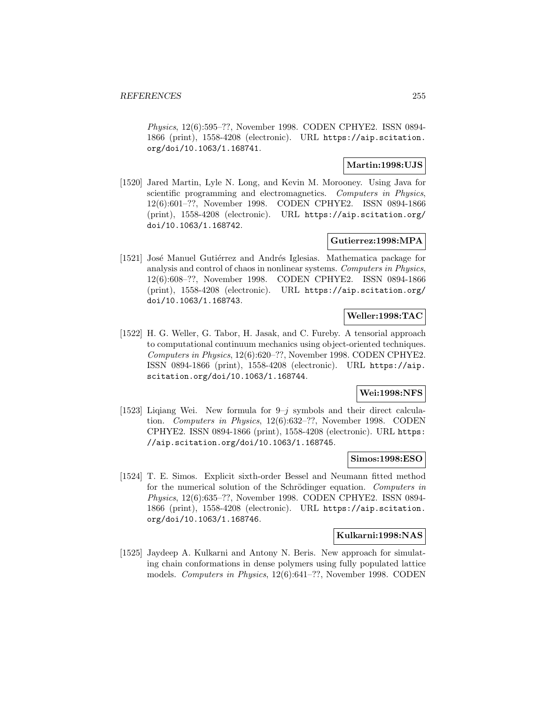Physics, 12(6):595–??, November 1998. CODEN CPHYE2. ISSN 0894- 1866 (print), 1558-4208 (electronic). URL https://aip.scitation. org/doi/10.1063/1.168741.

## **Martin:1998:UJS**

[1520] Jared Martin, Lyle N. Long, and Kevin M. Morooney. Using Java for scientific programming and electromagnetics. Computers in Physics, 12(6):601–??, November 1998. CODEN CPHYE2. ISSN 0894-1866 (print), 1558-4208 (electronic). URL https://aip.scitation.org/ doi/10.1063/1.168742.

## **Gutierrez:1998:MPA**

[1521] José Manuel Gutiérrez and Andrés Iglesias. Mathematica package for analysis and control of chaos in nonlinear systems. Computers in Physics, 12(6):608–??, November 1998. CODEN CPHYE2. ISSN 0894-1866 (print), 1558-4208 (electronic). URL https://aip.scitation.org/ doi/10.1063/1.168743.

## **Weller:1998:TAC**

[1522] H. G. Weller, G. Tabor, H. Jasak, and C. Fureby. A tensorial approach to computational continuum mechanics using object-oriented techniques. Computers in Physics, 12(6):620–??, November 1998. CODEN CPHYE2. ISSN 0894-1866 (print), 1558-4208 (electronic). URL https://aip. scitation.org/doi/10.1063/1.168744.

### **Wei:1998:NFS**

[1523] Liqiang Wei. New formula for  $9-j$  symbols and their direct calculation. Computers in Physics, 12(6):632–??, November 1998. CODEN CPHYE2. ISSN 0894-1866 (print), 1558-4208 (electronic). URL https: //aip.scitation.org/doi/10.1063/1.168745.

# **Simos:1998:ESO**

[1524] T. E. Simos. Explicit sixth-order Bessel and Neumann fitted method for the numerical solution of the Schrödinger equation. Computers in Physics, 12(6):635–??, November 1998. CODEN CPHYE2. ISSN 0894- 1866 (print), 1558-4208 (electronic). URL https://aip.scitation. org/doi/10.1063/1.168746.

### **Kulkarni:1998:NAS**

[1525] Jaydeep A. Kulkarni and Antony N. Beris. New approach for simulating chain conformations in dense polymers using fully populated lattice models. Computers in Physics, 12(6):641–??, November 1998. CODEN